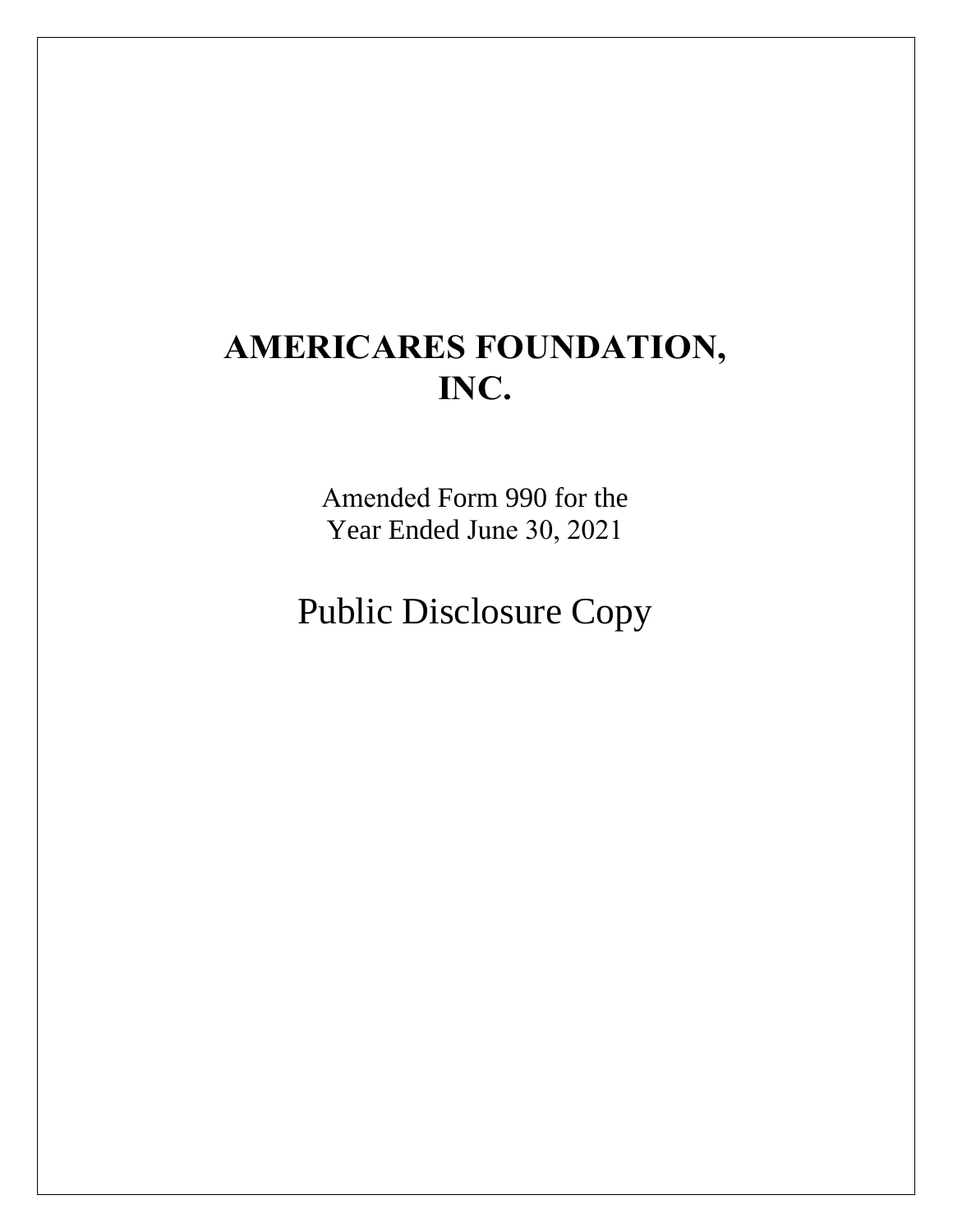# **AMERICARES FOUNDATION, INC.**

Amended Form 990 for the Year Ended June 30, 2021

Public Disclosure Copy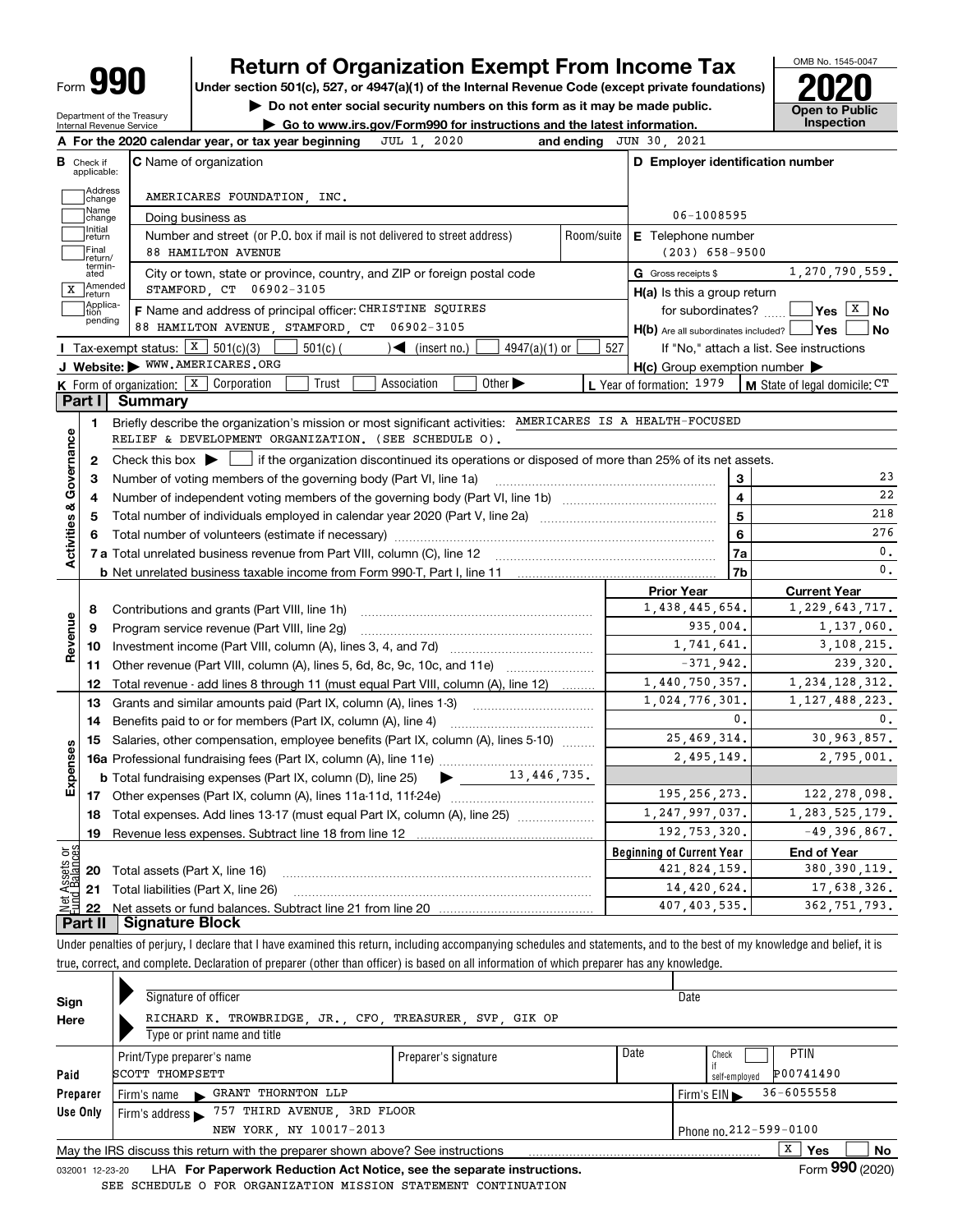| Form |
|------|
|------|

# **Return of Organization Exempt From Income Tax**

**Under section 501(c), 527, or 4947(a)(1) of the Internal Revenue Code (except private foundations) 2020**

**| Do not enter social security numbers on this form as it may be made public.**

Department of the Treasury Internal Revenue Service

**| Go to www.irs.gov/Form990 for instructions and the latest information. Inspection**



|                         |                             | A For the 2020 calendar year, or tax year beginning<br>JUL 1, 2020                                                                                  |                    | and ending JUN 30, 2021                                 |                                                           |  |  |  |  |
|-------------------------|-----------------------------|-----------------------------------------------------------------------------------------------------------------------------------------------------|--------------------|---------------------------------------------------------|-----------------------------------------------------------|--|--|--|--|
| в                       | Check if<br>applicable:     | <b>C</b> Name of organization                                                                                                                       |                    | D Employer identification number                        |                                                           |  |  |  |  |
|                         | Address<br>change           | AMERICARES FOUNDATION, INC.                                                                                                                         |                    |                                                         |                                                           |  |  |  |  |
|                         | Name<br>change              | Doing business as                                                                                                                                   | 06-1008595         |                                                         |                                                           |  |  |  |  |
|                         | Initial<br>return           | Number and street (or P.O. box if mail is not delivered to street address)<br>Room/suite                                                            | E Telephone number |                                                         |                                                           |  |  |  |  |
|                         | Final<br>return/            | <b>88 HAMILTON AVENUE</b>                                                                                                                           |                    | $(203)$ 658-9500                                        |                                                           |  |  |  |  |
|                         | termin-<br>ated             | City or town, state or province, country, and ZIP or foreign postal code                                                                            |                    | <b>G</b> Gross receipts \$                              | 1,270,790,559.                                            |  |  |  |  |
|                         | Amended<br>]return          | STAMFORD, CT 06902-3105                                                                                                                             |                    | $H(a)$ is this a group return                           |                                                           |  |  |  |  |
|                         | Applica-<br>tion<br>pending | F Name and address of principal officer: CHRISTINE SQUIRES                                                                                          |                    |                                                         | for subordinates? $\Box$ Yes $X$ No                       |  |  |  |  |
|                         |                             | 88 HAMILTON AVENUE, STAMFORD, CT 06902-3105                                                                                                         |                    | $H(b)$ Are all subordinates included? $\Box$ Yes $\Box$ | ∣No                                                       |  |  |  |  |
|                         |                             | Tax-exempt status: $X \mid 501(c)(3)$<br>501(c)(<br>$\sqrt{\frac{1}{1}}$ (insert no.)<br>$4947(a)(1)$ or                                            | 527                |                                                         | If "No," attach a list. See instructions                  |  |  |  |  |
|                         |                             | J Website: WWW.AMERICARES.ORG                                                                                                                       |                    | $H(c)$ Group exemption number $\blacktriangleright$     |                                                           |  |  |  |  |
|                         | Part I                      | Other $\blacktriangleright$<br><b>K</b> Form of organization: $\boxed{\textbf{x}}$ Corporation<br>Trust<br>Association<br>Summary                   |                    |                                                         | L Year of formation: 1979   M State of legal domicile: CT |  |  |  |  |
|                         | 1.                          | Briefly describe the organization's mission or most significant activities: AMERICARES IS A HEALTH-FOCUSED                                          |                    |                                                         |                                                           |  |  |  |  |
|                         |                             | RELIEF & DEVELOPMENT ORGANIZATION. (SEE SCHEDULE O).                                                                                                |                    |                                                         |                                                           |  |  |  |  |
| Activities & Governance | 2                           | Check this box $\blacktriangleright$ $\blacksquare$ if the organization discontinued its operations or disposed of more than 25% of its net assets. |                    |                                                         |                                                           |  |  |  |  |
|                         | 3                           | Number of voting members of the governing body (Part VI, line 1a)                                                                                   |                    | 3                                                       | 23                                                        |  |  |  |  |
|                         | 4                           |                                                                                                                                                     |                    | $\overline{\mathbf{4}}$                                 | 22                                                        |  |  |  |  |
|                         | 5                           |                                                                                                                                                     | 5                  | 218                                                     |                                                           |  |  |  |  |
|                         |                             |                                                                                                                                                     | 6                  | 276                                                     |                                                           |  |  |  |  |
|                         |                             |                                                                                                                                                     | 7a                 | $\mathbf{0}$ .                                          |                                                           |  |  |  |  |
|                         |                             |                                                                                                                                                     |                    | 7b                                                      | $\mathbf{0}$ .                                            |  |  |  |  |
|                         |                             |                                                                                                                                                     |                    | <b>Prior Year</b>                                       | <b>Current Year</b>                                       |  |  |  |  |
|                         | 8                           |                                                                                                                                                     |                    | 1,438,445,654.                                          | 1, 229, 643, 717.                                         |  |  |  |  |
| Revenue                 | 9                           | Program service revenue (Part VIII, line 2g)                                                                                                        |                    | 935,004.                                                | 1,137,060.                                                |  |  |  |  |
|                         | 10                          | Investment income (Part VIII, column (A), lines 3, 4, and 7d)                                                                                       |                    | 1,741,641.                                              | 3,108,215.                                                |  |  |  |  |
|                         | 11                          | Other revenue (Part VIII, column (A), lines 5, 6d, 8c, 9c, 10c, and 11e)                                                                            | $-371.942.$        | 239.320.                                                |                                                           |  |  |  |  |
|                         | 12                          | Total revenue - add lines 8 through 11 (must equal Part VIII, column (A), line 12)                                                                  |                    | 1,440,750,357.                                          | 1, 234, 128, 312.                                         |  |  |  |  |
|                         | 13                          | Grants and similar amounts paid (Part IX, column (A), lines 1-3) <i>manoronononononon</i>                                                           |                    | 1,024,776,301.<br>0.                                    | 1, 127, 488, 223.                                         |  |  |  |  |
|                         | 14                          |                                                                                                                                                     |                    |                                                         |                                                           |  |  |  |  |
|                         | 15                          | Salaries, other compensation, employee benefits (Part IX, column (A), lines 5-10)                                                                   |                    | 25, 469, 314.                                           | 30.963.857.                                               |  |  |  |  |
|                         |                             |                                                                                                                                                     |                    | 2,495,149.                                              | 2,795,001.                                                |  |  |  |  |
| Expenses                |                             |                                                                                                                                                     |                    |                                                         |                                                           |  |  |  |  |
|                         |                             |                                                                                                                                                     |                    | 195, 256, 273.                                          | 122, 278, 098.                                            |  |  |  |  |
|                         | 18                          | Total expenses. Add lines 13-17 (must equal Part IX, column (A), line 25)                                                                           |                    | 1, 247, 997, 037.                                       | 1, 283, 525, 179.                                         |  |  |  |  |
|                         | 19                          |                                                                                                                                                     |                    | 192, 753, 320.                                          | $-49,396,867.$                                            |  |  |  |  |
| ăğ<br>53                |                             |                                                                                                                                                     |                    | <b>Beginning of Current Year</b>                        | <b>End of Year</b>                                        |  |  |  |  |
|                         |                             | 20 Total assets (Part X, line 16)                                                                                                                   |                    | 421,824,159.                                            | 380, 390, 119.                                            |  |  |  |  |
|                         |                             | 21 Total liabilities (Part X, line 26)                                                                                                              |                    | 14,420,624.                                             | 17,638,326.                                               |  |  |  |  |
|                         | 22<br>Part II               | <b>Signature Block</b>                                                                                                                              |                    | 407, 403, 535.                                          | 362, 751, 793.                                            |  |  |  |  |
|                         |                             |                                                                                                                                                     |                    |                                                         |                                                           |  |  |  |  |

Under penalties of perjury, I declare that I have examined this return, including accompanying schedules and statements, and to the best of my knowledge and belief, it is true, correct, and complete. Declaration of preparer (other than officer) is based on all information of which preparer has any knowledge.

| Sign<br>Here | Signature of officer<br>RICHARD K. TROWBRIDGE JR. CFO TREASURER SVP GIK OP<br>Type or print name and title |                                                    | Date                                                       |  |  |  |  |  |  |
|--------------|------------------------------------------------------------------------------------------------------------|----------------------------------------------------|------------------------------------------------------------|--|--|--|--|--|--|
| Paid         | Print/Type preparer's name<br>SCOTT THOMPSETT                                                              | Preparer's signature                               | Date<br><b>PTIN</b><br>Check<br>P00741490<br>self-employed |  |  |  |  |  |  |
| Preparer     | GRANT THORNTON LLP<br>Firm's name<br>$\blacksquare$                                                        | $36 - 6055558$<br>Firm's $EIN \blacktriangleright$ |                                                            |  |  |  |  |  |  |
| Use Only     | 757 THIRD AVENUE, 3RD FLOOR<br>Firm's address $\blacktriangleright$                                        |                                                    |                                                            |  |  |  |  |  |  |
|              | NEW YORK, NY 10017-2013<br>Phone no. 212-599-0100                                                          |                                                    |                                                            |  |  |  |  |  |  |
|              | May the IRS discuss this return with the preparer shown above? See instructions                            |                                                    | х<br>No<br><b>Yes</b>                                      |  |  |  |  |  |  |
|              |                                                                                                            |                                                    | $\sim$                                                     |  |  |  |  |  |  |

032001 12-23-20 LHA **For Paperwork Reduction Act Notice, see the separate instructions.** Form 990 (2020) SEE SCHEDULE O FOR ORGANIZATION MISSION STATEMENT CONTINUATION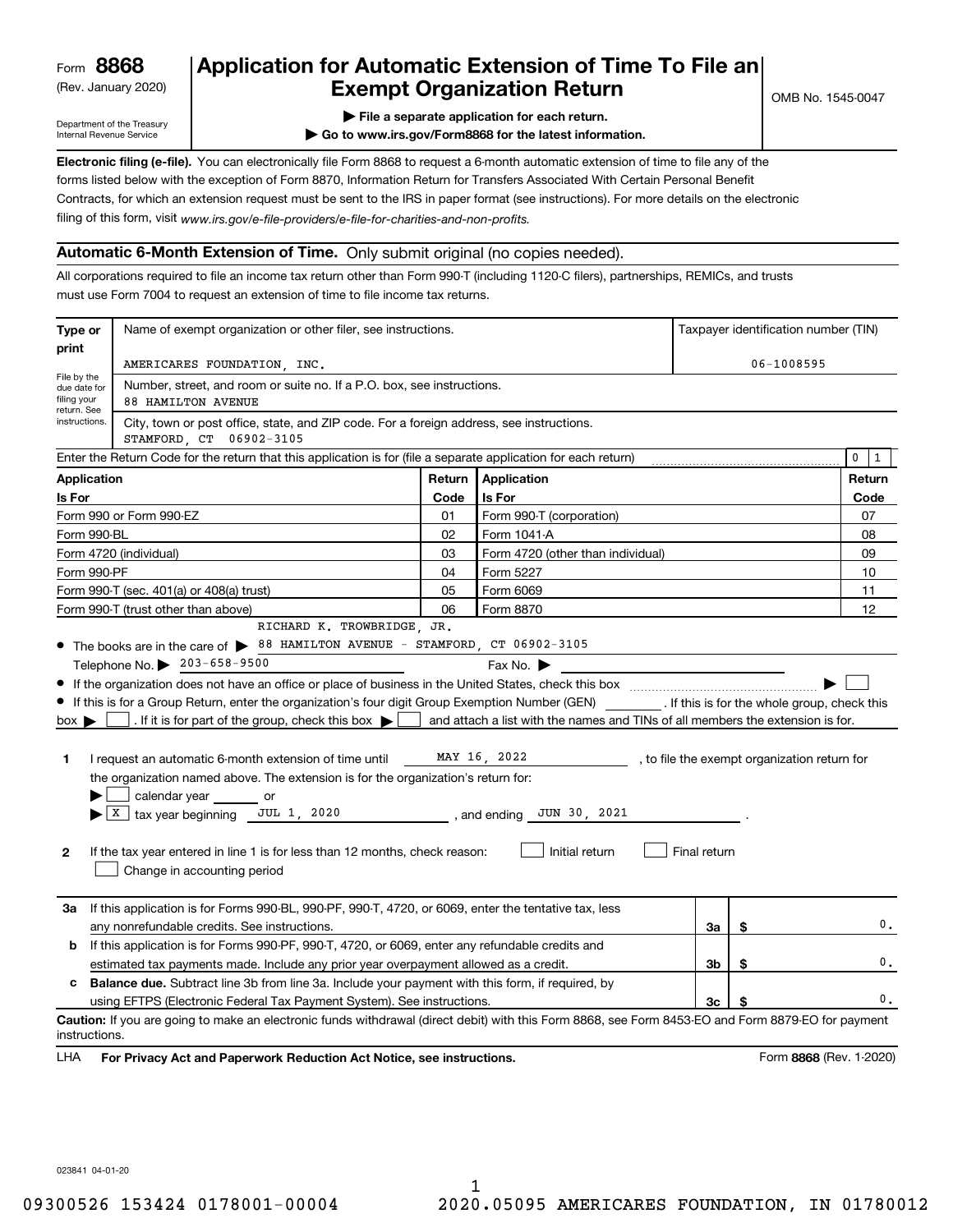(Rev. January 2020)

## **Application for Automatic Extension of Time To File an Exempt Organization Return**

Department of the Treasury Internal Revenue Service

**| File a separate application for each return.**

**| Go to www.irs.gov/Form8868 for the latest information.**

**Electronic filing (e-file).**  You can electronically file Form 8868 to request a 6-month automatic extension of time to file any of the filing of this form, visit www.irs.gov/e-file-providers/e-file-for-charities-and-non-profits. forms listed below with the exception of Form 8870, Information Return for Transfers Associated With Certain Personal Benefit Contracts, for which an extension request must be sent to the IRS in paper format (see instructions). For more details on the electronic

### **Automatic 6-Month Extension of Time.** Only submit original (no copies needed).

All corporations required to file an income tax return other than Form 990-T (including 1120-C filers), partnerships, REMICs, and trusts must use Form 7004 to request an extension of time to file income tax returns.

| Type or                                                                                                                                                                                                                                                                | Name of exempt organization or other filer, see instructions.                                                                                           | Taxpayer identification number (TIN) |                                                                                |              |        |                                              |  |  |  |  |
|------------------------------------------------------------------------------------------------------------------------------------------------------------------------------------------------------------------------------------------------------------------------|---------------------------------------------------------------------------------------------------------------------------------------------------------|--------------------------------------|--------------------------------------------------------------------------------|--------------|--------|----------------------------------------------|--|--|--|--|
| print                                                                                                                                                                                                                                                                  | AMERICARES FOUNDATION, INC.                                                                                                                             |                                      | 06-1008595                                                                     |              |        |                                              |  |  |  |  |
| File by the<br>due date for<br>filing your                                                                                                                                                                                                                             | Number, street, and room or suite no. If a P.O. box, see instructions.<br><b>88 HAMILTON AVENUE</b>                                                     |                                      |                                                                                |              |        |                                              |  |  |  |  |
| return. See<br>instructions.<br>City, town or post office, state, and ZIP code. For a foreign address, see instructions.<br>STAMFORD, CT 06902-3105<br>Enter the Return Code for the return that this application is for (file a separate application for each return) |                                                                                                                                                         |                                      |                                                                                |              |        |                                              |  |  |  |  |
|                                                                                                                                                                                                                                                                        |                                                                                                                                                         |                                      |                                                                                |              |        | $\mathbf 0$<br>$\mathbf{1}$                  |  |  |  |  |
| <b>Application</b>                                                                                                                                                                                                                                                     |                                                                                                                                                         | Return                               | Application                                                                    |              | Return |                                              |  |  |  |  |
| Is For                                                                                                                                                                                                                                                                 |                                                                                                                                                         | Code                                 | Is For                                                                         |              | Code   |                                              |  |  |  |  |
|                                                                                                                                                                                                                                                                        | Form 990 or Form 990-EZ                                                                                                                                 | 01                                   | Form 990-T (corporation)                                                       | 07           |        |                                              |  |  |  |  |
| Form 990-BL                                                                                                                                                                                                                                                            |                                                                                                                                                         | 02                                   | Form 1041-A                                                                    | 08           |        |                                              |  |  |  |  |
|                                                                                                                                                                                                                                                                        | Form 4720 (individual)                                                                                                                                  | 03                                   | Form 4720 (other than individual)                                              |              |        | 09                                           |  |  |  |  |
| Form 990-PF                                                                                                                                                                                                                                                            |                                                                                                                                                         | 04                                   | Form 5227                                                                      |              |        | 10                                           |  |  |  |  |
|                                                                                                                                                                                                                                                                        | Form 990-T (sec. 401(a) or 408(a) trust)                                                                                                                | 05                                   | Form 6069                                                                      |              |        | 11                                           |  |  |  |  |
| Form 990-T (trust other than above)<br>06<br>Form 8870                                                                                                                                                                                                                 |                                                                                                                                                         |                                      |                                                                                |              |        | 12                                           |  |  |  |  |
|                                                                                                                                                                                                                                                                        | RICHARD K. TROWBRIDGE, JR.                                                                                                                              |                                      |                                                                                |              |        |                                              |  |  |  |  |
|                                                                                                                                                                                                                                                                        | • The books are in the care of > 88 HAMILTON AVENUE - STAMFORD, CT 06902-3105                                                                           |                                      |                                                                                |              |        |                                              |  |  |  |  |
|                                                                                                                                                                                                                                                                        | Telephone No. 203-658-9500                                                                                                                              |                                      | Fax No. $\blacktriangleright$                                                  |              |        |                                              |  |  |  |  |
|                                                                                                                                                                                                                                                                        |                                                                                                                                                         |                                      |                                                                                |              |        |                                              |  |  |  |  |
|                                                                                                                                                                                                                                                                        | • If this is for a Group Return, enter the organization's four digit Group Exemption Number (GEN) _________. If this is for the whole group, check this |                                      |                                                                                |              |        |                                              |  |  |  |  |
| $box \blacktriangleright$                                                                                                                                                                                                                                              | . If it is for part of the group, check this box $\blacktriangleright$                                                                                  |                                      | and attach a list with the names and TINs of all members the extension is for. |              |        |                                              |  |  |  |  |
|                                                                                                                                                                                                                                                                        |                                                                                                                                                         |                                      |                                                                                |              |        |                                              |  |  |  |  |
| 1                                                                                                                                                                                                                                                                      | I request an automatic 6-month extension of time until MAY 16, 2022                                                                                     |                                      |                                                                                |              |        | , to file the exempt organization return for |  |  |  |  |
|                                                                                                                                                                                                                                                                        | the organization named above. The extension is for the organization's return for:                                                                       |                                      |                                                                                |              |        |                                              |  |  |  |  |
|                                                                                                                                                                                                                                                                        | calendar year or                                                                                                                                        |                                      |                                                                                |              |        |                                              |  |  |  |  |
|                                                                                                                                                                                                                                                                        | $\blacktriangleright$ $\lfloor$ X $\rfloor$ tax year beginning JUL 1, 2020                                                                              |                                      | JUN 30, 2021<br>, and ending                                                   |              |        |                                              |  |  |  |  |
|                                                                                                                                                                                                                                                                        |                                                                                                                                                         |                                      |                                                                                |              |        |                                              |  |  |  |  |
| $\mathbf{2}$                                                                                                                                                                                                                                                           | If the tax year entered in line 1 is for less than 12 months, check reason:<br>Change in accounting period                                              |                                      | Initial return                                                                 | Final return |        |                                              |  |  |  |  |
|                                                                                                                                                                                                                                                                        |                                                                                                                                                         |                                      |                                                                                |              |        |                                              |  |  |  |  |
| За                                                                                                                                                                                                                                                                     | If this application is for Forms 990-BL, 990-PF, 990-T, 4720, or 6069, enter the tentative tax, less                                                    |                                      |                                                                                |              |        |                                              |  |  |  |  |
|                                                                                                                                                                                                                                                                        | any nonrefundable credits. See instructions.                                                                                                            |                                      |                                                                                | За           | \$     | 0.                                           |  |  |  |  |
| b                                                                                                                                                                                                                                                                      | If this application is for Forms 990-PF, 990-T, 4720, or 6069, enter any refundable credits and                                                         |                                      |                                                                                |              |        |                                              |  |  |  |  |
|                                                                                                                                                                                                                                                                        | estimated tax payments made. Include any prior year overpayment allowed as a credit.                                                                    |                                      |                                                                                | 3b           | \$     | 0.                                           |  |  |  |  |
| c                                                                                                                                                                                                                                                                      | <b>Balance due.</b> Subtract line 3b from line 3a. Include your payment with this form, if required, by                                                 |                                      |                                                                                |              |        |                                              |  |  |  |  |
|                                                                                                                                                                                                                                                                        | using EFTPS (Electronic Federal Tax Payment System). See instructions.                                                                                  |                                      |                                                                                | 3c           | \$     | 0.                                           |  |  |  |  |
|                                                                                                                                                                                                                                                                        | Caution: If you are going to make an electronic funds withdrawal (direct debit) with this Form 8868, see Form 8453-EO and Form 8879-EO for payment      |                                      |                                                                                |              |        |                                              |  |  |  |  |
| instructions.                                                                                                                                                                                                                                                          |                                                                                                                                                         |                                      |                                                                                |              |        |                                              |  |  |  |  |
| LHA                                                                                                                                                                                                                                                                    | For Privacy Act and Paperwork Reduction Act Notice, see instructions.                                                                                   |                                      |                                                                                |              |        | Form 8868 (Rev. 1-2020)                      |  |  |  |  |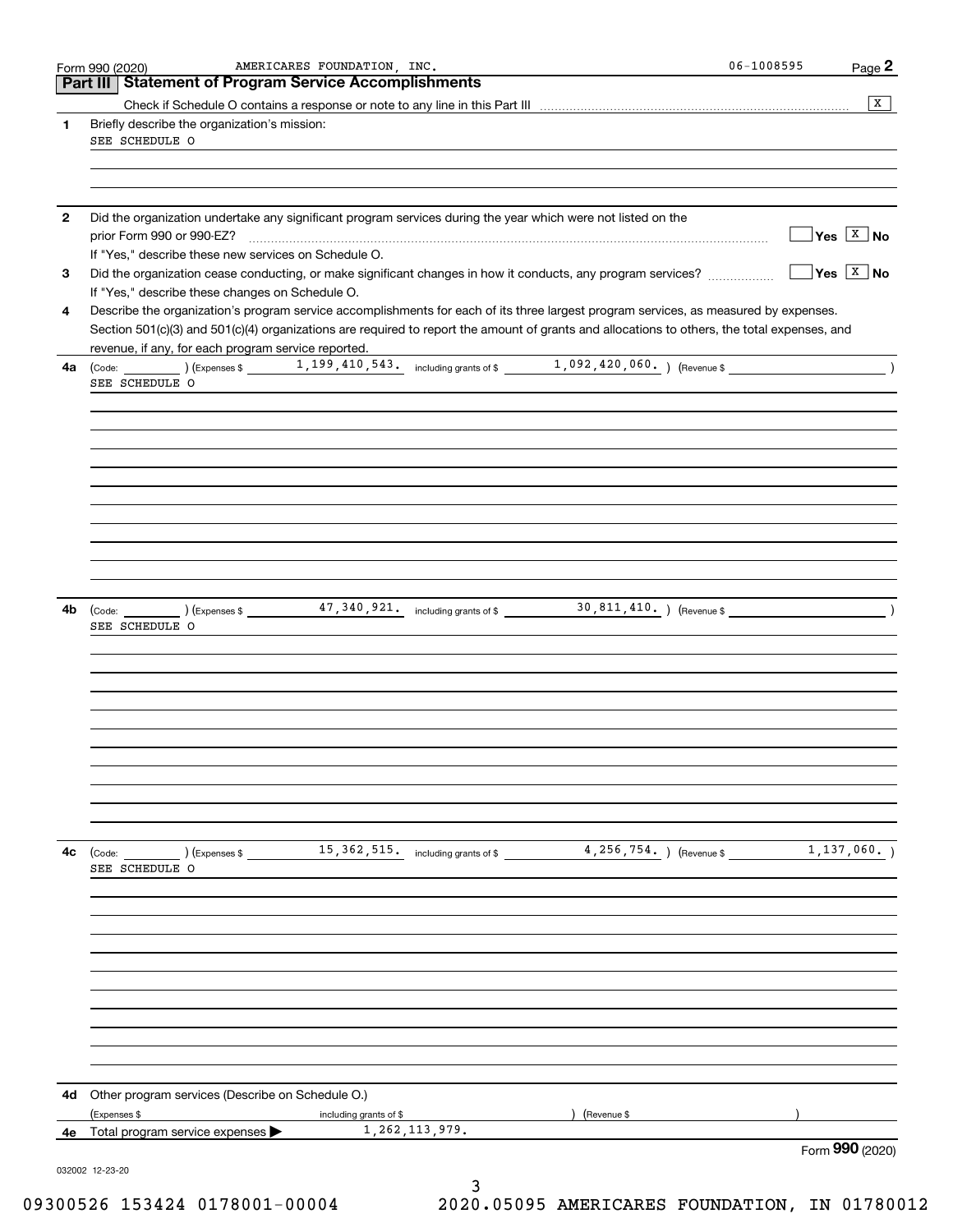|                | AMERICARES FOUNDATION, INC.<br>Form 990 (2020)<br>Part III   Statement of Program Service Accomplishments                                    | 06-1008595                   | Page 2 |
|----------------|----------------------------------------------------------------------------------------------------------------------------------------------|------------------------------|--------|
|                |                                                                                                                                              |                              | x      |
|                |                                                                                                                                              |                              |        |
| 1              | Briefly describe the organization's mission:<br>SEE SCHEDULE O                                                                               |                              |        |
|                |                                                                                                                                              |                              |        |
|                |                                                                                                                                              |                              |        |
|                |                                                                                                                                              |                              |        |
|                | Did the organization undertake any significant program services during the year which were not listed on the                                 |                              |        |
| $\mathbf{2}$   | prior Form 990 or 990-EZ?                                                                                                                    | $\sqrt{}$ Yes $\sqrt{X}$ No  |        |
|                | If "Yes," describe these new services on Schedule O.                                                                                         |                              |        |
| 3              | Did the organization cease conducting, or make significant changes in how it conducts, any program services?                                 | $\sqrt{Y}$ es $\boxed{X}$ No |        |
|                | If "Yes," describe these changes on Schedule O.                                                                                              |                              |        |
|                | Describe the organization's program service accomplishments for each of its three largest program services, as measured by expenses.         |                              |        |
| 4              | Section 501(c)(3) and 501(c)(4) organizations are required to report the amount of grants and allocations to others, the total expenses, and |                              |        |
|                | revenue, if any, for each program service reported.                                                                                          |                              |        |
| 4a             |                                                                                                                                              |                              |        |
|                | SEE SCHEDULE O                                                                                                                               |                              |        |
|                |                                                                                                                                              |                              |        |
|                |                                                                                                                                              |                              |        |
|                |                                                                                                                                              |                              |        |
|                |                                                                                                                                              |                              |        |
|                |                                                                                                                                              |                              |        |
|                |                                                                                                                                              |                              |        |
|                |                                                                                                                                              |                              |        |
|                |                                                                                                                                              |                              |        |
|                |                                                                                                                                              |                              |        |
|                |                                                                                                                                              |                              |        |
|                |                                                                                                                                              |                              |        |
|                |                                                                                                                                              |                              |        |
| 4b             | 47, 340, 921. including grants of \$<br>30,811,410. ) (Revenue \$<br>) (Expenses \$<br>$\left(\text{Code:}\n\right)$                         |                              |        |
|                | SEE SCHEDULE O                                                                                                                               |                              |        |
|                |                                                                                                                                              |                              |        |
|                |                                                                                                                                              |                              |        |
|                |                                                                                                                                              |                              |        |
|                |                                                                                                                                              |                              |        |
|                |                                                                                                                                              |                              |        |
|                |                                                                                                                                              |                              |        |
|                |                                                                                                                                              |                              |        |
|                |                                                                                                                                              |                              |        |
|                |                                                                                                                                              |                              |        |
|                |                                                                                                                                              |                              |        |
|                |                                                                                                                                              |                              |        |
|                |                                                                                                                                              |                              |        |
|                |                                                                                                                                              |                              |        |
|                | $\left(\text{Code:}\ \_\_\right)$                                                                                                            |                              |        |
|                | SEE SCHEDULE O                                                                                                                               |                              |        |
|                |                                                                                                                                              |                              |        |
|                |                                                                                                                                              |                              |        |
|                |                                                                                                                                              |                              |        |
|                |                                                                                                                                              |                              |        |
|                |                                                                                                                                              |                              |        |
|                |                                                                                                                                              |                              |        |
|                |                                                                                                                                              |                              |        |
|                |                                                                                                                                              |                              |        |
|                |                                                                                                                                              |                              |        |
|                |                                                                                                                                              |                              |        |
|                |                                                                                                                                              |                              |        |
|                |                                                                                                                                              |                              |        |
|                | Other program services (Describe on Schedule O.)                                                                                             |                              |        |
| 4c<br>4d<br>4e | (Expenses \$<br>including grants of \$<br>(Revenue \$<br>1, 262, 113, 979.<br>Total program service expenses                                 |                              |        |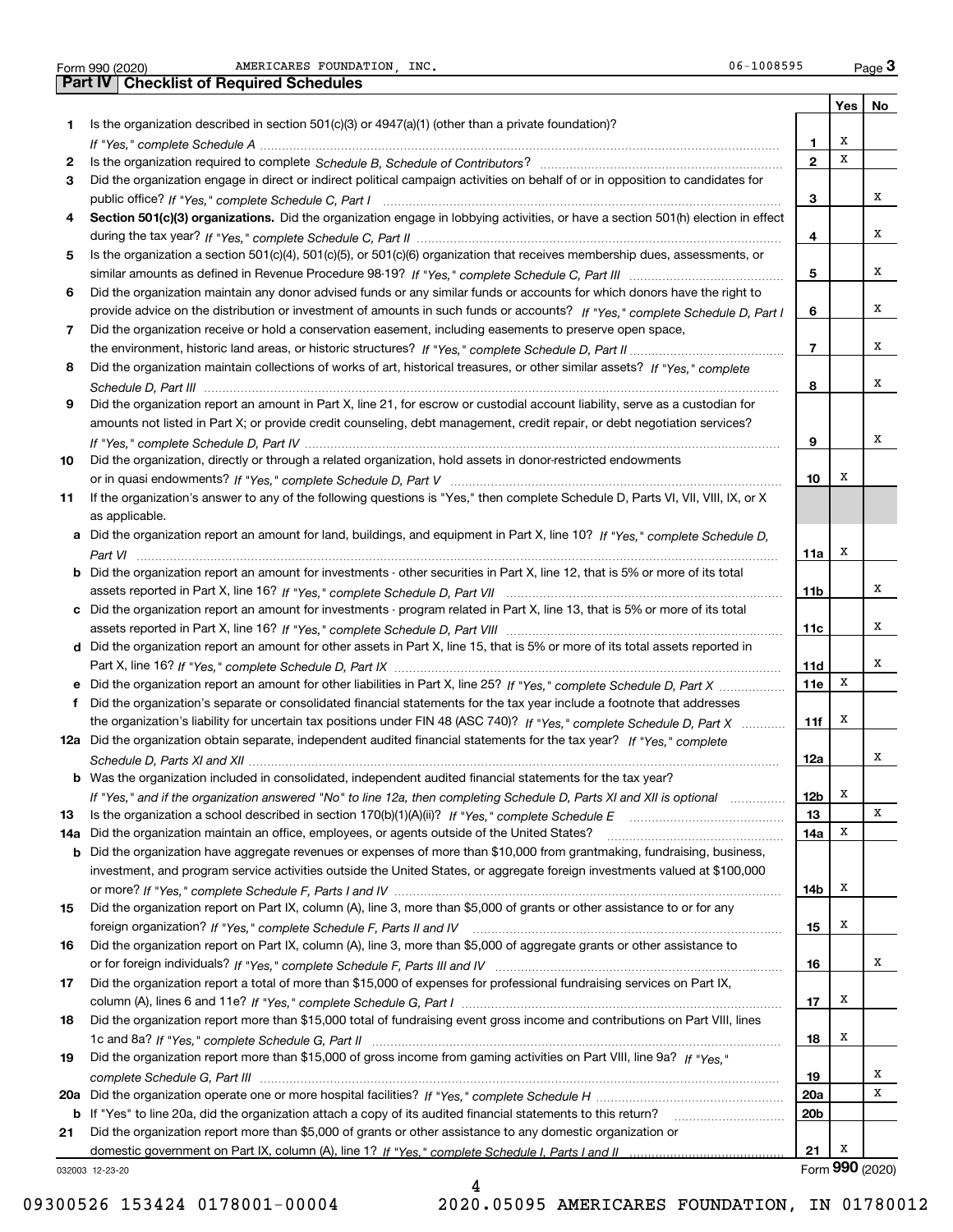Form 990 (2020)<br>**Part IV | Check** 

**10**

**11**

|                | 06-1008595<br>AMERICARES FOUNDATION, INC.<br>Form 990 (2020)                                                                          |                 |             | $Page$ 3 |
|----------------|---------------------------------------------------------------------------------------------------------------------------------------|-----------------|-------------|----------|
| <b>Part IV</b> | <b>Checklist of Required Schedules</b>                                                                                                |                 |             |          |
|                |                                                                                                                                       |                 | Yes         | No       |
| 1              | Is the organization described in section 501(c)(3) or $4947(a)(1)$ (other than a private foundation)?                                 |                 |             |          |
|                |                                                                                                                                       | $\mathbf{1}$    | X           |          |
| 2              |                                                                                                                                       | $\overline{2}$  | $\mathbf x$ |          |
| з              | Did the organization engage in direct or indirect political campaign activities on behalf of or in opposition to candidates for       |                 |             |          |
|                |                                                                                                                                       | 3               |             | х        |
| 4              | Section 501(c)(3) organizations. Did the organization engage in lobbying activities, or have a section 501(h) election in effect      |                 |             |          |
|                |                                                                                                                                       | 4               |             | х        |
| 5              | Is the organization a section 501(c)(4), 501(c)(5), or 501(c)(6) organization that receives membership dues, assessments, or          |                 |             |          |
|                |                                                                                                                                       | 5               |             | х        |
| 6              | Did the organization maintain any donor advised funds or any similar funds or accounts for which donors have the right to             |                 |             |          |
|                | provide advice on the distribution or investment of amounts in such funds or accounts? If "Yes," complete Schedule D, Part I          | 6               |             | х        |
| $\overline{7}$ | Did the organization receive or hold a conservation easement, including easements to preserve open space,                             |                 |             |          |
|                |                                                                                                                                       | $\overline{7}$  |             | х        |
| 8              | Did the organization maintain collections of works of art, historical treasures, or other similar assets? If "Yes," complete          |                 |             |          |
|                |                                                                                                                                       | 8               |             | Х        |
| 9              | Did the organization report an amount in Part X, line 21, for escrow or custodial account liability, serve as a custodian for         |                 |             |          |
|                | amounts not listed in Part X; or provide credit counseling, debt management, credit repair, or debt negotiation services?             |                 |             |          |
|                |                                                                                                                                       | 9               |             | х        |
| 10             | Did the organization, directly or through a related organization, hold assets in donor-restricted endowments                          |                 |             |          |
|                |                                                                                                                                       | 10              | х           |          |
| 11             | If the organization's answer to any of the following questions is "Yes," then complete Schedule D, Parts VI, VII, VIII, IX, or X      |                 |             |          |
|                | as applicable.                                                                                                                        |                 |             |          |
|                | a Did the organization report an amount for land, buildings, and equipment in Part X, line 10? If "Yes," complete Schedule D,         |                 |             |          |
|                |                                                                                                                                       | 11a             | х           |          |
|                | <b>b</b> Did the organization report an amount for investments - other securities in Part X, line 12, that is 5% or more of its total |                 |             |          |
|                |                                                                                                                                       | 11 <sub>b</sub> |             | х        |
|                | c Did the organization report an amount for investments - program related in Part X, line 13, that is 5% or more of its total         |                 |             |          |
|                |                                                                                                                                       | 11c             |             | х        |
|                | d Did the organization report an amount for other assets in Part X, line 15, that is 5% or more of its total assets reported in       |                 |             |          |
|                |                                                                                                                                       | 11d             |             | х        |
|                | e Did the organization report an amount for other liabilities in Part X, line 25? If "Yes," complete Schedule D, Part X               | 11e             | x           |          |
|                | f Did the organization's separate or consolidated financial statements for the tax year include a footnote that addresses             |                 |             |          |
|                | the organization's liability for uncertain tax positions under FIN 48 (ASC 740)? If "Yes," complete Schedule D, Part X                | 11f             | x           |          |
|                | 12a Did the organization obtain separate, independent audited financial statements for the tax year? If "Yes," complete               |                 |             |          |
|                |                                                                                                                                       | 12a             |             | х        |
|                | <b>b</b> Was the organization included in consolidated, independent audited financial statements for the tax year?                    |                 |             |          |
|                | If IN a local if the conceivation concerned IN all to line 40s, then conceletion Ocheglyte D. Doute VI and VII is subjected.          | 10 <sub>h</sub> | x           |          |

|     | <b>b</b> Was the organization included in consolidated, independent audited financial statements for the tax year?           |                 |
|-----|------------------------------------------------------------------------------------------------------------------------------|-----------------|
|     | If "Yes," and if the organization answered "No" to line 12a, then completing Schedule D, Parts XI and XII is optional        | 12 <sub>b</sub> |
| 13  | Is the organization a school described in section 170(b)(1)(A)(ii)? If "Yes," complete Schedule E                            | 13              |
| 14a | Did the organization maintain an office, employees, or agents outside of the United States?                                  | 14a             |
| b   | Did the organization have aggregate revenues or expenses of more than \$10,000 from grantmaking, fundraising, business,      |                 |
|     | investment, and program service activities outside the United States, or aggregate foreign investments valued at \$100,000   |                 |
|     |                                                                                                                              | 14b             |
| 15  | Did the organization report on Part IX, column (A), line 3, more than \$5,000 of grants or other assistance to or for any    |                 |
|     |                                                                                                                              | 15              |
| 16  | Did the organization report on Part IX, column (A), line 3, more than \$5,000 of aggregate grants or other assistance to     |                 |
|     |                                                                                                                              | 16              |
| 17  | Did the organization report a total of more than \$15,000 of expenses for professional fundraising services on Part IX,      |                 |
|     |                                                                                                                              | 17              |
| 18  | Did the organization report more than \$15,000 total of fundraising event gross income and contributions on Part VIII, lines |                 |
|     |                                                                                                                              | 18              |
| 19  | Did the organization report more than \$15,000 of gross income from gaming activities on Part VIII, line 9a? If "Yes."       |                 |
|     |                                                                                                                              | 19              |
| 20a |                                                                                                                              | 20a             |
|     | <b>b</b> If "Yes" to line 20a, did the organization attach a copy of its audited financial statements to this return?        | 20 <sub>b</sub> |
| 21  | Did the organization report more than \$5,000 of grants or other assistance to any domestic organization or                  |                 |
|     | domestic government on Part IX, column (A), line 1? If "Yes " complete Schedule L Parts Land II                              | 21              |

domestic government on Part IX, column (A), line 1? If "Yes," complete Schedule I, Parts I and II ……………………………………

 Form (2020) **990** X

X

X

X

X

X

X

X

X

X

4

032003 12-23-20

09300526 153424 0178001-00004 2020.05095 AMERICARES FOUNDATION, IN 01780012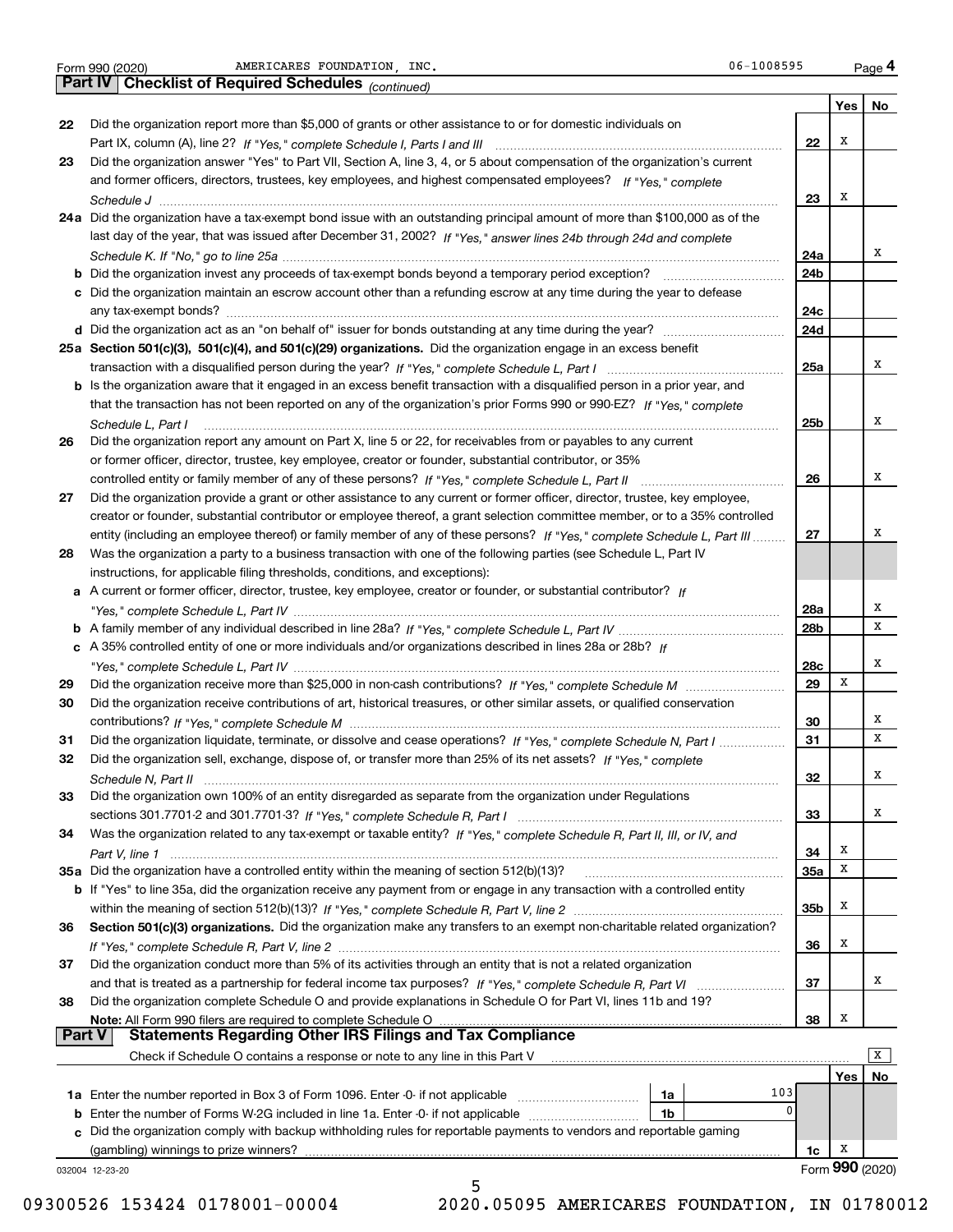*(continued)* **4Part IV Checklist of Required Schedules** Form 990 (2020) AMERICARES FOUNDATION,INC. 06-1008595 Page

032004 12-23-20 **Yes No 222324a**Did the organization have a tax-exempt bond issue with an outstanding principal amount of more than \$100,000 as of the **25aSection 501(c)(3), 501(c)(4), and 501(c)(29) organizations.**  Did the organization engage in an excess benefit **26272829303132333435a** Did the organization have a controlled entity within the meaning of section 512(b)(13)? **363738222324a24b24c24d25a25b262728a28b28c29303132333435a35b363738b** Did the organization invest any proceeds of tax-exempt bonds beyond a temporary period exception? \_\_\_\_\_\_\_\_\_\_\_\_\_\_\_\_\_ **c**Did the organization maintain an escrow account other than a refunding escrow at any time during the year to defease **d** Did the organization act as an "on behalf of" issuer for bonds outstanding at any time during the year? www.communically **b** Is the organization aware that it engaged in an excess benefit transaction with a disqualified person in a prior year, and **a** A current or former officer, director, trustee, key employee, creator or founder, or substantial contributor? If **b***If "Yes," complete Schedule L, Part IV* A family member of any individual described in line 28a? ~~~~~~~~~~~~~~~**c***If* A 35% controlled entity of one or more individuals and/or organizations described in lines 28a or 28b? **b** If "Yes" to line 35a, did the organization receive any payment from or engage in any transaction with a controlled entity **Section 501(c)(3) organizations.** Did the organization make any transfers to an exempt non-charitable related organization? **Note:**  All Form 990 filers are required to complete Schedule O **Yes No 1a** Enter the number reported in Box 3 of Form 1096. Enter -0- if not applicable  $\ldots$  $\ldots$  $\ldots$  $\ldots$  $\ldots$ **b** Enter the number of Forms W-2G included in line 1a. Enter -0- if not applicable  $\ldots$  $\ldots$  $\ldots$  $\ldots$  ${\bf c}$  Did the organization comply with backup withholding rules for reportable payments to vendors and reportable gaming **1a1b1c**Part IX, column (A), line 2? H "Yes," complete Schedule I, Parts I and III **www.www.www.www.www.www.www.ww** *If "Yes," complete* and former officers, directors, trustees, key employees, and highest compensated employees? *Schedule J* last day of the year, that was issued after December 31, 2002? If "Yes," answer lines 24b through 24d and complete *Schedule K. If "No," go to line 25a* ~~~~~~~~~~~~~~~~~~~~~~~~~~~~~~~~~~~~~~~~~~~~~ transaction with a disqualified person during the year? If "Yes," complete Schedule L, Part I multimated and the *If "Yes," complete* that the transaction has not been reported on any of the organization's prior Forms 990 or 990-EZ? *Schedule L, Part I* controlled entity or family member of any of these persons?  $H$  "Yes," complete Schedule L, Part II www.www.www.www. entity (including an employee thereof) or family member of any of these persons? If "Yes," c*omplete Schedule L, Part III* ......... *"Yes," complete Schedule L, Part IV* ~~~~~~~~~~~~~~~~~~~~~~~~~~~~~~~~~~~~~~~~~~~~*"Yes," complete Schedule L, Part IV* ~~~~~~~~~~~~~~~~~~~~~~~~~~~~~~~~~~~~~~~~~~~~ Did the organization receive more than \$25,000 in non-cash contributions? If "Yes," complete Schedule M ........................... *If "Yes," complete Schedule M* contributions? ~~~~~~~~~~~~~~~~~~~~~~~~~~~~~~~~~~~~~~~Did the organization liquidate, terminate, or dissolve and cease operations? If "Yes," c*omplete Schedule N, Part I If "Yes," complete* Did the organization sell, exchange, dispose of, or transfer more than 25% of its net assets? *Schedule N, Part II* ~~~~~~~~~~~~~~~~~~~~~~~~~~~~~~~~~~~~~~~~~~~~~~~~~~~~ *If "Yes," complete Schedule R, Part I* sections 301.7701-2 and 301.7701-3? ~~~~~~~~~~~~~~~~~~~~~~~~ Was the organization related to any tax-exempt or taxable entity? If "Yes," complete Schedule R, Part II, III, or IV, and *Part V, line 1* within the meaning of section 512(b)(13)? If "Yes," complete Schedule R, Part V, line 2 ……………………………………………… If "Yes," complete Schedule R, Part V, line 2 …………………………………………………………………………………………… and that is treated as a partnership for federal income tax purposes? *H* "Yes," complete Schedule R, Part VI ......................... Did the organization report more than \$5,000 of grants or other assistance to or for domestic individuals on Did the organization answer "Yes" to Part VII, Section A, line 3, 4, or 5 about compensation of the organization's current any tax-exempt bonds? ~~~~~~~~~~~~~~~~~~~~~~~~~~~~~~~~~~~~~~~~~~~~~~~~~~ Did the organization report any amount on Part X, line 5 or 22, for receivables from or payables to any current or former officer, director, trustee, key employee, creator or founder, substantial contributor, or 35% Did the organization provide a grant or other assistance to any current or former officer, director, trustee, key employee, creator or founder, substantial contributor or employee thereof, a grant selection committee member, or to a 35% controlled Was the organization a party to a business transaction with one of the following parties (see Schedule L, Part IV instructions, for applicable filing thresholds, conditions, and exceptions): Did the organization receive contributions of art, historical treasures, or other similar assets, or qualified conservation Did the organization own 100% of an entity disregarded as separate from the organization under Regulations Did the organization conduct more than 5% of its activities through an entity that is not a related organization Did the organization complete Schedule O and provide explanations in Schedule O for Part VI, lines 11b and 19? Check if Schedule O contains a response or note to any line in this Part V (gambling) winnings to prize winners? Form (2020) **990Part V** | Statements Regarding Other IRS Filings and Tax Compliance  $\boxed{\mathbf{X}}$ XXXXXXXXXXXX103 $\overline{0}$ XXXXXXXXXX5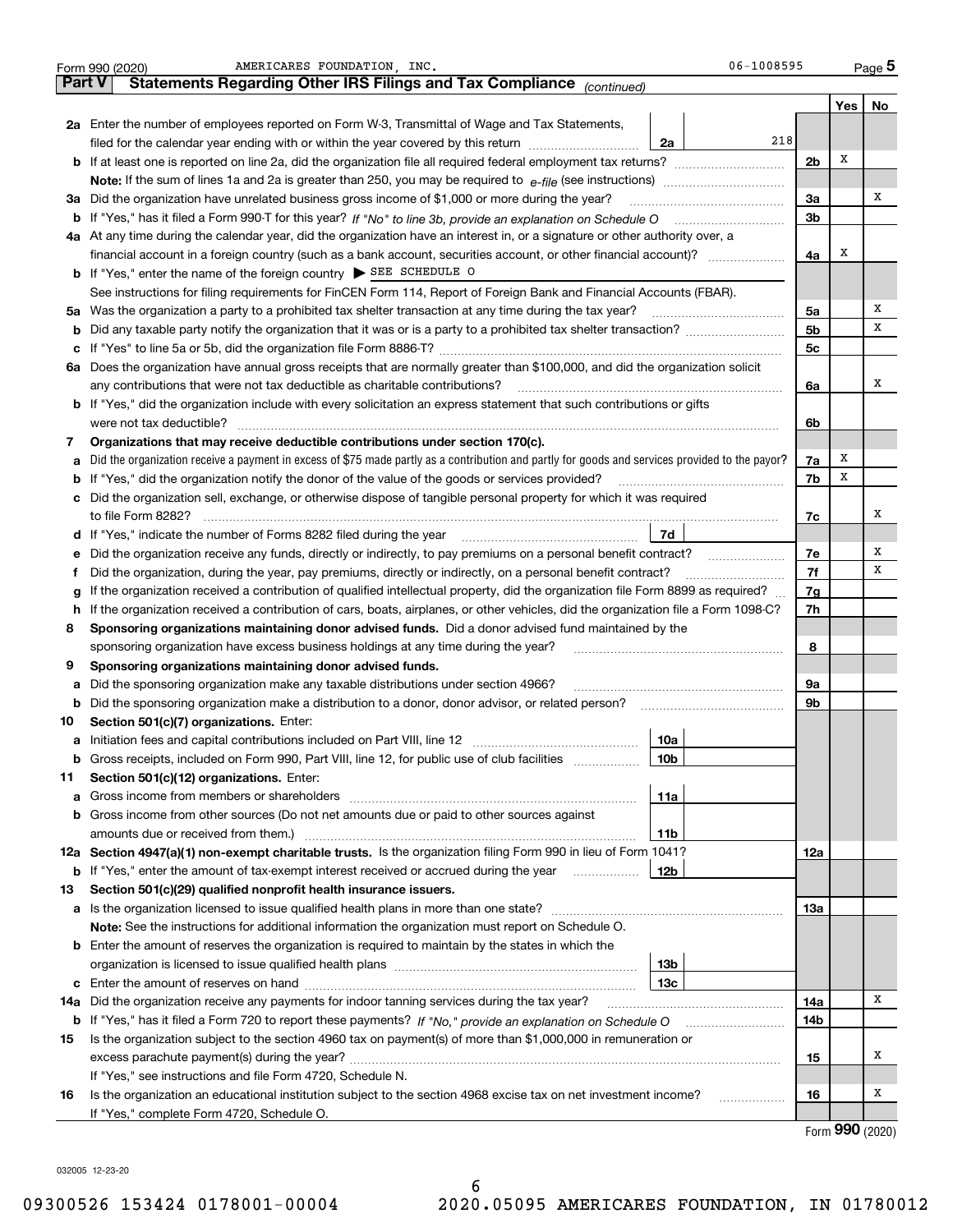|               | AMERICARES FOUNDATION, INC.<br>Form 990 (2020)                                                                                                  | 06-1008595      |                |     | Page 5  |  |  |  |  |
|---------------|-------------------------------------------------------------------------------------------------------------------------------------------------|-----------------|----------------|-----|---------|--|--|--|--|
| <b>Part V</b> | Statements Regarding Other IRS Filings and Tax Compliance (continued)                                                                           |                 |                |     |         |  |  |  |  |
|               |                                                                                                                                                 |                 |                | Yes | No      |  |  |  |  |
|               | 2a Enter the number of employees reported on Form W-3, Transmittal of Wage and Tax Statements,                                                  |                 |                |     |         |  |  |  |  |
|               | filed for the calendar year ending with or within the year covered by this return                                                               | 218<br>2a       |                |     |         |  |  |  |  |
|               |                                                                                                                                                 |                 | 2 <sub>b</sub> | х   |         |  |  |  |  |
|               |                                                                                                                                                 |                 |                |     |         |  |  |  |  |
|               | 3a Did the organization have unrelated business gross income of \$1,000 or more during the year?                                                |                 | 3a             |     | х       |  |  |  |  |
|               |                                                                                                                                                 |                 | 3b             |     |         |  |  |  |  |
|               | 4a At any time during the calendar year, did the organization have an interest in, or a signature or other authority over, a                    |                 |                |     |         |  |  |  |  |
|               | financial account in a foreign country (such as a bank account, securities account, or other financial account)?                                |                 | 4a             | х   |         |  |  |  |  |
|               | <b>b</b> If "Yes," enter the name of the foreign country $\triangleright$ SEE SCHEDULE O                                                        |                 |                |     |         |  |  |  |  |
|               | See instructions for filing requirements for FinCEN Form 114, Report of Foreign Bank and Financial Accounts (FBAR).                             |                 |                |     |         |  |  |  |  |
|               | 5a Was the organization a party to a prohibited tax shelter transaction at any time during the tax year?                                        |                 |                |     |         |  |  |  |  |
| b             |                                                                                                                                                 |                 | 5b             |     | х       |  |  |  |  |
| c             |                                                                                                                                                 |                 | 5с             |     |         |  |  |  |  |
|               | 6a Does the organization have annual gross receipts that are normally greater than \$100,000, and did the organization solicit                  |                 |                |     |         |  |  |  |  |
|               | any contributions that were not tax deductible as charitable contributions?                                                                     |                 | 6a             |     | х       |  |  |  |  |
|               | b If "Yes," did the organization include with every solicitation an express statement that such contributions or gifts                          |                 |                |     |         |  |  |  |  |
|               | were not tax deductible?                                                                                                                        |                 | 6b             |     |         |  |  |  |  |
| 7             | Organizations that may receive deductible contributions under section 170(c).                                                                   |                 |                |     |         |  |  |  |  |
| a             | Did the organization receive a payment in excess of \$75 made partly as a contribution and partly for goods and services provided to the payor? |                 | 7a             | X   |         |  |  |  |  |
|               | <b>b</b> If "Yes," did the organization notify the donor of the value of the goods or services provided?                                        |                 | 7b             | X   |         |  |  |  |  |
|               | c Did the organization sell, exchange, or otherwise dispose of tangible personal property for which it was required                             |                 |                |     |         |  |  |  |  |
|               | to file Form 8282?                                                                                                                              |                 | 7c             |     | х       |  |  |  |  |
|               |                                                                                                                                                 | 7d              |                |     |         |  |  |  |  |
| е             | Did the organization receive any funds, directly or indirectly, to pay premiums on a personal benefit contract?                                 |                 | 7e             |     | х       |  |  |  |  |
| f             | Did the organization, during the year, pay premiums, directly or indirectly, on a personal benefit contract?                                    |                 | 7f             |     | х       |  |  |  |  |
| g             | If the organization received a contribution of qualified intellectual property, did the organization file Form 8899 as required?                |                 | 7g             |     |         |  |  |  |  |
| h.            | If the organization received a contribution of cars, boats, airplanes, or other vehicles, did the organization file a Form 1098-C?              |                 |                |     |         |  |  |  |  |
| 8             | Sponsoring organizations maintaining donor advised funds. Did a donor advised fund maintained by the                                            |                 |                |     |         |  |  |  |  |
|               | sponsoring organization have excess business holdings at any time during the year?                                                              |                 | 8              |     |         |  |  |  |  |
| 9             | Sponsoring organizations maintaining donor advised funds.                                                                                       |                 |                |     |         |  |  |  |  |
| a             | Did the sponsoring organization make any taxable distributions under section 4966?                                                              |                 | 9a             |     |         |  |  |  |  |
| b             | Did the sponsoring organization make a distribution to a donor, donor advisor, or related person?                                               |                 | 9b             |     |         |  |  |  |  |
| 10            | Section 501(c)(7) organizations. Enter:                                                                                                         |                 |                |     |         |  |  |  |  |
| а             | Initiation fees and capital contributions included on Part VIII, line 12 [111] [11] [12] [11] [12] [11] [12] [                                  | 10a             |                |     |         |  |  |  |  |
|               | Gross receipts, included on Form 990, Part VIII, line 12, for public use of club facilities                                                     | 10 <sub>b</sub> |                |     |         |  |  |  |  |
| 11            | Section 501(c)(12) organizations. Enter:                                                                                                        |                 |                |     |         |  |  |  |  |
| a             | Gross income from members or shareholders                                                                                                       | 11a             |                |     |         |  |  |  |  |
| b             | Gross income from other sources (Do not net amounts due or paid to other sources against                                                        |                 |                |     |         |  |  |  |  |
|               | amounts due or received from them.)                                                                                                             | 11b             |                |     |         |  |  |  |  |
|               | 12a Section 4947(a)(1) non-exempt charitable trusts. Is the organization filing Form 990 in lieu of Form 1041?                                  |                 | 12a            |     |         |  |  |  |  |
|               | <b>b</b> If "Yes," enter the amount of tax-exempt interest received or accrued during the year                                                  | 12b             |                |     |         |  |  |  |  |
| 13            | Section 501(c)(29) qualified nonprofit health insurance issuers.                                                                                |                 |                |     |         |  |  |  |  |
| a             | Is the organization licensed to issue qualified health plans in more than one state?                                                            |                 | 13а            |     |         |  |  |  |  |
|               | Note: See the instructions for additional information the organization must report on Schedule O.                                               |                 |                |     |         |  |  |  |  |
|               | <b>b</b> Enter the amount of reserves the organization is required to maintain by the states in which the                                       |                 |                |     |         |  |  |  |  |
|               |                                                                                                                                                 | 13b             |                |     |         |  |  |  |  |
|               |                                                                                                                                                 | 13c             |                |     |         |  |  |  |  |
| 14a           | Did the organization receive any payments for indoor tanning services during the tax year?                                                      |                 | 14a            |     | x       |  |  |  |  |
|               | <b>b</b> If "Yes," has it filed a Form 720 to report these payments? If "No," provide an explanation on Schedule O                              |                 | 14b            |     |         |  |  |  |  |
| 15            | Is the organization subject to the section 4960 tax on payment(s) of more than \$1,000,000 in remuneration or                                   |                 |                |     |         |  |  |  |  |
|               |                                                                                                                                                 |                 | 15             |     | x       |  |  |  |  |
|               | If "Yes," see instructions and file Form 4720, Schedule N.                                                                                      |                 |                |     |         |  |  |  |  |
| 16            | Is the organization an educational institution subject to the section 4968 excise tax on net investment income?                                 |                 | 16             |     | х       |  |  |  |  |
|               | If "Yes," complete Form 4720, Schedule O.                                                                                                       |                 |                |     | റററ കാര |  |  |  |  |

Form (2020) **990**

032005 12-23-20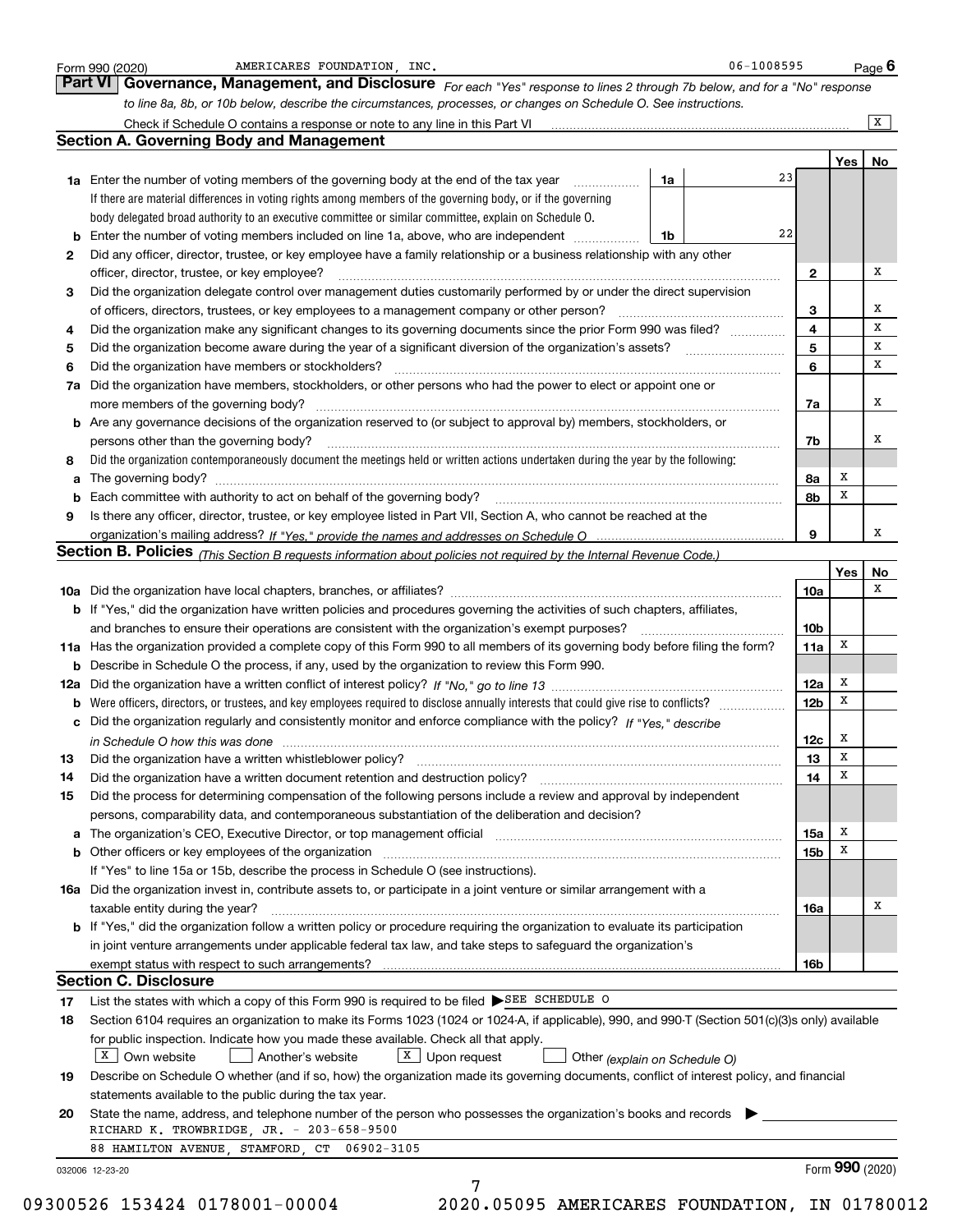|    | AMERICARES FOUNDATION, INC.<br>Form 990 (2020)                                                                                                                              |    | 06-1008595 |                        |     | Page $6$        |
|----|-----------------------------------------------------------------------------------------------------------------------------------------------------------------------------|----|------------|------------------------|-----|-----------------|
|    | Governance, Management, and Disclosure For each "Yes" response to lines 2 through 7b below, and for a "No" response<br><b>Part VI</b>                                       |    |            |                        |     |                 |
|    | to line 8a, 8b, or 10b below, describe the circumstances, processes, or changes on Schedule O. See instructions.                                                            |    |            |                        |     |                 |
|    |                                                                                                                                                                             |    |            |                        |     | X               |
|    | <b>Section A. Governing Body and Management</b>                                                                                                                             |    |            |                        |     |                 |
|    |                                                                                                                                                                             |    |            |                        | Yes | No              |
|    | <b>1a</b> Enter the number of voting members of the governing body at the end of the tax year                                                                               | 1a | 23         |                        |     |                 |
|    | If there are material differences in voting rights among members of the governing body, or if the governing                                                                 |    |            |                        |     |                 |
|    | body delegated broad authority to an executive committee or similar committee, explain on Schedule O.                                                                       |    |            |                        |     |                 |
| b  | Enter the number of voting members included on line 1a, above, who are independent                                                                                          | 1b | 22         |                        |     |                 |
| 2  | Did any officer, director, trustee, or key employee have a family relationship or a business relationship with any other                                                    |    |            |                        |     |                 |
|    | officer, director, trustee, or key employee?                                                                                                                                |    |            | $\mathbf{2}$           |     | x               |
| 3  | Did the organization delegate control over management duties customarily performed by or under the direct supervision                                                       |    |            |                        |     |                 |
|    | of officers, directors, trustees, or key employees to a management company or other person?                                                                                 |    |            | 3                      |     | x               |
| 4  | Did the organization make any significant changes to its governing documents since the prior Form 990 was filed?                                                            |    |            | 4                      |     | х               |
| 5  | Did the organization become aware during the year of a significant diversion of the organization's assets?                                                                  |    |            | 5                      |     | х               |
| 6  | Did the organization have members or stockholders?                                                                                                                          |    |            | 6                      |     | х               |
| 7a | Did the organization have members, stockholders, or other persons who had the power to elect or appoint one or                                                              |    |            |                        |     |                 |
|    | more members of the governing body?                                                                                                                                         |    |            | 7a                     |     | x               |
|    | <b>b</b> Are any governance decisions of the organization reserved to (or subject to approval by) members, stockholders, or                                                 |    |            |                        |     |                 |
|    | persons other than the governing body?                                                                                                                                      |    |            | 7b                     |     | x               |
| 8  | Did the organization contemporaneously document the meetings held or written actions undertaken during the year by the following:                                           |    |            |                        |     |                 |
|    |                                                                                                                                                                             |    |            | 8а                     | х   |                 |
| b  |                                                                                                                                                                             |    |            | 8b                     | х   |                 |
| 9  | Is there any officer, director, trustee, or key employee listed in Part VII, Section A, who cannot be reached at the                                                        |    |            |                        |     |                 |
|    |                                                                                                                                                                             |    |            | 9                      |     | x               |
|    | Section B. Policies (This Section B requests information about policies not required by the Internal Revenue Code.)                                                         |    |            |                        |     |                 |
|    |                                                                                                                                                                             |    |            |                        | Yes | No<br>X         |
|    |                                                                                                                                                                             |    |            | 10a                    |     |                 |
|    | <b>b</b> If "Yes," did the organization have written policies and procedures governing the activities of such chapters, affiliates,                                         |    |            |                        |     |                 |
|    | and branches to ensure their operations are consistent with the organization's exempt purposes?                                                                             |    |            | 10 <sub>b</sub>        | х   |                 |
|    | 11a Has the organization provided a complete copy of this Form 990 to all members of its governing body before filing the form?                                             |    |            | 11a                    |     |                 |
|    | <b>b</b> Describe in Schedule O the process, if any, used by the organization to review this Form 990.                                                                      |    |            |                        | х   |                 |
|    |                                                                                                                                                                             |    |            | 12a<br>12 <sub>b</sub> | х   |                 |
|    | c Did the organization regularly and consistently monitor and enforce compliance with the policy? If "Yes," describe                                                        |    |            |                        |     |                 |
|    |                                                                                                                                                                             |    |            | 12c                    | х   |                 |
| 13 | in Schedule O how this was done manufactured and contain an according to the state of the state of the state o<br>Did the organization have a written whistleblower policy? |    |            | 13                     | x   |                 |
| 14 | Did the organization have a written document retention and destruction policy? manufactured and the organization have a written document retention and destruction policy?  |    |            | 14                     | х   |                 |
| 15 | Did the process for determining compensation of the following persons include a review and approval by independent                                                          |    |            |                        |     |                 |
|    | persons, comparability data, and contemporaneous substantiation of the deliberation and decision?                                                                           |    |            |                        |     |                 |
| а  | The organization's CEO, Executive Director, or top management official manufactured content of the organization's CEO, Executive Director, or top management official       |    |            | 15a                    | х   |                 |
| b  | Other officers or key employees of the organization manufaction and the content of the content of the organization                                                          |    |            | 15b                    | х   |                 |
|    | If "Yes" to line 15a or 15b, describe the process in Schedule O (see instructions).                                                                                         |    |            |                        |     |                 |
|    | 16a Did the organization invest in, contribute assets to, or participate in a joint venture or similar arrangement with a                                                   |    |            |                        |     |                 |
|    | taxable entity during the year?                                                                                                                                             |    |            | 16a                    |     | х               |
|    | <b>b</b> If "Yes," did the organization follow a written policy or procedure requiring the organization to evaluate its participation                                       |    |            |                        |     |                 |
|    | in joint venture arrangements under applicable federal tax law, and take steps to safeguard the organization's                                                              |    |            |                        |     |                 |
|    |                                                                                                                                                                             |    |            | 16b                    |     |                 |
|    | <b>Section C. Disclosure</b>                                                                                                                                                |    |            |                        |     |                 |
| 17 | List the states with which a copy of this Form 990 is required to be filed SEE SCHEDULE O                                                                                   |    |            |                        |     |                 |
| 18 | Section 6104 requires an organization to make its Forms 1023 (1024 or 1024-A, if applicable), 990, and 990-T (Section 501(c)(3)s only) available                            |    |            |                        |     |                 |
|    | for public inspection. Indicate how you made these available. Check all that apply.                                                                                         |    |            |                        |     |                 |
|    | $X$ Own website<br>$X$ Upon request<br>Another's website<br>Other (explain on Schedule O)                                                                                   |    |            |                        |     |                 |
| 19 | Describe on Schedule O whether (and if so, how) the organization made its governing documents, conflict of interest policy, and financial                                   |    |            |                        |     |                 |
|    | statements available to the public during the tax year.                                                                                                                     |    |            |                        |     |                 |
| 20 | State the name, address, and telephone number of the person who possesses the organization's books and records                                                              |    |            |                        |     |                 |
|    | RICHARD K. TROWBRIDGE, JR. - 203-658-9500                                                                                                                                   |    |            |                        |     |                 |
|    | 88 HAMILTON AVENUE, STAMFORD, CT 06902-3105                                                                                                                                 |    |            |                        |     |                 |
|    | 032006 12-23-20                                                                                                                                                             |    |            |                        |     | Form 990 (2020) |
|    | 7<br>$0.00526$ 153/2/ $0.178001$ -0000/<br>2020 05095 AMERICARES FOUNDATION IN 01780                                                                                        |    |            |                        |     |                 |

| 09300526 153424 0178001-00004 |
|-------------------------------|
|-------------------------------|

<sup>2020.05095</sup> AMERICARES FOUNDATION, IN 01780012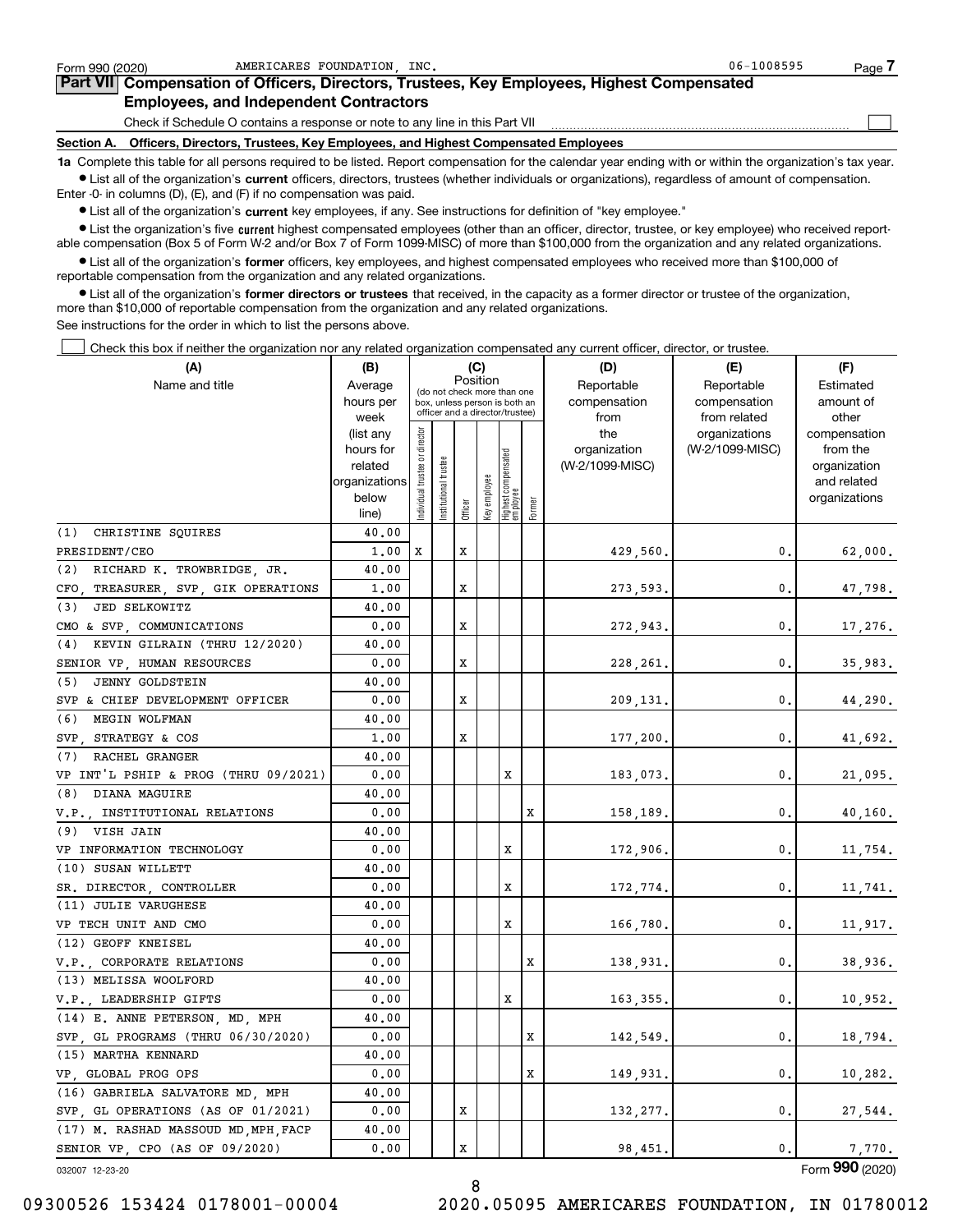| Form 990 (2020)                                                                               | AMERICARES FOUNDATION INC.                                                   | 06-1008595                                                                                                                                                 | Page |  |  |  |  |  |
|-----------------------------------------------------------------------------------------------|------------------------------------------------------------------------------|------------------------------------------------------------------------------------------------------------------------------------------------------------|------|--|--|--|--|--|
| Part VII Compensation of Officers, Directors, Trustees, Key Employees, Highest Compensated    |                                                                              |                                                                                                                                                            |      |  |  |  |  |  |
| <b>Employees, and Independent Contractors</b>                                                 |                                                                              |                                                                                                                                                            |      |  |  |  |  |  |
|                                                                                               | Check if Schedule O contains a response or note to any line in this Part VII |                                                                                                                                                            |      |  |  |  |  |  |
| Officers, Directors, Trustees, Key Employees, and Highest Compensated Employees<br>Section A. |                                                                              |                                                                                                                                                            |      |  |  |  |  |  |
|                                                                                               |                                                                              | 1a Complete this table for all persons required to be listed. Report compensation for the calendar year ending with or within the organization's tax year. |      |  |  |  |  |  |

**•** List all of the organization's current officers, directors, trustees (whether individuals or organizations), regardless of amount of compensation. Enter -0- in columns (D), (E), and (F) if no compensation was paid.

 $\bullet$  List all of the organization's  $\,$ current key employees, if any. See instructions for definition of "key employee."

**•** List the organization's five current highest compensated employees (other than an officer, director, trustee, or key employee) who received reportable compensation (Box 5 of Form W-2 and/or Box 7 of Form 1099-MISC) of more than \$100,000 from the organization and any related organizations.

**•** List all of the organization's former officers, key employees, and highest compensated employees who received more than \$100,000 of reportable compensation from the organization and any related organizations.

**former directors or trustees**  ¥ List all of the organization's that received, in the capacity as a former director or trustee of the organization, more than \$10,000 of reportable compensation from the organization and any related organizations.

See instructions for the order in which to list the persons above.

Check this box if neither the organization nor any related organization compensated any current officer, director, or trustee.  $\mathcal{L}^{\text{max}}$ 

| (A)                                  | (B)                             |                                         |                                                                  |             | (C)          |                                  |        | (D)                 | (E)                              | (F)                      |
|--------------------------------------|---------------------------------|-----------------------------------------|------------------------------------------------------------------|-------------|--------------|----------------------------------|--------|---------------------|----------------------------------|--------------------------|
| Name and title                       | Average                         | Position<br>(do not check more than one |                                                                  |             |              |                                  |        | Reportable          | Reportable                       | Estimated                |
|                                      | hours per                       |                                         | box, unless person is both an<br>officer and a director/trustee) |             |              |                                  |        | compensation        | compensation                     | amount of                |
|                                      | week                            |                                         |                                                                  |             |              |                                  |        | from                | from related                     | other                    |
|                                      | (list any<br>hours for          |                                         |                                                                  |             |              |                                  |        | the<br>organization | organizations<br>(W-2/1099-MISC) | compensation<br>from the |
|                                      | related                         |                                         |                                                                  |             |              |                                  |        | (W-2/1099-MISC)     |                                  | organization             |
|                                      | organizations                   |                                         | trustee                                                          |             |              |                                  |        |                     |                                  | and related              |
|                                      | below                           | Individual trustee or director          |                                                                  |             | Key employee |                                  |        |                     |                                  | organizations            |
|                                      | line)                           |                                         | Institutional t                                                  | Officer     |              | Highest compensated<br> employee | Former |                     |                                  |                          |
| CHRISTINE SQUIRES<br>(1)             | 40.00                           |                                         |                                                                  |             |              |                                  |        |                     |                                  |                          |
| PRESIDENT/CEO                        | 1,00                            | X                                       |                                                                  | X           |              |                                  |        | 429,560.            | 0.                               | 62,000.                  |
| (2) RICHARD K. TROWBRIDGE, JR.       | 40.00                           |                                         |                                                                  |             |              |                                  |        |                     |                                  |                          |
| CFO, TREASURER, SVP, GIK OPERATIONS  | 1,00                            |                                         |                                                                  | X           |              |                                  |        | 273,593.            | 0.                               | 47,798.                  |
| (3)<br>JED SELKOWITZ                 | 40.00                           |                                         |                                                                  |             |              |                                  |        |                     |                                  |                          |
| CMO & SVP COMMUNICATIONS             | 0.00                            |                                         |                                                                  | х           |              |                                  |        | 272,943.            | 0.                               | 17,276.                  |
| $(4)$ KEVIN GILRAIN (THRU 12/2020)   | 40.00                           |                                         |                                                                  |             |              |                                  |        |                     |                                  |                          |
| SENIOR VP HUMAN RESOURCES            | 0.00                            |                                         |                                                                  | X           |              |                                  |        | 228,261.            | 0.                               | 35,983.                  |
| <b>JENNY GOLDSTEIN</b><br>(5)        | 40.00                           |                                         |                                                                  |             |              |                                  |        |                     |                                  |                          |
| SVP & CHIEF DEVELOPMENT OFFICER      | 0.00                            |                                         |                                                                  | X           |              |                                  |        | 209,131.            | 0.                               | 44,290.                  |
| (6)<br>MEGIN WOLFMAN                 | 40.00                           |                                         |                                                                  |             |              |                                  |        |                     |                                  |                          |
| SVP STRATEGY & COS                   | 1,00                            |                                         |                                                                  | x           |              |                                  |        | 177,200.            | 0.                               | 41,692.                  |
| (7) RACHEL GRANGER                   | 40.00                           |                                         |                                                                  |             |              |                                  |        |                     |                                  |                          |
| VP INT'L PSHIP & PROG (THRU 09/2021) | 0.00                            |                                         |                                                                  |             |              | x                                |        | 183,073.            | 0.                               | 21,095.                  |
| (8) DIANA MAGUIRE                    | 40.00                           |                                         |                                                                  |             |              |                                  |        |                     |                                  |                          |
| V.P., INSTITUTIONAL RELATIONS        | 0.00                            |                                         |                                                                  |             |              |                                  | x      | 158,189.            | 0.                               | 40,160.                  |
| (9) VISH JAIN                        | 40.00                           |                                         |                                                                  |             |              |                                  |        |                     |                                  |                          |
| VP INFORMATION TECHNOLOGY            | ${\bf 0}$ , ${\bf 0}$ ${\bf 0}$ |                                         |                                                                  |             |              | x                                |        | 172,906.            | 0.                               | 11,754.                  |
| (10) SUSAN WILLETT                   | 40.00                           |                                         |                                                                  |             |              |                                  |        |                     |                                  |                          |
| SR. DIRECTOR, CONTROLLER             | 0.00                            |                                         |                                                                  |             |              | x                                |        | 172,774.            | 0.                               | 11,741.                  |
| (11) JULIE VARUGHESE                 | 40.00                           |                                         |                                                                  |             |              |                                  |        |                     |                                  |                          |
| VP TECH UNIT AND CMO                 | 0.00                            |                                         |                                                                  |             |              | X                                |        | 166,780.            | 0.                               | 11,917.                  |
| (12) GEOFF KNEISEL                   | 40.00                           |                                         |                                                                  |             |              |                                  |        |                     |                                  |                          |
| V.P., CORPORATE RELATIONS            | 0.00                            |                                         |                                                                  |             |              |                                  | x      | 138,931.            | 0.                               | 38,936.                  |
| (13) MELISSA WOOLFORD                | 40.00                           |                                         |                                                                  |             |              |                                  |        |                     |                                  |                          |
| V.P. LEADERSHIP GIFTS                | 0.00                            |                                         |                                                                  |             |              | x                                |        | 163,355.            | 0.                               | 10,952.                  |
| (14) E. ANNE PETERSON, MD, MPH       | 40.00                           |                                         |                                                                  |             |              |                                  |        |                     |                                  |                          |
| SVP, GL PROGRAMS (THRU 06/30/2020)   | 0.00                            |                                         |                                                                  |             |              |                                  | x      | 142,549.            | 0.                               | 18,794.                  |
| (15) MARTHA KENNARD                  | 40.00                           |                                         |                                                                  |             |              |                                  |        |                     |                                  |                          |
| VP, GLOBAL PROG OPS                  | 0.00                            |                                         |                                                                  |             |              |                                  | x      | 149,931.            | 0.                               | 10,282.                  |
| (16) GABRIELA SALVATORE MD, MPH      | 40.00                           |                                         |                                                                  |             |              |                                  |        |                     |                                  |                          |
| SVP, GL OPERATIONS (AS OF 01/2021)   | 0.00                            |                                         |                                                                  | x           |              |                                  |        | 132,277.            | 0.                               | 27,544.                  |
| (17) M. RASHAD MASSOUD MD, MPH, FACP | 40.00                           |                                         |                                                                  |             |              |                                  |        |                     |                                  |                          |
| SENIOR VP, CPO (AS OF 09/2020)       | 0.00                            |                                         |                                                                  | $\mathbf x$ |              |                                  |        | 98,451.             | 0.                               | 7,770.                   |
| 032007 12-23-20                      |                                 |                                         |                                                                  |             |              |                                  |        |                     |                                  | Form 990 (2020)          |

8

032007 12-23-20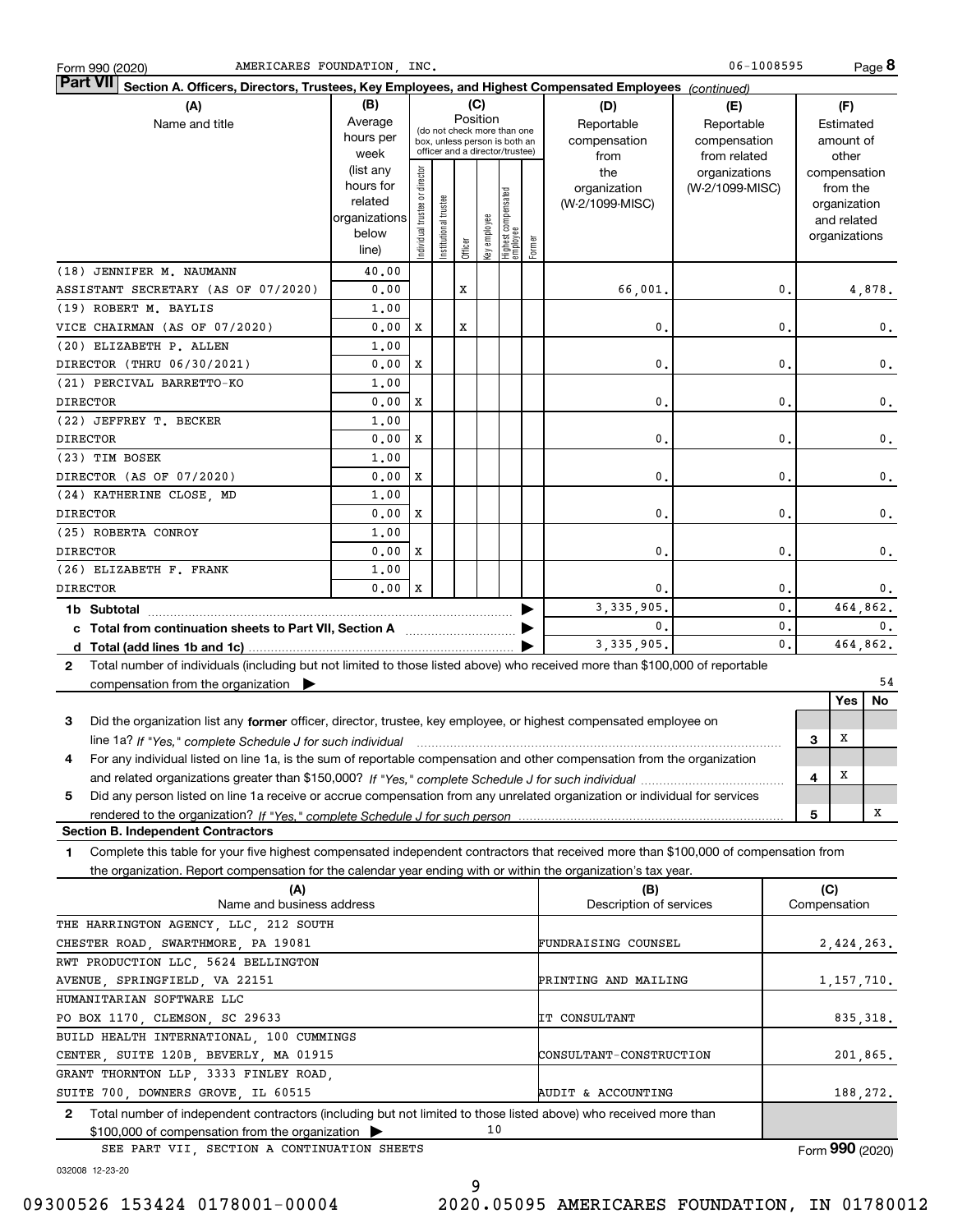**8** 06-1008595

| (B)<br>(C)<br>(A)<br>(D)<br>(F)<br>(E)<br>Position<br>Average<br>Name and title<br>Reportable<br>Reportable<br>Estimated<br>(do not check more than one<br>hours per<br>compensation<br>compensation<br>amount of<br>box, unless person is both an<br>officer and a director/trustee)<br>week<br>from related<br>other<br>from<br>(list any<br>ndividual trustee or director<br>the<br>organizations<br>compensation<br>hours for<br>(W-2/1099-MISC)<br>organization<br>from the<br>  Highest compensated<br>  employee<br>nstitutional trustee<br>related<br>(W-2/1099-MISC)<br>organization<br>organizations<br>Key employee<br>and related<br>below<br>organizations<br>Former<br>Officer<br>line)<br>(18) JENNIFER M. NAUMANN<br>40.00<br>66,001.<br>ASSISTANT SECRETARY (AS OF 07/2020)<br>0.00<br>x<br>$\mathbf{0}$ .<br>4,878.<br>(19) ROBERT M. BAYLIS<br>1,00<br>0.00<br>$\mathbf{0}$ .<br>0.<br>VICE CHAIRMAN (AS OF 07/2020)<br>X<br>X<br>0.<br>(20) ELIZABETH P. ALLEN<br>1,00<br>0.00<br>0.<br>0.<br>DIRECTOR (THRU 06/30/2021)<br>X<br>$\mathbf 0$ .<br>(21) PERCIVAL BARRETTO-KO<br>1,00<br>0.00<br>0.<br>0.<br><b>DIRECTOR</b><br>X<br>$\mathbf 0$ .<br>1,00<br>(22) JEFFREY T. BECKER<br>0.00<br>0.<br>0.<br><b>DIRECTOR</b><br>X<br>$\mathbf 0$ .<br>(23) TIM BOSEK<br>1.00<br>0.00<br>0.<br>0.<br>DIRECTOR (AS OF 07/2020)<br>X<br>$\mathbf 0$ .<br>1,00<br>(24) KATHERINE CLOSE, MD<br>0.00<br>0.<br>0.<br><b>DIRECTOR</b><br>X<br>$\mathbf 0$ .<br>(25) ROBERTA CONROY<br>1.00<br>0.00<br>0.<br>$\mathbf{0}$ .<br><b>DIRECTOR</b><br>X<br>0.<br>(26) ELIZABETH F. FRANK<br>1.00<br>0.00<br>X<br><b>DIRECTOR</b><br>0.<br>$\mathbf{0}$ .<br>0.<br>3, 335, 905<br>464,862.<br>0.<br>1b Subtotal<br>$\mathbf{0}$ .<br>0.<br>0.<br>c Total from continuation sheets to Part VII, Section A [11, 11] [11] Total from continuation sheets to Part VII, Section A<br>3, 335, 905.<br>0.<br>464,862.<br>Total number of individuals (including but not limited to those listed above) who received more than \$100,000 of reportable<br>2<br>54<br>compensation from the organization<br>Yes<br>No<br>Did the organization list any former officer, director, trustee, key employee, or highest compensated employee on<br>3<br>х<br>3<br>For any individual listed on line 1a, is the sum of reportable compensation and other compensation from the organization<br>4<br>X<br>4<br>Did any person listed on line 1a receive or accrue compensation from any unrelated organization or individual for services<br>5<br>х<br>5<br><b>Section B. Independent Contractors</b><br>Complete this table for your five highest compensated independent contractors that received more than \$100,000 of compensation from<br>1<br>the organization. Report compensation for the calendar year ending with or within the organization's tax year.<br>(C)<br>(A)<br>(B)<br>Name and business address<br>Description of services<br>Compensation<br>THE HARRINGTON AGENCY, LLC, 212 SOUTH<br>CHESTER ROAD, SWARTHMORE, PA 19081<br>FUNDRAISING COUNSEL<br>2,424,263.<br>RWT PRODUCTION LLC, 5624 BELLINGTON<br>AVENUE, SPRINGFIELD, VA 22151<br>PRINTING AND MAILING<br>1,157,710.<br>HUMANITARIAN SOFTWARE LLC<br>PO BOX 1170, CLEMSON, SC 29633<br>IT CONSULTANT<br>835,318.<br>BUILD HEALTH INTERNATIONAL, 100 CUMMINGS<br>CENTER, SUITE 120B, BEVERLY, MA 01915<br><b>CONSULTANT-CONSTRUCTION</b><br>201,865.<br>GRANT THORNTON LLP, 3333 FINLEY ROAD,<br>SUITE 700, DOWNERS GROVE, IL 60515<br>AUDIT & ACCOUNTING<br>188,272.<br>Total number of independent contractors (including but not limited to those listed above) who received more than<br>2 | <b>Part VII</b><br>Section A. Officers, Directors, Trustees, Key Employees, and Highest Compensated Employees (continued) |  |  |  |  |  |  |  |  |  |  |  |  |
|-----------------------------------------------------------------------------------------------------------------------------------------------------------------------------------------------------------------------------------------------------------------------------------------------------------------------------------------------------------------------------------------------------------------------------------------------------------------------------------------------------------------------------------------------------------------------------------------------------------------------------------------------------------------------------------------------------------------------------------------------------------------------------------------------------------------------------------------------------------------------------------------------------------------------------------------------------------------------------------------------------------------------------------------------------------------------------------------------------------------------------------------------------------------------------------------------------------------------------------------------------------------------------------------------------------------------------------------------------------------------------------------------------------------------------------------------------------------------------------------------------------------------------------------------------------------------------------------------------------------------------------------------------------------------------------------------------------------------------------------------------------------------------------------------------------------------------------------------------------------------------------------------------------------------------------------------------------------------------------------------------------------------------------------------------------------------------------------------------------------------------------------------------------------------------------------------------------------------------------------------------------------------------------------------------------------------------------------------------------------------------------------------------------------------------------------------------------------------------------------------------------------------------------------------------------------------------------------------------------------------------------------------------------------------------------------------------------------------------------------------------------------------------------------------------------------------------------------------------------------------------------------------------------------------------------------------------------------------------------------------------------------------------------------------------------------------------------------------------------------------------------------------------------------------------------------------------------------------------------------------------------------------------------------------------------------------------------------------------------------------------------------------------------------------------------------------------------------------------------------------------------------------------------------------------------------------------------------------------------------------------------------------------------------|---------------------------------------------------------------------------------------------------------------------------|--|--|--|--|--|--|--|--|--|--|--|--|
|                                                                                                                                                                                                                                                                                                                                                                                                                                                                                                                                                                                                                                                                                                                                                                                                                                                                                                                                                                                                                                                                                                                                                                                                                                                                                                                                                                                                                                                                                                                                                                                                                                                                                                                                                                                                                                                                                                                                                                                                                                                                                                                                                                                                                                                                                                                                                                                                                                                                                                                                                                                                                                                                                                                                                                                                                                                                                                                                                                                                                                                                                                                                                                                                                                                                                                                                                                                                                                                                                                                                                                                                                                                                 |                                                                                                                           |  |  |  |  |  |  |  |  |  |  |  |  |
|                                                                                                                                                                                                                                                                                                                                                                                                                                                                                                                                                                                                                                                                                                                                                                                                                                                                                                                                                                                                                                                                                                                                                                                                                                                                                                                                                                                                                                                                                                                                                                                                                                                                                                                                                                                                                                                                                                                                                                                                                                                                                                                                                                                                                                                                                                                                                                                                                                                                                                                                                                                                                                                                                                                                                                                                                                                                                                                                                                                                                                                                                                                                                                                                                                                                                                                                                                                                                                                                                                                                                                                                                                                                 |                                                                                                                           |  |  |  |  |  |  |  |  |  |  |  |  |
|                                                                                                                                                                                                                                                                                                                                                                                                                                                                                                                                                                                                                                                                                                                                                                                                                                                                                                                                                                                                                                                                                                                                                                                                                                                                                                                                                                                                                                                                                                                                                                                                                                                                                                                                                                                                                                                                                                                                                                                                                                                                                                                                                                                                                                                                                                                                                                                                                                                                                                                                                                                                                                                                                                                                                                                                                                                                                                                                                                                                                                                                                                                                                                                                                                                                                                                                                                                                                                                                                                                                                                                                                                                                 |                                                                                                                           |  |  |  |  |  |  |  |  |  |  |  |  |
|                                                                                                                                                                                                                                                                                                                                                                                                                                                                                                                                                                                                                                                                                                                                                                                                                                                                                                                                                                                                                                                                                                                                                                                                                                                                                                                                                                                                                                                                                                                                                                                                                                                                                                                                                                                                                                                                                                                                                                                                                                                                                                                                                                                                                                                                                                                                                                                                                                                                                                                                                                                                                                                                                                                                                                                                                                                                                                                                                                                                                                                                                                                                                                                                                                                                                                                                                                                                                                                                                                                                                                                                                                                                 |                                                                                                                           |  |  |  |  |  |  |  |  |  |  |  |  |
|                                                                                                                                                                                                                                                                                                                                                                                                                                                                                                                                                                                                                                                                                                                                                                                                                                                                                                                                                                                                                                                                                                                                                                                                                                                                                                                                                                                                                                                                                                                                                                                                                                                                                                                                                                                                                                                                                                                                                                                                                                                                                                                                                                                                                                                                                                                                                                                                                                                                                                                                                                                                                                                                                                                                                                                                                                                                                                                                                                                                                                                                                                                                                                                                                                                                                                                                                                                                                                                                                                                                                                                                                                                                 |                                                                                                                           |  |  |  |  |  |  |  |  |  |  |  |  |
|                                                                                                                                                                                                                                                                                                                                                                                                                                                                                                                                                                                                                                                                                                                                                                                                                                                                                                                                                                                                                                                                                                                                                                                                                                                                                                                                                                                                                                                                                                                                                                                                                                                                                                                                                                                                                                                                                                                                                                                                                                                                                                                                                                                                                                                                                                                                                                                                                                                                                                                                                                                                                                                                                                                                                                                                                                                                                                                                                                                                                                                                                                                                                                                                                                                                                                                                                                                                                                                                                                                                                                                                                                                                 |                                                                                                                           |  |  |  |  |  |  |  |  |  |  |  |  |
|                                                                                                                                                                                                                                                                                                                                                                                                                                                                                                                                                                                                                                                                                                                                                                                                                                                                                                                                                                                                                                                                                                                                                                                                                                                                                                                                                                                                                                                                                                                                                                                                                                                                                                                                                                                                                                                                                                                                                                                                                                                                                                                                                                                                                                                                                                                                                                                                                                                                                                                                                                                                                                                                                                                                                                                                                                                                                                                                                                                                                                                                                                                                                                                                                                                                                                                                                                                                                                                                                                                                                                                                                                                                 |                                                                                                                           |  |  |  |  |  |  |  |  |  |  |  |  |
|                                                                                                                                                                                                                                                                                                                                                                                                                                                                                                                                                                                                                                                                                                                                                                                                                                                                                                                                                                                                                                                                                                                                                                                                                                                                                                                                                                                                                                                                                                                                                                                                                                                                                                                                                                                                                                                                                                                                                                                                                                                                                                                                                                                                                                                                                                                                                                                                                                                                                                                                                                                                                                                                                                                                                                                                                                                                                                                                                                                                                                                                                                                                                                                                                                                                                                                                                                                                                                                                                                                                                                                                                                                                 |                                                                                                                           |  |  |  |  |  |  |  |  |  |  |  |  |
|                                                                                                                                                                                                                                                                                                                                                                                                                                                                                                                                                                                                                                                                                                                                                                                                                                                                                                                                                                                                                                                                                                                                                                                                                                                                                                                                                                                                                                                                                                                                                                                                                                                                                                                                                                                                                                                                                                                                                                                                                                                                                                                                                                                                                                                                                                                                                                                                                                                                                                                                                                                                                                                                                                                                                                                                                                                                                                                                                                                                                                                                                                                                                                                                                                                                                                                                                                                                                                                                                                                                                                                                                                                                 |                                                                                                                           |  |  |  |  |  |  |  |  |  |  |  |  |
|                                                                                                                                                                                                                                                                                                                                                                                                                                                                                                                                                                                                                                                                                                                                                                                                                                                                                                                                                                                                                                                                                                                                                                                                                                                                                                                                                                                                                                                                                                                                                                                                                                                                                                                                                                                                                                                                                                                                                                                                                                                                                                                                                                                                                                                                                                                                                                                                                                                                                                                                                                                                                                                                                                                                                                                                                                                                                                                                                                                                                                                                                                                                                                                                                                                                                                                                                                                                                                                                                                                                                                                                                                                                 |                                                                                                                           |  |  |  |  |  |  |  |  |  |  |  |  |
|                                                                                                                                                                                                                                                                                                                                                                                                                                                                                                                                                                                                                                                                                                                                                                                                                                                                                                                                                                                                                                                                                                                                                                                                                                                                                                                                                                                                                                                                                                                                                                                                                                                                                                                                                                                                                                                                                                                                                                                                                                                                                                                                                                                                                                                                                                                                                                                                                                                                                                                                                                                                                                                                                                                                                                                                                                                                                                                                                                                                                                                                                                                                                                                                                                                                                                                                                                                                                                                                                                                                                                                                                                                                 |                                                                                                                           |  |  |  |  |  |  |  |  |  |  |  |  |
|                                                                                                                                                                                                                                                                                                                                                                                                                                                                                                                                                                                                                                                                                                                                                                                                                                                                                                                                                                                                                                                                                                                                                                                                                                                                                                                                                                                                                                                                                                                                                                                                                                                                                                                                                                                                                                                                                                                                                                                                                                                                                                                                                                                                                                                                                                                                                                                                                                                                                                                                                                                                                                                                                                                                                                                                                                                                                                                                                                                                                                                                                                                                                                                                                                                                                                                                                                                                                                                                                                                                                                                                                                                                 |                                                                                                                           |  |  |  |  |  |  |  |  |  |  |  |  |
|                                                                                                                                                                                                                                                                                                                                                                                                                                                                                                                                                                                                                                                                                                                                                                                                                                                                                                                                                                                                                                                                                                                                                                                                                                                                                                                                                                                                                                                                                                                                                                                                                                                                                                                                                                                                                                                                                                                                                                                                                                                                                                                                                                                                                                                                                                                                                                                                                                                                                                                                                                                                                                                                                                                                                                                                                                                                                                                                                                                                                                                                                                                                                                                                                                                                                                                                                                                                                                                                                                                                                                                                                                                                 |                                                                                                                           |  |  |  |  |  |  |  |  |  |  |  |  |
|                                                                                                                                                                                                                                                                                                                                                                                                                                                                                                                                                                                                                                                                                                                                                                                                                                                                                                                                                                                                                                                                                                                                                                                                                                                                                                                                                                                                                                                                                                                                                                                                                                                                                                                                                                                                                                                                                                                                                                                                                                                                                                                                                                                                                                                                                                                                                                                                                                                                                                                                                                                                                                                                                                                                                                                                                                                                                                                                                                                                                                                                                                                                                                                                                                                                                                                                                                                                                                                                                                                                                                                                                                                                 |                                                                                                                           |  |  |  |  |  |  |  |  |  |  |  |  |
|                                                                                                                                                                                                                                                                                                                                                                                                                                                                                                                                                                                                                                                                                                                                                                                                                                                                                                                                                                                                                                                                                                                                                                                                                                                                                                                                                                                                                                                                                                                                                                                                                                                                                                                                                                                                                                                                                                                                                                                                                                                                                                                                                                                                                                                                                                                                                                                                                                                                                                                                                                                                                                                                                                                                                                                                                                                                                                                                                                                                                                                                                                                                                                                                                                                                                                                                                                                                                                                                                                                                                                                                                                                                 |                                                                                                                           |  |  |  |  |  |  |  |  |  |  |  |  |
|                                                                                                                                                                                                                                                                                                                                                                                                                                                                                                                                                                                                                                                                                                                                                                                                                                                                                                                                                                                                                                                                                                                                                                                                                                                                                                                                                                                                                                                                                                                                                                                                                                                                                                                                                                                                                                                                                                                                                                                                                                                                                                                                                                                                                                                                                                                                                                                                                                                                                                                                                                                                                                                                                                                                                                                                                                                                                                                                                                                                                                                                                                                                                                                                                                                                                                                                                                                                                                                                                                                                                                                                                                                                 |                                                                                                                           |  |  |  |  |  |  |  |  |  |  |  |  |
|                                                                                                                                                                                                                                                                                                                                                                                                                                                                                                                                                                                                                                                                                                                                                                                                                                                                                                                                                                                                                                                                                                                                                                                                                                                                                                                                                                                                                                                                                                                                                                                                                                                                                                                                                                                                                                                                                                                                                                                                                                                                                                                                                                                                                                                                                                                                                                                                                                                                                                                                                                                                                                                                                                                                                                                                                                                                                                                                                                                                                                                                                                                                                                                                                                                                                                                                                                                                                                                                                                                                                                                                                                                                 |                                                                                                                           |  |  |  |  |  |  |  |  |  |  |  |  |
|                                                                                                                                                                                                                                                                                                                                                                                                                                                                                                                                                                                                                                                                                                                                                                                                                                                                                                                                                                                                                                                                                                                                                                                                                                                                                                                                                                                                                                                                                                                                                                                                                                                                                                                                                                                                                                                                                                                                                                                                                                                                                                                                                                                                                                                                                                                                                                                                                                                                                                                                                                                                                                                                                                                                                                                                                                                                                                                                                                                                                                                                                                                                                                                                                                                                                                                                                                                                                                                                                                                                                                                                                                                                 |                                                                                                                           |  |  |  |  |  |  |  |  |  |  |  |  |
|                                                                                                                                                                                                                                                                                                                                                                                                                                                                                                                                                                                                                                                                                                                                                                                                                                                                                                                                                                                                                                                                                                                                                                                                                                                                                                                                                                                                                                                                                                                                                                                                                                                                                                                                                                                                                                                                                                                                                                                                                                                                                                                                                                                                                                                                                                                                                                                                                                                                                                                                                                                                                                                                                                                                                                                                                                                                                                                                                                                                                                                                                                                                                                                                                                                                                                                                                                                                                                                                                                                                                                                                                                                                 |                                                                                                                           |  |  |  |  |  |  |  |  |  |  |  |  |
|                                                                                                                                                                                                                                                                                                                                                                                                                                                                                                                                                                                                                                                                                                                                                                                                                                                                                                                                                                                                                                                                                                                                                                                                                                                                                                                                                                                                                                                                                                                                                                                                                                                                                                                                                                                                                                                                                                                                                                                                                                                                                                                                                                                                                                                                                                                                                                                                                                                                                                                                                                                                                                                                                                                                                                                                                                                                                                                                                                                                                                                                                                                                                                                                                                                                                                                                                                                                                                                                                                                                                                                                                                                                 |                                                                                                                           |  |  |  |  |  |  |  |  |  |  |  |  |
|                                                                                                                                                                                                                                                                                                                                                                                                                                                                                                                                                                                                                                                                                                                                                                                                                                                                                                                                                                                                                                                                                                                                                                                                                                                                                                                                                                                                                                                                                                                                                                                                                                                                                                                                                                                                                                                                                                                                                                                                                                                                                                                                                                                                                                                                                                                                                                                                                                                                                                                                                                                                                                                                                                                                                                                                                                                                                                                                                                                                                                                                                                                                                                                                                                                                                                                                                                                                                                                                                                                                                                                                                                                                 |                                                                                                                           |  |  |  |  |  |  |  |  |  |  |  |  |
|                                                                                                                                                                                                                                                                                                                                                                                                                                                                                                                                                                                                                                                                                                                                                                                                                                                                                                                                                                                                                                                                                                                                                                                                                                                                                                                                                                                                                                                                                                                                                                                                                                                                                                                                                                                                                                                                                                                                                                                                                                                                                                                                                                                                                                                                                                                                                                                                                                                                                                                                                                                                                                                                                                                                                                                                                                                                                                                                                                                                                                                                                                                                                                                                                                                                                                                                                                                                                                                                                                                                                                                                                                                                 |                                                                                                                           |  |  |  |  |  |  |  |  |  |  |  |  |
|                                                                                                                                                                                                                                                                                                                                                                                                                                                                                                                                                                                                                                                                                                                                                                                                                                                                                                                                                                                                                                                                                                                                                                                                                                                                                                                                                                                                                                                                                                                                                                                                                                                                                                                                                                                                                                                                                                                                                                                                                                                                                                                                                                                                                                                                                                                                                                                                                                                                                                                                                                                                                                                                                                                                                                                                                                                                                                                                                                                                                                                                                                                                                                                                                                                                                                                                                                                                                                                                                                                                                                                                                                                                 |                                                                                                                           |  |  |  |  |  |  |  |  |  |  |  |  |
|                                                                                                                                                                                                                                                                                                                                                                                                                                                                                                                                                                                                                                                                                                                                                                                                                                                                                                                                                                                                                                                                                                                                                                                                                                                                                                                                                                                                                                                                                                                                                                                                                                                                                                                                                                                                                                                                                                                                                                                                                                                                                                                                                                                                                                                                                                                                                                                                                                                                                                                                                                                                                                                                                                                                                                                                                                                                                                                                                                                                                                                                                                                                                                                                                                                                                                                                                                                                                                                                                                                                                                                                                                                                 |                                                                                                                           |  |  |  |  |  |  |  |  |  |  |  |  |
|                                                                                                                                                                                                                                                                                                                                                                                                                                                                                                                                                                                                                                                                                                                                                                                                                                                                                                                                                                                                                                                                                                                                                                                                                                                                                                                                                                                                                                                                                                                                                                                                                                                                                                                                                                                                                                                                                                                                                                                                                                                                                                                                                                                                                                                                                                                                                                                                                                                                                                                                                                                                                                                                                                                                                                                                                                                                                                                                                                                                                                                                                                                                                                                                                                                                                                                                                                                                                                                                                                                                                                                                                                                                 |                                                                                                                           |  |  |  |  |  |  |  |  |  |  |  |  |
|                                                                                                                                                                                                                                                                                                                                                                                                                                                                                                                                                                                                                                                                                                                                                                                                                                                                                                                                                                                                                                                                                                                                                                                                                                                                                                                                                                                                                                                                                                                                                                                                                                                                                                                                                                                                                                                                                                                                                                                                                                                                                                                                                                                                                                                                                                                                                                                                                                                                                                                                                                                                                                                                                                                                                                                                                                                                                                                                                                                                                                                                                                                                                                                                                                                                                                                                                                                                                                                                                                                                                                                                                                                                 |                                                                                                                           |  |  |  |  |  |  |  |  |  |  |  |  |
|                                                                                                                                                                                                                                                                                                                                                                                                                                                                                                                                                                                                                                                                                                                                                                                                                                                                                                                                                                                                                                                                                                                                                                                                                                                                                                                                                                                                                                                                                                                                                                                                                                                                                                                                                                                                                                                                                                                                                                                                                                                                                                                                                                                                                                                                                                                                                                                                                                                                                                                                                                                                                                                                                                                                                                                                                                                                                                                                                                                                                                                                                                                                                                                                                                                                                                                                                                                                                                                                                                                                                                                                                                                                 |                                                                                                                           |  |  |  |  |  |  |  |  |  |  |  |  |
|                                                                                                                                                                                                                                                                                                                                                                                                                                                                                                                                                                                                                                                                                                                                                                                                                                                                                                                                                                                                                                                                                                                                                                                                                                                                                                                                                                                                                                                                                                                                                                                                                                                                                                                                                                                                                                                                                                                                                                                                                                                                                                                                                                                                                                                                                                                                                                                                                                                                                                                                                                                                                                                                                                                                                                                                                                                                                                                                                                                                                                                                                                                                                                                                                                                                                                                                                                                                                                                                                                                                                                                                                                                                 |                                                                                                                           |  |  |  |  |  |  |  |  |  |  |  |  |
|                                                                                                                                                                                                                                                                                                                                                                                                                                                                                                                                                                                                                                                                                                                                                                                                                                                                                                                                                                                                                                                                                                                                                                                                                                                                                                                                                                                                                                                                                                                                                                                                                                                                                                                                                                                                                                                                                                                                                                                                                                                                                                                                                                                                                                                                                                                                                                                                                                                                                                                                                                                                                                                                                                                                                                                                                                                                                                                                                                                                                                                                                                                                                                                                                                                                                                                                                                                                                                                                                                                                                                                                                                                                 |                                                                                                                           |  |  |  |  |  |  |  |  |  |  |  |  |
|                                                                                                                                                                                                                                                                                                                                                                                                                                                                                                                                                                                                                                                                                                                                                                                                                                                                                                                                                                                                                                                                                                                                                                                                                                                                                                                                                                                                                                                                                                                                                                                                                                                                                                                                                                                                                                                                                                                                                                                                                                                                                                                                                                                                                                                                                                                                                                                                                                                                                                                                                                                                                                                                                                                                                                                                                                                                                                                                                                                                                                                                                                                                                                                                                                                                                                                                                                                                                                                                                                                                                                                                                                                                 |                                                                                                                           |  |  |  |  |  |  |  |  |  |  |  |  |
|                                                                                                                                                                                                                                                                                                                                                                                                                                                                                                                                                                                                                                                                                                                                                                                                                                                                                                                                                                                                                                                                                                                                                                                                                                                                                                                                                                                                                                                                                                                                                                                                                                                                                                                                                                                                                                                                                                                                                                                                                                                                                                                                                                                                                                                                                                                                                                                                                                                                                                                                                                                                                                                                                                                                                                                                                                                                                                                                                                                                                                                                                                                                                                                                                                                                                                                                                                                                                                                                                                                                                                                                                                                                 |                                                                                                                           |  |  |  |  |  |  |  |  |  |  |  |  |
|                                                                                                                                                                                                                                                                                                                                                                                                                                                                                                                                                                                                                                                                                                                                                                                                                                                                                                                                                                                                                                                                                                                                                                                                                                                                                                                                                                                                                                                                                                                                                                                                                                                                                                                                                                                                                                                                                                                                                                                                                                                                                                                                                                                                                                                                                                                                                                                                                                                                                                                                                                                                                                                                                                                                                                                                                                                                                                                                                                                                                                                                                                                                                                                                                                                                                                                                                                                                                                                                                                                                                                                                                                                                 |                                                                                                                           |  |  |  |  |  |  |  |  |  |  |  |  |
|                                                                                                                                                                                                                                                                                                                                                                                                                                                                                                                                                                                                                                                                                                                                                                                                                                                                                                                                                                                                                                                                                                                                                                                                                                                                                                                                                                                                                                                                                                                                                                                                                                                                                                                                                                                                                                                                                                                                                                                                                                                                                                                                                                                                                                                                                                                                                                                                                                                                                                                                                                                                                                                                                                                                                                                                                                                                                                                                                                                                                                                                                                                                                                                                                                                                                                                                                                                                                                                                                                                                                                                                                                                                 |                                                                                                                           |  |  |  |  |  |  |  |  |  |  |  |  |
|                                                                                                                                                                                                                                                                                                                                                                                                                                                                                                                                                                                                                                                                                                                                                                                                                                                                                                                                                                                                                                                                                                                                                                                                                                                                                                                                                                                                                                                                                                                                                                                                                                                                                                                                                                                                                                                                                                                                                                                                                                                                                                                                                                                                                                                                                                                                                                                                                                                                                                                                                                                                                                                                                                                                                                                                                                                                                                                                                                                                                                                                                                                                                                                                                                                                                                                                                                                                                                                                                                                                                                                                                                                                 |                                                                                                                           |  |  |  |  |  |  |  |  |  |  |  |  |
|                                                                                                                                                                                                                                                                                                                                                                                                                                                                                                                                                                                                                                                                                                                                                                                                                                                                                                                                                                                                                                                                                                                                                                                                                                                                                                                                                                                                                                                                                                                                                                                                                                                                                                                                                                                                                                                                                                                                                                                                                                                                                                                                                                                                                                                                                                                                                                                                                                                                                                                                                                                                                                                                                                                                                                                                                                                                                                                                                                                                                                                                                                                                                                                                                                                                                                                                                                                                                                                                                                                                                                                                                                                                 |                                                                                                                           |  |  |  |  |  |  |  |  |  |  |  |  |
|                                                                                                                                                                                                                                                                                                                                                                                                                                                                                                                                                                                                                                                                                                                                                                                                                                                                                                                                                                                                                                                                                                                                                                                                                                                                                                                                                                                                                                                                                                                                                                                                                                                                                                                                                                                                                                                                                                                                                                                                                                                                                                                                                                                                                                                                                                                                                                                                                                                                                                                                                                                                                                                                                                                                                                                                                                                                                                                                                                                                                                                                                                                                                                                                                                                                                                                                                                                                                                                                                                                                                                                                                                                                 |                                                                                                                           |  |  |  |  |  |  |  |  |  |  |  |  |
|                                                                                                                                                                                                                                                                                                                                                                                                                                                                                                                                                                                                                                                                                                                                                                                                                                                                                                                                                                                                                                                                                                                                                                                                                                                                                                                                                                                                                                                                                                                                                                                                                                                                                                                                                                                                                                                                                                                                                                                                                                                                                                                                                                                                                                                                                                                                                                                                                                                                                                                                                                                                                                                                                                                                                                                                                                                                                                                                                                                                                                                                                                                                                                                                                                                                                                                                                                                                                                                                                                                                                                                                                                                                 |                                                                                                                           |  |  |  |  |  |  |  |  |  |  |  |  |
|                                                                                                                                                                                                                                                                                                                                                                                                                                                                                                                                                                                                                                                                                                                                                                                                                                                                                                                                                                                                                                                                                                                                                                                                                                                                                                                                                                                                                                                                                                                                                                                                                                                                                                                                                                                                                                                                                                                                                                                                                                                                                                                                                                                                                                                                                                                                                                                                                                                                                                                                                                                                                                                                                                                                                                                                                                                                                                                                                                                                                                                                                                                                                                                                                                                                                                                                                                                                                                                                                                                                                                                                                                                                 |                                                                                                                           |  |  |  |  |  |  |  |  |  |  |  |  |
|                                                                                                                                                                                                                                                                                                                                                                                                                                                                                                                                                                                                                                                                                                                                                                                                                                                                                                                                                                                                                                                                                                                                                                                                                                                                                                                                                                                                                                                                                                                                                                                                                                                                                                                                                                                                                                                                                                                                                                                                                                                                                                                                                                                                                                                                                                                                                                                                                                                                                                                                                                                                                                                                                                                                                                                                                                                                                                                                                                                                                                                                                                                                                                                                                                                                                                                                                                                                                                                                                                                                                                                                                                                                 |                                                                                                                           |  |  |  |  |  |  |  |  |  |  |  |  |
|                                                                                                                                                                                                                                                                                                                                                                                                                                                                                                                                                                                                                                                                                                                                                                                                                                                                                                                                                                                                                                                                                                                                                                                                                                                                                                                                                                                                                                                                                                                                                                                                                                                                                                                                                                                                                                                                                                                                                                                                                                                                                                                                                                                                                                                                                                                                                                                                                                                                                                                                                                                                                                                                                                                                                                                                                                                                                                                                                                                                                                                                                                                                                                                                                                                                                                                                                                                                                                                                                                                                                                                                                                                                 |                                                                                                                           |  |  |  |  |  |  |  |  |  |  |  |  |
|                                                                                                                                                                                                                                                                                                                                                                                                                                                                                                                                                                                                                                                                                                                                                                                                                                                                                                                                                                                                                                                                                                                                                                                                                                                                                                                                                                                                                                                                                                                                                                                                                                                                                                                                                                                                                                                                                                                                                                                                                                                                                                                                                                                                                                                                                                                                                                                                                                                                                                                                                                                                                                                                                                                                                                                                                                                                                                                                                                                                                                                                                                                                                                                                                                                                                                                                                                                                                                                                                                                                                                                                                                                                 |                                                                                                                           |  |  |  |  |  |  |  |  |  |  |  |  |
|                                                                                                                                                                                                                                                                                                                                                                                                                                                                                                                                                                                                                                                                                                                                                                                                                                                                                                                                                                                                                                                                                                                                                                                                                                                                                                                                                                                                                                                                                                                                                                                                                                                                                                                                                                                                                                                                                                                                                                                                                                                                                                                                                                                                                                                                                                                                                                                                                                                                                                                                                                                                                                                                                                                                                                                                                                                                                                                                                                                                                                                                                                                                                                                                                                                                                                                                                                                                                                                                                                                                                                                                                                                                 |                                                                                                                           |  |  |  |  |  |  |  |  |  |  |  |  |
|                                                                                                                                                                                                                                                                                                                                                                                                                                                                                                                                                                                                                                                                                                                                                                                                                                                                                                                                                                                                                                                                                                                                                                                                                                                                                                                                                                                                                                                                                                                                                                                                                                                                                                                                                                                                                                                                                                                                                                                                                                                                                                                                                                                                                                                                                                                                                                                                                                                                                                                                                                                                                                                                                                                                                                                                                                                                                                                                                                                                                                                                                                                                                                                                                                                                                                                                                                                                                                                                                                                                                                                                                                                                 |                                                                                                                           |  |  |  |  |  |  |  |  |  |  |  |  |
|                                                                                                                                                                                                                                                                                                                                                                                                                                                                                                                                                                                                                                                                                                                                                                                                                                                                                                                                                                                                                                                                                                                                                                                                                                                                                                                                                                                                                                                                                                                                                                                                                                                                                                                                                                                                                                                                                                                                                                                                                                                                                                                                                                                                                                                                                                                                                                                                                                                                                                                                                                                                                                                                                                                                                                                                                                                                                                                                                                                                                                                                                                                                                                                                                                                                                                                                                                                                                                                                                                                                                                                                                                                                 |                                                                                                                           |  |  |  |  |  |  |  |  |  |  |  |  |
|                                                                                                                                                                                                                                                                                                                                                                                                                                                                                                                                                                                                                                                                                                                                                                                                                                                                                                                                                                                                                                                                                                                                                                                                                                                                                                                                                                                                                                                                                                                                                                                                                                                                                                                                                                                                                                                                                                                                                                                                                                                                                                                                                                                                                                                                                                                                                                                                                                                                                                                                                                                                                                                                                                                                                                                                                                                                                                                                                                                                                                                                                                                                                                                                                                                                                                                                                                                                                                                                                                                                                                                                                                                                 |                                                                                                                           |  |  |  |  |  |  |  |  |  |  |  |  |
|                                                                                                                                                                                                                                                                                                                                                                                                                                                                                                                                                                                                                                                                                                                                                                                                                                                                                                                                                                                                                                                                                                                                                                                                                                                                                                                                                                                                                                                                                                                                                                                                                                                                                                                                                                                                                                                                                                                                                                                                                                                                                                                                                                                                                                                                                                                                                                                                                                                                                                                                                                                                                                                                                                                                                                                                                                                                                                                                                                                                                                                                                                                                                                                                                                                                                                                                                                                                                                                                                                                                                                                                                                                                 |                                                                                                                           |  |  |  |  |  |  |  |  |  |  |  |  |
|                                                                                                                                                                                                                                                                                                                                                                                                                                                                                                                                                                                                                                                                                                                                                                                                                                                                                                                                                                                                                                                                                                                                                                                                                                                                                                                                                                                                                                                                                                                                                                                                                                                                                                                                                                                                                                                                                                                                                                                                                                                                                                                                                                                                                                                                                                                                                                                                                                                                                                                                                                                                                                                                                                                                                                                                                                                                                                                                                                                                                                                                                                                                                                                                                                                                                                                                                                                                                                                                                                                                                                                                                                                                 |                                                                                                                           |  |  |  |  |  |  |  |  |  |  |  |  |
|                                                                                                                                                                                                                                                                                                                                                                                                                                                                                                                                                                                                                                                                                                                                                                                                                                                                                                                                                                                                                                                                                                                                                                                                                                                                                                                                                                                                                                                                                                                                                                                                                                                                                                                                                                                                                                                                                                                                                                                                                                                                                                                                                                                                                                                                                                                                                                                                                                                                                                                                                                                                                                                                                                                                                                                                                                                                                                                                                                                                                                                                                                                                                                                                                                                                                                                                                                                                                                                                                                                                                                                                                                                                 |                                                                                                                           |  |  |  |  |  |  |  |  |  |  |  |  |
|                                                                                                                                                                                                                                                                                                                                                                                                                                                                                                                                                                                                                                                                                                                                                                                                                                                                                                                                                                                                                                                                                                                                                                                                                                                                                                                                                                                                                                                                                                                                                                                                                                                                                                                                                                                                                                                                                                                                                                                                                                                                                                                                                                                                                                                                                                                                                                                                                                                                                                                                                                                                                                                                                                                                                                                                                                                                                                                                                                                                                                                                                                                                                                                                                                                                                                                                                                                                                                                                                                                                                                                                                                                                 |                                                                                                                           |  |  |  |  |  |  |  |  |  |  |  |  |
|                                                                                                                                                                                                                                                                                                                                                                                                                                                                                                                                                                                                                                                                                                                                                                                                                                                                                                                                                                                                                                                                                                                                                                                                                                                                                                                                                                                                                                                                                                                                                                                                                                                                                                                                                                                                                                                                                                                                                                                                                                                                                                                                                                                                                                                                                                                                                                                                                                                                                                                                                                                                                                                                                                                                                                                                                                                                                                                                                                                                                                                                                                                                                                                                                                                                                                                                                                                                                                                                                                                                                                                                                                                                 |                                                                                                                           |  |  |  |  |  |  |  |  |  |  |  |  |
|                                                                                                                                                                                                                                                                                                                                                                                                                                                                                                                                                                                                                                                                                                                                                                                                                                                                                                                                                                                                                                                                                                                                                                                                                                                                                                                                                                                                                                                                                                                                                                                                                                                                                                                                                                                                                                                                                                                                                                                                                                                                                                                                                                                                                                                                                                                                                                                                                                                                                                                                                                                                                                                                                                                                                                                                                                                                                                                                                                                                                                                                                                                                                                                                                                                                                                                                                                                                                                                                                                                                                                                                                                                                 |                                                                                                                           |  |  |  |  |  |  |  |  |  |  |  |  |
|                                                                                                                                                                                                                                                                                                                                                                                                                                                                                                                                                                                                                                                                                                                                                                                                                                                                                                                                                                                                                                                                                                                                                                                                                                                                                                                                                                                                                                                                                                                                                                                                                                                                                                                                                                                                                                                                                                                                                                                                                                                                                                                                                                                                                                                                                                                                                                                                                                                                                                                                                                                                                                                                                                                                                                                                                                                                                                                                                                                                                                                                                                                                                                                                                                                                                                                                                                                                                                                                                                                                                                                                                                                                 |                                                                                                                           |  |  |  |  |  |  |  |  |  |  |  |  |
|                                                                                                                                                                                                                                                                                                                                                                                                                                                                                                                                                                                                                                                                                                                                                                                                                                                                                                                                                                                                                                                                                                                                                                                                                                                                                                                                                                                                                                                                                                                                                                                                                                                                                                                                                                                                                                                                                                                                                                                                                                                                                                                                                                                                                                                                                                                                                                                                                                                                                                                                                                                                                                                                                                                                                                                                                                                                                                                                                                                                                                                                                                                                                                                                                                                                                                                                                                                                                                                                                                                                                                                                                                                                 |                                                                                                                           |  |  |  |  |  |  |  |  |  |  |  |  |
| 10<br>\$100,000 of compensation from the organization                                                                                                                                                                                                                                                                                                                                                                                                                                                                                                                                                                                                                                                                                                                                                                                                                                                                                                                                                                                                                                                                                                                                                                                                                                                                                                                                                                                                                                                                                                                                                                                                                                                                                                                                                                                                                                                                                                                                                                                                                                                                                                                                                                                                                                                                                                                                                                                                                                                                                                                                                                                                                                                                                                                                                                                                                                                                                                                                                                                                                                                                                                                                                                                                                                                                                                                                                                                                                                                                                                                                                                                                           |                                                                                                                           |  |  |  |  |  |  |  |  |  |  |  |  |

SEE PART VII, SECTION A CONTINUATION SHEETS

032008 12-23-20

Form (2020) **990**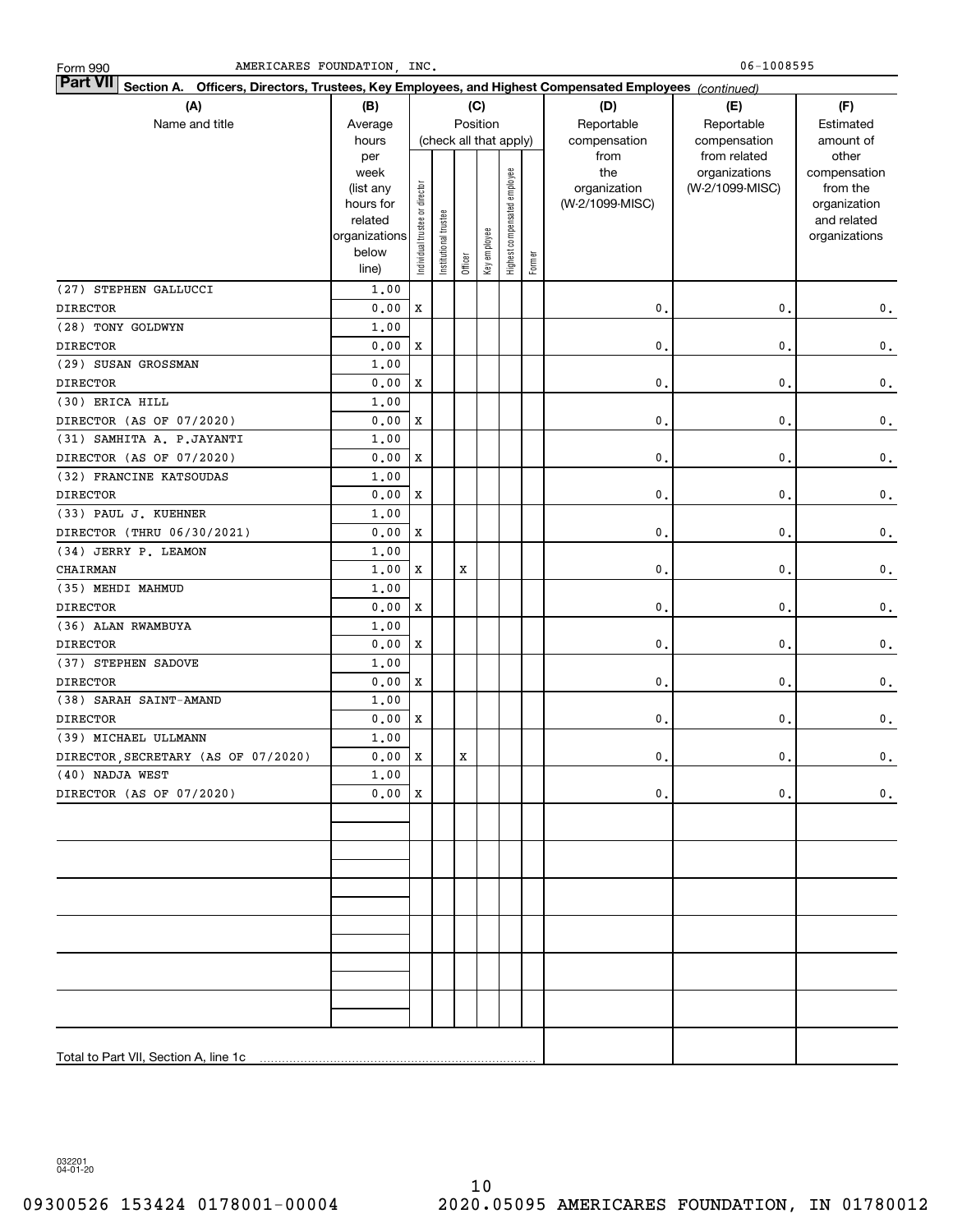| Form 990 |  |
|----------|--|
|          |  |

| Part VII Section A. Officers, Directors, Trustees, Key Employees, and Highest Compensated Employees (continued) |                        |                                |                        |         |              |                              |        |                                 |                 |                          |
|-----------------------------------------------------------------------------------------------------------------|------------------------|--------------------------------|------------------------|---------|--------------|------------------------------|--------|---------------------------------|-----------------|--------------------------|
| (A)                                                                                                             | (B)                    |                                |                        |         | (C)          |                              |        | (D)                             | (E)             | (F)                      |
| Name and title                                                                                                  | Average                |                                |                        |         | Position     |                              |        | Reportable                      | Reportable      | Estimated                |
|                                                                                                                 | hours                  |                                | (check all that apply) |         |              |                              |        | compensation                    | compensation    | amount of                |
|                                                                                                                 | per                    |                                |                        |         |              |                              |        | from                            | from related    | other                    |
|                                                                                                                 | week                   |                                |                        |         |              |                              |        | the                             | organizations   | compensation<br>from the |
|                                                                                                                 | (list any<br>hours for |                                |                        |         |              |                              |        | organization<br>(W-2/1099-MISC) | (W-2/1099-MISC) | organization             |
|                                                                                                                 | related                |                                |                        |         |              |                              |        |                                 |                 | and related              |
|                                                                                                                 | organizations          |                                |                        |         |              |                              |        |                                 |                 | organizations            |
|                                                                                                                 | below                  | Individual trustee or director | Institutional trustee  |         | Key employee | Highest compensated employee |        |                                 |                 |                          |
|                                                                                                                 | line)                  |                                |                        | Officer |              |                              | Former |                                 |                 |                          |
| (27) STEPHEN GALLUCCI                                                                                           | 1,00                   |                                |                        |         |              |                              |        |                                 |                 |                          |
| <b>DIRECTOR</b>                                                                                                 | 0.00                   | $\mathbf x$                    |                        |         |              |                              |        | $\mathbf 0$ .                   | $\mathfrak o$ . | $\mathbf 0$ .            |
| (28) TONY GOLDWYN                                                                                               | 1.00                   |                                |                        |         |              |                              |        |                                 |                 |                          |
| <b>DIRECTOR</b>                                                                                                 | 0.00                   | X                              |                        |         |              |                              |        | $\mathbf{0}$ .                  | $\mathfrak o$ . | $\mathbf 0$ .            |
| (29) SUSAN GROSSMAN                                                                                             | 1.00                   |                                |                        |         |              |                              |        |                                 |                 |                          |
| <b>DIRECTOR</b>                                                                                                 | 0.00                   | $\mathbf x$                    |                        |         |              |                              |        | $\mathbf{0}$ .                  | $\mathfrak o$ . | $\mathbf 0$ .            |
| (30) ERICA HILL                                                                                                 | 1,00                   |                                |                        |         |              |                              |        |                                 |                 |                          |
| DIRECTOR (AS OF 07/2020)                                                                                        | 0.00                   | $\mathbf x$                    |                        |         |              |                              |        | $\mathbf{0}$ .                  | $\mathfrak o$ . | $\mathbf 0$ .            |
| (31) SAMHITA A. P.JAYANTI                                                                                       | 1.00                   |                                |                        |         |              |                              |        |                                 |                 |                          |
| DIRECTOR (AS OF 07/2020)                                                                                        | 0.00                   | $\mathbf x$                    |                        |         |              |                              |        | $\mathbf{0}$ .                  | $\mathfrak o$ . | $\mathbf 0$ .            |
| (32) FRANCINE KATSOUDAS                                                                                         | 1.00                   |                                |                        |         |              |                              |        |                                 |                 |                          |
| <b>DIRECTOR</b>                                                                                                 | 0.00                   | X                              |                        |         |              |                              |        | $\mathbf{0}$ .                  | $\mathfrak o$ . | $\mathbf 0$ .            |
| (33) PAUL J. KUEHNER                                                                                            | 1.00                   |                                |                        |         |              |                              |        |                                 |                 |                          |
| DIRECTOR (THRU 06/30/2021)                                                                                      | 0.00                   | X                              |                        |         |              |                              |        | $\mathbf{0}$ .                  | $\mathfrak o$ . | $\mathbf 0$ .            |
| (34) JERRY P. LEAMON                                                                                            | 1.00                   |                                |                        |         |              |                              |        |                                 |                 |                          |
| CHAIRMAN                                                                                                        | 1.00                   | $\mathbf x$                    |                        | X       |              |                              |        | $\mathbf{0}$ .                  | $\mathfrak o$ . | $\mathbf 0$ .            |
| (35) MEHDI MAHMUD                                                                                               | 1.00                   |                                |                        |         |              |                              |        |                                 |                 |                          |
| <b>DIRECTOR</b>                                                                                                 | 0.00                   | X                              |                        |         |              |                              |        | $\mathbf{0}$ .                  | $\mathfrak o$ . | $\mathbf 0$ .            |
| (36) ALAN RWAMBUYA                                                                                              | 1.00                   |                                |                        |         |              |                              |        |                                 |                 |                          |
| <b>DIRECTOR</b>                                                                                                 | 0.00                   | X                              |                        |         |              |                              |        | $\mathbf{0}$ .                  | $\mathfrak o$ . | $\mathbf 0$ .            |
| (37) STEPHEN SADOVE                                                                                             | 1.00                   |                                |                        |         |              |                              |        |                                 |                 |                          |
| <b>DIRECTOR</b>                                                                                                 | 0.00                   | X                              |                        |         |              |                              |        | $\mathbf{0}$ .                  | $\mathfrak o$ . | $\mathbf 0$ .            |
| (38) SARAH SAINT-AMAND                                                                                          | 1.00                   |                                |                        |         |              |                              |        |                                 |                 |                          |
| <b>DIRECTOR</b>                                                                                                 | 0.00                   | X                              |                        |         |              |                              |        | 0.                              | $\mathfrak o$ . | $\mathbf 0$ .            |
| (39) MICHAEL ULLMANN                                                                                            | 1.00                   |                                |                        |         |              |                              |        |                                 |                 |                          |
| DIRECTOR, SECRETARY (AS OF 07/2020)                                                                             | 0.00                   | $\mathbf X$                    |                        | X       |              |                              |        | 0.                              | $\mathfrak o$ . | $\mathbf 0$ .            |
| (40) NADJA WEST                                                                                                 | 1,00                   |                                |                        |         |              |                              |        |                                 |                 |                          |
| DIRECTOR (AS OF 07/2020)                                                                                        | 0.00X                  |                                |                        |         |              |                              |        | 0.                              | $\mathfrak o$ . | $\mathbf 0$ .            |
|                                                                                                                 |                        |                                |                        |         |              |                              |        |                                 |                 |                          |
|                                                                                                                 |                        |                                |                        |         |              |                              |        |                                 |                 |                          |
|                                                                                                                 |                        |                                |                        |         |              |                              |        |                                 |                 |                          |
|                                                                                                                 |                        |                                |                        |         |              |                              |        |                                 |                 |                          |
|                                                                                                                 |                        |                                |                        |         |              |                              |        |                                 |                 |                          |
|                                                                                                                 |                        |                                |                        |         |              |                              |        |                                 |                 |                          |
|                                                                                                                 |                        |                                |                        |         |              |                              |        |                                 |                 |                          |
|                                                                                                                 |                        |                                |                        |         |              |                              |        |                                 |                 |                          |
|                                                                                                                 |                        |                                |                        |         |              |                              |        |                                 |                 |                          |
|                                                                                                                 |                        |                                |                        |         |              |                              |        |                                 |                 |                          |
|                                                                                                                 |                        |                                |                        |         |              |                              |        |                                 |                 |                          |
| Total to Part VII, Section A, line 1c                                                                           |                        |                                |                        |         |              |                              |        |                                 |                 |                          |

032201 04-01-20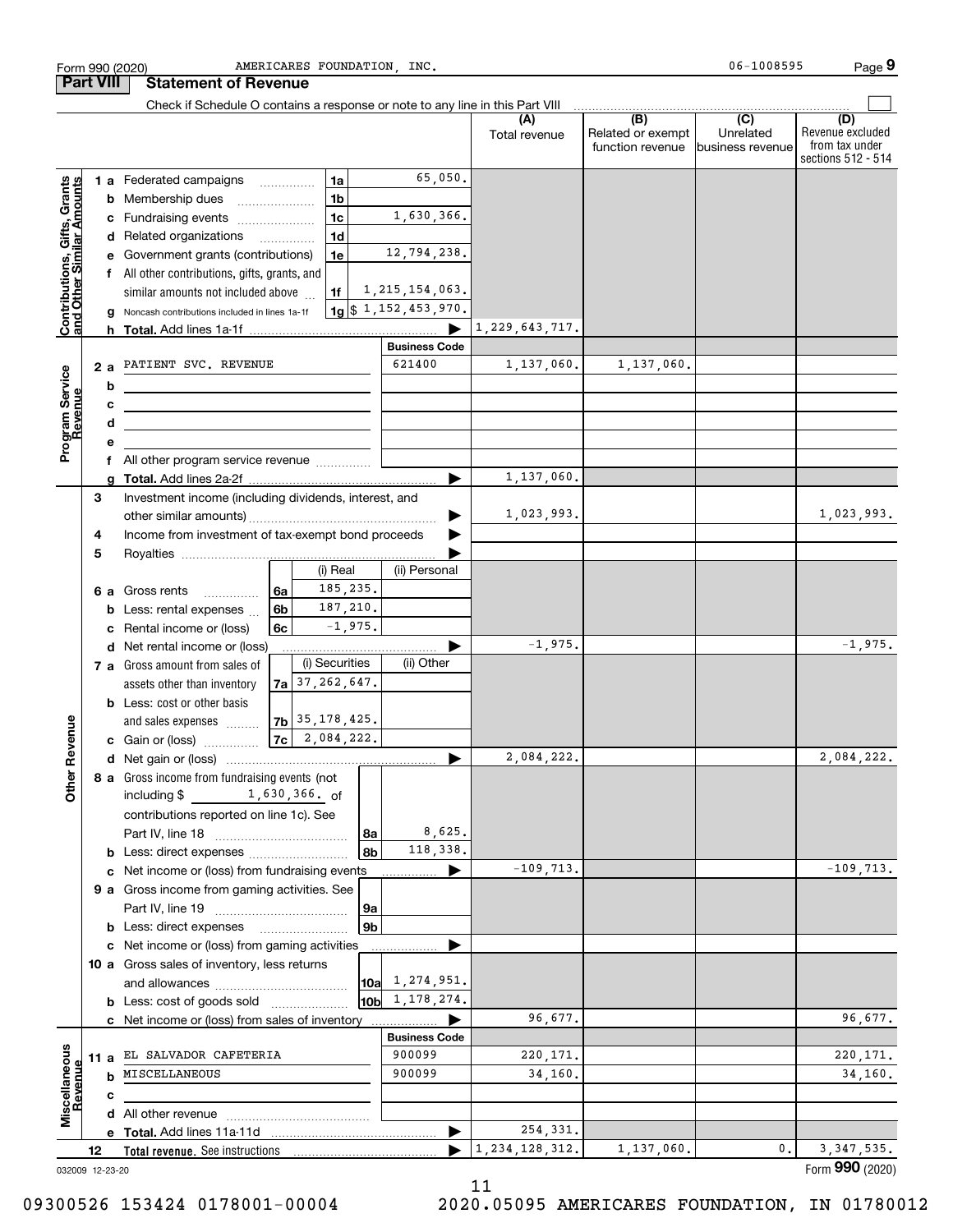|                                                           | <b>Part VIII</b> | <b>Statement of Revenue</b>                                                                                           |                      |                |                           |                        |                                              |                                                   |                                                                 |
|-----------------------------------------------------------|------------------|-----------------------------------------------------------------------------------------------------------------------|----------------------|----------------|---------------------------|------------------------|----------------------------------------------|---------------------------------------------------|-----------------------------------------------------------------|
|                                                           |                  | Check if Schedule O contains a response or note to any line in this Part VIII                                         |                      |                |                           |                        |                                              |                                                   |                                                                 |
|                                                           |                  |                                                                                                                       |                      |                |                           | (A)<br>Total revenue   | (B)<br>Related or exempt<br>function revenue | $\overline{(C)}$<br>Unrelated<br>business revenue | (D)<br>Revenue excluded<br>from tax under<br>sections 512 - 514 |
|                                                           |                  | 1 a Federated campaigns                                                                                               |                      | 1a             | 65,050.                   |                        |                                              |                                                   |                                                                 |
|                                                           |                  | <b>b</b> Membership dues                                                                                              |                      | 1 <sub>b</sub> |                           |                        |                                              |                                                   |                                                                 |
|                                                           |                  | c Fundraising events                                                                                                  |                      | 1 <sub>c</sub> | 1,630,366.                |                        |                                              |                                                   |                                                                 |
|                                                           |                  | d Related organizations                                                                                               |                      | 1 <sub>d</sub> |                           |                        |                                              |                                                   |                                                                 |
|                                                           | е                | Government grants (contributions)                                                                                     |                      | 1e             | 12,794,238.               |                        |                                              |                                                   |                                                                 |
|                                                           |                  | f All other contributions, gifts, grants, and                                                                         |                      |                |                           |                        |                                              |                                                   |                                                                 |
|                                                           |                  | similar amounts not included above                                                                                    |                      | 1f             | 1,215,154,063.            |                        |                                              |                                                   |                                                                 |
| Contributions, Gifts, Grants<br>and Other Similar Amounts |                  | Noncash contributions included in lines 1a-1f                                                                         |                      |                | $1g$ \$ 1, 152, 453, 970. |                        |                                              |                                                   |                                                                 |
|                                                           |                  |                                                                                                                       |                      |                |                           | $\vert$ 1,229,643,717. |                                              |                                                   |                                                                 |
|                                                           |                  |                                                                                                                       |                      |                | <b>Business Code</b>      |                        |                                              |                                                   |                                                                 |
|                                                           |                  | 2 a PATIENT SVC. REVENUE                                                                                              |                      |                | 621400                    | 1,137,060.             | 1,137,060.                                   |                                                   |                                                                 |
|                                                           | b                | <u> 1989 - Johann Barn, mars eta bainar eta idazlea (</u>                                                             |                      |                |                           |                        |                                              |                                                   |                                                                 |
| evenue                                                    | c                | <u> 1989 - Johann Stoff, Amerikaansk politiker (</u>                                                                  |                      |                |                           |                        |                                              |                                                   |                                                                 |
|                                                           | d<br>е           | <u> 1989 - Johann Barbara, martin amerikan basar dan berasal dalam basar dalam basar dalam basar dalam basar dala</u> |                      |                |                           |                        |                                              |                                                   |                                                                 |
| Program Service<br>Revenue                                |                  | f All other program service revenue                                                                                   |                      |                |                           |                        |                                              |                                                   |                                                                 |
|                                                           |                  |                                                                                                                       |                      |                |                           | 1,137,060.             |                                              |                                                   |                                                                 |
|                                                           | 3                | Investment income (including dividends, interest, and                                                                 |                      |                |                           |                        |                                              |                                                   |                                                                 |
|                                                           |                  |                                                                                                                       |                      |                |                           | 1,023,993.             |                                              |                                                   | 1,023,993.                                                      |
|                                                           | 4                | Income from investment of tax-exempt bond proceeds                                                                    |                      |                |                           |                        |                                              |                                                   |                                                                 |
|                                                           | 5                |                                                                                                                       |                      |                |                           |                        |                                              |                                                   |                                                                 |
|                                                           |                  |                                                                                                                       |                      | (i) Real       | (ii) Personal             |                        |                                              |                                                   |                                                                 |
|                                                           |                  | 6 a Gross rents<br>.                                                                                                  | 6a                   | 185,235.       |                           |                        |                                              |                                                   |                                                                 |
|                                                           |                  | <b>b</b> Less: rental expenses                                                                                        | 6 <sub>b</sub>       | 187,210.       |                           |                        |                                              |                                                   |                                                                 |
|                                                           | c                | Rental income or (loss)                                                                                               | 6c                   | $-1,975.$      |                           |                        |                                              |                                                   |                                                                 |
|                                                           |                  | d Net rental income or (loss)                                                                                         |                      |                |                           | $-1,975.$              |                                              |                                                   | $-1,975.$                                                       |
|                                                           |                  | 7 a Gross amount from sales of                                                                                        |                      | (i) Securities | (ii) Other                |                        |                                              |                                                   |                                                                 |
|                                                           |                  | assets other than inventory                                                                                           | $7a$ 37, 262, 647.   |                |                           |                        |                                              |                                                   |                                                                 |
|                                                           |                  | <b>b</b> Less: cost or other basis                                                                                    | $ 7b $ 35, 178, 425. |                |                           |                        |                                              |                                                   |                                                                 |
| Revenue                                                   |                  | and sales expenses<br>c Gain or (loss)                                                                                | $ 7c $ 2,084,222.    |                |                           |                        |                                              |                                                   |                                                                 |
|                                                           |                  |                                                                                                                       |                      |                | ▶                         | 2,084,222.             |                                              |                                                   | 2,084,222.                                                      |
|                                                           |                  | 8 a Gross income from fundraising events (not                                                                         |                      |                |                           |                        |                                              |                                                   |                                                                 |
| <b>Other</b>                                              |                  | including $$$ 1, 630, 366. of                                                                                         |                      |                |                           |                        |                                              |                                                   |                                                                 |
|                                                           |                  | contributions reported on line 1c). See                                                                               |                      |                |                           |                        |                                              |                                                   |                                                                 |
|                                                           |                  |                                                                                                                       |                      | 8а             | 8,625.                    |                        |                                              |                                                   |                                                                 |
|                                                           |                  |                                                                                                                       |                      | 8b             | 118,338.                  |                        |                                              |                                                   |                                                                 |
|                                                           |                  | c Net income or (loss) from fundraising events                                                                        |                      |                | ▶                         | $-109, 713.$           |                                              |                                                   | $-109,713.$                                                     |
|                                                           |                  | 9 a Gross income from gaming activities. See                                                                          |                      |                |                           |                        |                                              |                                                   |                                                                 |
|                                                           |                  |                                                                                                                       |                      | 9а             |                           |                        |                                              |                                                   |                                                                 |
|                                                           |                  |                                                                                                                       |                      | 9 <sub>b</sub> |                           |                        |                                              |                                                   |                                                                 |
|                                                           |                  | c Net income or (loss) from gaming activities                                                                         |                      |                |                           |                        |                                              |                                                   |                                                                 |
|                                                           |                  | 10 a Gross sales of inventory, less returns                                                                           |                      |                |                           |                        |                                              |                                                   |                                                                 |
|                                                           |                  |                                                                                                                       |                      |                | $10a \quad 1,274,951.$    |                        |                                              |                                                   |                                                                 |
|                                                           |                  | <b>b</b> Less: cost of goods sold                                                                                     |                      |                | $10b \quad 1,178,274.$    |                        |                                              |                                                   | 96,677.                                                         |
|                                                           |                  | c Net income or (loss) from sales of inventory                                                                        |                      |                | <b>Business Code</b>      | 96,677.                |                                              |                                                   |                                                                 |
|                                                           |                  | 11 a EL SALVADOR CAFETERIA                                                                                            |                      |                | 900099                    | 220, 171.              |                                              |                                                   | 220, 171.                                                       |
|                                                           |                  | <b>b</b> MISCELLANEOUS                                                                                                |                      |                | 900099                    | 34,160.                |                                              |                                                   | 34,160.                                                         |
| Revenue                                                   | c                |                                                                                                                       |                      |                |                           |                        |                                              |                                                   |                                                                 |
| Miscellaneous                                             |                  |                                                                                                                       |                      |                |                           |                        |                                              |                                                   |                                                                 |
|                                                           |                  |                                                                                                                       |                      |                |                           | 254, 331.              |                                              |                                                   |                                                                 |
|                                                           | 12               |                                                                                                                       |                      |                |                           | 1, 234, 128, 312.      | 1,137,060.                                   | 0.                                                | 3, 347, 535.                                                    |
|                                                           | 032009 12-23-20  |                                                                                                                       |                      |                |                           |                        |                                              |                                                   | Form 990 (2020)                                                 |

Form 990 (2020) Page

AMERICARES FOUNDATION, INC.  $06-1008595$ 

**9**

032009 12-23-20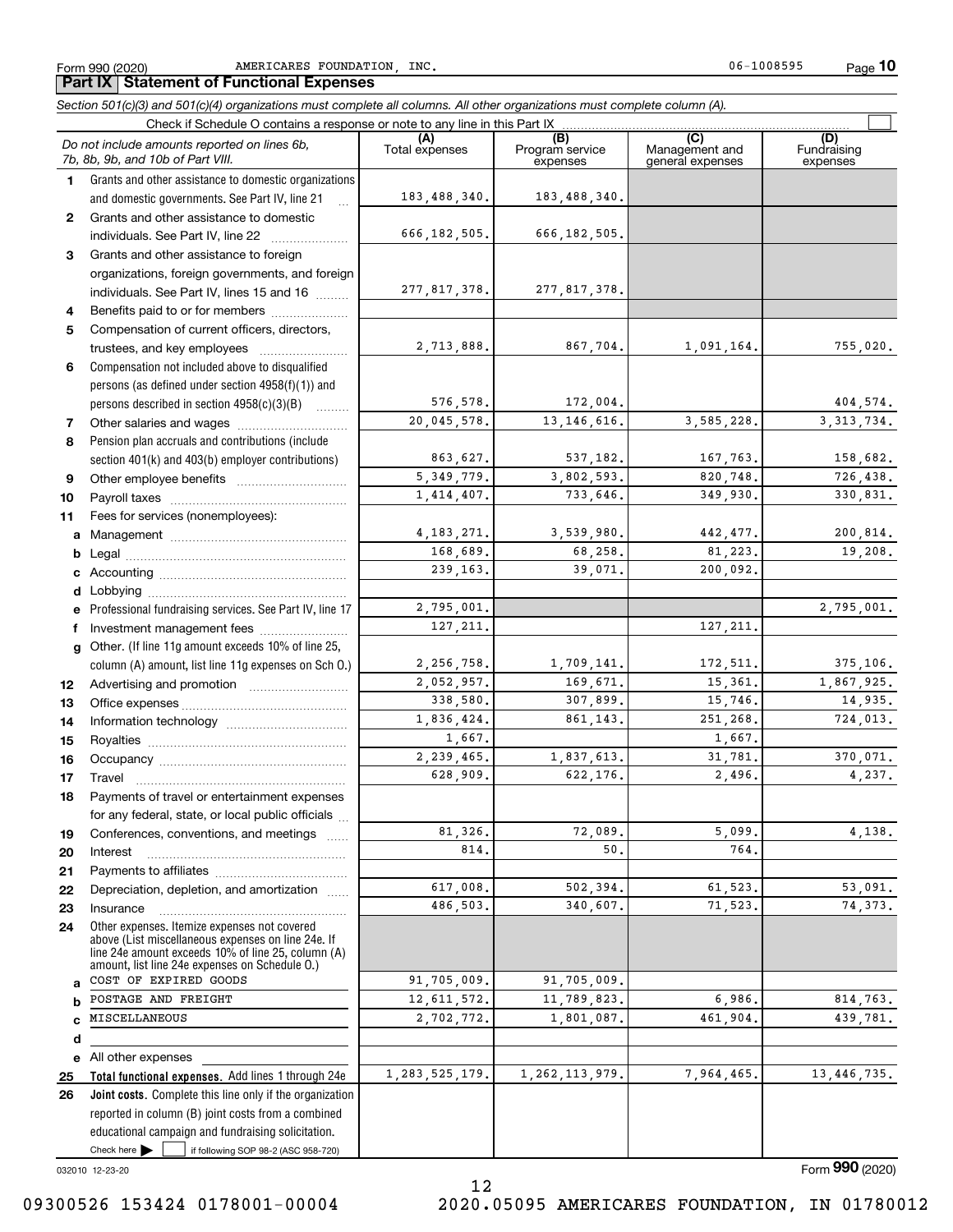Form 990 (2020) AMERICARES FOUNDATION,INC. 06-1008595 Page

**10**

#### **Total functional expenses.**  Add lines 1 through 24e **Joint costs.** Complete this line only if the organization **(A)**<br>Total expenses **(B) (C) (D) 1234567891011abcdefg12131415161718192021222324abcde2526***Section 501(c)(3) and 501(c)(4) organizations must complete all columns. All other organizations must complete column (A).* Grants and other assistance to domestic organizations and domestic governments. See Part IV, line 21 Compensation not included above to disqualified persons (as defined under section 4958(f)(1)) and persons described in section 4958(c)(3)(B)  $\quad \ldots \ldots \ldots$ Pension plan accruals and contributions (include section 401(k) and 403(b) employer contributions) Professional fundraising services. See Part IV, line 17 Other. (If line 11g amount exceeds 10% of line 25, column (A) amount, list line 11g expenses on Sch O.) Other expenses. Itemize expenses not covered above (List miscellaneous expenses on line 24e. If line 24e amount exceeds 10% of line 25, column (A) amount, list line 24e expenses on Schedule O.) reported in column (B) joint costs from a combined educational campaign and fundraising solicitation. Check if Schedule O contains a response or note to any line in this Part IX (C) (C) (C) (C) (C) (C) Program service expenses Management and general expenses Fundraising expensesGrants and other assistance to domestic individuals. See Part IV, line 22 ..................... Grants and other assistance to foreign organizations, foreign governments, and foreign individuals. See Part IV, lines 15 and 16  $\ldots$ Benefits paid to or for members .................... Compensation of current officers, directors, trustees, and key employees  $\ldots$   $\ldots$   $\ldots$   $\ldots$   $\ldots$   $\ldots$ Other salaries and wages ~~~~~~~~~~ Other employee benefits ~~~~~~~~~~ Payroll taxes ~~~~~~~~~~~~~~~~ Fees for services (nonemployees): Management ~~~~~~~~~~~~~~~~ Legal ~~~~~~~~~~~~~~~~~~~~Accounting ~~~~~~~~~~~~~~~~~ Lobbying ~~~~~~~~~~~~~~~~~~ lnvestment management fees ....................... Advertising and promotion www.communication Office expenses ~~~~~~~~~~~~~~~Information technology ~~~~~~~~~~~ Royalties ~~~~~~~~~~~~~~~~~~ Occupancy ~~~~~~~~~~~~~~~~~ Travel ……………………………………………… Payments of travel or entertainment expenses for any federal, state, or local public officials ... Conferences, conventions, and meetings InterestPayments to affiliates ~~~~~~~~~~~~ Depreciation, depletion, and amortization  $\,\,\ldots\,\,$ Insurance~~~~~~~~~~~~~~~~~All other expenses *Do not include amounts reported on lines 6b, 7b, 8b, 9b, and 10b of Part VIII.*  $\mathcal{L}^{\text{max}}$ 183,488,340. 666,182,505. 277,817,378. 2,713,888. 576,578. 20,045,578. 863,627. 5,349,779. 1,414,407. 4,183,271. 168,689. 239,163. 2,795,001. 2,256,758. 2,052,957. 338,580. 1,836,424. 1,667. 2,239,465. 628,909. 81,326. 814.617,008. 486,503. 91,705,009. 12,611,572. 2,702,772. 1,283,525,179. 127,211. 183,488,340. 666,182,505. 277,817,378. 867,704. 1,091,164. 755,020. 172,004. 13,146,616. 3,585,228. 3,313,734. 537,182. 167,763. 158,682. 3,802,593. 820,748. 726,438. 733,646. 349,930. 330,831. 3,539,980. 442,477. 200,814. 68,258. 81,223. 19,208. 39,071. 200,092. 2,795,001. 127,211. 1,709,141. 172,511. 375,106. 169,671. 15,361. 1,867,925. 307,899. 15,746. 14,935. 861,143. 251,268. 724,013. 1,667. 1,837,613. 31,781. 370,071. 622,176. 2,496. 4,237. 72,089. 5,099. 4,138. 50. 764. 502,394. 61,523. 53,091. 340,607. 71,523. 74,373. 91,705,009. 11,789,823. 6,986. 814,763. 1,801,087. 461,904. 439,781. 1,262,113,979. 7,964,465. 13,446,735. COST OF EXPIRED GOODS POSTAGE AND FREIGHT MISCELLANEOUS

032010 12-23-20

 $Check here$ 

Check here  $\bullet$  if following SOP 98-2 (ASC 958-720)

Form (2020) **990**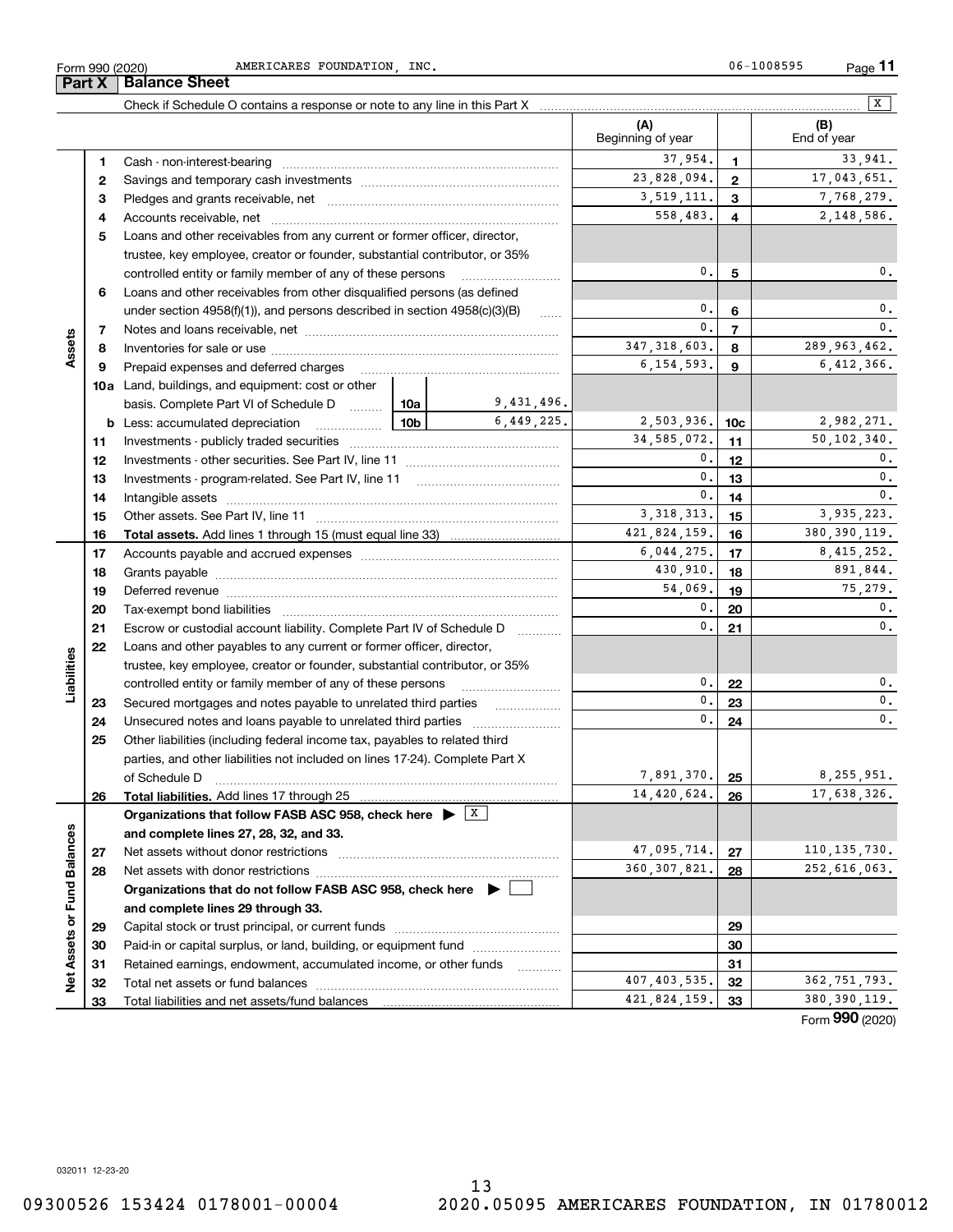**Part X Balance Sheet**

|                             |    |                                                                                   |                     |            |                                |                | X                  |
|-----------------------------|----|-----------------------------------------------------------------------------------|---------------------|------------|--------------------------------|----------------|--------------------|
|                             |    |                                                                                   |                     |            | (A)<br>Beginning of year       |                | (B)<br>End of year |
|                             | 1  |                                                                                   |                     |            | 37,954.                        | $\mathbf{1}$   | 33,941.            |
|                             | 2  |                                                                                   |                     |            | 23,828,094.                    | $\mathbf{2}$   | 17,043,651.        |
|                             | з  |                                                                                   |                     |            | 3, 519, 111.                   | 3              | 7,768,279.         |
|                             | 4  |                                                                                   |                     |            | 558,483.                       | 4              | 2,148,586.         |
|                             | 5  | Loans and other receivables from any current or former officer, director,         |                     |            |                                |                |                    |
|                             |    | trustee, key employee, creator or founder, substantial contributor, or 35%        |                     |            |                                |                |                    |
|                             |    | controlled entity or family member of any of these persons                        |                     |            | 0.                             | 5              | 0.                 |
|                             | 6  | Loans and other receivables from other disqualified persons (as defined           |                     |            |                                |                |                    |
|                             |    | under section $4958(f)(1)$ , and persons described in section $4958(c)(3)(B)$     |                     | 1.1.1.1.1  | 0.                             | 6              | 0.                 |
|                             | 7  |                                                                                   |                     |            | 0.                             | $\overline{7}$ | 0.                 |
| Assets                      | 8  |                                                                                   |                     |            | 347, 318, 603.                 | 8              | 289,963,462.       |
|                             | 9  | Prepaid expenses and deferred charges                                             |                     |            | 6,154,593.                     | 9              | 6,412,366.         |
|                             |    | <b>10a</b> Land, buildings, and equipment: cost or other                          |                     |            |                                |                |                    |
|                             |    | basis. Complete Part VI of Schedule D  10a                                        |                     | 9,431,496. |                                |                |                    |
|                             |    | <b>b</b> Less: accumulated depreciation                                           | 10 <sub>b</sub>     | 6,449,225. | 2,503,936.                     | 10c            | 2,982,271.         |
|                             | 11 |                                                                                   |                     |            | 34, 585, 072.                  | 11             | 50,102,340.        |
|                             | 12 |                                                                                   |                     |            | 0.                             | 12             | 0.                 |
|                             | 13 |                                                                                   |                     |            | $\mathbf{0}$                   | 13             | 0.                 |
|                             | 14 |                                                                                   |                     |            | 0.                             | 14             | $\mathbf{0}$ .     |
|                             | 15 |                                                                                   |                     |            | 3, 318, 313.                   | 15             | 3,935,223.         |
|                             | 16 |                                                                                   | 421,824,159.        | 16         | 380, 390, 119.                 |                |                    |
|                             | 17 |                                                                                   |                     |            | 6,044,275.                     | 17             | 8, 415, 252.       |
|                             | 18 |                                                                                   |                     |            | 430,910.                       | 18             | 891,844.           |
|                             | 19 |                                                                                   |                     | 54,069.    | 19                             | 75,279.        |                    |
|                             | 20 |                                                                                   | 0.                  | 20         | 0.                             |                |                    |
|                             | 21 | Escrow or custodial account liability. Complete Part IV of Schedule D             | 1.1.1.1.1.1.1.1.1.1 | 0.         | 21                             | $\mathbf{0}$ . |                    |
|                             | 22 | Loans and other payables to any current or former officer, director,              |                     |            |                                |                |                    |
| Liabilities                 |    | trustee, key employee, creator or founder, substantial contributor, or 35%        |                     |            |                                |                |                    |
|                             |    | controlled entity or family member of any of these persons                        |                     |            | 0.                             | 22             | 0.                 |
|                             | 23 |                                                                                   |                     |            | $\mathbf{0}$ .                 | 23             | 0.                 |
|                             | 24 |                                                                                   |                     |            | 0.                             | 24             | 0.                 |
|                             | 25 | Other liabilities (including federal income tax, payables to related third        |                     |            |                                |                |                    |
|                             |    | parties, and other liabilities not included on lines 17-24). Complete Part X      |                     |            |                                |                |                    |
|                             |    | of Schedule D                                                                     |                     |            | 7,891,370.                     | 25             | 8, 255, 951.       |
|                             | 26 |                                                                                   |                     |            | $\overline{14}$ , 420, 624. 26 |                | 17,638,326.        |
|                             |    | Organizations that follow FASB ASC 958, check here $\triangleright$ $\frac{X}{X}$ |                     |            |                                |                |                    |
|                             |    | and complete lines 27, 28, 32, and 33.                                            |                     |            |                                |                |                    |
|                             | 27 |                                                                                   |                     |            | 47,095,714.                    | 27             | 110, 135, 730.     |
|                             | 28 |                                                                                   |                     |            | 360, 307, 821.                 | 28             | 252,616,063.       |
|                             |    | Organizations that do not follow FASB ASC 958, check here $\blacktriangleright$   |                     |            |                                |                |                    |
| Net Assets or Fund Balances |    | and complete lines 29 through 33.                                                 |                     |            |                                |                |                    |
|                             | 29 |                                                                                   |                     |            |                                | 29             |                    |
|                             | 30 | Paid-in or capital surplus, or land, building, or equipment fund                  |                     |            |                                | 30             |                    |
|                             | 31 | Retained earnings, endowment, accumulated income, or other funds                  |                     |            |                                | 31             |                    |
|                             | 32 |                                                                                   |                     |            | 407,403,535.                   | 32             | 362, 751, 793.     |
|                             | 33 |                                                                                   |                     |            | 421,824,159.                   | 33             | 380, 390, 119.     |

Form (2020) **990**

032011 12-23-20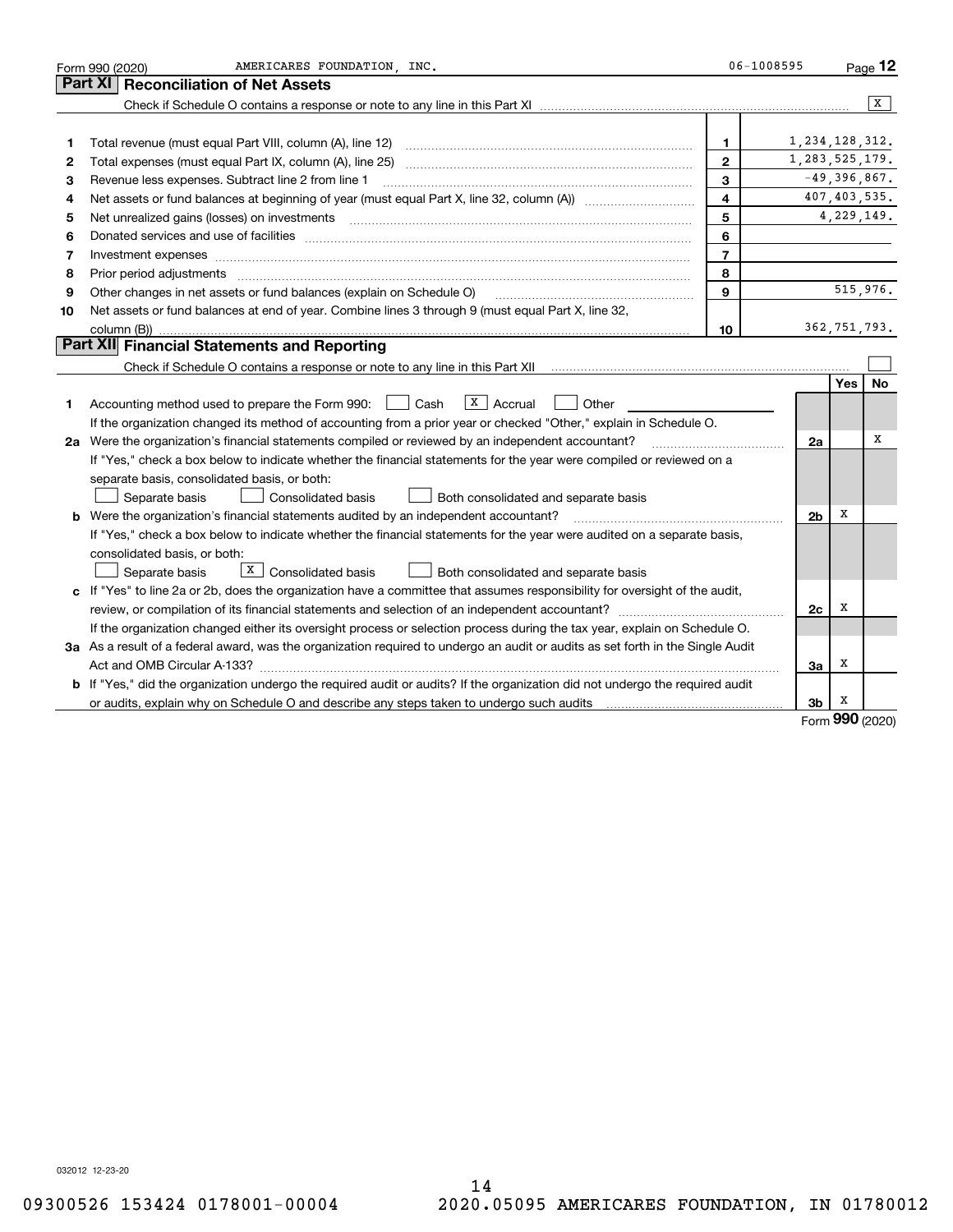|    | AMERICARES FOUNDATION, INC.<br>Form 990 (2020)                                                                                  | 06-1008595     |                   |                | Page $12$      |
|----|---------------------------------------------------------------------------------------------------------------------------------|----------------|-------------------|----------------|----------------|
|    | Part XI<br><b>Reconciliation of Net Assets</b>                                                                                  |                |                   |                |                |
|    |                                                                                                                                 |                |                   |                | $\overline{X}$ |
|    |                                                                                                                                 |                |                   |                |                |
| 1  | Total revenue (must equal Part VIII, column (A), line 12)                                                                       | 1              | 1, 234, 128, 312. |                |                |
| 2  |                                                                                                                                 | $\mathbf{2}$   | 1, 283, 525, 179. |                |                |
| з  | Revenue less expenses. Subtract line 2 from line 1                                                                              | 3              |                   | $-49,396,867.$ |                |
| 4  |                                                                                                                                 | 4              |                   | 407,403,535.   |                |
| 5  | Net unrealized gains (losses) on investments                                                                                    | 5              |                   | 4,229,149.     |                |
| 6  |                                                                                                                                 | 6              |                   |                |                |
| 7  | Investment expenses www.communication.communication.com/www.communication.com/www.communication.com                             | $\overline{7}$ |                   |                |                |
| 8  | Prior period adjustments                                                                                                        | 8              |                   |                |                |
| 9  | Other changes in net assets or fund balances (explain on Schedule O)                                                            | 9              |                   | 515,976.       |                |
| 10 | Net assets or fund balances at end of year. Combine lines 3 through 9 (must equal Part X, line 32,                              |                |                   |                |                |
|    | column (B))                                                                                                                     | 10             |                   | 362, 751, 793. |                |
|    | Part XII Financial Statements and Reporting                                                                                     |                |                   |                |                |
|    |                                                                                                                                 |                |                   |                |                |
|    |                                                                                                                                 |                |                   | <b>Yes</b>     | No             |
| 1  | Accounting method used to prepare the Form 990: [16] Cash<br>$X$   Accrual<br>Other                                             |                |                   |                |                |
|    | If the organization changed its method of accounting from a prior year or checked "Other," explain in Schedule O.               |                |                   |                |                |
|    | 2a Were the organization's financial statements compiled or reviewed by an independent accountant?                              |                | 2a                |                | X              |
|    | If "Yes," check a box below to indicate whether the financial statements for the year were compiled or reviewed on a            |                |                   |                |                |
|    | separate basis, consolidated basis, or both:                                                                                    |                |                   |                |                |
|    | Separate basis<br>Consolidated basis<br>Both consolidated and separate basis                                                    |                |                   |                |                |
|    | <b>b</b> Were the organization's financial statements audited by an independent accountant?                                     |                | 2 <sub>b</sub>    | х              |                |
|    | If "Yes," check a box below to indicate whether the financial statements for the year were audited on a separate basis,         |                |                   |                |                |
|    | consolidated basis, or both:                                                                                                    |                |                   |                |                |
|    | x  <br>Consolidated basis<br>Separate basis<br>Both consolidated and separate basis                                             |                |                   |                |                |
|    | c If "Yes" to line 2a or 2b, does the organization have a committee that assumes responsibility for oversight of the audit,     |                |                   |                |                |
|    |                                                                                                                                 |                | 2c                | х              |                |
|    | If the organization changed either its oversight process or selection process during the tax year, explain on Schedule O.       |                |                   |                |                |
|    | 3a As a result of a federal award, was the organization required to undergo an audit or audits as set forth in the Single Audit |                |                   |                |                |
|    |                                                                                                                                 |                | Зa                | х              |                |
|    | b If "Yes," did the organization undergo the required audit or audits? If the organization did not undergo the required audit   |                |                   |                |                |
|    |                                                                                                                                 |                | 3b                | х<br>ההי       |                |

Form (2020) **990**

032012 12-23-20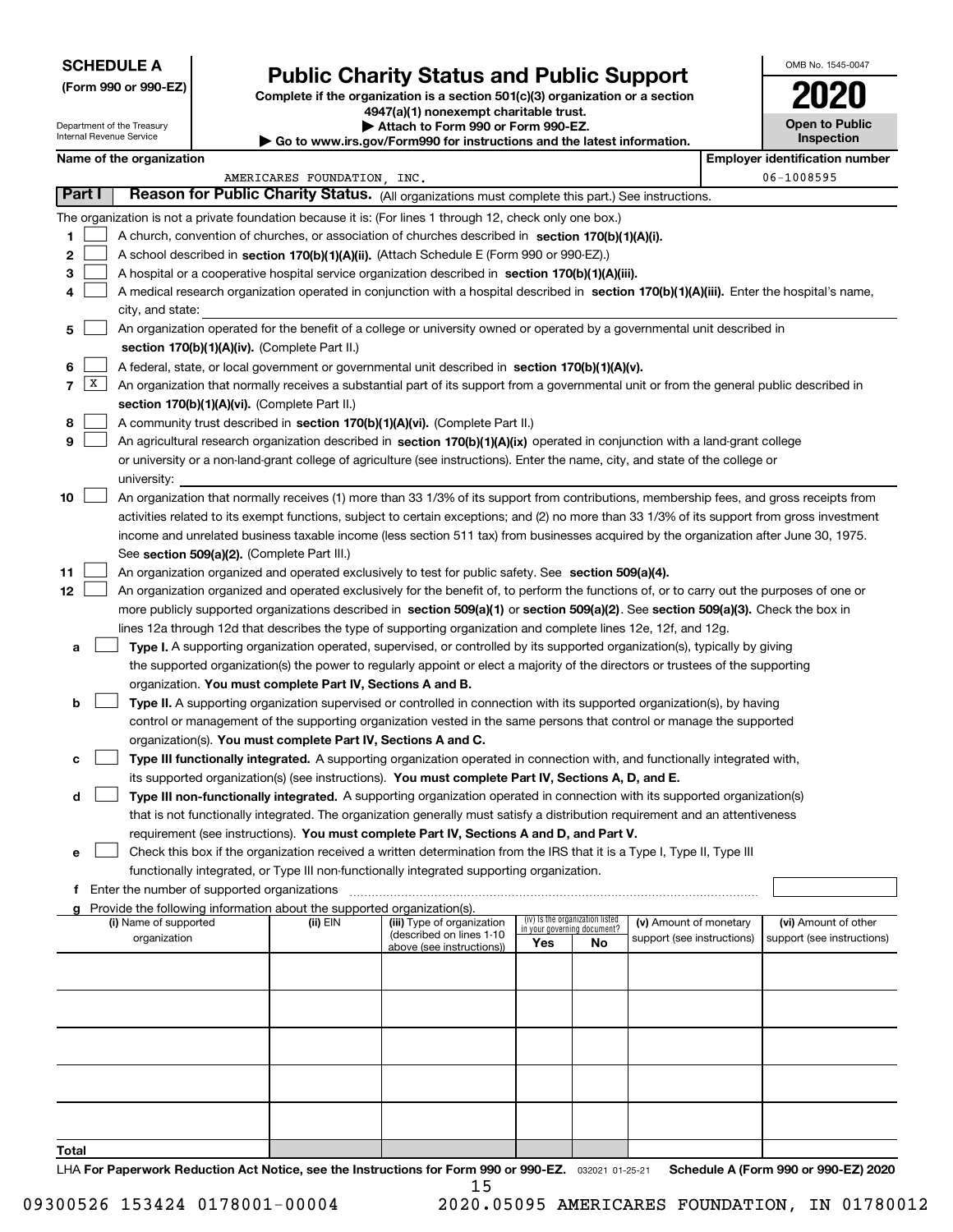Department of the Treasury Internal Revenue Service

**(Form 990 or 990-EZ)**

# **Public Charity Status and Public Support**

**Complete if the organization is a section 501(c)(3) organization or a section 4947(a)(1) nonexempt charitable trust. | Attach to Form 990 or Form 990-EZ.** 

|  | Go to www.irs.gov/Form990 for instructions and the latest information. |  |  |
|--|------------------------------------------------------------------------|--|--|

| OMB No. 1545-0047                   |
|-------------------------------------|
| 020                                 |
| <b>Open to Public</b><br>Inspection |

|        | Name of the organization<br><b>Employer identification number</b>                                                                                                                                                                             |                                                                                                                                                                                                                                                    |                             |                            |     |                                 |                            |  |                                                    |  |  |
|--------|-----------------------------------------------------------------------------------------------------------------------------------------------------------------------------------------------------------------------------------------------|----------------------------------------------------------------------------------------------------------------------------------------------------------------------------------------------------------------------------------------------------|-----------------------------|----------------------------|-----|---------------------------------|----------------------------|--|----------------------------------------------------|--|--|
|        |                                                                                                                                                                                                                                               |                                                                                                                                                                                                                                                    | AMERICARES FOUNDATION, INC. |                            |     |                                 |                            |  | 06-1008595                                         |  |  |
| Part I |                                                                                                                                                                                                                                               | Reason for Public Charity Status. (All organizations must complete this part.) See instructions.                                                                                                                                                   |                             |                            |     |                                 |                            |  |                                                    |  |  |
|        |                                                                                                                                                                                                                                               | The organization is not a private foundation because it is: (For lines 1 through 12, check only one box.)                                                                                                                                          |                             |                            |     |                                 |                            |  |                                                    |  |  |
| 1      |                                                                                                                                                                                                                                               | A church, convention of churches, or association of churches described in section 170(b)(1)(A)(i).                                                                                                                                                 |                             |                            |     |                                 |                            |  |                                                    |  |  |
| 2      |                                                                                                                                                                                                                                               | A school described in section 170(b)(1)(A)(ii). (Attach Schedule E (Form 990 or 990-EZ).)                                                                                                                                                          |                             |                            |     |                                 |                            |  |                                                    |  |  |
| з      |                                                                                                                                                                                                                                               | A hospital or a cooperative hospital service organization described in section 170(b)(1)(A)(iii).                                                                                                                                                  |                             |                            |     |                                 |                            |  |                                                    |  |  |
| 4      |                                                                                                                                                                                                                                               | A medical research organization operated in conjunction with a hospital described in section 170(b)(1)(A)(iii). Enter the hospital's name,                                                                                                         |                             |                            |     |                                 |                            |  |                                                    |  |  |
|        |                                                                                                                                                                                                                                               | city, and state:                                                                                                                                                                                                                                   |                             |                            |     |                                 |                            |  |                                                    |  |  |
| 5      |                                                                                                                                                                                                                                               | An organization operated for the benefit of a college or university owned or operated by a governmental unit described in                                                                                                                          |                             |                            |     |                                 |                            |  |                                                    |  |  |
|        |                                                                                                                                                                                                                                               | section 170(b)(1)(A)(iv). (Complete Part II.)                                                                                                                                                                                                      |                             |                            |     |                                 |                            |  |                                                    |  |  |
| 6      |                                                                                                                                                                                                                                               | A federal, state, or local government or governmental unit described in section 170(b)(1)(A)(v).                                                                                                                                                   |                             |                            |     |                                 |                            |  |                                                    |  |  |
| 7      | $\vert x \vert$                                                                                                                                                                                                                               | An organization that normally receives a substantial part of its support from a governmental unit or from the general public described in                                                                                                          |                             |                            |     |                                 |                            |  |                                                    |  |  |
|        |                                                                                                                                                                                                                                               |                                                                                                                                                                                                                                                    |                             |                            |     |                                 |                            |  |                                                    |  |  |
|        |                                                                                                                                                                                                                                               | section 170(b)(1)(A)(vi). (Complete Part II.)                                                                                                                                                                                                      |                             |                            |     |                                 |                            |  |                                                    |  |  |
| 8      |                                                                                                                                                                                                                                               | A community trust described in section 170(b)(1)(A)(vi). (Complete Part II.)                                                                                                                                                                       |                             |                            |     |                                 |                            |  |                                                    |  |  |
| 9      |                                                                                                                                                                                                                                               | An agricultural research organization described in section 170(b)(1)(A)(ix) operated in conjunction with a land-grant college                                                                                                                      |                             |                            |     |                                 |                            |  |                                                    |  |  |
|        |                                                                                                                                                                                                                                               | or university or a non-land-grant college of agriculture (see instructions). Enter the name, city, and state of the college or                                                                                                                     |                             |                            |     |                                 |                            |  |                                                    |  |  |
|        |                                                                                                                                                                                                                                               | university:                                                                                                                                                                                                                                        |                             |                            |     |                                 |                            |  |                                                    |  |  |
| 10     |                                                                                                                                                                                                                                               | An organization that normally receives (1) more than 33 1/3% of its support from contributions, membership fees, and gross receipts from                                                                                                           |                             |                            |     |                                 |                            |  |                                                    |  |  |
|        |                                                                                                                                                                                                                                               | activities related to its exempt functions, subject to certain exceptions; and (2) no more than 33 1/3% of its support from gross investment                                                                                                       |                             |                            |     |                                 |                            |  |                                                    |  |  |
|        |                                                                                                                                                                                                                                               | income and unrelated business taxable income (less section 511 tax) from businesses acquired by the organization after June 30, 1975.                                                                                                              |                             |                            |     |                                 |                            |  |                                                    |  |  |
|        |                                                                                                                                                                                                                                               | See section 509(a)(2). (Complete Part III.)                                                                                                                                                                                                        |                             |                            |     |                                 |                            |  |                                                    |  |  |
| 11     |                                                                                                                                                                                                                                               | An organization organized and operated exclusively to test for public safety. See section 509(a)(4).<br>An organization organized and operated exclusively for the benefit of, to perform the functions of, or to carry out the purposes of one or |                             |                            |     |                                 |                            |  |                                                    |  |  |
| 12     |                                                                                                                                                                                                                                               |                                                                                                                                                                                                                                                    |                             |                            |     |                                 |                            |  |                                                    |  |  |
|        | more publicly supported organizations described in section 509(a)(1) or section 509(a)(2). See section 509(a)(3). Check the box in                                                                                                            |                                                                                                                                                                                                                                                    |                             |                            |     |                                 |                            |  |                                                    |  |  |
|        | lines 12a through 12d that describes the type of supporting organization and complete lines 12e, 12f, and 12g.<br>Type I. A supporting organization operated, supervised, or controlled by its supported organization(s), typically by giving |                                                                                                                                                                                                                                                    |                             |                            |     |                                 |                            |  |                                                    |  |  |
| а      |                                                                                                                                                                                                                                               |                                                                                                                                                                                                                                                    |                             |                            |     |                                 |                            |  |                                                    |  |  |
|        |                                                                                                                                                                                                                                               | the supported organization(s) the power to regularly appoint or elect a majority of the directors or trustees of the supporting                                                                                                                    |                             |                            |     |                                 |                            |  |                                                    |  |  |
|        |                                                                                                                                                                                                                                               | organization. You must complete Part IV, Sections A and B.                                                                                                                                                                                         |                             |                            |     |                                 |                            |  |                                                    |  |  |
| b      |                                                                                                                                                                                                                                               | Type II. A supporting organization supervised or controlled in connection with its supported organization(s), by having                                                                                                                            |                             |                            |     |                                 |                            |  |                                                    |  |  |
|        |                                                                                                                                                                                                                                               | control or management of the supporting organization vested in the same persons that control or manage the supported                                                                                                                               |                             |                            |     |                                 |                            |  |                                                    |  |  |
|        |                                                                                                                                                                                                                                               | organization(s). You must complete Part IV, Sections A and C.                                                                                                                                                                                      |                             |                            |     |                                 |                            |  |                                                    |  |  |
| с      |                                                                                                                                                                                                                                               | Type III functionally integrated. A supporting organization operated in connection with, and functionally integrated with,                                                                                                                         |                             |                            |     |                                 |                            |  |                                                    |  |  |
|        |                                                                                                                                                                                                                                               | its supported organization(s) (see instructions). You must complete Part IV, Sections A, D, and E.                                                                                                                                                 |                             |                            |     |                                 |                            |  |                                                    |  |  |
| d      |                                                                                                                                                                                                                                               | Type III non-functionally integrated. A supporting organization operated in connection with its supported organization(s)                                                                                                                          |                             |                            |     |                                 |                            |  |                                                    |  |  |
|        |                                                                                                                                                                                                                                               | that is not functionally integrated. The organization generally must satisfy a distribution requirement and an attentiveness                                                                                                                       |                             |                            |     |                                 |                            |  |                                                    |  |  |
|        |                                                                                                                                                                                                                                               | requirement (see instructions). You must complete Part IV, Sections A and D, and Part V.                                                                                                                                                           |                             |                            |     |                                 |                            |  |                                                    |  |  |
| е      |                                                                                                                                                                                                                                               | Check this box if the organization received a written determination from the IRS that it is a Type I, Type II, Type III                                                                                                                            |                             |                            |     |                                 |                            |  |                                                    |  |  |
|        |                                                                                                                                                                                                                                               | functionally integrated, or Type III non-functionally integrated supporting organization.                                                                                                                                                          |                             |                            |     |                                 |                            |  |                                                    |  |  |
|        |                                                                                                                                                                                                                                               | f Enter the number of supported organizations                                                                                                                                                                                                      |                             |                            |     |                                 |                            |  |                                                    |  |  |
|        |                                                                                                                                                                                                                                               | Provide the following information about the supported organization(s).                                                                                                                                                                             |                             | (iii) Type of organization |     | (iv) Is the organization listed | (v) Amount of monetary     |  |                                                    |  |  |
|        |                                                                                                                                                                                                                                               | (i) Name of supported<br>organization                                                                                                                                                                                                              | (ii) EIN                    | (described on lines 1-10   |     | in your governing document?     | support (see instructions) |  | (vi) Amount of other<br>support (see instructions) |  |  |
|        |                                                                                                                                                                                                                                               |                                                                                                                                                                                                                                                    |                             | above (see instructions))  | Yes | No                              |                            |  |                                                    |  |  |
|        |                                                                                                                                                                                                                                               |                                                                                                                                                                                                                                                    |                             |                            |     |                                 |                            |  |                                                    |  |  |
|        |                                                                                                                                                                                                                                               |                                                                                                                                                                                                                                                    |                             |                            |     |                                 |                            |  |                                                    |  |  |
|        |                                                                                                                                                                                                                                               |                                                                                                                                                                                                                                                    |                             |                            |     |                                 |                            |  |                                                    |  |  |
|        |                                                                                                                                                                                                                                               |                                                                                                                                                                                                                                                    |                             |                            |     |                                 |                            |  |                                                    |  |  |
|        |                                                                                                                                                                                                                                               |                                                                                                                                                                                                                                                    |                             |                            |     |                                 |                            |  |                                                    |  |  |
|        |                                                                                                                                                                                                                                               |                                                                                                                                                                                                                                                    |                             |                            |     |                                 |                            |  |                                                    |  |  |
|        |                                                                                                                                                                                                                                               |                                                                                                                                                                                                                                                    |                             |                            |     |                                 |                            |  |                                                    |  |  |
|        |                                                                                                                                                                                                                                               |                                                                                                                                                                                                                                                    |                             |                            |     |                                 |                            |  |                                                    |  |  |
|        |                                                                                                                                                                                                                                               |                                                                                                                                                                                                                                                    |                             |                            |     |                                 |                            |  |                                                    |  |  |
|        |                                                                                                                                                                                                                                               |                                                                                                                                                                                                                                                    |                             |                            |     |                                 |                            |  |                                                    |  |  |
| Total  |                                                                                                                                                                                                                                               |                                                                                                                                                                                                                                                    |                             |                            |     |                                 |                            |  |                                                    |  |  |

LHA For Paperwork Reduction Act Notice, see the Instructions for Form 990 or 990-EZ. <sub>032021</sub> o1-25-21 Schedule A (Form 990 or 990-EZ) 2020 15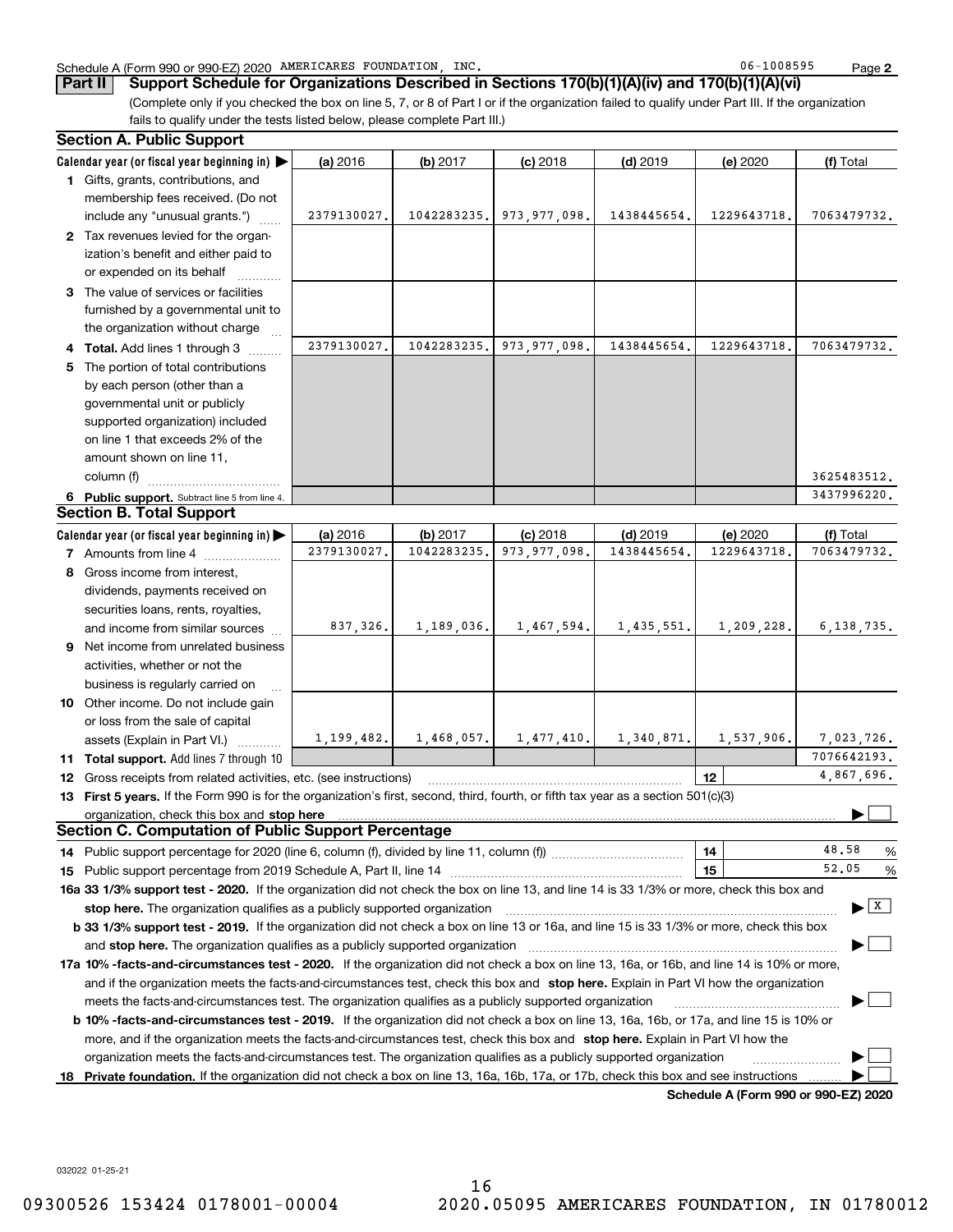### Schedule A (Form 990 or 990-EZ) 2020 AMERICARES FOUNDATION,INC. Page

**Part II** Support Schedule for Organizations Described in Sections 170(b)(1)(A)(iv) and 170(b)(1)(A)(vi)

(Complete only if you checked the box on line 5, 7, or 8 of Part I or if the organization failed to qualify under Part III. If the organization fails to qualify under the tests listed below, please complete Part III.)

|     | <b>Section A. Public Support</b>                                                                                                                                                                                               |              |             |                |             |                                      |                                |
|-----|--------------------------------------------------------------------------------------------------------------------------------------------------------------------------------------------------------------------------------|--------------|-------------|----------------|-------------|--------------------------------------|--------------------------------|
|     | Calendar year (or fiscal year beginning in) $\blacktriangleright$                                                                                                                                                              | (a) 2016     | (b) 2017    | $(c)$ 2018     | $(d)$ 2019  | (e) 2020                             | (f) Total                      |
|     | 1 Gifts, grants, contributions, and                                                                                                                                                                                            |              |             |                |             |                                      |                                |
|     | membership fees received. (Do not                                                                                                                                                                                              |              |             |                |             |                                      |                                |
|     | include any "unusual grants.")                                                                                                                                                                                                 | 2379130027.  | 1042283235. | 973, 977, 098. | 1438445654. | 1229643718.                          | 7063479732.                    |
|     | 2 Tax revenues levied for the organ-                                                                                                                                                                                           |              |             |                |             |                                      |                                |
|     | ization's benefit and either paid to                                                                                                                                                                                           |              |             |                |             |                                      |                                |
|     | or expended on its behalf                                                                                                                                                                                                      |              |             |                |             |                                      |                                |
|     | 3 The value of services or facilities                                                                                                                                                                                          |              |             |                |             |                                      |                                |
|     | furnished by a governmental unit to                                                                                                                                                                                            |              |             |                |             |                                      |                                |
|     | the organization without charge                                                                                                                                                                                                |              |             |                |             |                                      |                                |
|     | Total. Add lines 1 through 3                                                                                                                                                                                                   | 2379130027.  | 1042283235. | 973, 977, 098. | 1438445654. | 1229643718.                          | 7063479732.                    |
| 5.  | The portion of total contributions                                                                                                                                                                                             |              |             |                |             |                                      |                                |
|     | by each person (other than a                                                                                                                                                                                                   |              |             |                |             |                                      |                                |
|     | governmental unit or publicly                                                                                                                                                                                                  |              |             |                |             |                                      |                                |
|     | supported organization) included                                                                                                                                                                                               |              |             |                |             |                                      |                                |
|     | on line 1 that exceeds 2% of the                                                                                                                                                                                               |              |             |                |             |                                      |                                |
|     | amount shown on line 11,                                                                                                                                                                                                       |              |             |                |             |                                      |                                |
|     | column (f)                                                                                                                                                                                                                     |              |             |                |             |                                      | 3625483512.                    |
|     | 6 Public support. Subtract line 5 from line 4.                                                                                                                                                                                 |              |             |                |             |                                      | 3437996220.                    |
|     | <b>Section B. Total Support</b>                                                                                                                                                                                                |              |             |                |             |                                      |                                |
|     | Calendar year (or fiscal year beginning in)                                                                                                                                                                                    | (a) 2016     | (b) 2017    | $(c)$ 2018     | $(d)$ 2019  | (e) 2020                             | (f) Total                      |
|     | 7 Amounts from line 4                                                                                                                                                                                                          | 2379130027.  | 1042283235  | 973, 977, 098. | 1438445654  | 1229643718                           | 7063479732.                    |
|     | 8 Gross income from interest,                                                                                                                                                                                                  |              |             |                |             |                                      |                                |
|     | dividends, payments received on                                                                                                                                                                                                |              |             |                |             |                                      |                                |
|     | securities loans, rents, royalties,                                                                                                                                                                                            |              |             |                |             |                                      |                                |
|     | and income from similar sources                                                                                                                                                                                                | 837,326.     | 1,189,036.  | 1,467,594.     | 1,435,551.  | 1,209,228.                           | 6, 138, 735.                   |
| 9   | Net income from unrelated business                                                                                                                                                                                             |              |             |                |             |                                      |                                |
|     | activities, whether or not the                                                                                                                                                                                                 |              |             |                |             |                                      |                                |
|     | business is regularly carried on                                                                                                                                                                                               |              |             |                |             |                                      |                                |
|     | 10 Other income. Do not include gain                                                                                                                                                                                           |              |             |                |             |                                      |                                |
|     | or loss from the sale of capital                                                                                                                                                                                               |              |             |                |             |                                      |                                |
|     | assets (Explain in Part VI.)                                                                                                                                                                                                   | 1, 199, 482. | 1,468,057.  | 1,477,410.     | 1,340,871.  | 1,537,906.                           | 7,023,726.                     |
|     | 11 Total support. Add lines 7 through 10                                                                                                                                                                                       |              |             |                |             |                                      | 7076642193.                    |
| 12  | Gross receipts from related activities, etc. (see instructions)                                                                                                                                                                |              |             |                |             | 12                                   | 4,867,696.                     |
|     | 13 First 5 years. If the Form 990 is for the organization's first, second, third, fourth, or fifth tax year as a section 501(c)(3)                                                                                             |              |             |                |             |                                      |                                |
|     | organization, check this box and stop here manufactured and state and state and state and state and stop here manufactured and state and state and state and state and state and state and state and state and state and state |              |             |                |             |                                      |                                |
|     | <b>Section C. Computation of Public Support Percentage</b>                                                                                                                                                                     |              |             |                |             |                                      |                                |
|     |                                                                                                                                                                                                                                |              |             |                |             | 14                                   | 48.58<br>%                     |
| 15  |                                                                                                                                                                                                                                |              |             |                |             | 15                                   | 52.05<br>%                     |
|     | 16a 33 1/3% support test - 2020. If the organization did not check the box on line 13, and line 14 is 33 1/3% or more, check this box and                                                                                      |              |             |                |             |                                      |                                |
|     | stop here. The organization qualifies as a publicly supported organization                                                                                                                                                     |              |             |                |             |                                      | $\blacktriangleright$ $\mid$ X |
|     | <b>b 33 1/3% support test - 2019.</b> If the organization did not check a box on line 13 or 16a, and line 15 is 33 1/3% or more, check this box                                                                                |              |             |                |             |                                      |                                |
|     | and stop here. The organization qualifies as a publicly supported organization [[[[[[[[[[[[[[[[[[[[[[[[[]]]]]]                                                                                                                 |              |             |                |             |                                      |                                |
|     | 17a 10% -facts-and-circumstances test - 2020. If the organization did not check a box on line 13, 16a, or 16b, and line 14 is 10% or more,                                                                                     |              |             |                |             |                                      |                                |
|     | and if the organization meets the facts-and-circumstances test, check this box and stop here. Explain in Part VI how the organization                                                                                          |              |             |                |             |                                      |                                |
|     | meets the facts-and-circumstances test. The organization qualifies as a publicly supported organization                                                                                                                        |              |             |                |             |                                      |                                |
|     | <b>b 10% -facts-and-circumstances test - 2019.</b> If the organization did not check a box on line 13, 16a, 16b, or 17a, and line 15 is 10% or                                                                                 |              |             |                |             |                                      |                                |
|     | more, and if the organization meets the facts-and-circumstances test, check this box and stop here. Explain in Part VI how the                                                                                                 |              |             |                |             |                                      |                                |
|     | organization meets the facts-and-circumstances test. The organization qualifies as a publicly supported organization                                                                                                           |              |             |                |             |                                      |                                |
| 18. | Private foundation. If the organization did not check a box on line 13, 16a, 16b, 17a, or 17b, check this box and see instructions                                                                                             |              |             |                |             |                                      |                                |
|     |                                                                                                                                                                                                                                |              |             |                |             | Schedule A (Form 990 or 990-EZ) 2020 |                                |

032022 01-25-21

**2**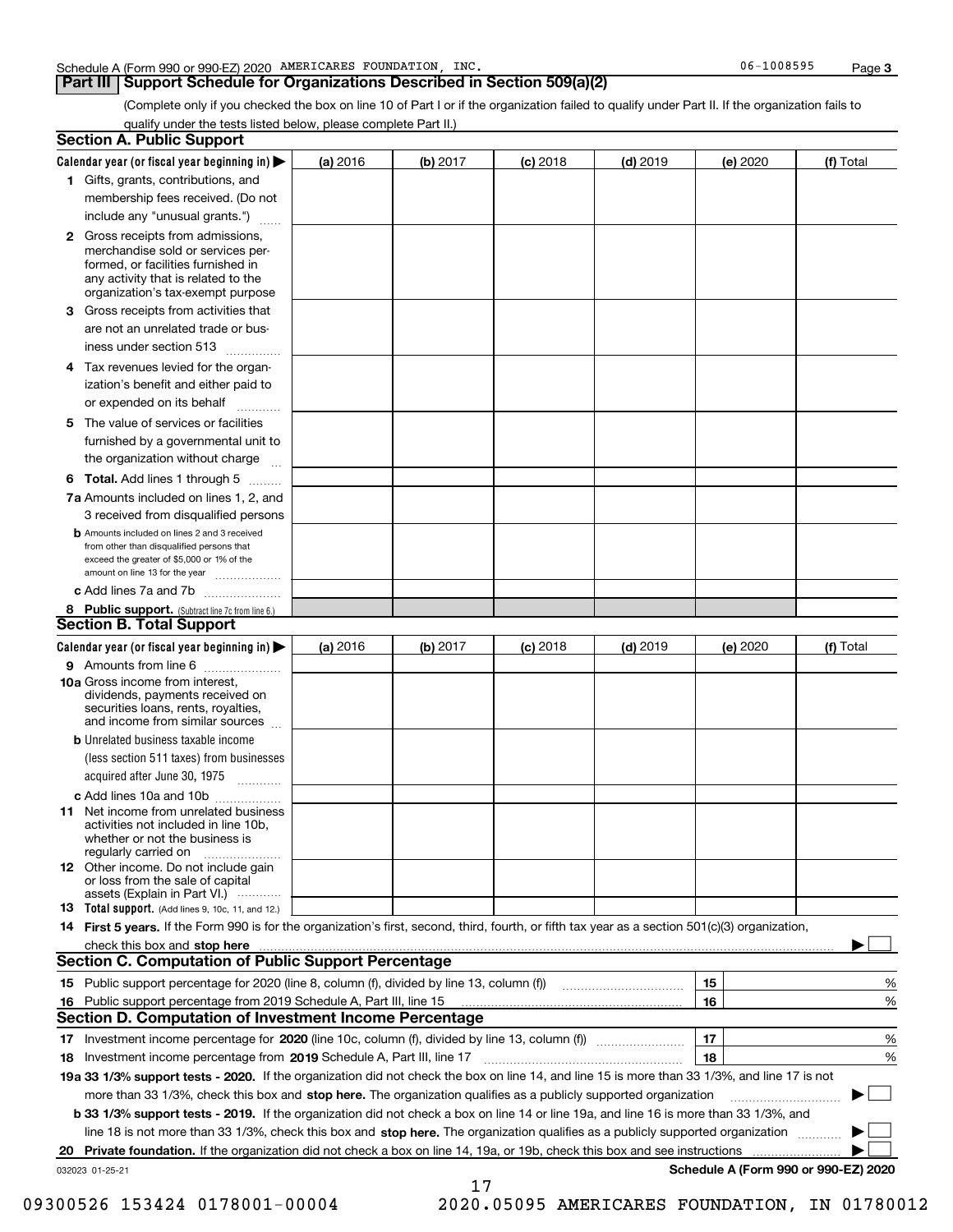(Complete only if you checked the box on line 10 of Part I or if the organization failed to qualify under Part II. If the organization fails to qualify under the tests listed below, please complete Part II.)

| <b>Section A. Public Support</b>                                                                                                                                                                                               |          |          |            |            |                 |                                      |
|--------------------------------------------------------------------------------------------------------------------------------------------------------------------------------------------------------------------------------|----------|----------|------------|------------|-----------------|--------------------------------------|
| Calendar year (or fiscal year beginning in) $\blacktriangleright$                                                                                                                                                              | (a) 2016 | (b) 2017 | $(c)$ 2018 | $(d)$ 2019 | <b>(e)</b> 2020 | (f) Total                            |
| 1 Gifts, grants, contributions, and                                                                                                                                                                                            |          |          |            |            |                 |                                      |
| membership fees received. (Do not                                                                                                                                                                                              |          |          |            |            |                 |                                      |
| include any "unusual grants.")                                                                                                                                                                                                 |          |          |            |            |                 |                                      |
| <b>2</b> Gross receipts from admissions,<br>merchandise sold or services per-<br>formed, or facilities furnished in<br>any activity that is related to the<br>organization's tax-exempt purpose                                |          |          |            |            |                 |                                      |
| 3 Gross receipts from activities that<br>are not an unrelated trade or bus-                                                                                                                                                    |          |          |            |            |                 |                                      |
| iness under section 513                                                                                                                                                                                                        |          |          |            |            |                 |                                      |
| 4 Tax revenues levied for the organ-<br>ization's benefit and either paid to                                                                                                                                                   |          |          |            |            |                 |                                      |
| or expended on its behalf<br>5 The value of services or facilities                                                                                                                                                             |          |          |            |            |                 |                                      |
| furnished by a governmental unit to<br>the organization without charge                                                                                                                                                         |          |          |            |            |                 |                                      |
| <b>6 Total.</b> Add lines 1 through 5                                                                                                                                                                                          |          |          |            |            |                 |                                      |
| 7a Amounts included on lines 1, 2, and<br>3 received from disqualified persons                                                                                                                                                 |          |          |            |            |                 |                                      |
| <b>b</b> Amounts included on lines 2 and 3 received<br>from other than disqualified persons that<br>exceed the greater of \$5,000 or 1% of the<br>amount on line 13 for the year                                               |          |          |            |            |                 |                                      |
| c Add lines 7a and 7b                                                                                                                                                                                                          |          |          |            |            |                 |                                      |
| 8 Public support. (Subtract line 7c from line 6.)<br><b>Section B. Total Support</b>                                                                                                                                           |          |          |            |            |                 |                                      |
| Calendar year (or fiscal year beginning in) $\blacktriangleright$                                                                                                                                                              | (a) 2016 | (b) 2017 | $(c)$ 2018 | $(d)$ 2019 | (e) 2020        | (f) Total                            |
| 9 Amounts from line 6                                                                                                                                                                                                          |          |          |            |            |                 |                                      |
| <b>10a</b> Gross income from interest,<br>dividends, payments received on<br>securities loans, rents, royalties,<br>and income from similar sources                                                                            |          |          |            |            |                 |                                      |
| <b>b</b> Unrelated business taxable income                                                                                                                                                                                     |          |          |            |            |                 |                                      |
| (less section 511 taxes) from businesses<br>acquired after June 30, 1975                                                                                                                                                       |          |          |            |            |                 |                                      |
| c Add lines 10a and 10b                                                                                                                                                                                                        |          |          |            |            |                 |                                      |
| 11 Net income from unrelated business<br>activities not included in line 10b,<br>whether or not the business is<br>regularly carried on                                                                                        |          |          |            |            |                 |                                      |
| <b>12</b> Other income. Do not include gain<br>or loss from the sale of capital<br>assets (Explain in Part VI.)                                                                                                                |          |          |            |            |                 |                                      |
| <b>13</b> Total support. (Add lines 9, 10c, 11, and 12.)                                                                                                                                                                       |          |          |            |            |                 |                                      |
| 14 First 5 years. If the Form 990 is for the organization's first, second, third, fourth, or fifth tax year as a section 501(c)(3) organization,                                                                               |          |          |            |            |                 |                                      |
| check this box and stop here communication and content to the state of the state of the state of the state of the state of the state of the state of the state of the state of the state of the state of the state of the stat |          |          |            |            |                 |                                      |
| <b>Section C. Computation of Public Support Percentage</b>                                                                                                                                                                     |          |          |            |            |                 |                                      |
| 15 Public support percentage for 2020 (line 8, column (f), divided by line 13, column (f))                                                                                                                                     |          |          |            |            | 15              | %                                    |
| 16 Public support percentage from 2019 Schedule A, Part III, line 15<br><b>Section D. Computation of Investment Income Percentage</b>                                                                                          |          |          |            |            | 16              | %                                    |
|                                                                                                                                                                                                                                |          |          |            |            | 17              | %                                    |
| 18 Investment income percentage from 2019 Schedule A, Part III, line 17                                                                                                                                                        |          |          |            |            | 18              | %                                    |
| 19a 33 1/3% support tests - 2020. If the organization did not check the box on line 14, and line 15 is more than 33 1/3%, and line 17 is not                                                                                   |          |          |            |            |                 |                                      |
| more than 33 1/3%, check this box and stop here. The organization qualifies as a publicly supported organization                                                                                                               |          |          |            |            |                 | $\sim$                               |
| b 33 1/3% support tests - 2019. If the organization did not check a box on line 14 or line 19a, and line 16 is more than 33 1/3%, and                                                                                          |          |          |            |            |                 |                                      |
| line 18 is not more than 33 1/3%, check this box and stop here. The organization qualifies as a publicly supported organization                                                                                                |          |          |            |            |                 |                                      |
| 20 Private foundation. If the organization did not check a box on line 14, 19a, or 19b, check this box and see instructions                                                                                                    |          |          |            |            |                 |                                      |
| 032023 01-25-21                                                                                                                                                                                                                |          |          |            |            |                 | Schedule A (Form 990 or 990-EZ) 2020 |
|                                                                                                                                                                                                                                |          | 17       |            |            |                 |                                      |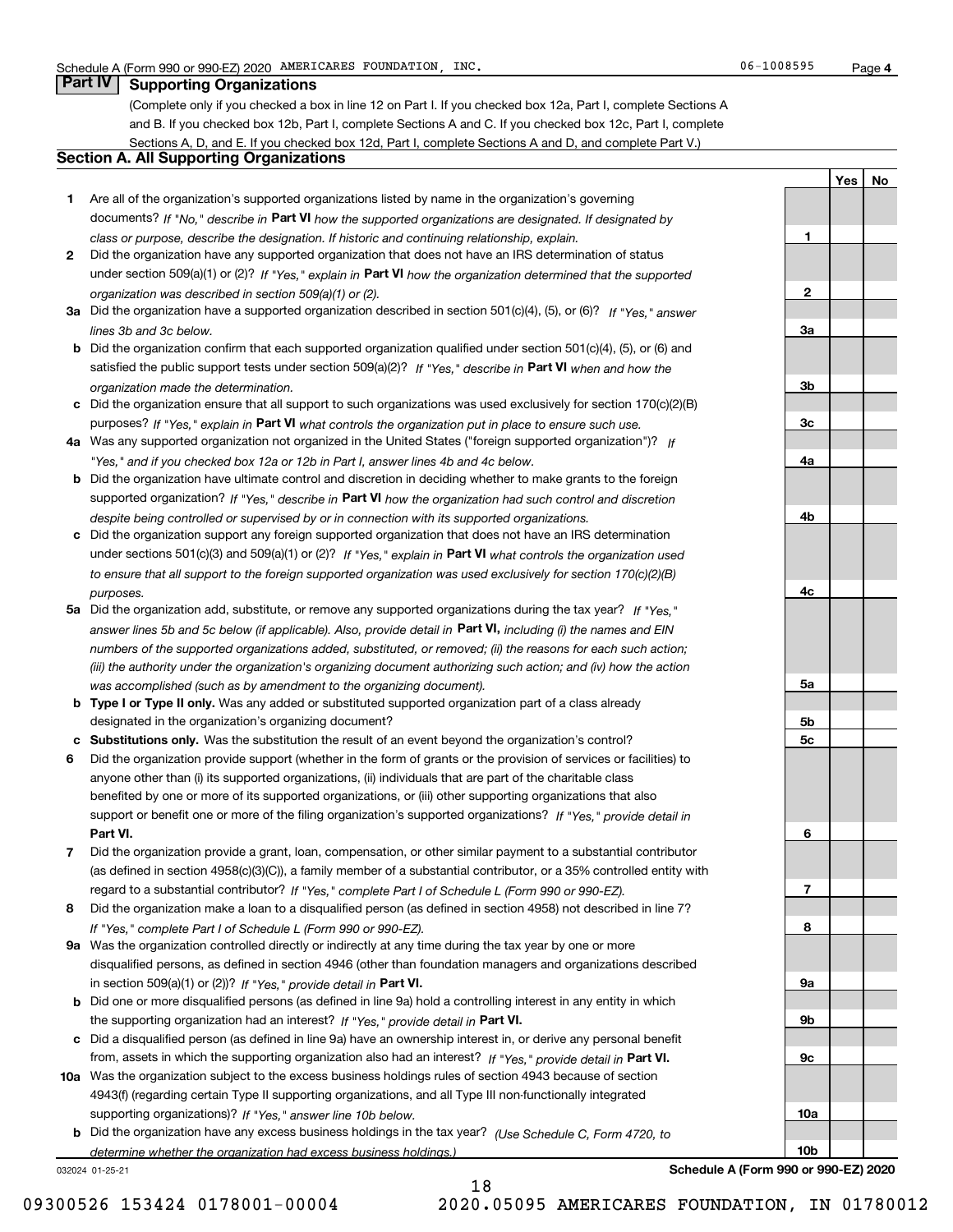**1**

**2**

**3a**

**3b**

**3c**

**4a**

**4b**

**4c**

**5a**

**5b5c**

**6**

**7**

**8**

**9a**

**9b**

**9c**

**10a**

**10b**

**YesNo**

### **Part IV Supporting Organizations**

(Complete only if you checked a box in line 12 on Part I. If you checked box 12a, Part I, complete Sections A and B. If you checked box 12b, Part I, complete Sections A and C. If you checked box 12c, Part I, complete Sections A, D, and E. If you checked box 12d, Part I, complete Sections A and D, and complete Part V.)

### **Section A. All Supporting Organizations**

- **1** Are all of the organization's supported organizations listed by name in the organization's governing documents? If "No," describe in **Part VI** how the supported organizations are designated. If designated by *class or purpose, describe the designation. If historic and continuing relationship, explain.*
- **2** Did the organization have any supported organization that does not have an IRS determination of status under section 509(a)(1) or (2)? If "Yes," explain in Part VI how the organization determined that the supported *organization was described in section 509(a)(1) or (2).*
- **3a** Did the organization have a supported organization described in section 501(c)(4), (5), or (6)? If "Yes," answer *lines 3b and 3c below.*
- **b** Did the organization confirm that each supported organization qualified under section 501(c)(4), (5), or (6) and satisfied the public support tests under section 509(a)(2)? If "Yes," describe in **Part VI** when and how the *organization made the determination.*
- **c**Did the organization ensure that all support to such organizations was used exclusively for section 170(c)(2)(B) purposes? If "Yes," explain in **Part VI** what controls the organization put in place to ensure such use.
- **4a***If* Was any supported organization not organized in the United States ("foreign supported organization")? *"Yes," and if you checked box 12a or 12b in Part I, answer lines 4b and 4c below.*
- **b** Did the organization have ultimate control and discretion in deciding whether to make grants to the foreign supported organization? If "Yes," describe in **Part VI** how the organization had such control and discretion *despite being controlled or supervised by or in connection with its supported organizations.*
- **c** Did the organization support any foreign supported organization that does not have an IRS determination under sections 501(c)(3) and 509(a)(1) or (2)? If "Yes," explain in **Part VI** what controls the organization used *to ensure that all support to the foreign supported organization was used exclusively for section 170(c)(2)(B) purposes.*
- **5a** Did the organization add, substitute, or remove any supported organizations during the tax year? If "Yes," answer lines 5b and 5c below (if applicable). Also, provide detail in **Part VI,** including (i) the names and EIN *numbers of the supported organizations added, substituted, or removed; (ii) the reasons for each such action; (iii) the authority under the organization's organizing document authorizing such action; and (iv) how the action was accomplished (such as by amendment to the organizing document).*
- **b** Type I or Type II only. Was any added or substituted supported organization part of a class already designated in the organization's organizing document?
- **cSubstitutions only.**  Was the substitution the result of an event beyond the organization's control?
- **6** Did the organization provide support (whether in the form of grants or the provision of services or facilities) to **Part VI.** *If "Yes," provide detail in* support or benefit one or more of the filing organization's supported organizations? anyone other than (i) its supported organizations, (ii) individuals that are part of the charitable class benefited by one or more of its supported organizations, or (iii) other supporting organizations that also
- **7**Did the organization provide a grant, loan, compensation, or other similar payment to a substantial contributor *If "Yes," complete Part I of Schedule L (Form 990 or 990-EZ).* regard to a substantial contributor? (as defined in section 4958(c)(3)(C)), a family member of a substantial contributor, or a 35% controlled entity with
- **8** Did the organization make a loan to a disqualified person (as defined in section 4958) not described in line 7? *If "Yes," complete Part I of Schedule L (Form 990 or 990-EZ).*
- **9a** Was the organization controlled directly or indirectly at any time during the tax year by one or more in section 509(a)(1) or (2))? If "Yes," *provide detail in* <code>Part VI.</code> disqualified persons, as defined in section 4946 (other than foundation managers and organizations described
- **b** Did one or more disqualified persons (as defined in line 9a) hold a controlling interest in any entity in which the supporting organization had an interest? If "Yes," provide detail in P**art VI**.
- **c**Did a disqualified person (as defined in line 9a) have an ownership interest in, or derive any personal benefit from, assets in which the supporting organization also had an interest? If "Yes," provide detail in P**art VI.**
- **10a** Was the organization subject to the excess business holdings rules of section 4943 because of section supporting organizations)? If "Yes," answer line 10b below. 4943(f) (regarding certain Type II supporting organizations, and all Type III non-functionally integrated
- **b** Did the organization have any excess business holdings in the tax year? (Use Schedule C, Form 4720, to *determine whether the organization had excess business holdings.)*

18

032024 01-25-21

**Schedule A (Form 990 or 990-EZ) 2020**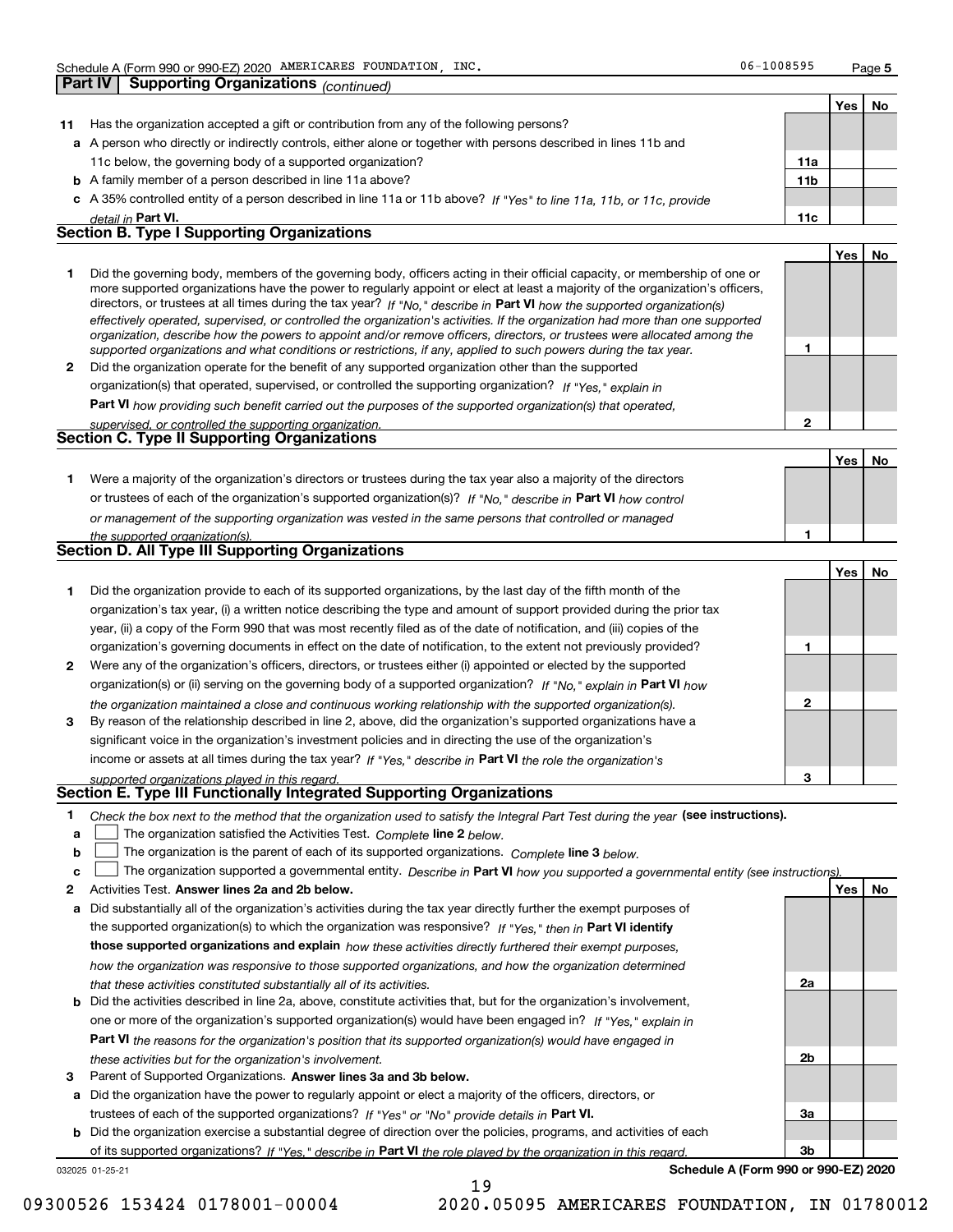**Part IV Supporting Organizations** *(continued)*

**1**

**2**

|    |                                                                                                                      |                 | Yes | No |
|----|----------------------------------------------------------------------------------------------------------------------|-----------------|-----|----|
| 11 | Has the organization accepted a gift or contribution from any of the following persons?                              |                 |     |    |
|    | a A person who directly or indirectly controls, either alone or together with persons described in lines 11b and     |                 |     |    |
|    | 11c below, the governing body of a supported organization?                                                           | 11a             |     |    |
|    | <b>b</b> A family member of a person described in line 11a above?                                                    | 11 <sub>b</sub> |     |    |
|    | c A 35% controlled entity of a person described in line 11a or 11b above? If "Yes" to line 11a, 11b, or 11c, provide |                 |     |    |
|    | detail in Part VI.                                                                                                   | 11c             |     |    |
|    | <b>Section B. Type I Supporting Organizations</b>                                                                    |                 |     |    |
|    |                                                                                                                      |                 | Yes |    |
|    |                                                                                                                      |                 |     |    |

|              | Did the governing body, members of the governing body, officers acting in their official capacity, or membership of one or<br>more supported organizations have the power to regularly appoint or elect at least a majority of the organization's officers,<br>directors, or trustees at all times during the tax year? If "No," describe in Part VI how the supported organization(s)<br>effectively operated, supervised, or controlled the organization's activities. If the organization had more than one supported<br>organization, describe how the powers to appoint and/or remove officers, directors, or trustees were allocated among the<br>supported organizations and what conditions or restrictions, if any, applied to such powers during the tax year. |  |
|--------------|--------------------------------------------------------------------------------------------------------------------------------------------------------------------------------------------------------------------------------------------------------------------------------------------------------------------------------------------------------------------------------------------------------------------------------------------------------------------------------------------------------------------------------------------------------------------------------------------------------------------------------------------------------------------------------------------------------------------------------------------------------------------------|--|
| $\mathbf{2}$ | Did the organization operate for the benefit of any supported organization other than the supported                                                                                                                                                                                                                                                                                                                                                                                                                                                                                                                                                                                                                                                                      |  |

*If "Yes," explain in* organization(s) that operated, supervised, or controlled the supporting organization?

**Part VI**  *how providing such benefit carried out the purposes of the supported organization(s) that operated,*

| supervised, or controlled the supporting organization. |  |
|--------------------------------------------------------|--|
| Section C. Type II Supporting Organizations            |  |

**Yes No 1**or trustees of each of the organization's supported organization(s)? If "No," describe in **Part VI** how control **1***or management of the supporting organization was vested in the same persons that controlled or managed the supported organization(s).* Were a majority of the organization's directors or trustees during the tax year also a majority of the directors

|              |                                                                                                                        |   | Yes | No |
|--------------|------------------------------------------------------------------------------------------------------------------------|---|-----|----|
|              | Did the organization provide to each of its supported organizations, by the last day of the fifth month of the         |   |     |    |
|              | organization's tax year, (i) a written notice describing the type and amount of support provided during the prior tax  |   |     |    |
|              | year, (ii) a copy of the Form 990 that was most recently filed as of the date of notification, and (iii) copies of the |   |     |    |
|              | organization's governing documents in effect on the date of notification, to the extent not previously provided?       |   |     |    |
| $\mathbf{2}$ | Were any of the organization's officers, directors, or trustees either (i) appointed or elected by the supported       |   |     |    |
|              | organization(s) or (ii) serving on the governing body of a supported organization? If "No," explain in Part VI how     |   |     |    |
|              | the organization maintained a close and continuous working relationship with the supported organization(s).            | 2 |     |    |
| 3            | By reason of the relationship described in line 2, above, did the organization's supported organizations have a        |   |     |    |
|              | significant voice in the organization's investment policies and in directing the use of the organization's             |   |     |    |
|              | income or assets at all times during the tax year? If "Yes," describe in Part VI the role the organization's           |   |     |    |
|              | supported organizations played in this regard.                                                                         | 3 |     |    |

# *supported organizations played in this regard.* **Section E. Type III Functionally Integrated Supporting Organizations**

- **1**Check the box next to the method that the organization used to satisfy the Integral Part Test during the year (see instructions).
- **alinupy** The organization satisfied the Activities Test. Complete line 2 below.
- **b**The organization is the parent of each of its supported organizations. *Complete* line 3 *below.*  $\mathcal{L}^{\text{max}}$

|  |  |  | c $\Box$ The organization supported a governmental entity. Describe in Part VI how you supported a governmental entity (see instructions). |  |
|--|--|--|--------------------------------------------------------------------------------------------------------------------------------------------|--|
|--|--|--|--------------------------------------------------------------------------------------------------------------------------------------------|--|

19

- **2Answer lines 2a and 2b below. Yes No** Activities Test.
- **a** Did substantially all of the organization's activities during the tax year directly further the exempt purposes of the supported organization(s) to which the organization was responsive? If "Yes," then in **Part VI identify those supported organizations and explain**  *how these activities directly furthered their exempt purposes, how the organization was responsive to those supported organizations, and how the organization determined that these activities constituted substantially all of its activities.*
- **b** Did the activities described in line 2a, above, constitute activities that, but for the organization's involvement, **Part VI**  *the reasons for the organization's position that its supported organization(s) would have engaged in* one or more of the organization's supported organization(s) would have been engaged in? If "Yes," e*xplain in these activities but for the organization's involvement.*
- **3** Parent of Supported Organizations. Answer lines 3a and 3b below.

**a** Did the organization have the power to regularly appoint or elect a majority of the officers, directors, or trustees of each of the supported organizations? If "Yes" or "No" provide details in **Part VI.** 

**b** Did the organization exercise a substantial degree of direction over the policies, programs, and activities of each of its supported organizations? If "Yes," describe in Part VI the role played by the organization in this regard.

032025 01-25-21

**Schedule A (Form 990 or 990-EZ) 2020**

**2a**

**2b**

**3a**

**3b**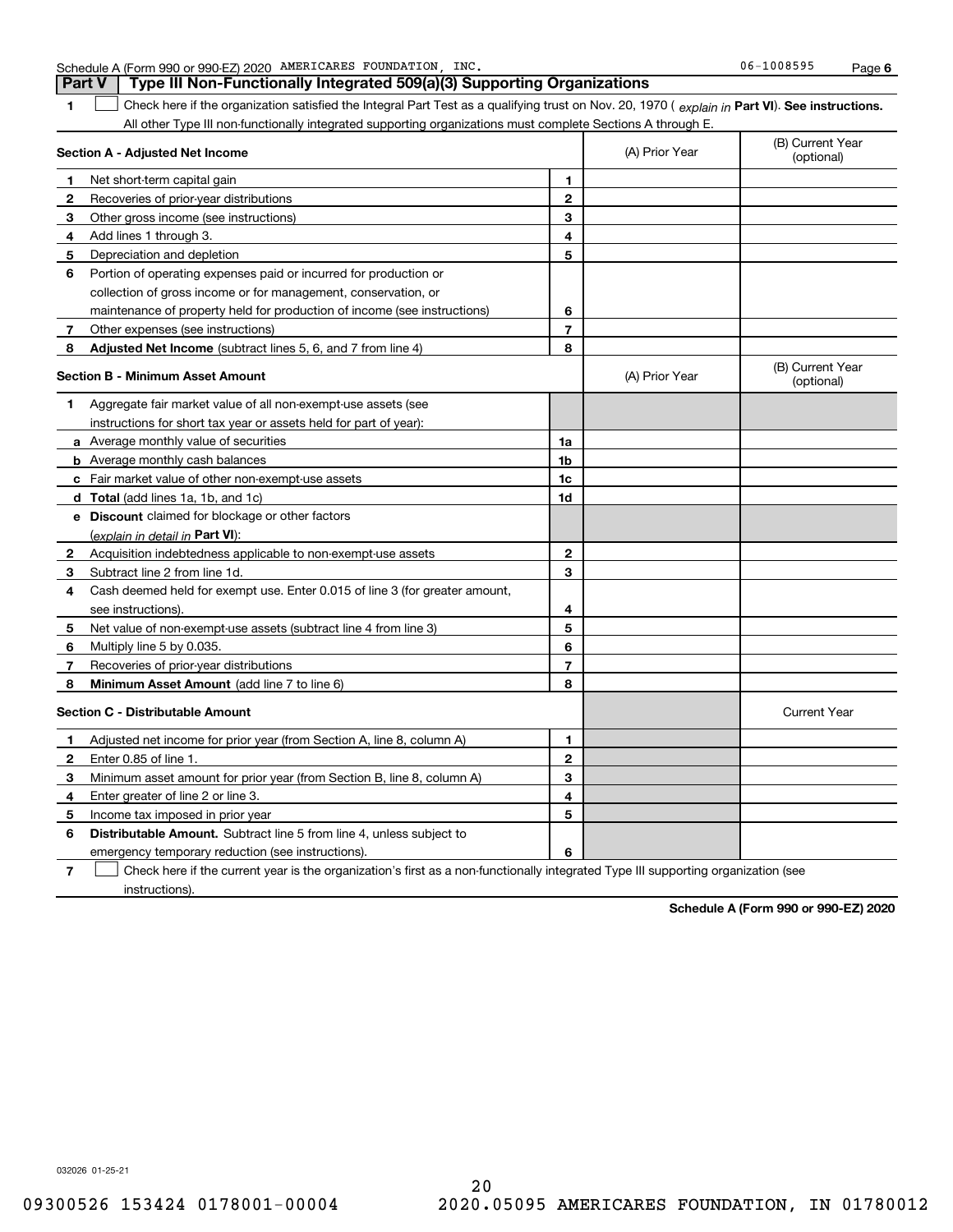| Schedule<br>'⊢orn. | 990 or 990-EZ) 2020 | FOUNDATION<br>AMERICARES | INC | 109505<br>06<br>LUU8595 | Paɑe |  |
|--------------------|---------------------|--------------------------|-----|-------------------------|------|--|
|                    |                     |                          |     |                         |      |  |

**1Part VI** Check here if the organization satisfied the Integral Part Test as a qualifying trust on Nov. 20, 1970 ( explain in Part **VI**). See instructions. **Section A - Adjusted Net Income 12** Recoveries of prior-year distributions **3** Other gross income (see instructions) **4**Add lines 1 through 3. **56** Portion of operating expenses paid or incurred for production or **7** Other expenses (see instructions) **8** Adjusted Net Income (subtract lines 5, 6, and 7 from line 4) **8 8 1234567Section B - Minimum Asset Amount 1**Aggregate fair market value of all non-exempt-use assets (see **2**Acquisition indebtedness applicable to non-exempt-use assets **3** Subtract line 2 from line 1d. **4**Cash deemed held for exempt use. Enter 0.015 of line 3 (for greater amount, **5** Net value of non-exempt-use assets (subtract line 4 from line 3) **678a** Average monthly value of securities **b** Average monthly cash balances **c**Fair market value of other non-exempt-use assets **dTotal**  (add lines 1a, 1b, and 1c) **eDiscount** claimed for blockage or other factors **1a1b1c1d2345678**(explain in detail in Part VI): **Minimum Asset Amount**  (add line 7 to line 6) **Section C - Distributable Amount 12**Enter 0.85 of line 1. **3456123456Distributable Amount.** Subtract line 5 from line 4, unless subject to All other Type III non-functionally integrated supporting organizations must complete Sections A through E. (B) Current Year (optional)(A) Prior Year Net short-term capital gain Depreciation and depletion collection of gross income or for management, conservation, or maintenance of property held for production of income (see instructions) (B) Current Year (optional)(A) Prior Year instructions for short tax year or assets held for part of year): see instructions). Multiply line 5 by 0.035. Recoveries of prior-year distributions Current Year Adjusted net income for prior year (from Section A, line 8, column A) Minimum asset amount for prior year (from Section B, line 8, column A) Enter greater of line 2 or line 3. Income tax imposed in prior year emergency temporary reduction (see instructions). **Part V Type III Non-Functionally Integrated 509(a)(3) Supporting Organizations**   $\mathcal{L}^{\text{max}}$ 

**7**Check here if the current year is the organization's first as a non-functionally integrated Type III supporting organization (see instructions). $\mathcal{L}^{\text{max}}$ 

**Schedule A (Form 990 or 990-EZ) 2020**

032026 01-25-21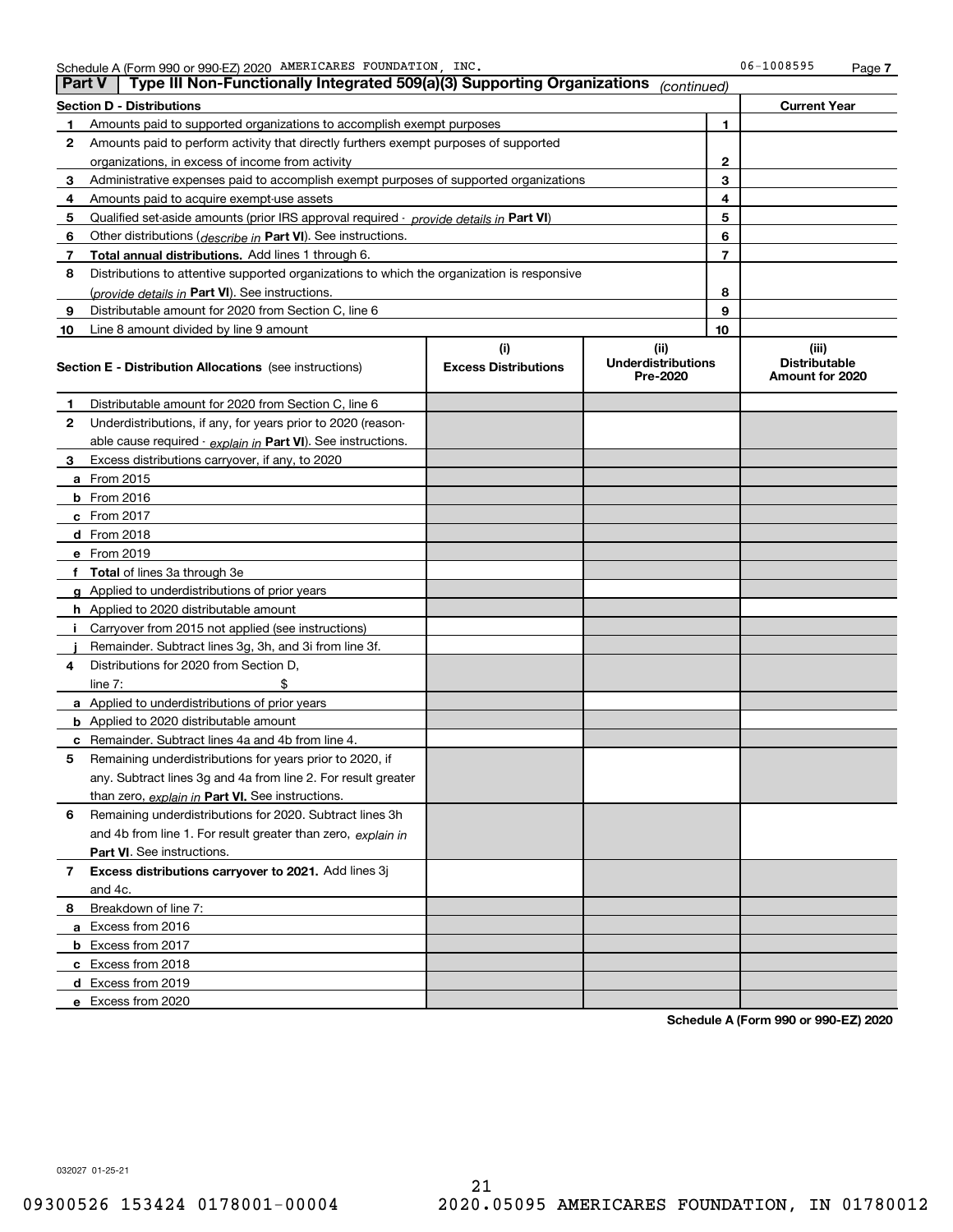|    | Type III Non-Functionally Integrated 509(a)(3) Supporting Organizations<br><b>Part V</b><br>(continued) |                                    |                                               |    |                                                  |  |  |  |
|----|---------------------------------------------------------------------------------------------------------|------------------------------------|-----------------------------------------------|----|--------------------------------------------------|--|--|--|
|    | <b>Section D - Distributions</b><br><b>Current Year</b>                                                 |                                    |                                               |    |                                                  |  |  |  |
| 1  | Amounts paid to supported organizations to accomplish exempt purposes                                   |                                    | 1                                             |    |                                                  |  |  |  |
| 2  | Amounts paid to perform activity that directly furthers exempt purposes of supported                    |                                    |                                               |    |                                                  |  |  |  |
|    | organizations, in excess of income from activity                                                        |                                    | $\mathbf{2}$                                  |    |                                                  |  |  |  |
| 3  | Administrative expenses paid to accomplish exempt purposes of supported organizations                   |                                    | 3                                             |    |                                                  |  |  |  |
| 4  | Amounts paid to acquire exempt-use assets                                                               |                                    |                                               | 4  |                                                  |  |  |  |
| 5  | Qualified set-aside amounts (prior IRS approval required - provide details in Part VI)                  |                                    |                                               | 5  |                                                  |  |  |  |
| 6  | Other distributions ( <i>describe in</i> Part VI). See instructions.                                    |                                    |                                               | 6  |                                                  |  |  |  |
| 7  | Total annual distributions. Add lines 1 through 6.                                                      |                                    |                                               | 7  |                                                  |  |  |  |
| 8  | Distributions to attentive supported organizations to which the organization is responsive              |                                    |                                               |    |                                                  |  |  |  |
|    | (provide details in Part VI). See instructions.                                                         |                                    |                                               | 8  |                                                  |  |  |  |
| 9  | Distributable amount for 2020 from Section C, line 6                                                    |                                    |                                               | 9  |                                                  |  |  |  |
| 10 | Line 8 amount divided by line 9 amount                                                                  |                                    |                                               | 10 |                                                  |  |  |  |
|    | <b>Section E - Distribution Allocations</b> (see instructions)                                          | (i)<br><b>Excess Distributions</b> | (ii)<br><b>Underdistributions</b><br>Pre-2020 |    | (iii)<br><b>Distributable</b><br>Amount for 2020 |  |  |  |
| 1  | Distributable amount for 2020 from Section C, line 6                                                    |                                    |                                               |    |                                                  |  |  |  |
| 2  | Underdistributions, if any, for years prior to 2020 (reason-                                            |                                    |                                               |    |                                                  |  |  |  |
|    | able cause required - explain in Part VI). See instructions.                                            |                                    |                                               |    |                                                  |  |  |  |
| 3  | Excess distributions carryover, if any, to 2020                                                         |                                    |                                               |    |                                                  |  |  |  |
|    | a From 2015                                                                                             |                                    |                                               |    |                                                  |  |  |  |
|    | <b>b</b> From 2016                                                                                      |                                    |                                               |    |                                                  |  |  |  |
|    | $c$ From 2017                                                                                           |                                    |                                               |    |                                                  |  |  |  |
|    | d From 2018                                                                                             |                                    |                                               |    |                                                  |  |  |  |
|    | e From 2019                                                                                             |                                    |                                               |    |                                                  |  |  |  |
|    | f Total of lines 3a through 3e                                                                          |                                    |                                               |    |                                                  |  |  |  |
|    | g Applied to underdistributions of prior years                                                          |                                    |                                               |    |                                                  |  |  |  |
|    | <b>h</b> Applied to 2020 distributable amount                                                           |                                    |                                               |    |                                                  |  |  |  |
|    | Carryover from 2015 not applied (see instructions)                                                      |                                    |                                               |    |                                                  |  |  |  |
|    | Remainder. Subtract lines 3g, 3h, and 3i from line 3f.                                                  |                                    |                                               |    |                                                  |  |  |  |
| 4  | Distributions for 2020 from Section D,                                                                  |                                    |                                               |    |                                                  |  |  |  |
|    | line $7:$                                                                                               |                                    |                                               |    |                                                  |  |  |  |
|    | a Applied to underdistributions of prior years                                                          |                                    |                                               |    |                                                  |  |  |  |
|    | <b>b</b> Applied to 2020 distributable amount                                                           |                                    |                                               |    |                                                  |  |  |  |
|    | c Remainder. Subtract lines 4a and 4b from line 4.                                                      |                                    |                                               |    |                                                  |  |  |  |
| 5. | Remaining underdistributions for years prior to 2020, if                                                |                                    |                                               |    |                                                  |  |  |  |
|    | any. Subtract lines 3g and 4a from line 2. For result greater                                           |                                    |                                               |    |                                                  |  |  |  |
|    | than zero, explain in Part VI. See instructions.                                                        |                                    |                                               |    |                                                  |  |  |  |
| 6  | Remaining underdistributions for 2020. Subtract lines 3h                                                |                                    |                                               |    |                                                  |  |  |  |
|    | and 4b from line 1. For result greater than zero, explain in                                            |                                    |                                               |    |                                                  |  |  |  |
|    | Part VI. See instructions.                                                                              |                                    |                                               |    |                                                  |  |  |  |
| 7  | Excess distributions carryover to 2021. Add lines 3j                                                    |                                    |                                               |    |                                                  |  |  |  |
|    | and 4c.                                                                                                 |                                    |                                               |    |                                                  |  |  |  |
| 8  | Breakdown of line 7:                                                                                    |                                    |                                               |    |                                                  |  |  |  |
|    | a Excess from 2016                                                                                      |                                    |                                               |    |                                                  |  |  |  |
|    | <b>b</b> Excess from 2017                                                                               |                                    |                                               |    |                                                  |  |  |  |
|    | c Excess from 2018                                                                                      |                                    |                                               |    |                                                  |  |  |  |
|    | d Excess from 2019                                                                                      |                                    |                                               |    |                                                  |  |  |  |
|    | e Excess from 2020                                                                                      |                                    |                                               |    |                                                  |  |  |  |

**Schedule A (Form 990 or 990-EZ) 2020**

032027 01-25-21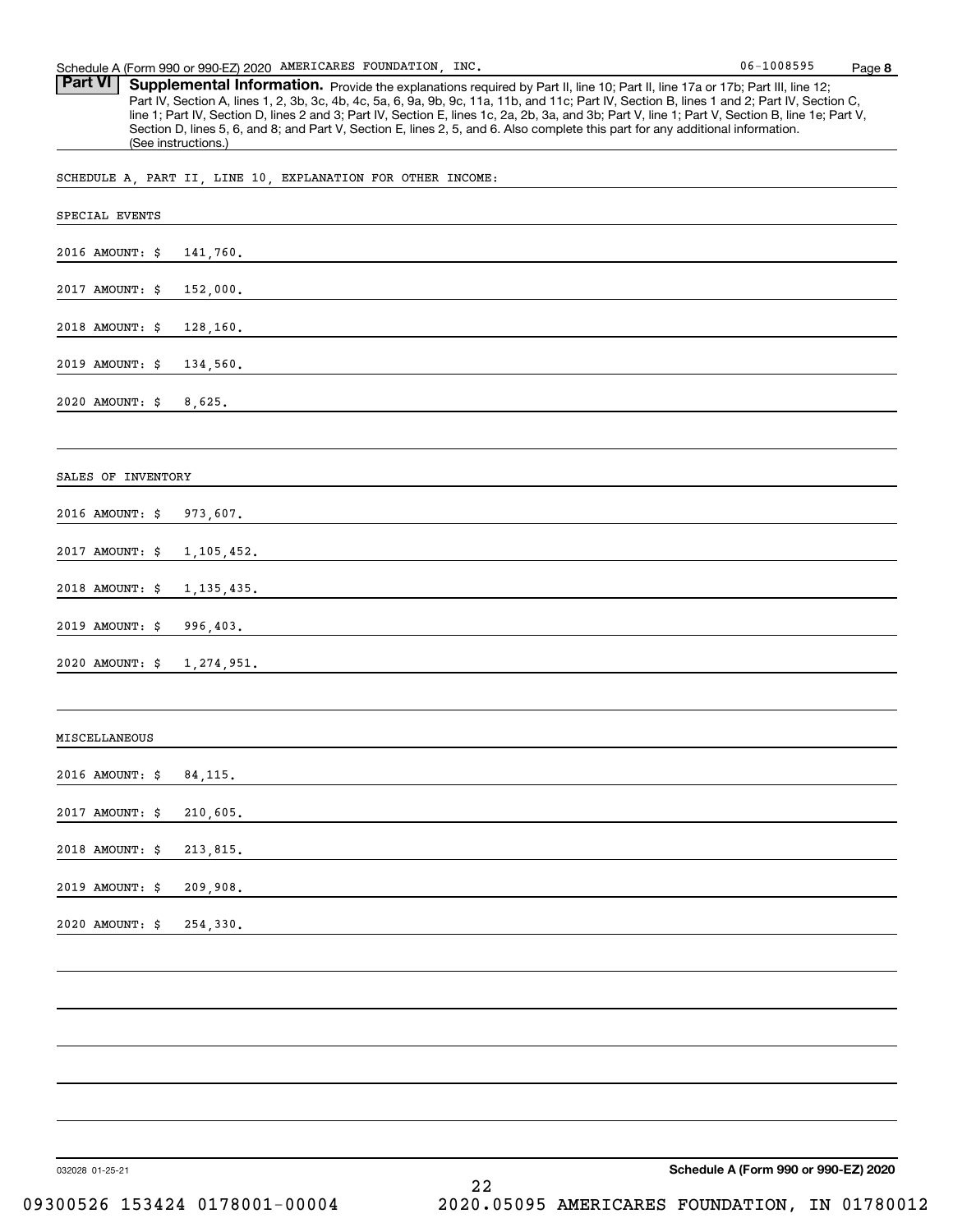Part VI | Supplemental Information. Provide the explanations required by Part II, line 10; Part II, line 17a or 17b; Part III, line 12; Part IV, Section A, lines 1, 2, 3b, 3c, 4b, 4c, 5a, 6, 9a, 9b, 9c, 11a, 11b, and 11c; Part IV, Section B, lines 1 and 2; Part IV, Section C, line 1; Part IV, Section D, lines 2 and 3; Part IV, Section E, lines 1c, 2a, 2b, 3a, and 3b; Part V, line 1; Part V, Section B, line 1e; Part V, Section D, lines 5, 6, and 8; and Part V, Section E, lines 2, 5, and 6. Also complete this part for any additional information. (See instructions.)

SCHEDULE A, PART II, LINE 10, EXPLANATION FOR OTHER INCOME:

| SPECIAL EVENTS           |                                                                                                                       |                                      |
|--------------------------|-----------------------------------------------------------------------------------------------------------------------|--------------------------------------|
|                          | 2016 AMOUNT: \$ 141,760.                                                                                              |                                      |
|                          | 2017 AMOUNT: \$ 152,000.                                                                                              |                                      |
| 2018 AMOUNT: \$ 128,160. | <u> 1989 - Johann Stein, marwolaethau a bhann an t-Amhair Aonaichte ann an t-Amhair Aonaichte ann an t-Amhair Aon</u> |                                      |
|                          | 2019 AMOUNT: \$ 134,560.                                                                                              |                                      |
| 2020 AMOUNT: \$ 8,625.   |                                                                                                                       |                                      |
|                          |                                                                                                                       |                                      |
| SALES OF INVENTORY       |                                                                                                                       |                                      |
|                          | 2016 AMOUNT: \$ 973,607.                                                                                              |                                      |
|                          | 2017 AMOUNT: \$ 1,105,452.                                                                                            |                                      |
|                          | 2018 AMOUNT: \$ 1,135,435.                                                                                            |                                      |
|                          | 2019 AMOUNT: \$996,403.                                                                                               |                                      |
|                          | 2020 AMOUNT: $\frac{2020}{1}$ , 274, 951.                                                                             |                                      |
|                          |                                                                                                                       |                                      |
| MISCELLANEOUS            |                                                                                                                       |                                      |
|                          | 2016 AMOUNT: $\frac{2016}{100}$ AMOUNT: $\frac{64}{115}$ .                                                            |                                      |
|                          | 2017 AMOUNT: \$210,605.                                                                                               |                                      |
|                          | 2018 AMOUNT: \$213,815.                                                                                               |                                      |
| 2019 AMOUNT: \$          | 209,908.                                                                                                              |                                      |
| 2020 AMOUNT: $\sharp$    | 254,330.                                                                                                              |                                      |
|                          |                                                                                                                       |                                      |
|                          |                                                                                                                       |                                      |
|                          |                                                                                                                       |                                      |
|                          |                                                                                                                       |                                      |
|                          |                                                                                                                       |                                      |
|                          |                                                                                                                       |                                      |
| 032028 01-25-21          | 22                                                                                                                    | Schedule A (Form 990 or 990-EZ) 2020 |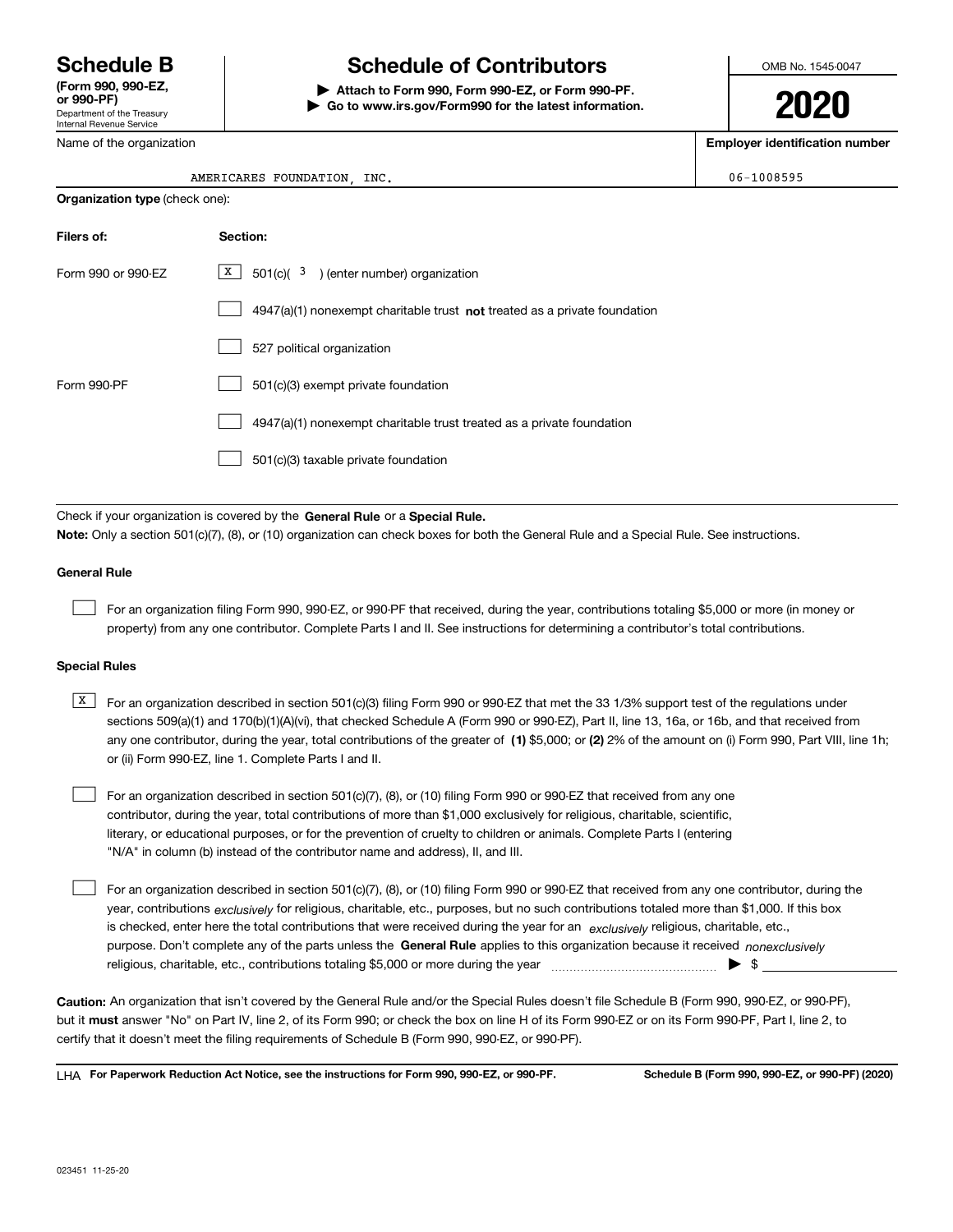Department of the Treasury Internal Revenue Service **(Form 990, 990-EZ, or 990-PF)**

Name of the organization

# **Schedule B Schedule of Contributors**

**| Attach to Form 990, Form 990-EZ, or Form 990-PF. | Go to www.irs.gov/Form990 for the latest information.** OMB No. 1545-0047

# **2020**

**Employer identification number**

#### AMERICARES FOUNDATION INC.  $06-1008595$

| <b>Organization type (check one):</b> |                                                                                    |  |  |  |  |  |
|---------------------------------------|------------------------------------------------------------------------------------|--|--|--|--|--|
| Filers of:                            | Section:                                                                           |  |  |  |  |  |
| Form 990 or 990-EZ                    | $X \mid$<br>$501(c)(3)$ (enter number) organization                                |  |  |  |  |  |
|                                       | $4947(a)(1)$ nonexempt charitable trust <b>not</b> treated as a private foundation |  |  |  |  |  |
|                                       | 527 political organization                                                         |  |  |  |  |  |
| Form 990-PF                           | 501(c)(3) exempt private foundation                                                |  |  |  |  |  |
|                                       | 4947(a)(1) nonexempt charitable trust treated as a private foundation              |  |  |  |  |  |
|                                       | 501(c)(3) taxable private foundation                                               |  |  |  |  |  |
|                                       |                                                                                    |  |  |  |  |  |

Check if your organization is covered by the **General Rule** or a **Special Rule. Note:**  Only a section 501(c)(7), (8), or (10) organization can check boxes for both the General Rule and a Special Rule. See instructions.

### **General Rule**

 $\mathcal{L}^{\text{max}}$ 

For an organization filing Form 990, 990-EZ, or 990-PF that received, during the year, contributions totaling \$5,000 or more (in money or property) from any one contributor. Complete Parts I and II. See instructions for determining a contributor's total contributions.

#### **Special Rules**

- any one contributor, during the year, total contributions of the greater of  $\,$  (1) \$5,000; or **(2)** 2% of the amount on (i) Form 990, Part VIII, line 1h;  $\overline{X}$  For an organization described in section 501(c)(3) filing Form 990 or 990-EZ that met the 33 1/3% support test of the regulations under sections 509(a)(1) and 170(b)(1)(A)(vi), that checked Schedule A (Form 990 or 990-EZ), Part II, line 13, 16a, or 16b, and that received from or (ii) Form 990-EZ, line 1. Complete Parts I and II.
- For an organization described in section 501(c)(7), (8), or (10) filing Form 990 or 990-EZ that received from any one contributor, during the year, total contributions of more than \$1,000 exclusively for religious, charitable, scientific, literary, or educational purposes, or for the prevention of cruelty to children or animals. Complete Parts I (entering "N/A" in column (b) instead of the contributor name and address), II, and III.  $\mathcal{L}^{\text{max}}$

purpose. Don't complete any of the parts unless the **General Rule** applies to this organization because it received *nonexclusively* year, contributions <sub>exclusively</sub> for religious, charitable, etc., purposes, but no such contributions totaled more than \$1,000. If this box is checked, enter here the total contributions that were received during the year for an  $\;$ exclusively religious, charitable, etc., For an organization described in section 501(c)(7), (8), or (10) filing Form 990 or 990-EZ that received from any one contributor, during the religious, charitable, etc., contributions totaling \$5,000 or more during the year  $\Box$ — $\Box$   $\Box$  $\mathcal{L}^{\text{max}}$ 

**Caution:**  An organization that isn't covered by the General Rule and/or the Special Rules doesn't file Schedule B (Form 990, 990-EZ, or 990-PF),  **must** but it answer "No" on Part IV, line 2, of its Form 990; or check the box on line H of its Form 990-EZ or on its Form 990-PF, Part I, line 2, to certify that it doesn't meet the filing requirements of Schedule B (Form 990, 990-EZ, or 990-PF).

**For Paperwork Reduction Act Notice, see the instructions for Form 990, 990-EZ, or 990-PF. Schedule B (Form 990, 990-EZ, or 990-PF) (2020)** LHA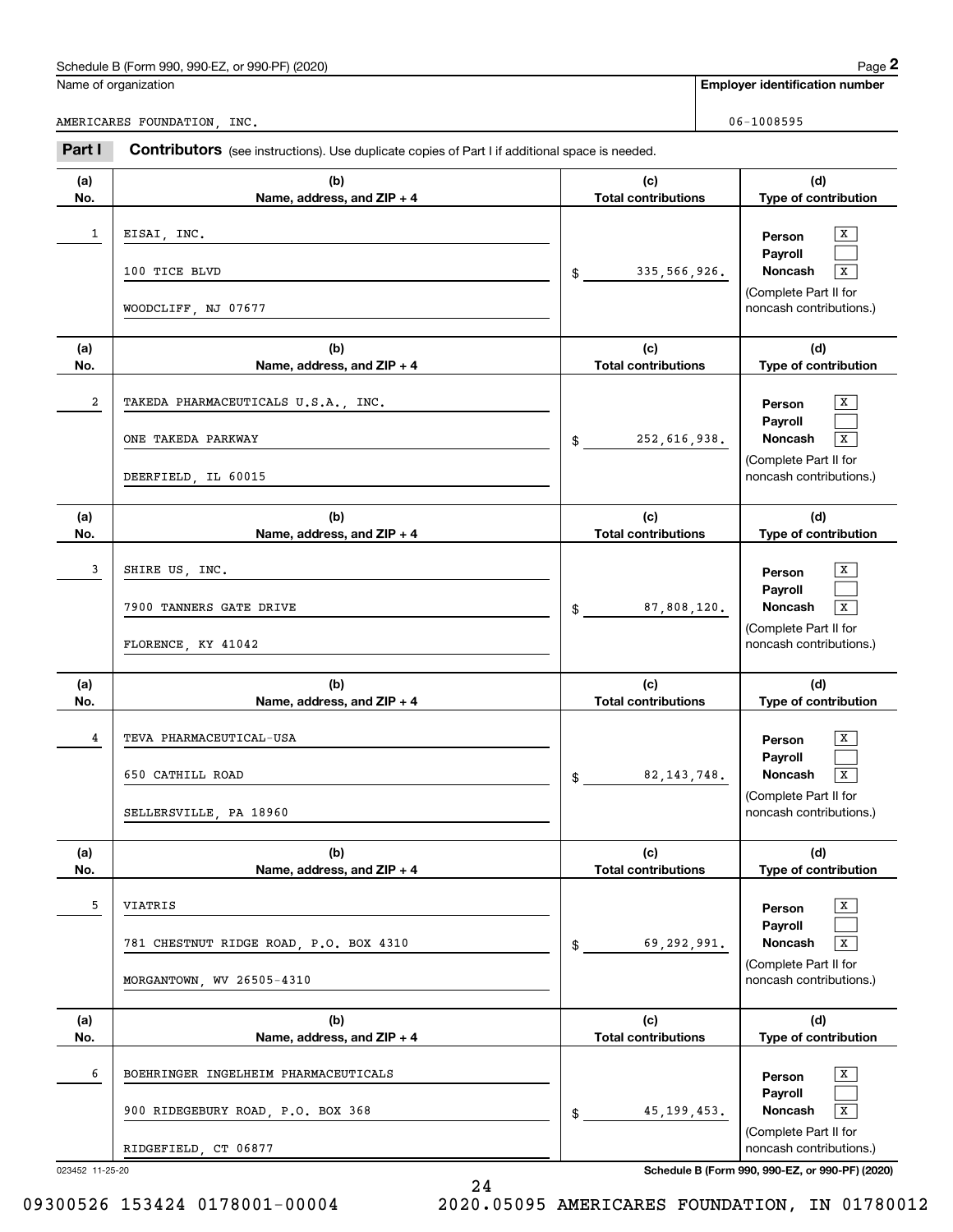|              | Schedule B (Form 990, 990-EZ, or 990-PF) (2020)                                                       |                                   | Page 2                                                                                                           |
|--------------|-------------------------------------------------------------------------------------------------------|-----------------------------------|------------------------------------------------------------------------------------------------------------------|
|              | Name of organization                                                                                  |                                   | <b>Employer identification number</b>                                                                            |
|              | AMERICARES FOUNDATION, INC.                                                                           |                                   | 06-1008595                                                                                                       |
| Part I       | <b>Contributors</b> (see instructions). Use duplicate copies of Part I if additional space is needed. |                                   |                                                                                                                  |
| (a)<br>No.   | (b)<br>Name, address, and ZIP + 4                                                                     | (c)<br><b>Total contributions</b> | (d)<br>Type of contribution                                                                                      |
| $\mathbf{1}$ | EISAI, INC.<br>100 TICE BLVD<br>WOODCLIFF, NJ 07677                                                   | 335,566,926.<br>\$                | x<br>Person<br>Payroll<br>Noncash<br>x<br>(Complete Part II for<br>noncash contributions.)                       |
| (a)<br>No.   | (b)<br>Name, address, and ZIP + 4                                                                     | (c)<br><b>Total contributions</b> | (d)<br>Type of contribution                                                                                      |
| 2            | TAKEDA PHARMACEUTICALS U.S.A., INC.<br>ONE TAKEDA PARKWAY<br>DEERFIELD, IL 60015                      | 252,616,938.<br>\$                | x<br>Person<br>Payroll<br>Noncash<br>x<br>(Complete Part II for<br>noncash contributions.)                       |
| (a)<br>No.   | (b)<br>Name, address, and ZIP + 4                                                                     | (c)<br><b>Total contributions</b> | (d)<br>Type of contribution                                                                                      |
| 3            | SHIRE US, INC.<br>7900 TANNERS GATE DRIVE<br>FLORENCE, KY 41042                                       | 87,808,120.<br>\$                 | x<br>Person<br>Payroll<br><b>Noncash</b><br>$\mathbf{x}$<br>(Complete Part II for<br>noncash contributions.)     |
| (a)<br>No.   | (b)<br>Name, address, and ZIP + 4                                                                     | (c)<br><b>Total contributions</b> | (d)<br>Type of contribution                                                                                      |
| 4            | TEVA PHARMACEUTICAL-USA<br>650 CATHILL ROAD<br>SELLERSVILLE, PA 18960                                 | 82, 143, 748.<br>\$               | X<br>Person<br>Payroll<br>Noncash<br>х<br>(Complete Part II for<br>noncash contributions.)                       |
| (a)<br>No.   | (b)<br>Name, address, and ZIP + 4                                                                     | (c)<br><b>Total contributions</b> | (d)<br>Type of contribution                                                                                      |
| 5            | VIATRIS<br>781 CHESTNUT RIDGE ROAD, P.O. BOX 4310<br>MORGANTOWN, WV 26505-4310                        | 69,292,991.<br>\$                 | x<br>Person<br>Payroll<br>Noncash<br>$\overline{\mathbf{x}}$<br>(Complete Part II for<br>noncash contributions.) |
| (a)<br>No.   | (b)<br>Name, address, and ZIP + 4                                                                     | (c)<br><b>Total contributions</b> | (d)<br>Type of contribution                                                                                      |
| 6            | BOEHRINGER INGELHEIM PHARMACEUTICALS<br>900 RIDEGEBURY ROAD, P.O. BOX 368<br>RIDGEFIELD, CT 06877     | 45, 199, 453.<br>\$               | x<br>Person<br>Payroll<br>Noncash<br>$\overline{\textbf{X}}$<br>(Complete Part II for<br>noncash contributions.) |

023452 11-25-20 **Schedule B (Form 990, 990-EZ, or 990-PF) (2020)**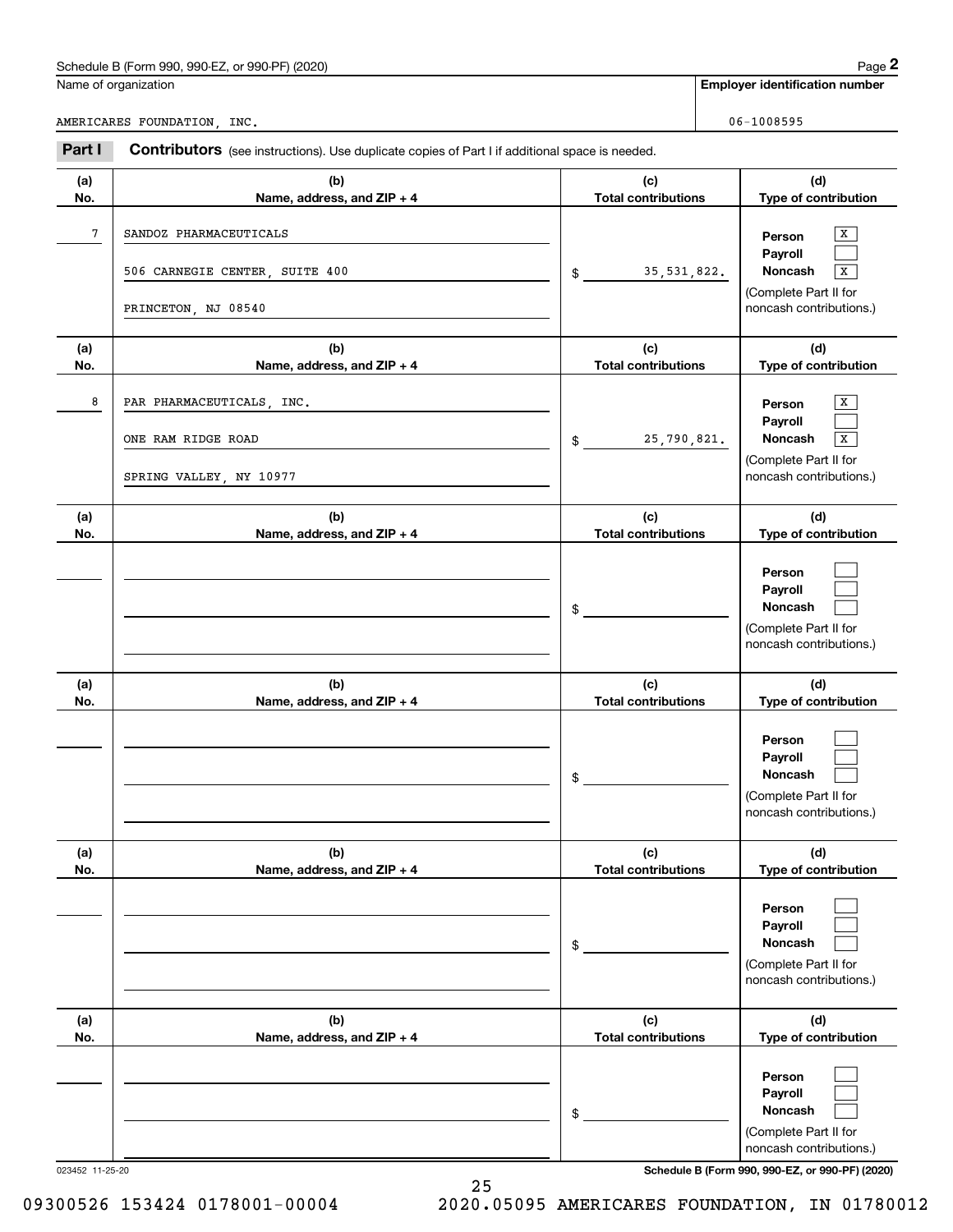|            | Schedule B (Form 990, 990-EZ, or 990-PF) (2020)                                                       |                                   | Page 2                                                                                     |
|------------|-------------------------------------------------------------------------------------------------------|-----------------------------------|--------------------------------------------------------------------------------------------|
|            | Name of organization                                                                                  |                                   | Employer identification number                                                             |
|            | AMERICARES FOUNDATION, INC.                                                                           |                                   | 06-1008595                                                                                 |
| Part I     | <b>Contributors</b> (see instructions). Use duplicate copies of Part I if additional space is needed. |                                   |                                                                                            |
| (a)<br>No. | (b)<br>Name, address, and ZIP + 4                                                                     | (c)<br><b>Total contributions</b> | (d)<br>Type of contribution                                                                |
| 7          | SANDOZ PHARMACEUTICALS<br>506 CARNEGIE CENTER, SUITE 400<br>PRINCETON, NJ 08540                       | 35, 531, 822.<br>\$               | х<br>Person<br>Payroll<br>Noncash<br>X<br>(Complete Part II for<br>noncash contributions.) |
| (a)<br>No. | (b)<br>Name, address, and ZIP + 4                                                                     | (c)<br><b>Total contributions</b> | (d)<br>Type of contribution                                                                |
| 8          | PAR PHARMACEUTICALS, INC.<br>ONE RAM RIDGE ROAD<br>SPRING VALLEY, NY 10977                            | 25,790,821.<br>\$                 | x<br>Person<br>Payroll<br>Noncash<br>x<br>(Complete Part II for<br>noncash contributions.) |
| (a)<br>No. | (b)<br>Name, address, and ZIP + 4                                                                     | (c)<br><b>Total contributions</b> | (d)<br>Type of contribution                                                                |
|            |                                                                                                       | \$                                | Person<br>Payroll<br>Noncash<br>(Complete Part II for<br>noncash contributions.)           |
| (a)<br>No. | (b)<br>Name, address, and ZIP + 4                                                                     | (c)<br><b>Total contributions</b> | (d)<br>Type of contribution                                                                |
|            |                                                                                                       | \$                                | Person<br>Payroll<br>Noncash<br>(Complete Part II for<br>noncash contributions.)           |
| (a)<br>No. | (b)<br>Name, address, and ZIP + 4                                                                     | (c)<br><b>Total contributions</b> | (d)<br>Type of contribution                                                                |
|            |                                                                                                       | \$                                | Person<br>Payroll<br>Noncash<br>(Complete Part II for<br>noncash contributions.)           |
| (a)<br>No. | (b)<br>Name, address, and ZIP + 4                                                                     | (c)<br><b>Total contributions</b> | (d)<br>Type of contribution                                                                |
|            |                                                                                                       | \$                                | Person<br>Payroll<br>Noncash<br>(Complete Part II for<br>noncash contributions.)           |

023452 11-25-20 **Schedule B (Form 990, 990-EZ, or 990-PF) (2020)**

25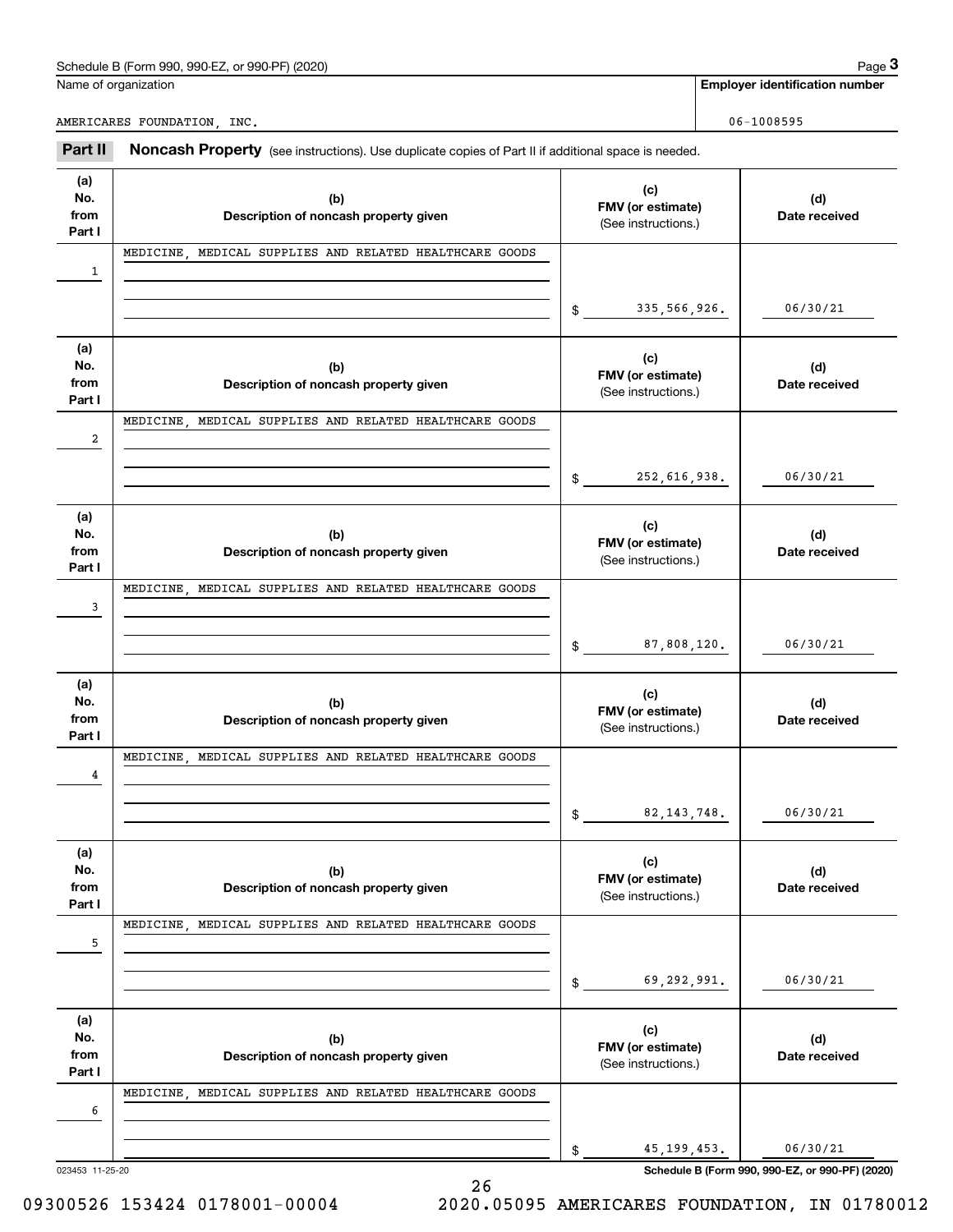|                              | Schedule B (Form 990, 990-EZ, or 990-PF) (2020)                                                     |                                                 | Page 3                                |
|------------------------------|-----------------------------------------------------------------------------------------------------|-------------------------------------------------|---------------------------------------|
|                              | Name of organization                                                                                |                                                 | <b>Employer identification number</b> |
|                              | AMERICARES FOUNDATION, INC.                                                                         |                                                 | $06 - 1008595$                        |
| Part II                      | Noncash Property (see instructions). Use duplicate copies of Part II if additional space is needed. |                                                 |                                       |
| (a)<br>No.<br>from<br>Part I | (b)<br>Description of noncash property given                                                        | (c)<br>FMV (or estimate)<br>(See instructions.) | (d)<br>Date received                  |
| 1                            | MEDICINE, MEDICAL SUPPLIES AND RELATED HEALTHCARE GOODS                                             |                                                 |                                       |
|                              |                                                                                                     | 335,566,926.<br>$\frac{1}{2}$                   | 06/30/21                              |
| (a)<br>No.<br>from<br>Part I | (b)<br>Description of noncash property given                                                        | (c)<br>FMV (or estimate)<br>(See instructions.) | (d)<br>Date received                  |
| 2                            | MEDICINE, MEDICAL SUPPLIES AND RELATED HEALTHCARE GOODS                                             |                                                 |                                       |
|                              |                                                                                                     | 252,616,938.<br>\$                              | 06/30/21                              |
| (a)<br>No.<br>from<br>Part I | (b)<br>Description of noncash property given                                                        | (c)<br>FMV (or estimate)<br>(See instructions.) | (d)<br>Date received                  |
| 3                            | MEDICINE, MEDICAL SUPPLIES AND RELATED HEALTHCARE GOODS                                             |                                                 |                                       |
|                              |                                                                                                     | 87,808,120.<br>$\mathsf{\$}$                    | 06/30/21                              |
| (a)<br>No.<br>from<br>Part I | (b)<br>Description of noncash property given                                                        | (c)<br>FMV (or estimate)<br>(See instructions.) | (d)<br>Date received                  |
| 4                            | MEDICINE, MEDICAL SUPPLIES AND RELATED HEALTHCARE GOODS                                             |                                                 |                                       |
|                              |                                                                                                     | 82, 143, 748.<br>\$                             | 06/30/21                              |
| (a)<br>No.<br>from<br>Part I | (b)<br>Description of noncash property given                                                        | (c)<br>FMV (or estimate)<br>(See instructions.) | (d)<br>Date received                  |
| 5                            | MEDICINE, MEDICAL SUPPLIES AND RELATED HEALTHCARE GOODS                                             |                                                 |                                       |
|                              |                                                                                                     | 69,292,991.<br>\$                               | 06/30/21                              |
| (a)<br>No.<br>from<br>Part I | (b)<br>Description of noncash property given                                                        | (c)<br>FMV (or estimate)<br>(See instructions.) | (d)<br>Date received                  |
| 6                            | MEDICINE, MEDICAL SUPPLIES AND RELATED HEALTHCARE GOODS                                             |                                                 |                                       |
|                              |                                                                                                     | 45, 199, 453.<br>\$                             | 06/30/21                              |

26

023453 11-25-20 **Schedule B (Form 990, 990-EZ, or 990-PF) (2020)**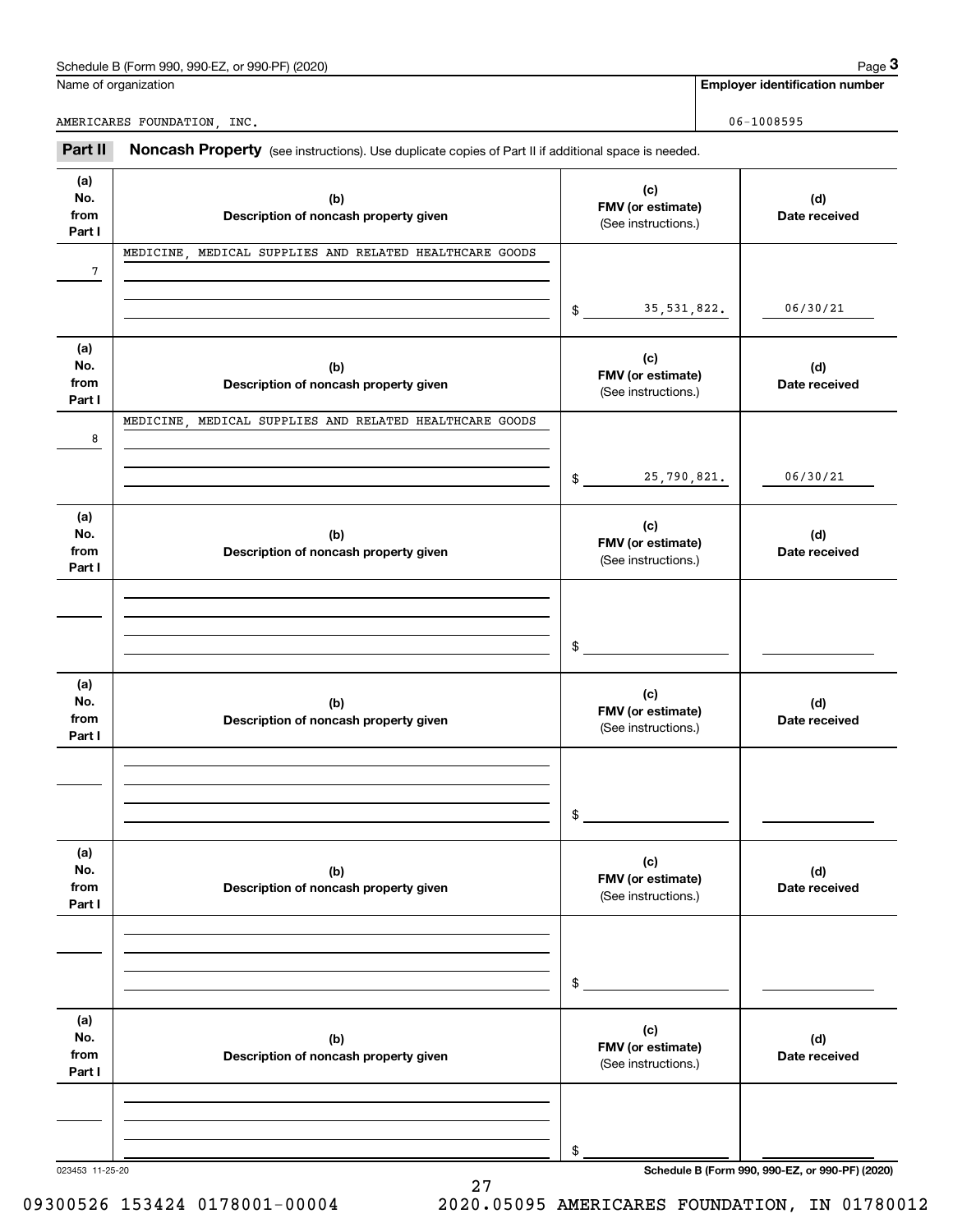|                                                         |                                                                                        | Page 3                                                                                                                                                                                                                                                                                                                                                                                                            |
|---------------------------------------------------------|----------------------------------------------------------------------------------------|-------------------------------------------------------------------------------------------------------------------------------------------------------------------------------------------------------------------------------------------------------------------------------------------------------------------------------------------------------------------------------------------------------------------|
| Name of organization                                    |                                                                                        | <b>Employer identification number</b>                                                                                                                                                                                                                                                                                                                                                                             |
|                                                         |                                                                                        | $06 - 1008595$                                                                                                                                                                                                                                                                                                                                                                                                    |
|                                                         |                                                                                        |                                                                                                                                                                                                                                                                                                                                                                                                                   |
| (b)<br>Description of noncash property given            | (c)                                                                                    | (d)<br>Date received                                                                                                                                                                                                                                                                                                                                                                                              |
|                                                         |                                                                                        |                                                                                                                                                                                                                                                                                                                                                                                                                   |
|                                                         | \$                                                                                     | 06/30/21                                                                                                                                                                                                                                                                                                                                                                                                          |
| (b)<br>Description of noncash property given            | (c)                                                                                    | (d)<br>Date received                                                                                                                                                                                                                                                                                                                                                                                              |
| MEDICINE, MEDICAL SUPPLIES AND RELATED HEALTHCARE GOODS |                                                                                        |                                                                                                                                                                                                                                                                                                                                                                                                                   |
|                                                         | \$                                                                                     | 06/30/21                                                                                                                                                                                                                                                                                                                                                                                                          |
| (b)<br>Description of noncash property given            | (c)                                                                                    | (d)<br>Date received                                                                                                                                                                                                                                                                                                                                                                                              |
|                                                         | \$                                                                                     |                                                                                                                                                                                                                                                                                                                                                                                                                   |
| (b)<br>Description of noncash property given            | (c)                                                                                    | (d)<br>Date received                                                                                                                                                                                                                                                                                                                                                                                              |
|                                                         | \$                                                                                     |                                                                                                                                                                                                                                                                                                                                                                                                                   |
| (b)<br>Description of noncash property given            | (c)                                                                                    | (d)<br>Date received                                                                                                                                                                                                                                                                                                                                                                                              |
|                                                         | \$                                                                                     |                                                                                                                                                                                                                                                                                                                                                                                                                   |
| (b)<br>Description of noncash property given            | (c)                                                                                    | (d)<br>Date received                                                                                                                                                                                                                                                                                                                                                                                              |
|                                                         |                                                                                        |                                                                                                                                                                                                                                                                                                                                                                                                                   |
|                                                         | AMERICARES FOUNDATION, INC.<br>MEDICINE, MEDICAL SUPPLIES AND RELATED HEALTHCARE GOODS | \$<br>Noncash Property (see instructions). Use duplicate copies of Part II if additional space is needed.<br>FMV (or estimate)<br>(See instructions.)<br>35, 531, 822.<br>FMV (or estimate)<br>(See instructions.)<br>25,790,821.<br>FMV (or estimate)<br>(See instructions.)<br>FMV (or estimate)<br>(See instructions.)<br>FMV (or estimate)<br>(See instructions.)<br>FMV (or estimate)<br>(See instructions.) |

09300526 153424 0178001-00004 2020.05095 AMERICARES FOUNDATION, IN 01780012

023453 11-25-20 **Schedule B (Form 990, 990-EZ, or 990-PF) (2020)**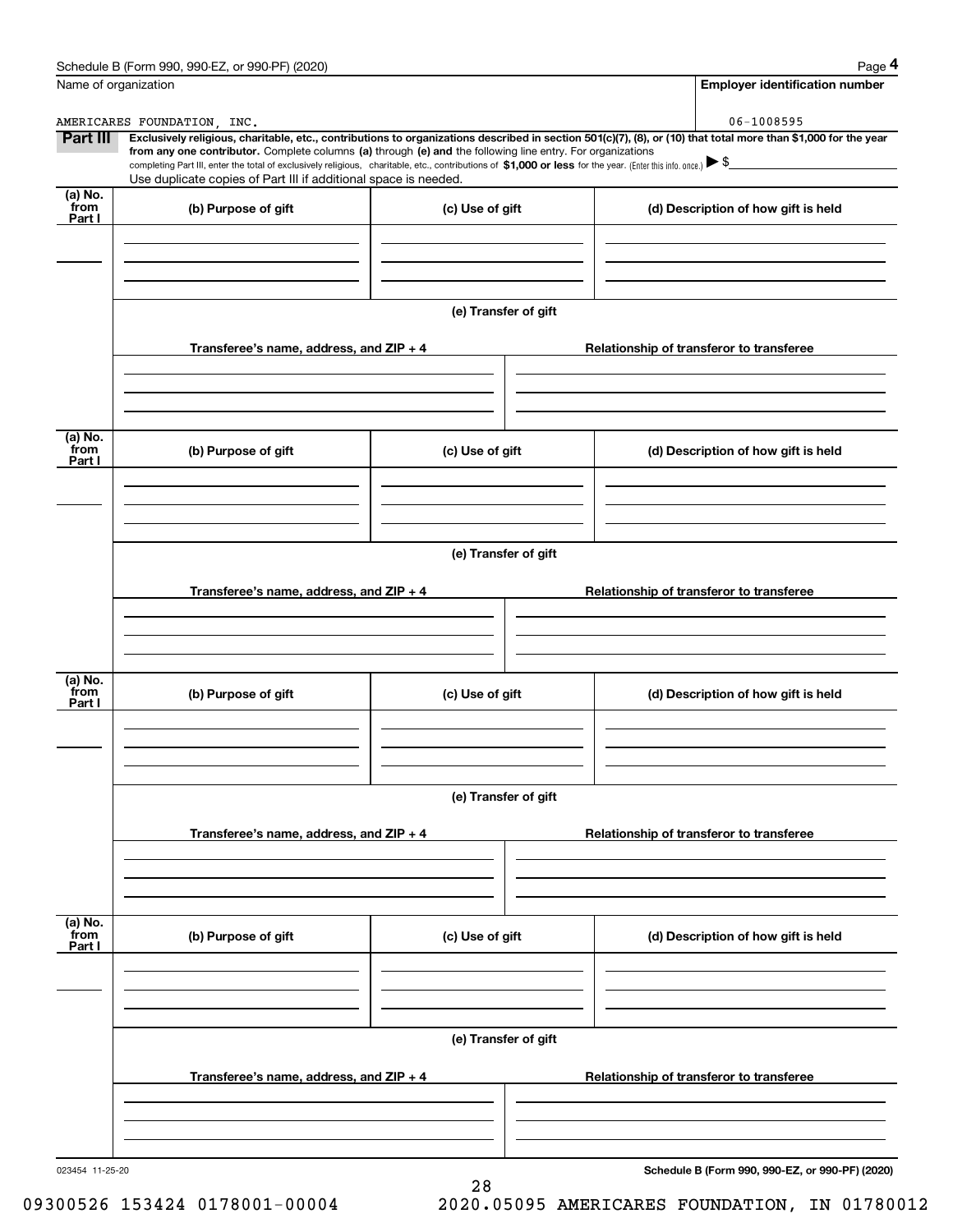|                           | Schedule B (Form 990, 990-EZ, or 990-PF) (2020)                                                                                                                                                                                                                                                           |                      |  |                                                                                                                                                                              | Page 4 |  |
|---------------------------|-----------------------------------------------------------------------------------------------------------------------------------------------------------------------------------------------------------------------------------------------------------------------------------------------------------|----------------------|--|------------------------------------------------------------------------------------------------------------------------------------------------------------------------------|--------|--|
| Name of organization      |                                                                                                                                                                                                                                                                                                           |                      |  | <b>Employer identification number</b>                                                                                                                                        |        |  |
| Part III                  | AMERICARES FOUNDATION, INC.<br>from any one contributor. Complete columns (a) through (e) and the following line entry. For organizations<br>completing Part III, enter the total of exclusively religious, charitable, etc., contributions of \$1,000 or less for the year. (Enter this info. once.) \\$ |                      |  | 06-1008595<br>Exclusively religious, charitable, etc., contributions to organizations described in section 501(c)(7), (8), or (10) that total more than \$1,000 for the year |        |  |
|                           | Use duplicate copies of Part III if additional space is needed.                                                                                                                                                                                                                                           |                      |  |                                                                                                                                                                              |        |  |
| (a) No.<br>from<br>Part I | (b) Purpose of gift                                                                                                                                                                                                                                                                                       | (c) Use of gift      |  | (d) Description of how gift is held                                                                                                                                          |        |  |
|                           |                                                                                                                                                                                                                                                                                                           |                      |  |                                                                                                                                                                              |        |  |
|                           | Transferee's name, address, and ZIP + 4                                                                                                                                                                                                                                                                   | (e) Transfer of gift |  |                                                                                                                                                                              |        |  |
|                           |                                                                                                                                                                                                                                                                                                           |                      |  | Relationship of transferor to transferee                                                                                                                                     |        |  |
| (a) No.<br>from<br>Part I | (b) Purpose of gift                                                                                                                                                                                                                                                                                       | (c) Use of gift      |  | (d) Description of how gift is held                                                                                                                                          |        |  |
|                           |                                                                                                                                                                                                                                                                                                           |                      |  |                                                                                                                                                                              |        |  |
|                           |                                                                                                                                                                                                                                                                                                           | (e) Transfer of gift |  |                                                                                                                                                                              |        |  |
|                           | Transferee's name, address, and ZIP + 4                                                                                                                                                                                                                                                                   |                      |  | Relationship of transferor to transferee                                                                                                                                     |        |  |
|                           |                                                                                                                                                                                                                                                                                                           |                      |  |                                                                                                                                                                              |        |  |
| (a) No.<br>from<br>Part I | (b) Purpose of gift                                                                                                                                                                                                                                                                                       | (c) Use of gift      |  | (d) Description of how gift is held                                                                                                                                          |        |  |
|                           |                                                                                                                                                                                                                                                                                                           |                      |  |                                                                                                                                                                              |        |  |
|                           | Transferee's name, address, and $ZIP + 4$                                                                                                                                                                                                                                                                 | (e) Transfer of gift |  | Relationship of transferor to transferee                                                                                                                                     |        |  |
|                           |                                                                                                                                                                                                                                                                                                           |                      |  |                                                                                                                                                                              |        |  |
| (a) No.<br>from<br>Part I | (b) Purpose of gift                                                                                                                                                                                                                                                                                       | (c) Use of gift      |  | (d) Description of how gift is held                                                                                                                                          |        |  |
|                           |                                                                                                                                                                                                                                                                                                           |                      |  |                                                                                                                                                                              |        |  |
|                           | (e) Transfer of gift                                                                                                                                                                                                                                                                                      |                      |  |                                                                                                                                                                              |        |  |
|                           | Transferee's name, address, and $ZIP + 4$                                                                                                                                                                                                                                                                 |                      |  | Relationship of transferor to transferee                                                                                                                                     |        |  |
|                           |                                                                                                                                                                                                                                                                                                           |                      |  |                                                                                                                                                                              |        |  |
| 023454 11-25-20           |                                                                                                                                                                                                                                                                                                           |                      |  | Schedule B (Form 990, 990-EZ, or 990-PF) (2020)                                                                                                                              |        |  |

28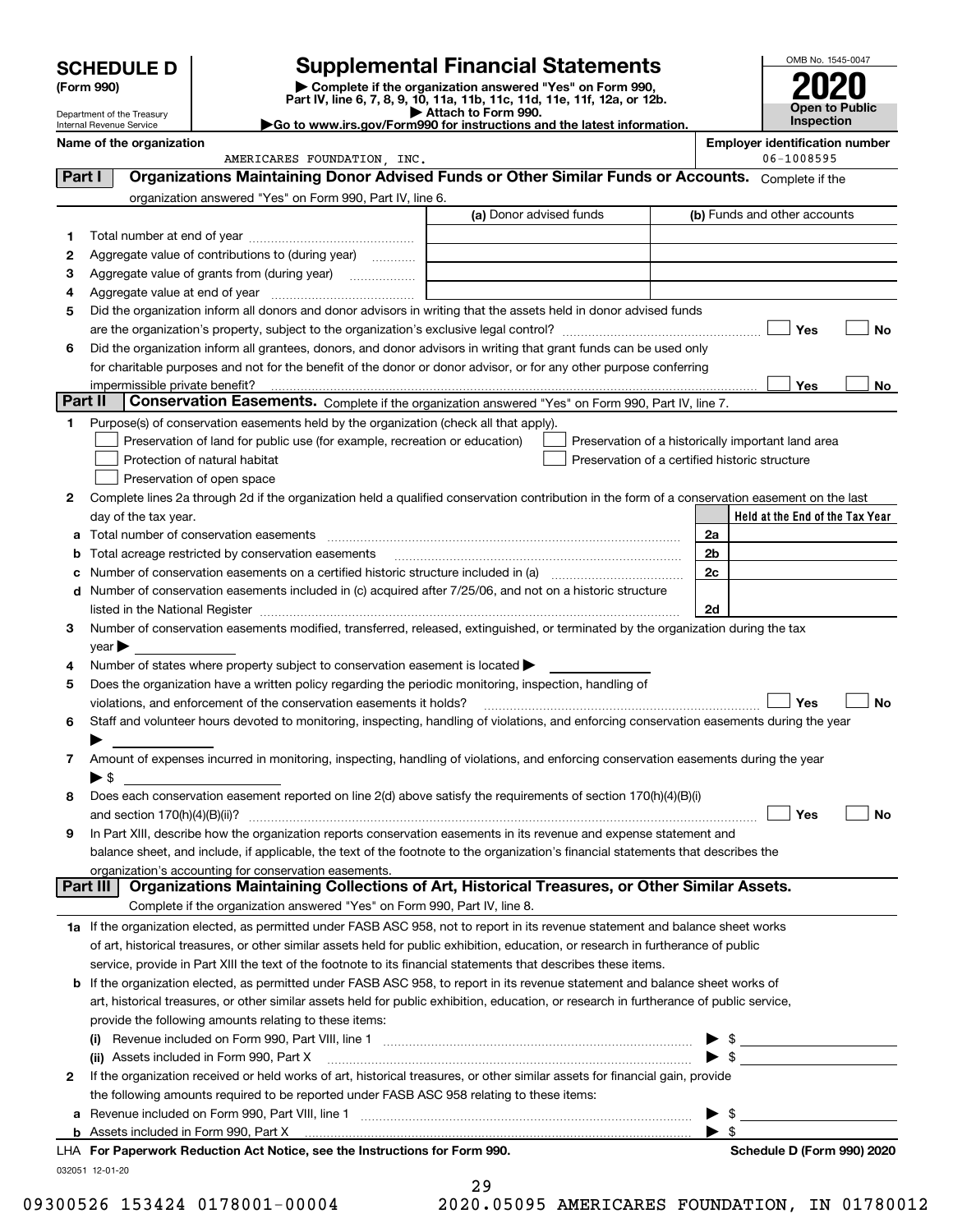|         | <b>SCHEDULE D</b>                                                                                                             |                                                                                                                                                       | <b>Supplemental Financial Statements</b> |                                                    |                         | OMB No. 1545-0047                                   |
|---------|-------------------------------------------------------------------------------------------------------------------------------|-------------------------------------------------------------------------------------------------------------------------------------------------------|------------------------------------------|----------------------------------------------------|-------------------------|-----------------------------------------------------|
|         | Complete if the organization answered "Yes" on Form 990,<br>(Form 990)                                                        |                                                                                                                                                       |                                          |                                                    |                         |                                                     |
|         | Part IV, line 6, 7, 8, 9, 10, 11a, 11b, 11c, 11d, 11e, 11f, 12a, or 12b.<br>Attach to Form 990.<br>Department of the Treasury |                                                                                                                                                       |                                          |                                                    |                         | <b>Open to Public</b>                               |
|         | Internal Revenue Service                                                                                                      | Go to www.irs.gov/Form990 for instructions and the latest information.                                                                                |                                          |                                                    |                         | Inspection                                          |
|         | Name of the organization                                                                                                      | AMERICARES FOUNDATION, INC.                                                                                                                           |                                          |                                                    |                         | <b>Employer identification number</b><br>06-1008595 |
| Part I  |                                                                                                                               | Organizations Maintaining Donor Advised Funds or Other Similar Funds or Accounts. Complete if the                                                     |                                          |                                                    |                         |                                                     |
|         |                                                                                                                               | organization answered "Yes" on Form 990, Part IV, line 6.                                                                                             |                                          |                                                    |                         |                                                     |
|         |                                                                                                                               |                                                                                                                                                       | (a) Donor advised funds                  |                                                    |                         | (b) Funds and other accounts                        |
| 1.      |                                                                                                                               |                                                                                                                                                       |                                          |                                                    |                         |                                                     |
| 2       |                                                                                                                               | Aggregate value of contributions to (during year)                                                                                                     |                                          |                                                    |                         |                                                     |
| 3       |                                                                                                                               |                                                                                                                                                       |                                          |                                                    |                         |                                                     |
| 4       |                                                                                                                               |                                                                                                                                                       |                                          |                                                    |                         |                                                     |
| 5       |                                                                                                                               | Did the organization inform all donors and donor advisors in writing that the assets held in donor advised funds                                      |                                          |                                                    |                         |                                                     |
|         |                                                                                                                               |                                                                                                                                                       |                                          |                                                    |                         | Yes<br>No                                           |
| 6       |                                                                                                                               | Did the organization inform all grantees, donors, and donor advisors in writing that grant funds can be used only                                     |                                          |                                                    |                         |                                                     |
|         |                                                                                                                               | for charitable purposes and not for the benefit of the donor or donor advisor, or for any other purpose conferring                                    |                                          |                                                    |                         |                                                     |
|         |                                                                                                                               |                                                                                                                                                       |                                          |                                                    |                         | Yes<br>No                                           |
| Part II |                                                                                                                               | Conservation Easements. Complete if the organization answered "Yes" on Form 990, Part IV, line 7.                                                     |                                          |                                                    |                         |                                                     |
| 1       |                                                                                                                               | Purpose(s) of conservation easements held by the organization (check all that apply).                                                                 |                                          |                                                    |                         |                                                     |
|         |                                                                                                                               | Preservation of land for public use (for example, recreation or education)                                                                            |                                          | Preservation of a historically important land area |                         |                                                     |
|         |                                                                                                                               | Protection of natural habitat                                                                                                                         |                                          | Preservation of a certified historic structure     |                         |                                                     |
|         |                                                                                                                               | Preservation of open space                                                                                                                            |                                          |                                                    |                         |                                                     |
| 2       |                                                                                                                               | Complete lines 2a through 2d if the organization held a qualified conservation contribution in the form of a conservation easement on the last        |                                          |                                                    |                         |                                                     |
|         | day of the tax year.                                                                                                          |                                                                                                                                                       |                                          |                                                    | 2a                      | Held at the End of the Tax Year                     |
| а       |                                                                                                                               | Total acreage restricted by conservation easements                                                                                                    |                                          |                                                    | 2b                      |                                                     |
| b<br>с  |                                                                                                                               |                                                                                                                                                       |                                          |                                                    | 2c                      |                                                     |
| d       |                                                                                                                               | Number of conservation easements included in (c) acquired after 7/25/06, and not on a historic structure                                              |                                          |                                                    |                         |                                                     |
|         |                                                                                                                               |                                                                                                                                                       |                                          |                                                    | 2d                      |                                                     |
| З.      |                                                                                                                               | Number of conservation easements modified, transferred, released, extinguished, or terminated by the organization during the tax                      |                                          |                                                    |                         |                                                     |
|         | $year \blacktriangleright$                                                                                                    |                                                                                                                                                       |                                          |                                                    |                         |                                                     |
| 4       |                                                                                                                               | Number of states where property subject to conservation easement is located $\blacktriangleright$                                                     |                                          |                                                    |                         |                                                     |
| 5       |                                                                                                                               | Does the organization have a written policy regarding the periodic monitoring, inspection, handling of                                                |                                          |                                                    |                         |                                                     |
|         |                                                                                                                               | violations, and enforcement of the conservation easements it holds?                                                                                   |                                          |                                                    |                         | Yes<br>No                                           |
| 6       |                                                                                                                               | Staff and volunteer hours devoted to monitoring, inspecting, handling of violations, and enforcing conservation easements during the year             |                                          |                                                    |                         |                                                     |
|         |                                                                                                                               |                                                                                                                                                       |                                          |                                                    |                         |                                                     |
| 7       |                                                                                                                               | Amount of expenses incurred in monitoring, inspecting, handling of violations, and enforcing conservation easements during the year                   |                                          |                                                    |                         |                                                     |
|         | $\blacktriangleright$ \$                                                                                                      |                                                                                                                                                       |                                          |                                                    |                         |                                                     |
| 8       |                                                                                                                               | Does each conservation easement reported on line 2(d) above satisfy the requirements of section 170(h)(4)(B)(i)                                       |                                          |                                                    |                         |                                                     |
|         |                                                                                                                               |                                                                                                                                                       |                                          |                                                    |                         | Yes<br>No                                           |
| 9       |                                                                                                                               | In Part XIII, describe how the organization reports conservation easements in its revenue and expense statement and                                   |                                          |                                                    |                         |                                                     |
|         |                                                                                                                               | balance sheet, and include, if applicable, the text of the footnote to the organization's financial statements that describes the                     |                                          |                                                    |                         |                                                     |
|         | Part III                                                                                                                      | organization's accounting for conservation easements.<br>Organizations Maintaining Collections of Art, Historical Treasures, or Other Similar Assets. |                                          |                                                    |                         |                                                     |
|         |                                                                                                                               | Complete if the organization answered "Yes" on Form 990, Part IV, line 8.                                                                             |                                          |                                                    |                         |                                                     |
|         |                                                                                                                               | 1a If the organization elected, as permitted under FASB ASC 958, not to report in its revenue statement and balance sheet works                       |                                          |                                                    |                         |                                                     |
|         |                                                                                                                               | of art, historical treasures, or other similar assets held for public exhibition, education, or research in furtherance of public                     |                                          |                                                    |                         |                                                     |
|         |                                                                                                                               | service, provide in Part XIII the text of the footnote to its financial statements that describes these items.                                        |                                          |                                                    |                         |                                                     |
| b       |                                                                                                                               | If the organization elected, as permitted under FASB ASC 958, to report in its revenue statement and balance sheet works of                           |                                          |                                                    |                         |                                                     |
|         |                                                                                                                               | art, historical treasures, or other similar assets held for public exhibition, education, or research in furtherance of public service,               |                                          |                                                    |                         |                                                     |
|         |                                                                                                                               | provide the following amounts relating to these items:                                                                                                |                                          |                                                    |                         |                                                     |
|         | (i)                                                                                                                           |                                                                                                                                                       |                                          |                                                    |                         | $\frac{1}{2}$                                       |
|         |                                                                                                                               | (ii) Assets included in Form 990, Part X [11] [2000] [2010] Assets included in Form 990, Part X [11] [11] [200                                        |                                          |                                                    |                         | $\triangleright$ \$                                 |
| 2       |                                                                                                                               | If the organization received or held works of art, historical treasures, or other similar assets for financial gain, provide                          |                                          |                                                    |                         |                                                     |
|         |                                                                                                                               | the following amounts required to be reported under FASB ASC 958 relating to these items:                                                             |                                          |                                                    |                         |                                                     |
| а       |                                                                                                                               |                                                                                                                                                       |                                          |                                                    | - \$                    |                                                     |
|         |                                                                                                                               |                                                                                                                                                       |                                          |                                                    | $\blacktriangleright$ s |                                                     |

032051 12-01-20 **For Paperwork Reduction Act Notice, see the Instructions for Form 990. Schedule D (Form 990) 2020** LHA

29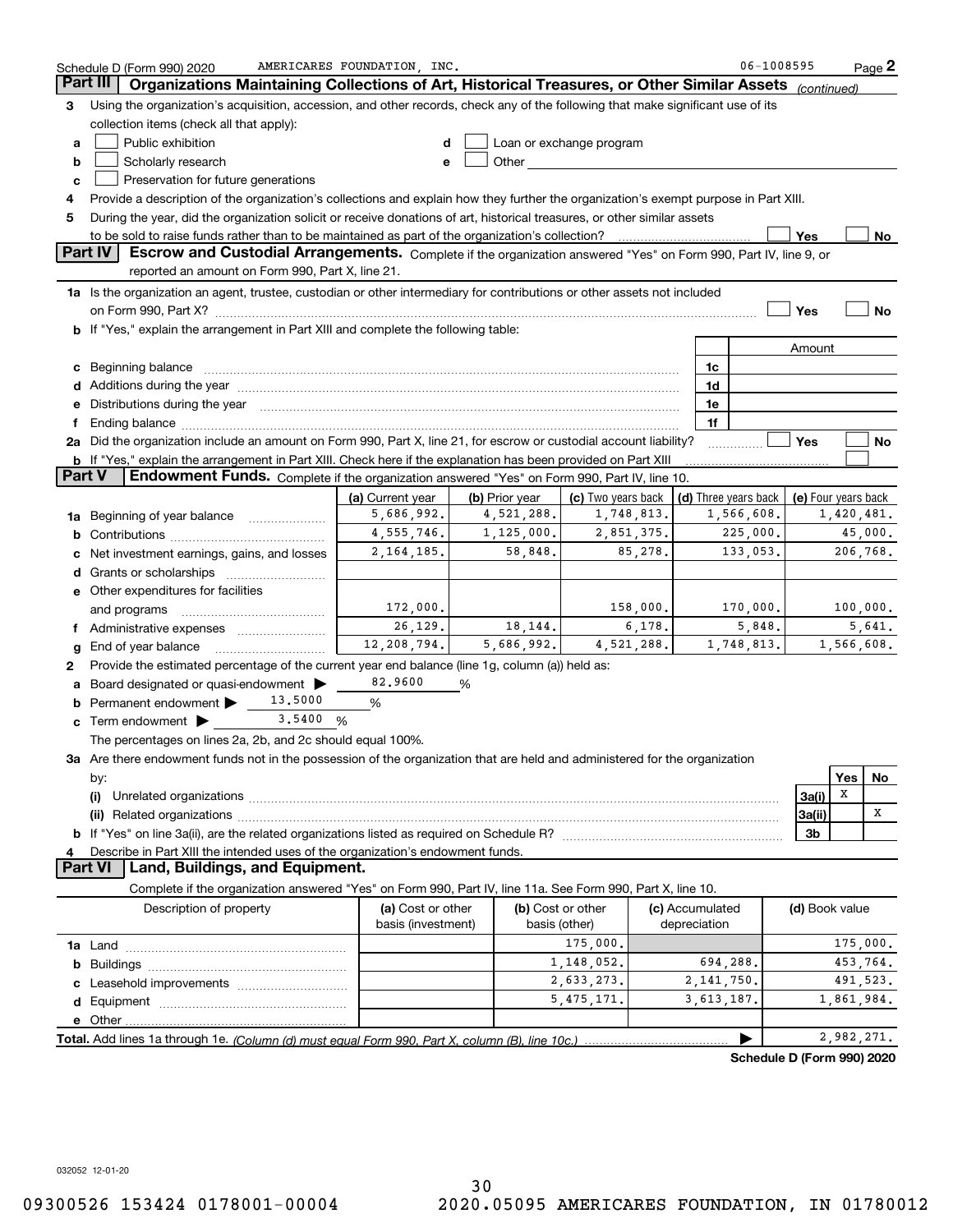| <b>Part III</b><br>Organizations Maintaining Collections of Art, Historical Treasures, or Other Similar Assets<br>(continued)<br>Using the organization's acquisition, accession, and other records, check any of the following that make significant use of its<br>3<br>collection items (check all that apply):<br>Public exhibition<br>Loan or exchange program<br>d<br>a<br>Scholarly research<br>Other the contract of the contract of the contract of the contract of the contract of the contract of the contract of the contract of the contract of the contract of the contract of the contract of the contract of the cont<br>b<br>e<br>Preservation for future generations<br>с<br>Provide a description of the organization's collections and explain how they further the organization's exempt purpose in Part XIII.<br>4<br>During the year, did the organization solicit or receive donations of art, historical treasures, or other similar assets<br>5<br>to be sold to raise funds rather than to be maintained as part of the organization's collection?<br>Yes<br>No<br><b>Part IV</b><br>Escrow and Custodial Arrangements. Complete if the organization answered "Yes" on Form 990, Part IV, line 9, or<br>reported an amount on Form 990, Part X, line 21.<br>1a Is the organization an agent, trustee, custodian or other intermediary for contributions or other assets not included<br>Yes<br>No<br>b If "Yes," explain the arrangement in Part XIII and complete the following table:<br>Amount<br>Beginning balance <b>contract to the contract of the contract of the contract of the contract of the contract of t</b><br>1c<br>с<br>Additions during the year manufactured and an according to the year manufactured and according the year manufactured and according the state of the state of the state of the state of the state of the state of the state of<br>1d<br>Distributions during the year manufactured and continuum and contact the year manufactured and contact the year<br>1e<br>е<br>1f<br>Ending balance manufactured and contract the contract of the contract of the contract of the contract of the contract of the contract of the contract of the contract of the contract of the contract of the contract of the c<br>f<br>2a Did the organization include an amount on Form 990, Part X, line 21, for escrow or custodial account liability?<br>Yes<br>No<br><b>b</b> If "Yes," explain the arrangement in Part XIII. Check here if the explanation has been provided on Part XIII<br><b>Part V</b><br>Endowment Funds. Complete if the organization answered "Yes" on Form 990, Part IV, line 10.<br>(c) Two years back<br>(d) Three years back<br>(e) Four years back<br>(a) Current year<br>(b) Prior year<br>5,686,992.<br>4,521,288.<br>1,748,813.<br>1,566,608.<br>1,420,481.<br>1a Beginning of year balance<br>4, 555, 746.<br>1,125,000.<br>2,851,375.<br>225,000.<br>45,000.<br>b<br>2, 164, 185.<br>58,848.<br>85,278.<br>133,053.<br>206,768.<br>Net investment earnings, gains, and losses<br>с<br>d<br>e Other expenditures for facilities<br>172,000.<br>158,000.<br>170,000.<br>100,000.<br>and programs<br>26, 129.<br>18, 144.<br>6,178.<br>5,641.<br>5,848.<br>f Administrative expenses<br>12,208,794.<br>5,686,992.<br>4,521,288.<br>1,748,813.<br>1,566,608.<br>End of year balance<br>g<br>Provide the estimated percentage of the current year end balance (line 1g, column (a)) held as:<br>2<br>82.9600<br>Board designated or quasi-endowment<br>%<br>а<br>13,5000<br>Permanent endowment ><br>%<br>3.5400 %<br>Term endowment $\blacktriangleright$<br>с<br>The percentages on lines 2a, 2b, and 2c should equal 100%.<br>3a Are there endowment funds not in the possession of the organization that are held and administered for the organization<br>Yes<br>No<br>by:<br>X<br>3a(i)<br>(i)<br>х<br>3a(ii)<br>3b<br>Describe in Part XIII the intended uses of the organization's endowment funds.<br><b>Part VI</b><br>Land, Buildings, and Equipment.<br>Complete if the organization answered "Yes" on Form 990, Part IV, line 11a. See Form 990, Part X, line 10.<br>Description of property<br>(a) Cost or other<br>(b) Cost or other<br>(c) Accumulated<br>(d) Book value<br>basis (investment)<br>depreciation<br>basis (other)<br>175,000.<br>175,000.<br>1,148,052.<br>694,288.<br>453,764.<br>b<br>2,633,273.<br>491,523.<br>2, 141, 750.<br>5, 475, 171.<br>3,613,187.<br>1,861,984.<br>2,982,271. | Schedule D (Form 990) 2020 | AMERICARES FOUNDATION, INC. |  | 06-1008595 |  | $Page$ 2 |
|---------------------------------------------------------------------------------------------------------------------------------------------------------------------------------------------------------------------------------------------------------------------------------------------------------------------------------------------------------------------------------------------------------------------------------------------------------------------------------------------------------------------------------------------------------------------------------------------------------------------------------------------------------------------------------------------------------------------------------------------------------------------------------------------------------------------------------------------------------------------------------------------------------------------------------------------------------------------------------------------------------------------------------------------------------------------------------------------------------------------------------------------------------------------------------------------------------------------------------------------------------------------------------------------------------------------------------------------------------------------------------------------------------------------------------------------------------------------------------------------------------------------------------------------------------------------------------------------------------------------------------------------------------------------------------------------------------------------------------------------------------------------------------------------------------------------------------------------------------------------------------------------------------------------------------------------------------------------------------------------------------------------------------------------------------------------------------------------------------------------------------------------------------------------------------------------------------------------------------------------------------------------------------------------------------------------------------------------------------------------------------------------------------------------------------------------------------------------------------------------------------------------------------------------------------------------------------------------------------------------------------------------------------------------------------------------------------------------------------------------------------------------------------------------------------------------------------------------------------------------------------------------------------------------------------------------------------------------------------------------------------------------------------------------------------------------------------------------------------------------------------------------------------------------------------------------------------------------------------------------------------------------------------------------------------------------------------------------------------------------------------------------------------------------------------------------------------------------------------------------------------------------------------------------------------------------------------------------------------------------------------------------------------------------------------------------------------------------------------------------------------------------------------------------------------------------------------------------------------------------------------------------------------------------------------------------------------------------------------------------------------------------------------------------------------------------------------------------------------------------------------------------------------------------------------------------------------------------------------------------------------------------------------------------------------------------------------------------------------------------------------------------------------------------------------------------------------------------------------------------------------|----------------------------|-----------------------------|--|------------|--|----------|
|                                                                                                                                                                                                                                                                                                                                                                                                                                                                                                                                                                                                                                                                                                                                                                                                                                                                                                                                                                                                                                                                                                                                                                                                                                                                                                                                                                                                                                                                                                                                                                                                                                                                                                                                                                                                                                                                                                                                                                                                                                                                                                                                                                                                                                                                                                                                                                                                                                                                                                                                                                                                                                                                                                                                                                                                                                                                                                                                                                                                                                                                                                                                                                                                                                                                                                                                                                                                                                                                                                                                                                                                                                                                                                                                                                                                                                                                                                                                                                                                                                                                                                                                                                                                                                                                                                                                                                                                                                                                                                         |                            |                             |  |            |  |          |
|                                                                                                                                                                                                                                                                                                                                                                                                                                                                                                                                                                                                                                                                                                                                                                                                                                                                                                                                                                                                                                                                                                                                                                                                                                                                                                                                                                                                                                                                                                                                                                                                                                                                                                                                                                                                                                                                                                                                                                                                                                                                                                                                                                                                                                                                                                                                                                                                                                                                                                                                                                                                                                                                                                                                                                                                                                                                                                                                                                                                                                                                                                                                                                                                                                                                                                                                                                                                                                                                                                                                                                                                                                                                                                                                                                                                                                                                                                                                                                                                                                                                                                                                                                                                                                                                                                                                                                                                                                                                                                         |                            |                             |  |            |  |          |
|                                                                                                                                                                                                                                                                                                                                                                                                                                                                                                                                                                                                                                                                                                                                                                                                                                                                                                                                                                                                                                                                                                                                                                                                                                                                                                                                                                                                                                                                                                                                                                                                                                                                                                                                                                                                                                                                                                                                                                                                                                                                                                                                                                                                                                                                                                                                                                                                                                                                                                                                                                                                                                                                                                                                                                                                                                                                                                                                                                                                                                                                                                                                                                                                                                                                                                                                                                                                                                                                                                                                                                                                                                                                                                                                                                                                                                                                                                                                                                                                                                                                                                                                                                                                                                                                                                                                                                                                                                                                                                         |                            |                             |  |            |  |          |
|                                                                                                                                                                                                                                                                                                                                                                                                                                                                                                                                                                                                                                                                                                                                                                                                                                                                                                                                                                                                                                                                                                                                                                                                                                                                                                                                                                                                                                                                                                                                                                                                                                                                                                                                                                                                                                                                                                                                                                                                                                                                                                                                                                                                                                                                                                                                                                                                                                                                                                                                                                                                                                                                                                                                                                                                                                                                                                                                                                                                                                                                                                                                                                                                                                                                                                                                                                                                                                                                                                                                                                                                                                                                                                                                                                                                                                                                                                                                                                                                                                                                                                                                                                                                                                                                                                                                                                                                                                                                                                         |                            |                             |  |            |  |          |
|                                                                                                                                                                                                                                                                                                                                                                                                                                                                                                                                                                                                                                                                                                                                                                                                                                                                                                                                                                                                                                                                                                                                                                                                                                                                                                                                                                                                                                                                                                                                                                                                                                                                                                                                                                                                                                                                                                                                                                                                                                                                                                                                                                                                                                                                                                                                                                                                                                                                                                                                                                                                                                                                                                                                                                                                                                                                                                                                                                                                                                                                                                                                                                                                                                                                                                                                                                                                                                                                                                                                                                                                                                                                                                                                                                                                                                                                                                                                                                                                                                                                                                                                                                                                                                                                                                                                                                                                                                                                                                         |                            |                             |  |            |  |          |
|                                                                                                                                                                                                                                                                                                                                                                                                                                                                                                                                                                                                                                                                                                                                                                                                                                                                                                                                                                                                                                                                                                                                                                                                                                                                                                                                                                                                                                                                                                                                                                                                                                                                                                                                                                                                                                                                                                                                                                                                                                                                                                                                                                                                                                                                                                                                                                                                                                                                                                                                                                                                                                                                                                                                                                                                                                                                                                                                                                                                                                                                                                                                                                                                                                                                                                                                                                                                                                                                                                                                                                                                                                                                                                                                                                                                                                                                                                                                                                                                                                                                                                                                                                                                                                                                                                                                                                                                                                                                                                         |                            |                             |  |            |  |          |
|                                                                                                                                                                                                                                                                                                                                                                                                                                                                                                                                                                                                                                                                                                                                                                                                                                                                                                                                                                                                                                                                                                                                                                                                                                                                                                                                                                                                                                                                                                                                                                                                                                                                                                                                                                                                                                                                                                                                                                                                                                                                                                                                                                                                                                                                                                                                                                                                                                                                                                                                                                                                                                                                                                                                                                                                                                                                                                                                                                                                                                                                                                                                                                                                                                                                                                                                                                                                                                                                                                                                                                                                                                                                                                                                                                                                                                                                                                                                                                                                                                                                                                                                                                                                                                                                                                                                                                                                                                                                                                         |                            |                             |  |            |  |          |
|                                                                                                                                                                                                                                                                                                                                                                                                                                                                                                                                                                                                                                                                                                                                                                                                                                                                                                                                                                                                                                                                                                                                                                                                                                                                                                                                                                                                                                                                                                                                                                                                                                                                                                                                                                                                                                                                                                                                                                                                                                                                                                                                                                                                                                                                                                                                                                                                                                                                                                                                                                                                                                                                                                                                                                                                                                                                                                                                                                                                                                                                                                                                                                                                                                                                                                                                                                                                                                                                                                                                                                                                                                                                                                                                                                                                                                                                                                                                                                                                                                                                                                                                                                                                                                                                                                                                                                                                                                                                                                         |                            |                             |  |            |  |          |
|                                                                                                                                                                                                                                                                                                                                                                                                                                                                                                                                                                                                                                                                                                                                                                                                                                                                                                                                                                                                                                                                                                                                                                                                                                                                                                                                                                                                                                                                                                                                                                                                                                                                                                                                                                                                                                                                                                                                                                                                                                                                                                                                                                                                                                                                                                                                                                                                                                                                                                                                                                                                                                                                                                                                                                                                                                                                                                                                                                                                                                                                                                                                                                                                                                                                                                                                                                                                                                                                                                                                                                                                                                                                                                                                                                                                                                                                                                                                                                                                                                                                                                                                                                                                                                                                                                                                                                                                                                                                                                         |                            |                             |  |            |  |          |
|                                                                                                                                                                                                                                                                                                                                                                                                                                                                                                                                                                                                                                                                                                                                                                                                                                                                                                                                                                                                                                                                                                                                                                                                                                                                                                                                                                                                                                                                                                                                                                                                                                                                                                                                                                                                                                                                                                                                                                                                                                                                                                                                                                                                                                                                                                                                                                                                                                                                                                                                                                                                                                                                                                                                                                                                                                                                                                                                                                                                                                                                                                                                                                                                                                                                                                                                                                                                                                                                                                                                                                                                                                                                                                                                                                                                                                                                                                                                                                                                                                                                                                                                                                                                                                                                                                                                                                                                                                                                                                         |                            |                             |  |            |  |          |
|                                                                                                                                                                                                                                                                                                                                                                                                                                                                                                                                                                                                                                                                                                                                                                                                                                                                                                                                                                                                                                                                                                                                                                                                                                                                                                                                                                                                                                                                                                                                                                                                                                                                                                                                                                                                                                                                                                                                                                                                                                                                                                                                                                                                                                                                                                                                                                                                                                                                                                                                                                                                                                                                                                                                                                                                                                                                                                                                                                                                                                                                                                                                                                                                                                                                                                                                                                                                                                                                                                                                                                                                                                                                                                                                                                                                                                                                                                                                                                                                                                                                                                                                                                                                                                                                                                                                                                                                                                                                                                         |                            |                             |  |            |  |          |
|                                                                                                                                                                                                                                                                                                                                                                                                                                                                                                                                                                                                                                                                                                                                                                                                                                                                                                                                                                                                                                                                                                                                                                                                                                                                                                                                                                                                                                                                                                                                                                                                                                                                                                                                                                                                                                                                                                                                                                                                                                                                                                                                                                                                                                                                                                                                                                                                                                                                                                                                                                                                                                                                                                                                                                                                                                                                                                                                                                                                                                                                                                                                                                                                                                                                                                                                                                                                                                                                                                                                                                                                                                                                                                                                                                                                                                                                                                                                                                                                                                                                                                                                                                                                                                                                                                                                                                                                                                                                                                         |                            |                             |  |            |  |          |
|                                                                                                                                                                                                                                                                                                                                                                                                                                                                                                                                                                                                                                                                                                                                                                                                                                                                                                                                                                                                                                                                                                                                                                                                                                                                                                                                                                                                                                                                                                                                                                                                                                                                                                                                                                                                                                                                                                                                                                                                                                                                                                                                                                                                                                                                                                                                                                                                                                                                                                                                                                                                                                                                                                                                                                                                                                                                                                                                                                                                                                                                                                                                                                                                                                                                                                                                                                                                                                                                                                                                                                                                                                                                                                                                                                                                                                                                                                                                                                                                                                                                                                                                                                                                                                                                                                                                                                                                                                                                                                         |                            |                             |  |            |  |          |
|                                                                                                                                                                                                                                                                                                                                                                                                                                                                                                                                                                                                                                                                                                                                                                                                                                                                                                                                                                                                                                                                                                                                                                                                                                                                                                                                                                                                                                                                                                                                                                                                                                                                                                                                                                                                                                                                                                                                                                                                                                                                                                                                                                                                                                                                                                                                                                                                                                                                                                                                                                                                                                                                                                                                                                                                                                                                                                                                                                                                                                                                                                                                                                                                                                                                                                                                                                                                                                                                                                                                                                                                                                                                                                                                                                                                                                                                                                                                                                                                                                                                                                                                                                                                                                                                                                                                                                                                                                                                                                         |                            |                             |  |            |  |          |
|                                                                                                                                                                                                                                                                                                                                                                                                                                                                                                                                                                                                                                                                                                                                                                                                                                                                                                                                                                                                                                                                                                                                                                                                                                                                                                                                                                                                                                                                                                                                                                                                                                                                                                                                                                                                                                                                                                                                                                                                                                                                                                                                                                                                                                                                                                                                                                                                                                                                                                                                                                                                                                                                                                                                                                                                                                                                                                                                                                                                                                                                                                                                                                                                                                                                                                                                                                                                                                                                                                                                                                                                                                                                                                                                                                                                                                                                                                                                                                                                                                                                                                                                                                                                                                                                                                                                                                                                                                                                                                         |                            |                             |  |            |  |          |
| Schedule D (Form 990) 2020                                                                                                                                                                                                                                                                                                                                                                                                                                                                                                                                                                                                                                                                                                                                                                                                                                                                                                                                                                                                                                                                                                                                                                                                                                                                                                                                                                                                                                                                                                                                                                                                                                                                                                                                                                                                                                                                                                                                                                                                                                                                                                                                                                                                                                                                                                                                                                                                                                                                                                                                                                                                                                                                                                                                                                                                                                                                                                                                                                                                                                                                                                                                                                                                                                                                                                                                                                                                                                                                                                                                                                                                                                                                                                                                                                                                                                                                                                                                                                                                                                                                                                                                                                                                                                                                                                                                                                                                                                                                              |                            |                             |  |            |  |          |
|                                                                                                                                                                                                                                                                                                                                                                                                                                                                                                                                                                                                                                                                                                                                                                                                                                                                                                                                                                                                                                                                                                                                                                                                                                                                                                                                                                                                                                                                                                                                                                                                                                                                                                                                                                                                                                                                                                                                                                                                                                                                                                                                                                                                                                                                                                                                                                                                                                                                                                                                                                                                                                                                                                                                                                                                                                                                                                                                                                                                                                                                                                                                                                                                                                                                                                                                                                                                                                                                                                                                                                                                                                                                                                                                                                                                                                                                                                                                                                                                                                                                                                                                                                                                                                                                                                                                                                                                                                                                                                         |                            |                             |  |            |  |          |
|                                                                                                                                                                                                                                                                                                                                                                                                                                                                                                                                                                                                                                                                                                                                                                                                                                                                                                                                                                                                                                                                                                                                                                                                                                                                                                                                                                                                                                                                                                                                                                                                                                                                                                                                                                                                                                                                                                                                                                                                                                                                                                                                                                                                                                                                                                                                                                                                                                                                                                                                                                                                                                                                                                                                                                                                                                                                                                                                                                                                                                                                                                                                                                                                                                                                                                                                                                                                                                                                                                                                                                                                                                                                                                                                                                                                                                                                                                                                                                                                                                                                                                                                                                                                                                                                                                                                                                                                                                                                                                         |                            |                             |  |            |  |          |
|                                                                                                                                                                                                                                                                                                                                                                                                                                                                                                                                                                                                                                                                                                                                                                                                                                                                                                                                                                                                                                                                                                                                                                                                                                                                                                                                                                                                                                                                                                                                                                                                                                                                                                                                                                                                                                                                                                                                                                                                                                                                                                                                                                                                                                                                                                                                                                                                                                                                                                                                                                                                                                                                                                                                                                                                                                                                                                                                                                                                                                                                                                                                                                                                                                                                                                                                                                                                                                                                                                                                                                                                                                                                                                                                                                                                                                                                                                                                                                                                                                                                                                                                                                                                                                                                                                                                                                                                                                                                                                         |                            |                             |  |            |  |          |
|                                                                                                                                                                                                                                                                                                                                                                                                                                                                                                                                                                                                                                                                                                                                                                                                                                                                                                                                                                                                                                                                                                                                                                                                                                                                                                                                                                                                                                                                                                                                                                                                                                                                                                                                                                                                                                                                                                                                                                                                                                                                                                                                                                                                                                                                                                                                                                                                                                                                                                                                                                                                                                                                                                                                                                                                                                                                                                                                                                                                                                                                                                                                                                                                                                                                                                                                                                                                                                                                                                                                                                                                                                                                                                                                                                                                                                                                                                                                                                                                                                                                                                                                                                                                                                                                                                                                                                                                                                                                                                         |                            |                             |  |            |  |          |
|                                                                                                                                                                                                                                                                                                                                                                                                                                                                                                                                                                                                                                                                                                                                                                                                                                                                                                                                                                                                                                                                                                                                                                                                                                                                                                                                                                                                                                                                                                                                                                                                                                                                                                                                                                                                                                                                                                                                                                                                                                                                                                                                                                                                                                                                                                                                                                                                                                                                                                                                                                                                                                                                                                                                                                                                                                                                                                                                                                                                                                                                                                                                                                                                                                                                                                                                                                                                                                                                                                                                                                                                                                                                                                                                                                                                                                                                                                                                                                                                                                                                                                                                                                                                                                                                                                                                                                                                                                                                                                         |                            |                             |  |            |  |          |
|                                                                                                                                                                                                                                                                                                                                                                                                                                                                                                                                                                                                                                                                                                                                                                                                                                                                                                                                                                                                                                                                                                                                                                                                                                                                                                                                                                                                                                                                                                                                                                                                                                                                                                                                                                                                                                                                                                                                                                                                                                                                                                                                                                                                                                                                                                                                                                                                                                                                                                                                                                                                                                                                                                                                                                                                                                                                                                                                                                                                                                                                                                                                                                                                                                                                                                                                                                                                                                                                                                                                                                                                                                                                                                                                                                                                                                                                                                                                                                                                                                                                                                                                                                                                                                                                                                                                                                                                                                                                                                         |                            |                             |  |            |  |          |
|                                                                                                                                                                                                                                                                                                                                                                                                                                                                                                                                                                                                                                                                                                                                                                                                                                                                                                                                                                                                                                                                                                                                                                                                                                                                                                                                                                                                                                                                                                                                                                                                                                                                                                                                                                                                                                                                                                                                                                                                                                                                                                                                                                                                                                                                                                                                                                                                                                                                                                                                                                                                                                                                                                                                                                                                                                                                                                                                                                                                                                                                                                                                                                                                                                                                                                                                                                                                                                                                                                                                                                                                                                                                                                                                                                                                                                                                                                                                                                                                                                                                                                                                                                                                                                                                                                                                                                                                                                                                                                         |                            |                             |  |            |  |          |
|                                                                                                                                                                                                                                                                                                                                                                                                                                                                                                                                                                                                                                                                                                                                                                                                                                                                                                                                                                                                                                                                                                                                                                                                                                                                                                                                                                                                                                                                                                                                                                                                                                                                                                                                                                                                                                                                                                                                                                                                                                                                                                                                                                                                                                                                                                                                                                                                                                                                                                                                                                                                                                                                                                                                                                                                                                                                                                                                                                                                                                                                                                                                                                                                                                                                                                                                                                                                                                                                                                                                                                                                                                                                                                                                                                                                                                                                                                                                                                                                                                                                                                                                                                                                                                                                                                                                                                                                                                                                                                         |                            |                             |  |            |  |          |
|                                                                                                                                                                                                                                                                                                                                                                                                                                                                                                                                                                                                                                                                                                                                                                                                                                                                                                                                                                                                                                                                                                                                                                                                                                                                                                                                                                                                                                                                                                                                                                                                                                                                                                                                                                                                                                                                                                                                                                                                                                                                                                                                                                                                                                                                                                                                                                                                                                                                                                                                                                                                                                                                                                                                                                                                                                                                                                                                                                                                                                                                                                                                                                                                                                                                                                                                                                                                                                                                                                                                                                                                                                                                                                                                                                                                                                                                                                                                                                                                                                                                                                                                                                                                                                                                                                                                                                                                                                                                                                         |                            |                             |  |            |  |          |
|                                                                                                                                                                                                                                                                                                                                                                                                                                                                                                                                                                                                                                                                                                                                                                                                                                                                                                                                                                                                                                                                                                                                                                                                                                                                                                                                                                                                                                                                                                                                                                                                                                                                                                                                                                                                                                                                                                                                                                                                                                                                                                                                                                                                                                                                                                                                                                                                                                                                                                                                                                                                                                                                                                                                                                                                                                                                                                                                                                                                                                                                                                                                                                                                                                                                                                                                                                                                                                                                                                                                                                                                                                                                                                                                                                                                                                                                                                                                                                                                                                                                                                                                                                                                                                                                                                                                                                                                                                                                                                         |                            |                             |  |            |  |          |
|                                                                                                                                                                                                                                                                                                                                                                                                                                                                                                                                                                                                                                                                                                                                                                                                                                                                                                                                                                                                                                                                                                                                                                                                                                                                                                                                                                                                                                                                                                                                                                                                                                                                                                                                                                                                                                                                                                                                                                                                                                                                                                                                                                                                                                                                                                                                                                                                                                                                                                                                                                                                                                                                                                                                                                                                                                                                                                                                                                                                                                                                                                                                                                                                                                                                                                                                                                                                                                                                                                                                                                                                                                                                                                                                                                                                                                                                                                                                                                                                                                                                                                                                                                                                                                                                                                                                                                                                                                                                                                         |                            |                             |  |            |  |          |
|                                                                                                                                                                                                                                                                                                                                                                                                                                                                                                                                                                                                                                                                                                                                                                                                                                                                                                                                                                                                                                                                                                                                                                                                                                                                                                                                                                                                                                                                                                                                                                                                                                                                                                                                                                                                                                                                                                                                                                                                                                                                                                                                                                                                                                                                                                                                                                                                                                                                                                                                                                                                                                                                                                                                                                                                                                                                                                                                                                                                                                                                                                                                                                                                                                                                                                                                                                                                                                                                                                                                                                                                                                                                                                                                                                                                                                                                                                                                                                                                                                                                                                                                                                                                                                                                                                                                                                                                                                                                                                         |                            |                             |  |            |  |          |
|                                                                                                                                                                                                                                                                                                                                                                                                                                                                                                                                                                                                                                                                                                                                                                                                                                                                                                                                                                                                                                                                                                                                                                                                                                                                                                                                                                                                                                                                                                                                                                                                                                                                                                                                                                                                                                                                                                                                                                                                                                                                                                                                                                                                                                                                                                                                                                                                                                                                                                                                                                                                                                                                                                                                                                                                                                                                                                                                                                                                                                                                                                                                                                                                                                                                                                                                                                                                                                                                                                                                                                                                                                                                                                                                                                                                                                                                                                                                                                                                                                                                                                                                                                                                                                                                                                                                                                                                                                                                                                         |                            |                             |  |            |  |          |
|                                                                                                                                                                                                                                                                                                                                                                                                                                                                                                                                                                                                                                                                                                                                                                                                                                                                                                                                                                                                                                                                                                                                                                                                                                                                                                                                                                                                                                                                                                                                                                                                                                                                                                                                                                                                                                                                                                                                                                                                                                                                                                                                                                                                                                                                                                                                                                                                                                                                                                                                                                                                                                                                                                                                                                                                                                                                                                                                                                                                                                                                                                                                                                                                                                                                                                                                                                                                                                                                                                                                                                                                                                                                                                                                                                                                                                                                                                                                                                                                                                                                                                                                                                                                                                                                                                                                                                                                                                                                                                         |                            |                             |  |            |  |          |
|                                                                                                                                                                                                                                                                                                                                                                                                                                                                                                                                                                                                                                                                                                                                                                                                                                                                                                                                                                                                                                                                                                                                                                                                                                                                                                                                                                                                                                                                                                                                                                                                                                                                                                                                                                                                                                                                                                                                                                                                                                                                                                                                                                                                                                                                                                                                                                                                                                                                                                                                                                                                                                                                                                                                                                                                                                                                                                                                                                                                                                                                                                                                                                                                                                                                                                                                                                                                                                                                                                                                                                                                                                                                                                                                                                                                                                                                                                                                                                                                                                                                                                                                                                                                                                                                                                                                                                                                                                                                                                         |                            |                             |  |            |  |          |
|                                                                                                                                                                                                                                                                                                                                                                                                                                                                                                                                                                                                                                                                                                                                                                                                                                                                                                                                                                                                                                                                                                                                                                                                                                                                                                                                                                                                                                                                                                                                                                                                                                                                                                                                                                                                                                                                                                                                                                                                                                                                                                                                                                                                                                                                                                                                                                                                                                                                                                                                                                                                                                                                                                                                                                                                                                                                                                                                                                                                                                                                                                                                                                                                                                                                                                                                                                                                                                                                                                                                                                                                                                                                                                                                                                                                                                                                                                                                                                                                                                                                                                                                                                                                                                                                                                                                                                                                                                                                                                         |                            |                             |  |            |  |          |
|                                                                                                                                                                                                                                                                                                                                                                                                                                                                                                                                                                                                                                                                                                                                                                                                                                                                                                                                                                                                                                                                                                                                                                                                                                                                                                                                                                                                                                                                                                                                                                                                                                                                                                                                                                                                                                                                                                                                                                                                                                                                                                                                                                                                                                                                                                                                                                                                                                                                                                                                                                                                                                                                                                                                                                                                                                                                                                                                                                                                                                                                                                                                                                                                                                                                                                                                                                                                                                                                                                                                                                                                                                                                                                                                                                                                                                                                                                                                                                                                                                                                                                                                                                                                                                                                                                                                                                                                                                                                                                         |                            |                             |  |            |  |          |
|                                                                                                                                                                                                                                                                                                                                                                                                                                                                                                                                                                                                                                                                                                                                                                                                                                                                                                                                                                                                                                                                                                                                                                                                                                                                                                                                                                                                                                                                                                                                                                                                                                                                                                                                                                                                                                                                                                                                                                                                                                                                                                                                                                                                                                                                                                                                                                                                                                                                                                                                                                                                                                                                                                                                                                                                                                                                                                                                                                                                                                                                                                                                                                                                                                                                                                                                                                                                                                                                                                                                                                                                                                                                                                                                                                                                                                                                                                                                                                                                                                                                                                                                                                                                                                                                                                                                                                                                                                                                                                         |                            |                             |  |            |  |          |
|                                                                                                                                                                                                                                                                                                                                                                                                                                                                                                                                                                                                                                                                                                                                                                                                                                                                                                                                                                                                                                                                                                                                                                                                                                                                                                                                                                                                                                                                                                                                                                                                                                                                                                                                                                                                                                                                                                                                                                                                                                                                                                                                                                                                                                                                                                                                                                                                                                                                                                                                                                                                                                                                                                                                                                                                                                                                                                                                                                                                                                                                                                                                                                                                                                                                                                                                                                                                                                                                                                                                                                                                                                                                                                                                                                                                                                                                                                                                                                                                                                                                                                                                                                                                                                                                                                                                                                                                                                                                                                         |                            |                             |  |            |  |          |
|                                                                                                                                                                                                                                                                                                                                                                                                                                                                                                                                                                                                                                                                                                                                                                                                                                                                                                                                                                                                                                                                                                                                                                                                                                                                                                                                                                                                                                                                                                                                                                                                                                                                                                                                                                                                                                                                                                                                                                                                                                                                                                                                                                                                                                                                                                                                                                                                                                                                                                                                                                                                                                                                                                                                                                                                                                                                                                                                                                                                                                                                                                                                                                                                                                                                                                                                                                                                                                                                                                                                                                                                                                                                                                                                                                                                                                                                                                                                                                                                                                                                                                                                                                                                                                                                                                                                                                                                                                                                                                         |                            |                             |  |            |  |          |
|                                                                                                                                                                                                                                                                                                                                                                                                                                                                                                                                                                                                                                                                                                                                                                                                                                                                                                                                                                                                                                                                                                                                                                                                                                                                                                                                                                                                                                                                                                                                                                                                                                                                                                                                                                                                                                                                                                                                                                                                                                                                                                                                                                                                                                                                                                                                                                                                                                                                                                                                                                                                                                                                                                                                                                                                                                                                                                                                                                                                                                                                                                                                                                                                                                                                                                                                                                                                                                                                                                                                                                                                                                                                                                                                                                                                                                                                                                                                                                                                                                                                                                                                                                                                                                                                                                                                                                                                                                                                                                         |                            |                             |  |            |  |          |
|                                                                                                                                                                                                                                                                                                                                                                                                                                                                                                                                                                                                                                                                                                                                                                                                                                                                                                                                                                                                                                                                                                                                                                                                                                                                                                                                                                                                                                                                                                                                                                                                                                                                                                                                                                                                                                                                                                                                                                                                                                                                                                                                                                                                                                                                                                                                                                                                                                                                                                                                                                                                                                                                                                                                                                                                                                                                                                                                                                                                                                                                                                                                                                                                                                                                                                                                                                                                                                                                                                                                                                                                                                                                                                                                                                                                                                                                                                                                                                                                                                                                                                                                                                                                                                                                                                                                                                                                                                                                                                         |                            |                             |  |            |  |          |
|                                                                                                                                                                                                                                                                                                                                                                                                                                                                                                                                                                                                                                                                                                                                                                                                                                                                                                                                                                                                                                                                                                                                                                                                                                                                                                                                                                                                                                                                                                                                                                                                                                                                                                                                                                                                                                                                                                                                                                                                                                                                                                                                                                                                                                                                                                                                                                                                                                                                                                                                                                                                                                                                                                                                                                                                                                                                                                                                                                                                                                                                                                                                                                                                                                                                                                                                                                                                                                                                                                                                                                                                                                                                                                                                                                                                                                                                                                                                                                                                                                                                                                                                                                                                                                                                                                                                                                                                                                                                                                         |                            |                             |  |            |  |          |
|                                                                                                                                                                                                                                                                                                                                                                                                                                                                                                                                                                                                                                                                                                                                                                                                                                                                                                                                                                                                                                                                                                                                                                                                                                                                                                                                                                                                                                                                                                                                                                                                                                                                                                                                                                                                                                                                                                                                                                                                                                                                                                                                                                                                                                                                                                                                                                                                                                                                                                                                                                                                                                                                                                                                                                                                                                                                                                                                                                                                                                                                                                                                                                                                                                                                                                                                                                                                                                                                                                                                                                                                                                                                                                                                                                                                                                                                                                                                                                                                                                                                                                                                                                                                                                                                                                                                                                                                                                                                                                         |                            |                             |  |            |  |          |
|                                                                                                                                                                                                                                                                                                                                                                                                                                                                                                                                                                                                                                                                                                                                                                                                                                                                                                                                                                                                                                                                                                                                                                                                                                                                                                                                                                                                                                                                                                                                                                                                                                                                                                                                                                                                                                                                                                                                                                                                                                                                                                                                                                                                                                                                                                                                                                                                                                                                                                                                                                                                                                                                                                                                                                                                                                                                                                                                                                                                                                                                                                                                                                                                                                                                                                                                                                                                                                                                                                                                                                                                                                                                                                                                                                                                                                                                                                                                                                                                                                                                                                                                                                                                                                                                                                                                                                                                                                                                                                         |                            |                             |  |            |  |          |
|                                                                                                                                                                                                                                                                                                                                                                                                                                                                                                                                                                                                                                                                                                                                                                                                                                                                                                                                                                                                                                                                                                                                                                                                                                                                                                                                                                                                                                                                                                                                                                                                                                                                                                                                                                                                                                                                                                                                                                                                                                                                                                                                                                                                                                                                                                                                                                                                                                                                                                                                                                                                                                                                                                                                                                                                                                                                                                                                                                                                                                                                                                                                                                                                                                                                                                                                                                                                                                                                                                                                                                                                                                                                                                                                                                                                                                                                                                                                                                                                                                                                                                                                                                                                                                                                                                                                                                                                                                                                                                         |                            |                             |  |            |  |          |
|                                                                                                                                                                                                                                                                                                                                                                                                                                                                                                                                                                                                                                                                                                                                                                                                                                                                                                                                                                                                                                                                                                                                                                                                                                                                                                                                                                                                                                                                                                                                                                                                                                                                                                                                                                                                                                                                                                                                                                                                                                                                                                                                                                                                                                                                                                                                                                                                                                                                                                                                                                                                                                                                                                                                                                                                                                                                                                                                                                                                                                                                                                                                                                                                                                                                                                                                                                                                                                                                                                                                                                                                                                                                                                                                                                                                                                                                                                                                                                                                                                                                                                                                                                                                                                                                                                                                                                                                                                                                                                         |                            |                             |  |            |  |          |
|                                                                                                                                                                                                                                                                                                                                                                                                                                                                                                                                                                                                                                                                                                                                                                                                                                                                                                                                                                                                                                                                                                                                                                                                                                                                                                                                                                                                                                                                                                                                                                                                                                                                                                                                                                                                                                                                                                                                                                                                                                                                                                                                                                                                                                                                                                                                                                                                                                                                                                                                                                                                                                                                                                                                                                                                                                                                                                                                                                                                                                                                                                                                                                                                                                                                                                                                                                                                                                                                                                                                                                                                                                                                                                                                                                                                                                                                                                                                                                                                                                                                                                                                                                                                                                                                                                                                                                                                                                                                                                         |                            |                             |  |            |  |          |
|                                                                                                                                                                                                                                                                                                                                                                                                                                                                                                                                                                                                                                                                                                                                                                                                                                                                                                                                                                                                                                                                                                                                                                                                                                                                                                                                                                                                                                                                                                                                                                                                                                                                                                                                                                                                                                                                                                                                                                                                                                                                                                                                                                                                                                                                                                                                                                                                                                                                                                                                                                                                                                                                                                                                                                                                                                                                                                                                                                                                                                                                                                                                                                                                                                                                                                                                                                                                                                                                                                                                                                                                                                                                                                                                                                                                                                                                                                                                                                                                                                                                                                                                                                                                                                                                                                                                                                                                                                                                                                         |                            |                             |  |            |  |          |
|                                                                                                                                                                                                                                                                                                                                                                                                                                                                                                                                                                                                                                                                                                                                                                                                                                                                                                                                                                                                                                                                                                                                                                                                                                                                                                                                                                                                                                                                                                                                                                                                                                                                                                                                                                                                                                                                                                                                                                                                                                                                                                                                                                                                                                                                                                                                                                                                                                                                                                                                                                                                                                                                                                                                                                                                                                                                                                                                                                                                                                                                                                                                                                                                                                                                                                                                                                                                                                                                                                                                                                                                                                                                                                                                                                                                                                                                                                                                                                                                                                                                                                                                                                                                                                                                                                                                                                                                                                                                                                         |                            |                             |  |            |  |          |
|                                                                                                                                                                                                                                                                                                                                                                                                                                                                                                                                                                                                                                                                                                                                                                                                                                                                                                                                                                                                                                                                                                                                                                                                                                                                                                                                                                                                                                                                                                                                                                                                                                                                                                                                                                                                                                                                                                                                                                                                                                                                                                                                                                                                                                                                                                                                                                                                                                                                                                                                                                                                                                                                                                                                                                                                                                                                                                                                                                                                                                                                                                                                                                                                                                                                                                                                                                                                                                                                                                                                                                                                                                                                                                                                                                                                                                                                                                                                                                                                                                                                                                                                                                                                                                                                                                                                                                                                                                                                                                         |                            |                             |  |            |  |          |
|                                                                                                                                                                                                                                                                                                                                                                                                                                                                                                                                                                                                                                                                                                                                                                                                                                                                                                                                                                                                                                                                                                                                                                                                                                                                                                                                                                                                                                                                                                                                                                                                                                                                                                                                                                                                                                                                                                                                                                                                                                                                                                                                                                                                                                                                                                                                                                                                                                                                                                                                                                                                                                                                                                                                                                                                                                                                                                                                                                                                                                                                                                                                                                                                                                                                                                                                                                                                                                                                                                                                                                                                                                                                                                                                                                                                                                                                                                                                                                                                                                                                                                                                                                                                                                                                                                                                                                                                                                                                                                         |                            |                             |  |            |  |          |
|                                                                                                                                                                                                                                                                                                                                                                                                                                                                                                                                                                                                                                                                                                                                                                                                                                                                                                                                                                                                                                                                                                                                                                                                                                                                                                                                                                                                                                                                                                                                                                                                                                                                                                                                                                                                                                                                                                                                                                                                                                                                                                                                                                                                                                                                                                                                                                                                                                                                                                                                                                                                                                                                                                                                                                                                                                                                                                                                                                                                                                                                                                                                                                                                                                                                                                                                                                                                                                                                                                                                                                                                                                                                                                                                                                                                                                                                                                                                                                                                                                                                                                                                                                                                                                                                                                                                                                                                                                                                                                         |                            |                             |  |            |  |          |
|                                                                                                                                                                                                                                                                                                                                                                                                                                                                                                                                                                                                                                                                                                                                                                                                                                                                                                                                                                                                                                                                                                                                                                                                                                                                                                                                                                                                                                                                                                                                                                                                                                                                                                                                                                                                                                                                                                                                                                                                                                                                                                                                                                                                                                                                                                                                                                                                                                                                                                                                                                                                                                                                                                                                                                                                                                                                                                                                                                                                                                                                                                                                                                                                                                                                                                                                                                                                                                                                                                                                                                                                                                                                                                                                                                                                                                                                                                                                                                                                                                                                                                                                                                                                                                                                                                                                                                                                                                                                                                         |                            |                             |  |            |  |          |
|                                                                                                                                                                                                                                                                                                                                                                                                                                                                                                                                                                                                                                                                                                                                                                                                                                                                                                                                                                                                                                                                                                                                                                                                                                                                                                                                                                                                                                                                                                                                                                                                                                                                                                                                                                                                                                                                                                                                                                                                                                                                                                                                                                                                                                                                                                                                                                                                                                                                                                                                                                                                                                                                                                                                                                                                                                                                                                                                                                                                                                                                                                                                                                                                                                                                                                                                                                                                                                                                                                                                                                                                                                                                                                                                                                                                                                                                                                                                                                                                                                                                                                                                                                                                                                                                                                                                                                                                                                                                                                         |                            |                             |  |            |  |          |
|                                                                                                                                                                                                                                                                                                                                                                                                                                                                                                                                                                                                                                                                                                                                                                                                                                                                                                                                                                                                                                                                                                                                                                                                                                                                                                                                                                                                                                                                                                                                                                                                                                                                                                                                                                                                                                                                                                                                                                                                                                                                                                                                                                                                                                                                                                                                                                                                                                                                                                                                                                                                                                                                                                                                                                                                                                                                                                                                                                                                                                                                                                                                                                                                                                                                                                                                                                                                                                                                                                                                                                                                                                                                                                                                                                                                                                                                                                                                                                                                                                                                                                                                                                                                                                                                                                                                                                                                                                                                                                         |                            |                             |  |            |  |          |
|                                                                                                                                                                                                                                                                                                                                                                                                                                                                                                                                                                                                                                                                                                                                                                                                                                                                                                                                                                                                                                                                                                                                                                                                                                                                                                                                                                                                                                                                                                                                                                                                                                                                                                                                                                                                                                                                                                                                                                                                                                                                                                                                                                                                                                                                                                                                                                                                                                                                                                                                                                                                                                                                                                                                                                                                                                                                                                                                                                                                                                                                                                                                                                                                                                                                                                                                                                                                                                                                                                                                                                                                                                                                                                                                                                                                                                                                                                                                                                                                                                                                                                                                                                                                                                                                                                                                                                                                                                                                                                         |                            |                             |  |            |  |          |
|                                                                                                                                                                                                                                                                                                                                                                                                                                                                                                                                                                                                                                                                                                                                                                                                                                                                                                                                                                                                                                                                                                                                                                                                                                                                                                                                                                                                                                                                                                                                                                                                                                                                                                                                                                                                                                                                                                                                                                                                                                                                                                                                                                                                                                                                                                                                                                                                                                                                                                                                                                                                                                                                                                                                                                                                                                                                                                                                                                                                                                                                                                                                                                                                                                                                                                                                                                                                                                                                                                                                                                                                                                                                                                                                                                                                                                                                                                                                                                                                                                                                                                                                                                                                                                                                                                                                                                                                                                                                                                         |                            |                             |  |            |  |          |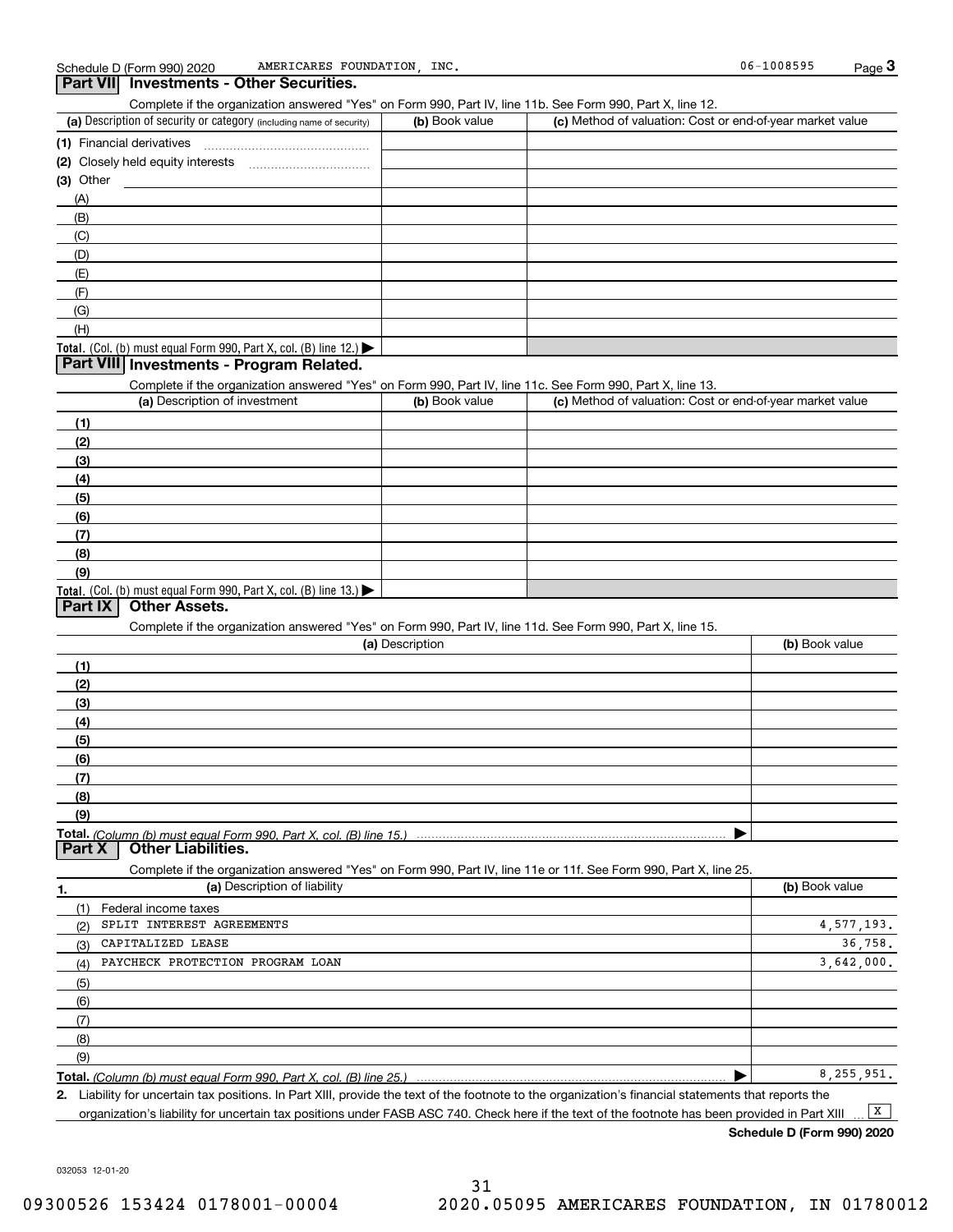### (a) Description of security or category (including name of security)  $\vert$  (b) Book value  $\vert$  (c) Total. (Col. (b) must equal Form 990, Part X, col. (B) line 12.) **(1)** Financial derivatives ~~~~~~~~~~~~~~~ **(2)** Closely held equity interests **(3)** Other **(a)** Description of investment **being the control (c) (c) (c) (c) (1)(2)(3)(4)(5)**Complete if the organization answered "Yes" on Form 990, Part IV, line 11b. See Form 990, Part X, line 12.  $(b)$  Book value  $\vert$  (c) Method of valuation: Cost or end-of-year market value (A)(B)(C)(D)(E)(F)(G)(H)Complete if the organization answered "Yes" on Form 990, Part IV, line 11c. See Form 990, Part X, line 13. **Part VII Investments - Other Securities. Part VIII Investments - Program Related.**

| (a) Description of investment                                                                 | (b) Book value | (c) Method of valuation: Cost or end-of-year market value |
|-----------------------------------------------------------------------------------------------|----------------|-----------------------------------------------------------|
| (1)                                                                                           |                |                                                           |
| (2)                                                                                           |                |                                                           |
| (3)                                                                                           |                |                                                           |
| (4)                                                                                           |                |                                                           |
| $\left(5\right)$                                                                              |                |                                                           |
| (6)                                                                                           |                |                                                           |
| (7)                                                                                           |                |                                                           |
| (8)                                                                                           |                |                                                           |
| (9)                                                                                           |                |                                                           |
| <b>Total.</b> (Col. (b) must equal Form 990, Part X, col. (B) line 13.) $\blacktriangleright$ |                |                                                           |

### **Part IX Other Assets.**

Complete if the organization answered "Yes" on Form 990, Part IV, line 11d. See Form 990, Part X, line 15.

| (a) Description                                                                                                                       | (b) Book value |
|---------------------------------------------------------------------------------------------------------------------------------------|----------------|
|                                                                                                                                       |                |
| (2)                                                                                                                                   |                |
| (3)                                                                                                                                   |                |
| (4)                                                                                                                                   |                |
| (5)                                                                                                                                   |                |
| (6)                                                                                                                                   |                |
|                                                                                                                                       |                |
| (8)                                                                                                                                   |                |
| (9)                                                                                                                                   |                |
|                                                                                                                                       |                |
| Total. (Column (b) must equal Form 990, Part X, col. (B) line 15.) ………………………………………………………………………………………<br>  Part X   Other Liabilities. |                |

**1.(a)** Description of liability **Book value** Book value Book value Book value Book value Complete if the organization answered "Yes" on Form 990, Part IV, line 11e or 11f. See Form 990, Part X, line 25. (1)(2)(3)(4)(5)(6)(7)(8)(9)Federal income taxes  $\blacktriangleright$ SPLIT INTEREST AGREEMENTS CAPITALIZED LEASE PAYCHECK PROTECTION PROGRAM LOAN 4,577,193. 36,758. 3,642,000. 8,255,951.

**Total.**  *(Column (b) must equal Form 990, Part X, col. (B) line 25.)* 

**2.**Liability for uncertain tax positions. In Part XIII, provide the text of the footnote to the organization's financial statements that reports the organization's liability for uncertain tax positions under FASB ASC 740. Check here if the text of the footnote has been provided in Part XIII  $\boxed{\mathbf{X}}$ 

**Schedule D (Form 990) 2020**

032053 12-01-20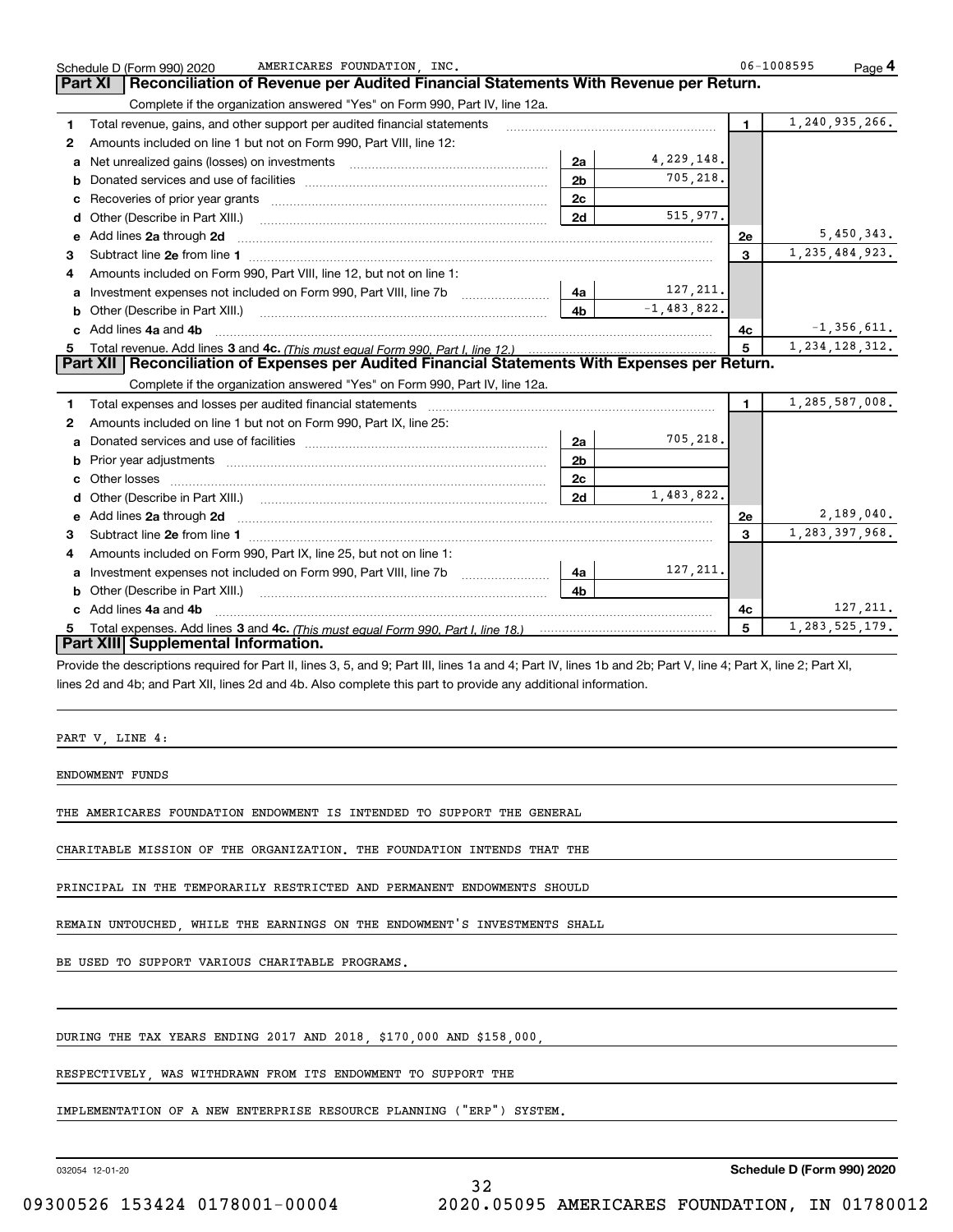|    | AMERICARES FOUNDATION, INC.<br>Schedule D (Form 990) 2020                                                                                                                                                                           |                |               |           | 06-1008595<br>Page 4 |
|----|-------------------------------------------------------------------------------------------------------------------------------------------------------------------------------------------------------------------------------------|----------------|---------------|-----------|----------------------|
|    | Reconciliation of Revenue per Audited Financial Statements With Revenue per Return.<br>Part XI                                                                                                                                      |                |               |           |                      |
|    | Complete if the organization answered "Yes" on Form 990, Part IV, line 12a.                                                                                                                                                         |                |               |           |                      |
| 1  | Total revenue, gains, and other support per audited financial statements                                                                                                                                                            |                |               | 1.        | 1,240,935,266.       |
| 2  | Amounts included on line 1 but not on Form 990, Part VIII, line 12:                                                                                                                                                                 |                |               |           |                      |
| a  | Net unrealized gains (losses) on investments                                                                                                                                                                                        | 2a             | 4, 229, 148.  |           |                      |
| b  |                                                                                                                                                                                                                                     | 2 <sub>b</sub> | 705,218.      |           |                      |
| с  |                                                                                                                                                                                                                                     | 2c             |               |           |                      |
| d  | Other (Describe in Part XIII.)                                                                                                                                                                                                      | 2d             | 515,977.      |           |                      |
| e  | Add lines 2a through 2d                                                                                                                                                                                                             |                |               | <b>2e</b> | 5,450,343.           |
| 3  |                                                                                                                                                                                                                                     |                |               | 3         | 1, 235, 484, 923.    |
| 4  | Amounts included on Form 990. Part VIII. line 12, but not on line 1:                                                                                                                                                                |                |               |           |                      |
| а  |                                                                                                                                                                                                                                     | 4a             | 127, 211.     |           |                      |
| b  | Other (Describe in Part XIII.)                                                                                                                                                                                                      | 4b             | $-1,483,822.$ |           |                      |
| c. | Add lines 4a and 4b                                                                                                                                                                                                                 |                |               | 4c        | $-1, 356, 611.$      |
| 5  |                                                                                                                                                                                                                                     |                |               | 5         | 1, 234, 128, 312.    |
|    | Part XII   Reconciliation of Expenses per Audited Financial Statements With Expenses per Return.                                                                                                                                    |                |               |           |                      |
|    | Complete if the organization answered "Yes" on Form 990, Part IV, line 12a.                                                                                                                                                         |                |               |           |                      |
| 1  | Total expenses and losses per audited financial statements [11] [12] manuscription control expenses and losses per audited financial statements [12] [12] manuscription of the statements [12] manuscription of the statements      |                |               | 1.        | 1,285,587,008.       |
| 2  | Amounts included on line 1 but not on Form 990, Part IX, line 25:                                                                                                                                                                   |                |               |           |                      |
| a  |                                                                                                                                                                                                                                     | 2a             | 705,218.      |           |                      |
| b  |                                                                                                                                                                                                                                     | 2 <sub>b</sub> |               |           |                      |
|    |                                                                                                                                                                                                                                     | 2c             |               |           |                      |
|    |                                                                                                                                                                                                                                     | 2d             | 1,483,822.    |           |                      |
|    | e Add lines 2a through 2d <b>contained a contract and a contract a</b> contract a contract a contract a contract a contract a contract a contract a contract a contract a contract a contract a contract a contract a contract a co |                |               | <b>2e</b> | 2,189,040.           |
| 3  |                                                                                                                                                                                                                                     |                |               | 3         | 1,283,397,968.       |
| 4  | Amounts included on Form 990, Part IX, line 25, but not on line 1:                                                                                                                                                                  |                |               |           |                      |
| a  |                                                                                                                                                                                                                                     | 4a             | 127, 211.     |           |                      |
| b  | Other (Describe in Part XIII.)                                                                                                                                                                                                      | 4 <sub>b</sub> |               |           |                      |
|    | Add lines 4a and 4b                                                                                                                                                                                                                 |                |               | 4c        | 127, 211.            |
| 5. |                                                                                                                                                                                                                                     |                |               | 5         | 1, 283, 525, 179.    |
|    | Part XIII Supplemental Information.                                                                                                                                                                                                 |                |               |           |                      |
|    | Provide the descriptions required for Part II, lines 3, 5, and 9; Part III, lines 1a and 4; Part IV, lines 1b and 2b; Part V, line 4; Part X, line 2; Part XI,                                                                      |                |               |           |                      |
|    | lines 2d and 4b; and Part XII, lines 2d and 4b. Also complete this part to provide any additional information.                                                                                                                      |                |               |           |                      |

PART V, LINE 4:

ENDOWMENT FUNDS

THE AMERICARES FOUNDATION ENDOWMENT IS INTENDED TO SUPPORT THE GENERAL

CHARITABLE MISSION OF THE ORGANIZATION. THE FOUNDATION INTENDS THAT THE

PRINCIPAL IN THE TEMPORARILY RESTRICTED AND PERMANENT ENDOWMENTS SHOULD

REMAIN UNTOUCHED, WHILE THE EARNINGS ON THE ENDOWMENT'S INVESTMENTS SHALL

BE USED TO SUPPORT VARIOUS CHARITABLE PROGRAMS.

DURING THE TAX YEARS ENDING 2017 AND 2018, \$170,000 AND \$158,000,

RESPECTIVELY, WAS WITHDRAWN FROM ITS ENDOWMENT TO SUPPORT THE

IMPLEMENTATION OF A NEW ENTERPRISE RESOURCE PLANNING ("ERP") SYSTEM.

032054 12-01-20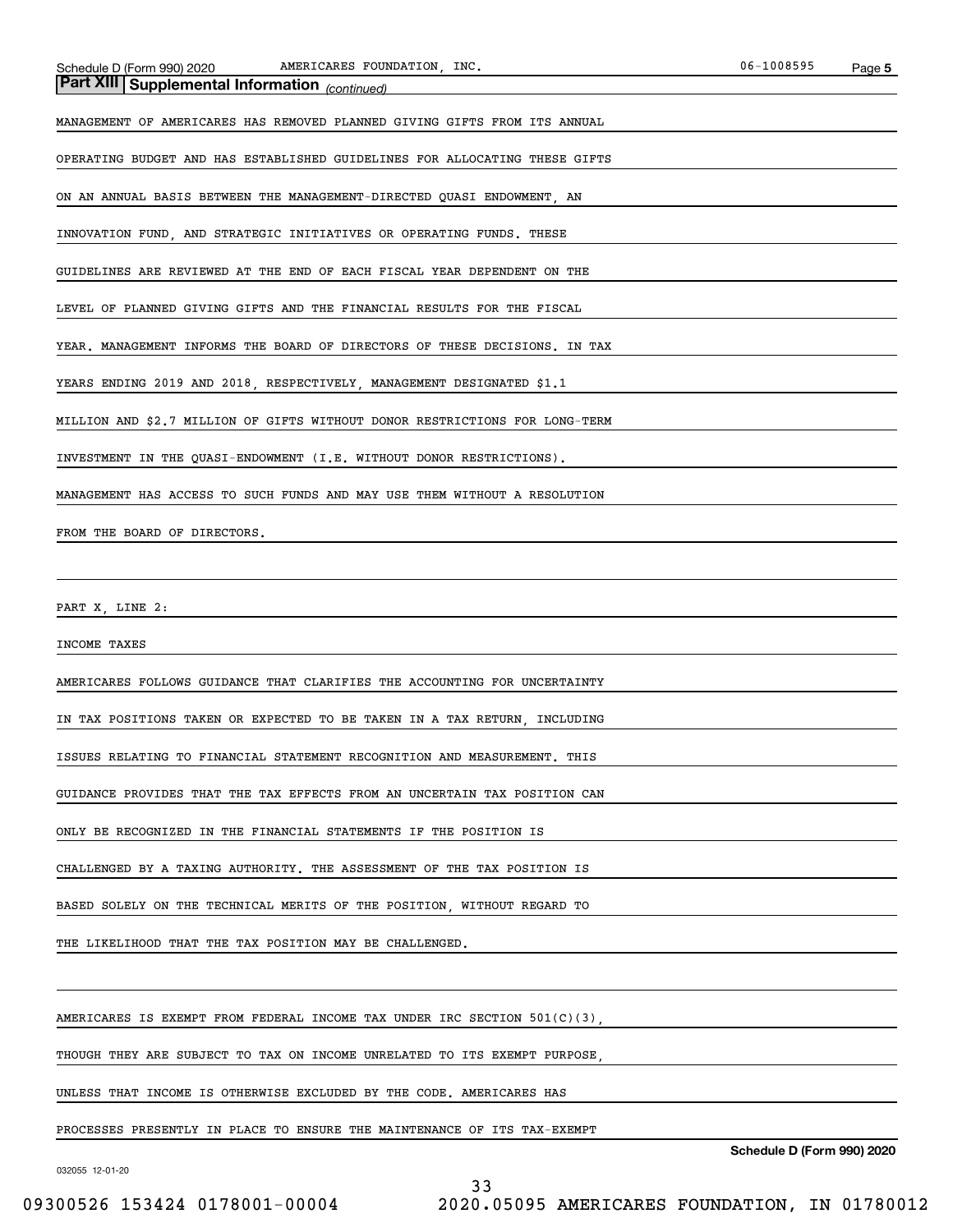| AMERICARES FOUNDATION, INC.<br>Schedule D (Form 990) 2020                    | 06-1008595 | Page 5 |
|------------------------------------------------------------------------------|------------|--------|
| Part XIII Supplemental Information (continued)                               |            |        |
| MANAGEMENT OF AMERICARES HAS REMOVED PLANNED GIVING GIFTS FROM ITS ANNUAL    |            |        |
| OPERATING BUDGET AND HAS ESTABLISHED GUIDELINES FOR ALLOCATING THESE GIFTS   |            |        |
| ON AN ANNUAL BASIS BETWEEN THE MANAGEMENT-DIRECTED QUASI ENDOWMENT, AN       |            |        |
| INNOVATION FUND, AND STRATEGIC INITIATIVES OR OPERATING FUNDS. THESE         |            |        |
| GUIDELINES ARE REVIEWED AT THE END OF EACH FISCAL YEAR DEPENDENT ON THE      |            |        |
| LEVEL OF PLANNED GIVING GIFTS AND THE FINANCIAL RESULTS FOR THE FISCAL       |            |        |
| YEAR. MANAGEMENT INFORMS THE BOARD OF DIRECTORS OF THESE DECISIONS. IN TAX   |            |        |
| YEARS ENDING 2019 AND 2018, RESPECTIVELY, MANAGEMENT DESIGNATED \$1.1        |            |        |
| MILLION AND \$2.7 MILLION OF GIFTS WITHOUT DONOR RESTRICTIONS FOR LONG-TERM  |            |        |
| INVESTMENT IN THE QUASI-ENDOWMENT (I.E. WITHOUT DONOR RESTRICTIONS).         |            |        |
| MANAGEMENT HAS ACCESS TO SUCH FUNDS AND MAY USE THEM WITHOUT A RESOLUTION    |            |        |
| FROM THE BOARD OF DIRECTORS.                                                 |            |        |
|                                                                              |            |        |
| PART X, LINE 2:                                                              |            |        |
| INCOME TAXES                                                                 |            |        |
| AMERICARES FOLLOWS GUIDANCE THAT CLARIFIES THE ACCOUNTING FOR UNCERTAINTY    |            |        |
| IN TAX POSITIONS TAKEN OR EXPECTED TO BE TAKEN IN A TAX RETURN, INCLUDING    |            |        |
| ISSUES RELATING TO FINANCIAL STATEMENT RECOGNITION AND MEASUREMENT. THIS     |            |        |
| GUIDANCE PROVIDES THAT THE TAX EFFECTS FROM AN UNCERTAIN TAX POSITION CAN    |            |        |
| ONLY BE RECOGNIZED IN THE FINANCIAL STATEMENTS IF THE POSITION IS            |            |        |
| CHALLENGED BY A TAXING AUTHORITY. THE ASSESSMENT OF THE TAX POSITION IS      |            |        |
| BASED SOLELY ON THE TECHNICAL MERITS OF THE POSITION, WITHOUT REGARD TO      |            |        |
| THE LIKELIHOOD THAT THE TAX POSITION MAY BE CHALLENGED.                      |            |        |
|                                                                              |            |        |
| AMERICARES IS EXEMPT FROM FEDERAL INCOME TAX UNDER IRC SECTION $501(C)(3)$ , |            |        |
| THOUGH THEY ARE SUBJECT TO TAX ON INCOME UNRELATED TO ITS EXEMPT PURPOSE,    |            |        |
| UNLESS THAT INCOME IS OTHERWISE EXCLUDED BY THE CODE. AMERICARES HAS         |            |        |

PROCESSES PRESENTLY IN PLACE TO ENSURE THE MAINTENANCE OF ITS TAX-EXEMPT

032055 12-01-20

**Schedule D (Form 990) 2020**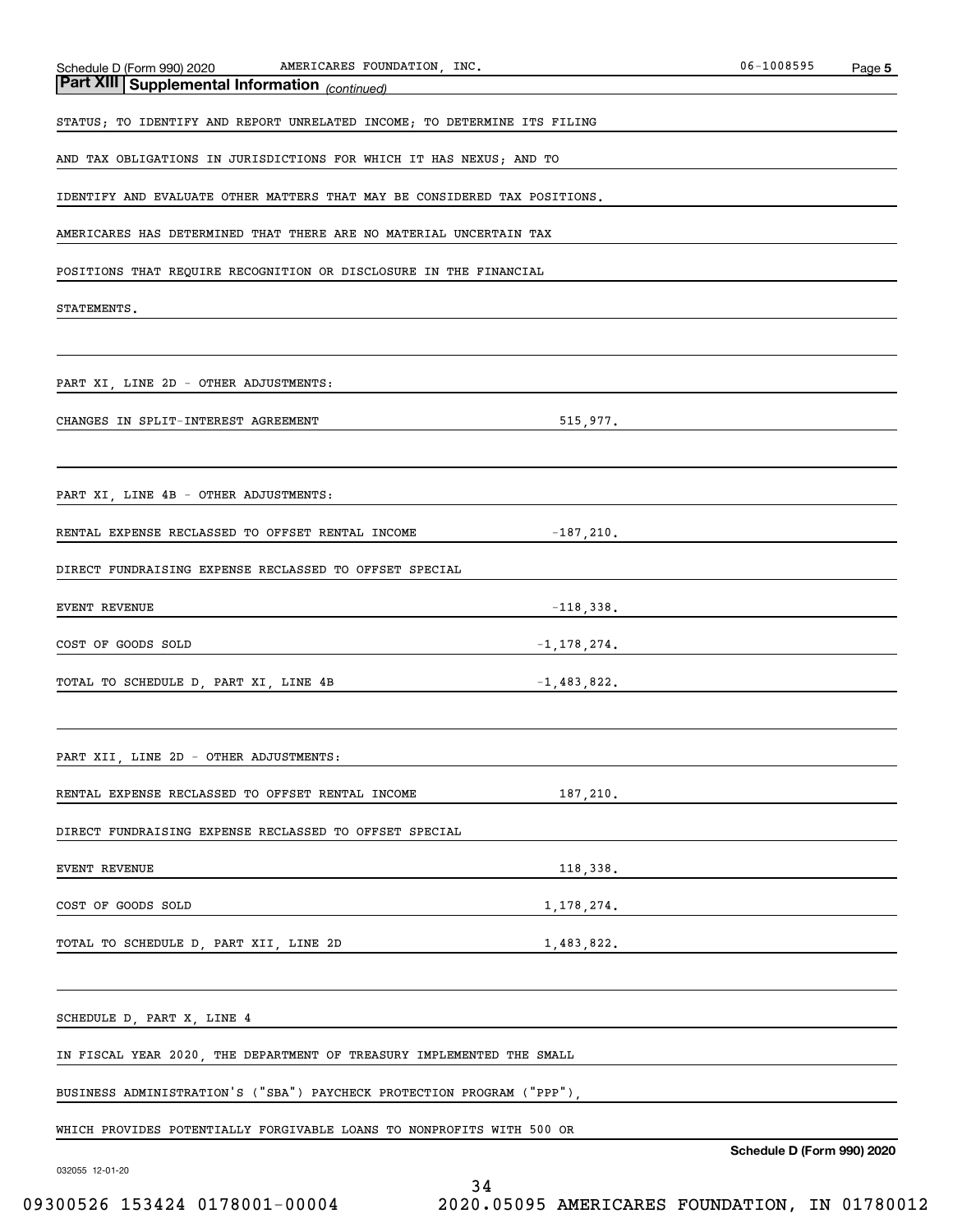| Schedule D (Form 990) 2020 MERICARES FOUNDATION, INC.<br><b>Part XIII Supplemental Information</b> (continued) |                | 06-1008595 | Page 5 |
|----------------------------------------------------------------------------------------------------------------|----------------|------------|--------|
|                                                                                                                |                |            |        |
| STATUS; TO IDENTIFY AND REPORT UNRELATED INCOME; TO DETERMINE ITS FILING                                       |                |            |        |
| AND TAX OBLIGATIONS IN JURISDICTIONS FOR WHICH IT HAS NEXUS; AND TO                                            |                |            |        |
| IDENTIFY AND EVALUATE OTHER MATTERS THAT MAY BE CONSIDERED TAX POSITIONS.                                      |                |            |        |
| AMERICARES HAS DETERMINED THAT THERE ARE NO MATERIAL UNCERTAIN TAX                                             |                |            |        |
| POSITIONS THAT REQUIRE RECOGNITION OR DISCLOSURE IN THE FINANCIAL                                              |                |            |        |
| STATEMENTS.                                                                                                    |                |            |        |
|                                                                                                                |                |            |        |
| PART XI, LINE 2D - OTHER ADJUSTMENTS:                                                                          |                |            |        |
| CHANGES IN SPLIT-INTEREST AGREEMENT                                                                            | 515,977.       |            |        |
|                                                                                                                |                |            |        |
| PART XI, LINE 4B - OTHER ADJUSTMENTS:                                                                          |                |            |        |
| RENTAL EXPENSE RECLASSED TO OFFSET RENTAL INCOME -187,210.                                                     |                |            |        |
|                                                                                                                |                |            |        |
| DIRECT FUNDRAISING EXPENSE RECLASSED TO OFFSET SPECIAL                                                         |                |            |        |
| $-118,338.$<br>EVENT REVENUE                                                                                   |                |            |        |
| $-1, 178, 274.$<br>COST OF GOODS SOLD                                                                          |                |            |        |
| TOTAL TO SCHEDULE D, PART XI, LINE 4B                                                                          | $-1,483,822$ . |            |        |
|                                                                                                                |                |            |        |
| PART XII, LINE 2D - OTHER ADJUSTMENTS:                                                                         |                |            |        |
| RENTAL EXPENSE RECLASSED TO OFFSET RENTAL INCOME                                                               | 187,210.       |            |        |
| DIRECT FUNDRAISING EXPENSE RECLASSED TO OFFSET SPECIAL                                                         |                |            |        |
| EVENT REVENUE                                                                                                  | 118,338.       |            |        |
| COST OF GOODS SOLD                                                                                             | 1, 178, 274.   |            |        |
| TOTAL TO SCHEDULE D, PART XII, LINE 2D                                                                         | 1,483,822.     |            |        |
|                                                                                                                |                |            |        |
| SCHEDULE D, PART X, LINE 4                                                                                     |                |            |        |
|                                                                                                                |                |            |        |
| IN FISCAL YEAR 2020, THE DEPARTMENT OF TREASURY IMPLEMENTED THE SMALL                                          |                |            |        |
| BUSINESS ADMINISTRATION'S ("SBA") PAYCHECK PROTECTION PROGRAM ("PPP"),                                         |                |            |        |
| WHICH PROVIDES POTENTIALLY FORGIVABLE LOANS TO NONPROFITS WITH 500 OR                                          |                |            |        |

032055 12-01-20

**Schedule D (Form 990) 2020**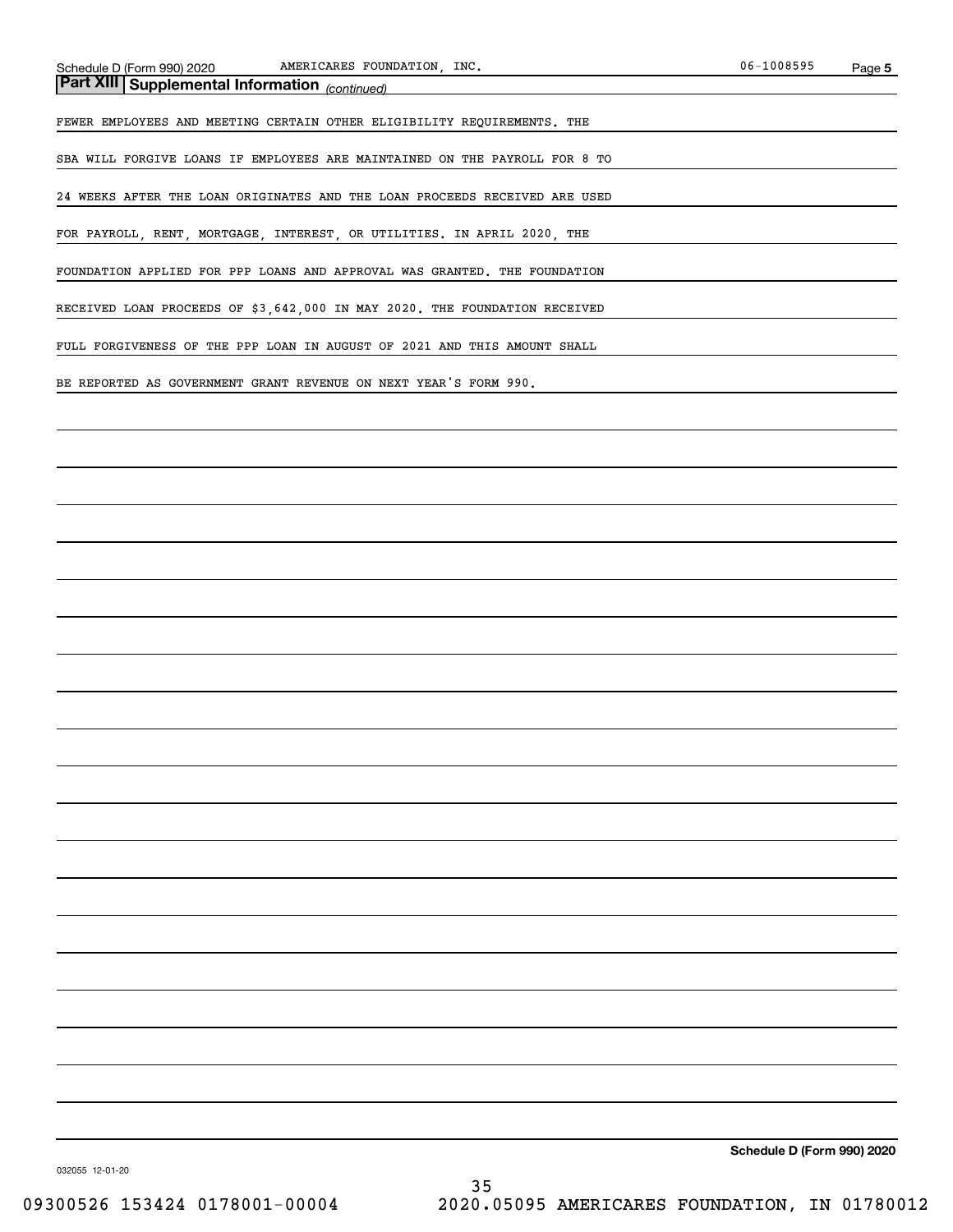*(continued)* **Part XIII Supplemental Information** 

FEWER EMPLOYEES AND MEETING CERTAIN OTHER ELIGIBILITY REQUIREMENTS. THE

SBA WILL FORGIVE LOANS IF EMPLOYEES ARE MAINTAINED ON THE PAYROLL FOR 8 TO

24 WEEKS AFTER THE LOAN ORIGINATES AND THE LOAN PROCEEDS RECEIVED ARE USED

FOR PAYROLL, RENT, MORTGAGE, INTEREST, OR UTILITIES. IN APRIL 2020, THE

FOUNDATION APPLIED FOR PPP LOANS AND APPROVAL WAS GRANTED. THE FOUNDATION

RECEIVED LOAN PROCEEDS OF \$3,642,000 IN MAY 2020. THE FOUNDATION RECEIVED

FULL FORGIVENESS OF THE PPP LOAN IN AUGUST OF 2021 AND THIS AMOUNT SHALL

BE REPORTED AS GOVERNMENT GRANT REVENUE ON NEXT YEAR'S FORM 990.

**Schedule D (Form 990) 2020**

032055 12-01-20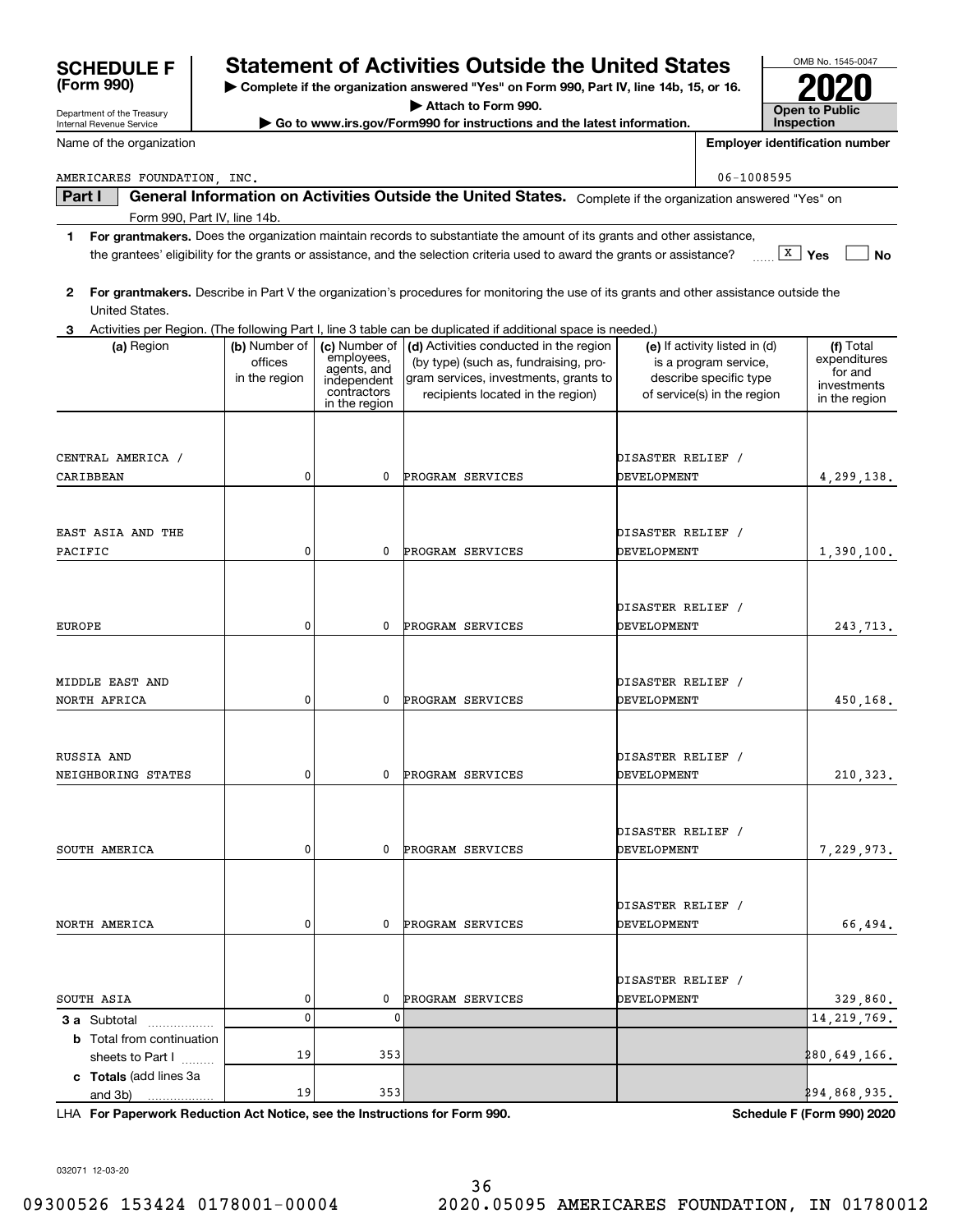| Name of the organization         |                          |                             |                                                                                                                                         |                                  | <b>Employer identification number</b>           |                              |
|----------------------------------|--------------------------|-----------------------------|-----------------------------------------------------------------------------------------------------------------------------------------|----------------------------------|-------------------------------------------------|------------------------------|
| AMERICARES FOUNDATION, INC.      |                          |                             |                                                                                                                                         |                                  | 06-1008595                                      |                              |
| Part I                           |                          |                             | General Information on Activities Outside the United States. Complete if the organization answered "Yes" on                             |                                  |                                                 |                              |
| Form 990, Part IV, line 14b.     |                          |                             |                                                                                                                                         |                                  |                                                 |                              |
| 1                                |                          |                             | For grantmakers. Does the organization maintain records to substantiate the amount of its grants and other assistance,                  |                                  |                                                 |                              |
|                                  |                          |                             | the grantees' eligibility for the grants or assistance, and the selection criteria used to award the grants or assistance?              |                                  |                                                 | $\boxed{\text{X}}$ Yes<br>No |
| $\mathbf{2}$                     |                          |                             | For grantmakers. Describe in Part V the organization's procedures for monitoring the use of its grants and other assistance outside the |                                  |                                                 |                              |
| United States.                   |                          |                             |                                                                                                                                         |                                  |                                                 |                              |
| 3.                               |                          |                             | Activities per Region. (The following Part I, line 3 table can be duplicated if additional space is needed.)                            |                                  |                                                 |                              |
| (a) Region                       | (b) Number of            | (c) Number of<br>employees, | (d) Activities conducted in the region                                                                                                  |                                  | (e) If activity listed in (d)                   | (f) Total                    |
|                                  | offices<br>in the region | agents, and                 | (by type) (such as, fundraising, pro-<br>gram services, investments, grants to                                                          |                                  | is a program service,<br>describe specific type | expenditures<br>for and      |
|                                  |                          | independent<br>contractors  | recipients located in the region)                                                                                                       |                                  | of service(s) in the region                     | investments<br>in the region |
|                                  |                          | in the region               |                                                                                                                                         |                                  |                                                 |                              |
|                                  |                          |                             |                                                                                                                                         |                                  |                                                 |                              |
| CENTRAL AMERICA /                |                          |                             |                                                                                                                                         | DISASTER RELIEF /                |                                                 |                              |
| CARIBBEAN                        | 0                        | 0                           | <b>PROGRAM SERVICES</b>                                                                                                                 | <b>DEVELOPMENT</b>               |                                                 | 4,299,138.                   |
|                                  |                          |                             |                                                                                                                                         |                                  |                                                 |                              |
|                                  |                          |                             |                                                                                                                                         |                                  |                                                 |                              |
| EAST ASIA AND THE                | 0                        |                             |                                                                                                                                         | DISASTER RELIEF /                |                                                 |                              |
| PACIFIC                          |                          | 0                           | PROGRAM SERVICES                                                                                                                        | <b>DEVELOPMENT</b>               |                                                 | 1,390,100.                   |
|                                  |                          |                             |                                                                                                                                         |                                  |                                                 |                              |
|                                  |                          |                             |                                                                                                                                         | DISASTER RELIEF /                |                                                 |                              |
| <b>EUROPE</b>                    | 0                        | 0                           | PROGRAM SERVICES                                                                                                                        | DEVELOPMENT                      |                                                 | 243,713.                     |
|                                  |                          |                             |                                                                                                                                         |                                  |                                                 |                              |
|                                  |                          |                             |                                                                                                                                         |                                  |                                                 |                              |
| MIDDLE EAST AND                  | 0                        | 0                           | PROGRAM SERVICES                                                                                                                        | DISASTER RELIEF /<br>DEVELOPMENT |                                                 |                              |
| NORTH AFRICA                     |                          |                             |                                                                                                                                         |                                  |                                                 | 450,168.                     |
|                                  |                          |                             |                                                                                                                                         |                                  |                                                 |                              |
| RUSSIA AND                       |                          |                             |                                                                                                                                         | DISASTER RELIEF /                |                                                 |                              |
| NEIGHBORING STATES               | 0                        | 0                           | PROGRAM SERVICES                                                                                                                        | DEVELOPMENT                      |                                                 | 210, 323.                    |
|                                  |                          |                             |                                                                                                                                         |                                  |                                                 |                              |
|                                  |                          |                             |                                                                                                                                         |                                  |                                                 |                              |
| SOUTH AMERICA                    | 0                        | 0                           | PROGRAM SERVICES                                                                                                                        | DISASTER RELIEF /<br>DEVELOPMENT |                                                 | 7,229,973.                   |
|                                  |                          |                             |                                                                                                                                         |                                  |                                                 |                              |
|                                  |                          |                             |                                                                                                                                         |                                  |                                                 |                              |
|                                  |                          |                             |                                                                                                                                         | DISASTER RELIEF /                |                                                 |                              |
| NORTH AMERICA                    | 0                        | 0                           | PROGRAM SERVICES                                                                                                                        | DEVELOPMENT                      |                                                 | 66,494.                      |
|                                  |                          |                             |                                                                                                                                         |                                  |                                                 |                              |
|                                  |                          |                             |                                                                                                                                         |                                  |                                                 |                              |
| SOUTH ASIA                       | 0                        | 0                           | PROGRAM SERVICES                                                                                                                        | DISASTER RELIEF /<br>DEVELOPMENT |                                                 | 329,860.                     |
| <b>3 a</b> Subtotal              | 0                        | 0                           |                                                                                                                                         |                                  |                                                 | 14, 219, 769.                |
| <b>b</b> Total from continuation |                          |                             |                                                                                                                                         |                                  |                                                 |                              |
| sheets to Part I                 | 19                       | 353                         |                                                                                                                                         |                                  |                                                 | <b>2</b> 80,649,166 <b>.</b> |
| c Totals (add lines 3a           |                          |                             |                                                                                                                                         |                                  |                                                 |                              |
| and 3b)<br>.                     | 19                       | 353                         |                                                                                                                                         |                                  |                                                 | 294,868,935.                 |

**For Paperwork Reduction Act Notice, see the Instructions for Form 990. Schedule F (Form 990) 2020** LHA

032071 12-03-20

Department of the Treasury Internal Revenue Service

**(Form 990)**

## **Statement of Activities Outside the United States**

**| Complete if the organization answered "Yes" on Form 990, Part IV, line 14b, 15, or 16.**

**| Attach to Form 990.**

**| Go to www.irs.gov/Form990 for instructions and the latest information.**

OMB No. 1545-0047 **Open to Public Inspection2020**

L **Employer identification number**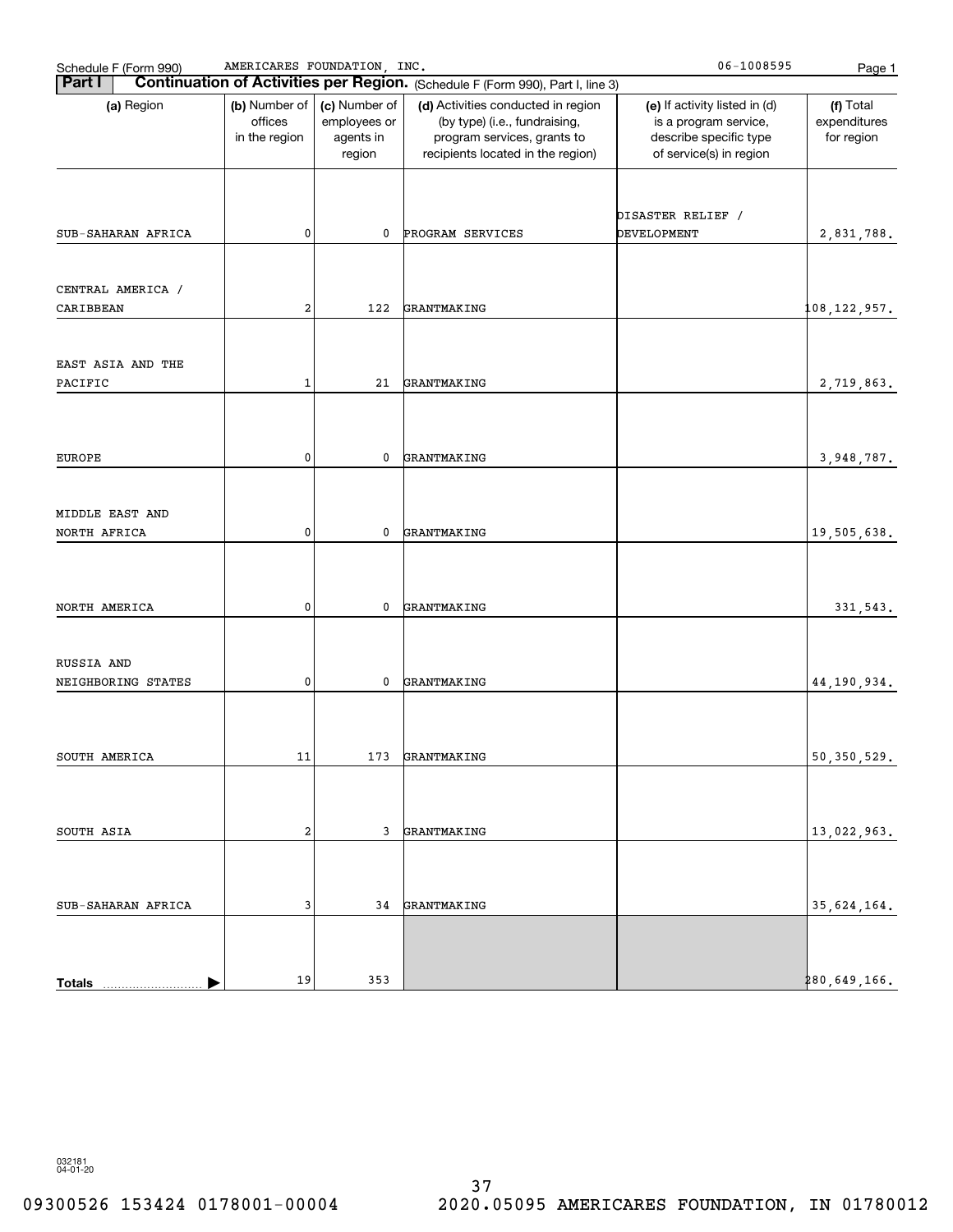| $06 - 1008595$<br>AMERICARES FOUNDATION, INC.<br>Schedule F (Form 990)<br>Continuation of Activities per Region. (Schedule F (Form 990), Part I, line 3)<br><b>Part I</b> |                                           |                                                      |                                                                                                                                         |                                                                                                             |                                         |  |  |  |  |
|---------------------------------------------------------------------------------------------------------------------------------------------------------------------------|-------------------------------------------|------------------------------------------------------|-----------------------------------------------------------------------------------------------------------------------------------------|-------------------------------------------------------------------------------------------------------------|-----------------------------------------|--|--|--|--|
| (a) Region                                                                                                                                                                | (b) Number of<br>offices<br>in the region | (c) Number of<br>employees or<br>agents in<br>region | (d) Activities conducted in region<br>(by type) (i.e., fundraising,<br>program services, grants to<br>recipients located in the region) | (e) If activity listed in (d)<br>is a program service,<br>describe specific type<br>of service(s) in region | (f) Total<br>expenditures<br>for region |  |  |  |  |
| SUB-SAHARAN AFRICA                                                                                                                                                        | 0                                         | 0                                                    | PROGRAM SERVICES                                                                                                                        | DISASTER RELIEF /<br>DEVELOPMENT                                                                            | 2,831,788.                              |  |  |  |  |
| CENTRAL AMERICA /<br>CARIBBEAN                                                                                                                                            | 2                                         | 122                                                  | GRANTMAKING                                                                                                                             |                                                                                                             | .08,122,957.                            |  |  |  |  |
| EAST ASIA AND THE<br>PACIFIC                                                                                                                                              | $\mathbf 1$                               | 21                                                   | GRANTMAKING                                                                                                                             |                                                                                                             | 2,719,863.                              |  |  |  |  |
| EUROPE                                                                                                                                                                    | 0                                         | 0                                                    | GRANTMAKING                                                                                                                             |                                                                                                             | 3,948,787.                              |  |  |  |  |
| MIDDLE EAST AND<br>NORTH AFRICA                                                                                                                                           | 0                                         | 0                                                    | GRANTMAKING                                                                                                                             |                                                                                                             | 19,505,638.                             |  |  |  |  |
| NORTH AMERICA                                                                                                                                                             | 0                                         | 0                                                    | GRANTMAKING                                                                                                                             |                                                                                                             | 331,543.                                |  |  |  |  |
| RUSSIA AND<br>NEIGHBORING STATES                                                                                                                                          | 0                                         | 0                                                    | GRANTMAKING                                                                                                                             |                                                                                                             | 44,190,934.                             |  |  |  |  |
| SOUTH AMERICA                                                                                                                                                             | 11                                        | 173                                                  | GRANTMAKING                                                                                                                             |                                                                                                             | 50, 350, 529.                           |  |  |  |  |
| SOUTH ASIA                                                                                                                                                                | 2                                         | 3                                                    | GRANTMAKING                                                                                                                             |                                                                                                             | 13,022,963.                             |  |  |  |  |
| SUB-SAHARAN AFRICA                                                                                                                                                        | 3                                         | 34                                                   | GRANTMAKING                                                                                                                             |                                                                                                             | 35,624,164.                             |  |  |  |  |
| <b>Totals</b>                                                                                                                                                             | 19                                        | 353                                                  |                                                                                                                                         |                                                                                                             | 280,649,166.                            |  |  |  |  |

032181 04-01-20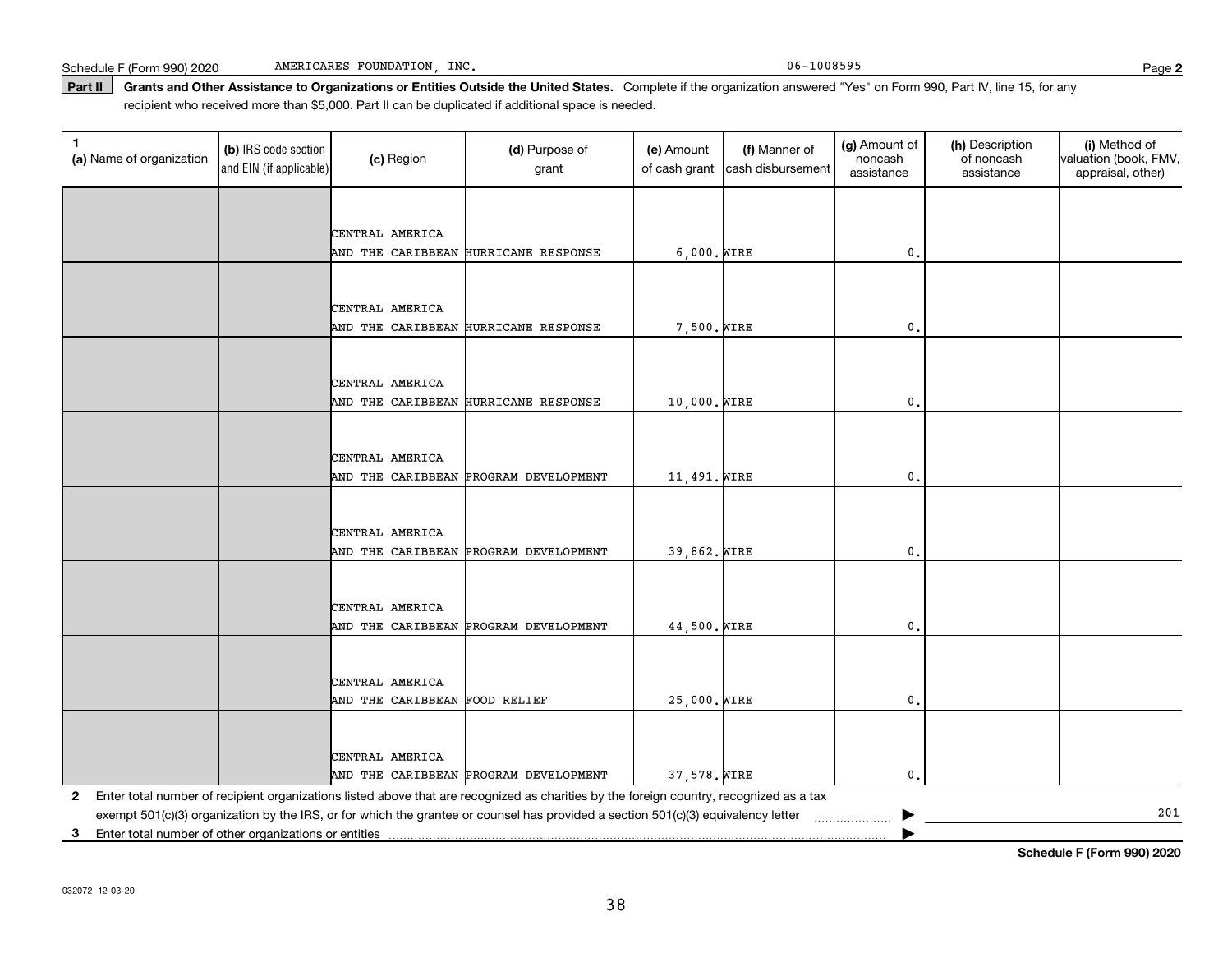Schedule F (Form 990) 2020 Page AMERICARES FOUNDATION, INC. 06-1008595

Part II | Grants and Other Assistance to Organizations or Entities Outside the United States. Complete if the organization answered "Yes" on Form 990, Part IV, line 15, for any recipient who received more than \$5,000. Part II can be duplicated if additional space is needed.

| 1<br>(a) Name of organization                              | (b) IRS code section<br>and EIN (if applicable) | (c) Region                    | (d) Purpose of<br>grant                                                                                                                 | (e) Amount<br>of cash grant | (f) Manner of<br>cash disbursement | (g) Amount of<br>noncash<br>assistance | (h) Description<br>of noncash<br>assistance | (i) Method of<br>valuation (book, FMV,<br>appraisal, other) |
|------------------------------------------------------------|-------------------------------------------------|-------------------------------|-----------------------------------------------------------------------------------------------------------------------------------------|-----------------------------|------------------------------------|----------------------------------------|---------------------------------------------|-------------------------------------------------------------|
|                                                            |                                                 |                               |                                                                                                                                         |                             |                                    |                                        |                                             |                                                             |
|                                                            |                                                 |                               |                                                                                                                                         |                             |                                    |                                        |                                             |                                                             |
|                                                            |                                                 | CENTRAL AMERICA               | AND THE CARIBBEAN HURRICANE RESPONSE                                                                                                    | $6,000.$ WIRE               |                                    | $\mathbf{0}$                           |                                             |                                                             |
|                                                            |                                                 |                               |                                                                                                                                         |                             |                                    |                                        |                                             |                                                             |
|                                                            |                                                 |                               |                                                                                                                                         |                             |                                    |                                        |                                             |                                                             |
|                                                            |                                                 | CENTRAL AMERICA               |                                                                                                                                         |                             |                                    |                                        |                                             |                                                             |
|                                                            |                                                 |                               | AND THE CARIBBEAN HURRICANE RESPONSE                                                                                                    | 7,500. WIRE                 |                                    | $\mathbf{0}$                           |                                             |                                                             |
|                                                            |                                                 |                               |                                                                                                                                         |                             |                                    |                                        |                                             |                                                             |
|                                                            |                                                 |                               |                                                                                                                                         |                             |                                    |                                        |                                             |                                                             |
|                                                            |                                                 | CENTRAL AMERICA               |                                                                                                                                         |                             |                                    |                                        |                                             |                                                             |
|                                                            |                                                 |                               | AND THE CARIBBEAN HURRICANE RESPONSE                                                                                                    | 10,000. WIRE                |                                    | $\mathbf{0}$                           |                                             |                                                             |
|                                                            |                                                 |                               |                                                                                                                                         |                             |                                    |                                        |                                             |                                                             |
|                                                            |                                                 | CENTRAL AMERICA               |                                                                                                                                         |                             |                                    |                                        |                                             |                                                             |
|                                                            |                                                 |                               | AND THE CARIBBEAN PROGRAM DEVELOPMENT                                                                                                   | 11,491. WIRE                |                                    | $\mathbf{0}$                           |                                             |                                                             |
|                                                            |                                                 |                               |                                                                                                                                         |                             |                                    |                                        |                                             |                                                             |
|                                                            |                                                 |                               |                                                                                                                                         |                             |                                    |                                        |                                             |                                                             |
|                                                            |                                                 | CENTRAL AMERICA               |                                                                                                                                         |                             |                                    |                                        |                                             |                                                             |
|                                                            |                                                 |                               | AND THE CARIBBEAN PROGRAM DEVELOPMENT                                                                                                   | 39,862. WIRE                |                                    | $\mathbf{0}$ .                         |                                             |                                                             |
|                                                            |                                                 |                               |                                                                                                                                         |                             |                                    |                                        |                                             |                                                             |
|                                                            |                                                 | CENTRAL AMERICA               |                                                                                                                                         |                             |                                    |                                        |                                             |                                                             |
|                                                            |                                                 |                               | AND THE CARIBBEAN PROGRAM DEVELOPMENT                                                                                                   | 44,500. WIRE                |                                    | $\mathbf{0}$                           |                                             |                                                             |
|                                                            |                                                 |                               |                                                                                                                                         |                             |                                    |                                        |                                             |                                                             |
|                                                            |                                                 |                               |                                                                                                                                         |                             |                                    |                                        |                                             |                                                             |
|                                                            |                                                 | CENTRAL AMERICA               |                                                                                                                                         |                             |                                    |                                        |                                             |                                                             |
|                                                            |                                                 | AND THE CARIBBEAN FOOD RELIEF |                                                                                                                                         | 25,000. WIRE                |                                    | $\mathbf{0}$                           |                                             |                                                             |
|                                                            |                                                 |                               |                                                                                                                                         |                             |                                    |                                        |                                             |                                                             |
|                                                            |                                                 |                               |                                                                                                                                         |                             |                                    |                                        |                                             |                                                             |
|                                                            |                                                 | CENTRAL AMERICA               |                                                                                                                                         |                             |                                    |                                        |                                             |                                                             |
|                                                            |                                                 |                               | AND THE CARIBBEAN PROGRAM DEVELOPMENT                                                                                                   | 37,578. WIRE                |                                    | $\mathbf 0$ .                          |                                             |                                                             |
| $\mathbf{2}$                                               |                                                 |                               | Enter total number of recipient organizations listed above that are recognized as charities by the foreign country, recognized as a tax |                             |                                    |                                        |                                             | 201                                                         |
| Enter total number of other organizations or entities<br>3 |                                                 |                               | exempt 501(c)(3) organization by the IRS, or for which the grantee or counsel has provided a section 501(c)(3) equivalency letter       |                             |                                    |                                        |                                             |                                                             |

**Schedule F (Form 990) 2020**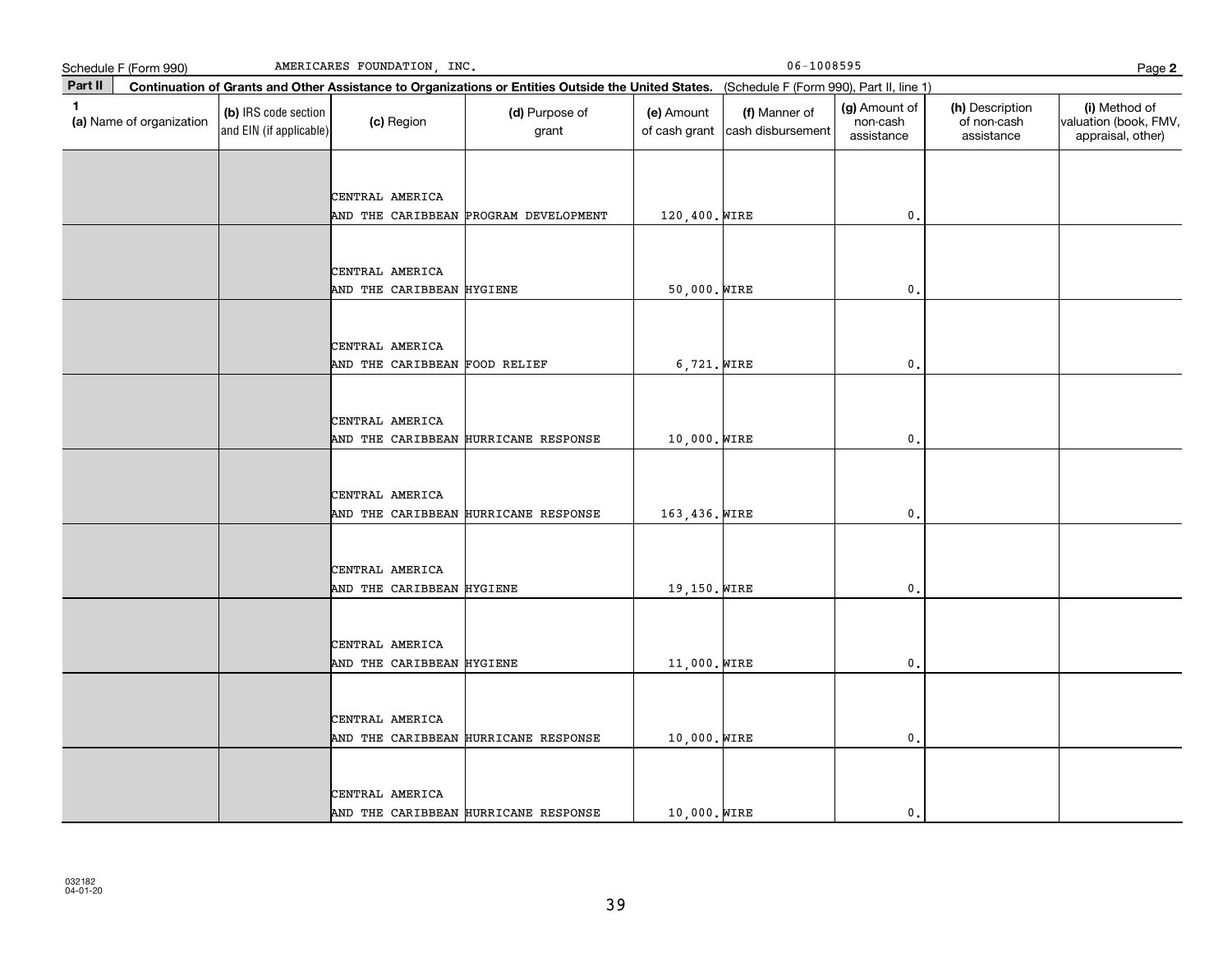| Schedule F (Form 990)                    | AMERICARES FOUNDATION, INC. |                                                 |                                                  |                                                                                                                                              |                             | $06 - 1008595$                     |                                         |                                              |                                                             |
|------------------------------------------|-----------------------------|-------------------------------------------------|--------------------------------------------------|----------------------------------------------------------------------------------------------------------------------------------------------|-----------------------------|------------------------------------|-----------------------------------------|----------------------------------------------|-------------------------------------------------------------|
| Part II                                  |                             |                                                 |                                                  | Continuation of Grants and Other Assistance to Organizations or Entities Outside the United States. (Schedule F (Form 990), Part II, line 1) |                             |                                    |                                         |                                              |                                                             |
| $\mathbf{1}$<br>(a) Name of organization |                             | (b) IRS code section<br>and EIN (if applicable) | (c) Region                                       | (d) Purpose of<br>grant                                                                                                                      | (e) Amount<br>of cash grant | (f) Manner of<br>cash disbursement | (g) Amount of<br>non-cash<br>assistance | (h) Description<br>of non-cash<br>assistance | (i) Method of<br>valuation (book, FMV,<br>appraisal, other) |
|                                          |                             |                                                 | CENTRAL AMERICA                                  | AND THE CARIBBEAN PROGRAM DEVELOPMENT                                                                                                        | 120,400. WIRE               |                                    | 0.                                      |                                              |                                                             |
|                                          |                             |                                                 | CENTRAL AMERICA<br>AND THE CARIBBEAN HYGIENE     |                                                                                                                                              | 50,000. WIRE                |                                    | 0.                                      |                                              |                                                             |
|                                          |                             |                                                 | CENTRAL AMERICA<br>AND THE CARIBBEAN FOOD RELIEF |                                                                                                                                              | 6,721. WIRE                 |                                    | 0.                                      |                                              |                                                             |
|                                          |                             |                                                 | CENTRAL AMERICA                                  | AND THE CARIBBEAN HURRICANE RESPONSE                                                                                                         | 10,000. WIRE                |                                    | $\mathfrak o$ .                         |                                              |                                                             |
|                                          |                             |                                                 | CENTRAL AMERICA                                  | AND THE CARIBBEAN HURRICANE RESPONSE                                                                                                         | 163,436. WIRE               |                                    | $\mathbf 0$ .                           |                                              |                                                             |
|                                          |                             |                                                 | CENTRAL AMERICA<br>AND THE CARIBBEAN HYGIENE     |                                                                                                                                              | 19,150. WIRE                |                                    | 0.                                      |                                              |                                                             |
|                                          |                             |                                                 | CENTRAL AMERICA<br>AND THE CARIBBEAN HYGIENE     |                                                                                                                                              | 11,000. WIRE                |                                    | $\mathbf{0}$ .                          |                                              |                                                             |
|                                          |                             |                                                 | CENTRAL AMERICA                                  | AND THE CARIBBEAN HURRICANE RESPONSE                                                                                                         | 10,000. WIRE                |                                    | $\mathbf 0$ .                           |                                              |                                                             |
|                                          |                             |                                                 | CENTRAL AMERICA                                  | AND THE CARIBBEAN HURRICANE RESPONSE                                                                                                         | 10,000. WIRE                |                                    | $\mathsf{0}$ .                          |                                              |                                                             |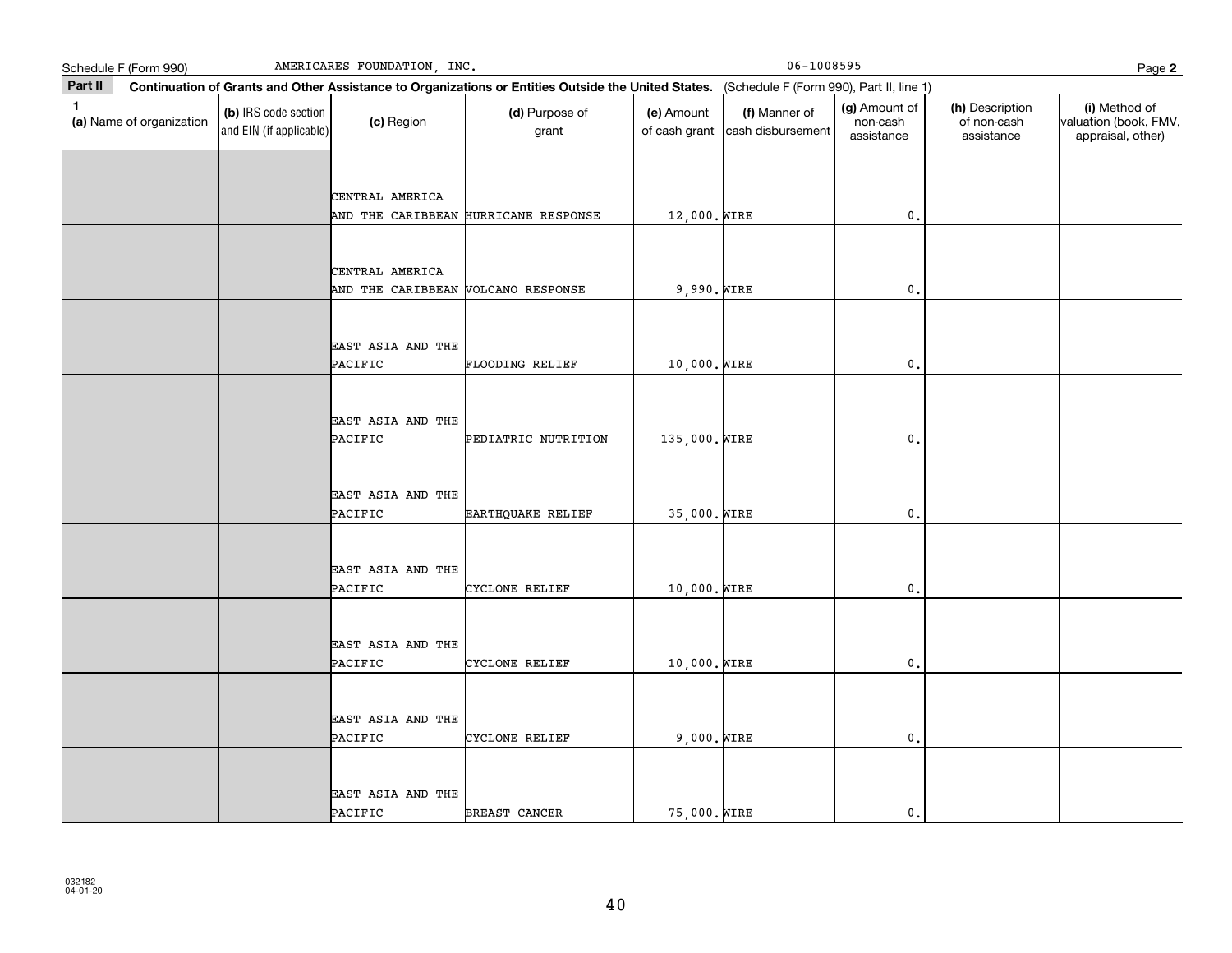|              | AMERICARES FOUNDATION, INC.<br>Schedule F (Form 990) |                                                 |                                                       |                                                                                                                                              |                             | Page 2                             |                                         |                                              |                                                             |
|--------------|------------------------------------------------------|-------------------------------------------------|-------------------------------------------------------|----------------------------------------------------------------------------------------------------------------------------------------------|-----------------------------|------------------------------------|-----------------------------------------|----------------------------------------------|-------------------------------------------------------------|
| Part II      |                                                      |                                                 |                                                       | Continuation of Grants and Other Assistance to Organizations or Entities Outside the United States. (Schedule F (Form 990), Part II, line 1) |                             |                                    |                                         |                                              |                                                             |
| $\mathbf{1}$ | (a) Name of organization                             | (b) IRS code section<br>and EIN (if applicable) | (c) Region                                            | (d) Purpose of<br>grant                                                                                                                      | (e) Amount<br>of cash grant | (f) Manner of<br>cash disbursement | (g) Amount of<br>non-cash<br>assistance | (h) Description<br>of non-cash<br>assistance | (i) Method of<br>valuation (book, FMV,<br>appraisal, other) |
|              |                                                      |                                                 | CENTRAL AMERICA                                       | AND THE CARIBBEAN HURRICANE RESPONSE                                                                                                         | 12,000. WIRE                |                                    | $\mathfrak o$ .                         |                                              |                                                             |
|              |                                                      |                                                 | CENTRAL AMERICA<br>AND THE CARIBBEAN VOLCANO RESPONSE |                                                                                                                                              | $9,990.$ WIRE               |                                    | $\mathbf{0}$ .                          |                                              |                                                             |
|              |                                                      |                                                 | EAST ASIA AND THE<br>PACIFIC                          | <b>FLOODING RELIEF</b>                                                                                                                       | 10,000. WIRE                |                                    | $\mathbf 0$ .                           |                                              |                                                             |
|              |                                                      |                                                 | EAST ASIA AND THE<br>PACIFIC                          | PEDIATRIC NUTRITION                                                                                                                          | 135,000. WIRE               |                                    | $\mathbf{0}$ .                          |                                              |                                                             |
|              |                                                      |                                                 | EAST ASIA AND THE<br>PACIFIC                          | EARTHQUAKE RELIEF                                                                                                                            | 35,000. WIRE                |                                    | $\mathsf{0}$ .                          |                                              |                                                             |
|              |                                                      |                                                 | EAST ASIA AND THE<br>PACIFIC                          | CYCLONE RELIEF                                                                                                                               | 10,000. WIRE                |                                    | $\mathbf 0$ .                           |                                              |                                                             |
|              |                                                      |                                                 | EAST ASIA AND THE<br>PACIFIC                          | CYCLONE RELIEF                                                                                                                               | 10,000. WIRE                |                                    | $\mathsf{0}$ .                          |                                              |                                                             |
|              |                                                      |                                                 | EAST ASIA AND THE<br>PACIFIC                          | CYCLONE RELIEF                                                                                                                               | $9,000.$ WIRE               |                                    | $\mathfrak o$ .                         |                                              |                                                             |
|              |                                                      |                                                 | EAST ASIA AND THE<br>PACIFIC                          | <b>BREAST CANCER</b>                                                                                                                         | 75,000. WIRE                |                                    | $\mathbf{0}$                            |                                              |                                                             |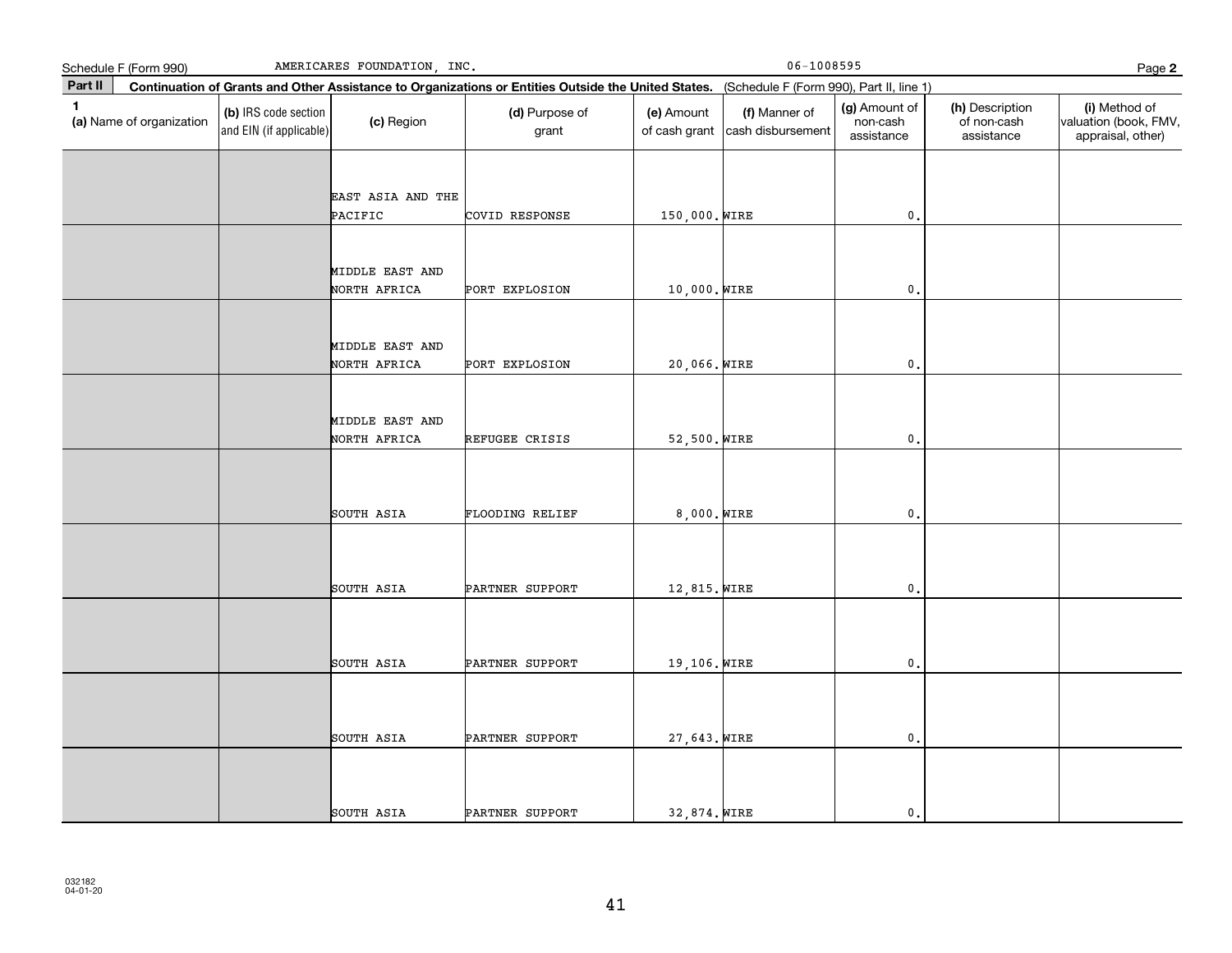|              | Schedule F (Form 990)    |                                                 | AMERICARES FOUNDATION, INC.     |                                                                                                                                              | $06 - 1008595$<br>Page 2    |                                    |                                         |                                              |                                                             |  |
|--------------|--------------------------|-------------------------------------------------|---------------------------------|----------------------------------------------------------------------------------------------------------------------------------------------|-----------------------------|------------------------------------|-----------------------------------------|----------------------------------------------|-------------------------------------------------------------|--|
| Part II      |                          |                                                 |                                 | Continuation of Grants and Other Assistance to Organizations or Entities Outside the United States. (Schedule F (Form 990), Part II, line 1) |                             |                                    |                                         |                                              |                                                             |  |
| $\mathbf{1}$ | (a) Name of organization | (b) IRS code section<br>and EIN (if applicable) | (c) Region                      | (d) Purpose of<br>grant                                                                                                                      | (e) Amount<br>of cash grant | (f) Manner of<br>cash disbursement | (g) Amount of<br>non-cash<br>assistance | (h) Description<br>of non-cash<br>assistance | (i) Method of<br>valuation (book, FMV,<br>appraisal, other) |  |
|              |                          |                                                 | EAST ASIA AND THE<br>PACIFIC    | <b>COVID RESPONSE</b>                                                                                                                        | 150,000. WIRE               |                                    | $\mathfrak o$ .                         |                                              |                                                             |  |
|              |                          |                                                 | MIDDLE EAST AND<br>NORTH AFRICA | PORT EXPLOSION                                                                                                                               | 10,000. WIRE                |                                    | $\mathfrak{o}$ .                        |                                              |                                                             |  |
|              |                          |                                                 | MIDDLE EAST AND<br>NORTH AFRICA | PORT EXPLOSION                                                                                                                               | 20,066. WIRE                |                                    | $\mathbf 0$ .                           |                                              |                                                             |  |
|              |                          |                                                 | MIDDLE EAST AND<br>NORTH AFRICA | REFUGEE CRISIS                                                                                                                               | 52,500. WIRE                |                                    | $\mathfrak o$ .                         |                                              |                                                             |  |
|              |                          |                                                 | SOUTH ASIA                      | <b>FLOODING RELIEF</b>                                                                                                                       | 8,000. WIRE                 |                                    | $\mathbf{0}$                            |                                              |                                                             |  |
|              |                          |                                                 | SOUTH ASIA                      | PARTNER SUPPORT                                                                                                                              | 12,815. WIRE                |                                    | $\mathbf 0$ .                           |                                              |                                                             |  |
|              |                          |                                                 | SOUTH ASIA                      | PARTNER SUPPORT                                                                                                                              | 19,106. WIRE                |                                    | $\mathbf{0}$ .                          |                                              |                                                             |  |
|              |                          |                                                 | SOUTH ASIA                      | PARTNER SUPPORT                                                                                                                              | 27,643. WIRE                |                                    | $\mathbf{0}$ .                          |                                              |                                                             |  |
|              |                          |                                                 | SOUTH ASIA                      | PARTNER SUPPORT                                                                                                                              | 32,874. WIRE                |                                    | $\mathbf{0}$ .                          |                                              |                                                             |  |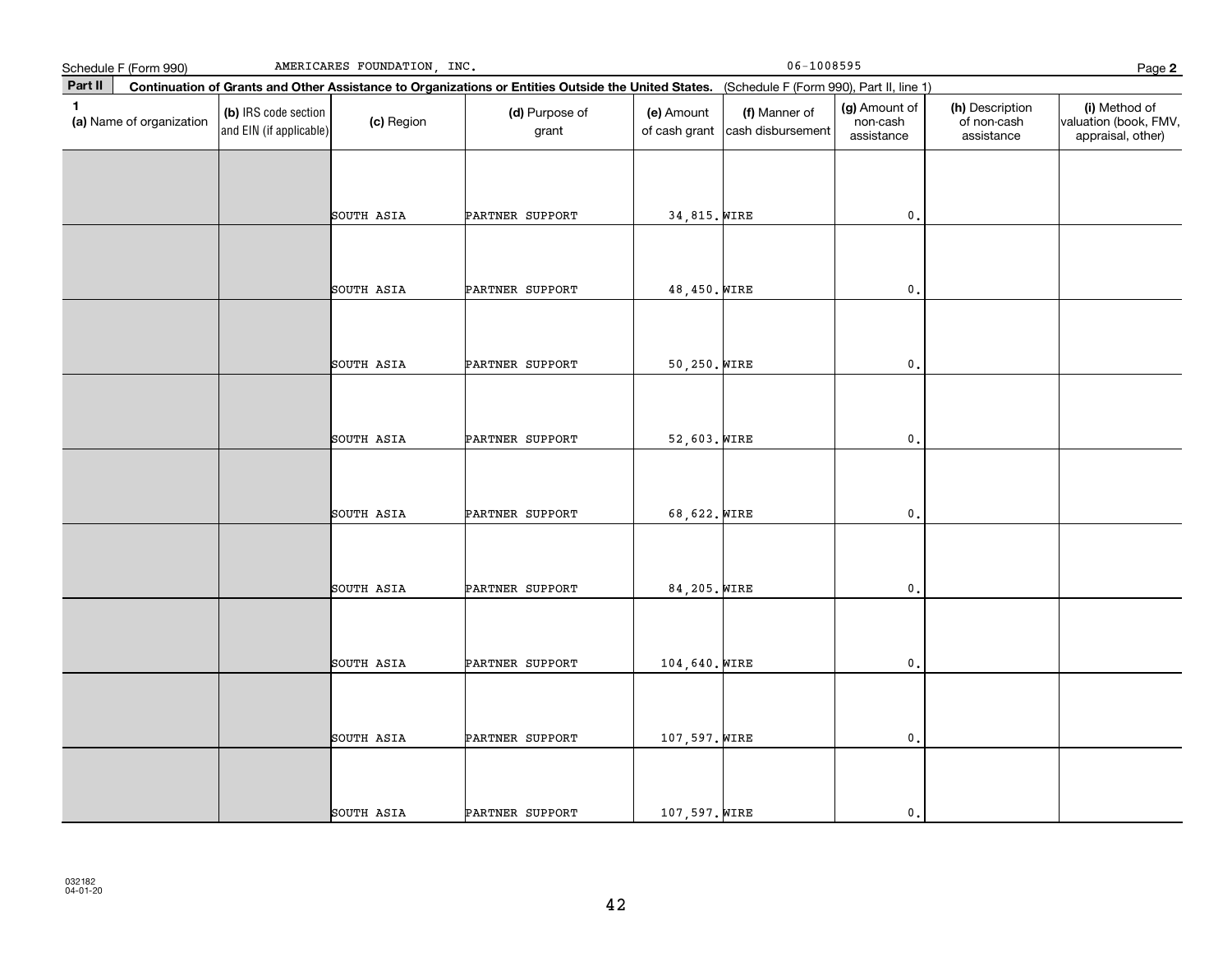|              | AMERICARES FOUNDATION, INC.<br>Schedule F (Form 990) |                                                 |            |                                                                                                                                              |                             | $06 - 1008595$                     |                                         |                                              |                                                             |  |
|--------------|------------------------------------------------------|-------------------------------------------------|------------|----------------------------------------------------------------------------------------------------------------------------------------------|-----------------------------|------------------------------------|-----------------------------------------|----------------------------------------------|-------------------------------------------------------------|--|
| Part II      |                                                      |                                                 |            | Continuation of Grants and Other Assistance to Organizations or Entities Outside the United States. (Schedule F (Form 990), Part II, line 1) |                             |                                    |                                         |                                              | Page 2                                                      |  |
| $\mathbf{1}$ | (a) Name of organization                             | (b) IRS code section<br>and EIN (if applicable) | (c) Region | (d) Purpose of<br>grant                                                                                                                      | (e) Amount<br>of cash grant | (f) Manner of<br>cash disbursement | (g) Amount of<br>non-cash<br>assistance | (h) Description<br>of non-cash<br>assistance | (i) Method of<br>valuation (book, FMV,<br>appraisal, other) |  |
|              |                                                      |                                                 | SOUTH ASIA | PARTNER SUPPORT                                                                                                                              | 34,815. WIRE                |                                    | $\mathsf{0}$ .                          |                                              |                                                             |  |
|              |                                                      |                                                 |            |                                                                                                                                              |                             |                                    |                                         |                                              |                                                             |  |
|              |                                                      |                                                 | SOUTH ASIA | PARTNER SUPPORT                                                                                                                              | 48,450. WIRE                |                                    | $\mathfrak o$ .                         |                                              |                                                             |  |
|              |                                                      |                                                 | SOUTH ASIA | PARTNER SUPPORT                                                                                                                              | 50,250. WIRE                |                                    | $\mathbf 0$ .                           |                                              |                                                             |  |
|              |                                                      |                                                 | SOUTH ASIA | PARTNER SUPPORT                                                                                                                              | 52,603. WIRE                |                                    | $\mathfrak o$ .                         |                                              |                                                             |  |
|              |                                                      |                                                 | SOUTH ASIA | PARTNER SUPPORT                                                                                                                              | 68,622. WIRE                |                                    | $\mathbf{0}$ .                          |                                              |                                                             |  |
|              |                                                      |                                                 | SOUTH ASIA | PARTNER SUPPORT                                                                                                                              | 84, 205. WIRE               |                                    | $\mathbf{0}$                            |                                              |                                                             |  |
|              |                                                      |                                                 |            |                                                                                                                                              |                             |                                    |                                         |                                              |                                                             |  |
|              |                                                      |                                                 | SOUTH ASIA | PARTNER SUPPORT                                                                                                                              | 104,640. WIRE               |                                    | $\mathsf{0}$ .                          |                                              |                                                             |  |
|              |                                                      |                                                 | SOUTH ASIA | PARTNER SUPPORT                                                                                                                              | 107,597. WIRE               |                                    | $\mathbf{0}$ .                          |                                              |                                                             |  |
|              |                                                      |                                                 | SOUTH ASIA | PARTNER SUPPORT                                                                                                                              | 107,597. WIRE               |                                    | $\mathfrak o$ .                         |                                              |                                                             |  |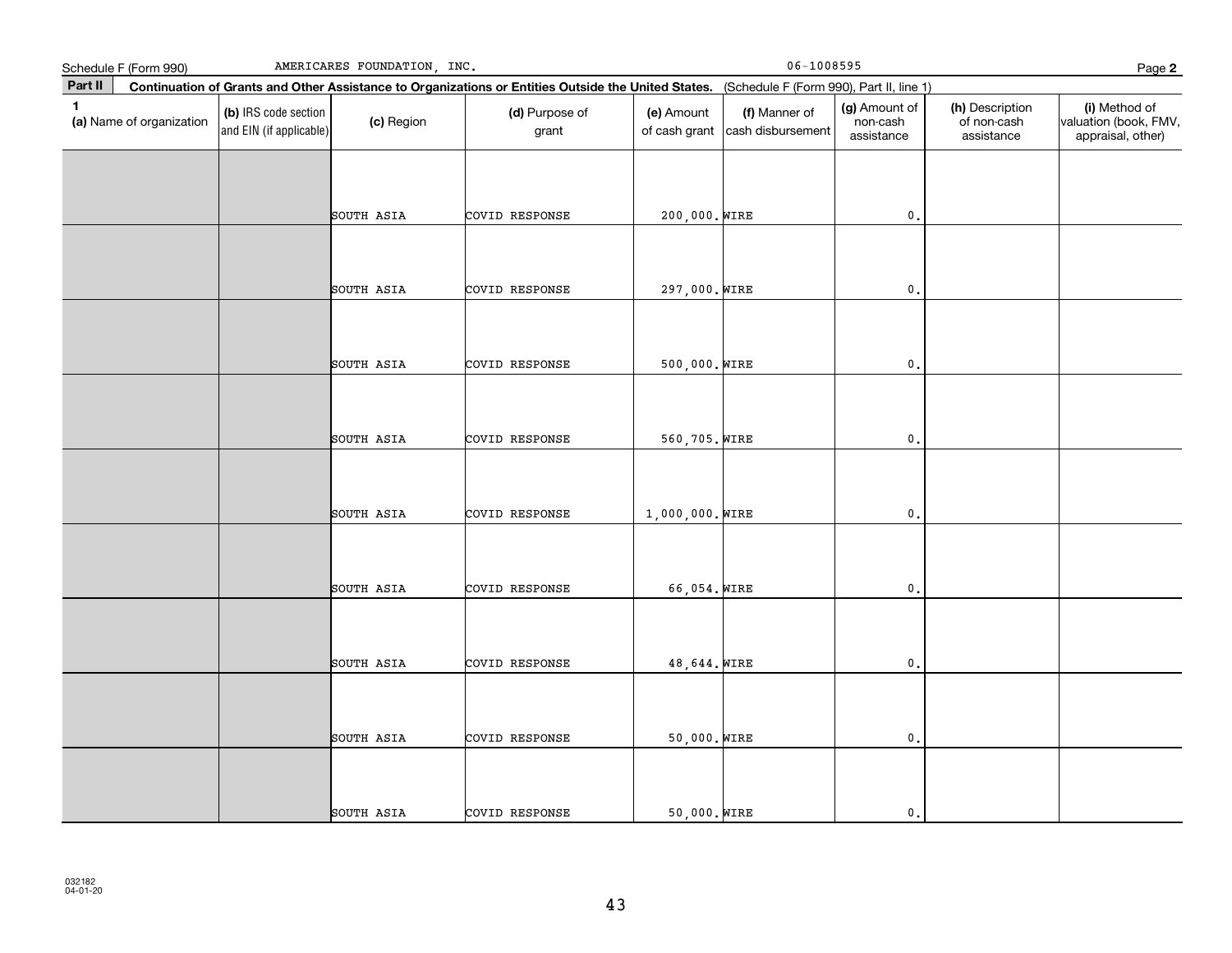| Page 2                                                      | $06 - 1008595$                               |                                         |                                    |                             |                                                                                                                                              | AMERICARES FOUNDATION, INC.<br>Schedule F (Form 990) |                                                 |                          |              |  |  |
|-------------------------------------------------------------|----------------------------------------------|-----------------------------------------|------------------------------------|-----------------------------|----------------------------------------------------------------------------------------------------------------------------------------------|------------------------------------------------------|-------------------------------------------------|--------------------------|--------------|--|--|
|                                                             |                                              |                                         |                                    |                             | Continuation of Grants and Other Assistance to Organizations or Entities Outside the United States. (Schedule F (Form 990), Part II, line 1) |                                                      |                                                 |                          | Part II      |  |  |
| (i) Method of<br>valuation (book, FMV,<br>appraisal, other) | (h) Description<br>of non-cash<br>assistance | (g) Amount of<br>non-cash<br>assistance | (f) Manner of<br>cash disbursement | (e) Amount<br>of cash grant | (d) Purpose of<br>grant                                                                                                                      | (c) Region                                           | (b) IRS code section<br>and EIN (if applicable) | (a) Name of organization | $\mathbf{1}$ |  |  |
|                                                             |                                              | $\mathfrak o$ .                         |                                    | 200,000. WIRE               | COVID RESPONSE                                                                                                                               | SOUTH ASIA                                           |                                                 |                          |              |  |  |
|                                                             |                                              | $\mathfrak o$ .                         |                                    | 297,000. WIRE               | COVID RESPONSE                                                                                                                               | SOUTH ASIA                                           |                                                 |                          |              |  |  |
|                                                             |                                              | $\mathfrak o$ .                         |                                    | 500,000. WIRE               | COVID RESPONSE                                                                                                                               | SOUTH ASIA                                           |                                                 |                          |              |  |  |
|                                                             |                                              | $\mathfrak o$ .                         |                                    | 560,705. WIRE               | COVID RESPONSE                                                                                                                               | SOUTH ASIA                                           |                                                 |                          |              |  |  |
|                                                             |                                              | 0.                                      |                                    | 1,000,000. WIRE             | COVID RESPONSE                                                                                                                               | SOUTH ASIA                                           |                                                 |                          |              |  |  |
|                                                             |                                              | $\mathfrak{o}$ .                        |                                    | 66,054. WIRE                | COVID RESPONSE                                                                                                                               | SOUTH ASIA                                           |                                                 |                          |              |  |  |
|                                                             |                                              | $\mathbf 0$ .                           |                                    | 48,644. WIRE                | COVID RESPONSE                                                                                                                               | SOUTH ASIA                                           |                                                 |                          |              |  |  |
|                                                             |                                              | $\mathsf{o}$ .                          |                                    | 50,000. WIRE                | COVID RESPONSE                                                                                                                               | SOUTH ASIA                                           |                                                 |                          |              |  |  |
|                                                             |                                              | $\mathbf 0$ .                           |                                    | 50,000. WIRE                | COVID RESPONSE                                                                                                                               | SOUTH ASIA                                           |                                                 |                          |              |  |  |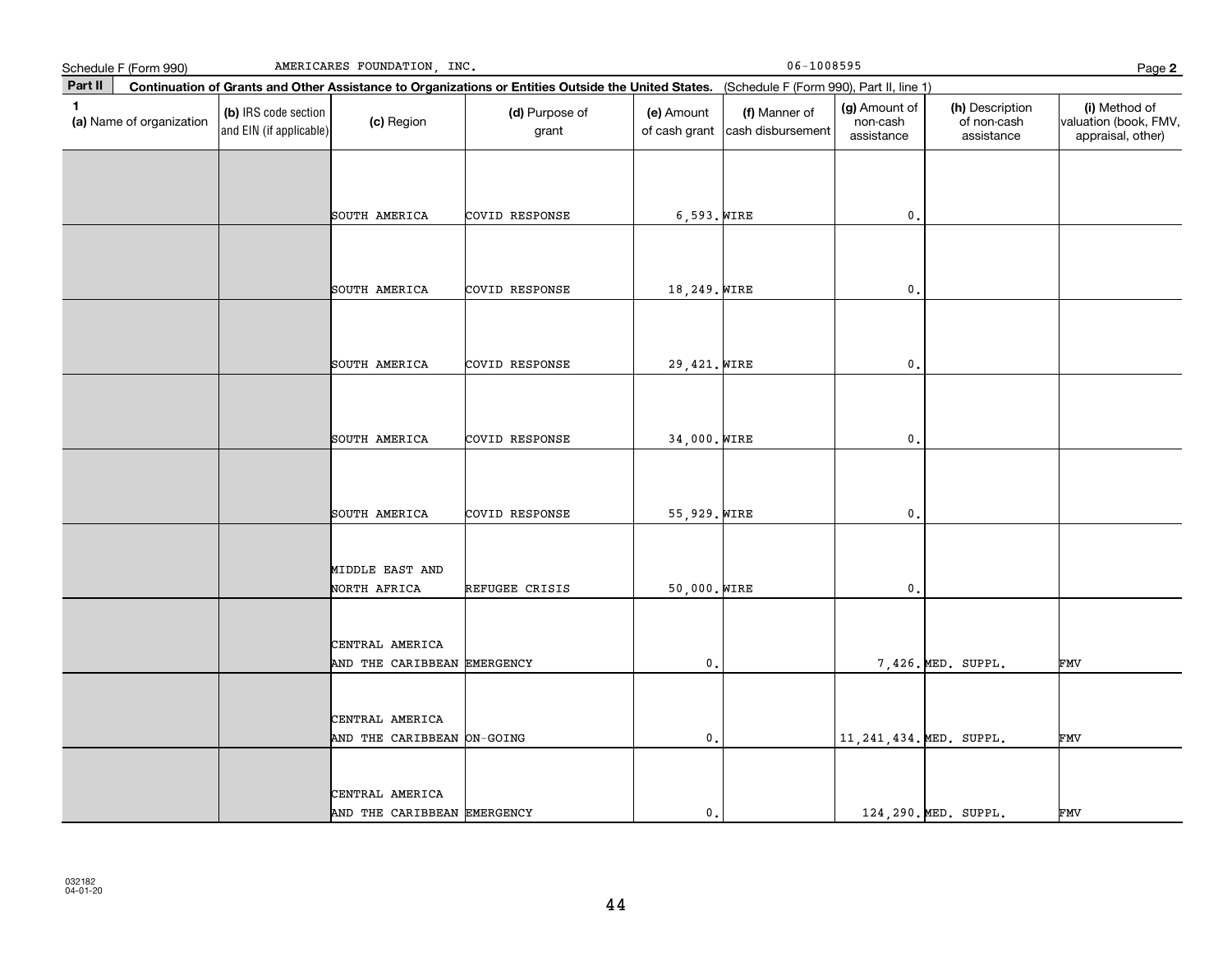|              | Schedule F (Form 990)    |                                                 | AMERICARES FOUNDATION, INC.                    |                                                                                                                                              | $06 - 1008595$<br>Page 2    |                                    |                                         |                                              |                                                             |
|--------------|--------------------------|-------------------------------------------------|------------------------------------------------|----------------------------------------------------------------------------------------------------------------------------------------------|-----------------------------|------------------------------------|-----------------------------------------|----------------------------------------------|-------------------------------------------------------------|
| Part II      |                          |                                                 |                                                | Continuation of Grants and Other Assistance to Organizations or Entities Outside the United States. (Schedule F (Form 990), Part II, line 1) |                             |                                    |                                         |                                              |                                                             |
| $\mathbf{1}$ | (a) Name of organization | (b) IRS code section<br>and EIN (if applicable) | (c) Region                                     | (d) Purpose of<br>grant                                                                                                                      | (e) Amount<br>of cash grant | (f) Manner of<br>cash disbursement | (g) Amount of<br>non-cash<br>assistance | (h) Description<br>of non-cash<br>assistance | (i) Method of<br>valuation (book, FMV,<br>appraisal, other) |
|              |                          |                                                 | SOUTH AMERICA                                  | COVID RESPONSE                                                                                                                               | $6,593.$ WIRE               |                                    | $\mathbf{0}$ .                          |                                              |                                                             |
|              |                          |                                                 | SOUTH AMERICA                                  | <b>COVID RESPONSE</b>                                                                                                                        | 18,249. WIRE                |                                    | $\mathbf{0}$                            |                                              |                                                             |
|              |                          |                                                 | SOUTH AMERICA                                  | COVID RESPONSE                                                                                                                               | 29,421. WIRE                |                                    | $\mathbf{0}$                            |                                              |                                                             |
|              |                          |                                                 | SOUTH AMERICA                                  | COVID RESPONSE                                                                                                                               | 34,000. WIRE                |                                    | $\mathbf{0}$ .                          |                                              |                                                             |
|              |                          |                                                 | SOUTH AMERICA                                  | COVID RESPONSE                                                                                                                               | 55,929. WIRE                |                                    | $\mathbf 0$ .                           |                                              |                                                             |
|              |                          |                                                 | MIDDLE EAST AND<br>NORTH AFRICA                | REFUGEE CRISIS                                                                                                                               | 50,000. WIRE                |                                    | $\mathbf 0$ .                           |                                              |                                                             |
|              |                          |                                                 | CENTRAL AMERICA<br>AND THE CARIBBEAN EMERGENCY |                                                                                                                                              | $\mathbf{0}$ .              |                                    |                                         | 7,426. MED. SUPPL.                           | FMV                                                         |
|              |                          |                                                 | CENTRAL AMERICA<br>AND THE CARIBBEAN ON-GOING  |                                                                                                                                              | $\mathfrak o$ .             |                                    | 11, 241, 434. MED. SUPPL.               |                                              | FMV                                                         |
|              |                          |                                                 | CENTRAL AMERICA<br>AND THE CARIBBEAN EMERGENCY |                                                                                                                                              | $\mathbf{0}$ .              |                                    |                                         | 124,290. MED. SUPPL.                         | FMV                                                         |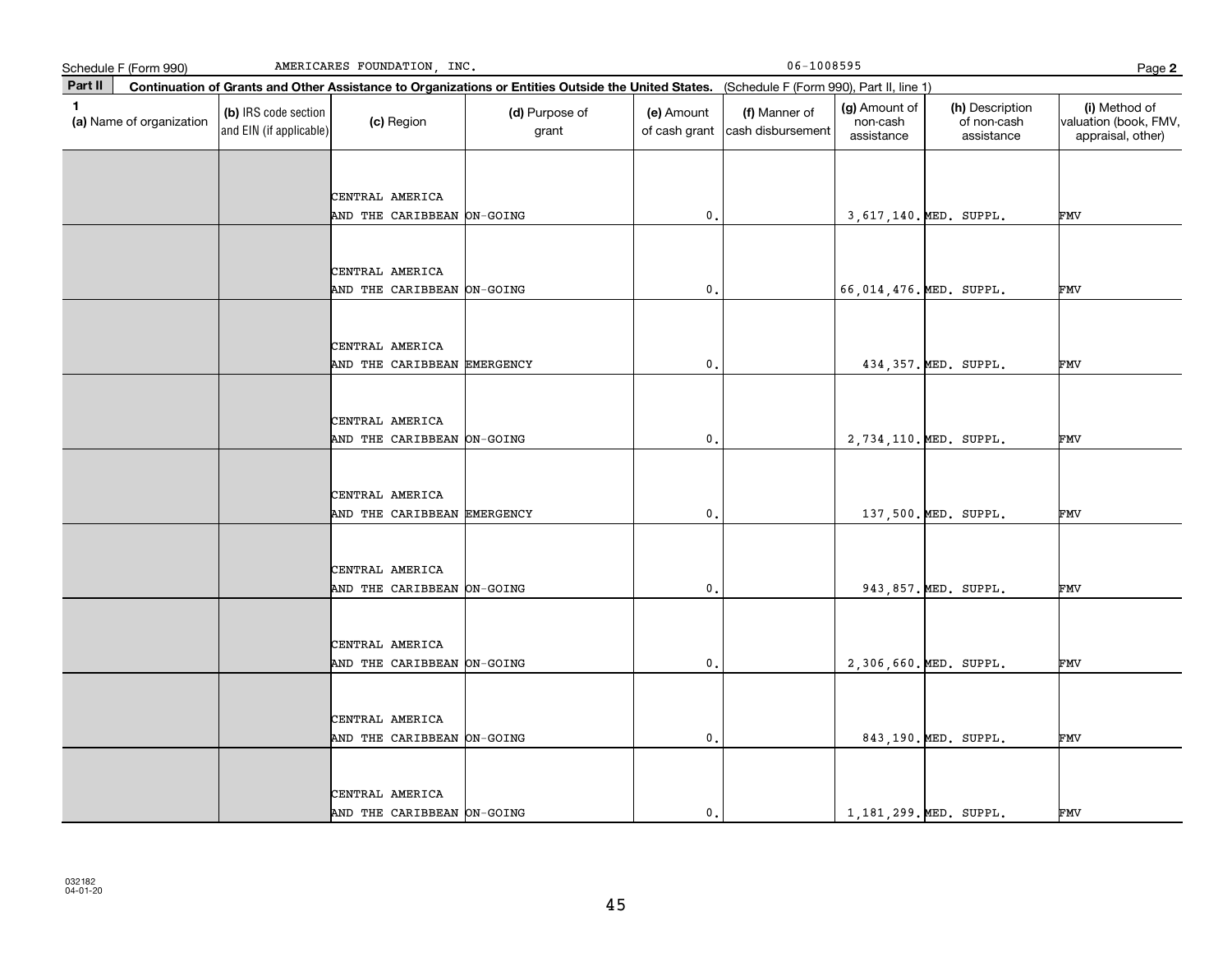| Schedule F (Form 990)         | AMERICARES FOUNDATION, INC.                     | $06 - 1008595$<br>Page 2                      |                                                                                                                                              |            |                                                  |                                         |                                              |                                                             |
|-------------------------------|-------------------------------------------------|-----------------------------------------------|----------------------------------------------------------------------------------------------------------------------------------------------|------------|--------------------------------------------------|-----------------------------------------|----------------------------------------------|-------------------------------------------------------------|
| Part II                       |                                                 |                                               | Continuation of Grants and Other Assistance to Organizations or Entities Outside the United States. (Schedule F (Form 990), Part II, line 1) |            |                                                  |                                         |                                              |                                                             |
| 1<br>(a) Name of organization | (b) IRS code section<br>and EIN (if applicable) | (c) Region                                    | (d) Purpose of<br>grant                                                                                                                      | (e) Amount | (f) Manner of<br>of cash grant cash disbursement | (g) Amount of<br>non-cash<br>assistance | (h) Description<br>of non-cash<br>assistance | (i) Method of<br>valuation (book, FMV,<br>appraisal, other) |
|                               |                                                 |                                               |                                                                                                                                              |            |                                                  |                                         |                                              |                                                             |
|                               |                                                 |                                               |                                                                                                                                              |            |                                                  |                                         |                                              |                                                             |
|                               |                                                 | CENTRAL AMERICA<br>AND THE CARIBBEAN ON-GOING |                                                                                                                                              | 0.         |                                                  |                                         | 3, 617, 140. MED. SUPPL.                     | FMV                                                         |
|                               |                                                 |                                               |                                                                                                                                              |            |                                                  |                                         |                                              |                                                             |
|                               |                                                 |                                               |                                                                                                                                              |            |                                                  |                                         |                                              |                                                             |
|                               |                                                 | CENTRAL AMERICA                               |                                                                                                                                              |            |                                                  |                                         |                                              |                                                             |
|                               |                                                 | AND THE CARIBBEAN ON-GOING                    |                                                                                                                                              | 0.         |                                                  | 66,014,476. MED. SUPPL.                 |                                              | FMV                                                         |
|                               |                                                 |                                               |                                                                                                                                              |            |                                                  |                                         |                                              |                                                             |
|                               |                                                 | CENTRAL AMERICA                               |                                                                                                                                              |            |                                                  |                                         |                                              |                                                             |
|                               |                                                 | AND THE CARIBBEAN EMERGENCY                   |                                                                                                                                              | 0.         |                                                  |                                         | 434, 357. MED. SUPPL.                        | FMV                                                         |
|                               |                                                 |                                               |                                                                                                                                              |            |                                                  |                                         |                                              |                                                             |
|                               |                                                 | CENTRAL AMERICA                               |                                                                                                                                              |            |                                                  |                                         |                                              |                                                             |
|                               |                                                 | AND THE CARIBBEAN ON-GOING                    |                                                                                                                                              | 0.         |                                                  |                                         | 2,734,110. MED. SUPPL.                       | FMV                                                         |
|                               |                                                 |                                               |                                                                                                                                              |            |                                                  |                                         |                                              |                                                             |
|                               |                                                 | CENTRAL AMERICA                               |                                                                                                                                              |            |                                                  |                                         |                                              |                                                             |
|                               |                                                 | AND THE CARIBBEAN EMERGENCY                   |                                                                                                                                              | 0.         |                                                  |                                         | 137,500. MED. SUPPL.                         | FMV                                                         |
|                               |                                                 |                                               |                                                                                                                                              |            |                                                  |                                         |                                              |                                                             |
|                               |                                                 |                                               |                                                                                                                                              |            |                                                  |                                         |                                              |                                                             |
|                               |                                                 | CENTRAL AMERICA<br>AND THE CARIBBEAN ON-GOING |                                                                                                                                              | 0.         |                                                  |                                         | 943,857. MED. SUPPL.                         | FMV                                                         |
|                               |                                                 |                                               |                                                                                                                                              |            |                                                  |                                         |                                              |                                                             |
|                               |                                                 |                                               |                                                                                                                                              |            |                                                  |                                         |                                              |                                                             |
|                               |                                                 | CENTRAL AMERICA                               |                                                                                                                                              |            |                                                  |                                         |                                              |                                                             |
|                               |                                                 | AND THE CARIBBEAN ON-GOING                    |                                                                                                                                              | 0.         |                                                  |                                         | 2,306,660. MED. SUPPL.                       | FMV                                                         |
|                               |                                                 |                                               |                                                                                                                                              |            |                                                  |                                         |                                              |                                                             |
|                               |                                                 | CENTRAL AMERICA                               |                                                                                                                                              |            |                                                  |                                         |                                              |                                                             |
|                               |                                                 | AND THE CARIBBEAN ON-GOING                    |                                                                                                                                              | 0.         |                                                  |                                         | 843,190. MED. SUPPL.                         | FMV                                                         |
|                               |                                                 |                                               |                                                                                                                                              |            |                                                  |                                         |                                              |                                                             |
|                               |                                                 | CENTRAL AMERICA                               |                                                                                                                                              |            |                                                  |                                         |                                              |                                                             |
|                               |                                                 | AND THE CARIBBEAN ON-GOING                    |                                                                                                                                              | 0.         |                                                  | 1,181,299. MED. SUPPL.                  |                                              | FMV                                                         |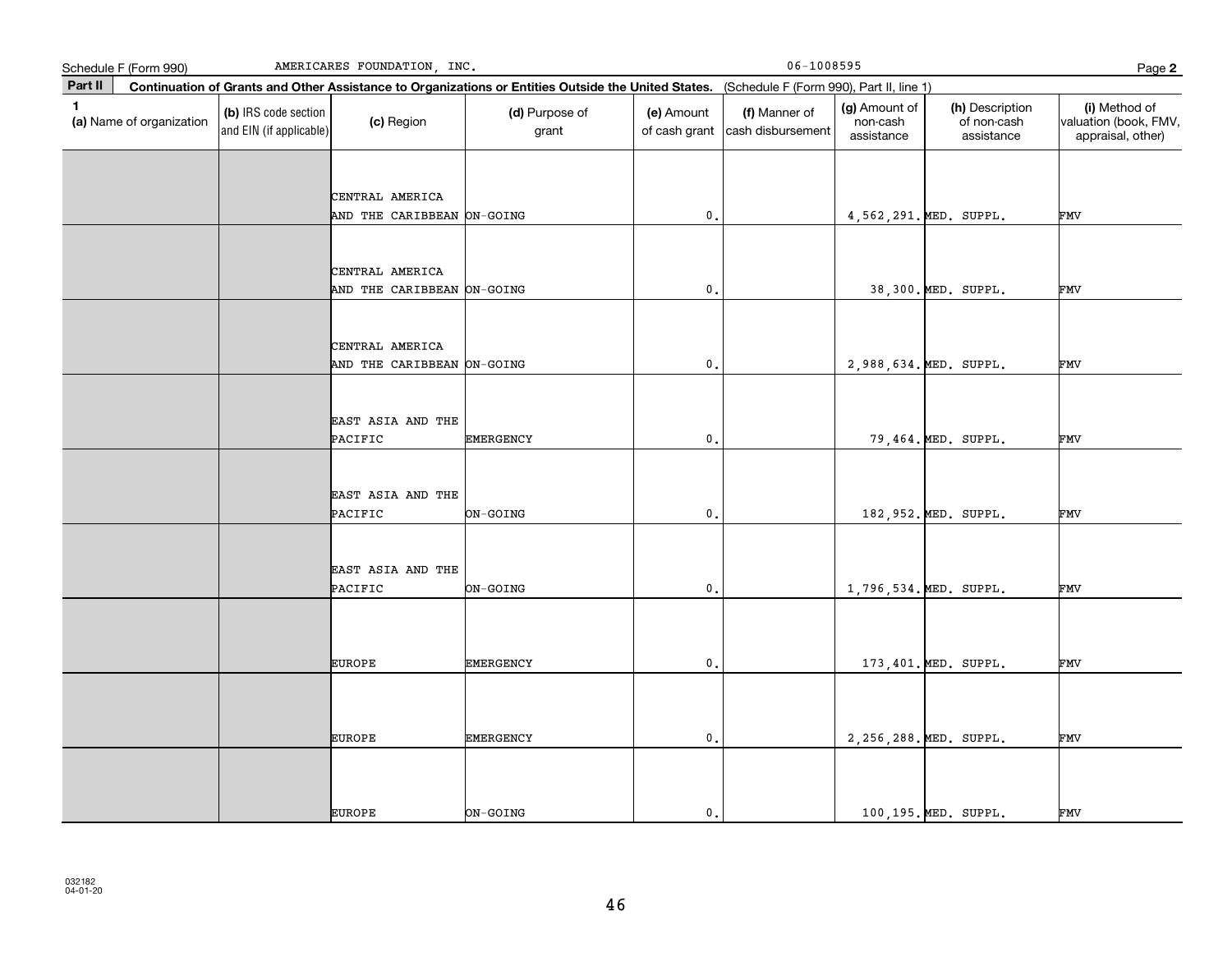|         | Schedule F (Form 990)    | AMERICARES FOUNDATION, INC.                     |                                               |                                                                                                                                              | Page 2                      |                                    |                                         |                                              |                                                             |
|---------|--------------------------|-------------------------------------------------|-----------------------------------------------|----------------------------------------------------------------------------------------------------------------------------------------------|-----------------------------|------------------------------------|-----------------------------------------|----------------------------------------------|-------------------------------------------------------------|
| Part II |                          |                                                 |                                               | Continuation of Grants and Other Assistance to Organizations or Entities Outside the United States. (Schedule F (Form 990), Part II, line 1) |                             |                                    |                                         |                                              |                                                             |
| 1.      | (a) Name of organization | (b) IRS code section<br>and EIN (if applicable) | (c) Region                                    | (d) Purpose of<br>grant                                                                                                                      | (e) Amount<br>of cash grant | (f) Manner of<br>cash disbursement | (g) Amount of<br>non-cash<br>assistance | (h) Description<br>of non-cash<br>assistance | (i) Method of<br>valuation (book, FMV,<br>appraisal, other) |
|         |                          |                                                 |                                               |                                                                                                                                              |                             |                                    |                                         |                                              |                                                             |
|         |                          |                                                 | CENTRAL AMERICA<br>AND THE CARIBBEAN ON-GOING |                                                                                                                                              | $\mathfrak o$ .             |                                    |                                         | 4,562,291. MED. SUPPL.                       | FMV                                                         |
|         |                          |                                                 | CENTRAL AMERICA                               |                                                                                                                                              |                             |                                    |                                         |                                              |                                                             |
|         |                          |                                                 | AND THE CARIBBEAN ON-GOING                    |                                                                                                                                              | $\mathfrak{o}$ .            |                                    |                                         | 38,300. MED. SUPPL.                          | FMV                                                         |
|         |                          |                                                 | CENTRAL AMERICA                               |                                                                                                                                              |                             |                                    |                                         |                                              |                                                             |
|         |                          |                                                 | AND THE CARIBBEAN ON-GOING                    |                                                                                                                                              | $\mathbf 0$ .               |                                    |                                         | 2,988,634. MED. SUPPL.                       | FMV                                                         |
|         |                          |                                                 | EAST ASIA AND THE<br>PACIFIC                  | <b>EMERGENCY</b>                                                                                                                             | $\mathbf{0}$ .              |                                    |                                         | 79,464. MED. SUPPL.                          | FMV                                                         |
|         |                          |                                                 |                                               |                                                                                                                                              |                             |                                    |                                         |                                              |                                                             |
|         |                          |                                                 | EAST ASIA AND THE<br>PACIFIC                  | ON-GOING                                                                                                                                     | 0.                          |                                    |                                         | 182,952. MED. SUPPL.                         | FMV                                                         |
|         |                          |                                                 | EAST ASIA AND THE                             |                                                                                                                                              |                             |                                    |                                         |                                              |                                                             |
|         |                          |                                                 | PACIFIC                                       | <b>ON-GOING</b>                                                                                                                              | $\mathbf 0$ .               |                                    |                                         | 1,796,534. MED. SUPPL.                       | FMV                                                         |
|         |                          |                                                 |                                               |                                                                                                                                              |                             |                                    |                                         |                                              |                                                             |
|         |                          |                                                 | <b>EUROPE</b>                                 | <b>EMERGENCY</b>                                                                                                                             | $\mathfrak{o}$ .            |                                    |                                         | 173,401. MED. SUPPL.                         | FMV                                                         |
|         |                          |                                                 | <b>EUROPE</b>                                 | <b>EMERGENCY</b>                                                                                                                             | $\mathbf{0}$ .              |                                    |                                         | 2, 256, 288. MED. SUPPL.                     | FMV                                                         |
|         |                          |                                                 |                                               |                                                                                                                                              |                             |                                    |                                         |                                              |                                                             |
|         |                          |                                                 | <b>EUROPE</b>                                 | ON-GOING                                                                                                                                     | $\mathbf{0}$ .              |                                    |                                         | 100,195. MED. SUPPL.                         | FMV                                                         |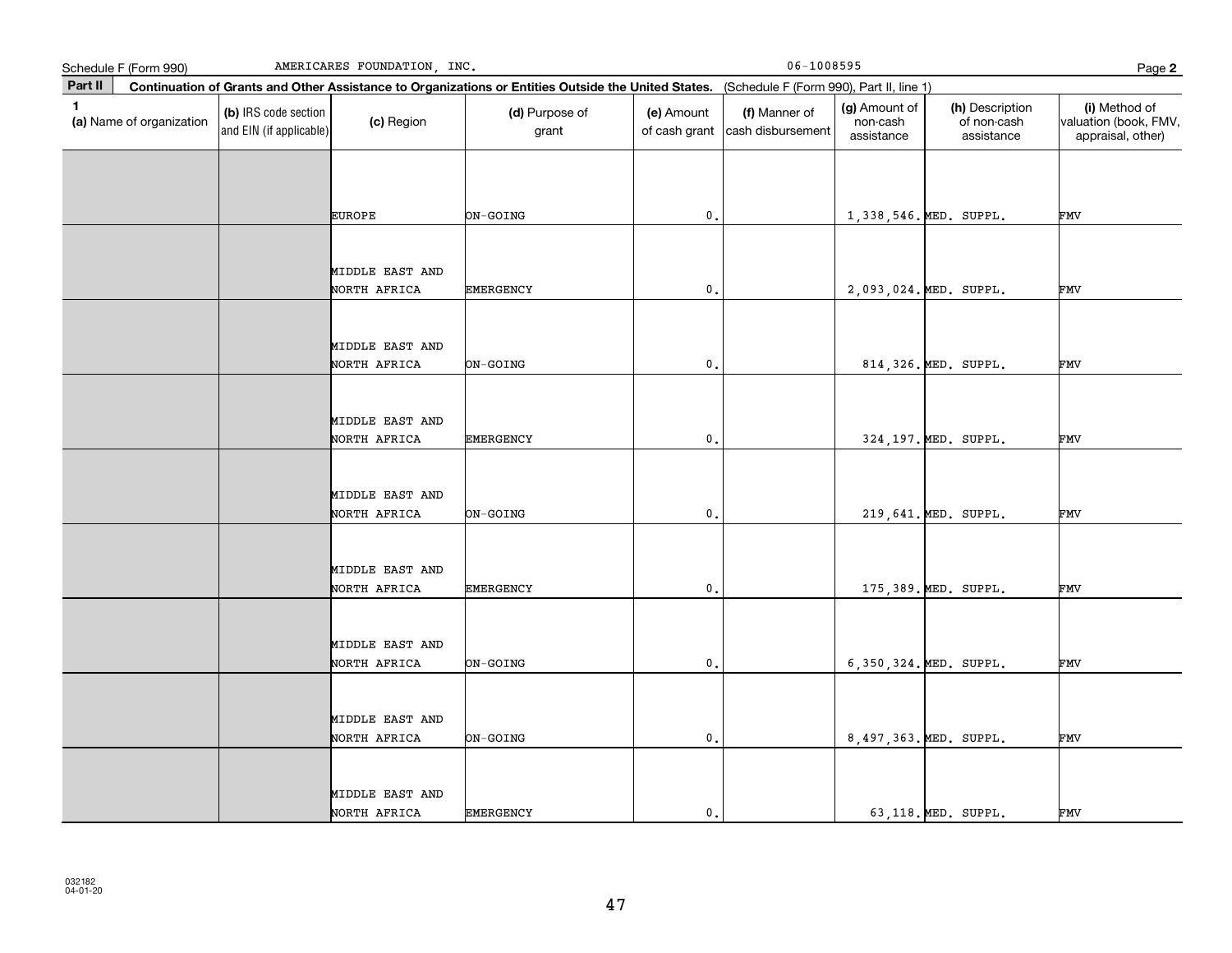|              | AMERICARES FOUNDATION, INC.<br>Schedule F (Form 990) |                                                 |                                 |                                                                                                                                              |                             | $06 - 1008595$                     |                                         |                                              |                                                             |  |
|--------------|------------------------------------------------------|-------------------------------------------------|---------------------------------|----------------------------------------------------------------------------------------------------------------------------------------------|-----------------------------|------------------------------------|-----------------------------------------|----------------------------------------------|-------------------------------------------------------------|--|
| Part II      |                                                      |                                                 |                                 | Continuation of Grants and Other Assistance to Organizations or Entities Outside the United States. (Schedule F (Form 990), Part II, line 1) |                             |                                    |                                         |                                              | Page 2                                                      |  |
| $\mathbf{1}$ | (a) Name of organization                             | (b) IRS code section<br>and EIN (if applicable) | (c) Region                      | (d) Purpose of<br>grant                                                                                                                      | (e) Amount<br>of cash grant | (f) Manner of<br>cash disbursement | (g) Amount of<br>non-cash<br>assistance | (h) Description<br>of non-cash<br>assistance | (i) Method of<br>valuation (book, FMV,<br>appraisal, other) |  |
|              |                                                      |                                                 |                                 |                                                                                                                                              |                             |                                    |                                         |                                              |                                                             |  |
|              |                                                      |                                                 | <b>EUROPE</b>                   | ON-GOING                                                                                                                                     | $\mathbf{0}$ .              |                                    |                                         | 1,338,546. MED. SUPPL.                       | FMV                                                         |  |
|              |                                                      |                                                 | MIDDLE EAST AND                 |                                                                                                                                              |                             |                                    |                                         |                                              |                                                             |  |
|              |                                                      |                                                 | NORTH AFRICA                    | <b>EMERGENCY</b>                                                                                                                             | 0.                          |                                    |                                         | 2,093,024. MED. SUPPL.                       | FMV                                                         |  |
|              |                                                      |                                                 | MIDDLE EAST AND                 |                                                                                                                                              |                             |                                    |                                         |                                              |                                                             |  |
|              |                                                      |                                                 | NORTH AFRICA                    | <b>ON-GOING</b>                                                                                                                              | 0.                          |                                    |                                         | 814, 326. MED. SUPPL.                        | FMV                                                         |  |
|              |                                                      |                                                 | MIDDLE EAST AND                 |                                                                                                                                              |                             |                                    |                                         |                                              |                                                             |  |
|              |                                                      |                                                 | NORTH AFRICA                    | <b>EMERGENCY</b>                                                                                                                             | 0.                          |                                    |                                         | 324, 197. MED. SUPPL.                        | FMV                                                         |  |
|              |                                                      |                                                 | MIDDLE EAST AND                 |                                                                                                                                              |                             |                                    |                                         |                                              |                                                             |  |
|              |                                                      |                                                 | NORTH AFRICA                    | ON-GOING                                                                                                                                     | $\mathfrak o$ .             |                                    |                                         | 219,641. MED. SUPPL.                         | FMV                                                         |  |
|              |                                                      |                                                 | MIDDLE EAST AND                 |                                                                                                                                              |                             |                                    |                                         |                                              |                                                             |  |
|              |                                                      |                                                 | NORTH AFRICA                    | <b>EMERGENCY</b>                                                                                                                             | $\mathfrak o$ .             |                                    |                                         | 175,389. MED. SUPPL.                         | FMV                                                         |  |
|              |                                                      |                                                 |                                 |                                                                                                                                              |                             |                                    |                                         |                                              |                                                             |  |
|              |                                                      |                                                 | MIDDLE EAST AND<br>NORTH AFRICA | <b>ON-GOING</b>                                                                                                                              | 0,                          |                                    |                                         | 6, 350, 324. MED. SUPPL.                     | FMV                                                         |  |
|              |                                                      |                                                 |                                 |                                                                                                                                              |                             |                                    |                                         |                                              |                                                             |  |
|              |                                                      |                                                 | MIDDLE EAST AND<br>NORTH AFRICA | ON-GOING                                                                                                                                     | 0.                          |                                    |                                         | 8,497,363. MED. SUPPL.                       | FMV                                                         |  |
|              |                                                      |                                                 |                                 |                                                                                                                                              |                             |                                    |                                         |                                              |                                                             |  |
|              |                                                      |                                                 | MIDDLE EAST AND                 |                                                                                                                                              |                             |                                    |                                         |                                              |                                                             |  |
|              |                                                      |                                                 | NORTH AFRICA                    | <b>EMERGENCY</b>                                                                                                                             | 0.                          |                                    |                                         | 63,118. MED. SUPPL.                          | FMV                                                         |  |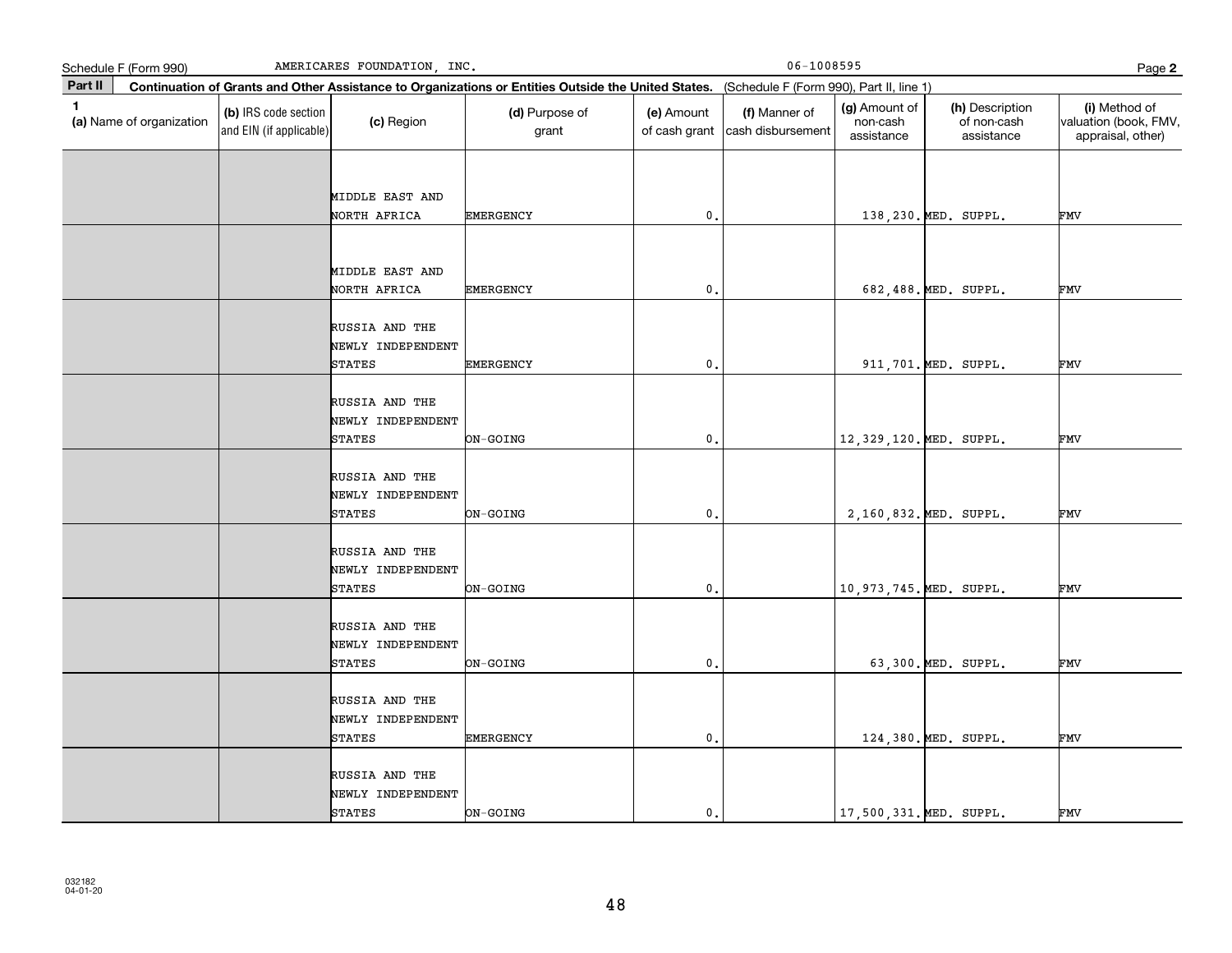|              | AMERICARES FOUNDATION, INC.<br>Schedule F (Form 990) |                                                 |                                                      |                                                                                                                                              |                             | $06 - 1008595$                     |                                         |                                              |                                                             |  |
|--------------|------------------------------------------------------|-------------------------------------------------|------------------------------------------------------|----------------------------------------------------------------------------------------------------------------------------------------------|-----------------------------|------------------------------------|-----------------------------------------|----------------------------------------------|-------------------------------------------------------------|--|
| Part II      |                                                      |                                                 |                                                      | Continuation of Grants and Other Assistance to Organizations or Entities Outside the United States. (Schedule F (Form 990), Part II, line 1) |                             |                                    |                                         |                                              | Page 2                                                      |  |
| $\mathbf{1}$ | (a) Name of organization                             | (b) IRS code section<br>and EIN (if applicable) | (c) Region                                           | (d) Purpose of<br>grant                                                                                                                      | (e) Amount<br>of cash grant | (f) Manner of<br>cash disbursement | (g) Amount of<br>non-cash<br>assistance | (h) Description<br>of non-cash<br>assistance | (i) Method of<br>valuation (book, FMV,<br>appraisal, other) |  |
|              |                                                      |                                                 | MIDDLE EAST AND                                      |                                                                                                                                              |                             |                                    |                                         |                                              |                                                             |  |
|              |                                                      |                                                 | NORTH AFRICA                                         | <b>EMERGENCY</b>                                                                                                                             | $\mathbf{0}$ .              |                                    |                                         | 138,230. MED. SUPPL.                         | FMV                                                         |  |
|              |                                                      |                                                 | MIDDLE EAST AND                                      |                                                                                                                                              |                             |                                    |                                         |                                              |                                                             |  |
|              |                                                      |                                                 | NORTH AFRICA                                         | <b>EMERGENCY</b>                                                                                                                             | 0.                          |                                    |                                         | 682,488. MED. SUPPL.                         | FMV                                                         |  |
|              |                                                      |                                                 | RUSSIA AND THE<br>NEWLY INDEPENDENT                  |                                                                                                                                              |                             |                                    |                                         |                                              |                                                             |  |
|              |                                                      |                                                 | <b>STATES</b>                                        | <b>EMERGENCY</b>                                                                                                                             | $\mathbf 0$ .               |                                    |                                         | 911,701. MED. SUPPL.                         | FMV                                                         |  |
|              |                                                      |                                                 | RUSSIA AND THE<br>NEWLY INDEPENDENT                  |                                                                                                                                              |                             |                                    |                                         |                                              |                                                             |  |
|              |                                                      |                                                 | <b>STATES</b>                                        | ON-GOING                                                                                                                                     | $\mathsf{0}$ .              |                                    | 12,329,120. MED. SUPPL.                 |                                              | FMV                                                         |  |
|              |                                                      |                                                 | RUSSIA AND THE<br>NEWLY INDEPENDENT<br><b>STATES</b> | <b>ON-GOING</b>                                                                                                                              |                             |                                    |                                         |                                              |                                                             |  |
|              |                                                      |                                                 |                                                      |                                                                                                                                              | $\mathsf{0}$ .              |                                    |                                         | 2,160,832. MED. SUPPL.                       | FMV                                                         |  |
|              |                                                      |                                                 | RUSSIA AND THE<br>NEWLY INDEPENDENT<br><b>STATES</b> |                                                                                                                                              |                             |                                    | 10,973,745. MED. SUPPL.                 |                                              | FMV                                                         |  |
|              |                                                      |                                                 | RUSSIA AND THE                                       | <b>ON-GOING</b>                                                                                                                              | $\mathbf{0}$ .              |                                    |                                         |                                              |                                                             |  |
|              |                                                      |                                                 | NEWLY INDEPENDENT<br><b>STATES</b>                   | <b>ON-GOING</b>                                                                                                                              | $\mathsf{0}$ .              |                                    |                                         | 63,300. MED. SUPPL.                          | FMV                                                         |  |
|              |                                                      |                                                 | RUSSIA AND THE<br>NEWLY INDEPENDENT<br><b>STATES</b> | <b>EMERGENCY</b>                                                                                                                             | $\mathbf 0$ .               |                                    |                                         | 124,380. MED. SUPPL.                         | FMV                                                         |  |
|              |                                                      |                                                 | RUSSIA AND THE<br>NEWLY INDEPENDENT                  |                                                                                                                                              |                             |                                    |                                         |                                              |                                                             |  |
|              |                                                      |                                                 | <b>STATES</b>                                        | <b>ON-GOING</b>                                                                                                                              | $\mathbf{0}$ .              |                                    | 17,500,331. MED. SUPPL.                 |                                              | FMV                                                         |  |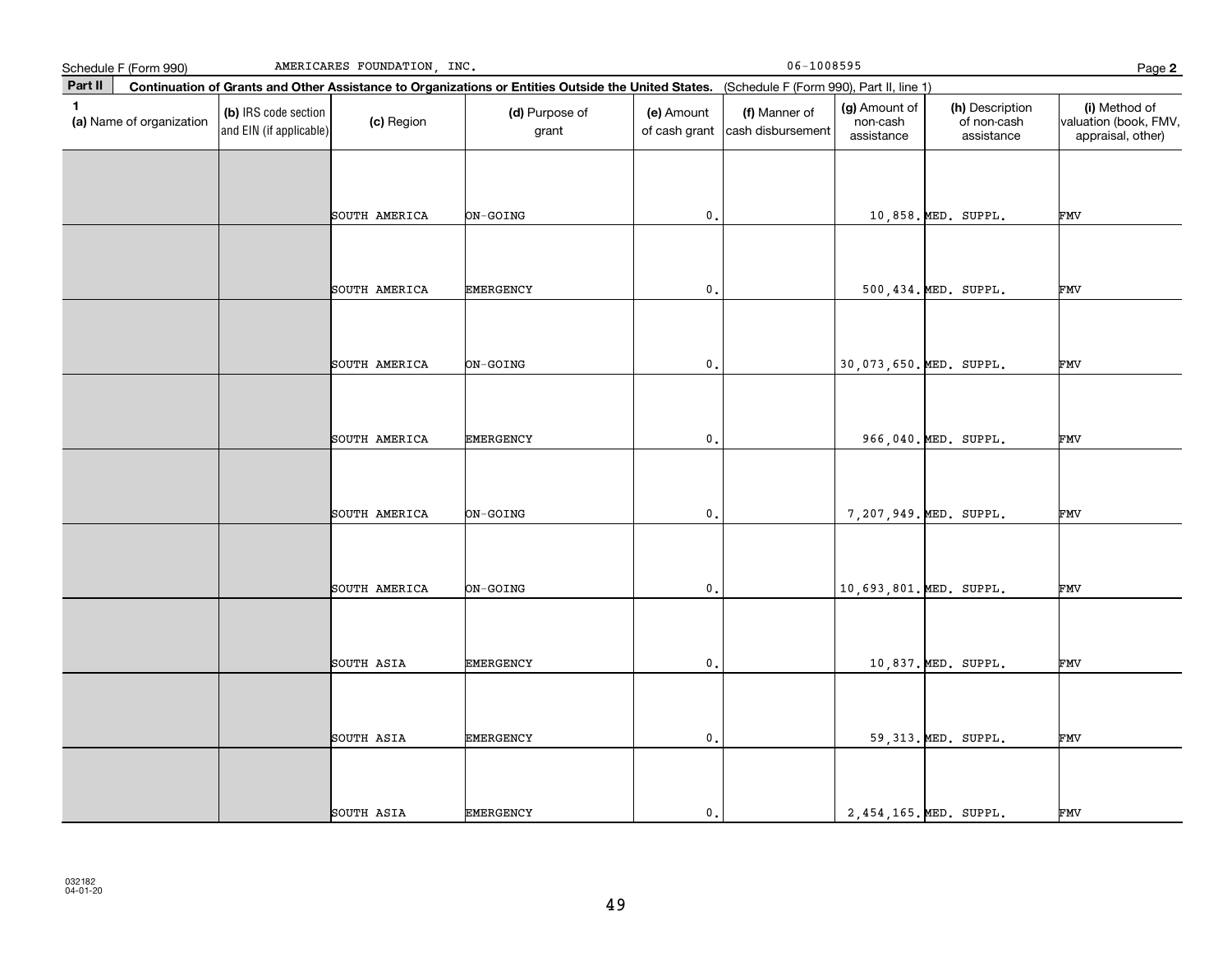|              | Schedule F (Form 990)    |                                                 | AMERICARES FOUNDATION, INC. |                                                                                                                                              | $06 - 1008595$              |                                    |                                         |                                              |                                                             |
|--------------|--------------------------|-------------------------------------------------|-----------------------------|----------------------------------------------------------------------------------------------------------------------------------------------|-----------------------------|------------------------------------|-----------------------------------------|----------------------------------------------|-------------------------------------------------------------|
| Part II      |                          |                                                 |                             | Continuation of Grants and Other Assistance to Organizations or Entities Outside the United States. (Schedule F (Form 990), Part II, line 1) |                             |                                    |                                         |                                              | Page 2                                                      |
| $\mathbf{1}$ | (a) Name of organization | (b) IRS code section<br>and EIN (if applicable) | (c) Region                  | (d) Purpose of<br>grant                                                                                                                      | (e) Amount<br>of cash grant | (f) Manner of<br>cash disbursement | (g) Amount of<br>non-cash<br>assistance | (h) Description<br>of non-cash<br>assistance | (i) Method of<br>valuation (book, FMV,<br>appraisal, other) |
|              |                          |                                                 | SOUTH AMERICA               | ON-GOING                                                                                                                                     | $\mathbf{0}$ .              |                                    |                                         | 10,858. MED. SUPPL.                          | FMV                                                         |
|              |                          |                                                 | SOUTH AMERICA               | <b>EMERGENCY</b>                                                                                                                             | $\mathbf{0}$ .              |                                    |                                         | 500,434. MED. SUPPL.                         | FMV                                                         |
|              |                          |                                                 |                             |                                                                                                                                              |                             |                                    |                                         |                                              |                                                             |
|              |                          |                                                 | SOUTH AMERICA               | ON-GOING                                                                                                                                     | $\mathfrak{o}$ .            |                                    | 30,073,650. MED. SUPPL.                 |                                              | FMV                                                         |
|              |                          |                                                 | SOUTH AMERICA               | <b>EMERGENCY</b>                                                                                                                             | $\mathbf 0$ .               |                                    |                                         | 966,040. MED. SUPPL.                         | FMV                                                         |
|              |                          |                                                 | SOUTH AMERICA               | ON-GOING                                                                                                                                     | 0.                          |                                    |                                         | 7,207,949. MED. SUPPL.                       | FMV                                                         |
|              |                          |                                                 | SOUTH AMERICA               | ON-GOING                                                                                                                                     | $\mathfrak o$ .             |                                    | 10,693,801. MED. SUPPL.                 |                                              | FMV                                                         |
|              |                          |                                                 |                             |                                                                                                                                              |                             |                                    |                                         |                                              |                                                             |
|              |                          |                                                 | SOUTH ASIA                  | <b>EMERGENCY</b>                                                                                                                             | $\mathbf 0$ .               |                                    |                                         | 10,837. MED. SUPPL.                          | FMV                                                         |
|              |                          |                                                 | SOUTH ASIA                  | <b>EMERGENCY</b>                                                                                                                             | $\mathbf{0}$ .              |                                    |                                         | 59, 313. MED. SUPPL.                         | FMV                                                         |
|              |                          |                                                 | SOUTH ASIA                  | <b>EMERGENCY</b>                                                                                                                             | $\mathsf{0}$ .              |                                    |                                         | 2,454,165. MED. SUPPL.                       | FMV                                                         |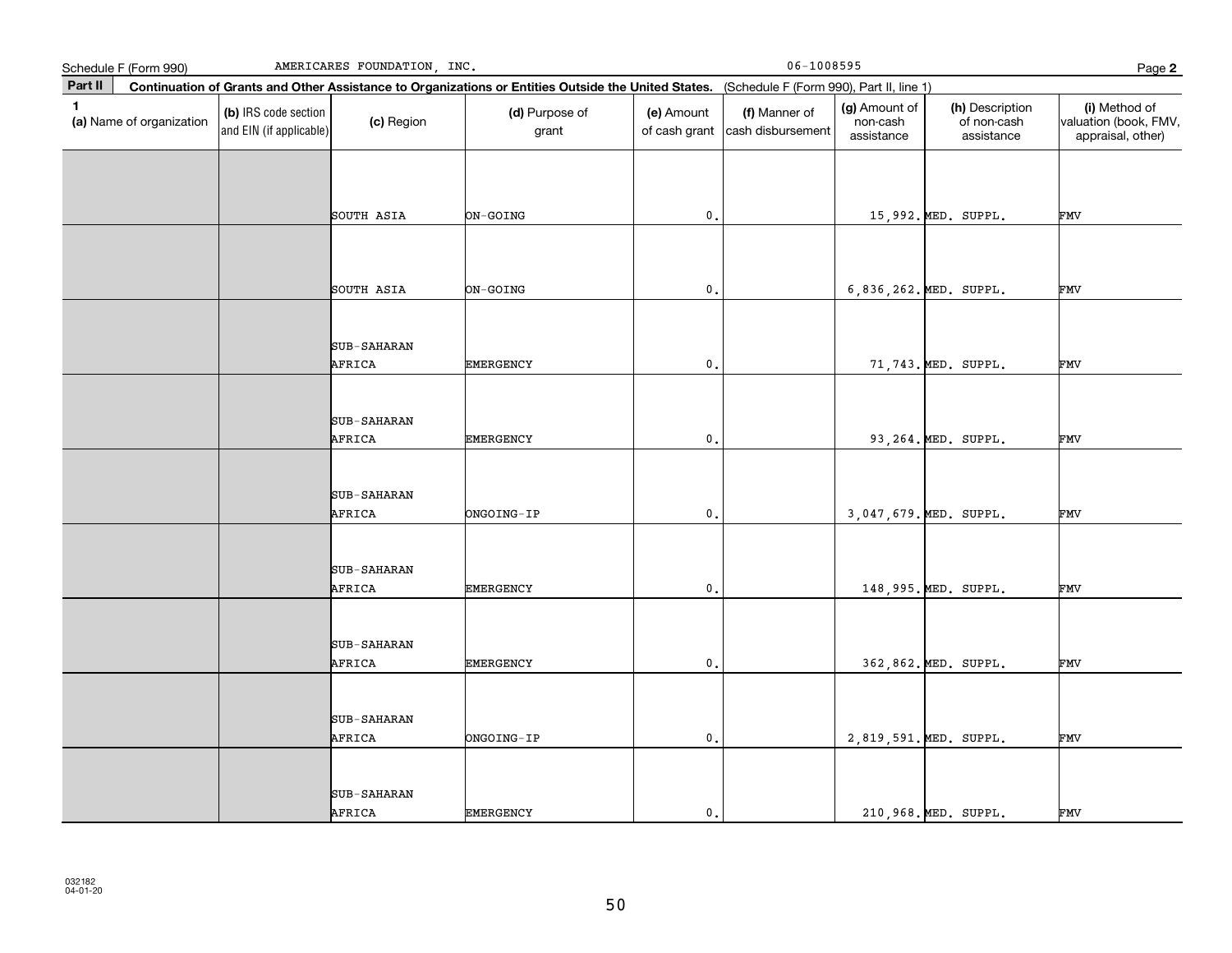|              | AMERICARES FOUNDATION, INC.<br>Schedule F (Form 990) |                                                 |                       |                                                                                                                                              |                             | $06 - 1008595$                     |                                         |                                              |                                                             |  |
|--------------|------------------------------------------------------|-------------------------------------------------|-----------------------|----------------------------------------------------------------------------------------------------------------------------------------------|-----------------------------|------------------------------------|-----------------------------------------|----------------------------------------------|-------------------------------------------------------------|--|
| Part II      |                                                      |                                                 |                       | Continuation of Grants and Other Assistance to Organizations or Entities Outside the United States. (Schedule F (Form 990), Part II, line 1) |                             |                                    |                                         |                                              | Page 2                                                      |  |
| $\mathbf{1}$ | (a) Name of organization                             | (b) IRS code section<br>and EIN (if applicable) | (c) Region            | (d) Purpose of<br>grant                                                                                                                      | (e) Amount<br>of cash grant | (f) Manner of<br>cash disbursement | (g) Amount of<br>non-cash<br>assistance | (h) Description<br>of non-cash<br>assistance | (i) Method of<br>valuation (book, FMV,<br>appraisal, other) |  |
|              |                                                      |                                                 | SOUTH ASIA            | ON-GOING                                                                                                                                     | $\mathbf{0}$ .              |                                    |                                         | 15,992. MED. SUPPL.                          | FMV                                                         |  |
|              |                                                      |                                                 |                       |                                                                                                                                              |                             |                                    |                                         |                                              |                                                             |  |
|              |                                                      |                                                 | SOUTH ASIA            | ON-GOING                                                                                                                                     | $\mathbf{0}$ .              |                                    |                                         | 6,836,262. MED. SUPPL.                       | FMV                                                         |  |
|              |                                                      |                                                 | SUB-SAHARAN           |                                                                                                                                              |                             |                                    |                                         |                                              |                                                             |  |
|              |                                                      |                                                 | AFRICA                | <b>EMERGENCY</b>                                                                                                                             | $\mathsf{0}$ .              |                                    |                                         | 71,743. MED. SUPPL.                          | FMV                                                         |  |
|              |                                                      |                                                 | SUB-SAHARAN<br>AFRICA | <b>EMERGENCY</b>                                                                                                                             | $\mathbf{0}$ .              |                                    |                                         | 93,264. MED. SUPPL.                          | FMV                                                         |  |
|              |                                                      |                                                 | SUB-SAHARAN<br>AFRICA | ONGOING-IP                                                                                                                                   | $\mathfrak o$ .             |                                    |                                         | 3,047,679. MED. SUPPL.                       | FMV                                                         |  |
|              |                                                      |                                                 | SUB-SAHARAN<br>AFRICA | <b>EMERGENCY</b>                                                                                                                             | $\mathfrak o$ .             |                                    |                                         | 148,995. MED. SUPPL.                         | FMV                                                         |  |
|              |                                                      |                                                 | SUB-SAHARAN<br>AFRICA | <b>EMERGENCY</b>                                                                                                                             | 0.                          |                                    |                                         | 362,862. MED. SUPPL.                         | FMV                                                         |  |
|              |                                                      |                                                 | SUB-SAHARAN<br>AFRICA | ONGOING-IP                                                                                                                                   | $\mathbf{0}$ .              |                                    |                                         | 2,819,591. MED. SUPPL.                       | FMV                                                         |  |
|              |                                                      |                                                 | SUB-SAHARAN<br>AFRICA | <b>EMERGENCY</b>                                                                                                                             | $\mathbf{0}$ .              |                                    |                                         | 210,968. MED. SUPPL.                         | FMV                                                         |  |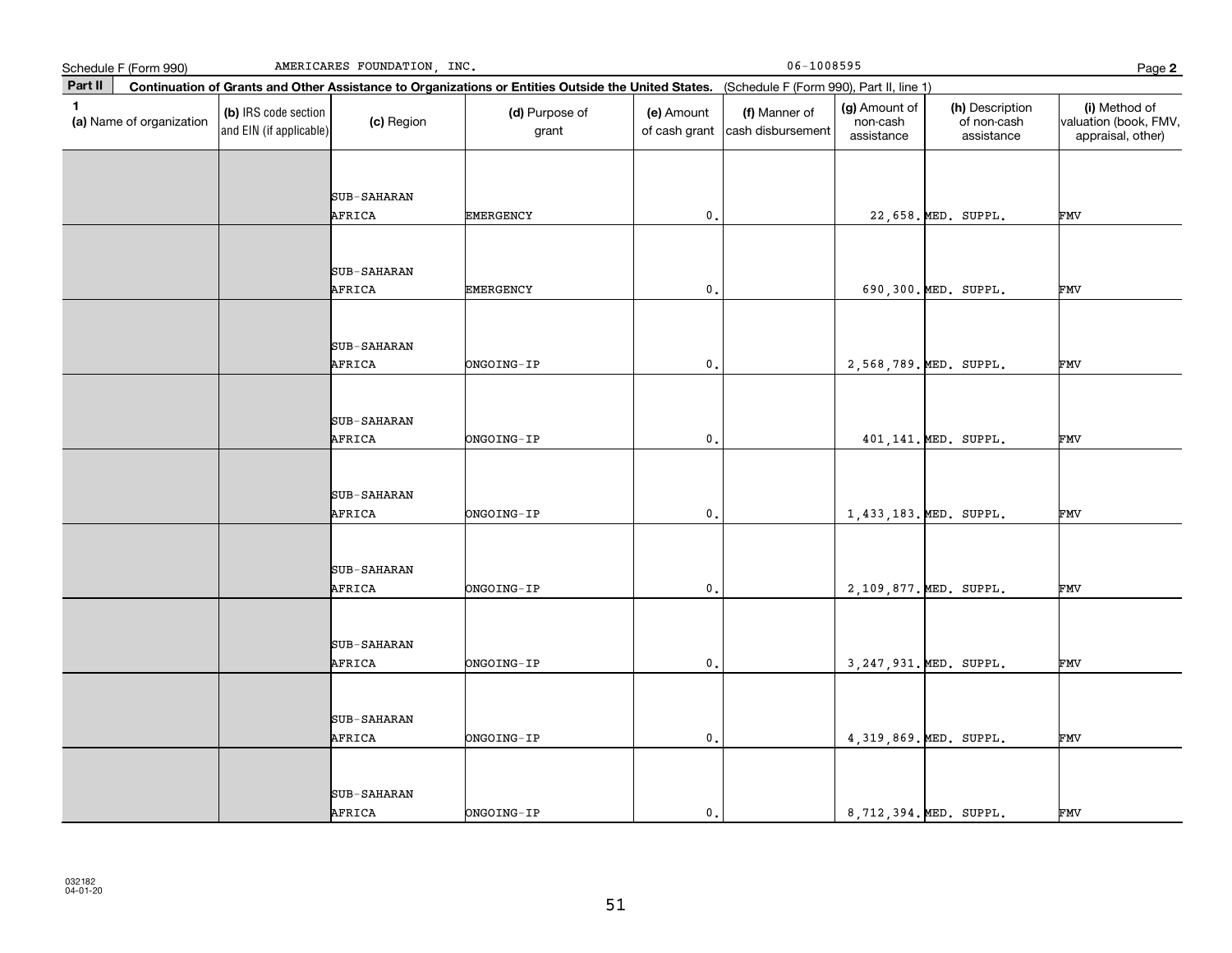|              | AMERICARES FOUNDATION, INC.<br>Schedule F (Form 990) |                                                 |                       |                                                                                                                                              |                             | $06 - 1008595$                     |                                         |                                              |                                                             |  |
|--------------|------------------------------------------------------|-------------------------------------------------|-----------------------|----------------------------------------------------------------------------------------------------------------------------------------------|-----------------------------|------------------------------------|-----------------------------------------|----------------------------------------------|-------------------------------------------------------------|--|
| Part II      |                                                      |                                                 |                       | Continuation of Grants and Other Assistance to Organizations or Entities Outside the United States. (Schedule F (Form 990), Part II, line 1) |                             |                                    |                                         |                                              | Page 2                                                      |  |
| $\mathbf{1}$ | (a) Name of organization                             | (b) IRS code section<br>and EIN (if applicable) | (c) Region            | (d) Purpose of<br>grant                                                                                                                      | (e) Amount<br>of cash grant | (f) Manner of<br>cash disbursement | (g) Amount of<br>non-cash<br>assistance | (h) Description<br>of non-cash<br>assistance | (i) Method of<br>valuation (book, FMV,<br>appraisal, other) |  |
|              |                                                      |                                                 | SUB-SAHARAN<br>AFRICA | <b>EMERGENCY</b>                                                                                                                             | $\mathbf{0}$ .              |                                    |                                         | 22,658. MED. SUPPL.                          | FMV                                                         |  |
|              |                                                      |                                                 | SUB-SAHARAN<br>AFRICA | <b>EMERGENCY</b>                                                                                                                             | $\mathfrak o$ .             |                                    |                                         | 690,300. MED. SUPPL.                         | FMV                                                         |  |
|              |                                                      |                                                 | SUB-SAHARAN<br>AFRICA | ONGOING-IP                                                                                                                                   | $\mathbf 0$ .               |                                    |                                         | 2,568,789. MED. SUPPL.                       | FMV                                                         |  |
|              |                                                      |                                                 | SUB-SAHARAN<br>AFRICA | ONGOING-IP                                                                                                                                   | $\mathbf{0}$ .              |                                    |                                         | 401,141. MED. SUPPL.                         | FMV                                                         |  |
|              |                                                      |                                                 | SUB-SAHARAN<br>AFRICA | ONGOING-IP                                                                                                                                   | 0.                          |                                    |                                         | 1,433,183. MED. SUPPL.                       | FMV                                                         |  |
|              |                                                      |                                                 | SUB-SAHARAN<br>AFRICA | ONGOING-IP                                                                                                                                   | $\mathbf 0$ .               |                                    |                                         | 2,109,877. MED. SUPPL.                       | FMV                                                         |  |
|              |                                                      |                                                 | SUB-SAHARAN<br>AFRICA | ONGOING-IP                                                                                                                                   | $\mathbf 0$ .               |                                    |                                         | 3, 247, 931. MED. SUPPL.                     | FMV                                                         |  |
|              |                                                      |                                                 | SUB-SAHARAN<br>AFRICA | ONGOING-IP                                                                                                                                   | $\mathbf{0}$ .              |                                    |                                         | 4, 319, 869. MED. SUPPL.                     | FMV                                                         |  |
|              |                                                      |                                                 | SUB-SAHARAN<br>AFRICA | ONGOING-IP                                                                                                                                   | $\mathbf{0}$ .              |                                    |                                         | 8,712,394. MED. SUPPL.                       | FMV                                                         |  |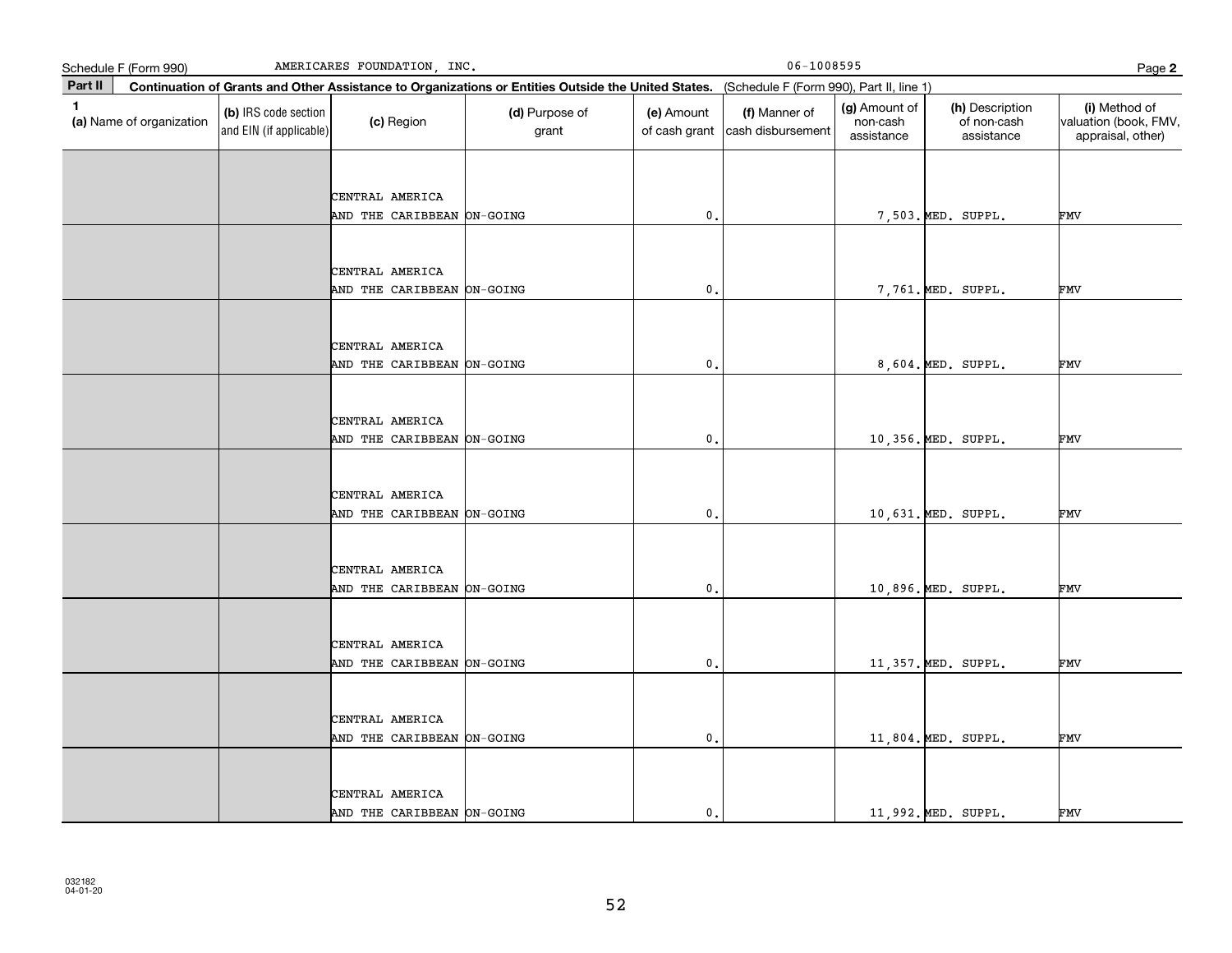|              | AMERICARES FOUNDATION, INC.<br>Schedule F (Form 990) |                                                 |                                               |                                                                                                                                              |                             | $06 - 1008595$                     |                                         |                                              |                                                             |  |
|--------------|------------------------------------------------------|-------------------------------------------------|-----------------------------------------------|----------------------------------------------------------------------------------------------------------------------------------------------|-----------------------------|------------------------------------|-----------------------------------------|----------------------------------------------|-------------------------------------------------------------|--|
| Part II      |                                                      |                                                 |                                               | Continuation of Grants and Other Assistance to Organizations or Entities Outside the United States. (Schedule F (Form 990), Part II, line 1) |                             |                                    |                                         |                                              |                                                             |  |
| $\mathbf{1}$ | (a) Name of organization                             | (b) IRS code section<br>and EIN (if applicable) | (c) Region                                    | (d) Purpose of<br>grant                                                                                                                      | (e) Amount<br>of cash grant | (f) Manner of<br>cash disbursement | (g) Amount of<br>non-cash<br>assistance | (h) Description<br>of non-cash<br>assistance | (i) Method of<br>valuation (book, FMV,<br>appraisal, other) |  |
|              |                                                      |                                                 |                                               |                                                                                                                                              |                             |                                    |                                         |                                              |                                                             |  |
|              |                                                      |                                                 | CENTRAL AMERICA                               |                                                                                                                                              |                             |                                    |                                         |                                              |                                                             |  |
|              |                                                      |                                                 | AND THE CARIBBEAN ON-GOING                    |                                                                                                                                              | $\mathfrak o$ .             |                                    |                                         | 7,503. MED. SUPPL.                           | FMV                                                         |  |
|              |                                                      |                                                 |                                               |                                                                                                                                              |                             |                                    |                                         |                                              |                                                             |  |
|              |                                                      |                                                 | CENTRAL AMERICA                               |                                                                                                                                              |                             |                                    |                                         |                                              |                                                             |  |
|              |                                                      |                                                 | AND THE CARIBBEAN ON-GOING                    |                                                                                                                                              | $\mathbf{0}$ .              |                                    |                                         | 7,761. MED. SUPPL.                           | FMV                                                         |  |
|              |                                                      |                                                 |                                               |                                                                                                                                              |                             |                                    |                                         |                                              |                                                             |  |
|              |                                                      |                                                 | CENTRAL AMERICA                               |                                                                                                                                              |                             |                                    |                                         |                                              |                                                             |  |
|              |                                                      |                                                 | AND THE CARIBBEAN ON-GOING                    |                                                                                                                                              | $\mathbf{0}$ .              |                                    |                                         | 8,604. MED. SUPPL.                           | FMV                                                         |  |
|              |                                                      |                                                 |                                               |                                                                                                                                              |                             |                                    |                                         |                                              |                                                             |  |
|              |                                                      |                                                 | CENTRAL AMERICA<br>AND THE CARIBBEAN ON-GOING |                                                                                                                                              | $\mathbf{0}$                |                                    |                                         | 10,356. MED. SUPPL.                          | FMV                                                         |  |
|              |                                                      |                                                 |                                               |                                                                                                                                              |                             |                                    |                                         |                                              |                                                             |  |
|              |                                                      |                                                 |                                               |                                                                                                                                              |                             |                                    |                                         |                                              |                                                             |  |
|              |                                                      |                                                 | CENTRAL AMERICA<br>AND THE CARIBBEAN ON-GOING |                                                                                                                                              | $\mathbf{0}$                |                                    |                                         | 10,631. MED. SUPPL.                          | FMV                                                         |  |
|              |                                                      |                                                 |                                               |                                                                                                                                              |                             |                                    |                                         |                                              |                                                             |  |
|              |                                                      |                                                 | CENTRAL AMERICA                               |                                                                                                                                              |                             |                                    |                                         |                                              |                                                             |  |
|              |                                                      |                                                 | AND THE CARIBBEAN ON-GOING                    |                                                                                                                                              | 0.                          |                                    |                                         | 10,896. MED. SUPPL.                          | FMV                                                         |  |
|              |                                                      |                                                 |                                               |                                                                                                                                              |                             |                                    |                                         |                                              |                                                             |  |
|              |                                                      |                                                 | CENTRAL AMERICA                               |                                                                                                                                              |                             |                                    |                                         |                                              |                                                             |  |
|              |                                                      |                                                 | AND THE CARIBBEAN ON-GOING                    |                                                                                                                                              | 0.                          |                                    |                                         | 11,357. MED. SUPPL.                          | FMV                                                         |  |
|              |                                                      |                                                 |                                               |                                                                                                                                              |                             |                                    |                                         |                                              |                                                             |  |
|              |                                                      |                                                 | CENTRAL AMERICA                               |                                                                                                                                              |                             |                                    |                                         |                                              |                                                             |  |
|              |                                                      |                                                 | AND THE CARIBBEAN ON-GOING                    |                                                                                                                                              | $\mathbf{0}$ .              |                                    |                                         | 11,804. MED. SUPPL.                          | FMV                                                         |  |
|              |                                                      |                                                 |                                               |                                                                                                                                              |                             |                                    |                                         |                                              |                                                             |  |
|              |                                                      |                                                 | CENTRAL AMERICA                               |                                                                                                                                              |                             |                                    |                                         |                                              |                                                             |  |
|              |                                                      |                                                 | AND THE CARIBBEAN ON-GOING                    |                                                                                                                                              | $\mathbf{0}$                |                                    |                                         | 11,992. MED. SUPPL.                          | FMV                                                         |  |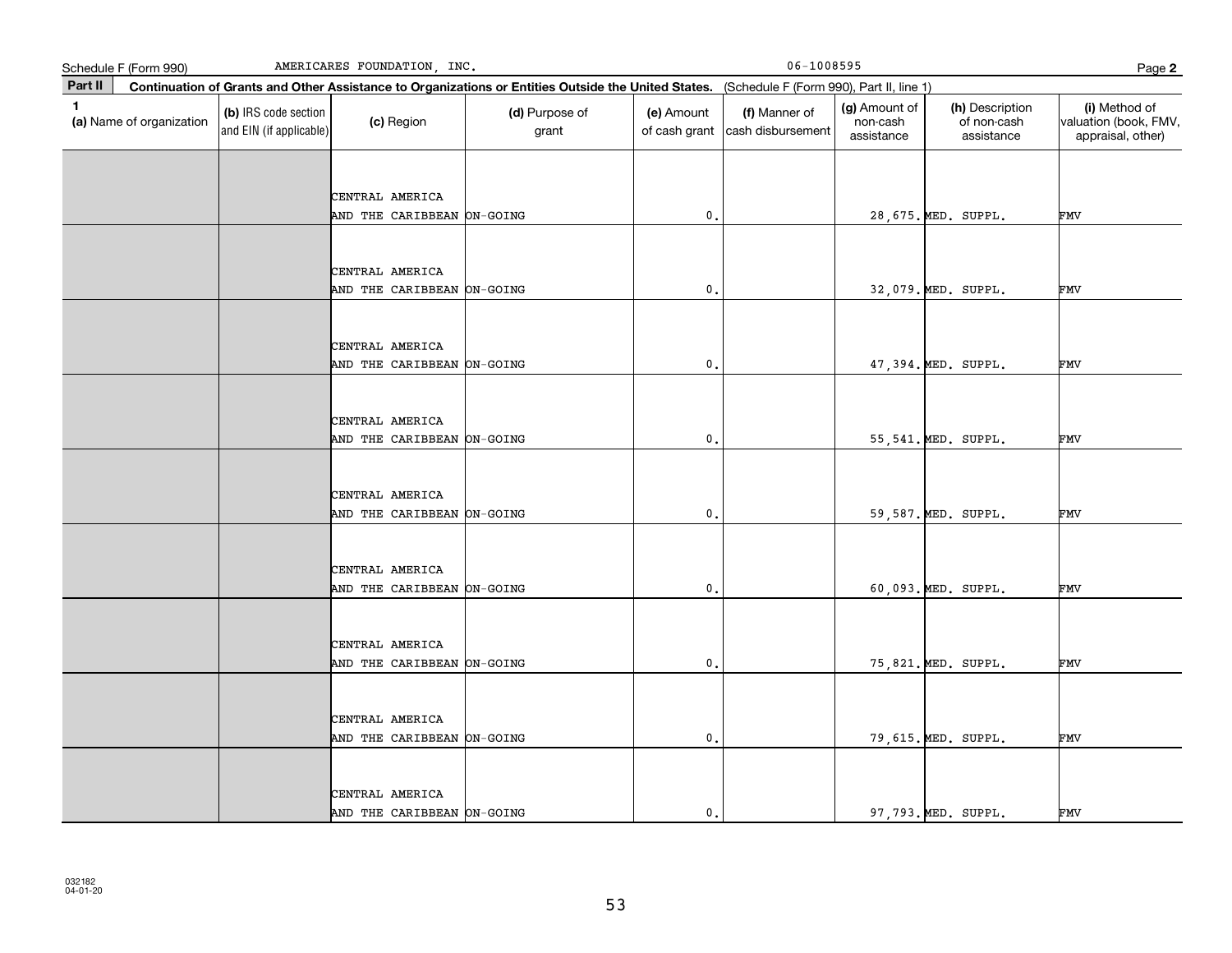| AMERICARES FOUNDATION, INC.<br>Schedule F (Form 990) |                                                 |                                               |                                                                                                                                              | $06 - 1008595$<br>Page 2    |                                    |                                         |                                              |                                                             |
|------------------------------------------------------|-------------------------------------------------|-----------------------------------------------|----------------------------------------------------------------------------------------------------------------------------------------------|-----------------------------|------------------------------------|-----------------------------------------|----------------------------------------------|-------------------------------------------------------------|
| Part II                                              |                                                 |                                               | Continuation of Grants and Other Assistance to Organizations or Entities Outside the United States. (Schedule F (Form 990), Part II, line 1) |                             |                                    |                                         |                                              |                                                             |
| 1<br>(a) Name of organization                        | (b) IRS code section<br>and EIN (if applicable) | (c) Region                                    | (d) Purpose of<br>grant                                                                                                                      | (e) Amount<br>of cash grant | (f) Manner of<br>cash disbursement | (g) Amount of<br>non-cash<br>assistance | (h) Description<br>of non-cash<br>assistance | (i) Method of<br>valuation (book, FMV,<br>appraisal, other) |
|                                                      |                                                 |                                               |                                                                                                                                              |                             |                                    |                                         |                                              |                                                             |
|                                                      |                                                 | CENTRAL AMERICA                               |                                                                                                                                              |                             |                                    |                                         |                                              |                                                             |
|                                                      |                                                 | AND THE CARIBBEAN ON-GOING                    |                                                                                                                                              | $\mathbf{0}$ .              |                                    |                                         | 28,675. MED. SUPPL.                          | FMV                                                         |
|                                                      |                                                 |                                               |                                                                                                                                              |                             |                                    |                                         |                                              |                                                             |
|                                                      |                                                 | CENTRAL AMERICA                               |                                                                                                                                              |                             |                                    |                                         |                                              |                                                             |
|                                                      |                                                 | AND THE CARIBBEAN ON-GOING                    |                                                                                                                                              | $\mathsf{0}$ .              |                                    |                                         | 32,079. MED. SUPPL.                          | FMV                                                         |
|                                                      |                                                 |                                               |                                                                                                                                              |                             |                                    |                                         |                                              |                                                             |
|                                                      |                                                 |                                               |                                                                                                                                              |                             |                                    |                                         |                                              |                                                             |
|                                                      |                                                 | CENTRAL AMERICA                               |                                                                                                                                              |                             |                                    |                                         |                                              |                                                             |
|                                                      |                                                 | AND THE CARIBBEAN ON-GOING                    |                                                                                                                                              | $\mathbf{0}$ .              |                                    |                                         | 47,394. MED. SUPPL.                          | FMV                                                         |
|                                                      |                                                 |                                               |                                                                                                                                              |                             |                                    |                                         |                                              |                                                             |
|                                                      |                                                 | CENTRAL AMERICA                               |                                                                                                                                              |                             |                                    |                                         |                                              |                                                             |
|                                                      |                                                 | AND THE CARIBBEAN ON-GOING                    |                                                                                                                                              | $\mathbf{0}$                |                                    |                                         | 55, 541. MED. SUPPL.                         | FMV                                                         |
|                                                      |                                                 |                                               |                                                                                                                                              |                             |                                    |                                         |                                              |                                                             |
|                                                      |                                                 |                                               |                                                                                                                                              |                             |                                    |                                         |                                              |                                                             |
|                                                      |                                                 | CENTRAL AMERICA<br>AND THE CARIBBEAN ON-GOING |                                                                                                                                              | $\mathbf{0}$                |                                    |                                         | 59,587. MED. SUPPL.                          | FMV                                                         |
|                                                      |                                                 |                                               |                                                                                                                                              |                             |                                    |                                         |                                              |                                                             |
|                                                      |                                                 |                                               |                                                                                                                                              |                             |                                    |                                         |                                              |                                                             |
|                                                      |                                                 | CENTRAL AMERICA                               |                                                                                                                                              |                             |                                    |                                         |                                              |                                                             |
|                                                      |                                                 | AND THE CARIBBEAN ON-GOING                    |                                                                                                                                              | 0.                          |                                    |                                         | 60,093. MED. SUPPL.                          | FMV                                                         |
|                                                      |                                                 |                                               |                                                                                                                                              |                             |                                    |                                         |                                              |                                                             |
|                                                      |                                                 | CENTRAL AMERICA                               |                                                                                                                                              |                             |                                    |                                         |                                              |                                                             |
|                                                      |                                                 | AND THE CARIBBEAN ON-GOING                    |                                                                                                                                              | 0.                          |                                    |                                         | 75,821. MED. SUPPL.                          | FMV                                                         |
|                                                      |                                                 |                                               |                                                                                                                                              |                             |                                    |                                         |                                              |                                                             |
|                                                      |                                                 |                                               |                                                                                                                                              |                             |                                    |                                         |                                              |                                                             |
|                                                      |                                                 | CENTRAL AMERICA                               |                                                                                                                                              |                             |                                    |                                         |                                              |                                                             |
|                                                      |                                                 | AND THE CARIBBEAN ON-GOING                    |                                                                                                                                              | $\mathbf{0}$ .              |                                    |                                         | 79,615. MED. SUPPL.                          | FMV                                                         |
|                                                      |                                                 |                                               |                                                                                                                                              |                             |                                    |                                         |                                              |                                                             |
|                                                      |                                                 | CENTRAL AMERICA                               |                                                                                                                                              |                             |                                    |                                         |                                              |                                                             |
|                                                      |                                                 | AND THE CARIBBEAN ON-GOING                    |                                                                                                                                              | $\mathbf{0}$                |                                    |                                         | 97,793. MED. SUPPL.                          | FMV                                                         |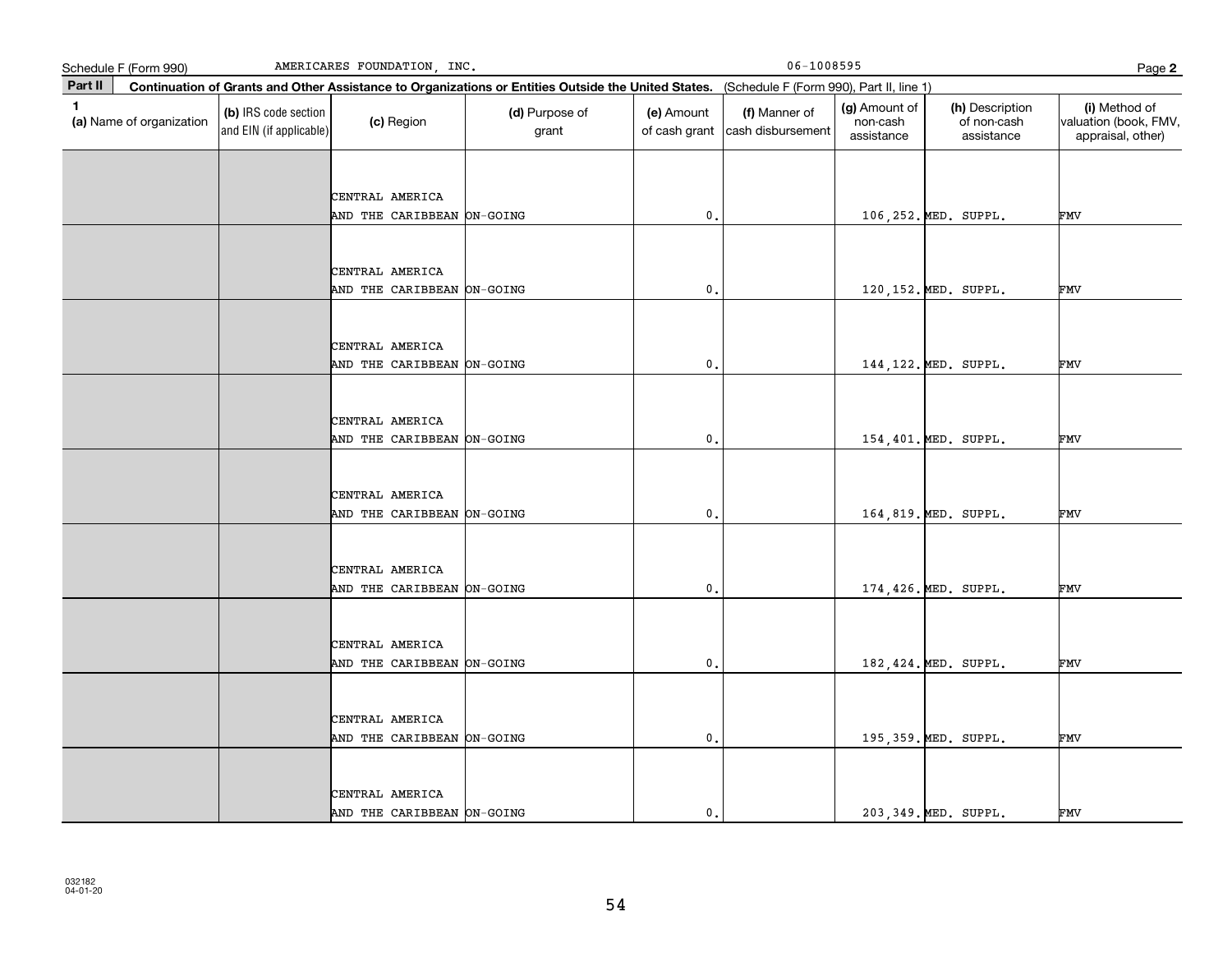|         | AMERICARES FOUNDATION, INC.<br>Schedule F (Form 990) |                                                 |                            |                                                                                                                                              |                | $06 - 1008595$<br>Page 2                         |                                         |                                              |                                                             |  |
|---------|------------------------------------------------------|-------------------------------------------------|----------------------------|----------------------------------------------------------------------------------------------------------------------------------------------|----------------|--------------------------------------------------|-----------------------------------------|----------------------------------------------|-------------------------------------------------------------|--|
| Part II |                                                      |                                                 |                            | Continuation of Grants and Other Assistance to Organizations or Entities Outside the United States. (Schedule F (Form 990), Part II, line 1) |                |                                                  |                                         |                                              |                                                             |  |
| 1       | (a) Name of organization                             | (b) IRS code section<br>and EIN (if applicable) | (c) Region                 | (d) Purpose of<br>grant                                                                                                                      | (e) Amount     | (f) Manner of<br>of cash grant cash disbursement | (g) Amount of<br>non-cash<br>assistance | (h) Description<br>of non-cash<br>assistance | (i) Method of<br>valuation (book, FMV,<br>appraisal, other) |  |
|         |                                                      |                                                 |                            |                                                                                                                                              |                |                                                  |                                         |                                              |                                                             |  |
|         |                                                      |                                                 | CENTRAL AMERICA            |                                                                                                                                              |                |                                                  |                                         |                                              |                                                             |  |
|         |                                                      |                                                 | AND THE CARIBBEAN ON-GOING |                                                                                                                                              | $\mathsf{0}$ . |                                                  |                                         | 106,252. MED. SUPPL.                         | FMV                                                         |  |
|         |                                                      |                                                 |                            |                                                                                                                                              |                |                                                  |                                         |                                              |                                                             |  |
|         |                                                      |                                                 | CENTRAL AMERICA            |                                                                                                                                              |                |                                                  |                                         |                                              |                                                             |  |
|         |                                                      |                                                 | AND THE CARIBBEAN ON-GOING |                                                                                                                                              | 0.             |                                                  |                                         | 120, 152. MED. SUPPL.                        | FMV                                                         |  |
|         |                                                      |                                                 |                            |                                                                                                                                              |                |                                                  |                                         |                                              |                                                             |  |
|         |                                                      |                                                 | CENTRAL AMERICA            |                                                                                                                                              |                |                                                  |                                         |                                              |                                                             |  |
|         |                                                      |                                                 | AND THE CARIBBEAN ON-GOING |                                                                                                                                              | 0.             |                                                  |                                         | 144, 122. MED. SUPPL.                        | FMV                                                         |  |
|         |                                                      |                                                 |                            |                                                                                                                                              |                |                                                  |                                         |                                              |                                                             |  |
|         |                                                      |                                                 | CENTRAL AMERICA            |                                                                                                                                              |                |                                                  |                                         |                                              |                                                             |  |
|         |                                                      |                                                 | AND THE CARIBBEAN ON-GOING |                                                                                                                                              | $\mathbf{0}$ . |                                                  |                                         | 154,401. MED. SUPPL.                         | FMV                                                         |  |
|         |                                                      |                                                 |                            |                                                                                                                                              |                |                                                  |                                         |                                              |                                                             |  |
|         |                                                      |                                                 | CENTRAL AMERICA            |                                                                                                                                              |                |                                                  |                                         |                                              |                                                             |  |
|         |                                                      |                                                 | AND THE CARIBBEAN ON-GOING |                                                                                                                                              | $\mathbf{0}$   |                                                  |                                         | 164,819. MED. SUPPL.                         | FMV                                                         |  |
|         |                                                      |                                                 |                            |                                                                                                                                              |                |                                                  |                                         |                                              |                                                             |  |
|         |                                                      |                                                 | CENTRAL AMERICA            |                                                                                                                                              |                |                                                  |                                         |                                              |                                                             |  |
|         |                                                      |                                                 | AND THE CARIBBEAN ON-GOING |                                                                                                                                              | 0.             |                                                  |                                         | 174,426. MED. SUPPL.                         | FMV                                                         |  |
|         |                                                      |                                                 |                            |                                                                                                                                              |                |                                                  |                                         |                                              |                                                             |  |
|         |                                                      |                                                 | CENTRAL AMERICA            |                                                                                                                                              |                |                                                  |                                         |                                              |                                                             |  |
|         |                                                      |                                                 | AND THE CARIBBEAN ON-GOING |                                                                                                                                              | 0.             |                                                  |                                         | 182, 424. MED. SUPPL.                        | FMV                                                         |  |
|         |                                                      |                                                 |                            |                                                                                                                                              |                |                                                  |                                         |                                              |                                                             |  |
|         |                                                      |                                                 | CENTRAL AMERICA            |                                                                                                                                              |                |                                                  |                                         |                                              |                                                             |  |
|         |                                                      |                                                 | AND THE CARIBBEAN ON-GOING |                                                                                                                                              | 0.             |                                                  |                                         | 195,359. MED. SUPPL.                         | FMV                                                         |  |
|         |                                                      |                                                 |                            |                                                                                                                                              |                |                                                  |                                         |                                              |                                                             |  |
|         |                                                      |                                                 | CENTRAL AMERICA            |                                                                                                                                              |                |                                                  |                                         |                                              |                                                             |  |
|         |                                                      |                                                 | AND THE CARIBBEAN ON-GOING |                                                                                                                                              | $\mathbf{0}$   |                                                  |                                         | 203, 349. MED. SUPPL.                        | FMV                                                         |  |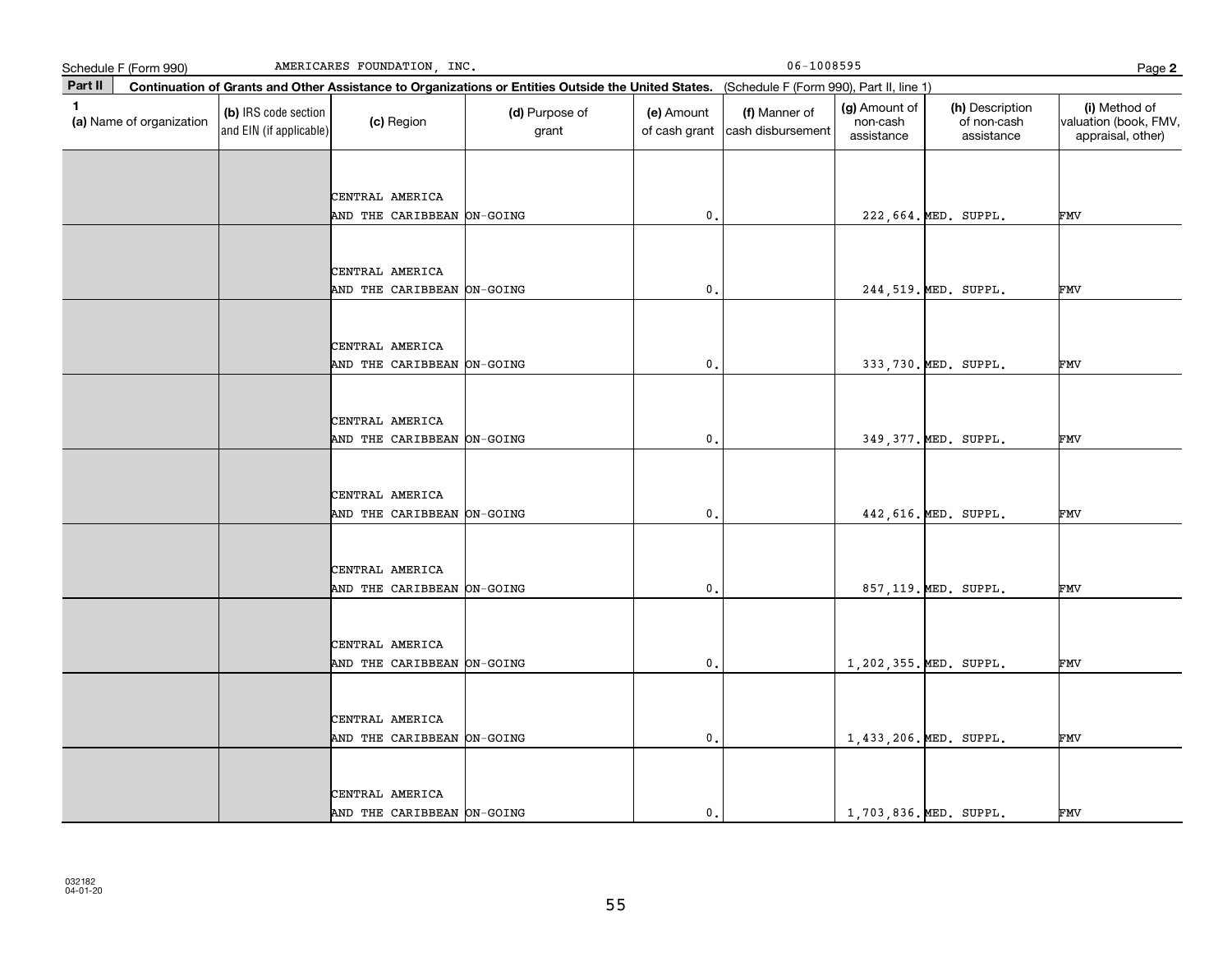|         | AMERICARES FOUNDATION, INC.<br>Schedule F (Form 990) |                                                 |                                               |                                                                                                                                              |                | $06 - 1008595$<br>Page 2                         |                                         |                                              |                                                             |  |
|---------|------------------------------------------------------|-------------------------------------------------|-----------------------------------------------|----------------------------------------------------------------------------------------------------------------------------------------------|----------------|--------------------------------------------------|-----------------------------------------|----------------------------------------------|-------------------------------------------------------------|--|
| Part II |                                                      |                                                 |                                               | Continuation of Grants and Other Assistance to Organizations or Entities Outside the United States. (Schedule F (Form 990), Part II, line 1) |                |                                                  |                                         |                                              |                                                             |  |
| 1       | (a) Name of organization                             | (b) IRS code section<br>and EIN (if applicable) | (c) Region                                    | (d) Purpose of<br>grant                                                                                                                      | (e) Amount     | (f) Manner of<br>of cash grant cash disbursement | (g) Amount of<br>non-cash<br>assistance | (h) Description<br>of non-cash<br>assistance | (i) Method of<br>valuation (book, FMV,<br>appraisal, other) |  |
|         |                                                      |                                                 |                                               |                                                                                                                                              |                |                                                  |                                         |                                              |                                                             |  |
|         |                                                      |                                                 | CENTRAL AMERICA                               |                                                                                                                                              |                |                                                  |                                         |                                              |                                                             |  |
|         |                                                      |                                                 | AND THE CARIBBEAN ON-GOING                    |                                                                                                                                              | $\mathbf{0}$ . |                                                  |                                         | 222,664. MED. SUPPL.                         | FMV                                                         |  |
|         |                                                      |                                                 |                                               |                                                                                                                                              |                |                                                  |                                         |                                              |                                                             |  |
|         |                                                      |                                                 | CENTRAL AMERICA                               |                                                                                                                                              |                |                                                  |                                         |                                              |                                                             |  |
|         |                                                      |                                                 | AND THE CARIBBEAN ON-GOING                    |                                                                                                                                              | $\mathsf{0}$ . |                                                  |                                         | 244,519. MED. SUPPL.                         | FMV                                                         |  |
|         |                                                      |                                                 |                                               |                                                                                                                                              |                |                                                  |                                         |                                              |                                                             |  |
|         |                                                      |                                                 | CENTRAL AMERICA                               |                                                                                                                                              |                |                                                  |                                         |                                              |                                                             |  |
|         |                                                      |                                                 | AND THE CARIBBEAN ON-GOING                    |                                                                                                                                              | 0.             |                                                  |                                         | 333,730. MED. SUPPL.                         | FMV                                                         |  |
|         |                                                      |                                                 |                                               |                                                                                                                                              |                |                                                  |                                         |                                              |                                                             |  |
|         |                                                      |                                                 |                                               |                                                                                                                                              |                |                                                  |                                         |                                              |                                                             |  |
|         |                                                      |                                                 | CENTRAL AMERICA<br>AND THE CARIBBEAN ON-GOING |                                                                                                                                              | $\mathbf{0}$   |                                                  |                                         | 349, 377. MED. SUPPL.                        | FMV                                                         |  |
|         |                                                      |                                                 |                                               |                                                                                                                                              |                |                                                  |                                         |                                              |                                                             |  |
|         |                                                      |                                                 |                                               |                                                                                                                                              |                |                                                  |                                         |                                              |                                                             |  |
|         |                                                      |                                                 | CENTRAL AMERICA<br>AND THE CARIBBEAN ON-GOING |                                                                                                                                              | $\mathbf{0}$   |                                                  |                                         | 442,616. MED. SUPPL.                         | FMV                                                         |  |
|         |                                                      |                                                 |                                               |                                                                                                                                              |                |                                                  |                                         |                                              |                                                             |  |
|         |                                                      |                                                 |                                               |                                                                                                                                              |                |                                                  |                                         |                                              |                                                             |  |
|         |                                                      |                                                 | CENTRAL AMERICA                               |                                                                                                                                              |                |                                                  |                                         |                                              |                                                             |  |
|         |                                                      |                                                 | AND THE CARIBBEAN ON-GOING                    |                                                                                                                                              | 0.             |                                                  |                                         | 857, 119. MED. SUPPL.                        | FMV                                                         |  |
|         |                                                      |                                                 |                                               |                                                                                                                                              |                |                                                  |                                         |                                              |                                                             |  |
|         |                                                      |                                                 | CENTRAL AMERICA                               |                                                                                                                                              |                |                                                  |                                         |                                              |                                                             |  |
|         |                                                      |                                                 | AND THE CARIBBEAN ON-GOING                    |                                                                                                                                              | 0.             |                                                  |                                         | 1,202,355. MED. SUPPL.                       | FMV                                                         |  |
|         |                                                      |                                                 |                                               |                                                                                                                                              |                |                                                  |                                         |                                              |                                                             |  |
|         |                                                      |                                                 | CENTRAL AMERICA                               |                                                                                                                                              |                |                                                  |                                         |                                              |                                                             |  |
|         |                                                      |                                                 | AND THE CARIBBEAN ON-GOING                    |                                                                                                                                              | $\mathbf{0}$ . |                                                  |                                         | 1,433,206. MED. SUPPL.                       | FMV                                                         |  |
|         |                                                      |                                                 |                                               |                                                                                                                                              |                |                                                  |                                         |                                              |                                                             |  |
|         |                                                      |                                                 | CENTRAL AMERICA                               |                                                                                                                                              |                |                                                  |                                         |                                              |                                                             |  |
|         |                                                      |                                                 | AND THE CARIBBEAN ON-GOING                    |                                                                                                                                              | $\mathbf{0}$   |                                                  |                                         | 1,703,836. MED. SUPPL.                       | FMV                                                         |  |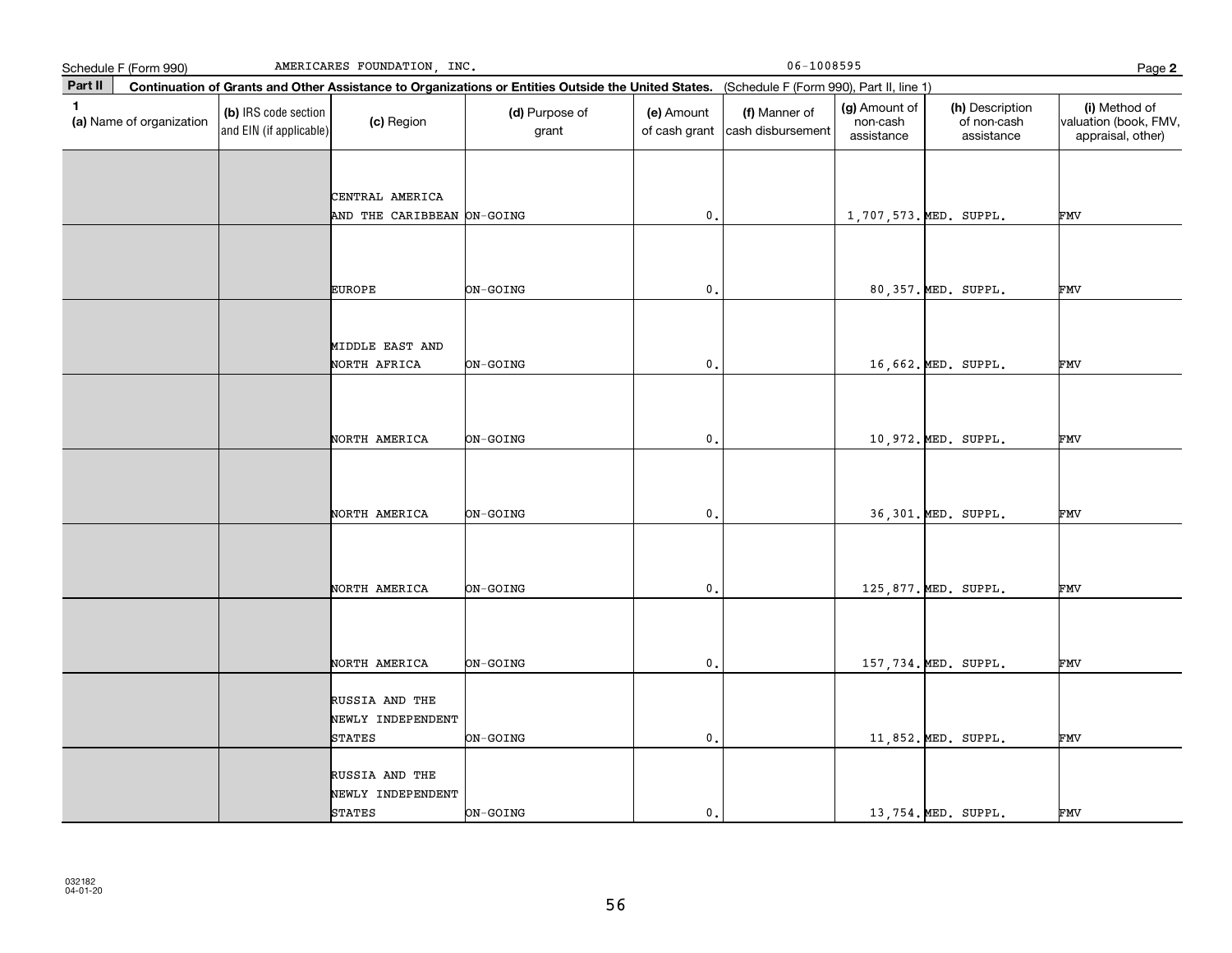|              | AMERICARES FOUNDATION, INC.<br>Schedule F (Form 990) |                                                 |                                                      |                                                                                                                                              |                             | $06 - 1008595$                     |                                         |                                              |                                                             |  |
|--------------|------------------------------------------------------|-------------------------------------------------|------------------------------------------------------|----------------------------------------------------------------------------------------------------------------------------------------------|-----------------------------|------------------------------------|-----------------------------------------|----------------------------------------------|-------------------------------------------------------------|--|
| Part II      |                                                      |                                                 |                                                      | Continuation of Grants and Other Assistance to Organizations or Entities Outside the United States. (Schedule F (Form 990), Part II, line 1) |                             |                                    |                                         |                                              | Page 2                                                      |  |
| $\mathbf{1}$ | (a) Name of organization                             | (b) IRS code section<br>and EIN (if applicable) | (c) Region                                           | (d) Purpose of<br>grant                                                                                                                      | (e) Amount<br>of cash grant | (f) Manner of<br>cash disbursement | (g) Amount of<br>non-cash<br>assistance | (h) Description<br>of non-cash<br>assistance | (i) Method of<br>valuation (book, FMV,<br>appraisal, other) |  |
|              |                                                      |                                                 | CENTRAL AMERICA<br>AND THE CARIBBEAN ON-GOING        |                                                                                                                                              | $\mathfrak o$ .             |                                    |                                         | 1,707,573. MED. SUPPL.                       | FMV                                                         |  |
|              |                                                      |                                                 | <b>EUROPE</b>                                        | ON-GOING                                                                                                                                     | $\mathbf 0$ .               |                                    |                                         | 80, 357. MED. SUPPL.                         | FMV                                                         |  |
|              |                                                      |                                                 | MIDDLE EAST AND<br>NORTH AFRICA                      | ON-GOING                                                                                                                                     | $\mathbf 0$ .               |                                    |                                         | 16,662. MED. SUPPL.                          | FMV                                                         |  |
|              |                                                      |                                                 | NORTH AMERICA                                        | ON-GOING                                                                                                                                     | $\mathbf 0$ .               |                                    |                                         | 10,972. MED. SUPPL.                          | FMV                                                         |  |
|              |                                                      |                                                 | NORTH AMERICA                                        | ON-GOING                                                                                                                                     | $\mathfrak{o}$ .            |                                    |                                         | 36,301. MED. SUPPL.                          | FMV                                                         |  |
|              |                                                      |                                                 | NORTH AMERICA                                        | ON-GOING                                                                                                                                     | $\mathfrak{o}$ .            |                                    |                                         | 125,877. MED. SUPPL.                         | FMV                                                         |  |
|              |                                                      |                                                 | NORTH AMERICA                                        | ON-GOING                                                                                                                                     | $\mathbf{0}$ .              |                                    |                                         | 157,734. MED. SUPPL.                         | FMV                                                         |  |
|              |                                                      |                                                 | RUSSIA AND THE<br>NEWLY INDEPENDENT<br>STATES        | ON-GOING                                                                                                                                     | $\mathbf{0}$ .              |                                    |                                         | 11,852. MED. SUPPL.                          | FMV                                                         |  |
|              |                                                      |                                                 | RUSSIA AND THE<br>NEWLY INDEPENDENT<br><b>STATES</b> | ON-GOING                                                                                                                                     | $\mathbf{0}$ .              |                                    |                                         | 13,754. MED. SUPPL.                          | FMV                                                         |  |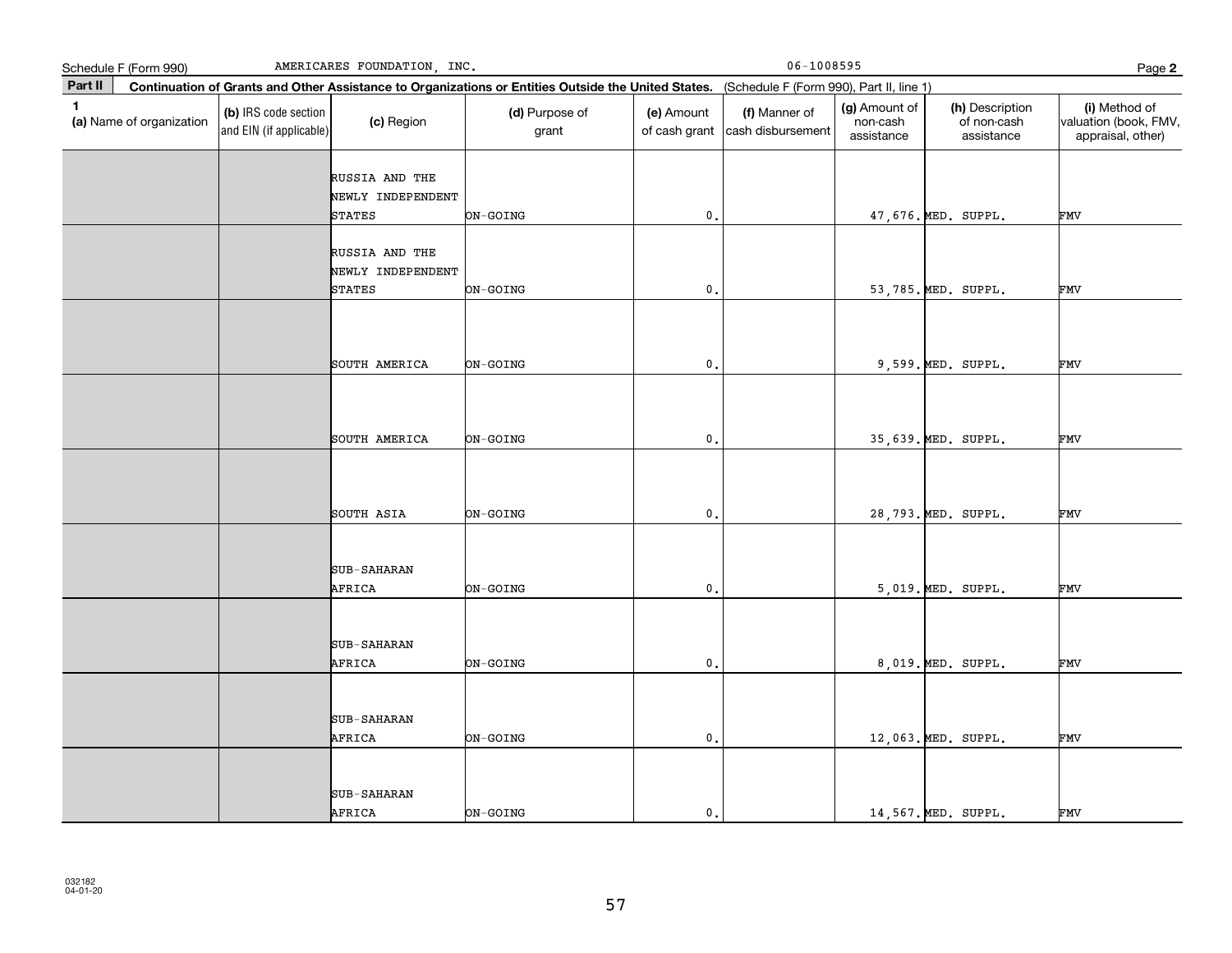|              | AMERICARES FOUNDATION, INC.<br>Schedule F (Form 990) |                                                 |                                                      |                                                                                                                                              |                             | $06 - 1008595$                     |                                         |                                              |                                                             |  |
|--------------|------------------------------------------------------|-------------------------------------------------|------------------------------------------------------|----------------------------------------------------------------------------------------------------------------------------------------------|-----------------------------|------------------------------------|-----------------------------------------|----------------------------------------------|-------------------------------------------------------------|--|
| Part II      |                                                      |                                                 |                                                      | Continuation of Grants and Other Assistance to Organizations or Entities Outside the United States. (Schedule F (Form 990), Part II, line 1) |                             |                                    |                                         |                                              | Page 2                                                      |  |
| $\mathbf{1}$ | (a) Name of organization                             | (b) IRS code section<br>and EIN (if applicable) | (c) Region                                           | (d) Purpose of<br>grant                                                                                                                      | (e) Amount<br>of cash grant | (f) Manner of<br>cash disbursement | (g) Amount of<br>non-cash<br>assistance | (h) Description<br>of non-cash<br>assistance | (i) Method of<br>valuation (book, FMV,<br>appraisal, other) |  |
|              |                                                      |                                                 | RUSSIA AND THE<br>NEWLY INDEPENDENT<br><b>STATES</b> | <b>ON-GOING</b>                                                                                                                              | $\mathbf{0}$ .              |                                    |                                         | 47,676. MED. SUPPL.                          | FMV                                                         |  |
|              |                                                      |                                                 | RUSSIA AND THE<br>NEWLY INDEPENDENT<br><b>STATES</b> | ON-GOING                                                                                                                                     | $\mathbf{0}$ .              |                                    |                                         | 53,785. MED. SUPPL.                          | FMV                                                         |  |
|              |                                                      |                                                 | SOUTH AMERICA                                        | <b>ON-GOING</b>                                                                                                                              | $\mathfrak o$ .             |                                    |                                         | 9,599. MED. SUPPL.                           | FMV                                                         |  |
|              |                                                      |                                                 | SOUTH AMERICA                                        | ON-GOING                                                                                                                                     | $\mathbf{0}$ .              |                                    |                                         | 35,639. MED. SUPPL.                          | FMV                                                         |  |
|              |                                                      |                                                 | SOUTH ASIA                                           | ON-GOING                                                                                                                                     | $\mathfrak o$ .             |                                    |                                         | 28,793. MED. SUPPL.                          | FMV                                                         |  |
|              |                                                      |                                                 | SUB-SAHARAN<br>AFRICA                                | <b>ON-GOING</b>                                                                                                                              | $\mathsf{0}$ .              |                                    |                                         | 5,019. MED. SUPPL.                           | FMV                                                         |  |
|              |                                                      |                                                 | SUB-SAHARAN<br>AFRICA                                | <b>ON-GOING</b>                                                                                                                              | 0.                          |                                    |                                         | 8,019. MED. SUPPL.                           | FMV                                                         |  |
|              |                                                      |                                                 | SUB-SAHARAN<br>AFRICA                                | ON-GOING                                                                                                                                     | $\mathbf{0}$ .              |                                    |                                         | 12,063. MED. SUPPL.                          | FMV                                                         |  |
|              |                                                      |                                                 | SUB-SAHARAN<br>AFRICA                                | <b>ON-GOING</b>                                                                                                                              | 0.                          |                                    |                                         | 14,567. MED. SUPPL.                          | FMV                                                         |  |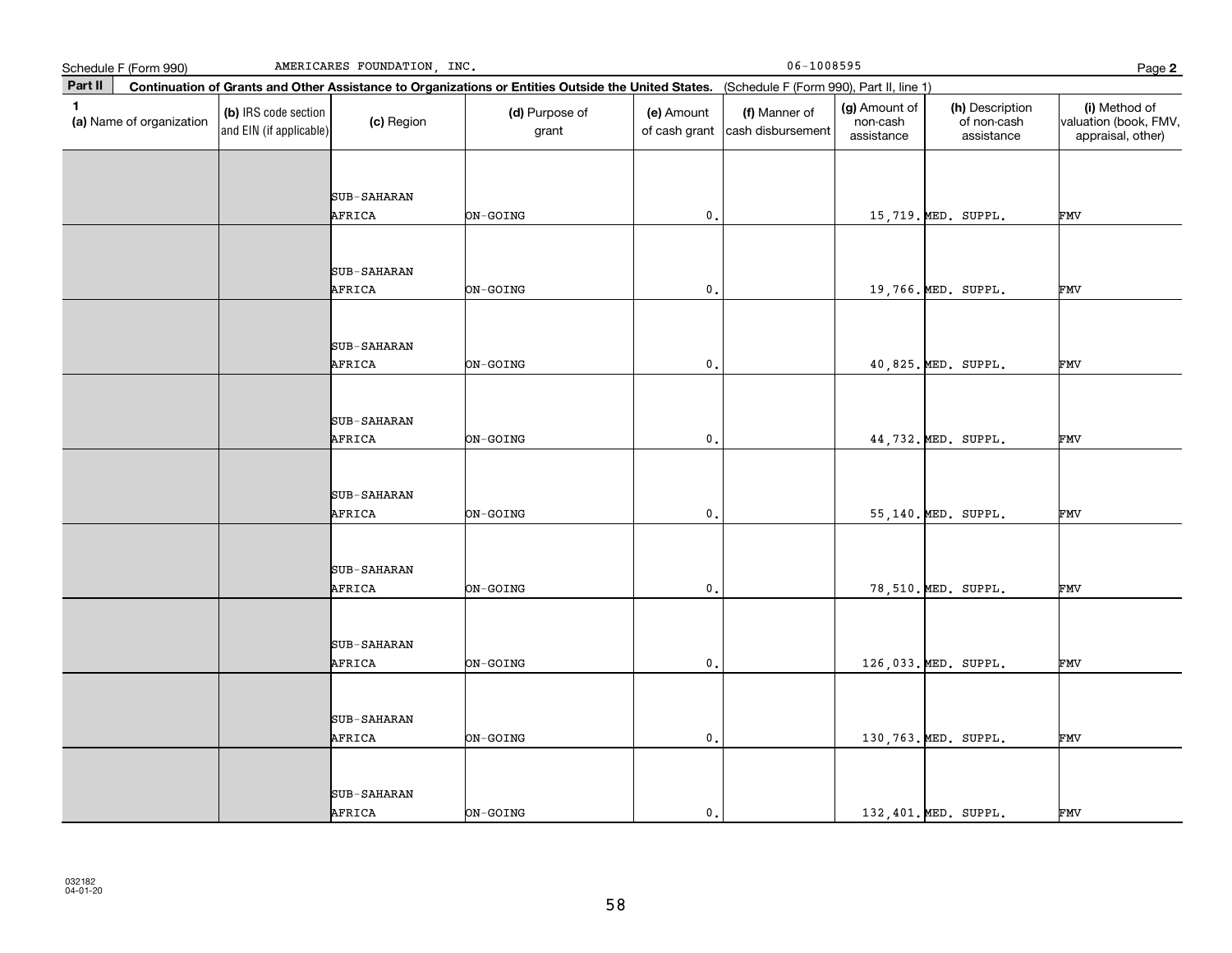|         | AMERICARES FOUNDATION, INC.<br>Schedule F (Form 990) |                                                 |             |                                                                                                                                              |                             | $06 - 1008595$                     |                                         |                                              |                                                             |  |
|---------|------------------------------------------------------|-------------------------------------------------|-------------|----------------------------------------------------------------------------------------------------------------------------------------------|-----------------------------|------------------------------------|-----------------------------------------|----------------------------------------------|-------------------------------------------------------------|--|
| Part II |                                                      |                                                 |             | Continuation of Grants and Other Assistance to Organizations or Entities Outside the United States. (Schedule F (Form 990), Part II, line 1) |                             |                                    |                                         |                                              | Page 2                                                      |  |
| 1       | (a) Name of organization                             | (b) IRS code section<br>and EIN (if applicable) | (c) Region  | (d) Purpose of<br>grant                                                                                                                      | (e) Amount<br>of cash grant | (f) Manner of<br>cash disbursement | (g) Amount of<br>non-cash<br>assistance | (h) Description<br>of non-cash<br>assistance | (i) Method of<br>valuation (book, FMV,<br>appraisal, other) |  |
|         |                                                      |                                                 |             |                                                                                                                                              |                             |                                    |                                         |                                              |                                                             |  |
|         |                                                      |                                                 | SUB-SAHARAN |                                                                                                                                              |                             |                                    |                                         |                                              |                                                             |  |
|         |                                                      |                                                 | AFRICA      | ON-GOING                                                                                                                                     | 0.                          |                                    |                                         | 15,719. MED. SUPPL.                          | FMV                                                         |  |
|         |                                                      |                                                 |             |                                                                                                                                              |                             |                                    |                                         |                                              |                                                             |  |
|         |                                                      |                                                 | SUB-SAHARAN |                                                                                                                                              |                             |                                    |                                         |                                              |                                                             |  |
|         |                                                      |                                                 | AFRICA      | ON-GOING                                                                                                                                     | $\mathbf{0}$ .              |                                    |                                         | 19,766. MED. SUPPL.                          | FMV                                                         |  |
|         |                                                      |                                                 |             |                                                                                                                                              |                             |                                    |                                         |                                              |                                                             |  |
|         |                                                      |                                                 | SUB-SAHARAN |                                                                                                                                              |                             |                                    |                                         |                                              |                                                             |  |
|         |                                                      |                                                 | AFRICA      | <b>ON-GOING</b>                                                                                                                              | $\mathfrak{o}$ .            |                                    |                                         | 40,825. MED. SUPPL.                          | FMV                                                         |  |
|         |                                                      |                                                 |             |                                                                                                                                              |                             |                                    |                                         |                                              |                                                             |  |
|         |                                                      |                                                 | SUB-SAHARAN |                                                                                                                                              |                             |                                    |                                         |                                              |                                                             |  |
|         |                                                      |                                                 | AFRICA      | ON-GOING                                                                                                                                     | $\mathbf{0}$ .              |                                    |                                         | 44,732. MED. SUPPL.                          | FMV                                                         |  |
|         |                                                      |                                                 |             |                                                                                                                                              |                             |                                    |                                         |                                              |                                                             |  |
|         |                                                      |                                                 | SUB-SAHARAN |                                                                                                                                              |                             |                                    |                                         |                                              |                                                             |  |
|         |                                                      |                                                 | AFRICA      | ON-GOING                                                                                                                                     | $\mathsf{0}$ .              |                                    |                                         | 55,140. MED. SUPPL.                          | FMV                                                         |  |
|         |                                                      |                                                 |             |                                                                                                                                              |                             |                                    |                                         |                                              |                                                             |  |
|         |                                                      |                                                 | SUB-SAHARAN |                                                                                                                                              |                             |                                    |                                         |                                              |                                                             |  |
|         |                                                      |                                                 | AFRICA      | <b>ON-GOING</b>                                                                                                                              | $\mathbf 0$ .               |                                    |                                         | 78,510. MED. SUPPL.                          | FMV                                                         |  |
|         |                                                      |                                                 |             |                                                                                                                                              |                             |                                    |                                         |                                              |                                                             |  |
|         |                                                      |                                                 | SUB-SAHARAN |                                                                                                                                              |                             |                                    |                                         |                                              |                                                             |  |
|         |                                                      |                                                 | AFRICA      | <b>ON-GOING</b>                                                                                                                              | 0,                          |                                    |                                         | 126,033. MED. SUPPL.                         | FMV                                                         |  |
|         |                                                      |                                                 |             |                                                                                                                                              |                             |                                    |                                         |                                              |                                                             |  |
|         |                                                      |                                                 | SUB-SAHARAN |                                                                                                                                              |                             |                                    |                                         |                                              |                                                             |  |
|         |                                                      |                                                 | AFRICA      | ON-GOING                                                                                                                                     | 0.                          |                                    |                                         | 130,763. MED. SUPPL.                         | FMV                                                         |  |
|         |                                                      |                                                 |             |                                                                                                                                              |                             |                                    |                                         |                                              |                                                             |  |
|         |                                                      |                                                 | SUB-SAHARAN |                                                                                                                                              |                             |                                    |                                         |                                              |                                                             |  |
|         |                                                      |                                                 | AFRICA      | ON-GOING                                                                                                                                     | 0.                          |                                    |                                         | 132,401. MED. SUPPL.                         | FMV                                                         |  |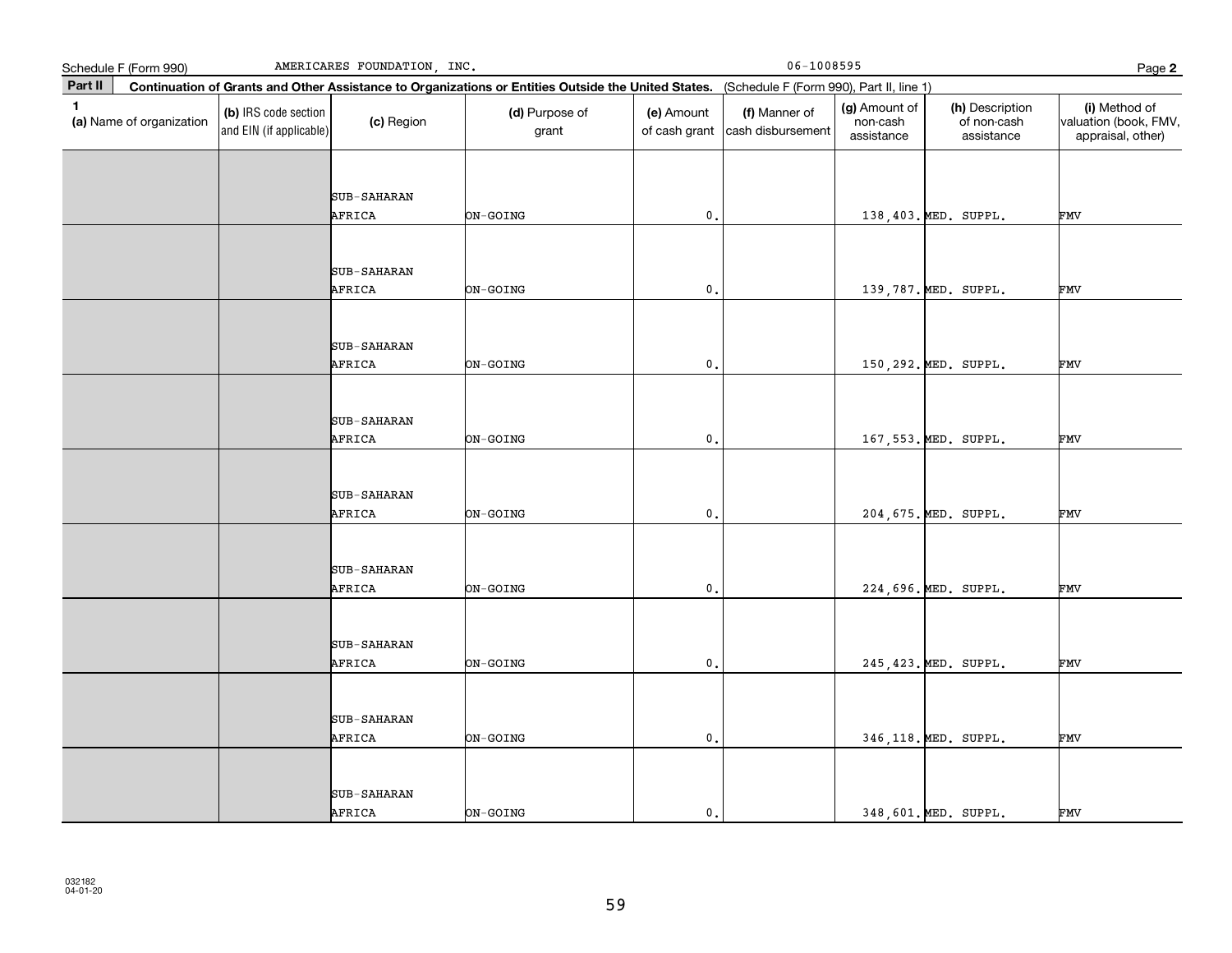|         | AMERICARES FOUNDATION, INC.<br>Schedule F (Form 990) |                                                 |             |                                                                                                                                              | $06 - 1008595$              |                                    |                                         |                                              |                                                             |
|---------|------------------------------------------------------|-------------------------------------------------|-------------|----------------------------------------------------------------------------------------------------------------------------------------------|-----------------------------|------------------------------------|-----------------------------------------|----------------------------------------------|-------------------------------------------------------------|
| Part II |                                                      |                                                 |             | Continuation of Grants and Other Assistance to Organizations or Entities Outside the United States. (Schedule F (Form 990), Part II, line 1) |                             |                                    |                                         |                                              | Page 2                                                      |
| 1       | (a) Name of organization                             | (b) IRS code section<br>and EIN (if applicable) | (c) Region  | (d) Purpose of<br>grant                                                                                                                      | (e) Amount<br>of cash grant | (f) Manner of<br>cash disbursement | (g) Amount of<br>non-cash<br>assistance | (h) Description<br>of non-cash<br>assistance | (i) Method of<br>valuation (book, FMV,<br>appraisal, other) |
|         |                                                      |                                                 |             |                                                                                                                                              |                             |                                    |                                         |                                              |                                                             |
|         |                                                      |                                                 | SUB-SAHARAN |                                                                                                                                              |                             |                                    |                                         |                                              |                                                             |
|         |                                                      |                                                 | AFRICA      | ON-GOING                                                                                                                                     | 0.                          |                                    |                                         | 138,403. MED. SUPPL.                         | FMV                                                         |
|         |                                                      |                                                 |             |                                                                                                                                              |                             |                                    |                                         |                                              |                                                             |
|         |                                                      |                                                 | SUB-SAHARAN |                                                                                                                                              |                             |                                    |                                         |                                              |                                                             |
|         |                                                      |                                                 | AFRICA      | ON-GOING                                                                                                                                     | $\mathfrak{o}$ .            |                                    |                                         | 139,787. MED. SUPPL.                         | FMV                                                         |
|         |                                                      |                                                 |             |                                                                                                                                              |                             |                                    |                                         |                                              |                                                             |
|         |                                                      |                                                 | SUB-SAHARAN |                                                                                                                                              |                             |                                    |                                         |                                              |                                                             |
|         |                                                      |                                                 | AFRICA      | <b>ON-GOING</b>                                                                                                                              | $\mathfrak{o}$ .            |                                    |                                         | 150, 292. MED. SUPPL.                        | FMV                                                         |
|         |                                                      |                                                 |             |                                                                                                                                              |                             |                                    |                                         |                                              |                                                             |
|         |                                                      |                                                 | SUB-SAHARAN |                                                                                                                                              |                             |                                    |                                         |                                              |                                                             |
|         |                                                      |                                                 | AFRICA      | ON-GOING                                                                                                                                     | 0.                          |                                    |                                         | 167,553. MED. SUPPL.                         | FMV                                                         |
|         |                                                      |                                                 |             |                                                                                                                                              |                             |                                    |                                         |                                              |                                                             |
|         |                                                      |                                                 | SUB-SAHARAN |                                                                                                                                              |                             |                                    |                                         |                                              |                                                             |
|         |                                                      |                                                 | AFRICA      | ON-GOING                                                                                                                                     | $\mathsf{0}$ .              |                                    |                                         | 204, 675. MED. SUPPL.                        | FMV                                                         |
|         |                                                      |                                                 |             |                                                                                                                                              |                             |                                    |                                         |                                              |                                                             |
|         |                                                      |                                                 | SUB-SAHARAN |                                                                                                                                              |                             |                                    |                                         |                                              |                                                             |
|         |                                                      |                                                 | AFRICA      | <b>ON-GOING</b>                                                                                                                              | $\mathbf 0$ .               |                                    |                                         | 224,696. MED. SUPPL.                         | FMV                                                         |
|         |                                                      |                                                 |             |                                                                                                                                              |                             |                                    |                                         |                                              |                                                             |
|         |                                                      |                                                 | SUB-SAHARAN |                                                                                                                                              |                             |                                    |                                         |                                              |                                                             |
|         |                                                      |                                                 | AFRICA      | <b>ON-GOING</b>                                                                                                                              | 0,                          |                                    |                                         | 245, 423. MED. SUPPL.                        | FMV                                                         |
|         |                                                      |                                                 |             |                                                                                                                                              |                             |                                    |                                         |                                              |                                                             |
|         |                                                      |                                                 | SUB-SAHARAN |                                                                                                                                              |                             |                                    |                                         |                                              |                                                             |
|         |                                                      |                                                 | AFRICA      | ON-GOING                                                                                                                                     | 0.                          |                                    |                                         | 346, 118. MED. SUPPL.                        | FMV                                                         |
|         |                                                      |                                                 |             |                                                                                                                                              |                             |                                    |                                         |                                              |                                                             |
|         |                                                      |                                                 | SUB-SAHARAN |                                                                                                                                              |                             |                                    |                                         |                                              |                                                             |
|         |                                                      |                                                 | AFRICA      | ON-GOING                                                                                                                                     | 0.                          |                                    |                                         | 348,601. MED. SUPPL.                         | FMV                                                         |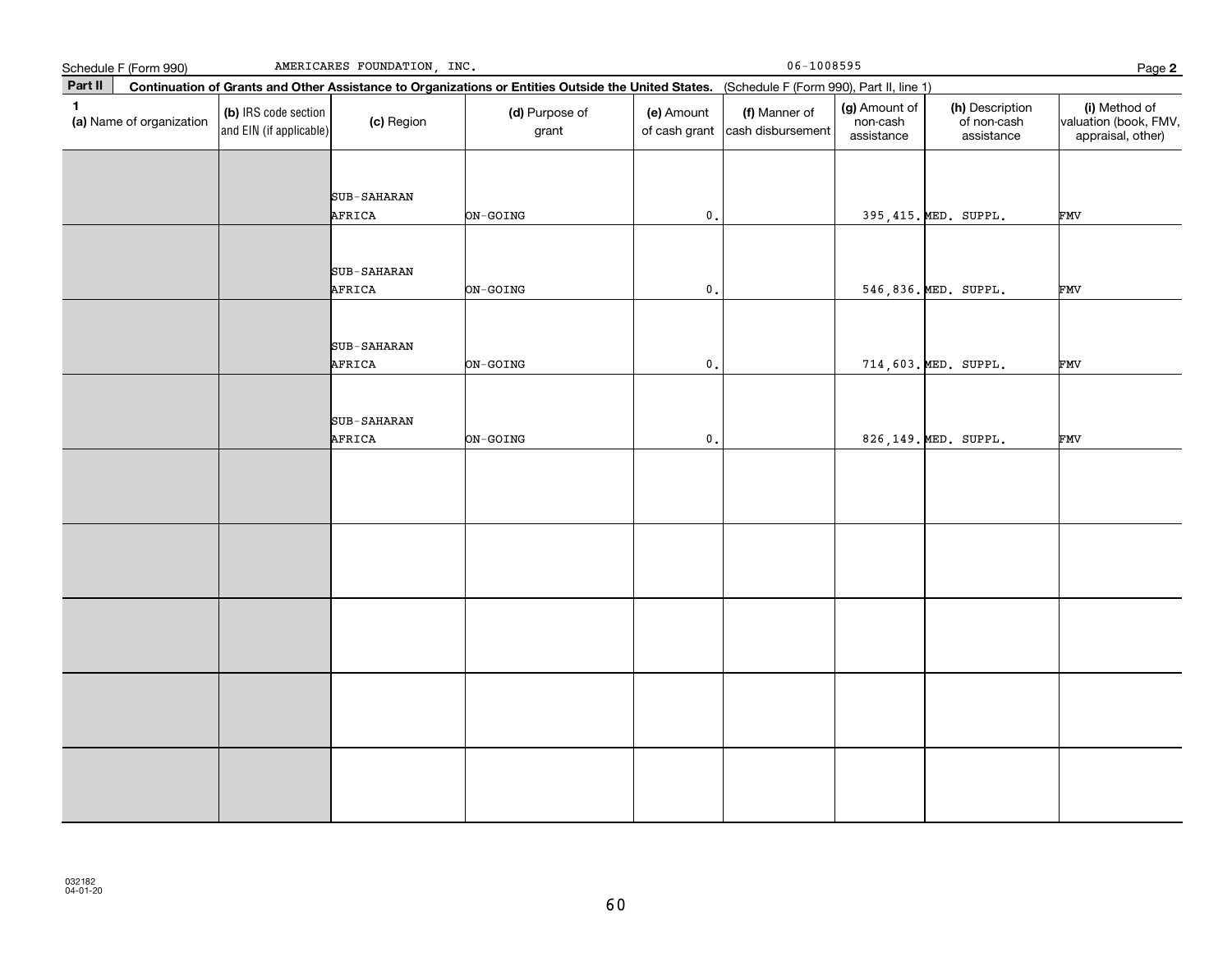|              | Schedule F (Form 990)    |                                                 | AMERICARES FOUNDATION, INC. |                                                                                                                                              |                 | $06 - 1008595$                                           |                                         |                                              | Page 2                                                      |
|--------------|--------------------------|-------------------------------------------------|-----------------------------|----------------------------------------------------------------------------------------------------------------------------------------------|-----------------|----------------------------------------------------------|-----------------------------------------|----------------------------------------------|-------------------------------------------------------------|
| Part II      |                          |                                                 |                             | Continuation of Grants and Other Assistance to Organizations or Entities Outside the United States. (Schedule F (Form 990), Part II, line 1) |                 |                                                          |                                         |                                              |                                                             |
| $\mathbf{1}$ | (a) Name of organization | (b) IRS code section<br>and EIN (if applicable) | (c) Region                  | (d) Purpose of<br>grant                                                                                                                      | (e) Amount      | (f) Manner of<br>of cash grant $\vert$ cash disbursement | (g) Amount of<br>non-cash<br>assistance | (h) Description<br>of non-cash<br>assistance | (i) Method of<br>valuation (book, FMV,<br>appraisal, other) |
|              |                          |                                                 | SUB-SAHARAN<br>AFRICA       | ON-GOING                                                                                                                                     | $\mathfrak o$ . |                                                          |                                         | 395, 415. MED. SUPPL.                        | FMV                                                         |
|              |                          |                                                 | SUB-SAHARAN                 |                                                                                                                                              |                 |                                                          |                                         |                                              |                                                             |
|              |                          |                                                 | AFRICA                      | ON-GOING                                                                                                                                     | $\mathfrak o$ . |                                                          |                                         | 546,836. MED. SUPPL.                         | FMV                                                         |
|              |                          |                                                 | SUB-SAHARAN                 |                                                                                                                                              |                 |                                                          |                                         |                                              |                                                             |
|              |                          |                                                 | AFRICA                      | ON-GOING                                                                                                                                     | $\mathsf{0}$ .  |                                                          |                                         | 714,603. MED. SUPPL.                         | FMV                                                         |
|              |                          |                                                 | SUB-SAHARAN<br>AFRICA       | ON-GOING                                                                                                                                     | $\mathfrak o$ . |                                                          |                                         | 826, 149. MED. SUPPL.                        | FMV                                                         |
|              |                          |                                                 |                             |                                                                                                                                              |                 |                                                          |                                         |                                              |                                                             |
|              |                          |                                                 |                             |                                                                                                                                              |                 |                                                          |                                         |                                              |                                                             |
|              |                          |                                                 |                             |                                                                                                                                              |                 |                                                          |                                         |                                              |                                                             |
|              |                          |                                                 |                             |                                                                                                                                              |                 |                                                          |                                         |                                              |                                                             |
|              |                          |                                                 |                             |                                                                                                                                              |                 |                                                          |                                         |                                              |                                                             |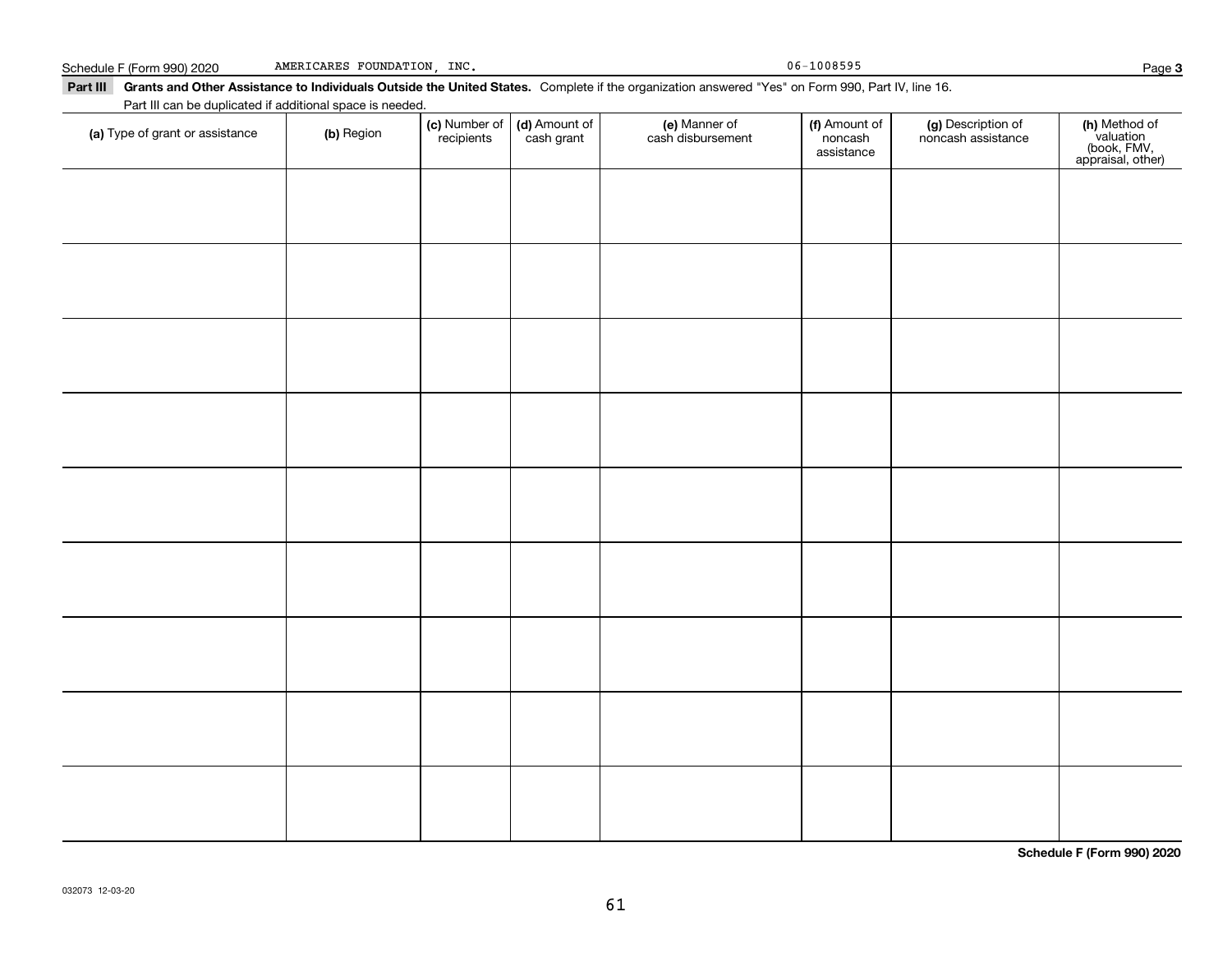| .Au ila F (Form 990) 2020 | AMERICARES FOU |  |
|---------------------------|----------------|--|

| AMERICARES | FOUNDATION | INC. |
|------------|------------|------|
|------------|------------|------|

06-1008595

Part III can be duplicated if additional space is needed.

| (a) Type of grant or assistance | (b) Region | (c) Number of<br>recipients | (d) Amount of<br>cash grant | (e) Manner of<br>cash disbursement | (f) Amount of<br>noncash<br>assistance | (g) Description of<br>noncash assistance | (h) Method of<br>valuation<br>(book, FMV,<br>appraisal, other) |
|---------------------------------|------------|-----------------------------|-----------------------------|------------------------------------|----------------------------------------|------------------------------------------|----------------------------------------------------------------|
|                                 |            |                             |                             |                                    |                                        |                                          |                                                                |
|                                 |            |                             |                             |                                    |                                        |                                          |                                                                |
|                                 |            |                             |                             |                                    |                                        |                                          |                                                                |
|                                 |            |                             |                             |                                    |                                        |                                          |                                                                |
|                                 |            |                             |                             |                                    |                                        |                                          |                                                                |
|                                 |            |                             |                             |                                    |                                        |                                          |                                                                |
|                                 |            |                             |                             |                                    |                                        |                                          |                                                                |
|                                 |            |                             |                             |                                    |                                        |                                          |                                                                |
|                                 |            |                             |                             |                                    |                                        |                                          |                                                                |
|                                 |            |                             |                             |                                    |                                        |                                          |                                                                |

**Schedule F (Form 990) 2020**

Page 3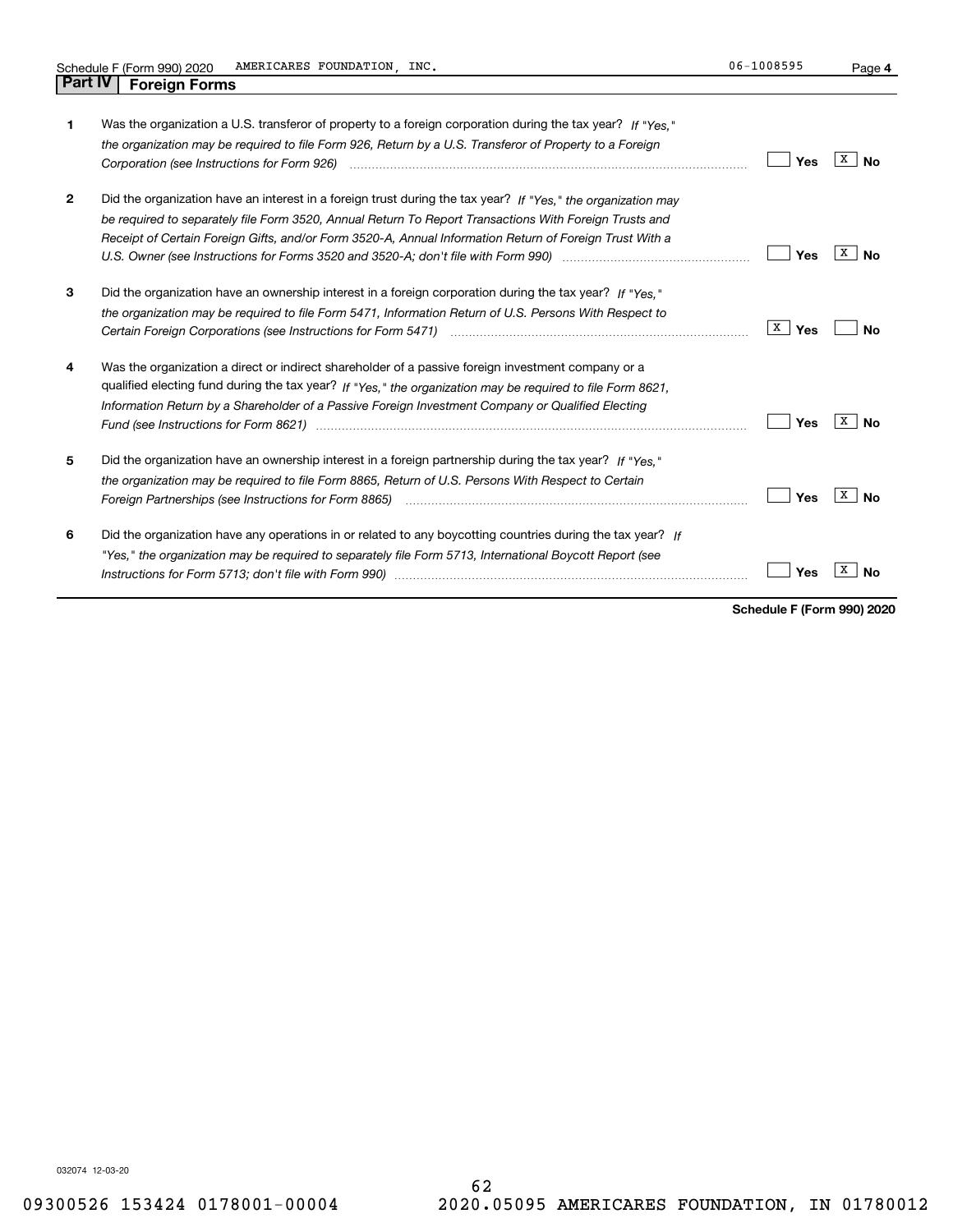**4**

| 1              | Was the organization a U.S. transferor of property to a foreign corporation during the tax year? If "Yes."<br>the organization may be required to file Form 926, Return by a U.S. Transferor of Property to a Foreign                                                                                                                                                                                                                   | Yes        | X<br>No |
|----------------|-----------------------------------------------------------------------------------------------------------------------------------------------------------------------------------------------------------------------------------------------------------------------------------------------------------------------------------------------------------------------------------------------------------------------------------------|------------|---------|
| $\overline{2}$ | Did the organization have an interest in a foreign trust during the tax year? If "Yes." the organization may<br>be required to separately file Form 3520, Annual Return To Report Transactions With Foreign Trusts and<br>Receipt of Certain Foreign Gifts, and/or Form 3520-A, Annual Information Return of Foreign Trust With a                                                                                                       | Yes        | X<br>No |
| 3              | Did the organization have an ownership interest in a foreign corporation during the tax year? If "Yes,"<br>the organization may be required to file Form 5471, Information Return of U.S. Persons With Respect to<br>Certain Foreign Corporations (see Instructions for Form 5471) <i>manded contained contained corporation</i> contained to                                                                                           | x  <br>Yes | No      |
| 4              | Was the organization a direct or indirect shareholder of a passive foreign investment company or a<br>qualified electing fund during the tax year? If "Yes." the organization may be required to file Form 8621.<br>Information Return by a Shareholder of a Passive Foreign Investment Company or Qualified Electing<br>Fund (see Instructions for Form 8621) manufactured control and the control of the state of the state of the st | Yes        | x<br>Nο |
| 5              | Did the organization have an ownership interest in a foreign partnership during the tax year? If "Yes."<br>the organization may be required to file Form 8865, Return of U.S. Persons With Respect to Certain<br>Foreign Partnerships (see Instructions for Form 8865) manufactured content content content of the content of t                                                                                                         | Yes        | x<br>No |
| 6              | Did the organization have any operations in or related to any boycotting countries during the tax year? If<br>"Yes," the organization may be required to separately file Form 5713, International Boycott Report (see                                                                                                                                                                                                                   | Yes        |         |

**Schedule F (Form 990) 2020**

032074 12-03-20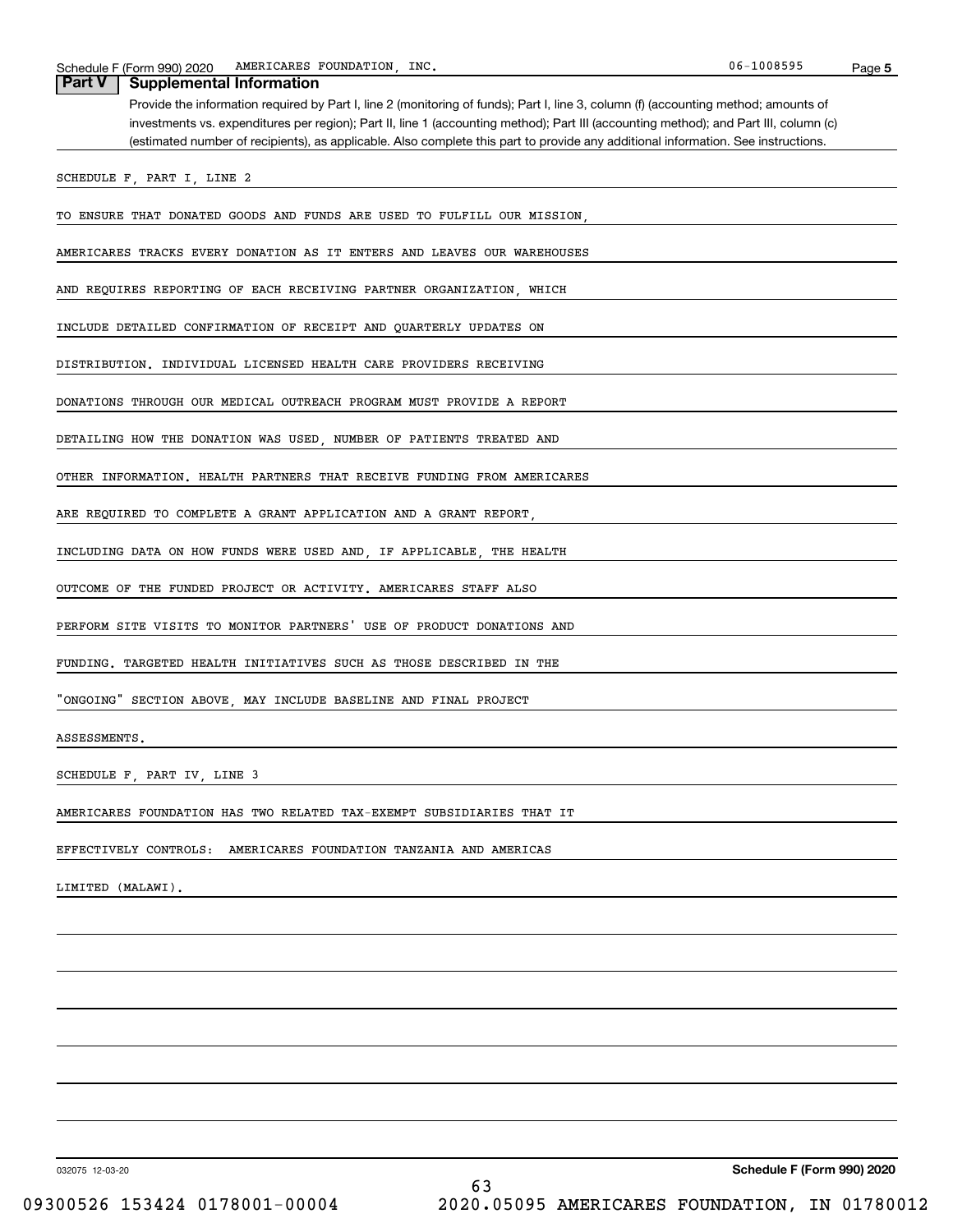| AMERICARES FOUNDATION, INC.<br>Schedule F (Form 990) 2020                                                                             | 06-1008595 | Page 5 |
|---------------------------------------------------------------------------------------------------------------------------------------|------------|--------|
| Part V<br><b>Supplemental Information</b>                                                                                             |            |        |
| Provide the information required by Part I, line 2 (monitoring of funds); Part I, line 3, column (f) (accounting method; amounts of   |            |        |
| investments vs. expenditures per region); Part II, line 1 (accounting method); Part III (accounting method); and Part III, column (c) |            |        |
| (estimated number of recipients), as applicable. Also complete this part to provide any additional information. See instructions.     |            |        |
|                                                                                                                                       |            |        |
| SCHEDULE F, PART I, LINE 2                                                                                                            |            |        |
| TO ENSURE THAT DONATED GOODS AND FUNDS ARE USED TO FULFILL OUR MISSION,                                                               |            |        |
| AMERICARES TRACKS EVERY DONATION AS IT ENTERS AND LEAVES OUR WAREHOUSES                                                               |            |        |
| AND REQUIRES REPORTING OF EACH RECEIVING PARTNER ORGANIZATION, WHICH                                                                  |            |        |
| INCLUDE DETAILED CONFIRMATION OF RECEIPT AND QUARTERLY UPDATES ON                                                                     |            |        |
| DISTRIBUTION. INDIVIDUAL LICENSED HEALTH CARE PROVIDERS RECEIVING                                                                     |            |        |
| DONATIONS THROUGH OUR MEDICAL OUTREACH PROGRAM MUST PROVIDE A REPORT                                                                  |            |        |
| DETAILING HOW THE DONATION WAS USED, NUMBER OF PATIENTS TREATED AND                                                                   |            |        |
| OTHER INFORMATION. HEALTH PARTNERS THAT RECEIVE FUNDING FROM AMERICARES                                                               |            |        |
| ARE REQUIRED TO COMPLETE A GRANT APPLICATION AND A GRANT REPORT.                                                                      |            |        |
| INCLUDING DATA ON HOW FUNDS WERE USED AND, IF APPLICABLE, THE HEALTH                                                                  |            |        |
| OUTCOME OF THE FUNDED PROJECT OR ACTIVITY. AMERICARES STAFF ALSO                                                                      |            |        |
| PERFORM SITE VISITS TO MONITOR PARTNERS' USE OF PRODUCT DONATIONS AND                                                                 |            |        |
| FUNDING. TARGETED HEALTH INITIATIVES SUCH AS THOSE DESCRIBED IN THE                                                                   |            |        |
| "ONGOING" SECTION ABOVE, MAY INCLUDE BASELINE AND FINAL PROJECT                                                                       |            |        |
| ASSESSMENTS.                                                                                                                          |            |        |
| SCHEDULE F, PART IV, LINE 3                                                                                                           |            |        |
| AMERICARES FOUNDATION HAS TWO RELATED TAX-EXEMPT SUBSIDIARIES THAT IT                                                                 |            |        |
| EFFECTIVELY CONTROLS:<br>AMERICARES FOUNDATION TANZANIA AND AMERICAS                                                                  |            |        |

LIMITED (MALAWI).

032075 12-03-20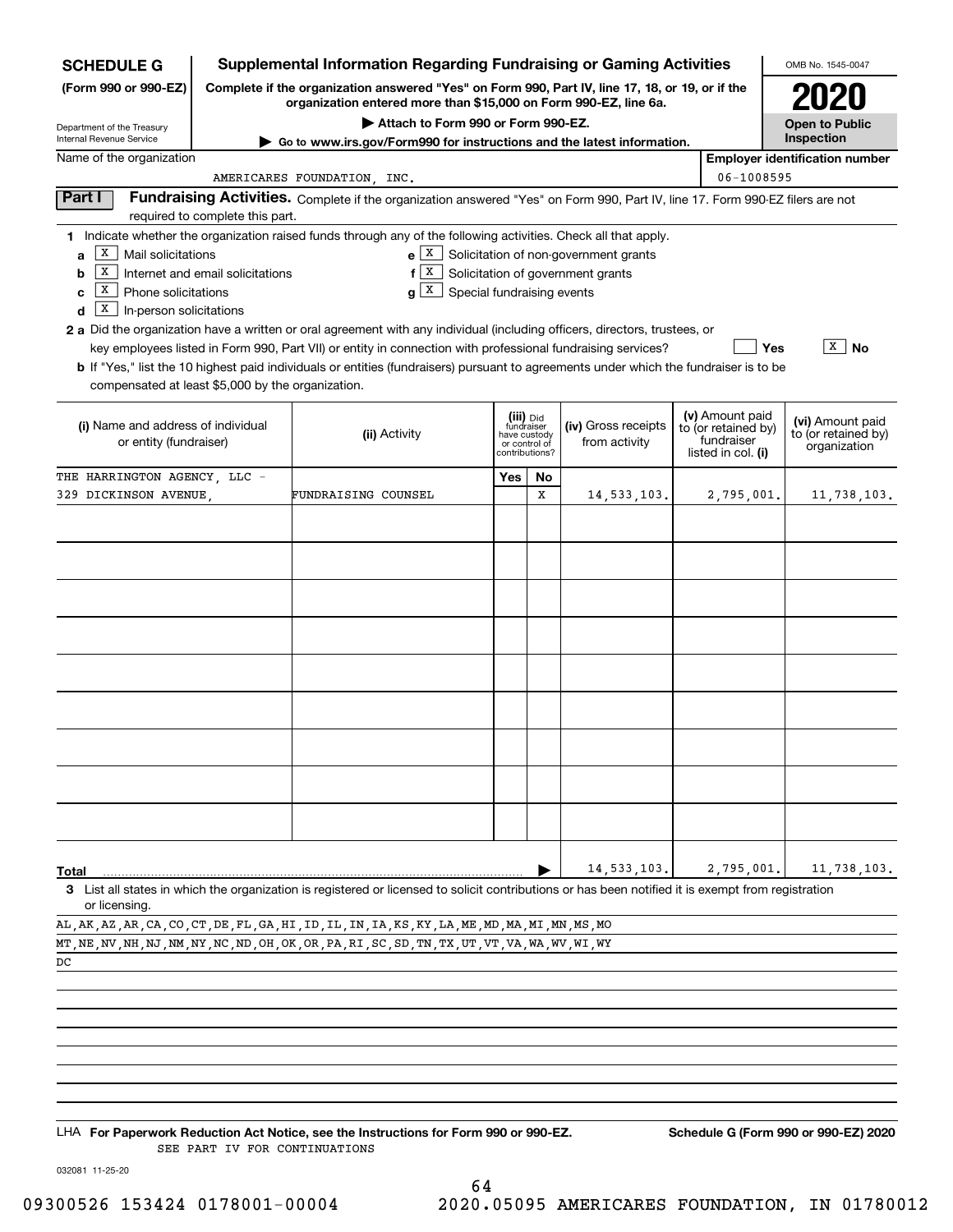| <b>SCHEDULE G</b>                                     |                                  | <b>Supplemental Information Regarding Fundraising or Gaming Activities</b>                                                                                          |               |                                |                                             |                                        | OMB No. 1545-0047                       |
|-------------------------------------------------------|----------------------------------|---------------------------------------------------------------------------------------------------------------------------------------------------------------------|---------------|--------------------------------|---------------------------------------------|----------------------------------------|-----------------------------------------|
| (Form 990 or 990-EZ)                                  |                                  | Complete if the organization answered "Yes" on Form 990, Part IV, line 17, 18, or 19, or if the<br>organization entered more than \$15,000 on Form 990-EZ, line 6a. |               |                                |                                             |                                        |                                         |
| Department of the Treasury                            |                                  | Attach to Form 990 or Form 990-EZ.                                                                                                                                  |               |                                |                                             |                                        | <b>Open to Public</b>                   |
| Internal Revenue Service                              |                                  | $\triangleright$ Go to www.irs.gov/Form990 for instructions and the latest information.                                                                             |               |                                |                                             |                                        | Inspection                              |
| Name of the organization                              |                                  |                                                                                                                                                                     |               |                                |                                             |                                        | <b>Employer identification number</b>   |
| Part I                                                |                                  | AMERICARES FOUNDATION, INC.                                                                                                                                         |               |                                |                                             | 06-1008595                             |                                         |
|                                                       | required to complete this part.  | Fundraising Activities. Complete if the organization answered "Yes" on Form 990, Part IV, line 17. Form 990-EZ filers are not                                       |               |                                |                                             |                                        |                                         |
|                                                       |                                  | 1 Indicate whether the organization raised funds through any of the following activities. Check all that apply.                                                     |               |                                |                                             |                                        |                                         |
| Х<br>Mail solicitations<br>a                          |                                  |                                                                                                                                                                     |               |                                | $e X$ Solicitation of non-government grants |                                        |                                         |
| Х<br>b                                                | Internet and email solicitations | X                                                                                                                                                                   |               |                                | Solicitation of government grants           |                                        |                                         |
| $\mathbf{x}$<br>Phone solicitations<br>C              |                                  | Special fundraising events<br>g X                                                                                                                                   |               |                                |                                             |                                        |                                         |
| X<br>In-person solicitations<br>d                     |                                  |                                                                                                                                                                     |               |                                |                                             |                                        |                                         |
|                                                       |                                  | 2 a Did the organization have a written or oral agreement with any individual (including officers, directors, trustees, or                                          |               |                                |                                             |                                        | X                                       |
|                                                       |                                  | key employees listed in Form 990, Part VII) or entity in connection with professional fundraising services?                                                         |               |                                |                                             | Yes                                    | No                                      |
| compensated at least \$5,000 by the organization.     |                                  | <b>b</b> If "Yes," list the 10 highest paid individuals or entities (fundraisers) pursuant to agreements under which the fundraiser is to be                        |               |                                |                                             |                                        |                                         |
|                                                       |                                  |                                                                                                                                                                     |               |                                |                                             |                                        |                                         |
| (i) Name and address of individual                    |                                  | (ii) Activity                                                                                                                                                       |               | (iii) Did<br>fundraiser        | (iv) Gross receipts                         | (v) Amount paid<br>to (or retained by) | (vi) Amount paid<br>to (or retained by) |
| or entity (fundraiser)                                |                                  |                                                                                                                                                                     | or control of | have custody<br>contributions? | from activity                               | fundraiser<br>listed in col. (i)       | organization                            |
|                                                       |                                  |                                                                                                                                                                     |               |                                |                                             |                                        |                                         |
| THE HARRINGTON AGENCY, LLC -<br>329 DICKINSON AVENUE, |                                  | FUNDRAISING COUNSEL                                                                                                                                                 | Yes           | <b>No</b><br>x                 |                                             | 2,795,001.                             | 11,738,103.                             |
|                                                       |                                  |                                                                                                                                                                     |               |                                | 14,533,103.                                 |                                        |                                         |
|                                                       |                                  |                                                                                                                                                                     |               |                                |                                             |                                        |                                         |
|                                                       |                                  |                                                                                                                                                                     |               |                                |                                             |                                        |                                         |
|                                                       |                                  |                                                                                                                                                                     |               |                                |                                             |                                        |                                         |
|                                                       |                                  |                                                                                                                                                                     |               |                                |                                             |                                        |                                         |
|                                                       |                                  |                                                                                                                                                                     |               |                                |                                             |                                        |                                         |
|                                                       |                                  |                                                                                                                                                                     |               |                                |                                             |                                        |                                         |
|                                                       |                                  |                                                                                                                                                                     |               |                                |                                             |                                        |                                         |
|                                                       |                                  |                                                                                                                                                                     |               |                                |                                             |                                        |                                         |
|                                                       |                                  |                                                                                                                                                                     |               |                                |                                             |                                        |                                         |
|                                                       |                                  |                                                                                                                                                                     |               |                                |                                             |                                        |                                         |
|                                                       |                                  |                                                                                                                                                                     |               |                                |                                             |                                        |                                         |
|                                                       |                                  |                                                                                                                                                                     |               |                                |                                             |                                        |                                         |
|                                                       |                                  |                                                                                                                                                                     |               |                                |                                             |                                        |                                         |
|                                                       |                                  |                                                                                                                                                                     |               |                                |                                             |                                        |                                         |
|                                                       |                                  |                                                                                                                                                                     |               |                                |                                             |                                        |                                         |
|                                                       |                                  |                                                                                                                                                                     |               |                                |                                             |                                        |                                         |
| Total                                                 |                                  |                                                                                                                                                                     |               |                                | 14,533,103.                                 | 2,795,001.                             | 11,738,103.                             |
| or licensing.                                         |                                  | 3 List all states in which the organization is registered or licensed to solicit contributions or has been notified it is exempt from registration                  |               |                                |                                             |                                        |                                         |
|                                                       |                                  | AL , AK , AZ , AR , CA , CO , CT , DE , FL , GA , HI , ID , IL , IN , IA , KS , KY , LA , ME , MD , MA , MI , MN , MS , MO                                          |               |                                |                                             |                                        |                                         |
|                                                       |                                  | MT , NE , NV , NH , NJ , NM , NY , NC , ND , OH , OK , OR , PA , RI , SC , SD , TN , TX , UT , VT , VA , WA , WV , WI , WY                                          |               |                                |                                             |                                        |                                         |
| DC                                                    |                                  |                                                                                                                                                                     |               |                                |                                             |                                        |                                         |

LHA For Paperwork Reduction Act Notice, see the Instructions for Form 990 or 990-EZ. Schedule G (Form 990 or 990-EZ) 2020 SEE PART IV FOR CONTINUATIONS

032081 11-25-20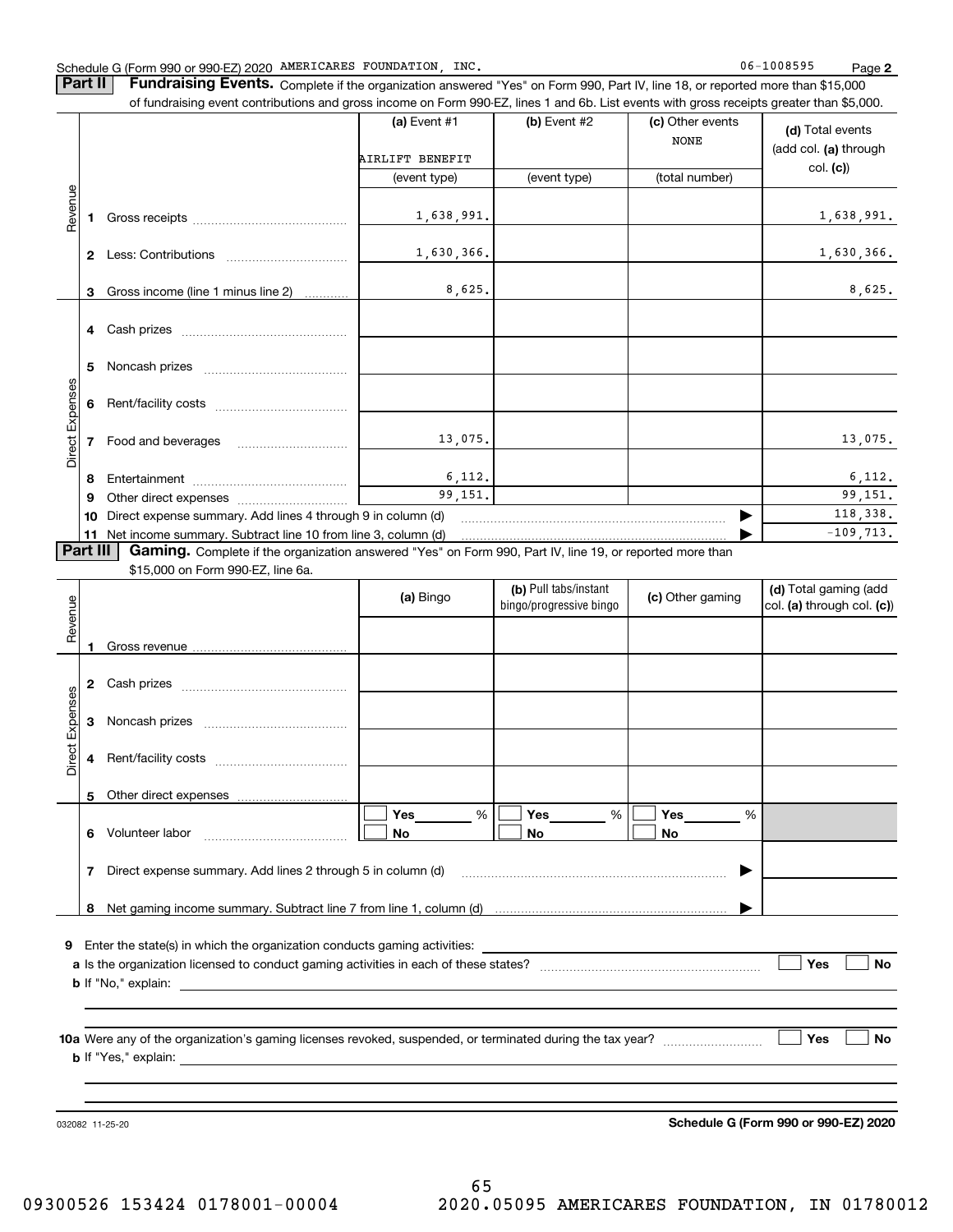**Part II** | Fundraising Events. Complete if the organization answered "Yes" on Form 990, Part IV, line 18, or reported more than \$15,000 of fundraising event contributions and gross income on Form 990-EZ, lines 1 and 6b. List events with gross receipts greater than \$5,000.

|                 |                |                                                                                                                                               | (a) Event $#1$<br>AIRLIFT BENEFIT<br>(event type) | (b) Event #2<br>(event type)                     | (c) Other events<br><b>NONE</b><br>(total number) | (d) Total events<br>(add col. (a) through<br>col. (c) |
|-----------------|----------------|-----------------------------------------------------------------------------------------------------------------------------------------------|---------------------------------------------------|--------------------------------------------------|---------------------------------------------------|-------------------------------------------------------|
| Revenue         | 1              |                                                                                                                                               | 1,638,991.                                        |                                                  |                                                   | 1,638,991.                                            |
|                 |                |                                                                                                                                               | 1,630,366.                                        |                                                  |                                                   | 1,630,366.                                            |
|                 |                | 3 Gross income (line 1 minus line 2)                                                                                                          | 8,625.                                            |                                                  |                                                   | 8,625.                                                |
|                 |                |                                                                                                                                               |                                                   |                                                  |                                                   |                                                       |
|                 | 5              |                                                                                                                                               |                                                   |                                                  |                                                   |                                                       |
|                 | 6              |                                                                                                                                               |                                                   |                                                  |                                                   |                                                       |
| Direct Expenses | $\overline{7}$ | Food and beverages                                                                                                                            | 13,075.                                           |                                                  |                                                   | 13,075.                                               |
|                 | 8              |                                                                                                                                               | 6,112.                                            |                                                  |                                                   | 6,112.                                                |
|                 | 9              |                                                                                                                                               | 99,151.                                           |                                                  |                                                   | 99,151.                                               |
|                 | 10             | Direct expense summary. Add lines 4 through 9 in column (d)                                                                                   |                                                   |                                                  |                                                   | 118,338.                                              |
|                 |                | 11 Net income summary. Subtract line 10 from line 3, column (d)                                                                               |                                                   |                                                  |                                                   | $-109, 713.$                                          |
| <b>Part III</b> |                | Gaming. Complete if the organization answered "Yes" on Form 990, Part IV, line 19, or reported more than<br>\$15,000 on Form 990-EZ, line 6a. |                                                   |                                                  |                                                   |                                                       |
| Revenue         |                |                                                                                                                                               | (a) Bingo                                         | (b) Pull tabs/instant<br>bingo/progressive bingo | (c) Other gaming                                  | (d) Total gaming (add<br>col. (a) through col. (c))   |
|                 |                |                                                                                                                                               |                                                   |                                                  |                                                   |                                                       |
| $\omega$        |                |                                                                                                                                               |                                                   |                                                  |                                                   |                                                       |

|                 |                                                                                                           | (a) Bingo      | (b) Pull tabs/instant<br>bingo/progressive bingo | (c) Other gaming             | (d) Total gaming (add<br>col. (a) through col. (c)) |
|-----------------|-----------------------------------------------------------------------------------------------------------|----------------|--------------------------------------------------|------------------------------|-----------------------------------------------------|
| Revenue         |                                                                                                           |                |                                                  |                              |                                                     |
|                 | 2                                                                                                         |                |                                                  |                              |                                                     |
| Direct Expenses | 3                                                                                                         |                |                                                  |                              |                                                     |
|                 | 4                                                                                                         |                |                                                  |                              |                                                     |
|                 | 5                                                                                                         |                |                                                  |                              |                                                     |
|                 | 6                                                                                                         | %<br><b>No</b> | Yes $\qquad \qquad$<br>%<br><b>No</b>            | Yes $\_\_$<br>%<br><b>No</b> |                                                     |
|                 | Direct expense summary. Add lines 2 through 5 in column (d)<br>7                                          |                |                                                  |                              |                                                     |
|                 |                                                                                                           |                |                                                  |                              |                                                     |
| 9               | Enter the state(s) in which the organization conducts gaming activities:                                  |                |                                                  |                              | Yes                                                 |
|                 |                                                                                                           |                |                                                  |                              | <b>No</b>                                           |
|                 |                                                                                                           |                |                                                  |                              |                                                     |
|                 | 10a Were any of the organization's gaming licenses revoked, suspended, or terminated during the tax year? |                |                                                  |                              | Yes<br><b>No</b>                                    |
|                 |                                                                                                           |                |                                                  |                              |                                                     |

032082 11-25-20

**Schedule G (Form 990 or 990-EZ) 2020**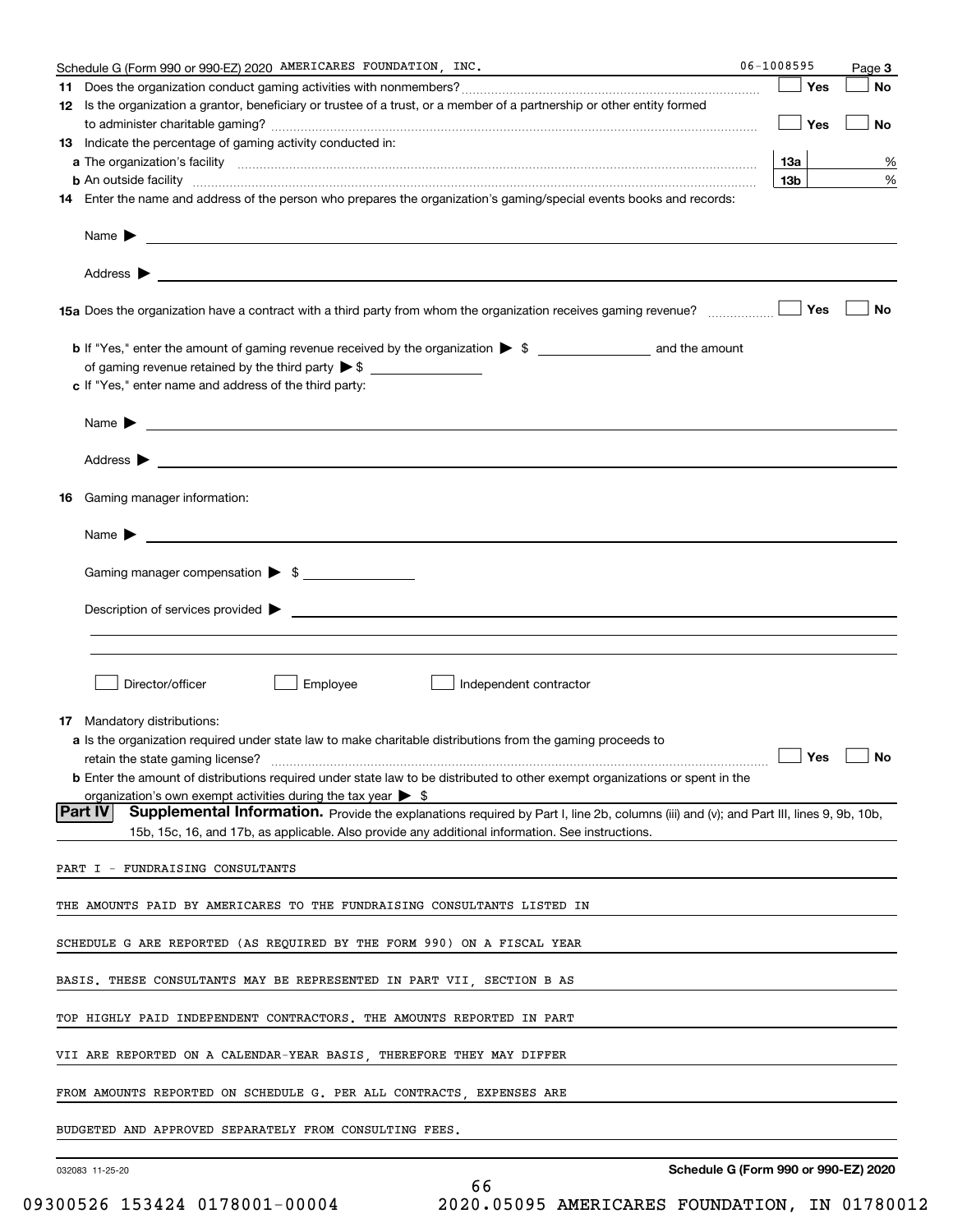|    | Schedule G (Form 990 or 990-EZ) 2020 AMERICARES FOUNDATION, INC.                                                                                                                                                                                             | 06-1008595                           | Page 3 |
|----|--------------------------------------------------------------------------------------------------------------------------------------------------------------------------------------------------------------------------------------------------------------|--------------------------------------|--------|
|    |                                                                                                                                                                                                                                                              | Yes                                  | No     |
|    | 12 Is the organization a grantor, beneficiary or trustee of a trust, or a member of a partnership or other entity formed                                                                                                                                     | Yes                                  | No     |
|    | <b>13</b> Indicate the percentage of gaming activity conducted in:                                                                                                                                                                                           |                                      |        |
|    |                                                                                                                                                                                                                                                              | <b>13a</b>                           | %      |
|    | <b>b</b> An outside facility <i>www.communically.communically.communically.communically.communically.communically.communically.communically.communically.communically.communically.communically.communically.communically.communicall</i>                    | 13 <sub>b</sub>                      | %      |
|    | 14 Enter the name and address of the person who prepares the organization's gaming/special events books and records:                                                                                                                                         |                                      |        |
|    |                                                                                                                                                                                                                                                              |                                      |        |
|    |                                                                                                                                                                                                                                                              |                                      |        |
|    |                                                                                                                                                                                                                                                              | Yes                                  | No     |
|    |                                                                                                                                                                                                                                                              |                                      |        |
|    | c If "Yes," enter name and address of the third party:                                                                                                                                                                                                       |                                      |        |
|    | $Name \rightarrow$                                                                                                                                                                                                                                           |                                      |        |
|    |                                                                                                                                                                                                                                                              |                                      |        |
| 16 | Gaming manager information:                                                                                                                                                                                                                                  |                                      |        |
|    | $Name \rightarrow$                                                                                                                                                                                                                                           |                                      |        |
|    | Gaming manager compensation > \$                                                                                                                                                                                                                             |                                      |        |
|    | Description of services provided >                                                                                                                                                                                                                           |                                      |        |
|    |                                                                                                                                                                                                                                                              |                                      |        |
|    | Director/officer<br>Employee<br>Independent contractor                                                                                                                                                                                                       |                                      |        |
|    | <b>17</b> Mandatory distributions:                                                                                                                                                                                                                           |                                      |        |
|    | a Is the organization required under state law to make charitable distributions from the gaming proceeds to                                                                                                                                                  |                                      |        |
|    |                                                                                                                                                                                                                                                              | $\Box$ Yes $\Box$ No                 |        |
|    | <b>b</b> Enter the amount of distributions required under state law to be distributed to other exempt organizations or spent in the<br>organization's own exempt activities during the tax year $\triangleright$ \$                                          |                                      |        |
|    | <b>Part IV</b><br>Supplemental Information. Provide the explanations required by Part I, line 2b, columns (iii) and (v); and Part III, lines 9, 9b, 10b,<br>15b, 15c, 16, and 17b, as applicable. Also provide any additional information. See instructions. |                                      |        |
|    | PART I - FUNDRAISING CONSULTANTS                                                                                                                                                                                                                             |                                      |        |
|    | THE AMOUNTS PAID BY AMERICARES TO THE FUNDRAISING CONSULTANTS LISTED IN                                                                                                                                                                                      |                                      |        |
|    | SCHEDULE G ARE REPORTED (AS REQUIRED BY THE FORM 990) ON A FISCAL YEAR                                                                                                                                                                                       |                                      |        |
|    | BASIS. THESE CONSULTANTS MAY BE REPRESENTED IN PART VII, SECTION B AS                                                                                                                                                                                        |                                      |        |
|    | TOP HIGHLY PAID INDEPENDENT CONTRACTORS. THE AMOUNTS REPORTED IN PART                                                                                                                                                                                        |                                      |        |
|    | VII ARE REPORTED ON A CALENDAR-YEAR BASIS, THEREFORE THEY MAY DIFFER                                                                                                                                                                                         |                                      |        |
|    | FROM AMOUNTS REPORTED ON SCHEDULE G. PER ALL CONTRACTS, EXPENSES ARE                                                                                                                                                                                         |                                      |        |
|    | BUDGETED AND APPROVED SEPARATELY FROM CONSULTING FEES.                                                                                                                                                                                                       |                                      |        |
|    | 032083 11-25-20                                                                                                                                                                                                                                              | Schedule G (Form 990 or 990-EZ) 2020 |        |
|    |                                                                                                                                                                                                                                                              |                                      |        |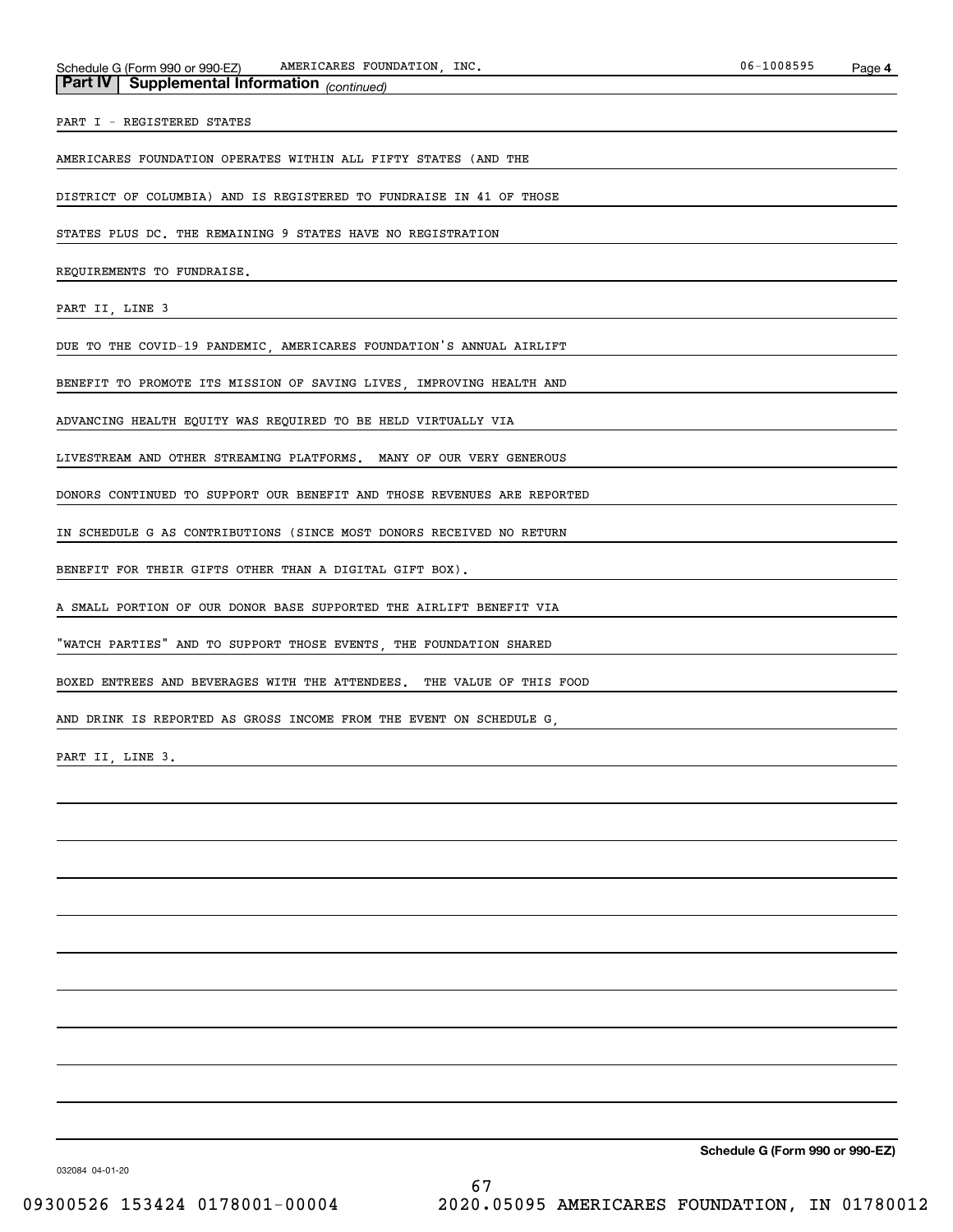## *(continued)* **Part IV Supplemental Information**

PART I - REGISTERED STATES

AMERICARES FOUNDATION OPERATES WITHIN ALL FIFTY STATES (AND THE

DISTRICT OF COLUMBIA) AND IS REGISTERED TO FUNDRAISE IN 41 OF THOSE

STATES PLUS DC. THE REMAINING 9 STATES HAVE NO REGISTRATION

REQUIREMENTS TO FUNDRAISE.

PART II, LINE 3

DUE TO THE COVID-19 PANDEMIC, AMERICARES FOUNDATION'S ANNUAL AIRLIFT

BENEFIT TO PROMOTE ITS MISSION OF SAVING LIVES, IMPROVING HEALTH AND

ADVANCING HEALTH EQUITY WAS REQUIRED TO BE HELD VIRTUALLY VIA

LIVESTREAM AND OTHER STREAMING PLATFORMS. MANY OF OUR VERY GENEROUS

DONORS CONTINUED TO SUPPORT OUR BENEFIT AND THOSE REVENUES ARE REPORTED

IN SCHEDULE G AS CONTRIBUTIONS (SINCE MOST DONORS RECEIVED NO RETURN

BENEFIT FOR THEIR GIFTS OTHER THAN A DIGITAL GIFT BOX).

A SMALL PORTION OF OUR DONOR BASE SUPPORTED THE AIRLIFT BENEFIT VIA

"WATCH PARTIES" AND TO SUPPORT THOSE EVENTS, THE FOUNDATION SHARED

BOXED ENTREES AND BEVERAGES WITH THE ATTENDEES. THE VALUE OF THIS FOOD

AND DRINK IS REPORTED AS GROSS INCOME FROM THE EVENT ON SCHEDULE G,

PART II, LINE 3.

**Schedule G (Form 990 or 990-EZ)**

032084 04-01-20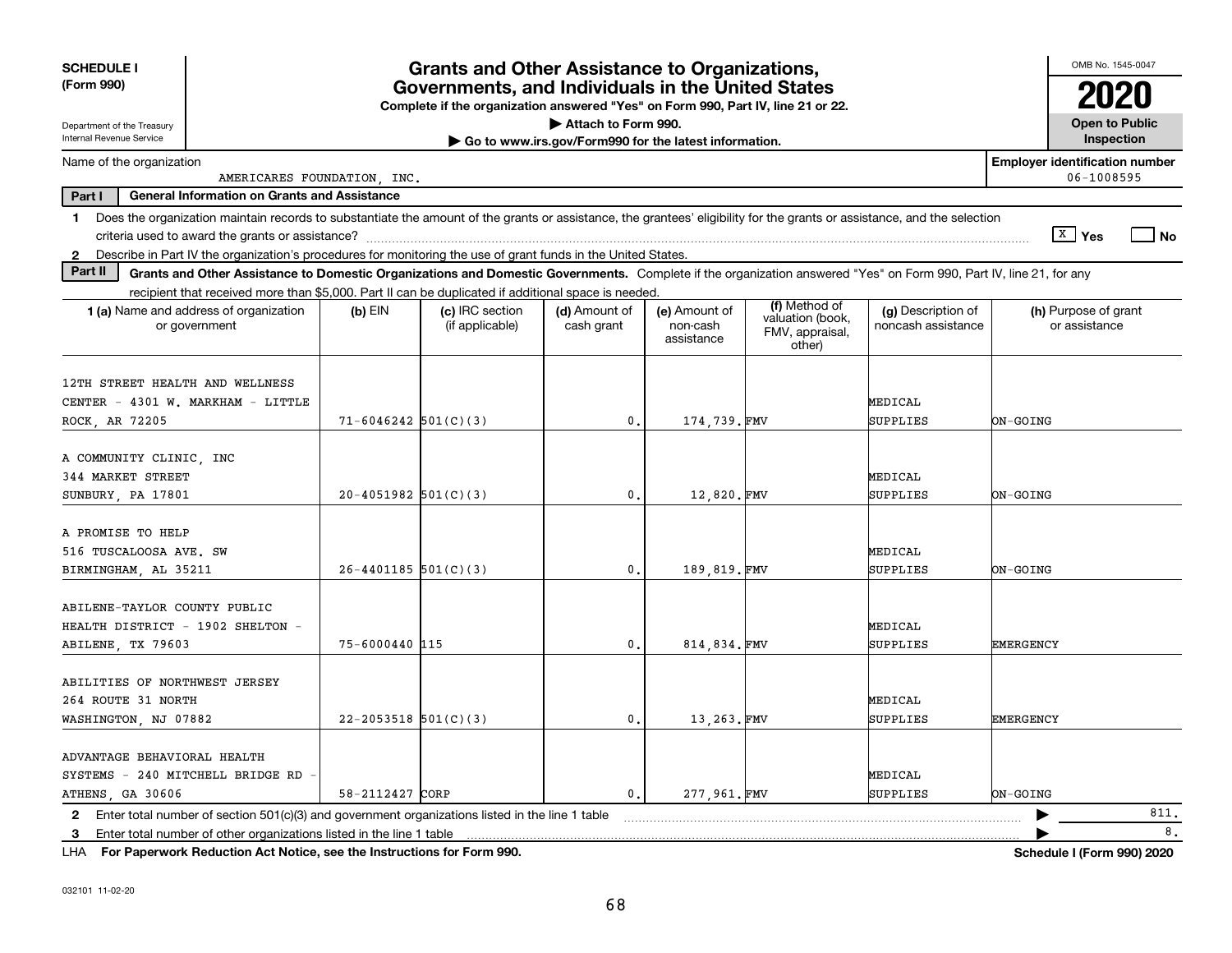| <b>SCHEDULE I</b><br>(Form 990)                                                                                                                                                                                                                                                                                                                                                                                                                                                    |                             | <b>Grants and Other Assistance to Organizations,</b><br>Governments, and Individuals in the United States<br>Complete if the organization answered "Yes" on Form 990, Part IV, line 21 or 22. |                                                                              |                                         |                                                                |                                          | OMB No. 1545-0047                                       |
|------------------------------------------------------------------------------------------------------------------------------------------------------------------------------------------------------------------------------------------------------------------------------------------------------------------------------------------------------------------------------------------------------------------------------------------------------------------------------------|-----------------------------|-----------------------------------------------------------------------------------------------------------------------------------------------------------------------------------------------|------------------------------------------------------------------------------|-----------------------------------------|----------------------------------------------------------------|------------------------------------------|---------------------------------------------------------|
| Department of the Treasury<br>Internal Revenue Service                                                                                                                                                                                                                                                                                                                                                                                                                             |                             |                                                                                                                                                                                               | Attach to Form 990.<br>Go to www.irs.gov/Form990 for the latest information. |                                         |                                                                |                                          | <b>Open to Public</b><br>Inspection                     |
| Name of the organization                                                                                                                                                                                                                                                                                                                                                                                                                                                           | AMERICARES FOUNDATION, INC. |                                                                                                                                                                                               |                                                                              |                                         |                                                                |                                          | <b>Employer identification number</b><br>$06 - 1008595$ |
| Part I<br><b>General Information on Grants and Assistance</b>                                                                                                                                                                                                                                                                                                                                                                                                                      |                             |                                                                                                                                                                                               |                                                                              |                                         |                                                                |                                          |                                                         |
| Does the organization maintain records to substantiate the amount of the grants or assistance, the grantees' eligibility for the grants or assistance, and the selection<br>1.<br>2 Describe in Part IV the organization's procedures for monitoring the use of grant funds in the United States.<br>Part II<br>Grants and Other Assistance to Domestic Organizations and Domestic Governments. Complete if the organization answered "Yes" on Form 990, Part IV, line 21, for any |                             |                                                                                                                                                                                               |                                                                              |                                         |                                                                |                                          | $\sqrt{X}$ Yes<br>l No                                  |
| recipient that received more than \$5,000. Part II can be duplicated if additional space is needed.                                                                                                                                                                                                                                                                                                                                                                                |                             |                                                                                                                                                                                               |                                                                              |                                         |                                                                |                                          |                                                         |
| 1 (a) Name and address of organization<br>or government                                                                                                                                                                                                                                                                                                                                                                                                                            | $(b)$ EIN                   | (c) IRC section<br>(if applicable)                                                                                                                                                            | (d) Amount of<br>cash grant                                                  | (e) Amount of<br>non-cash<br>assistance | (f) Method of<br>valuation (book,<br>FMV, appraisal,<br>other) | (g) Description of<br>noncash assistance | (h) Purpose of grant<br>or assistance                   |
| 12TH STREET HEALTH AND WELLNESS<br>CENTER - 4301 W. MARKHAM - LITTLE<br>ROCK, AR 72205                                                                                                                                                                                                                                                                                                                                                                                             | $71-6046242$ 501(C)(3)      |                                                                                                                                                                                               | 0.                                                                           | 174.739.FMV                             |                                                                | MEDICAL<br>SUPPLIES                      | <b>ON-GOING</b>                                         |
| A COMMUNITY CLINIC, INC<br>344 MARKET STREET<br>SUNBURY PA 17801                                                                                                                                                                                                                                                                                                                                                                                                                   | $20-4051982$ 501(C)(3)      |                                                                                                                                                                                               | 0.                                                                           | 12.820.FMV                              |                                                                | MEDICAL<br>SUPPLIES                      | <b>ON-GOING</b>                                         |
| A PROMISE TO HELP<br>516 TUSCALOOSA AVE. SW<br>BIRMINGHAM, AL 35211                                                                                                                                                                                                                                                                                                                                                                                                                | $26 - 4401185$ 501(C)(3)    |                                                                                                                                                                                               | $\mathbf{0}$ .                                                               | 189,819.FMV                             |                                                                | MEDICAL<br>SUPPLIES                      | <b>ON-GOING</b>                                         |
| ABILENE-TAYLOR COUNTY PUBLIC<br>HEALTH DISTRICT - 1902 SHELTON -<br>ABILENE, TX 79603                                                                                                                                                                                                                                                                                                                                                                                              | 75-6000440 115              |                                                                                                                                                                                               | 0.                                                                           | 814,834.FMV                             |                                                                | MEDICAL<br>SUPPLIES                      | <b>EMERGENCY</b>                                        |
| ABILITIES OF NORTHWEST JERSEY<br>264 ROUTE 31 NORTH<br>WASHINGTON, NJ 07882                                                                                                                                                                                                                                                                                                                                                                                                        | $22 - 2053518$ 501(C)(3)    |                                                                                                                                                                                               | 0.                                                                           | 13,263.FMV                              |                                                                | MEDICAL<br>SUPPLIES                      | <b>EMERGENCY</b>                                        |
| ADVANTAGE BEHAVIORAL HEALTH<br>SYSTEMS - 240 MITCHELL BRIDGE RD<br>ATHENS, GA 30606                                                                                                                                                                                                                                                                                                                                                                                                | 58-2112427 CORP             |                                                                                                                                                                                               | $\mathbf{0}$ .                                                               | 277.961.FMV                             |                                                                | MEDICAL<br><b>SUPPLIES</b>               | <b>DN-GOING</b>                                         |
| Enter total number of section 501(c)(3) and government organizations listed in the line 1 table<br>$\mathbf{2}$                                                                                                                                                                                                                                                                                                                                                                    |                             |                                                                                                                                                                                               |                                                                              |                                         |                                                                |                                          | 811.                                                    |
| Enter total number of other organizations listed in the line 1 table<br>3                                                                                                                                                                                                                                                                                                                                                                                                          |                             |                                                                                                                                                                                               |                                                                              |                                         |                                                                |                                          | 8.                                                      |

**For Paperwork Reduction Act Notice, see the Instructions for Form 990. Schedule I (Form 990) 2020** LHA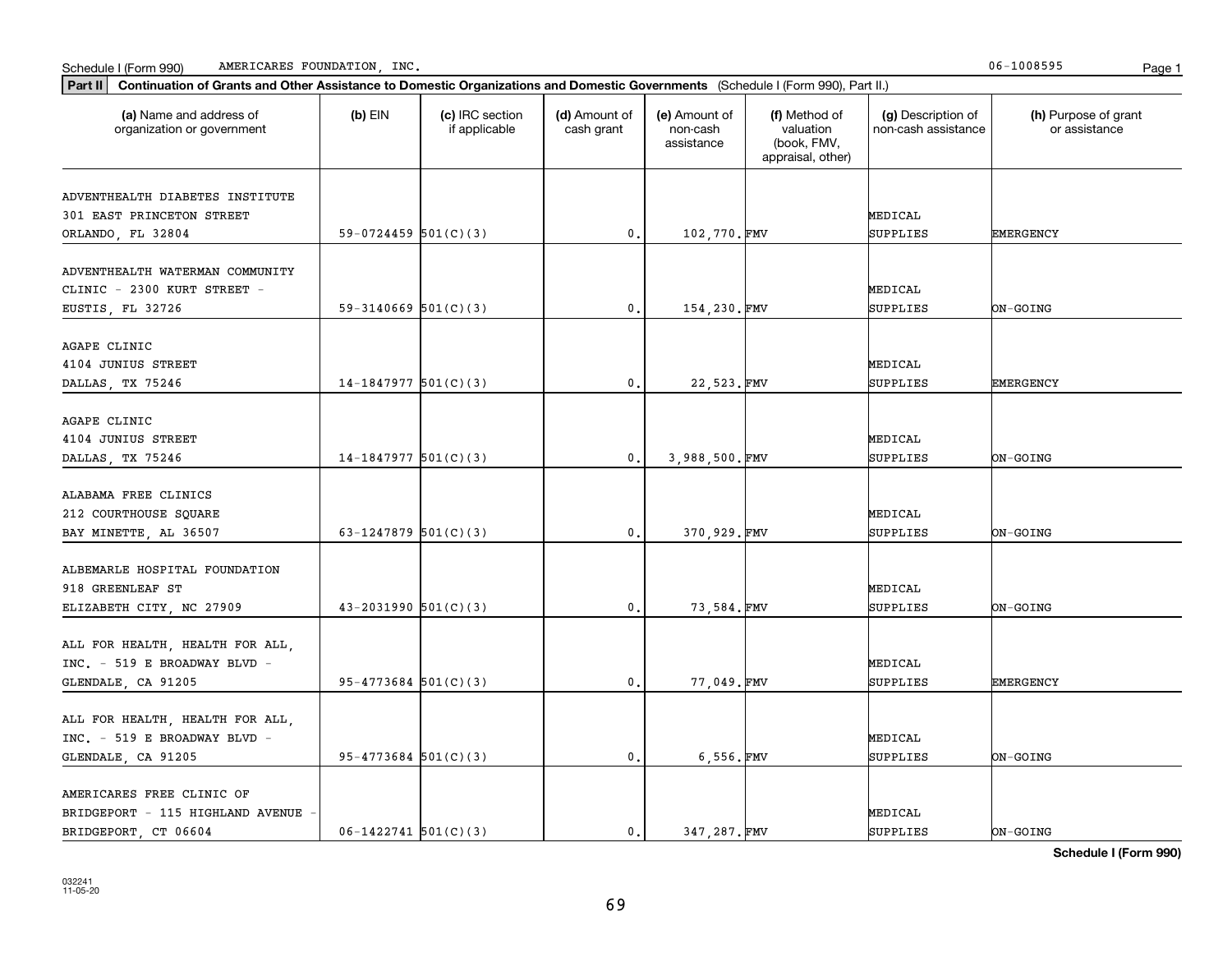| (a) Name and address of<br>organization or government           | $(b)$ EIN                  | (c) IRC section<br>if applicable | (d) Amount of<br>cash grant | (e) Amount of<br>non-cash<br>assistance | (f) Method of<br>valuation<br>(book, FMV,<br>appraisal, other) | (g) Description of<br>non-cash assistance | (h) Purpose of grant<br>or assistance |
|-----------------------------------------------------------------|----------------------------|----------------------------------|-----------------------------|-----------------------------------------|----------------------------------------------------------------|-------------------------------------------|---------------------------------------|
|                                                                 |                            |                                  |                             |                                         |                                                                |                                           |                                       |
| ADVENTHEALTH DIABETES INSTITUTE                                 |                            |                                  |                             |                                         |                                                                |                                           |                                       |
| 301 EAST PRINCETON STREET                                       |                            |                                  |                             |                                         |                                                                | MEDICAL                                   |                                       |
| ORLANDO, FL 32804                                               | 59-0724459 $501(C)(3)$     |                                  | $\mathbf{0}$ .              | 102,770.FMV                             |                                                                | <b>SUPPLIES</b>                           | <b>EMERGENCY</b>                      |
| ADVENTHEALTH WATERMAN COMMUNITY                                 |                            |                                  |                             |                                         |                                                                |                                           |                                       |
| CLINIC - 2300 KURT STREET -                                     |                            |                                  |                             |                                         |                                                                | MEDICAL                                   |                                       |
| EUSTIS, FL 32726                                                | $59-3140669$ $501(C)(3)$   |                                  | $\mathbf{0}$ .              | 154,230.FMV                             |                                                                | <b>SUPPLIES</b>                           | <b>DN-GOING</b>                       |
|                                                                 |                            |                                  |                             |                                         |                                                                |                                           |                                       |
| AGAPE CLINIC                                                    |                            |                                  |                             |                                         |                                                                |                                           |                                       |
| 4104 JUNIUS STREET                                              |                            |                                  |                             |                                         |                                                                | MEDICAL                                   |                                       |
| DALLAS, TX 75246                                                | $14-1847977$ 501(C)(3)     |                                  | $\mathbf{0}$ .              | 22,523.FMV                              |                                                                | SUPPLIES                                  | EMERGENCY                             |
|                                                                 |                            |                                  |                             |                                         |                                                                |                                           |                                       |
| AGAPE CLINIC                                                    |                            |                                  |                             |                                         |                                                                |                                           |                                       |
| 4104 JUNIUS STREET                                              |                            |                                  | $\mathbf{0}$ .              |                                         |                                                                | MEDICAL                                   |                                       |
| DALLAS, TX 75246                                                | $14-1847977$ 501(C)(3)     |                                  |                             | 3,988,500.FMV                           |                                                                | <b>SUPPLIES</b>                           | <b>DN-GOING</b>                       |
| ALABAMA FREE CLINICS                                            |                            |                                  |                             |                                         |                                                                |                                           |                                       |
| 212 COURTHOUSE SQUARE                                           |                            |                                  |                             |                                         |                                                                | MEDICAL                                   |                                       |
| BAY MINETTE, AL 36507                                           | 63-1247879 $501(C)(3)$     |                                  | $\mathbf{0}$ .              | 370,929.FMV                             |                                                                | <b>SUPPLIES</b>                           | <b>DN-GOING</b>                       |
|                                                                 |                            |                                  |                             |                                         |                                                                |                                           |                                       |
| ALBEMARLE HOSPITAL FOUNDATION                                   |                            |                                  |                             |                                         |                                                                |                                           |                                       |
| 918 GREENLEAF ST                                                |                            |                                  |                             |                                         |                                                                | MEDICAL                                   |                                       |
| ELIZABETH CITY, NC 27909                                        | $43 - 2031990$ $501(C)(3)$ |                                  | $\mathbf{0}$ .              | 73,584.FMV                              |                                                                | SUPPLIES                                  | <b>DN-GOING</b>                       |
|                                                                 |                            |                                  |                             |                                         |                                                                |                                           |                                       |
| ALL FOR HEALTH, HEALTH FOR ALL,<br>INC. - 519 E BROADWAY BLVD - |                            |                                  |                             |                                         |                                                                | MEDICAL                                   |                                       |
|                                                                 | $95 - 4773684$ 501(C)(3)   |                                  | $\mathbf{0}$ .              |                                         |                                                                | SUPPLIES                                  | <b>EMERGENCY</b>                      |
| GLENDALE, CA 91205                                              |                            |                                  |                             | 77,049.FMV                              |                                                                |                                           |                                       |
| ALL FOR HEALTH, HEALTH FOR ALL,                                 |                            |                                  |                             |                                         |                                                                |                                           |                                       |
| INC. - 519 E BROADWAY BLVD -                                    |                            |                                  |                             |                                         |                                                                | MEDICAL                                   |                                       |
| GLENDALE, CA 91205                                              | $95 - 4773684$ 501(C)(3)   |                                  | $\mathbf{0}$ .              | 6,556.FMV                               |                                                                | SUPPLIES                                  | <b>DN-GOING</b>                       |
|                                                                 |                            |                                  |                             |                                         |                                                                |                                           |                                       |
| AMERICARES FREE CLINIC OF                                       |                            |                                  |                             |                                         |                                                                |                                           |                                       |
| BRIDGEPORT - 115 HIGHLAND AVENUE                                |                            |                                  |                             |                                         |                                                                | MEDICAL                                   |                                       |
| BRIDGEPORT CT 06604                                             | $06-1422741$ 501(C)(3)     |                                  | $\mathbf{0}$ .              | 347.287. FMV                            |                                                                | <b>SUPPLIES</b>                           | <b>DN-GOING</b>                       |

**Schedule I (Form 990)**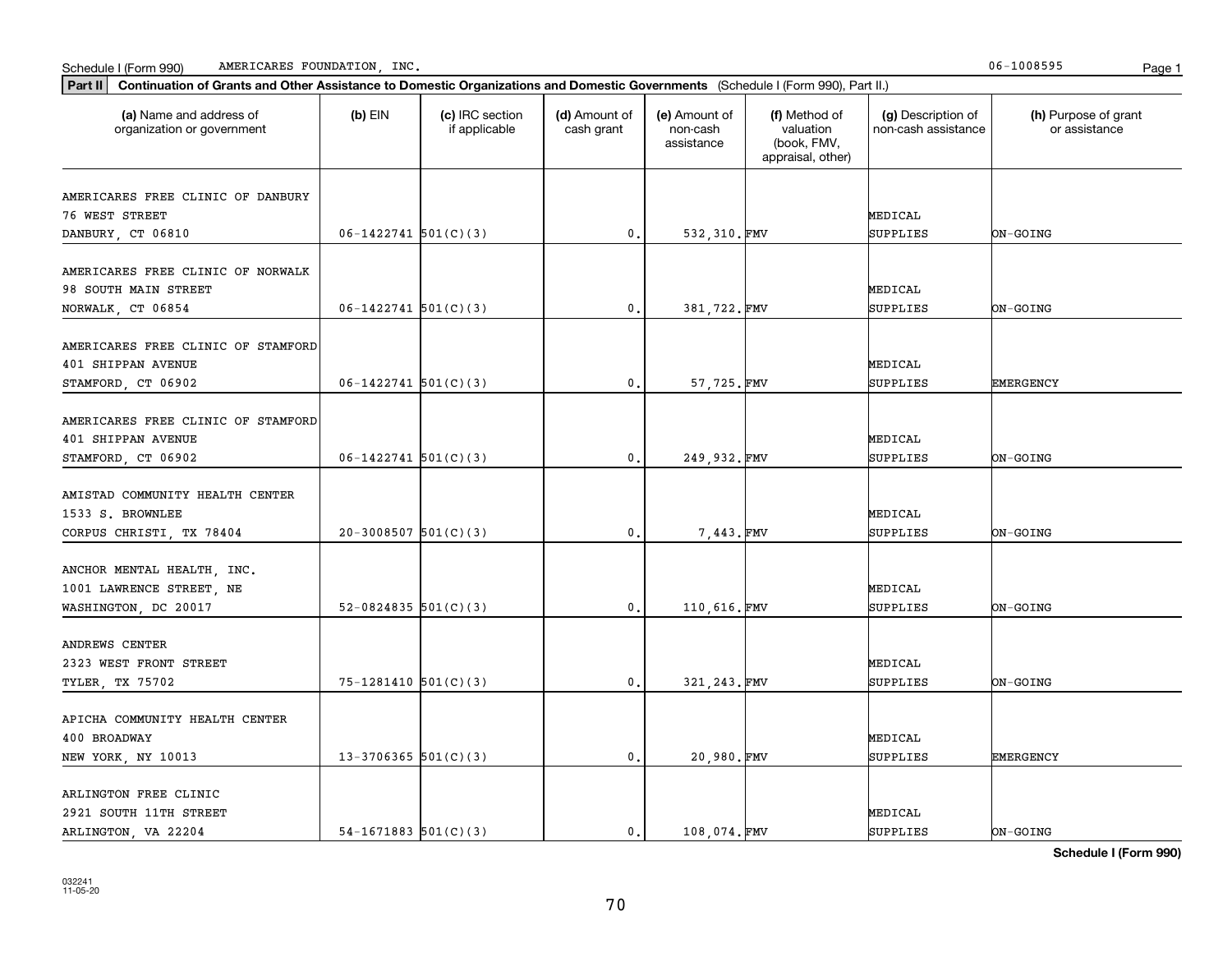| Schedule I (Form 990) |  | FOUNDATION<br>AMERICARES | INC. |  | Page |  |
|-----------------------|--|--------------------------|------|--|------|--|
|-----------------------|--|--------------------------|------|--|------|--|

| (a) Name and address of<br>organization or government | $(b)$ EIN                | (c) IRC section<br>if applicable | (d) Amount of<br>cash grant | (e) Amount of<br>non-cash<br>assistance | (f) Method of<br>valuation<br>(book, FMV,<br>appraisal, other) | (g) Description of<br>non-cash assistance | (h) Purpose of grant<br>or assistance |
|-------------------------------------------------------|--------------------------|----------------------------------|-----------------------------|-----------------------------------------|----------------------------------------------------------------|-------------------------------------------|---------------------------------------|
| AMERICARES FREE CLINIC OF DANBURY                     |                          |                                  |                             |                                         |                                                                |                                           |                                       |
| 76 WEST STREET                                        |                          |                                  |                             |                                         |                                                                | MEDICAL                                   |                                       |
| DANBURY, CT 06810                                     | $06-1422741$ 501(C)(3)   |                                  | $\mathbf{0}$ .              | 532,310. FMV                            |                                                                | SUPPLIES                                  | <b>DN-GOING</b>                       |
| AMERICARES FREE CLINIC OF NORWALK                     |                          |                                  |                             |                                         |                                                                |                                           |                                       |
| 98 SOUTH MAIN STREET                                  |                          |                                  |                             |                                         |                                                                | MEDICAL                                   |                                       |
| NORWALK, CT 06854                                     | $06-1422741$ 501(C)(3)   |                                  | 0.                          | 381,722.FMV                             |                                                                | SUPPLIES                                  | <b>DN-GOING</b>                       |
|                                                       |                          |                                  |                             |                                         |                                                                |                                           |                                       |
| AMERICARES FREE CLINIC OF STAMFORD                    |                          |                                  |                             |                                         |                                                                |                                           |                                       |
| 401 SHIPPAN AVENUE                                    |                          |                                  |                             |                                         |                                                                | MEDICAL                                   |                                       |
| STAMFORD, CT 06902                                    | $06 - 1422741$ 501(C)(3) |                                  | $\mathsf{0}\,$ .            | 57,725.FMV                              |                                                                | SUPPLIES                                  | <b>EMERGENCY</b>                      |
| AMERICARES FREE CLINIC OF STAMFORD                    |                          |                                  |                             |                                         |                                                                |                                           |                                       |
| 401 SHIPPAN AVENUE                                    |                          |                                  |                             |                                         |                                                                | MEDICAL                                   |                                       |
| STAMFORD, CT 06902                                    | $06-1422741$ 501(C)(3)   |                                  | 0.                          | 249,932.FMV                             |                                                                | SUPPLIES                                  | <b>DN-GOING</b>                       |
|                                                       |                          |                                  |                             |                                         |                                                                |                                           |                                       |
| AMISTAD COMMUNITY HEALTH CENTER                       |                          |                                  |                             |                                         |                                                                |                                           |                                       |
| 1533 S. BROWNLEE                                      |                          |                                  |                             |                                         |                                                                | MEDICAL                                   |                                       |
| CORPUS CHRISTI, TX 78404                              | $20-3008507$ 501(C)(3)   |                                  | $\mathbf{0}$ .              | 7,443. FMV                              |                                                                | SUPPLIES                                  | <b>DN-GOING</b>                       |
|                                                       |                          |                                  |                             |                                         |                                                                |                                           |                                       |
| ANCHOR MENTAL HEALTH, INC.                            |                          |                                  |                             |                                         |                                                                |                                           |                                       |
| 1001 LAWRENCE STREET, NE                              |                          |                                  |                             |                                         |                                                                | MEDICAL                                   |                                       |
| WASHINGTON, DC 20017                                  | $52-0824835$ $501(C)(3)$ |                                  | 0.                          | 110,616.FMV                             |                                                                | SUPPLIES                                  | <b>DN-GOING</b>                       |
| ANDREWS CENTER                                        |                          |                                  |                             |                                         |                                                                |                                           |                                       |
| 2323 WEST FRONT STREET                                |                          |                                  |                             |                                         |                                                                | MEDICAL                                   |                                       |
| <b>TYLER, TX 75702</b>                                | $75 - 1281410$ 501(C)(3) |                                  | $\mathbf{0}$ .              | 321, 243. FMV                           |                                                                | SUPPLIES                                  | <b>DN-GOING</b>                       |
|                                                       |                          |                                  |                             |                                         |                                                                |                                           |                                       |
| APICHA COMMUNITY HEALTH CENTER                        |                          |                                  |                             |                                         |                                                                |                                           |                                       |
| 400 BROADWAY                                          |                          |                                  |                             |                                         |                                                                | MEDICAL                                   |                                       |
| NEW YORK, NY 10013                                    | $13-3706365$ 501(C)(3)   |                                  | $\mathsf{0}\,$ .            | 20,980.FMV                              |                                                                | SUPPLIES                                  | EMERGENCY                             |
|                                                       |                          |                                  |                             |                                         |                                                                |                                           |                                       |
| ARLINGTON FREE CLINIC                                 |                          |                                  |                             |                                         |                                                                |                                           |                                       |
| 2921 SOUTH 11TH STREET                                |                          |                                  |                             |                                         |                                                                | MEDICAL                                   |                                       |
| ARLINGTON, VA 22204                                   | $54-1671883$ $501(C)(3)$ |                                  | 0.                          | 108.074.FMV                             |                                                                | <b>SUPPLIES</b>                           | <b>DN-GOING</b>                       |

**Schedule I (Form 990)**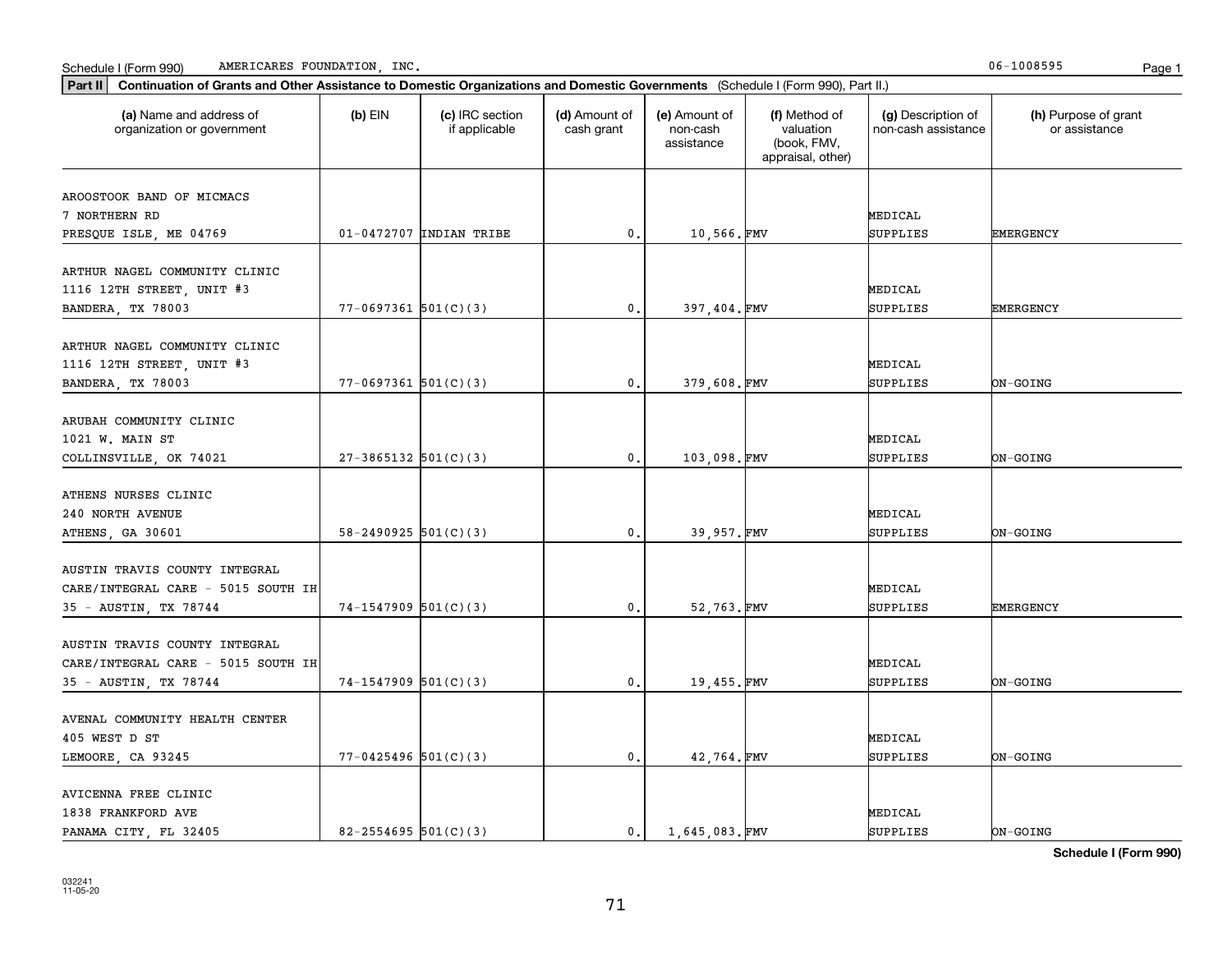| Schedule I (Form 990) |  | FOUNDATION<br>AMERICARES | INC. |  | Page |  |
|-----------------------|--|--------------------------|------|--|------|--|
|-----------------------|--|--------------------------|------|--|------|--|

| Continuation of Grants and Other Assistance to Domestic Organizations and Domestic Governments (Schedule I (Form 990), Part II.)<br>Part II |                            |                                  |                             |                                         |                                                                |                                           |                                       |
|---------------------------------------------------------------------------------------------------------------------------------------------|----------------------------|----------------------------------|-----------------------------|-----------------------------------------|----------------------------------------------------------------|-------------------------------------------|---------------------------------------|
| (a) Name and address of<br>organization or government                                                                                       | $(b)$ EIN                  | (c) IRC section<br>if applicable | (d) Amount of<br>cash grant | (e) Amount of<br>non-cash<br>assistance | (f) Method of<br>valuation<br>(book, FMV,<br>appraisal, other) | (g) Description of<br>non-cash assistance | (h) Purpose of grant<br>or assistance |
| AROOSTOOK BAND OF MICMACS                                                                                                                   |                            |                                  |                             |                                         |                                                                |                                           |                                       |
| 7 NORTHERN RD<br>PRESQUE ISLE, ME 04769                                                                                                     |                            | 01-0472707 INDIAN TRIBE          | 0.                          | 10,566.FMV                              |                                                                | MEDICAL<br>SUPPLIES                       | <b>EMERGENCY</b>                      |
|                                                                                                                                             |                            |                                  |                             |                                         |                                                                |                                           |                                       |
| ARTHUR NAGEL COMMUNITY CLINIC<br>1116 12TH STREET, UNIT #3                                                                                  |                            |                                  |                             |                                         |                                                                | MEDICAL                                   |                                       |
| BANDERA, TX 78003                                                                                                                           | $77 - 0697361$ 501(C)(3)   |                                  | $\mathbf{0}$ .              | 397,404. FMV                            |                                                                | SUPPLIES                                  | <b>EMERGENCY</b>                      |
|                                                                                                                                             |                            |                                  |                             |                                         |                                                                |                                           |                                       |
| ARTHUR NAGEL COMMUNITY CLINIC<br>1116 12TH STREET, UNIT #3                                                                                  |                            |                                  |                             |                                         |                                                                | MEDICAL                                   |                                       |
| BANDERA, TX 78003                                                                                                                           | $77 - 0697361$ 501(C)(3)   |                                  | 0.                          | 379,608.FMV                             |                                                                | SUPPLIES                                  | <b>DN-GOING</b>                       |
| ARUBAH COMMUNITY CLINIC                                                                                                                     |                            |                                  |                             |                                         |                                                                |                                           |                                       |
| 1021 W. MAIN ST                                                                                                                             |                            |                                  |                             |                                         |                                                                | MEDICAL                                   |                                       |
| COLLINSVILLE, OK 74021                                                                                                                      | $27-3865132$ 501(C)(3)     |                                  | 0.                          | 103,098.FMV                             |                                                                | SUPPLIES                                  | <b>DN-GOING</b>                       |
| ATHENS NURSES CLINIC                                                                                                                        |                            |                                  |                             |                                         |                                                                |                                           |                                       |
| 240 NORTH AVENUE                                                                                                                            |                            |                                  |                             |                                         |                                                                | MEDICAL                                   |                                       |
| ATHENS, GA 30601                                                                                                                            | $58 - 2490925$ $501(C)(3)$ |                                  | 0.                          | 39,957.FMV                              |                                                                | SUPPLIES                                  | <b>DN-GOING</b>                       |
| AUSTIN TRAVIS COUNTY INTEGRAL                                                                                                               |                            |                                  |                             |                                         |                                                                |                                           |                                       |
| CARE/INTEGRAL CARE - 5015 SOUTH IH                                                                                                          |                            |                                  |                             |                                         |                                                                | MEDICAL                                   |                                       |
| 35 - AUSTIN, TX 78744                                                                                                                       | $74-1547909$ $501(C)(3)$   |                                  | $\mathbf{0}$                | 52,763.FMV                              |                                                                | SUPPLIES                                  | <b>EMERGENCY</b>                      |
| AUSTIN TRAVIS COUNTY INTEGRAL                                                                                                               |                            |                                  |                             |                                         |                                                                |                                           |                                       |
| CARE/INTEGRAL CARE - 5015 SOUTH IH                                                                                                          |                            |                                  |                             |                                         |                                                                | MEDICAL                                   |                                       |
| 35 - AUSTIN, TX 78744                                                                                                                       | $74-1547909$ $501(C)(3)$   |                                  | 0.                          | 19,455.FMV                              |                                                                | SUPPLIES                                  | <b>DN-GOING</b>                       |
| AVENAL COMMUNITY HEALTH CENTER                                                                                                              |                            |                                  |                             |                                         |                                                                |                                           |                                       |
| 405 WEST D ST                                                                                                                               |                            |                                  |                             |                                         |                                                                | MEDICAL                                   |                                       |
| LEMOORE, CA 93245                                                                                                                           | $77 - 0425496$ 501(C)(3)   |                                  | $\mathbf{0}$ .              | 42,764.FMV                              |                                                                | SUPPLIES                                  | <b>ON-GOING</b>                       |
| AVICENNA FREE CLINIC                                                                                                                        |                            |                                  |                             |                                         |                                                                |                                           |                                       |
| 1838 FRANKFORD AVE                                                                                                                          |                            |                                  |                             |                                         |                                                                | MEDICAL                                   |                                       |
| PANAMA CITY, FL 32405                                                                                                                       | $82 - 2554695$ 501(C)(3)   |                                  | $\mathbf{0}$ .              | 1,645,083.FMV                           |                                                                | <b>SUPPLIES</b>                           | <b>DN-GOING</b>                       |

**Schedule I (Form 990)**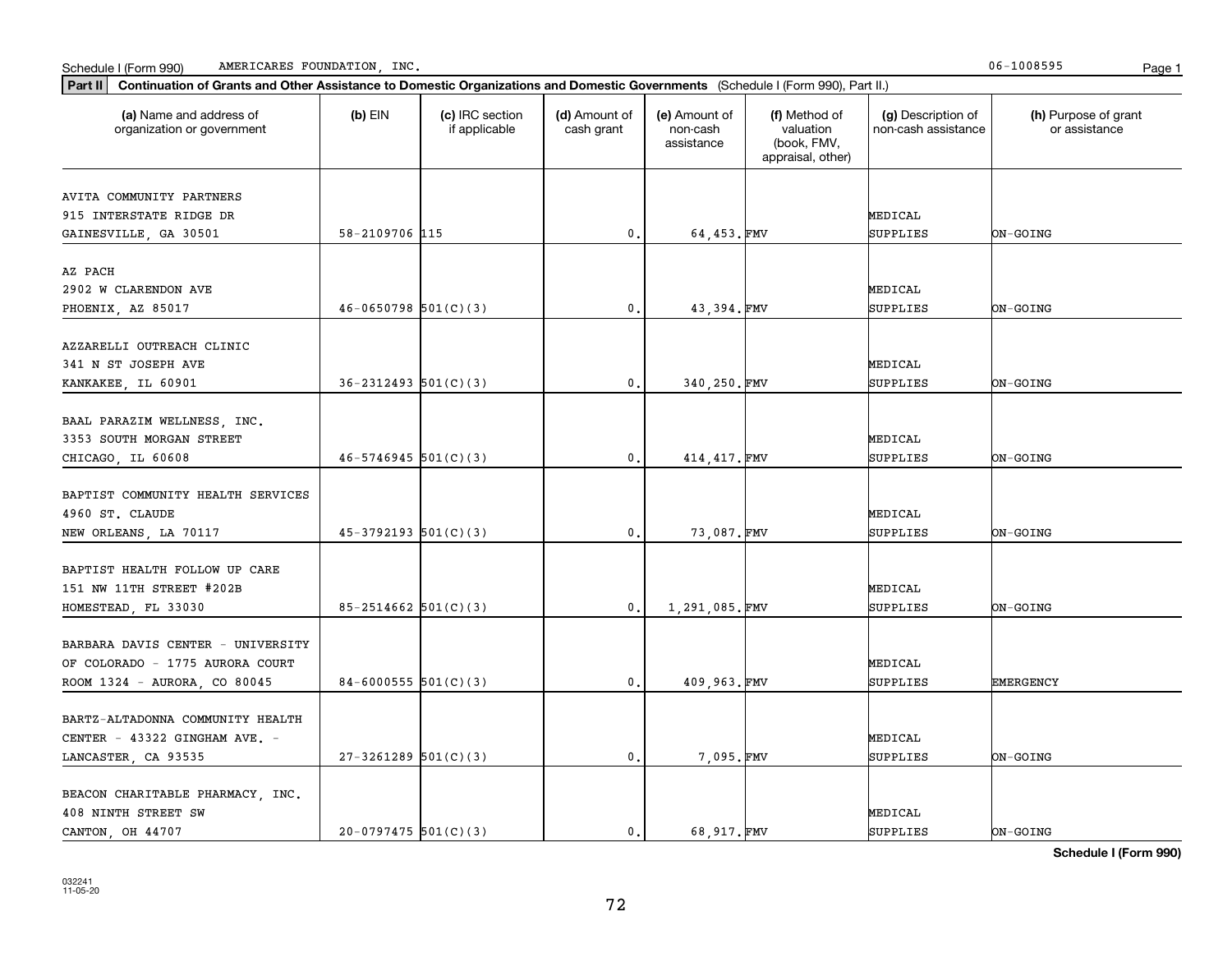Schedule I (Form 990) Page 1 AMERICARES FOUNDATION, INC. 06-1008595

| Part II   Continuation of Grants and Other Assistance to Domestic Organizations and Domestic Governments (Schedule I (Form 990), Part II.) |                            |                                  |                             |                                         |                                                                |                                           |                                       |
|--------------------------------------------------------------------------------------------------------------------------------------------|----------------------------|----------------------------------|-----------------------------|-----------------------------------------|----------------------------------------------------------------|-------------------------------------------|---------------------------------------|
| (a) Name and address of<br>organization or government                                                                                      | $(b)$ EIN                  | (c) IRC section<br>if applicable | (d) Amount of<br>cash grant | (e) Amount of<br>non-cash<br>assistance | (f) Method of<br>valuation<br>(book, FMV,<br>appraisal, other) | (g) Description of<br>non-cash assistance | (h) Purpose of grant<br>or assistance |
|                                                                                                                                            |                            |                                  |                             |                                         |                                                                |                                           |                                       |
| AVITA COMMUNITY PARTNERS<br>915 INTERSTATE RIDGE DR                                                                                        |                            |                                  |                             |                                         |                                                                | MEDICAL                                   |                                       |
| GAINESVILLE, GA 30501                                                                                                                      | 58-2109706 115             |                                  | 0.                          | 64,453.FMV                              |                                                                | SUPPLIES                                  | <b>DN-GOING</b>                       |
|                                                                                                                                            |                            |                                  |                             |                                         |                                                                |                                           |                                       |
| AZ PACH                                                                                                                                    |                            |                                  |                             |                                         |                                                                |                                           |                                       |
| 2902 W CLARENDON AVE                                                                                                                       |                            |                                  |                             |                                         |                                                                | MEDICAL                                   |                                       |
| PHOENIX, AZ 85017                                                                                                                          | $46-0650798$ 501(C)(3)     |                                  | 0.                          | 43,394. FMV                             |                                                                | SUPPLIES                                  | <b>DN-GOING</b>                       |
|                                                                                                                                            |                            |                                  |                             |                                         |                                                                |                                           |                                       |
| AZZARELLI OUTREACH CLINIC                                                                                                                  |                            |                                  |                             |                                         |                                                                |                                           |                                       |
| 341 N ST JOSEPH AVE                                                                                                                        |                            |                                  |                             |                                         |                                                                | MEDICAL                                   |                                       |
| KANKAKEE, IL 60901                                                                                                                         | $36 - 2312493$ $501(C)(3)$ |                                  | 0.                          | 340,250.FMV                             |                                                                | SUPPLIES                                  | <b>DN-GOING</b>                       |
|                                                                                                                                            |                            |                                  |                             |                                         |                                                                |                                           |                                       |
| BAAL PARAZIM WELLNESS, INC.                                                                                                                |                            |                                  |                             |                                         |                                                                |                                           |                                       |
| 3353 SOUTH MORGAN STREET                                                                                                                   |                            |                                  |                             |                                         |                                                                | MEDICAL                                   |                                       |
| CHICAGO, IL 60608                                                                                                                          | $46 - 5746945$ 501(C)(3)   |                                  | 0.                          | 414, 417. FMV                           |                                                                | SUPPLIES                                  | <b>DN-GOING</b>                       |
|                                                                                                                                            |                            |                                  |                             |                                         |                                                                |                                           |                                       |
| BAPTIST COMMUNITY HEALTH SERVICES                                                                                                          |                            |                                  |                             |                                         |                                                                |                                           |                                       |
| 4960 ST. CLAUDE                                                                                                                            |                            |                                  |                             |                                         |                                                                | MEDICAL                                   |                                       |
| NEW ORLEANS, LA 70117                                                                                                                      | $45-3792193$ 501(C)(3)     |                                  | 0.                          | 73,087.FMV                              |                                                                | SUPPLIES                                  | <b>DN-GOING</b>                       |
|                                                                                                                                            |                            |                                  |                             |                                         |                                                                |                                           |                                       |
| BAPTIST HEALTH FOLLOW UP CARE                                                                                                              |                            |                                  |                             |                                         |                                                                |                                           |                                       |
| 151 NW 11TH STREET #202B                                                                                                                   |                            |                                  |                             |                                         |                                                                | MEDICAL                                   |                                       |
| HOMESTEAD, FL 33030                                                                                                                        | 85-2514662 $501(C)(3)$     |                                  | 0.                          | 1,291,085.FMV                           |                                                                | SUPPLIES                                  | <b>DN-GOING</b>                       |
|                                                                                                                                            |                            |                                  |                             |                                         |                                                                |                                           |                                       |
| BARBARA DAVIS CENTER - UNIVERSITY                                                                                                          |                            |                                  |                             |                                         |                                                                |                                           |                                       |
| OF COLORADO - 1775 AURORA COURT                                                                                                            |                            |                                  |                             |                                         |                                                                | MEDICAL                                   |                                       |
| ROOM 1324 - AURORA, CO 80045                                                                                                               | $84 - 6000555$ 501(C)(3)   |                                  | 0.                          | 409,963.FMV                             |                                                                | SUPPLIES                                  | <b>EMERGENCY</b>                      |
|                                                                                                                                            |                            |                                  |                             |                                         |                                                                |                                           |                                       |
| BARTZ-ALTADONNA COMMUNITY HEALTH                                                                                                           |                            |                                  |                             |                                         |                                                                |                                           |                                       |
| CENTER - 43322 GINGHAM AVE. -                                                                                                              |                            |                                  |                             |                                         |                                                                | MEDICAL                                   |                                       |
| LANCASTER, CA 93535                                                                                                                        | $27-3261289$ 501(C)(3)     |                                  | 0.                          | 7,095.FMV                               |                                                                | SUPPLIES                                  | <b>DN-GOING</b>                       |
|                                                                                                                                            |                            |                                  |                             |                                         |                                                                |                                           |                                       |
| BEACON CHARITABLE PHARMACY, INC.                                                                                                           |                            |                                  |                             |                                         |                                                                |                                           |                                       |
| 408 NINTH STREET SW                                                                                                                        |                            |                                  |                             |                                         |                                                                | MEDICAL                                   |                                       |
| CANTON, OH 44707                                                                                                                           | $20-0797475$ 501(C)(3)     |                                  | 0.                          | 68.917.FMV                              |                                                                | <b>SUPPLIES</b>                           | <b>DN-GOING</b>                       |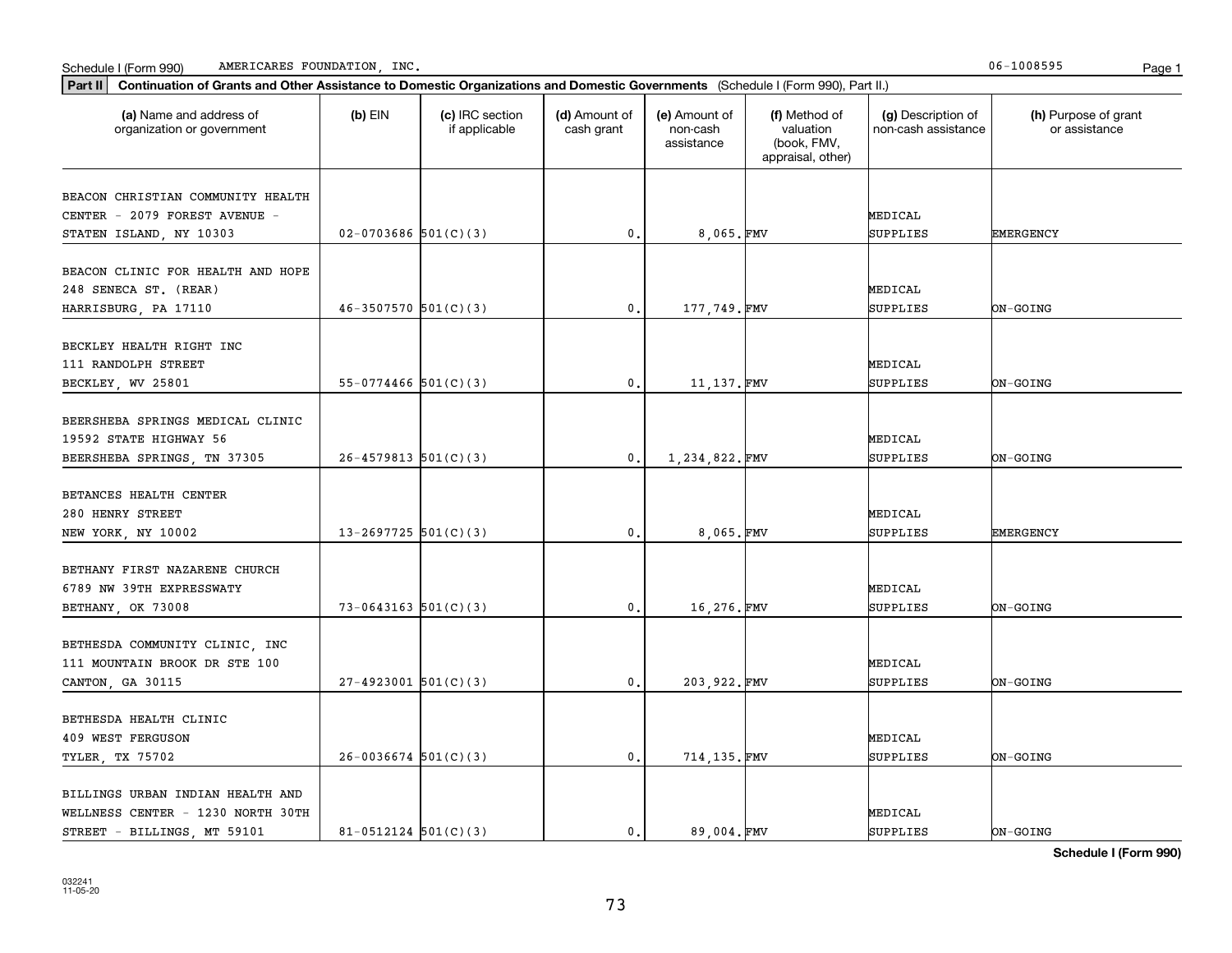| Part II   Continuation of Grants and Other Assistance to Domestic Organizations and Domestic Governments (Schedule I (Form 990), Part II.) |                            |                                  |                             |                                         |                                                                |                                           |                                       |
|--------------------------------------------------------------------------------------------------------------------------------------------|----------------------------|----------------------------------|-----------------------------|-----------------------------------------|----------------------------------------------------------------|-------------------------------------------|---------------------------------------|
| (a) Name and address of<br>organization or government                                                                                      | $(b)$ EIN                  | (c) IRC section<br>if applicable | (d) Amount of<br>cash grant | (e) Amount of<br>non-cash<br>assistance | (f) Method of<br>valuation<br>(book, FMV,<br>appraisal, other) | (g) Description of<br>non-cash assistance | (h) Purpose of grant<br>or assistance |
|                                                                                                                                            |                            |                                  |                             |                                         |                                                                |                                           |                                       |
| BEACON CHRISTIAN COMMUNITY HEALTH                                                                                                          |                            |                                  |                             |                                         |                                                                |                                           |                                       |
| CENTER - 2079 FOREST AVENUE -                                                                                                              | $02-0703686$ 501(C)(3)     |                                  | $\mathbf{0}$                | 8,065.FMV                               |                                                                | MEDICAL<br>SUPPLIES                       | <b>EMERGENCY</b>                      |
| STATEN ISLAND, NY 10303                                                                                                                    |                            |                                  |                             |                                         |                                                                |                                           |                                       |
| BEACON CLINIC FOR HEALTH AND HOPE                                                                                                          |                            |                                  |                             |                                         |                                                                |                                           |                                       |
| 248 SENECA ST. (REAR)                                                                                                                      |                            |                                  |                             |                                         |                                                                | MEDICAL                                   |                                       |
| HARRISBURG, PA 17110                                                                                                                       | $46-3507570$ 501(C)(3)     |                                  | $\mathbf{0}$ .              | 177,749.FMV                             |                                                                | SUPPLIES                                  | <b>DN-GOING</b>                       |
|                                                                                                                                            |                            |                                  |                             |                                         |                                                                |                                           |                                       |
| BECKLEY HEALTH RIGHT INC                                                                                                                   |                            |                                  |                             |                                         |                                                                |                                           |                                       |
| 111 RANDOLPH STREET                                                                                                                        |                            |                                  |                             |                                         |                                                                | MEDICAL                                   |                                       |
| BECKLEY, WV 25801                                                                                                                          | $55-0774466$ 501(C)(3)     |                                  | $\mathbf{0}$ .              | 11,137.FMV                              |                                                                | SUPPLIES                                  | <b>DN-GOING</b>                       |
|                                                                                                                                            |                            |                                  |                             |                                         |                                                                |                                           |                                       |
| BEERSHEBA SPRINGS MEDICAL CLINIC                                                                                                           |                            |                                  |                             |                                         |                                                                |                                           |                                       |
| 19592 STATE HIGHWAY 56                                                                                                                     |                            |                                  |                             |                                         |                                                                | MEDICAL                                   |                                       |
| BEERSHEBA SPRINGS, TN 37305                                                                                                                | $26-4579813$ 501(C)(3)     |                                  | $\mathbf{0}$                | 1,234,822.FMV                           |                                                                | SUPPLIES                                  | <b>DN-GOING</b>                       |
|                                                                                                                                            |                            |                                  |                             |                                         |                                                                |                                           |                                       |
| BETANCES HEALTH CENTER                                                                                                                     |                            |                                  |                             |                                         |                                                                |                                           |                                       |
| 280 HENRY STREET                                                                                                                           |                            |                                  |                             |                                         |                                                                | MEDICAL                                   |                                       |
| NEW YORK, NY 10002                                                                                                                         | 13-2697725 $501(C)(3)$     |                                  | $\mathfrak o$ .             | 8,065.FMV                               |                                                                | <b>SUPPLIES</b>                           | <b>EMERGENCY</b>                      |
|                                                                                                                                            |                            |                                  |                             |                                         |                                                                |                                           |                                       |
| BETHANY FIRST NAZARENE CHURCH                                                                                                              |                            |                                  |                             |                                         |                                                                |                                           |                                       |
| 6789 NW 39TH EXPRESSWATY                                                                                                                   |                            |                                  |                             |                                         |                                                                | MEDICAL                                   |                                       |
| BETHANY, OK 73008                                                                                                                          | $73 - 0643163$ $501(C)(3)$ |                                  | $\mathbf{0}$ .              | 16,276.FMV                              |                                                                | SUPPLIES                                  | <b>DN-GOING</b>                       |
|                                                                                                                                            |                            |                                  |                             |                                         |                                                                |                                           |                                       |
| BETHESDA COMMUNITY CLINIC, INC                                                                                                             |                            |                                  |                             |                                         |                                                                |                                           |                                       |
| 111 MOUNTAIN BROOK DR STE 100                                                                                                              |                            |                                  |                             |                                         |                                                                | MEDICAL                                   |                                       |
| CANTON, GA 30115                                                                                                                           | $27-4923001$ 501(C)(3)     |                                  | $\mathbf{0}$ .              | 203,922.FMV                             |                                                                | SUPPLIES                                  | <b>DN-GOING</b>                       |
|                                                                                                                                            |                            |                                  |                             |                                         |                                                                |                                           |                                       |
| BETHESDA HEALTH CLINIC<br>409 WEST FERGUSON                                                                                                |                            |                                  |                             |                                         |                                                                | MEDICAL                                   |                                       |
|                                                                                                                                            | $26-0036674$ 501(C)(3)     |                                  | $\mathbf{0}$ .              |                                         |                                                                | SUPPLIES                                  | <b>DN-GOING</b>                       |
| <b>TYLER, TX 75702</b>                                                                                                                     |                            |                                  |                             | 714, 135. FMV                           |                                                                |                                           |                                       |
| BILLINGS URBAN INDIAN HEALTH AND                                                                                                           |                            |                                  |                             |                                         |                                                                |                                           |                                       |
| WELLNESS CENTER - 1230 NORTH 30TH                                                                                                          |                            |                                  |                             |                                         |                                                                | MEDICAL                                   |                                       |
| STREET - BILLINGS, MT 59101                                                                                                                | $81 - 0512124$ $501(C)(3)$ |                                  | $\mathbf{0}$ .              | 89.004.FMV                              |                                                                | <b>SUPPLIES</b>                           | <b>DN-GOING</b>                       |
|                                                                                                                                            |                            |                                  |                             |                                         |                                                                |                                           |                                       |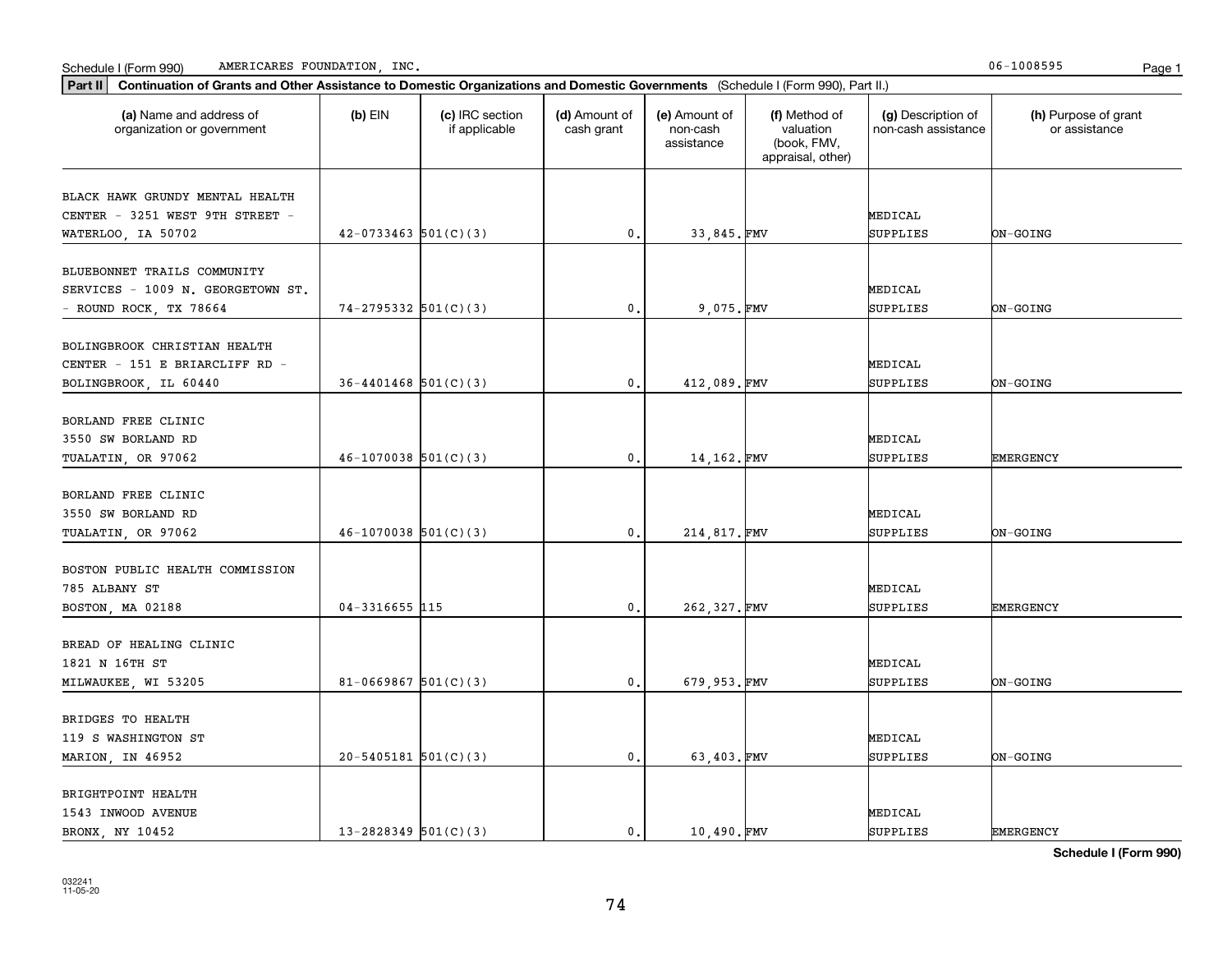| (a) Name and address of<br>organization or government | $(b)$ EIN                  | (c) IRC section<br>if applicable | (d) Amount of<br>cash grant | (e) Amount of<br>non-cash<br>assistance | (f) Method of<br>valuation<br>(book, FMV,<br>appraisal, other) | (g) Description of<br>non-cash assistance | (h) Purpose of grant<br>or assistance |
|-------------------------------------------------------|----------------------------|----------------------------------|-----------------------------|-----------------------------------------|----------------------------------------------------------------|-------------------------------------------|---------------------------------------|
| BLACK HAWK GRUNDY MENTAL HEALTH                       |                            |                                  |                             |                                         |                                                                |                                           |                                       |
| CENTER - 3251 WEST 9TH STREET -                       |                            |                                  |                             |                                         |                                                                | MEDICAL                                   |                                       |
| WATERLOO, IA 50702                                    | $42-0733463$ 501(C)(3)     |                                  | $\mathsf{0}\,$ .            | 33,845.FMV                              |                                                                | SUPPLIES                                  | <b>DN-GOING</b>                       |
|                                                       |                            |                                  |                             |                                         |                                                                |                                           |                                       |
| BLUEBONNET TRAILS COMMUNITY                           |                            |                                  |                             |                                         |                                                                |                                           |                                       |
| SERVICES - 1009 N. GEORGETOWN ST.                     |                            |                                  |                             |                                         |                                                                | MEDICAL                                   |                                       |
| - ROUND ROCK, TX 78664                                | $74-2795332$ $501(C)(3)$   |                                  | $\mathbf{0}$ .              | 9,075.FMV                               |                                                                | SUPPLIES                                  | <b>DN-GOING</b>                       |
|                                                       |                            |                                  |                             |                                         |                                                                |                                           |                                       |
| BOLINGBROOK CHRISTIAN HEALTH                          |                            |                                  |                             |                                         |                                                                |                                           |                                       |
| CENTER - 151 E BRIARCLIFF RD -                        |                            |                                  |                             |                                         |                                                                | MEDICAL                                   |                                       |
| BOLINGBROOK, IL 60440                                 | $36 - 4401468$ $501(C)(3)$ |                                  | 0.                          | 412,089.FMV                             |                                                                | SUPPLIES                                  | <b>DN-GOING</b>                       |
|                                                       |                            |                                  |                             |                                         |                                                                |                                           |                                       |
| BORLAND FREE CLINIC                                   |                            |                                  |                             |                                         |                                                                |                                           |                                       |
| 3550 SW BORLAND RD                                    |                            |                                  |                             |                                         |                                                                | MEDICAL                                   |                                       |
| TUALATIN, OR 97062                                    | $46-1070038$ $501(C)(3)$   |                                  | $\mathbf{0}$                | 14,162.FMV                              |                                                                | SUPPLIES                                  | <b>EMERGENCY</b>                      |
|                                                       |                            |                                  |                             |                                         |                                                                |                                           |                                       |
| BORLAND FREE CLINIC                                   |                            |                                  |                             |                                         |                                                                |                                           |                                       |
| 3550 SW BORLAND RD                                    |                            |                                  |                             |                                         |                                                                | MEDICAL                                   |                                       |
| TUALATIN, OR 97062                                    | $46-1070038$ 501(C)(3)     |                                  | $\mathbf{0}$ .              | 214,817. FMV                            |                                                                | SUPPLIES                                  | <b>DN-GOING</b>                       |
|                                                       |                            |                                  |                             |                                         |                                                                |                                           |                                       |
| BOSTON PUBLIC HEALTH COMMISSION                       |                            |                                  |                             |                                         |                                                                |                                           |                                       |
| 785 ALBANY ST                                         |                            |                                  |                             |                                         |                                                                | MEDICAL                                   |                                       |
| BOSTON, MA 02188                                      | 04-3316655 115             |                                  | 0.                          | 262.327. FMV                            |                                                                | SUPPLIES                                  | <b>EMERGENCY</b>                      |
|                                                       |                            |                                  |                             |                                         |                                                                |                                           |                                       |
| BREAD OF HEALING CLINIC                               |                            |                                  |                             |                                         |                                                                |                                           |                                       |
| 1821 N 16TH ST                                        |                            |                                  |                             |                                         |                                                                | MEDICAL                                   |                                       |
| MILWAUKEE, WI 53205                                   | $81 - 0669867$ 501(C)(3)   |                                  | 0.                          | 679,953.FMV                             |                                                                | SUPPLIES                                  | <b>DN-GOING</b>                       |
|                                                       |                            |                                  |                             |                                         |                                                                |                                           |                                       |
| BRIDGES TO HEALTH                                     |                            |                                  |                             |                                         |                                                                |                                           |                                       |
| 119 S WASHINGTON ST                                   |                            |                                  |                             |                                         |                                                                | MEDICAL                                   |                                       |
| MARION, IN 46952                                      | $20 - 5405181$ $501(C)(3)$ |                                  | $\mathbf{0}$ .              | 63,403.FMV                              |                                                                | SUPPLIES                                  | <b>DN-GOING</b>                       |
|                                                       |                            |                                  |                             |                                         |                                                                |                                           |                                       |
| BRIGHTPOINT HEALTH                                    |                            |                                  |                             |                                         |                                                                |                                           |                                       |
| 1543 INWOOD AVENUE                                    |                            |                                  |                             |                                         |                                                                | MEDICAL                                   |                                       |
| BRONX, NY 10452                                       | $13 - 2828349$ $501(C)(3)$ |                                  | $\mathbf{0}$ .              | 10,490.FMV                              |                                                                | SUPPLIES                                  | <b>EMERGENCY</b>                      |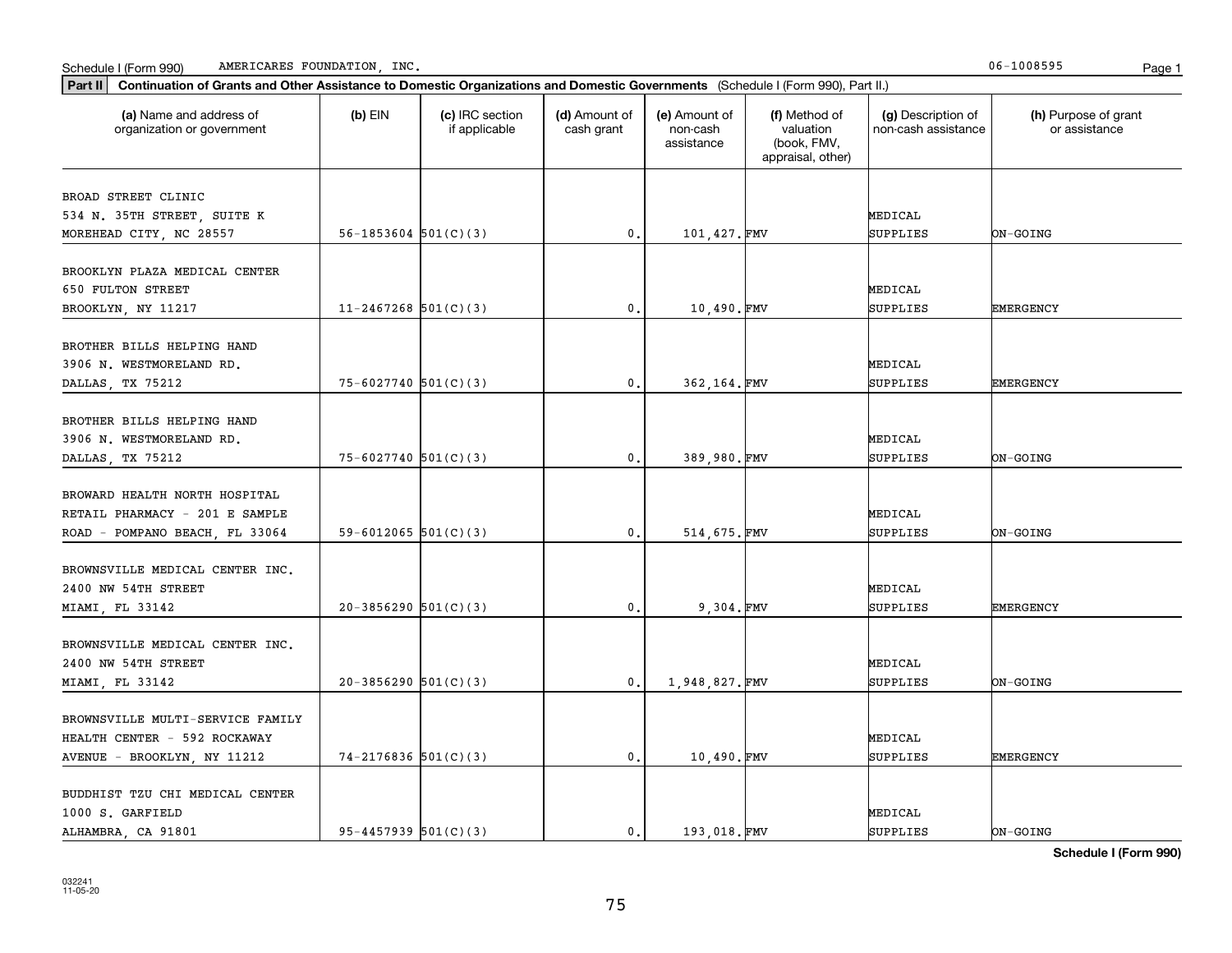| Part II   Continuation of Grants and Other Assistance to Domestic Organizations and Domestic Governments (Schedule I (Form 990), Part II.) |                            |                                  |                             |                                         |                                                                |                                           |                                       |
|--------------------------------------------------------------------------------------------------------------------------------------------|----------------------------|----------------------------------|-----------------------------|-----------------------------------------|----------------------------------------------------------------|-------------------------------------------|---------------------------------------|
| (a) Name and address of<br>organization or government                                                                                      | $(b)$ EIN                  | (c) IRC section<br>if applicable | (d) Amount of<br>cash grant | (e) Amount of<br>non-cash<br>assistance | (f) Method of<br>valuation<br>(book, FMV,<br>appraisal, other) | (g) Description of<br>non-cash assistance | (h) Purpose of grant<br>or assistance |
|                                                                                                                                            |                            |                                  |                             |                                         |                                                                |                                           |                                       |
| BROAD STREET CLINIC<br>534 N. 35TH STREET, SUITE K                                                                                         |                            |                                  |                             |                                         |                                                                | MEDICAL                                   |                                       |
| MOREHEAD CITY, NC 28557                                                                                                                    | $56 - 1853604$ $501(C)(3)$ |                                  | $\mathfrak o$ .             | 101,427. FMV                            |                                                                | SUPPLIES                                  | <b>DN-GOING</b>                       |
|                                                                                                                                            |                            |                                  |                             |                                         |                                                                |                                           |                                       |
| BROOKLYN PLAZA MEDICAL CENTER                                                                                                              |                            |                                  |                             |                                         |                                                                |                                           |                                       |
| 650 FULTON STREET                                                                                                                          |                            |                                  |                             |                                         |                                                                | MEDICAL                                   |                                       |
| BROOKLYN, NY 11217                                                                                                                         | $11 - 2467268$ 501(C)(3)   |                                  | $\mathbf{0}$ .              | 10,490.FMV                              |                                                                | <b>SUPPLIES</b>                           | <b>EMERGENCY</b>                      |
|                                                                                                                                            |                            |                                  |                             |                                         |                                                                |                                           |                                       |
| BROTHER BILLS HELPING HAND                                                                                                                 |                            |                                  |                             |                                         |                                                                |                                           |                                       |
| 3906 N. WESTMORELAND RD.                                                                                                                   |                            |                                  |                             |                                         |                                                                | MEDICAL                                   |                                       |
| DALLAS, TX 75212                                                                                                                           | 75-6027740 501(C)(3)       |                                  | $\mathbf{0}$ .              | 362,164.FMV                             |                                                                | <b>SUPPLIES</b>                           | <b>EMERGENCY</b>                      |
|                                                                                                                                            |                            |                                  |                             |                                         |                                                                |                                           |                                       |
| BROTHER BILLS HELPING HAND                                                                                                                 |                            |                                  |                             |                                         |                                                                |                                           |                                       |
| 3906 N. WESTMORELAND RD.                                                                                                                   |                            |                                  |                             |                                         |                                                                | MEDICAL                                   |                                       |
| DALLAS, TX 75212                                                                                                                           | 75-6027740 501(C)(3)       |                                  | $^{\rm 0}$ .                | 389,980.FMV                             |                                                                | SUPPLIES                                  | <b>DN-GOING</b>                       |
|                                                                                                                                            |                            |                                  |                             |                                         |                                                                |                                           |                                       |
| BROWARD HEALTH NORTH HOSPITAL                                                                                                              |                            |                                  |                             |                                         |                                                                |                                           |                                       |
| RETAIL PHARMACY - 201 E SAMPLE                                                                                                             |                            |                                  |                             |                                         |                                                                | MEDICAL                                   |                                       |
| ROAD - POMPANO BEACH, FL 33064                                                                                                             | 59-6012065 $501(C)(3)$     |                                  | $\mathbf{0}$ .              | 514,675.FMV                             |                                                                | SUPPLIES                                  | <b>DN-GOING</b>                       |
|                                                                                                                                            |                            |                                  |                             |                                         |                                                                |                                           |                                       |
| BROWNSVILLE MEDICAL CENTER INC.                                                                                                            |                            |                                  |                             |                                         |                                                                |                                           |                                       |
| 2400 NW 54TH STREET                                                                                                                        |                            |                                  |                             |                                         |                                                                | MEDICAL                                   |                                       |
| MIAMI, FL 33142                                                                                                                            | $20-3856290$ 501(C)(3)     |                                  | $\mathbf{0}$ .              | 9,304.FMV                               |                                                                | SUPPLIES                                  | <b>EMERGENCY</b>                      |
|                                                                                                                                            |                            |                                  |                             |                                         |                                                                |                                           |                                       |
| BROWNSVILLE MEDICAL CENTER INC.                                                                                                            |                            |                                  |                             |                                         |                                                                |                                           |                                       |
| 2400 NW 54TH STREET                                                                                                                        |                            |                                  |                             |                                         |                                                                | MEDICAL                                   |                                       |
| MIAMI, FL 33142                                                                                                                            | $20-3856290$ 501(C)(3)     |                                  | $\mathbf{0}$ .              | 1,948,827.FMV                           |                                                                | <b>SUPPLIES</b>                           | <b>DN-GOING</b>                       |
| BROWNSVILLE MULTI-SERVICE FAMILY                                                                                                           |                            |                                  |                             |                                         |                                                                |                                           |                                       |
| HEALTH CENTER - 592 ROCKAWAY                                                                                                               |                            |                                  |                             |                                         |                                                                | MEDICAL                                   |                                       |
|                                                                                                                                            | $74-2176836$ $501(C)(3)$   |                                  | $\mathbf{0}$ .              | 10,490.FMV                              |                                                                | <b>SUPPLIES</b>                           | <b>EMERGENCY</b>                      |
| AVENUE - BROOKLYN, NY 11212                                                                                                                |                            |                                  |                             |                                         |                                                                |                                           |                                       |
| BUDDHIST TZU CHI MEDICAL CENTER                                                                                                            |                            |                                  |                             |                                         |                                                                |                                           |                                       |
| 1000 S. GARFIELD                                                                                                                           |                            |                                  |                             |                                         |                                                                | MEDICAL                                   |                                       |
| ALHAMBRA, CA 91801                                                                                                                         | $95 - 4457939$ $501(C)(3)$ |                                  | $\mathbf{0}$ .              | 193,018.FMV                             |                                                                | <b>SUPPLIES</b>                           | <b>DN-GOING</b>                       |
|                                                                                                                                            |                            |                                  |                             |                                         |                                                                |                                           |                                       |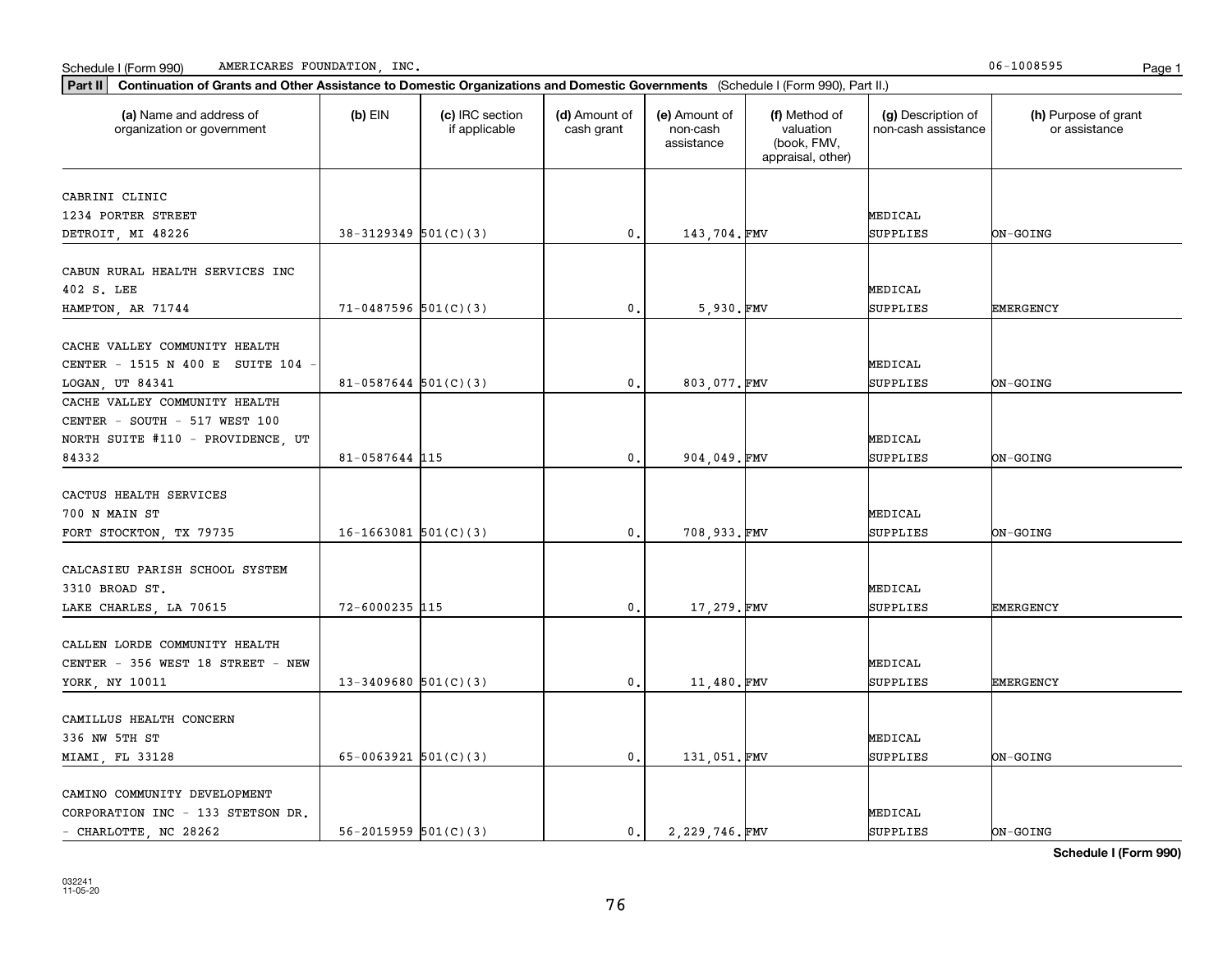| (a) Name and address of<br>organization or government | $(b)$ EIN                  | (c) IRC section<br>if applicable | (d) Amount of<br>cash grant | (e) Amount of<br>non-cash<br>assistance | (f) Method of<br>valuation<br>(book, FMV,<br>appraisal, other) | (g) Description of<br>non-cash assistance | (h) Purpose of grant<br>or assistance |
|-------------------------------------------------------|----------------------------|----------------------------------|-----------------------------|-----------------------------------------|----------------------------------------------------------------|-------------------------------------------|---------------------------------------|
| CABRINI CLINIC                                        |                            |                                  |                             |                                         |                                                                |                                           |                                       |
| 1234 PORTER STREET                                    |                            |                                  |                             |                                         |                                                                | MEDICAL                                   |                                       |
| DETROIT, MI 48226                                     | 38-3129349 501(C)(3)       |                                  | $\mathbf{0}$ .              | 143,704.FMV                             |                                                                | SUPPLIES                                  | <b>DN-GOING</b>                       |
|                                                       |                            |                                  |                             |                                         |                                                                |                                           |                                       |
| CABUN RURAL HEALTH SERVICES INC                       |                            |                                  |                             |                                         |                                                                |                                           |                                       |
| 402 S. LEE                                            |                            |                                  |                             |                                         |                                                                | MEDICAL                                   |                                       |
| HAMPTON, AR 71744                                     | $71-0487596$ 501(C)(3)     |                                  | $\mathbf{0}$ .              | 5.930.FMV                               |                                                                | SUPPLIES                                  | <b>EMERGENCY</b>                      |
| CACHE VALLEY COMMUNITY HEALTH                         |                            |                                  |                             |                                         |                                                                |                                           |                                       |
| CENTER - 1515 N 400 E SUITE 104                       |                            |                                  |                             |                                         |                                                                | MEDICAL                                   |                                       |
| LOGAN, UT 84341                                       | $81 - 0587644$ 501(C)(3)   |                                  | 0.                          | 803,077. FMV                            |                                                                | SUPPLIES                                  | <b>pN-GOING</b>                       |
| CACHE VALLEY COMMUNITY HEALTH                         |                            |                                  |                             |                                         |                                                                |                                           |                                       |
| CENTER - SOUTH - 517 WEST 100                         |                            |                                  |                             |                                         |                                                                |                                           |                                       |
| NORTH SUITE #110 - PROVIDENCE, UT                     |                            |                                  |                             |                                         |                                                                | MEDICAL                                   |                                       |
| 84332                                                 | 81-0587644 115             |                                  | 0.                          | 904,049.FMV                             |                                                                | SUPPLIES                                  | <b>DN-GOING</b>                       |
|                                                       |                            |                                  |                             |                                         |                                                                |                                           |                                       |
| CACTUS HEALTH SERVICES                                |                            |                                  |                             |                                         |                                                                |                                           |                                       |
| 700 N MAIN ST                                         |                            |                                  |                             |                                         |                                                                | MEDICAL                                   |                                       |
| FORT STOCKTON, TX 79735                               | $16-1663081$ 501(C)(3)     |                                  | $\mathsf{0}\,$ .            | 708,933.FMV                             |                                                                | SUPPLIES                                  | <b>DN-GOING</b>                       |
| CALCASIEU PARISH SCHOOL SYSTEM                        |                            |                                  |                             |                                         |                                                                |                                           |                                       |
| 3310 BROAD ST.                                        |                            |                                  |                             |                                         |                                                                | MEDICAL                                   |                                       |
| LAKE CHARLES, LA 70615                                | 72-6000235 115             |                                  | $\mathsf{0}\,$ .            | 17,279.FMV                              |                                                                | SUPPLIES                                  | <b>EMERGENCY</b>                      |
|                                                       |                            |                                  |                             |                                         |                                                                |                                           |                                       |
| CALLEN LORDE COMMUNITY HEALTH                         |                            |                                  |                             |                                         |                                                                |                                           |                                       |
| CENTER - 356 WEST 18 STREET - NEW                     |                            |                                  |                             |                                         |                                                                | MEDICAL                                   |                                       |
| YORK, NY 10011                                        | $13 - 3409680$ 501(C)(3)   |                                  | 0.                          | 11,480.FMV                              |                                                                | SUPPLIES                                  | <b>EMERGENCY</b>                      |
|                                                       |                            |                                  |                             |                                         |                                                                |                                           |                                       |
| CAMILLUS HEALTH CONCERN                               |                            |                                  |                             |                                         |                                                                |                                           |                                       |
| 336 NW 5TH ST                                         |                            |                                  |                             |                                         |                                                                | MEDICAL                                   |                                       |
| MIAMI, FL 33128                                       | 65-0063921 $501(C)(3)$     |                                  | 0.                          | 131,051.FMV                             |                                                                | SUPPLIES                                  | <b>DN-GOING</b>                       |
|                                                       |                            |                                  |                             |                                         |                                                                |                                           |                                       |
| CAMINO COMMUNITY DEVELOPMENT                          |                            |                                  |                             |                                         |                                                                |                                           |                                       |
| CORPORATION INC - 133 STETSON DR.                     |                            |                                  |                             |                                         |                                                                | MEDICAL                                   |                                       |
| - CHARLOTTE, NC 28262                                 | $56 - 2015959$ $501(C)(3)$ |                                  | 0.                          | 2,229,746. FMV                          |                                                                | <b>SUPPLIES</b>                           | <b>DN-GOING</b>                       |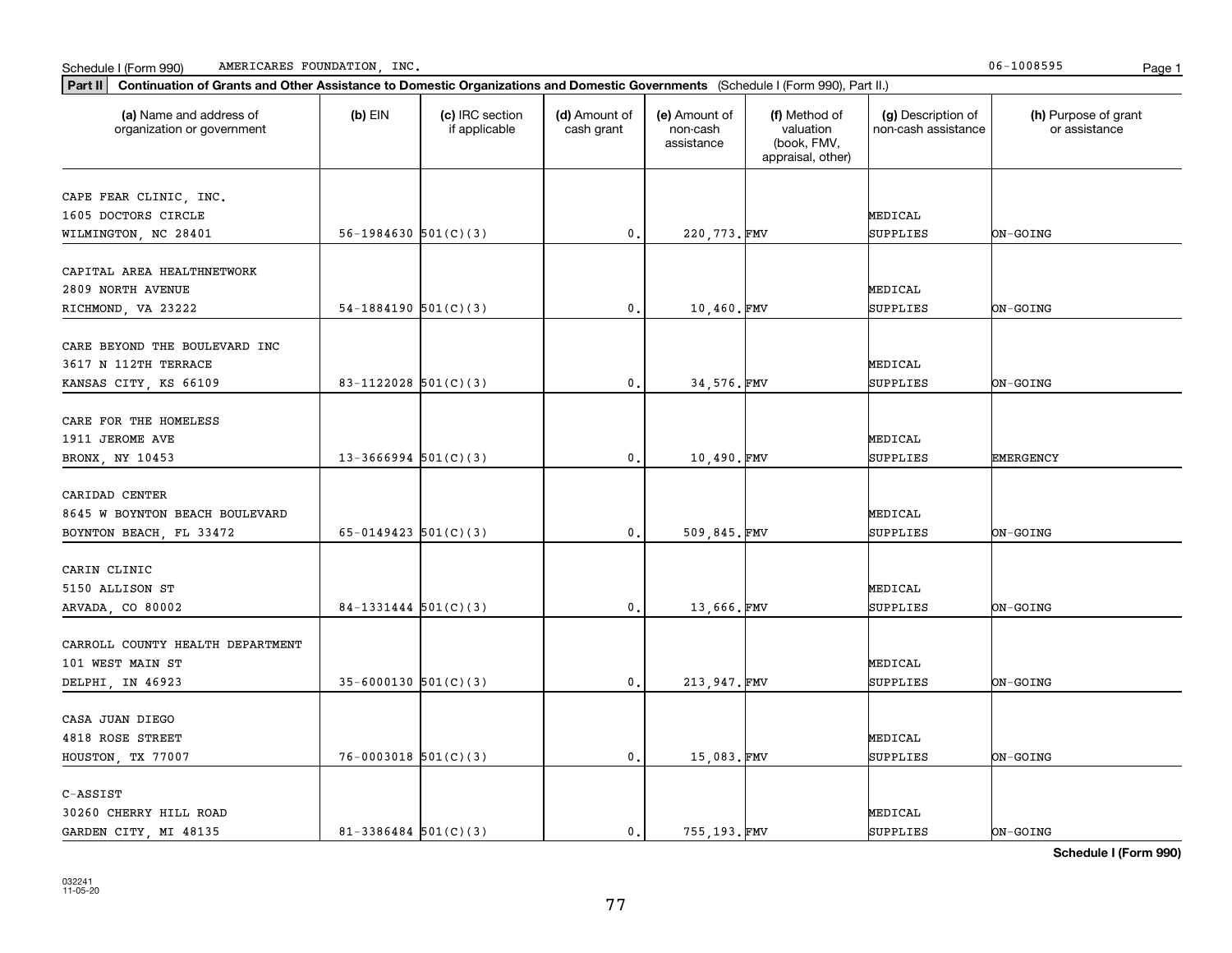| Part II<br>Continuation of Grants and Other Assistance to Domestic Organizations and Domestic Governments (Schedule I (Form 990), Part II.) |                            |                                  |                             |                                         |                                                                |                                           |                                       |
|---------------------------------------------------------------------------------------------------------------------------------------------|----------------------------|----------------------------------|-----------------------------|-----------------------------------------|----------------------------------------------------------------|-------------------------------------------|---------------------------------------|
| (a) Name and address of<br>organization or government                                                                                       | $(b)$ EIN                  | (c) IRC section<br>if applicable | (d) Amount of<br>cash grant | (e) Amount of<br>non-cash<br>assistance | (f) Method of<br>valuation<br>(book, FMV,<br>appraisal, other) | (g) Description of<br>non-cash assistance | (h) Purpose of grant<br>or assistance |
| CAPE FEAR CLINIC, INC.                                                                                                                      |                            |                                  |                             |                                         |                                                                |                                           |                                       |
| 1605 DOCTORS CIRCLE                                                                                                                         |                            |                                  |                             |                                         |                                                                | MEDICAL                                   |                                       |
| WILMINGTON, NC 28401                                                                                                                        | $56-1984630$ $501(C)(3)$   |                                  | $\mathbf{0}$ .              | 220, 773. FMV                           |                                                                | SUPPLIES                                  | <b>DN-GOING</b>                       |
|                                                                                                                                             |                            |                                  |                             |                                         |                                                                |                                           |                                       |
| CAPITAL AREA HEALTHNETWORK                                                                                                                  |                            |                                  |                             |                                         |                                                                |                                           |                                       |
| 2809 NORTH AVENUE                                                                                                                           |                            |                                  |                             |                                         |                                                                | MEDICAL                                   |                                       |
| RICHMOND, VA 23222                                                                                                                          | 54-1884190 $501(C)(3)$     |                                  | 0.                          | 10,460.FMV                              |                                                                | SUPPLIES                                  | <b>DN-GOING</b>                       |
|                                                                                                                                             |                            |                                  |                             |                                         |                                                                |                                           |                                       |
| CARE BEYOND THE BOULEVARD INC                                                                                                               |                            |                                  |                             |                                         |                                                                |                                           |                                       |
| 3617 N 112TH TERRACE                                                                                                                        |                            |                                  | 0.                          |                                         |                                                                | MEDICAL<br>SUPPLIES                       | <b>DN-GOING</b>                       |
| KANSAS CITY, KS 66109                                                                                                                       | 83-1122028 $501(C)(3)$     |                                  |                             | 34,576.FMV                              |                                                                |                                           |                                       |
| CARE FOR THE HOMELESS                                                                                                                       |                            |                                  |                             |                                         |                                                                |                                           |                                       |
| 1911 JEROME AVE                                                                                                                             |                            |                                  |                             |                                         |                                                                | MEDICAL                                   |                                       |
| BRONX, NY 10453                                                                                                                             | $13 - 3666994$ 501(C)(3)   |                                  | 0.                          | 10.490.FMV                              |                                                                | SUPPLIES                                  | <b>EMERGENCY</b>                      |
|                                                                                                                                             |                            |                                  |                             |                                         |                                                                |                                           |                                       |
| CARIDAD CENTER                                                                                                                              |                            |                                  |                             |                                         |                                                                |                                           |                                       |
| 8645 W BOYNTON BEACH BOULEVARD                                                                                                              |                            |                                  |                             |                                         |                                                                | MEDICAL                                   |                                       |
| BOYNTON BEACH, FL 33472                                                                                                                     | 65-0149423 $501(C)(3)$     |                                  | 0.                          | 509,845.FMV                             |                                                                | SUPPLIES                                  | <b>DN-GOING</b>                       |
|                                                                                                                                             |                            |                                  |                             |                                         |                                                                |                                           |                                       |
| CARIN CLINIC                                                                                                                                |                            |                                  |                             |                                         |                                                                |                                           |                                       |
| 5150 ALLISON ST                                                                                                                             |                            |                                  |                             |                                         |                                                                | MEDICAL                                   |                                       |
| ARVADA, CO 80002                                                                                                                            | $84-1331444$ $501(C)(3)$   |                                  | 0.                          | 13,666.FMV                              |                                                                | SUPPLIES                                  | <b>DN-GOING</b>                       |
| CARROLL COUNTY HEALTH DEPARTMENT                                                                                                            |                            |                                  |                             |                                         |                                                                |                                           |                                       |
| 101 WEST MAIN ST                                                                                                                            |                            |                                  |                             |                                         |                                                                | MEDICAL                                   |                                       |
| DELPHI, IN 46923                                                                                                                            | $35 - 6000130$ $501(C)(3)$ |                                  | 0.                          | 213,947.FMV                             |                                                                | SUPPLIES                                  | <b>DN-GOING</b>                       |
|                                                                                                                                             |                            |                                  |                             |                                         |                                                                |                                           |                                       |
| CASA JUAN DIEGO                                                                                                                             |                            |                                  |                             |                                         |                                                                |                                           |                                       |
| 4818 ROSE STREET                                                                                                                            |                            |                                  |                             |                                         |                                                                | MEDICAL                                   |                                       |
| HOUSTON, TX 77007                                                                                                                           | $76 - 0003018$ 501(C)(3)   |                                  | $\mathbf{0}$ .              | 15,083.FMV                              |                                                                | SUPPLIES                                  | <b>ON-GOING</b>                       |
|                                                                                                                                             |                            |                                  |                             |                                         |                                                                |                                           |                                       |
| $C-ASSIST$                                                                                                                                  |                            |                                  |                             |                                         |                                                                |                                           |                                       |
| 30260 CHERRY HILL ROAD                                                                                                                      |                            |                                  |                             |                                         |                                                                | MEDICAL                                   |                                       |
| GARDEN CITY, MI 48135                                                                                                                       | $81 - 3386484$ 501(C)(3)   |                                  | $\mathbf{0}$ .              | 755,193.FMV                             |                                                                | SUPPLIES                                  | <b>DN-GOING</b>                       |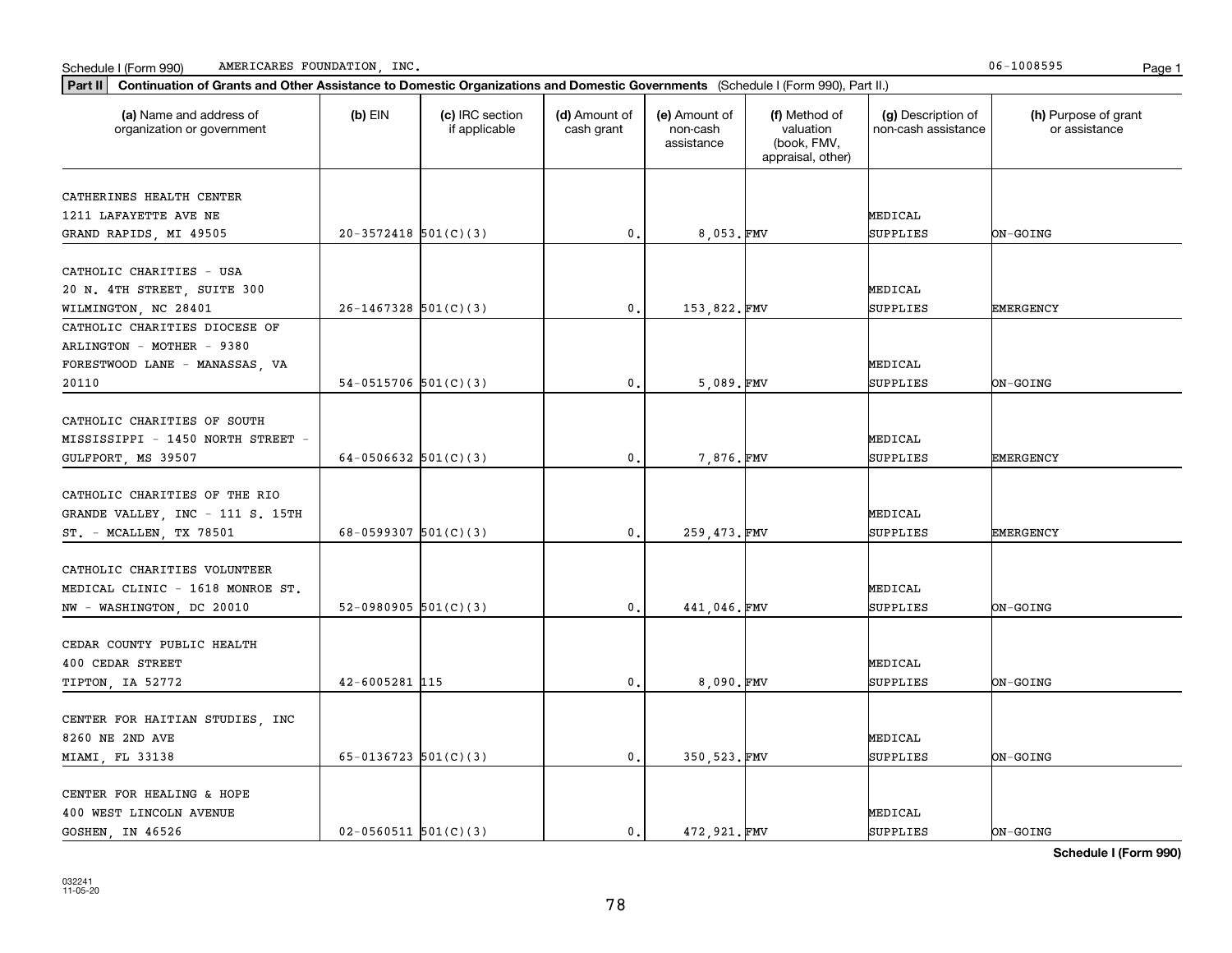| AMERICARES FOUNDATION, INC.<br>Schedule I (Form 990)                                                                                        |                            |                                  |                             |                                         |                                                                |                                           | $06 - 1008595$<br>Page 1              |
|---------------------------------------------------------------------------------------------------------------------------------------------|----------------------------|----------------------------------|-----------------------------|-----------------------------------------|----------------------------------------------------------------|-------------------------------------------|---------------------------------------|
| Part II<br>Continuation of Grants and Other Assistance to Domestic Organizations and Domestic Governments (Schedule I (Form 990), Part II.) |                            |                                  |                             |                                         |                                                                |                                           |                                       |
| (a) Name and address of<br>organization or government                                                                                       | $(b)$ EIN                  | (c) IRC section<br>if applicable | (d) Amount of<br>cash grant | (e) Amount of<br>non-cash<br>assistance | (f) Method of<br>valuation<br>(book, FMV,<br>appraisal, other) | (g) Description of<br>non-cash assistance | (h) Purpose of grant<br>or assistance |
| CATHERINES HEALTH CENTER                                                                                                                    |                            |                                  |                             |                                         |                                                                |                                           |                                       |
| 1211 LAFAYETTE AVE NE<br>GRAND RAPIDS, MI 49505                                                                                             | $20-3572418$ 501(C)(3)     |                                  | 0.                          | 8,053.FMV                               |                                                                | MEDICAL<br>SUPPLIES                       | <b>ON-GOING</b>                       |
| CATHOLIC CHARITIES - USA<br>20 N. 4TH STREET, SUITE 300                                                                                     | $26-1467328$ 501(C)(3)     |                                  | 0.                          | 153,822.FMV                             |                                                                | MEDICAL<br>SUPPLIES                       | <b>EMERGENCY</b>                      |
| WILMINGTON, NC 28401<br>CATHOLIC CHARITIES DIOCESE OF                                                                                       |                            |                                  |                             |                                         |                                                                |                                           |                                       |
| ARLINGTON - MOTHER - 9380<br>FORESTWOOD LANE - MANASSAS, VA<br>20110                                                                        | 54-0515706 $501(C)(3)$     |                                  | 0.                          | 5,089.FMV                               |                                                                | MEDICAL<br>SUPPLIES                       | <b>DN-GOING</b>                       |
| CATHOLIC CHARITIES OF SOUTH<br>MISSISSIPPI - 1450 NORTH STREET -<br>GULFPORT, MS 39507                                                      | 64-0506632 $501(C)(3)$     |                                  | 0.                          | 7,876.FMV                               |                                                                | MEDICAL<br>SUPPLIES                       | <b>EMERGENCY</b>                      |
| CATHOLIC CHARITIES OF THE RIO<br>GRANDE VALLEY, INC - 111 S. 15TH<br>ST. - MCALLEN, TX 78501                                                | $68 - 0599307$ $501(C)(3)$ |                                  | $\mathbf{0}$ .              | 259,473.FMV                             |                                                                | MEDICAL<br>SUPPLIES                       | <b>EMERGENCY</b>                      |
| CATHOLIC CHARITIES VOLUNTEER<br>MEDICAL CLINIC - 1618 MONROE ST.<br>NW - WASHINGTON, DC 20010                                               | 52-0980905 $501(C)(3)$     |                                  | 0.                          | 441,046.FMV                             |                                                                | MEDICAL<br>SUPPLIES                       | <b>DN-GOING</b>                       |
| CEDAR COUNTY PUBLIC HEALTH<br>400 CEDAR STREET<br>TIPTON, IA 52772                                                                          | 42-6005281 115             |                                  | $\mathbf{0}$ .              | 8.090.FMV                               |                                                                | MEDICAL<br>SUPPLIES                       | <b>DN-GOING</b>                       |
| CENTER FOR HAITIAN STUDIES, INC<br>8260 NE 2ND AVE<br>MIAMI, FL 33138                                                                       | 65-0136723 $501(C)(3)$     |                                  | 0.                          | 350,523.FMV                             |                                                                | MEDICAL<br>SUPPLIES                       | <b>DN-GOING</b>                       |
| CENTER FOR HEALING & HOPE<br>400 WEST LINCOLN AVENUE<br>GOSHEN, IN 46526                                                                    | $02 - 0560511$ $501(C)(3)$ |                                  | $\mathbf{0}$ .              | 472.921. FMV                            |                                                                | MEDICAL<br><b>SUPPLIES</b>                | <b>DN-GOING</b>                       |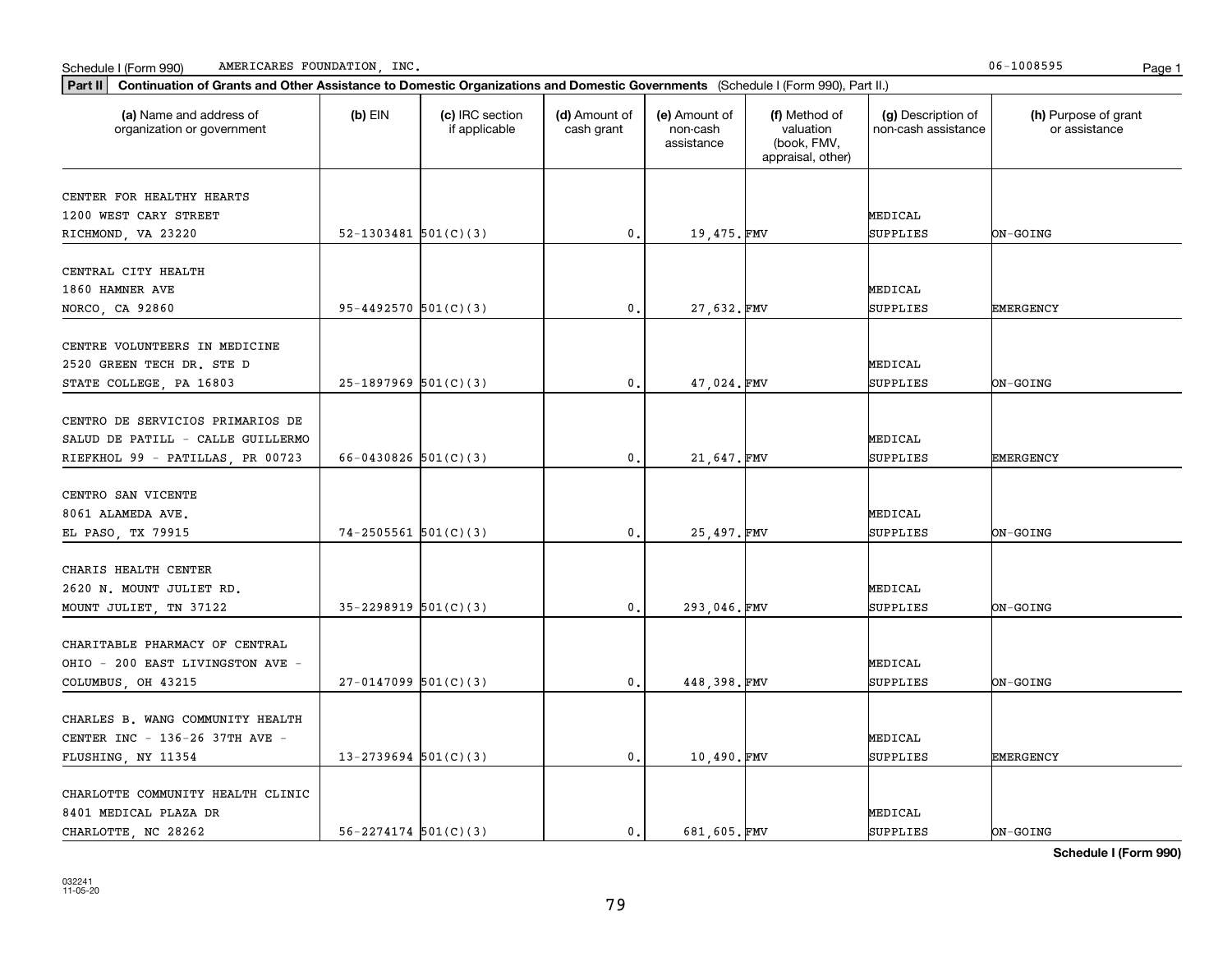| Schedule I (Form 990) |  | FOUNDATION<br>AMERICARES | INC. |  | Page |  |
|-----------------------|--|--------------------------|------|--|------|--|
|-----------------------|--|--------------------------|------|--|------|--|

| Continuation of Grants and Other Assistance to Domestic Organizations and Domestic Governments (Schedule I (Form 990), Part II.)<br>Part II |                            |                                  |                             |                                         |                                                                |                                           |                                       |
|---------------------------------------------------------------------------------------------------------------------------------------------|----------------------------|----------------------------------|-----------------------------|-----------------------------------------|----------------------------------------------------------------|-------------------------------------------|---------------------------------------|
| (a) Name and address of<br>organization or government                                                                                       | (b) EIN                    | (c) IRC section<br>if applicable | (d) Amount of<br>cash grant | (e) Amount of<br>non-cash<br>assistance | (f) Method of<br>valuation<br>(book, FMV,<br>appraisal, other) | (g) Description of<br>non-cash assistance | (h) Purpose of grant<br>or assistance |
|                                                                                                                                             |                            |                                  |                             |                                         |                                                                |                                           |                                       |
| CENTER FOR HEALTHY HEARTS<br>1200 WEST CARY STREET                                                                                          |                            |                                  |                             |                                         |                                                                | MEDICAL                                   |                                       |
| RICHMOND, VA 23220                                                                                                                          | 52-1303481 $501(C)(3)$     |                                  | $\mathbf{0}$ .              | 19,475.FMV                              |                                                                | SUPPLIES                                  | <b>DN-GOING</b>                       |
|                                                                                                                                             |                            |                                  |                             |                                         |                                                                |                                           |                                       |
| CENTRAL CITY HEALTH                                                                                                                         |                            |                                  |                             |                                         |                                                                |                                           |                                       |
| 1860 HAMNER AVE                                                                                                                             |                            |                                  |                             |                                         |                                                                | MEDICAL                                   |                                       |
| NORCO, CA 92860                                                                                                                             | $95 - 4492570$ $501(C)(3)$ |                                  | $\mathfrak o$ .             | 27,632.FMV                              |                                                                | SUPPLIES                                  | <b>EMERGENCY</b>                      |
|                                                                                                                                             |                            |                                  |                             |                                         |                                                                |                                           |                                       |
| CENTRE VOLUNTEERS IN MEDICINE                                                                                                               |                            |                                  |                             |                                         |                                                                |                                           |                                       |
| 2520 GREEN TECH DR. STE D                                                                                                                   | $25-1897969$ 501(C)(3)     |                                  | 0.                          | 47,024. FMV                             |                                                                | MEDICAL<br>SUPPLIES                       | <b>DN-GOING</b>                       |
| STATE COLLEGE, PA 16803                                                                                                                     |                            |                                  |                             |                                         |                                                                |                                           |                                       |
| CENTRO DE SERVICIOS PRIMARIOS DE                                                                                                            |                            |                                  |                             |                                         |                                                                |                                           |                                       |
| SALUD DE PATILL - CALLE GUILLERMO                                                                                                           |                            |                                  |                             |                                         |                                                                | MEDICAL                                   |                                       |
| RIEFKHOL 99 - PATILLAS, PR 00723                                                                                                            | $66 - 0430826$ 501(C)(3)   |                                  | 0.                          | 21,647.FMV                              |                                                                | SUPPLIES                                  | <b>EMERGENCY</b>                      |
|                                                                                                                                             |                            |                                  |                             |                                         |                                                                |                                           |                                       |
| CENTRO SAN VICENTE                                                                                                                          |                            |                                  |                             |                                         |                                                                |                                           |                                       |
| 8061 ALAMEDA AVE.                                                                                                                           |                            |                                  |                             |                                         |                                                                | MEDICAL                                   |                                       |
| EL PASO, TX 79915                                                                                                                           | $74 - 2505561$ $501(C)(3)$ |                                  | $\mathfrak o$ .             | 25,497.FMV                              |                                                                | SUPPLIES                                  | <b>DN-GOING</b>                       |
| CHARIS HEALTH CENTER                                                                                                                        |                            |                                  |                             |                                         |                                                                |                                           |                                       |
| 2620 N. MOUNT JULIET RD.                                                                                                                    |                            |                                  |                             |                                         |                                                                | MEDICAL                                   |                                       |
| MOUNT JULIET, TN 37122                                                                                                                      | $35-2298919$ $501(C)(3)$   |                                  | 0.                          | 293,046.FMV                             |                                                                | SUPPLIES                                  | <b>DN-GOING</b>                       |
|                                                                                                                                             |                            |                                  |                             |                                         |                                                                |                                           |                                       |
| CHARITABLE PHARMACY OF CENTRAL                                                                                                              |                            |                                  |                             |                                         |                                                                |                                           |                                       |
| OHIO - 200 EAST LIVINGSTON AVE -                                                                                                            |                            |                                  |                             |                                         |                                                                | MEDICAL                                   |                                       |
| COLUMBUS, OH 43215                                                                                                                          | $27-0147099$ 501(C)(3)     |                                  | 0.                          | 448,398.FMV                             |                                                                | SUPPLIES                                  | <b>DN-GOING</b>                       |
| CHARLES B. WANG COMMUNITY HEALTH                                                                                                            |                            |                                  |                             |                                         |                                                                |                                           |                                       |
| CENTER INC - 136-26 37TH AVE -                                                                                                              |                            |                                  |                             |                                         |                                                                | MEDICAL                                   |                                       |
| FLUSHING, NY 11354                                                                                                                          | $13-2739694$ 501(C)(3)     |                                  | $\mathfrak o$ .             | 10,490.FMV                              |                                                                | SUPPLIES                                  | <b>EMERGENCY</b>                      |
|                                                                                                                                             |                            |                                  |                             |                                         |                                                                |                                           |                                       |
| CHARLOTTE COMMUNITY HEALTH CLINIC                                                                                                           |                            |                                  |                             |                                         |                                                                |                                           |                                       |
| 8401 MEDICAL PLAZA DR                                                                                                                       |                            |                                  |                             |                                         |                                                                | MEDICAL                                   |                                       |
| CHARLOTTE, NC 28262                                                                                                                         | $56 - 2274174$ $501(C)(3)$ |                                  | $\mathbf{0}$ .              | 681.605.FMV                             |                                                                | <b>SUPPLIES</b>                           | <b>DN-GOING</b>                       |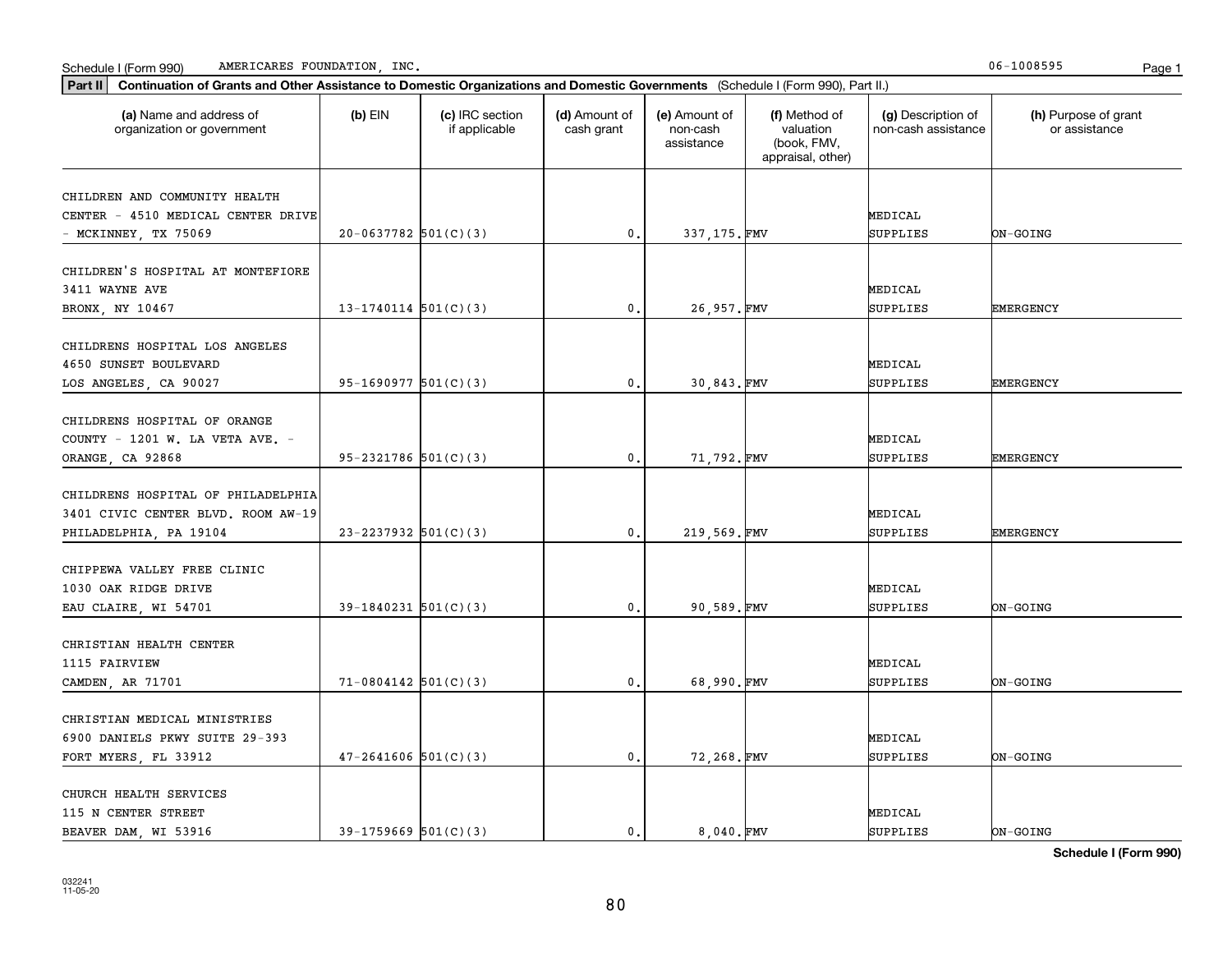| Part II   Continuation of Grants and Other Assistance to Domestic Organizations and Domestic Governments (Schedule I (Form 990), Part II.) |                            |                                  |                             |                                         |                                                                |                                           |                                       |
|--------------------------------------------------------------------------------------------------------------------------------------------|----------------------------|----------------------------------|-----------------------------|-----------------------------------------|----------------------------------------------------------------|-------------------------------------------|---------------------------------------|
| (a) Name and address of<br>organization or government                                                                                      | $(b)$ EIN                  | (c) IRC section<br>if applicable | (d) Amount of<br>cash grant | (e) Amount of<br>non-cash<br>assistance | (f) Method of<br>valuation<br>(book, FMV,<br>appraisal, other) | (g) Description of<br>non-cash assistance | (h) Purpose of grant<br>or assistance |
|                                                                                                                                            |                            |                                  |                             |                                         |                                                                |                                           |                                       |
| CHILDREN AND COMMUNITY HEALTH<br>CENTER - 4510 MEDICAL CENTER DRIVE                                                                        |                            |                                  |                             |                                         |                                                                | MEDICAL                                   |                                       |
| - MCKINNEY, TX 75069                                                                                                                       | $20-0637782$ 501(C)(3)     |                                  | $\mathbf{0}$ .              | 337, 175. FMV                           |                                                                | SUPPLIES                                  | <b>DN-GOING</b>                       |
|                                                                                                                                            |                            |                                  |                             |                                         |                                                                |                                           |                                       |
| CHILDREN'S HOSPITAL AT MONTEFIORE                                                                                                          |                            |                                  |                             |                                         |                                                                |                                           |                                       |
| 3411 WAYNE AVE                                                                                                                             |                            |                                  |                             |                                         |                                                                | MEDICAL                                   |                                       |
| BRONX, NY 10467                                                                                                                            | $13 - 1740114$ $501(C)(3)$ |                                  | $\mathbf{0}$ .              | 26,957.FMV                              |                                                                | <b>SUPPLIES</b>                           | <b>EMERGENCY</b>                      |
|                                                                                                                                            |                            |                                  |                             |                                         |                                                                |                                           |                                       |
| CHILDRENS HOSPITAL LOS ANGELES<br>4650 SUNSET BOULEVARD                                                                                    |                            |                                  |                             |                                         |                                                                | MEDICAL                                   |                                       |
| LOS ANGELES, CA 90027                                                                                                                      | $95-1690977$ 501(C)(3)     |                                  | $\mathbf{0}$ .              | 30,843.FMV                              |                                                                | SUPPLIES                                  | EMERGENCY                             |
|                                                                                                                                            |                            |                                  |                             |                                         |                                                                |                                           |                                       |
| CHILDRENS HOSPITAL OF ORANGE                                                                                                               |                            |                                  |                             |                                         |                                                                |                                           |                                       |
| COUNTY - 1201 W. LA VETA AVE. -                                                                                                            |                            |                                  |                             |                                         |                                                                | MEDICAL                                   |                                       |
| ORANGE, CA 92868                                                                                                                           | 95-2321786 501(C)(3)       |                                  | $\mathbf{0}$ .              | 71,792.FMV                              |                                                                | <b>SUPPLIES</b>                           | <b>EMERGENCY</b>                      |
|                                                                                                                                            |                            |                                  |                             |                                         |                                                                |                                           |                                       |
| CHILDRENS HOSPITAL OF PHILADELPHIA                                                                                                         |                            |                                  |                             |                                         |                                                                |                                           |                                       |
| 3401 CIVIC CENTER BLVD. ROOM AW-19                                                                                                         |                            |                                  |                             |                                         |                                                                | MEDICAL                                   |                                       |
| PHILADELPHIA, PA 19104                                                                                                                     | $23 - 2237932$ 501(C)(3)   |                                  | $\mathbf{0}$ .              | 219,569.FMV                             |                                                                | <b>SUPPLIES</b>                           | <b>EMERGENCY</b>                      |
|                                                                                                                                            |                            |                                  |                             |                                         |                                                                |                                           |                                       |
| CHIPPEWA VALLEY FREE CLINIC                                                                                                                |                            |                                  |                             |                                         |                                                                | MEDICAL                                   |                                       |
| 1030 OAK RIDGE DRIVE<br>EAU CLAIRE, WI 54701                                                                                               | $39-1840231$ 501(C)(3)     |                                  | $\mathbf{0}$ .              | 90,589.FMV                              |                                                                | SUPPLIES                                  | <b>DN-GOING</b>                       |
|                                                                                                                                            |                            |                                  |                             |                                         |                                                                |                                           |                                       |
| CHRISTIAN HEALTH CENTER                                                                                                                    |                            |                                  |                             |                                         |                                                                |                                           |                                       |
| 1115 FAIRVIEW                                                                                                                              |                            |                                  |                             |                                         |                                                                | MEDICAL                                   |                                       |
| CAMDEN, AR 71701                                                                                                                           | $71-0804142$ 501(C)(3)     |                                  | $\mathbf{0}$ .              | 68.990.FMV                              |                                                                | SUPPLIES                                  | <b>DN-GOING</b>                       |
|                                                                                                                                            |                            |                                  |                             |                                         |                                                                |                                           |                                       |
| CHRISTIAN MEDICAL MINISTRIES                                                                                                               |                            |                                  |                             |                                         |                                                                |                                           |                                       |
| 6900 DANIELS PKWY SUITE 29-393                                                                                                             |                            |                                  |                             |                                         |                                                                | MEDICAL                                   |                                       |
| FORT MYERS, FL 33912                                                                                                                       | $47 - 2641606$ 501(C)(3)   |                                  | $\mathbf{0}$ .              | 72,268.FMV                              |                                                                | SUPPLIES                                  | <b>DN-GOING</b>                       |
|                                                                                                                                            |                            |                                  |                             |                                         |                                                                |                                           |                                       |
| CHURCH HEALTH SERVICES                                                                                                                     |                            |                                  |                             |                                         |                                                                |                                           |                                       |
| 115 N CENTER STREET<br>BEAVER DAM, WI 53916                                                                                                | $39-1759669$ 501(C)(3)     |                                  | $\mathbf 0$ .               | 8.040.FMV                               |                                                                | MEDICAL<br><b>SUPPLIES</b>                | <b>DN-GOING</b>                       |
|                                                                                                                                            |                            |                                  |                             |                                         |                                                                |                                           |                                       |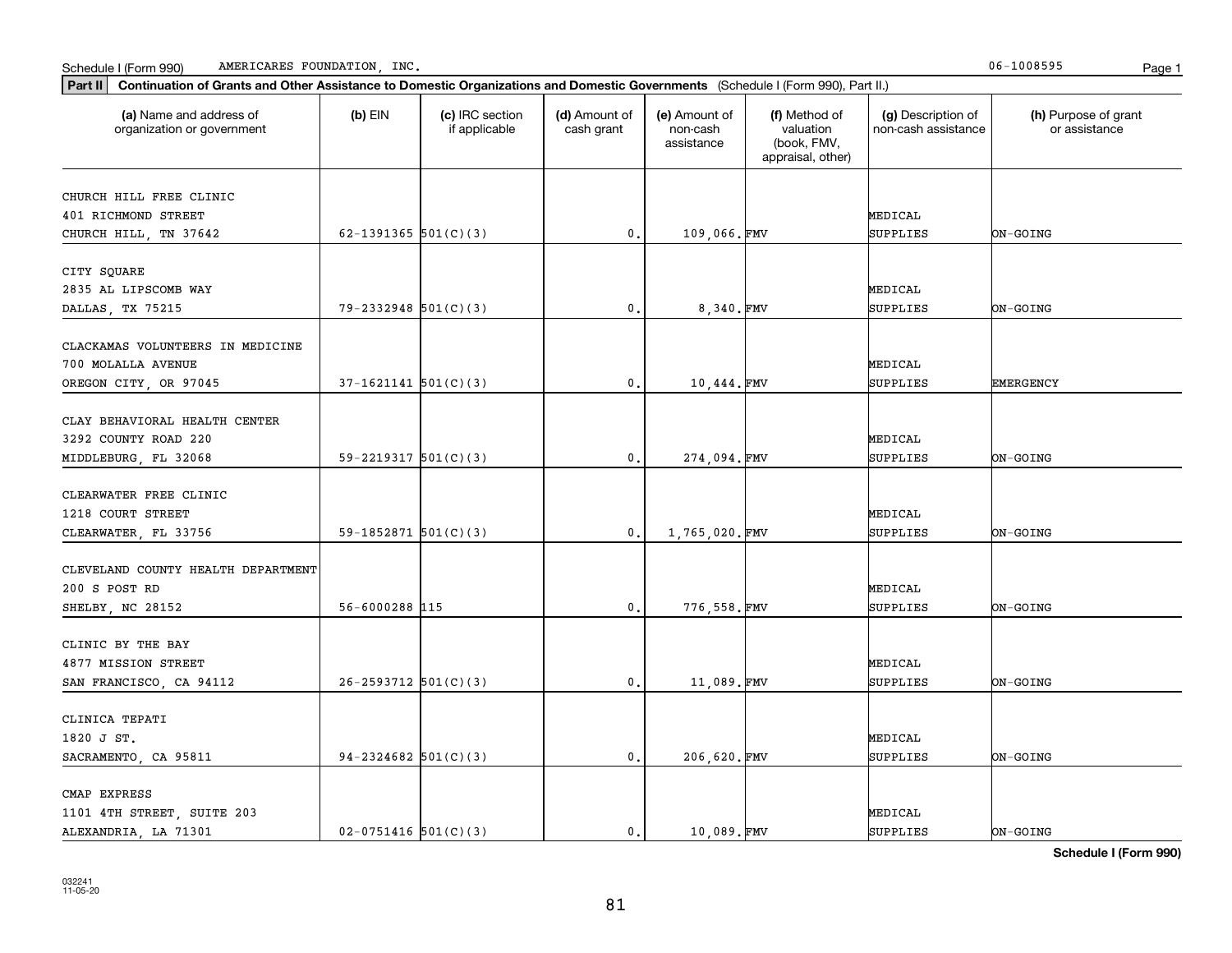| Continuation of Grants and Other Assistance to Domestic Organizations and Domestic Governments (Schedule I (Form 990), Part II.)<br>Part II |                            |                                  |                             |                                         |                                                                |                                           |                                       |
|---------------------------------------------------------------------------------------------------------------------------------------------|----------------------------|----------------------------------|-----------------------------|-----------------------------------------|----------------------------------------------------------------|-------------------------------------------|---------------------------------------|
| (a) Name and address of<br>organization or government                                                                                       | $(b)$ EIN                  | (c) IRC section<br>if applicable | (d) Amount of<br>cash grant | (e) Amount of<br>non-cash<br>assistance | (f) Method of<br>valuation<br>(book, FMV,<br>appraisal, other) | (g) Description of<br>non-cash assistance | (h) Purpose of grant<br>or assistance |
| CHURCH HILL FREE CLINIC                                                                                                                     |                            |                                  |                             |                                         |                                                                |                                           |                                       |
| 401 RICHMOND STREET                                                                                                                         |                            |                                  |                             |                                         |                                                                | MEDICAL                                   |                                       |
| CHURCH HILL, TN 37642                                                                                                                       | 62-1391365 $501(C)(3)$     |                                  | $\mathbf{0}$ .              | 109,066.FMV                             |                                                                | SUPPLIES                                  | <b>DN-GOING</b>                       |
|                                                                                                                                             |                            |                                  |                             |                                         |                                                                |                                           |                                       |
| CITY SQUARE                                                                                                                                 |                            |                                  |                             |                                         |                                                                |                                           |                                       |
| 2835 AL LIPSCOMB WAY                                                                                                                        |                            |                                  |                             |                                         |                                                                | MEDICAL                                   |                                       |
| DALLAS, TX 75215                                                                                                                            | $79 - 2332948$ 501(C)(3)   |                                  | $\mathbf{0}$ .              | 8,340.FMV                               |                                                                | SUPPLIES                                  | <b>DN-GOING</b>                       |
|                                                                                                                                             |                            |                                  |                             |                                         |                                                                |                                           |                                       |
| CLACKAMAS VOLUNTEERS IN MEDICINE                                                                                                            |                            |                                  |                             |                                         |                                                                |                                           |                                       |
| 700 MOLALLA AVENUE                                                                                                                          |                            |                                  |                             |                                         |                                                                | MEDICAL                                   |                                       |
| OREGON CITY, OR 97045                                                                                                                       | $37-1621141$ $501(C)(3)$   |                                  | $\mathfrak{o}$ .            | 10,444.FMV                              |                                                                | <b>SUPPLIES</b>                           | <b>EMERGENCY</b>                      |
|                                                                                                                                             |                            |                                  |                             |                                         |                                                                |                                           |                                       |
| CLAY BEHAVIORAL HEALTH CENTER                                                                                                               |                            |                                  |                             |                                         |                                                                |                                           |                                       |
| 3292 COUNTY ROAD 220                                                                                                                        |                            |                                  | $\mathbf{0}$ .              |                                         |                                                                | MEDICAL<br><b>SUPPLIES</b>                | <b>DN-GOING</b>                       |
| MIDDLEBURG, FL 32068                                                                                                                        | $59 - 2219317$ $501(C)(3)$ |                                  |                             | 274,094.FMV                             |                                                                |                                           |                                       |
| CLEARWATER FREE CLINIC                                                                                                                      |                            |                                  |                             |                                         |                                                                |                                           |                                       |
| 1218 COURT STREET                                                                                                                           |                            |                                  |                             |                                         |                                                                | MEDICAL                                   |                                       |
| CLEARWATER, FL 33756                                                                                                                        | 59-1852871 $501(C)(3)$     |                                  | $\mathbf{0}$ .              | 1,765,020.FMV                           |                                                                | <b>SUPPLIES</b>                           | <b>DN-GOING</b>                       |
|                                                                                                                                             |                            |                                  |                             |                                         |                                                                |                                           |                                       |
| CLEVELAND COUNTY HEALTH DEPARTMENT                                                                                                          |                            |                                  |                             |                                         |                                                                |                                           |                                       |
| 200 S POST RD                                                                                                                               |                            |                                  |                             |                                         |                                                                | MEDICAL                                   |                                       |
| SHELBY, NC 28152                                                                                                                            | 56-6000288 115             |                                  | $\mathbf{0}$ .              | 776,558.FMV                             |                                                                | SUPPLIES                                  | <b>DN-GOING</b>                       |
|                                                                                                                                             |                            |                                  |                             |                                         |                                                                |                                           |                                       |
| CLINIC BY THE BAY                                                                                                                           |                            |                                  |                             |                                         |                                                                |                                           |                                       |
| 4877 MISSION STREET                                                                                                                         |                            |                                  |                             |                                         |                                                                | MEDICAL                                   |                                       |
| SAN FRANCISCO, CA 94112                                                                                                                     | $26 - 2593712$ 501(C)(3)   |                                  | $\mathbf{0}$ .              | 11,089.FMV                              |                                                                | <b>SUPPLIES</b>                           | <b>DN-GOING</b>                       |
|                                                                                                                                             |                            |                                  |                             |                                         |                                                                |                                           |                                       |
| CLINICA TEPATI                                                                                                                              |                            |                                  |                             |                                         |                                                                |                                           |                                       |
| 1820 J ST.                                                                                                                                  |                            |                                  |                             |                                         |                                                                | MEDICAL                                   |                                       |
| SACRAMENTO, CA 95811                                                                                                                        | $94 - 2324682$ 501(C)(3)   |                                  | $\mathbf{0}$ .              | 206,620.FMV                             |                                                                | SUPPLIES                                  | <b>DN-GOING</b>                       |
| CMAP EXPRESS                                                                                                                                |                            |                                  |                             |                                         |                                                                |                                           |                                       |
| 1101 4TH STREET, SUITE 203                                                                                                                  |                            |                                  |                             |                                         |                                                                | MEDICAL                                   |                                       |
| ALEXANDRIA, LA 71301                                                                                                                        | $02-0751416$ 501(C)(3)     |                                  | $\mathbf{0}$ .              | 10,089.FMV                              |                                                                | SUPPLIES                                  | <b>DN-GOING</b>                       |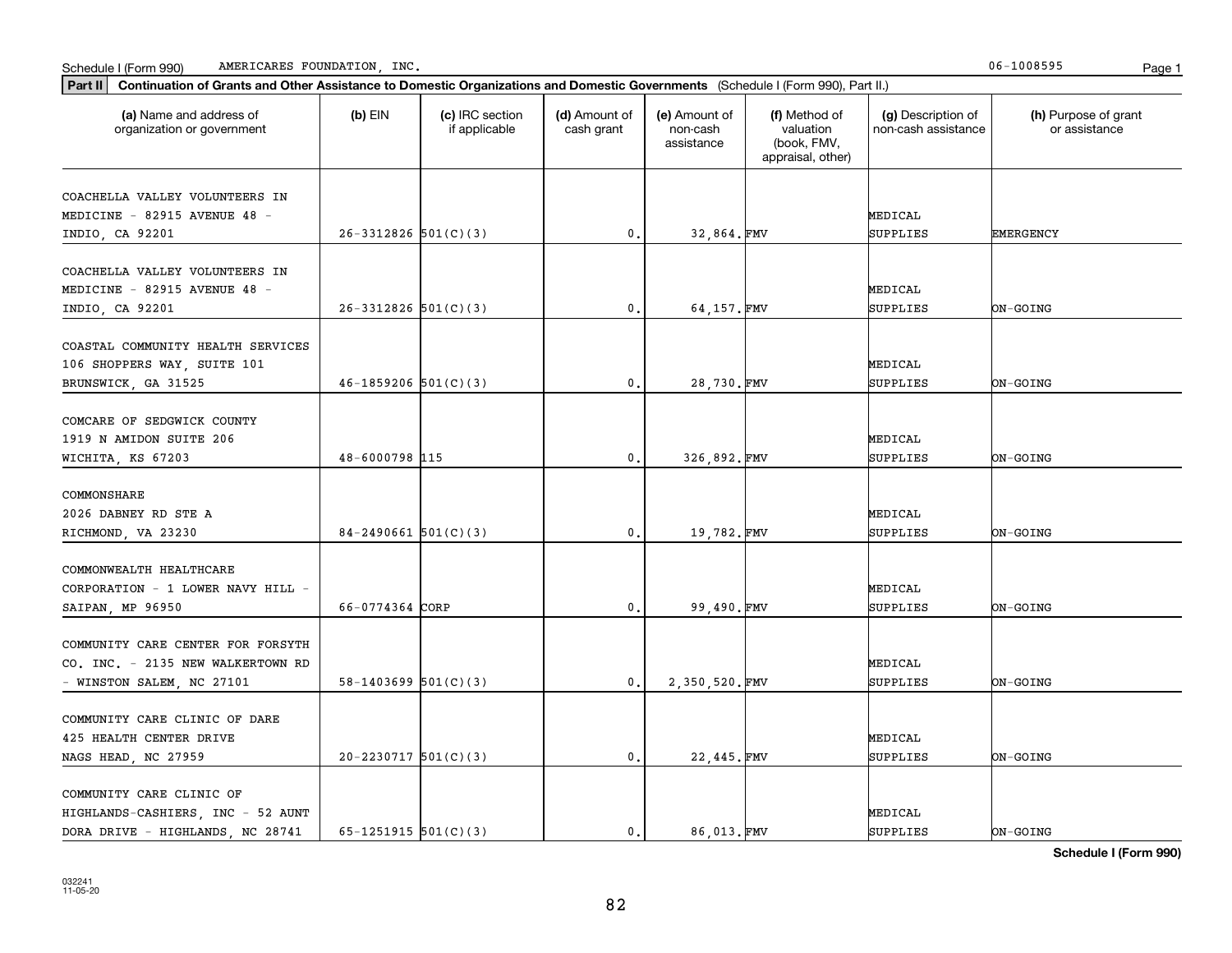| (a) Name and address of<br>organization or government | $(b)$ EIN                | (c) IRC section<br>if applicable | (d) Amount of<br>cash grant | (e) Amount of<br>non-cash<br>assistance | (f) Method of<br>valuation<br>(book, FMV,<br>appraisal, other) | (g) Description of<br>non-cash assistance | (h) Purpose of grant<br>or assistance |
|-------------------------------------------------------|--------------------------|----------------------------------|-----------------------------|-----------------------------------------|----------------------------------------------------------------|-------------------------------------------|---------------------------------------|
| COACHELLA VALLEY VOLUNTEERS IN                        |                          |                                  |                             |                                         |                                                                |                                           |                                       |
| MEDICINE - 82915 AVENUE 48 -                          |                          |                                  |                             |                                         |                                                                | MEDICAL                                   |                                       |
| INDIO, CA 92201                                       | $26-3312826$ $501(C)(3)$ |                                  | $\mathsf{0}\,$ .            | 32,864.FMV                              |                                                                | SUPPLIES                                  | <b>EMERGENCY</b>                      |
| COACHELLA VALLEY VOLUNTEERS IN                        |                          |                                  |                             |                                         |                                                                |                                           |                                       |
| MEDICINE - 82915 AVENUE 48 -                          |                          |                                  |                             |                                         |                                                                | MEDICAL                                   |                                       |
| INDIO, CA 92201                                       | $26-3312826$ 501(C)(3)   |                                  | 0.                          | 64,157.FMV                              |                                                                | SUPPLIES                                  | <b>DN-GOING</b>                       |
|                                                       |                          |                                  |                             |                                         |                                                                |                                           |                                       |
| COASTAL COMMUNITY HEALTH SERVICES                     |                          |                                  |                             |                                         |                                                                |                                           |                                       |
| 106 SHOPPERS WAY, SUITE 101                           |                          |                                  |                             |                                         |                                                                | MEDICAL                                   |                                       |
| BRUNSWICK, GA 31525                                   | $46 - 1859206$ 501(C)(3) |                                  | $\mathsf{0}\,$ .            | 28,730.FMV                              |                                                                | SUPPLIES                                  | <b>DN-GOING</b>                       |
| COMCARE OF SEDGWICK COUNTY                            |                          |                                  |                             |                                         |                                                                |                                           |                                       |
| 1919 N AMIDON SUITE 206                               |                          |                                  |                             |                                         |                                                                | MEDICAL                                   |                                       |
| WICHITA, KS 67203                                     | 48-6000798 115           |                                  | 0.                          | 326,892.FMV                             |                                                                | SUPPLIES                                  | <b>DN-GOING</b>                       |
|                                                       |                          |                                  |                             |                                         |                                                                |                                           |                                       |
| COMMONSHARE                                           |                          |                                  |                             |                                         |                                                                |                                           |                                       |
| 2026 DABNEY RD STE A                                  |                          |                                  |                             |                                         |                                                                | MEDICAL                                   |                                       |
| RICHMOND, VA 23230                                    | $84 - 2490661$ 501(C)(3) |                                  | 0.                          | 19,782.FMV                              |                                                                | SUPPLIES                                  | <b>DN-GOING</b>                       |
| COMMONWEALTH HEALTHCARE                               |                          |                                  |                             |                                         |                                                                |                                           |                                       |
| CORPORATION - 1 LOWER NAVY HILL -                     |                          |                                  |                             |                                         |                                                                | MEDICAL                                   |                                       |
| SAIPAN, MP 96950                                      | 66-0774364 CORP          |                                  | 0.                          | 99,490.FMV                              |                                                                | SUPPLIES                                  | <b>DN-GOING</b>                       |
|                                                       |                          |                                  |                             |                                         |                                                                |                                           |                                       |
| COMMUNITY CARE CENTER FOR FORSYTH                     |                          |                                  |                             |                                         |                                                                |                                           |                                       |
| CO. INC. - 2135 NEW WALKERTOWN RD                     |                          |                                  |                             |                                         |                                                                | MEDICAL                                   |                                       |
| - WINSTON SALEM, NC 27101                             | 58-1403699 $501(C)(3)$   |                                  | $\mathbf{0}$ .              | 2,350,520.FMV                           |                                                                | SUPPLIES                                  | <b>DN-GOING</b>                       |
| COMMUNITY CARE CLINIC OF DARE                         |                          |                                  |                             |                                         |                                                                |                                           |                                       |
| 425 HEALTH CENTER DRIVE                               |                          |                                  |                             |                                         |                                                                | MEDICAL                                   |                                       |
| NAGS HEAD, NC 27959                                   | $20-2230717$ 501(C)(3)   |                                  | 0.                          | 22,445.FMV                              |                                                                | SUPPLIES                                  | <b>DN-GOING</b>                       |
|                                                       |                          |                                  |                             |                                         |                                                                |                                           |                                       |
| COMMUNITY CARE CLINIC OF                              |                          |                                  |                             |                                         |                                                                |                                           |                                       |
| HIGHLANDS-CASHIERS, INC - 52 AUNT                     |                          |                                  |                             |                                         |                                                                | MEDICAL                                   |                                       |
| DORA DRIVE - HIGHLANDS, NC 28741                      | 65-1251915 $501(C)(3)$   |                                  | 0.                          | 86.013.FMV                              |                                                                | <b>SUPPLIES</b>                           | <b>DN-GOING</b>                       |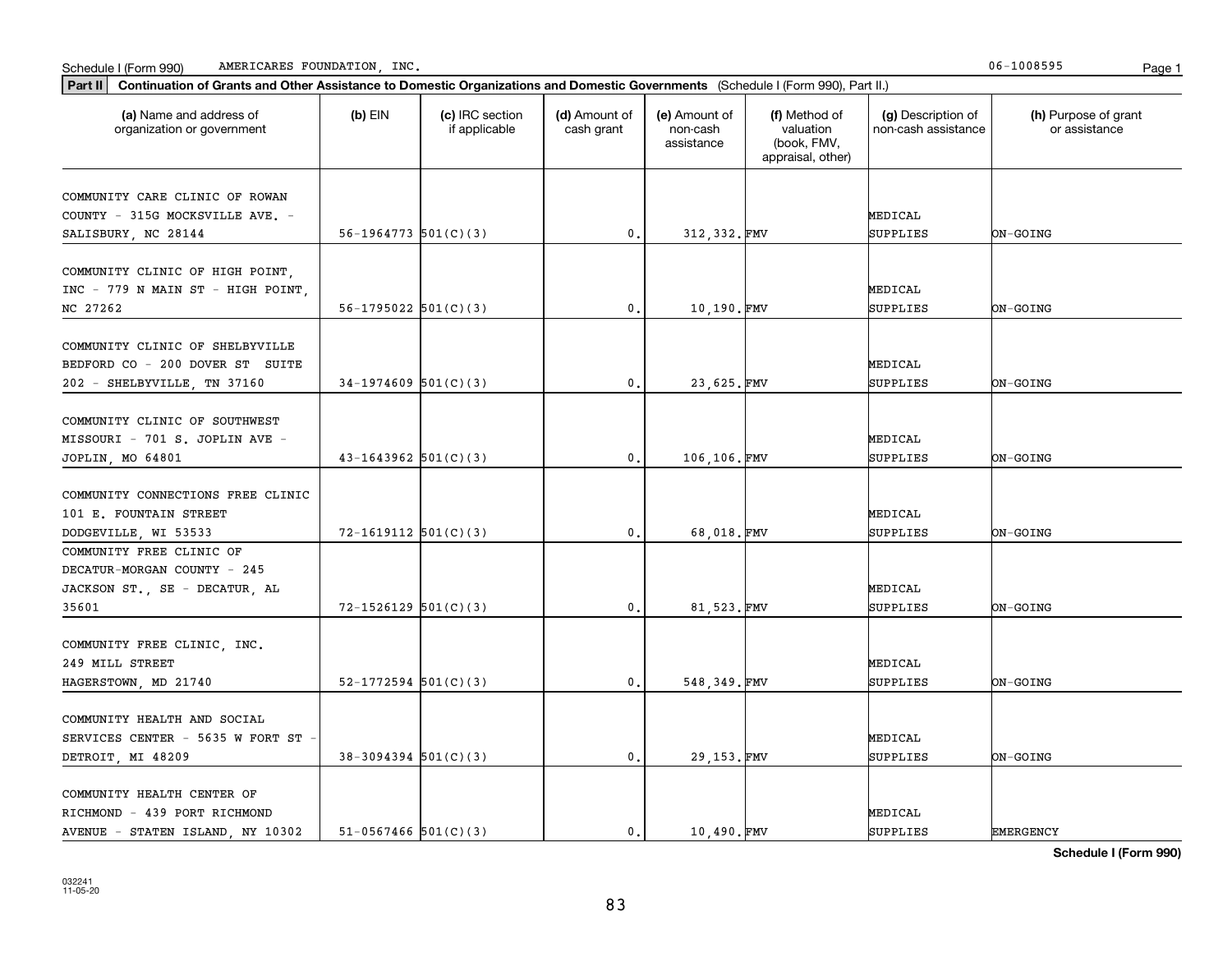| (a) Name and address of<br>organization or government | $(b)$ EIN                  | (c) IRC section<br>if applicable | (d) Amount of<br>cash grant | (e) Amount of<br>non-cash<br>assistance | (f) Method of<br>valuation<br>(book, FMV,<br>appraisal, other) | (g) Description of<br>non-cash assistance | (h) Purpose of grant<br>or assistance |
|-------------------------------------------------------|----------------------------|----------------------------------|-----------------------------|-----------------------------------------|----------------------------------------------------------------|-------------------------------------------|---------------------------------------|
| COMMUNITY CARE CLINIC OF ROWAN                        |                            |                                  |                             |                                         |                                                                |                                           |                                       |
| COUNTY - 315G MOCKSVILLE AVE. -                       |                            |                                  |                             |                                         |                                                                | MEDICAL                                   |                                       |
| SALISBURY, NC 28144                                   | $56-1964773$ $501(C)(3)$   |                                  | $\mathbf{0}$ .              | 312, 332. FMV                           |                                                                | SUPPLIES                                  | <b>DN-GOING</b>                       |
|                                                       |                            |                                  |                             |                                         |                                                                |                                           |                                       |
| COMMUNITY CLINIC OF HIGH POINT,                       |                            |                                  |                             |                                         |                                                                | MEDICAL                                   |                                       |
| INC - 779 N MAIN ST - HIGH POINT,                     |                            |                                  |                             |                                         |                                                                |                                           |                                       |
| NC 27262                                              | $56-1795022$ $501(C)(3)$   |                                  | 0.                          | 10,190.FMV                              |                                                                | SUPPLIES                                  | <b>DN-GOING</b>                       |
| COMMUNITY CLINIC OF SHELBYVILLE                       |                            |                                  |                             |                                         |                                                                |                                           |                                       |
| BEDFORD CO - 200 DOVER ST SUITE                       |                            |                                  |                             |                                         |                                                                | MEDICAL                                   |                                       |
| 202 - SHELBYVILLE, TN 37160                           | $34-1974609$ 501(C)(3)     |                                  | $\mathsf{0}\,$ .            | 23,625.FMV                              |                                                                | SUPPLIES                                  | <b>DN-GOING</b>                       |
| COMMUNITY CLINIC OF SOUTHWEST                         |                            |                                  |                             |                                         |                                                                |                                           |                                       |
| MISSOURI - 701 S. JOPLIN AVE -                        |                            |                                  |                             |                                         |                                                                | MEDICAL                                   |                                       |
| JOPLIN, MO 64801                                      | $43-1643962$ 501(C)(3)     |                                  | 0.                          | 106,106.FMV                             |                                                                | <b>SUPPLIES</b>                           | <b>DN-GOING</b>                       |
|                                                       |                            |                                  |                             |                                         |                                                                |                                           |                                       |
| COMMUNITY CONNECTIONS FREE CLINIC                     |                            |                                  |                             |                                         |                                                                |                                           |                                       |
| 101 E. FOUNTAIN STREET                                |                            |                                  |                             |                                         |                                                                | MEDICAL                                   |                                       |
| DODGEVILLE, WI 53533                                  | $72 - 1619112$ $501(C)(3)$ |                                  | $\mathbf{0}$ .              | 68,018.FMV                              |                                                                | SUPPLIES                                  | <b>DN-GOING</b>                       |
| COMMUNITY FREE CLINIC OF                              |                            |                                  |                             |                                         |                                                                |                                           |                                       |
| DECATUR-MORGAN COUNTY - 245                           |                            |                                  |                             |                                         |                                                                |                                           |                                       |
| JACKSON ST., SE - DECATUR, AL                         |                            |                                  |                             |                                         |                                                                | MEDICAL                                   |                                       |
| 35601                                                 | $72 - 1526129$ $501(C)(3)$ |                                  | 0.                          | 81,523. FMV                             |                                                                | SUPPLIES                                  | <b>DN-GOING</b>                       |
|                                                       |                            |                                  |                             |                                         |                                                                |                                           |                                       |
| COMMUNITY FREE CLINIC, INC.                           |                            |                                  |                             |                                         |                                                                |                                           |                                       |
| 249 MILL STREET                                       |                            |                                  |                             |                                         |                                                                | MEDICAL<br>SUPPLIES                       |                                       |
| HAGERSTOWN, MD 21740                                  | $52 - 1772594$ 501(C)(3)   |                                  | $\mathsf{0}\,$ .            | 548, 349. FMV                           |                                                                |                                           | <b>DN-GOING</b>                       |
| COMMUNITY HEALTH AND SOCIAL                           |                            |                                  |                             |                                         |                                                                |                                           |                                       |
| SERVICES CENTER - 5635 W FORT ST                      |                            |                                  |                             |                                         |                                                                | MEDICAL                                   |                                       |
| DETROIT, MI 48209                                     | $38-3094394$ $501(C)(3)$   |                                  | 0.                          | 29, 153. FMV                            |                                                                | SUPPLIES                                  | <b>DN-GOING</b>                       |
|                                                       |                            |                                  |                             |                                         |                                                                |                                           |                                       |
| COMMUNITY HEALTH CENTER OF                            |                            |                                  |                             |                                         |                                                                |                                           |                                       |
| RICHMOND - 439 PORT RICHMOND                          |                            |                                  |                             |                                         |                                                                | MEDICAL                                   |                                       |
| AVENUE - STATEN ISLAND, NY 10302                      | $51-0567466$ $501(C)(3)$   |                                  | 0.                          | 10.490.FMV                              |                                                                | <b>SUPPLIES</b>                           | <b>EMERGENCY</b>                      |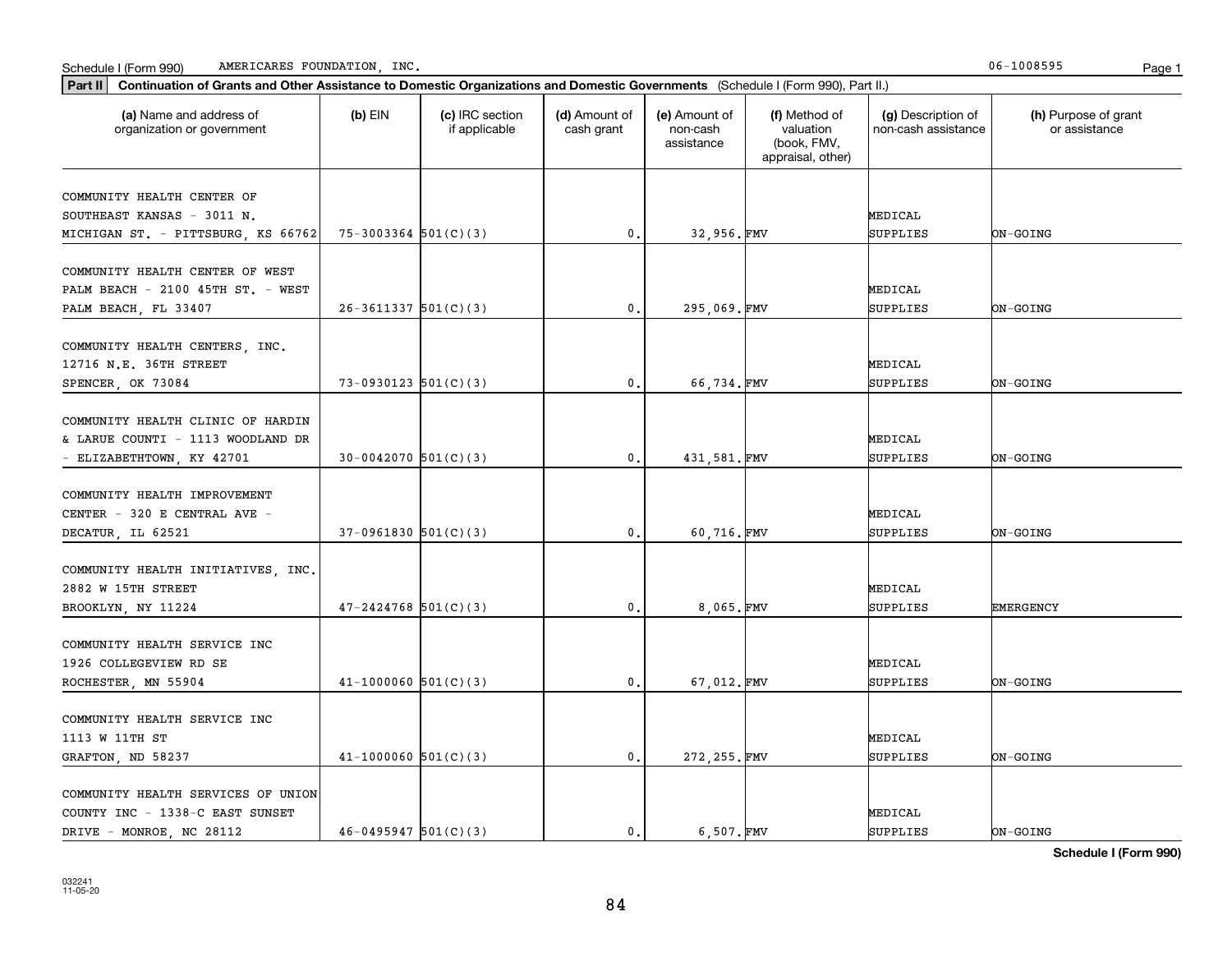| AMERICARES FOUNDATION<br>___________ | INC. | 1008595<br>០៩– |
|--------------------------------------|------|----------------|

Schedule I (Form 990) Page 1

| Part II   Continuation of Grants and Other Assistance to Domestic Organizations and Domestic Governments (Schedule I (Form 990), Part II.) |                          |                                  |                             |                                         |                                                                |                                           |                                       |
|--------------------------------------------------------------------------------------------------------------------------------------------|--------------------------|----------------------------------|-----------------------------|-----------------------------------------|----------------------------------------------------------------|-------------------------------------------|---------------------------------------|
| (a) Name and address of<br>organization or government                                                                                      | $(b)$ EIN                | (c) IRC section<br>if applicable | (d) Amount of<br>cash grant | (e) Amount of<br>non-cash<br>assistance | (f) Method of<br>valuation<br>(book, FMV,<br>appraisal, other) | (g) Description of<br>non-cash assistance | (h) Purpose of grant<br>or assistance |
|                                                                                                                                            |                          |                                  |                             |                                         |                                                                |                                           |                                       |
| COMMUNITY HEALTH CENTER OF<br>SOUTHEAST KANSAS - 3011 N.                                                                                   |                          |                                  |                             |                                         |                                                                | MEDICAL                                   |                                       |
| MICHIGAN ST. - PITTSBURG, KS 66762                                                                                                         | $75-3003364$ $501(C)(3)$ |                                  | $\mathbf{0}$ .              | 32,956.FMV                              |                                                                | SUPPLIES                                  | <b>bN-GOING</b>                       |
|                                                                                                                                            |                          |                                  |                             |                                         |                                                                |                                           |                                       |
| COMMUNITY HEALTH CENTER OF WEST                                                                                                            |                          |                                  |                             |                                         |                                                                |                                           |                                       |
| PALM BEACH - 2100 45TH ST. - WEST                                                                                                          |                          |                                  |                             |                                         |                                                                | MEDICAL                                   |                                       |
| PALM BEACH, FL 33407                                                                                                                       | $26-3611337$ $501(C)(3)$ |                                  | 0.                          | 295.069.FMV                             |                                                                | SUPPLIES                                  | <b>DN-GOING</b>                       |
|                                                                                                                                            |                          |                                  |                             |                                         |                                                                |                                           |                                       |
| COMMUNITY HEALTH CENTERS, INC.                                                                                                             |                          |                                  |                             |                                         |                                                                |                                           |                                       |
| 12716 N.E. 36TH STREET                                                                                                                     |                          |                                  |                             |                                         |                                                                | MEDICAL                                   |                                       |
| SPENCER, OK 73084                                                                                                                          | $73-0930123$ 501(C)(3)   |                                  | $\mathsf{0}\,$ .            | 66,734.FMV                              |                                                                | SUPPLIES                                  | <b>DN-GOING</b>                       |
|                                                                                                                                            |                          |                                  |                             |                                         |                                                                |                                           |                                       |
| COMMUNITY HEALTH CLINIC OF HARDIN                                                                                                          |                          |                                  |                             |                                         |                                                                |                                           |                                       |
| & LARUE COUNTI - 1113 WOODLAND DR                                                                                                          |                          |                                  |                             |                                         |                                                                | MEDICAL                                   |                                       |
| - ELIZABETHTOWN, KY 42701                                                                                                                  | 30-0042070 $501(C)(3)$   |                                  | 0.                          | 431,581.FMV                             |                                                                | SUPPLIES                                  | <b>DN-GOING</b>                       |
|                                                                                                                                            |                          |                                  |                             |                                         |                                                                |                                           |                                       |
| COMMUNITY HEALTH IMPROVEMENT                                                                                                               |                          |                                  |                             |                                         |                                                                |                                           |                                       |
| CENTER - 320 E CENTRAL AVE -                                                                                                               |                          |                                  |                             |                                         |                                                                | MEDICAL                                   |                                       |
| DECATUR, IL 62521                                                                                                                          | $37-0961830$ $501(C)(3)$ |                                  | 0.                          | 60,716.FMV                              |                                                                | SUPPLIES                                  | <b>DN-GOING</b>                       |
|                                                                                                                                            |                          |                                  |                             |                                         |                                                                |                                           |                                       |
| COMMUNITY HEALTH INITIATIVES, INC.                                                                                                         |                          |                                  |                             |                                         |                                                                |                                           |                                       |
| 2882 W 15TH STREET                                                                                                                         |                          |                                  |                             |                                         |                                                                | MEDICAL                                   |                                       |
| BROOKLYN, NY 11224                                                                                                                         | $47 - 2424768$ 501(C)(3) |                                  | 0.                          | 8.065.FMV                               |                                                                | SUPPLIES                                  | <b>EMERGENCY</b>                      |
|                                                                                                                                            |                          |                                  |                             |                                         |                                                                |                                           |                                       |
| COMMUNITY HEALTH SERVICE INC                                                                                                               |                          |                                  |                             |                                         |                                                                | MEDICAL                                   |                                       |
| 1926 COLLEGEVIEW RD SE                                                                                                                     |                          |                                  |                             |                                         |                                                                |                                           |                                       |
| ROCHESTER, MN 55904                                                                                                                        | $41-1000060$ 501(C)(3)   |                                  | $\mathsf{0}\,$ .            | 67,012.FMV                              |                                                                | SUPPLIES                                  | <b>DN-GOING</b>                       |
| COMMUNITY HEALTH SERVICE INC                                                                                                               |                          |                                  |                             |                                         |                                                                |                                           |                                       |
| 1113 W 11TH ST                                                                                                                             |                          |                                  |                             |                                         |                                                                | MEDICAL                                   |                                       |
| GRAFTON, ND 58237                                                                                                                          | $41-1000060$ 501(C)(3)   |                                  | 0.                          | 272, 255. FMV                           |                                                                | SUPPLIES                                  | <b>DN-GOING</b>                       |
|                                                                                                                                            |                          |                                  |                             |                                         |                                                                |                                           |                                       |
| COMMUNITY HEALTH SERVICES OF UNION                                                                                                         |                          |                                  |                             |                                         |                                                                |                                           |                                       |
| COUNTY INC - 1338-C EAST SUNSET                                                                                                            |                          |                                  |                             |                                         |                                                                | MEDICAL                                   |                                       |
| DRIVE - MONROE, NC 28112                                                                                                                   | $46 - 0495947$ 501(C)(3) |                                  | 0.                          | 6.507.FMV                               |                                                                | <b>SUPPLIES</b>                           | <b>DN-GOING</b>                       |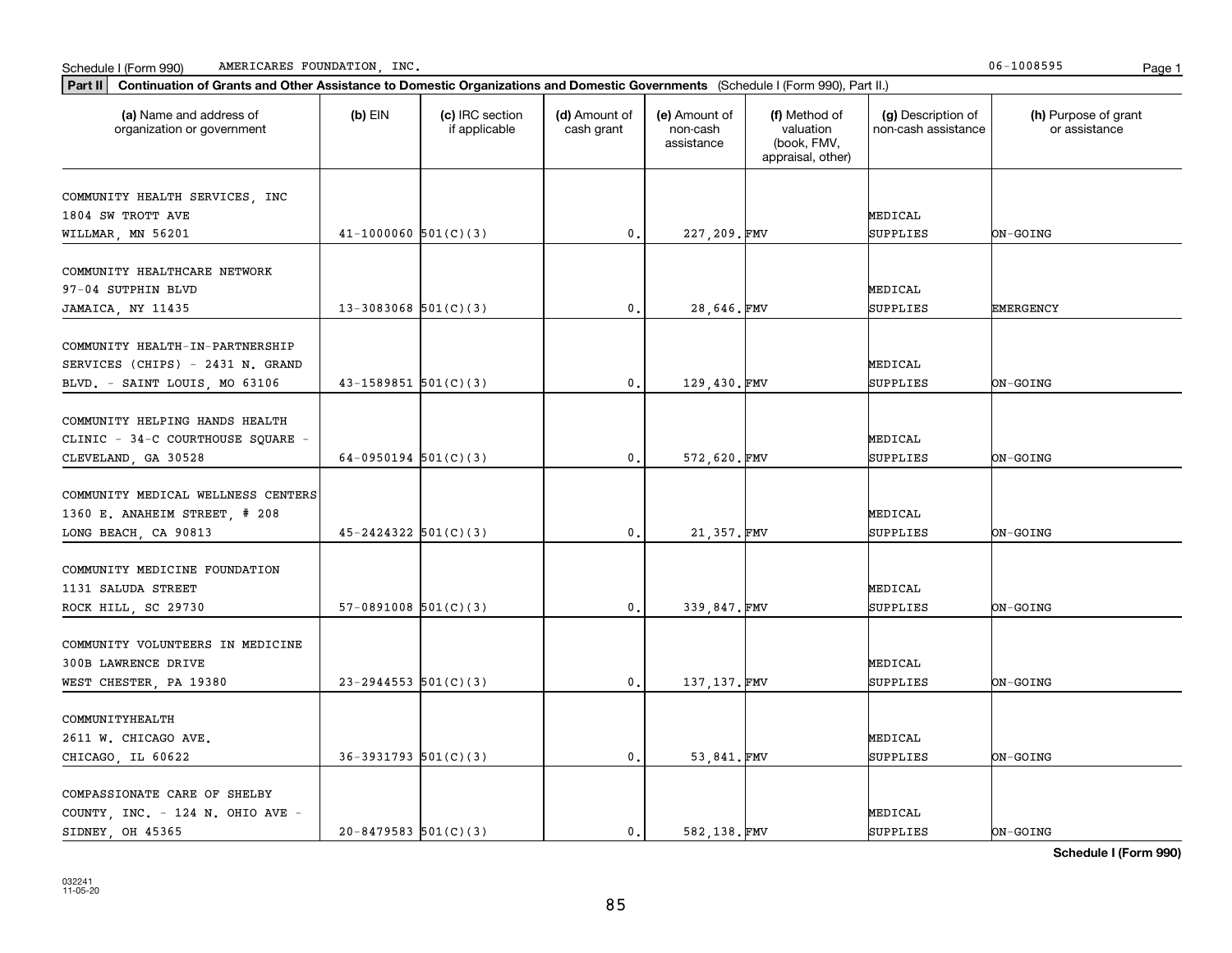| (a) Name and address of<br>organization or government | $(b)$ EIN                  | (c) IRC section<br>if applicable | (d) Amount of<br>cash grant | (e) Amount of<br>non-cash<br>assistance | (f) Method of<br>valuation<br>(book, FMV,<br>appraisal, other) | (g) Description of<br>non-cash assistance | (h) Purpose of grant<br>or assistance |
|-------------------------------------------------------|----------------------------|----------------------------------|-----------------------------|-----------------------------------------|----------------------------------------------------------------|-------------------------------------------|---------------------------------------|
| COMMUNITY HEALTH SERVICES, INC                        |                            |                                  |                             |                                         |                                                                |                                           |                                       |
| 1804 SW TROTT AVE                                     |                            |                                  |                             |                                         |                                                                | MEDICAL                                   |                                       |
| WILLMAR, MN 56201                                     | $41-1000060$ 501(C)(3)     |                                  | 0.                          | 227,209.FMV                             |                                                                | SUPPLIES                                  | <b>DN-GOING</b>                       |
|                                                       |                            |                                  |                             |                                         |                                                                |                                           |                                       |
| COMMUNITY HEALTHCARE NETWORK<br>97-04 SUTPHIN BLVD    |                            |                                  |                             |                                         |                                                                | MEDICAL                                   |                                       |
|                                                       | $13 - 3083068$ 501(C)(3)   |                                  | $\mathbf{0}$ .              |                                         |                                                                | SUPPLIES                                  | <b>EMERGENCY</b>                      |
| JAMAICA, NY 11435                                     |                            |                                  |                             | 28,646.FMV                              |                                                                |                                           |                                       |
| COMMUNITY HEALTH-IN-PARTNERSHIP                       |                            |                                  |                             |                                         |                                                                |                                           |                                       |
| SERVICES (CHIPS) - 2431 N. GRAND                      |                            |                                  |                             |                                         |                                                                | MEDICAL                                   |                                       |
| BLVD. - SAINT LOUIS, MO 63106                         | $43 - 1589851$ $501(C)(3)$ |                                  | 0.                          | 129,430.FMV                             |                                                                | SUPPLIES                                  | <b>DN-GOING</b>                       |
|                                                       |                            |                                  |                             |                                         |                                                                |                                           |                                       |
| COMMUNITY HELPING HANDS HEALTH                        |                            |                                  |                             |                                         |                                                                |                                           |                                       |
| CLINIC - 34-C COURTHOUSE SQUARE -                     |                            |                                  |                             |                                         |                                                                | MEDICAL                                   |                                       |
| CLEVELAND, GA 30528                                   | 64-0950194 $501(C)(3)$     |                                  | 0.                          | 572,620.FMV                             |                                                                | SUPPLIES                                  | <b>DN-GOING</b>                       |
|                                                       |                            |                                  |                             |                                         |                                                                |                                           |                                       |
| COMMUNITY MEDICAL WELLNESS CENTERS                    |                            |                                  |                             |                                         |                                                                | MEDICAL                                   |                                       |
| 1360 E. ANAHEIM STREET, # 208<br>LONG BEACH, CA 90813 | $45 - 2424322$ $501(C)(3)$ |                                  | 0.                          | 21,357.FMV                              |                                                                | SUPPLIES                                  | <b>DN-GOING</b>                       |
|                                                       |                            |                                  |                             |                                         |                                                                |                                           |                                       |
| COMMUNITY MEDICINE FOUNDATION                         |                            |                                  |                             |                                         |                                                                |                                           |                                       |
| 1131 SALUDA STREET                                    |                            |                                  |                             |                                         |                                                                | MEDICAL                                   |                                       |
| ROCK HILL, SC 29730                                   | $57-0891008$ $501(C)(3)$   |                                  | $\mathbf{0}$ .              | 339.847.FMV                             |                                                                | SUPPLIES                                  | <b>DN-GOING</b>                       |
|                                                       |                            |                                  |                             |                                         |                                                                |                                           |                                       |
| COMMUNITY VOLUNTEERS IN MEDICINE                      |                            |                                  |                             |                                         |                                                                |                                           |                                       |
| 300B LAWRENCE DRIVE                                   |                            |                                  |                             |                                         |                                                                | MEDICAL                                   |                                       |
| WEST CHESTER, PA 19380                                | $23 - 2944553$ $501(C)(3)$ |                                  | 0.                          | 137, 137. FMV                           |                                                                | SUPPLIES                                  | <b>DN-GOING</b>                       |
|                                                       |                            |                                  |                             |                                         |                                                                |                                           |                                       |
| COMMUNITYHEALTH                                       |                            |                                  |                             |                                         |                                                                |                                           |                                       |
| 2611 W. CHICAGO AVE.                                  |                            |                                  |                             |                                         |                                                                | MEDICAL                                   |                                       |
| CHICAGO, IL 60622                                     | $36-3931793$ $501(C)(3)$   |                                  | 0.                          | 53,841.FMV                              |                                                                | SUPPLIES                                  | <b>DN-GOING</b>                       |
| COMPASSIONATE CARE OF SHELBY                          |                            |                                  |                             |                                         |                                                                |                                           |                                       |
| COUNTY, INC. - 124 N. OHIO AVE -                      |                            |                                  |                             |                                         |                                                                | MEDICAL                                   |                                       |
| SIDNEY OH 45365                                       | $20 - 8479583$ 501(C)(3)   |                                  | 0.                          | 582.138.FMV                             |                                                                | SUPPLIES                                  | <b>DN-GOING</b>                       |
|                                                       |                            |                                  |                             |                                         |                                                                |                                           |                                       |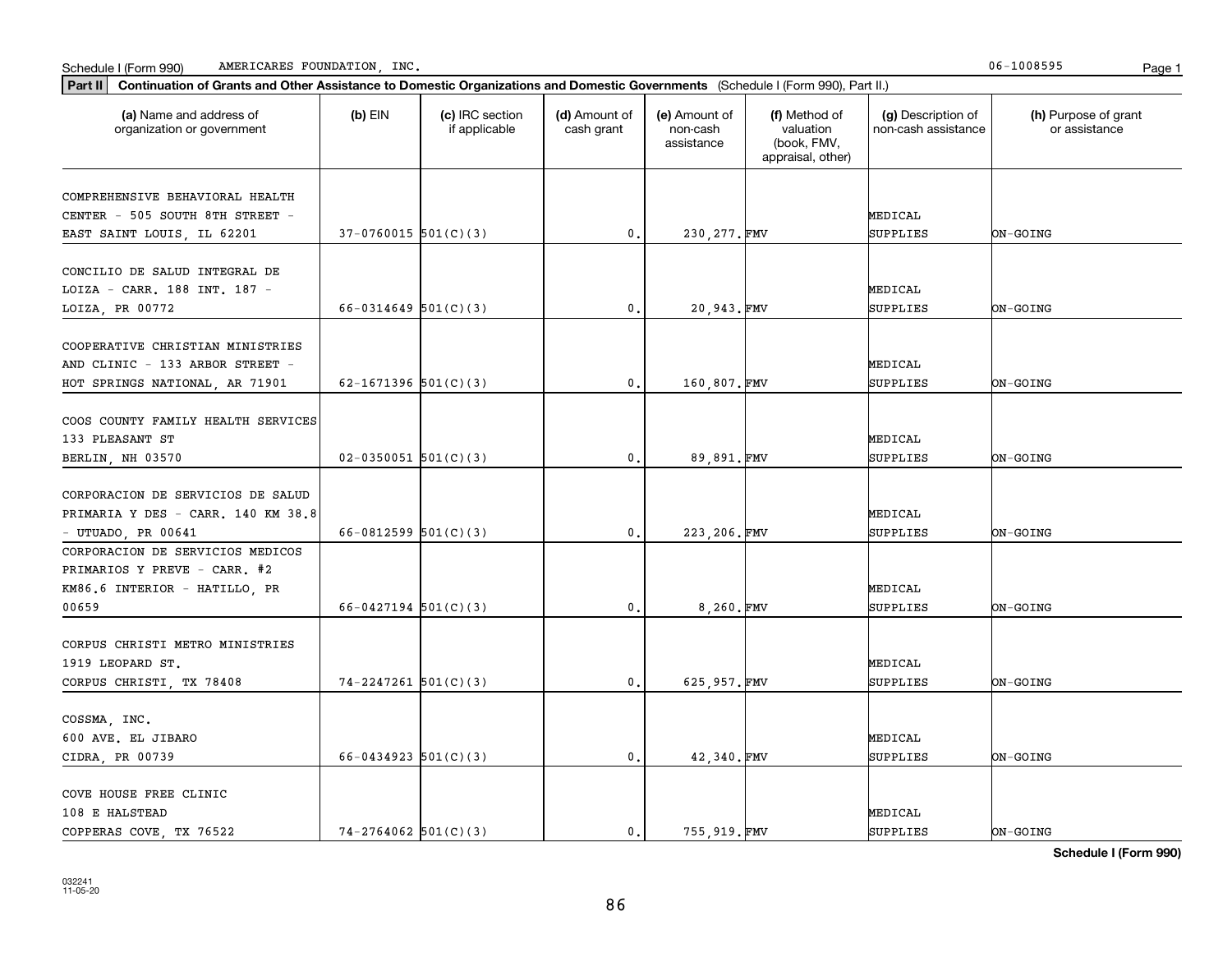| (a) Name and address of<br>organization or government | $(b)$ EIN                  | (c) IRC section<br>if applicable | (d) Amount of<br>cash grant | (e) Amount of<br>non-cash<br>assistance | (f) Method of<br>valuation<br>(book, FMV,<br>appraisal, other) | (g) Description of<br>non-cash assistance | (h) Purpose of grant<br>or assistance |
|-------------------------------------------------------|----------------------------|----------------------------------|-----------------------------|-----------------------------------------|----------------------------------------------------------------|-------------------------------------------|---------------------------------------|
| COMPREHENSIVE BEHAVIORAL HEALTH                       |                            |                                  |                             |                                         |                                                                |                                           |                                       |
| CENTER - 505 SOUTH 8TH STREET -                       |                            |                                  |                             |                                         |                                                                | MEDICAL                                   |                                       |
| EAST SAINT LOUIS, IL 62201                            | $37-0760015$ 501(C)(3)     |                                  | $\mathsf{0}\,$ .            | 230, 277. FMV                           |                                                                | SUPPLIES                                  | <b>DN-GOING</b>                       |
|                                                       |                            |                                  |                             |                                         |                                                                |                                           |                                       |
| CONCILIO DE SALUD INTEGRAL DE                         |                            |                                  |                             |                                         |                                                                |                                           |                                       |
| LOIZA - CARR. 188 INT. 187 -                          |                            |                                  |                             |                                         |                                                                | MEDICAL                                   |                                       |
| LOIZA, PR 00772                                       | $66-0314649$ 501(C)(3)     |                                  | $\mathbf{0}$ .              | 20,943.FMV                              |                                                                | SUPPLIES                                  | <b>DN-GOING</b>                       |
| COOPERATIVE CHRISTIAN MINISTRIES                      |                            |                                  |                             |                                         |                                                                |                                           |                                       |
| AND CLINIC - 133 ARBOR STREET -                       |                            |                                  |                             |                                         |                                                                | MEDICAL                                   |                                       |
| HOT SPRINGS NATIONAL, AR 71901                        | 62-1671396 $501(C)(3)$     |                                  | 0.                          | 160,807.FMV                             |                                                                | SUPPLIES                                  | <b>DN-GOING</b>                       |
|                                                       |                            |                                  |                             |                                         |                                                                |                                           |                                       |
| COOS COUNTY FAMILY HEALTH SERVICES                    |                            |                                  |                             |                                         |                                                                |                                           |                                       |
| 133 PLEASANT ST                                       |                            |                                  |                             |                                         |                                                                | MEDICAL                                   |                                       |
| BERLIN, NH 03570                                      | $02 - 0350051$ 501(C)(3)   |                                  | 0.                          | 89,891.FMV                              |                                                                | SUPPLIES                                  | <b>DN-GOING</b>                       |
|                                                       |                            |                                  |                             |                                         |                                                                |                                           |                                       |
| CORPORACION DE SERVICIOS DE SALUD                     |                            |                                  |                             |                                         |                                                                |                                           |                                       |
| PRIMARIA Y DES - CARR. 140 KM 38.8                    |                            |                                  |                             |                                         |                                                                | MEDICAL                                   |                                       |
| - UTUADO, PR 00641                                    | $66-0812599$ $501(C)(3)$   |                                  | $\mathbf{0}$ .              | 223, 206. FMV                           |                                                                | SUPPLIES                                  | <b>DN-GOING</b>                       |
| CORPORACION DE SERVICIOS MEDICOS                      |                            |                                  |                             |                                         |                                                                |                                           |                                       |
| PRIMARIOS Y PREVE - CARR. #2                          |                            |                                  |                             |                                         |                                                                |                                           |                                       |
| KM86.6 INTERIOR - HATILLO, PR                         |                            |                                  |                             |                                         |                                                                | MEDICAL                                   |                                       |
| 00659                                                 | $66 - 0427194$ 501(C)(3)   |                                  | 0.                          | 8.260.FMV                               |                                                                | SUPPLIES                                  | <b>DN-GOING</b>                       |
|                                                       |                            |                                  |                             |                                         |                                                                |                                           |                                       |
| CORPUS CHRISTI METRO MINISTRIES                       |                            |                                  |                             |                                         |                                                                |                                           |                                       |
| 1919 LEOPARD ST.                                      |                            |                                  |                             |                                         |                                                                | MEDICAL                                   |                                       |
| CORPUS CHRISTI, TX 78408                              | $74 - 2247261$ 501(C)(3)   |                                  | $\mathbf{0}$ .              | 625,957.FMV                             |                                                                | SUPPLIES                                  | <b>DN-GOING</b>                       |
| COSSMA, INC.                                          |                            |                                  |                             |                                         |                                                                |                                           |                                       |
| 600 AVE. EL JIBARO                                    |                            |                                  |                             |                                         |                                                                | MEDICAL                                   |                                       |
| CIDRA, PR 00739                                       | $66 - 0434923$ $501(C)(3)$ |                                  | $\mathbf{0}$ .              | 42,340.FMV                              |                                                                | SUPPLIES                                  | <b>DN-GOING</b>                       |
|                                                       |                            |                                  |                             |                                         |                                                                |                                           |                                       |
| COVE HOUSE FREE CLINIC                                |                            |                                  |                             |                                         |                                                                |                                           |                                       |
| 108 E HALSTEAD                                        |                            |                                  |                             |                                         |                                                                | MEDICAL                                   |                                       |
| COPPERAS COVE, TX 76522                               | $74 - 2764062$ 501(C)(3)   |                                  | 0.                          | 755,919.FMV                             |                                                                | SUPPLIES                                  | <b>DN-GOING</b>                       |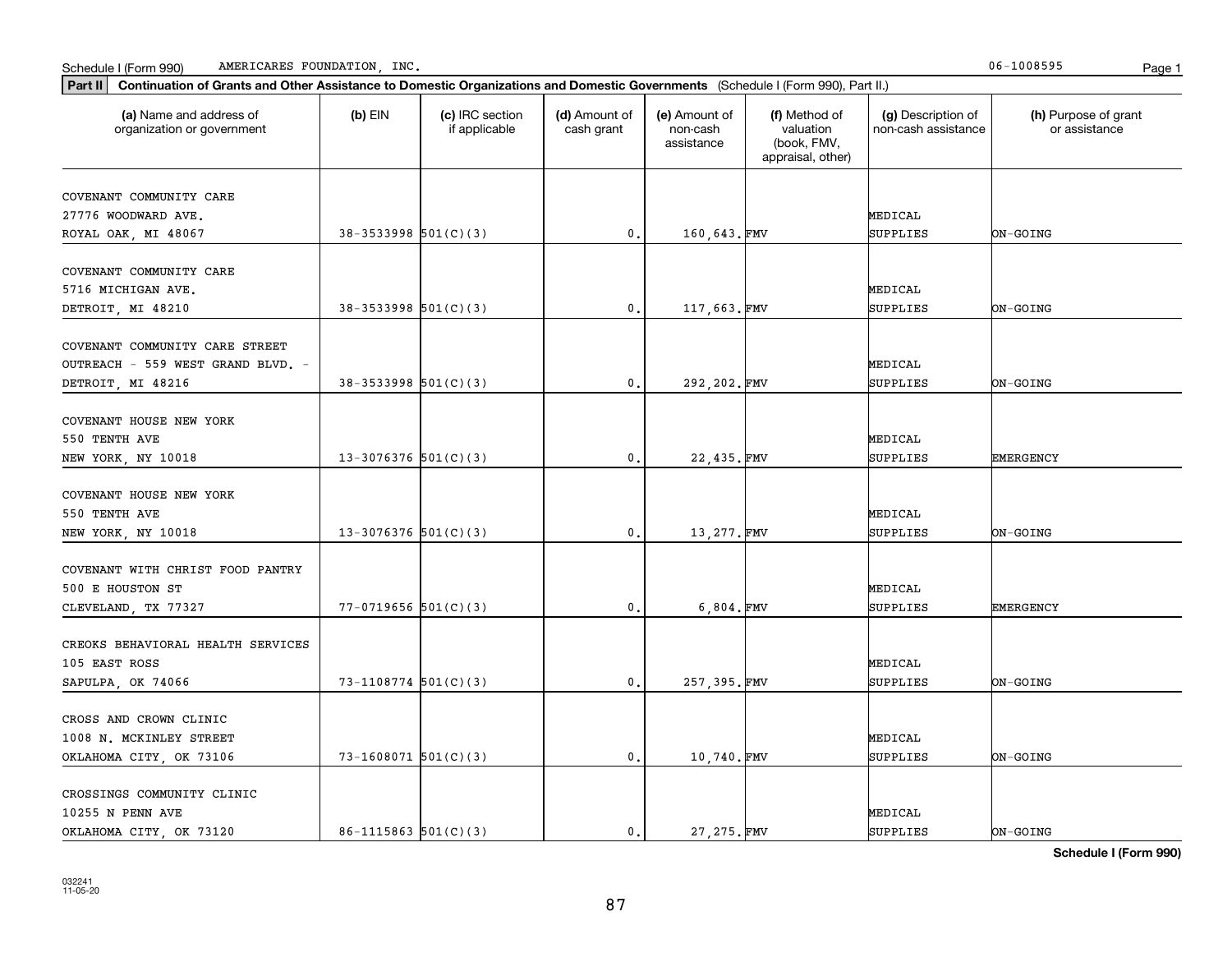| Schedule I (Form 990) |  | FOUNDATION<br>AMERICARES | INC. |  | Page |  |
|-----------------------|--|--------------------------|------|--|------|--|
|-----------------------|--|--------------------------|------|--|------|--|

| COVENANT COMMUNITY CARE<br>27776 WOODWARD AVE.<br>MEDICAL<br>$38-3533998$ $501(C)(3)$<br>0.<br>160,643.FMV<br>SUPPLIES<br><b>DN-GOING</b><br>ROYAL OAK, MI 48067<br>COVENANT COMMUNITY CARE<br>MEDICAL<br>5716 MICHIGAN AVE.<br>117,663.FMV<br>$38-3533998$ $501(C)(3)$<br>$\mathbf{0}$ .<br>SUPPLIES<br><b>DN-GOING</b><br>DETROIT, MI 48210<br>COVENANT COMMUNITY CARE STREET<br>MEDICAL<br>$38-3533998$ $501(C)(3)$<br>$\mathfrak o$ .<br>292, 202. FMV<br>SUPPLIES<br><b>DN-GOING</b><br>MEDICAL<br>$13-3076376$ 501(C)(3)<br>0.<br>22,435.FMV<br>SUPPLIES<br><b>EMERGENCY</b><br>MEDICAL<br>$13-3076376$ 501(C)(3)<br>13, 277. FMV<br>SUPPLIES<br><b>DN-GOING</b><br>$\mathbf{0}$ .<br>MEDICAL<br>6,804.FMV<br>$77-0719656$ 501(C)(3)<br>$\mathbf{0}$ .<br>SUPPLIES<br><b>EMERGENCY</b><br>MEDICAL<br>$73 - 1108774$ 501(C)(3)<br>$\mathfrak o$ .<br>SUPPLIES<br><b>DN-GOING</b><br>257,395.FMV<br>MEDICAL<br>$73-1608071$ 501(C)(3)<br>$\mathbf 0$ .<br>10,740.FMV<br>SUPPLIES<br><b>DN-GOING</b><br>MEDICAL<br>$86 - 1115863$ $501(C)(3)$<br>27.275.FMV | (a) Name and address of<br>organization or government | $(b)$ EIN | (c) IRC section<br>if applicable | (d) Amount of<br>cash grant | (e) Amount of<br>non-cash<br>assistance | (f) Method of<br>valuation<br>(book, FMV,<br>appraisal, other) | (g) Description of<br>non-cash assistance | (h) Purpose of grant<br>or assistance |
|----------------------------------------------------------------------------------------------------------------------------------------------------------------------------------------------------------------------------------------------------------------------------------------------------------------------------------------------------------------------------------------------------------------------------------------------------------------------------------------------------------------------------------------------------------------------------------------------------------------------------------------------------------------------------------------------------------------------------------------------------------------------------------------------------------------------------------------------------------------------------------------------------------------------------------------------------------------------------------------------------------------------------------------------------------------|-------------------------------------------------------|-----------|----------------------------------|-----------------------------|-----------------------------------------|----------------------------------------------------------------|-------------------------------------------|---------------------------------------|
|                                                                                                                                                                                                                                                                                                                                                                                                                                                                                                                                                                                                                                                                                                                                                                                                                                                                                                                                                                                                                                                                |                                                       |           |                                  |                             |                                         |                                                                |                                           |                                       |
|                                                                                                                                                                                                                                                                                                                                                                                                                                                                                                                                                                                                                                                                                                                                                                                                                                                                                                                                                                                                                                                                |                                                       |           |                                  |                             |                                         |                                                                |                                           |                                       |
|                                                                                                                                                                                                                                                                                                                                                                                                                                                                                                                                                                                                                                                                                                                                                                                                                                                                                                                                                                                                                                                                |                                                       |           |                                  |                             |                                         |                                                                |                                           |                                       |
|                                                                                                                                                                                                                                                                                                                                                                                                                                                                                                                                                                                                                                                                                                                                                                                                                                                                                                                                                                                                                                                                |                                                       |           |                                  |                             |                                         |                                                                |                                           |                                       |
|                                                                                                                                                                                                                                                                                                                                                                                                                                                                                                                                                                                                                                                                                                                                                                                                                                                                                                                                                                                                                                                                |                                                       |           |                                  |                             |                                         |                                                                |                                           |                                       |
|                                                                                                                                                                                                                                                                                                                                                                                                                                                                                                                                                                                                                                                                                                                                                                                                                                                                                                                                                                                                                                                                |                                                       |           |                                  |                             |                                         |                                                                |                                           |                                       |
|                                                                                                                                                                                                                                                                                                                                                                                                                                                                                                                                                                                                                                                                                                                                                                                                                                                                                                                                                                                                                                                                |                                                       |           |                                  |                             |                                         |                                                                |                                           |                                       |
| OUTREACH - 559 WEST GRAND BLVD. -<br>DETROIT, MI 48216<br>COVENANT HOUSE NEW YORK<br>550 TENTH AVE<br>NEW YORK, NY 10018<br>COVENANT HOUSE NEW YORK<br>550 TENTH AVE<br>NEW YORK, NY 10018<br>COVENANT WITH CHRIST FOOD PANTRY<br>500 E HOUSTON ST<br>CLEVELAND, TX 77327<br>CREOKS BEHAVIORAL HEALTH SERVICES<br>105 EAST ROSS<br>SAPULPA, OK 74066<br>CROSS AND CROWN CLINIC<br>1008 N. MCKINLEY STREET<br>OKLAHOMA CITY, OK 73106<br>CROSSINGS COMMUNITY CLINIC<br>10255 N PENN AVE                                                                                                                                                                                                                                                                                                                                                                                                                                                                                                                                                                         |                                                       |           |                                  |                             |                                         |                                                                |                                           |                                       |
|                                                                                                                                                                                                                                                                                                                                                                                                                                                                                                                                                                                                                                                                                                                                                                                                                                                                                                                                                                                                                                                                |                                                       |           |                                  |                             |                                         |                                                                |                                           |                                       |
|                                                                                                                                                                                                                                                                                                                                                                                                                                                                                                                                                                                                                                                                                                                                                                                                                                                                                                                                                                                                                                                                |                                                       |           |                                  |                             |                                         |                                                                |                                           |                                       |
|                                                                                                                                                                                                                                                                                                                                                                                                                                                                                                                                                                                                                                                                                                                                                                                                                                                                                                                                                                                                                                                                |                                                       |           |                                  |                             |                                         |                                                                |                                           |                                       |
|                                                                                                                                                                                                                                                                                                                                                                                                                                                                                                                                                                                                                                                                                                                                                                                                                                                                                                                                                                                                                                                                |                                                       |           |                                  |                             |                                         |                                                                |                                           |                                       |
|                                                                                                                                                                                                                                                                                                                                                                                                                                                                                                                                                                                                                                                                                                                                                                                                                                                                                                                                                                                                                                                                |                                                       |           |                                  |                             |                                         |                                                                |                                           |                                       |
|                                                                                                                                                                                                                                                                                                                                                                                                                                                                                                                                                                                                                                                                                                                                                                                                                                                                                                                                                                                                                                                                |                                                       |           |                                  |                             |                                         |                                                                |                                           |                                       |
|                                                                                                                                                                                                                                                                                                                                                                                                                                                                                                                                                                                                                                                                                                                                                                                                                                                                                                                                                                                                                                                                |                                                       |           |                                  |                             |                                         |                                                                |                                           |                                       |
|                                                                                                                                                                                                                                                                                                                                                                                                                                                                                                                                                                                                                                                                                                                                                                                                                                                                                                                                                                                                                                                                |                                                       |           |                                  |                             |                                         |                                                                |                                           |                                       |
|                                                                                                                                                                                                                                                                                                                                                                                                                                                                                                                                                                                                                                                                                                                                                                                                                                                                                                                                                                                                                                                                |                                                       |           |                                  |                             |                                         |                                                                |                                           |                                       |
|                                                                                                                                                                                                                                                                                                                                                                                                                                                                                                                                                                                                                                                                                                                                                                                                                                                                                                                                                                                                                                                                |                                                       |           |                                  |                             |                                         |                                                                |                                           |                                       |
|                                                                                                                                                                                                                                                                                                                                                                                                                                                                                                                                                                                                                                                                                                                                                                                                                                                                                                                                                                                                                                                                |                                                       |           |                                  |                             |                                         |                                                                |                                           |                                       |
|                                                                                                                                                                                                                                                                                                                                                                                                                                                                                                                                                                                                                                                                                                                                                                                                                                                                                                                                                                                                                                                                |                                                       |           |                                  |                             |                                         |                                                                |                                           |                                       |
|                                                                                                                                                                                                                                                                                                                                                                                                                                                                                                                                                                                                                                                                                                                                                                                                                                                                                                                                                                                                                                                                |                                                       |           |                                  |                             |                                         |                                                                |                                           |                                       |
|                                                                                                                                                                                                                                                                                                                                                                                                                                                                                                                                                                                                                                                                                                                                                                                                                                                                                                                                                                                                                                                                |                                                       |           |                                  |                             |                                         |                                                                |                                           |                                       |
|                                                                                                                                                                                                                                                                                                                                                                                                                                                                                                                                                                                                                                                                                                                                                                                                                                                                                                                                                                                                                                                                |                                                       |           |                                  |                             |                                         |                                                                |                                           |                                       |
|                                                                                                                                                                                                                                                                                                                                                                                                                                                                                                                                                                                                                                                                                                                                                                                                                                                                                                                                                                                                                                                                |                                                       |           |                                  |                             |                                         |                                                                |                                           |                                       |
|                                                                                                                                                                                                                                                                                                                                                                                                                                                                                                                                                                                                                                                                                                                                                                                                                                                                                                                                                                                                                                                                |                                                       |           |                                  |                             |                                         |                                                                |                                           |                                       |
|                                                                                                                                                                                                                                                                                                                                                                                                                                                                                                                                                                                                                                                                                                                                                                                                                                                                                                                                                                                                                                                                |                                                       |           |                                  |                             |                                         |                                                                |                                           |                                       |
|                                                                                                                                                                                                                                                                                                                                                                                                                                                                                                                                                                                                                                                                                                                                                                                                                                                                                                                                                                                                                                                                |                                                       |           |                                  |                             |                                         |                                                                |                                           |                                       |
|                                                                                                                                                                                                                                                                                                                                                                                                                                                                                                                                                                                                                                                                                                                                                                                                                                                                                                                                                                                                                                                                |                                                       |           |                                  |                             |                                         |                                                                |                                           |                                       |
|                                                                                                                                                                                                                                                                                                                                                                                                                                                                                                                                                                                                                                                                                                                                                                                                                                                                                                                                                                                                                                                                |                                                       |           |                                  |                             |                                         |                                                                |                                           |                                       |
|                                                                                                                                                                                                                                                                                                                                                                                                                                                                                                                                                                                                                                                                                                                                                                                                                                                                                                                                                                                                                                                                |                                                       |           |                                  |                             |                                         |                                                                |                                           |                                       |
|                                                                                                                                                                                                                                                                                                                                                                                                                                                                                                                                                                                                                                                                                                                                                                                                                                                                                                                                                                                                                                                                |                                                       |           |                                  |                             |                                         |                                                                |                                           |                                       |
|                                                                                                                                                                                                                                                                                                                                                                                                                                                                                                                                                                                                                                                                                                                                                                                                                                                                                                                                                                                                                                                                | OKLAHOMA CITY, OK 73120                               |           |                                  | $\mathbf{0}$ .              |                                         |                                                                | <b>SUPPLIES</b>                           | <b>DN-GOING</b>                       |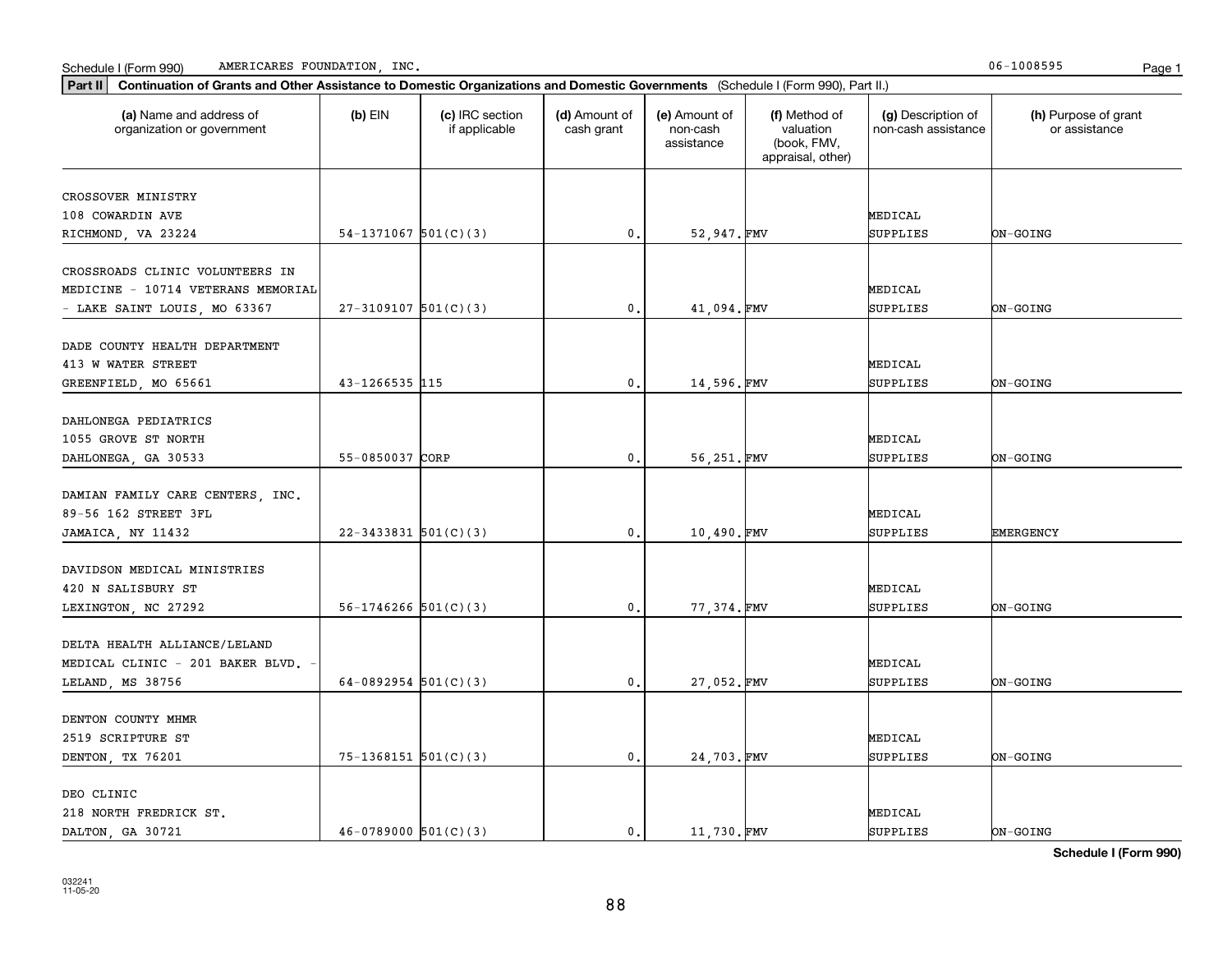| CROSSOVER MINISTRY<br>MEDICAL<br>$54-1371067$ 501(C)(3)<br>52,947. FMV<br>$\mathfrak o$ .<br>SUPPLIES<br>MEDICAL<br>41,094.FMV<br>$27-3109107$ 501(C)(3)<br>$\mathbf{0}$ .<br>SUPPLIES<br>MEDICAL<br>$43 - 1266535$ 115<br>$\mathbf{0}$ .<br>14,596.FMV<br>SUPPLIES<br>MEDICAL<br>55-0850037 CORP<br>0.<br>56,251.FMV<br>SUPPLIES<br>MEDICAL<br>$22 - 3433831$ 501(C)(3)<br>10,490.FMV<br>SUPPLIES<br>$\mathbf{0}$ .<br>MEDICAL<br>$56-1746266$ $501(C)(3)$<br>77,374.FMV<br>$\mathbf{0}$ .<br>SUPPLIES<br>MEDICAL<br>64-0892954 $501(C)(3)$<br>$\mathbf{0}$ .<br>27,052.FMV<br>SUPPLIES<br>MEDICAL<br>$75 - 1368151$ $501(C)(3)$<br>24,703. FMV<br>$\mathbf{0}$ .<br>SUPPLIES<br>MEDICAL | (a) Name and address of<br>organization or government | $(b)$ EIN | (c) IRC section<br>if applicable | (d) Amount of<br>cash grant | (e) Amount of<br>non-cash<br>assistance | (f) Method of<br>valuation<br>(book, FMV,<br>appraisal, other) | (g) Description of<br>non-cash assistance | (h) Purpose of grant<br>or assistance |
|-------------------------------------------------------------------------------------------------------------------------------------------------------------------------------------------------------------------------------------------------------------------------------------------------------------------------------------------------------------------------------------------------------------------------------------------------------------------------------------------------------------------------------------------------------------------------------------------------------------------------------------------------------------------------------------------|-------------------------------------------------------|-----------|----------------------------------|-----------------------------|-----------------------------------------|----------------------------------------------------------------|-------------------------------------------|---------------------------------------|
| 108 COWARDIN AVE                                                                                                                                                                                                                                                                                                                                                                                                                                                                                                                                                                                                                                                                          |                                                       |           |                                  |                             |                                         |                                                                |                                           |                                       |
| RICHMOND, VA 23224<br>CROSSROADS CLINIC VOLUNTEERS IN<br>MEDICINE - 10714 VETERANS MEMORIAL<br>- LAKE SAINT LOUIS, MO 63367<br>DADE COUNTY HEALTH DEPARTMENT<br>413 W WATER STREET<br>GREENFIELD, MO 65661<br>DAHLONEGA PEDIATRICS<br>1055 GROVE ST NORTH<br>DAHLONEGA, GA 30533                                                                                                                                                                                                                                                                                                                                                                                                          |                                                       |           |                                  |                             |                                         |                                                                |                                           |                                       |
|                                                                                                                                                                                                                                                                                                                                                                                                                                                                                                                                                                                                                                                                                           |                                                       |           |                                  |                             |                                         |                                                                |                                           | <b>DN-GOING</b>                       |
|                                                                                                                                                                                                                                                                                                                                                                                                                                                                                                                                                                                                                                                                                           |                                                       |           |                                  |                             |                                         |                                                                |                                           |                                       |
|                                                                                                                                                                                                                                                                                                                                                                                                                                                                                                                                                                                                                                                                                           |                                                       |           |                                  |                             |                                         |                                                                |                                           |                                       |
|                                                                                                                                                                                                                                                                                                                                                                                                                                                                                                                                                                                                                                                                                           |                                                       |           |                                  |                             |                                         |                                                                |                                           |                                       |
|                                                                                                                                                                                                                                                                                                                                                                                                                                                                                                                                                                                                                                                                                           |                                                       |           |                                  |                             |                                         |                                                                |                                           | <b>DN-GOING</b>                       |
|                                                                                                                                                                                                                                                                                                                                                                                                                                                                                                                                                                                                                                                                                           |                                                       |           |                                  |                             |                                         |                                                                |                                           |                                       |
|                                                                                                                                                                                                                                                                                                                                                                                                                                                                                                                                                                                                                                                                                           |                                                       |           |                                  |                             |                                         |                                                                |                                           |                                       |
|                                                                                                                                                                                                                                                                                                                                                                                                                                                                                                                                                                                                                                                                                           |                                                       |           |                                  |                             |                                         |                                                                |                                           |                                       |
|                                                                                                                                                                                                                                                                                                                                                                                                                                                                                                                                                                                                                                                                                           |                                                       |           |                                  |                             |                                         |                                                                |                                           | <b>ON-GOING</b>                       |
|                                                                                                                                                                                                                                                                                                                                                                                                                                                                                                                                                                                                                                                                                           |                                                       |           |                                  |                             |                                         |                                                                |                                           |                                       |
|                                                                                                                                                                                                                                                                                                                                                                                                                                                                                                                                                                                                                                                                                           |                                                       |           |                                  |                             |                                         |                                                                |                                           |                                       |
|                                                                                                                                                                                                                                                                                                                                                                                                                                                                                                                                                                                                                                                                                           |                                                       |           |                                  |                             |                                         |                                                                |                                           |                                       |
|                                                                                                                                                                                                                                                                                                                                                                                                                                                                                                                                                                                                                                                                                           |                                                       |           |                                  |                             |                                         |                                                                |                                           | <b>DN-GOING</b>                       |
| DAMIAN FAMILY CARE CENTERS, INC.<br>89-56 162 STREET 3FL<br>JAMAICA, NY 11432<br>DAVIDSON MEDICAL MINISTRIES<br>420 N SALISBURY ST<br>LEXINGTON, NC 27292<br>DELTA HEALTH ALLIANCE/LELAND<br>MEDICAL CLINIC - 201 BAKER BLVD. -<br>LELAND, MS 38756<br>DENTON COUNTY MHMR<br>2519 SCRIPTURE ST<br>DENTON, TX 76201<br>DEO CLINIC<br>218 NORTH FREDRICK ST.                                                                                                                                                                                                                                                                                                                                |                                                       |           |                                  |                             |                                         |                                                                |                                           |                                       |
|                                                                                                                                                                                                                                                                                                                                                                                                                                                                                                                                                                                                                                                                                           |                                                       |           |                                  |                             |                                         |                                                                |                                           |                                       |
|                                                                                                                                                                                                                                                                                                                                                                                                                                                                                                                                                                                                                                                                                           |                                                       |           |                                  |                             |                                         |                                                                |                                           |                                       |
|                                                                                                                                                                                                                                                                                                                                                                                                                                                                                                                                                                                                                                                                                           |                                                       |           |                                  |                             |                                         |                                                                |                                           | <b>EMERGENCY</b>                      |
|                                                                                                                                                                                                                                                                                                                                                                                                                                                                                                                                                                                                                                                                                           |                                                       |           |                                  |                             |                                         |                                                                |                                           |                                       |
|                                                                                                                                                                                                                                                                                                                                                                                                                                                                                                                                                                                                                                                                                           |                                                       |           |                                  |                             |                                         |                                                                |                                           |                                       |
|                                                                                                                                                                                                                                                                                                                                                                                                                                                                                                                                                                                                                                                                                           |                                                       |           |                                  |                             |                                         |                                                                |                                           |                                       |
|                                                                                                                                                                                                                                                                                                                                                                                                                                                                                                                                                                                                                                                                                           |                                                       |           |                                  |                             |                                         |                                                                |                                           | <b>DN-GOING</b>                       |
|                                                                                                                                                                                                                                                                                                                                                                                                                                                                                                                                                                                                                                                                                           |                                                       |           |                                  |                             |                                         |                                                                |                                           |                                       |
|                                                                                                                                                                                                                                                                                                                                                                                                                                                                                                                                                                                                                                                                                           |                                                       |           |                                  |                             |                                         |                                                                |                                           |                                       |
|                                                                                                                                                                                                                                                                                                                                                                                                                                                                                                                                                                                                                                                                                           |                                                       |           |                                  |                             |                                         |                                                                |                                           |                                       |
|                                                                                                                                                                                                                                                                                                                                                                                                                                                                                                                                                                                                                                                                                           |                                                       |           |                                  |                             |                                         |                                                                |                                           | <b>DN-GOING</b>                       |
|                                                                                                                                                                                                                                                                                                                                                                                                                                                                                                                                                                                                                                                                                           |                                                       |           |                                  |                             |                                         |                                                                |                                           |                                       |
|                                                                                                                                                                                                                                                                                                                                                                                                                                                                                                                                                                                                                                                                                           |                                                       |           |                                  |                             |                                         |                                                                |                                           |                                       |
|                                                                                                                                                                                                                                                                                                                                                                                                                                                                                                                                                                                                                                                                                           |                                                       |           |                                  |                             |                                         |                                                                |                                           | <b>DN-GOING</b>                       |
|                                                                                                                                                                                                                                                                                                                                                                                                                                                                                                                                                                                                                                                                                           |                                                       |           |                                  |                             |                                         |                                                                |                                           |                                       |
|                                                                                                                                                                                                                                                                                                                                                                                                                                                                                                                                                                                                                                                                                           |                                                       |           |                                  |                             |                                         |                                                                |                                           |                                       |
|                                                                                                                                                                                                                                                                                                                                                                                                                                                                                                                                                                                                                                                                                           |                                                       |           |                                  |                             |                                         |                                                                |                                           |                                       |
| $46-0789000$ $501(C)(3)$<br>11,730.FMV<br>DALTON, GA 30721<br>0.<br>SUPPLIES                                                                                                                                                                                                                                                                                                                                                                                                                                                                                                                                                                                                              |                                                       |           |                                  |                             |                                         |                                                                |                                           | <b>DN-GOING</b>                       |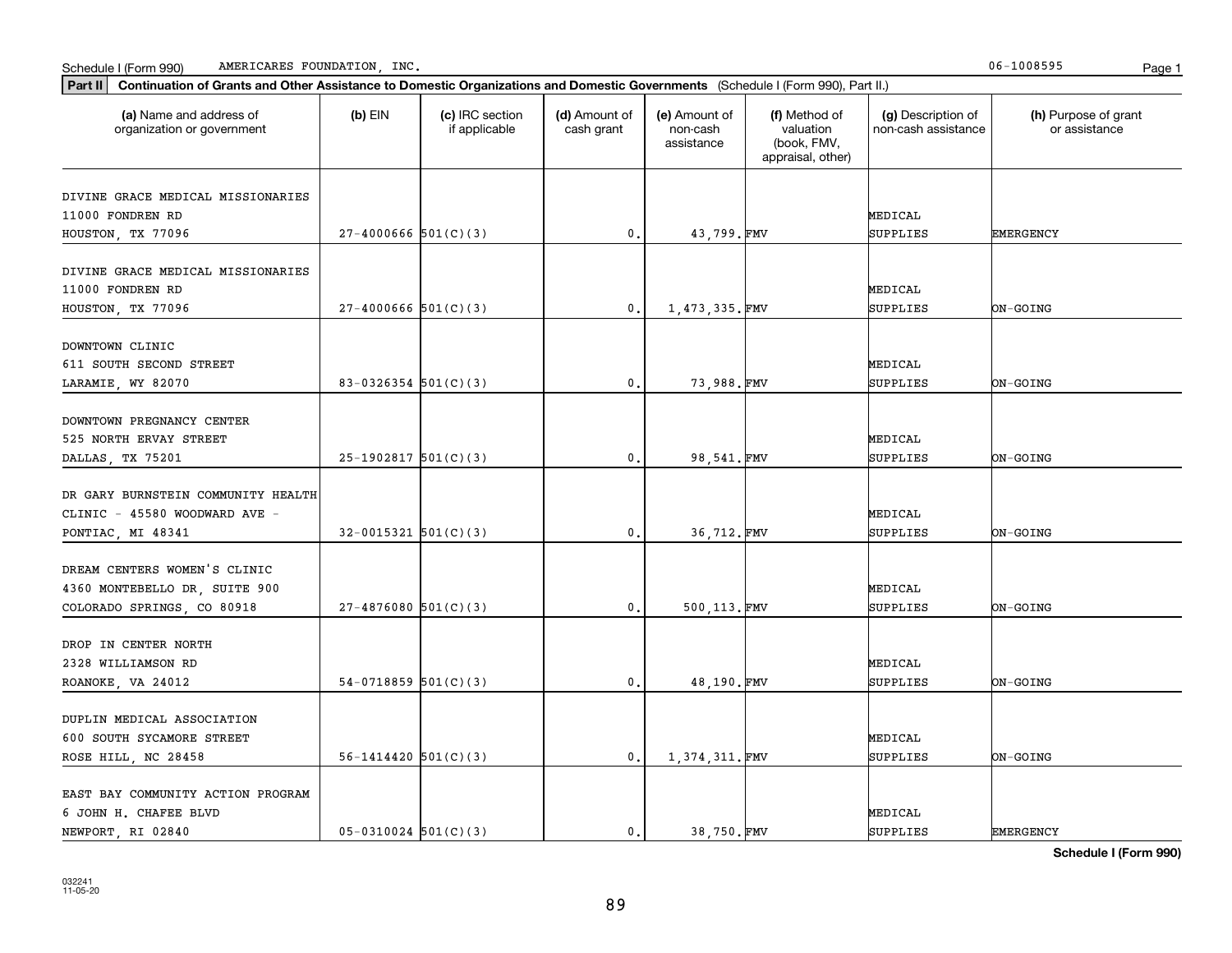| Part II                                                                                     | Continuation of Grants and Other Assistance to Domestic Organizations and Domestic Governments (Schedule I (Form 990), Part II.) |                                  |                             |                                         |                                                                |                                           |                                       |  |  |
|---------------------------------------------------------------------------------------------|----------------------------------------------------------------------------------------------------------------------------------|----------------------------------|-----------------------------|-----------------------------------------|----------------------------------------------------------------|-------------------------------------------|---------------------------------------|--|--|
| (a) Name and address of<br>organization or government                                       | $(b)$ EIN                                                                                                                        | (c) IRC section<br>if applicable | (d) Amount of<br>cash grant | (e) Amount of<br>non-cash<br>assistance | (f) Method of<br>valuation<br>(book, FMV,<br>appraisal, other) | (g) Description of<br>non-cash assistance | (h) Purpose of grant<br>or assistance |  |  |
| DIVINE GRACE MEDICAL MISSIONARIES<br>11000 FONDREN RD<br>HOUSTON, TX 77096                  | $27-4000666$ 501(C)(3)                                                                                                           |                                  | $\mathbf{0}$ .              | 43,799. FMV                             |                                                                | MEDICAL<br><b>SUPPLIES</b>                | <b>EMERGENCY</b>                      |  |  |
| DIVINE GRACE MEDICAL MISSIONARIES<br>11000 FONDREN RD<br>HOUSTON, TX 77096                  | $27-4000666$ 501(C)(3)                                                                                                           |                                  | $\mathbf{0}$ .              | 1,473,335. FMV                          |                                                                | MEDICAL<br>SUPPLIES                       | <b>ON-GOING</b>                       |  |  |
| DOWNTOWN CLINIC<br>611 SOUTH SECOND STREET<br>LARAMIE, WY 82070                             | 83-0326354 $501(C)(3)$                                                                                                           |                                  | $\mathfrak{o}$ .            | 73,988.FMV                              |                                                                | MEDICAL<br>SUPPLIES                       | <b>ON-GOING</b>                       |  |  |
| DOWNTOWN PREGNANCY CENTER<br>525 NORTH ERVAY STREET<br>DALLAS, TX 75201                     | $25-1902817$ 501(C)(3)                                                                                                           |                                  | $\mathbf{0}$ .              | 98,541.FMV                              |                                                                | MEDICAL<br>SUPPLIES                       | <b>DN-GOING</b>                       |  |  |
| DR GARY BURNSTEIN COMMUNITY HEALTH<br>CLINIC - 45580 WOODWARD AVE -<br>PONTIAC, MI 48341    | $32 - 0015321$ $501(C)(3)$                                                                                                       |                                  | $\mathbf{0}$ .              | 36,712.FMV                              |                                                                | MEDICAL<br>SUPPLIES                       | <b>DN-GOING</b>                       |  |  |
| DREAM CENTERS WOMEN'S CLINIC<br>4360 MONTEBELLO DR, SUITE 900<br>COLORADO SPRINGS, CO 80918 | $27-4876080$ 501(C)(3)                                                                                                           |                                  | $\mathfrak{o}$ .            | 500, 113. FMV                           |                                                                | MEDICAL<br>SUPPLIES                       | <b>ON-GOING</b>                       |  |  |
| DROP IN CENTER NORTH<br>2328 WILLIAMSON RD<br>ROANOKE, VA 24012                             | 54-0718859 $501(C)(3)$                                                                                                           |                                  | $\mathbf{0}$ .              | 48,190.FMV                              |                                                                | MEDICAL<br><b>SUPPLIES</b>                | <b>DN-GOING</b>                       |  |  |
| DUPLIN MEDICAL ASSOCIATION<br>600 SOUTH SYCAMORE STREET<br>ROSE HILL, NC 28458              | $56 - 1414420$ $501(C)(3)$                                                                                                       |                                  | $\mathbf{0}$ .              | 1,374,311.FMV                           |                                                                | MEDICAL<br>SUPPLIES                       | <b>ON-GOING</b>                       |  |  |
| EAST BAY COMMUNITY ACTION PROGRAM<br>6 JOHN H. CHAFEE BLVD<br>NEWPORT, RI 02840             | $05-0310024$ 501(C)(3)                                                                                                           |                                  | $\mathbf{0}$ .              | 38.750.FMV                              |                                                                | MEDICAL<br>SUPPLIES                       | <b>EMERGENCY</b>                      |  |  |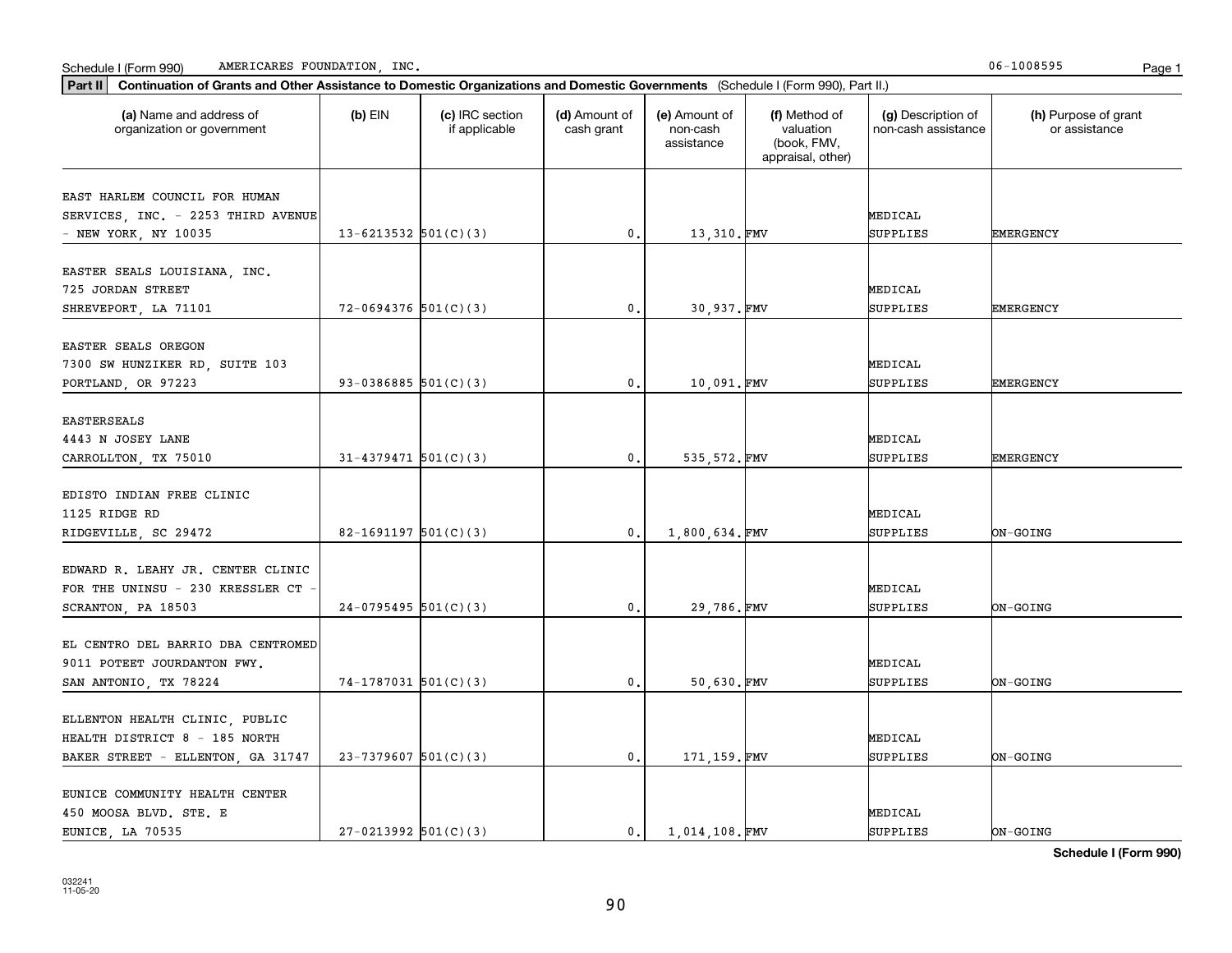| Part II <br>Continuation of Grants and Other Assistance to Domestic Organizations and Domestic Governments (Schedule I (Form 990), Part II.) |                            |                                  |                             |                                         |                                                                |                                           |                                       |  |
|----------------------------------------------------------------------------------------------------------------------------------------------|----------------------------|----------------------------------|-----------------------------|-----------------------------------------|----------------------------------------------------------------|-------------------------------------------|---------------------------------------|--|
| (a) Name and address of<br>organization or government                                                                                        | (b) $EIN$                  | (c) IRC section<br>if applicable | (d) Amount of<br>cash grant | (e) Amount of<br>non-cash<br>assistance | (f) Method of<br>valuation<br>(book, FMV,<br>appraisal, other) | (g) Description of<br>non-cash assistance | (h) Purpose of grant<br>or assistance |  |
| EAST HARLEM COUNCIL FOR HUMAN<br>SERVICES, INC. - 2253 THIRD AVENUE<br>- NEW YORK, NY 10035                                                  | $13 - 6213532$ $501(C)(3)$ |                                  | 0.                          | 13,310.FMV                              |                                                                | MEDICAL<br>SUPPLIES                       | <b>EMERGENCY</b>                      |  |
| EASTER SEALS LOUISIANA, INC.<br>725 JORDAN STREET<br>SHREVEPORT, LA 71101                                                                    | $72 - 0694376$ 501(C)(3)   |                                  | 0.                          | 30,937.FMV                              |                                                                | MEDICAL<br>SUPPLIES                       | <b>EMERGENCY</b>                      |  |
| EASTER SEALS OREGON<br>7300 SW HUNZIKER RD, SUITE 103<br>PORTLAND, OR 97223                                                                  | 93-0386885 $501(C)(3)$     |                                  | 0.                          | 10,091.FMV                              |                                                                | MEDICAL<br>SUPPLIES                       | <b>EMERGENCY</b>                      |  |
| EASTERSEALS<br>4443 N JOSEY LANE<br>CARROLLTON, TX 75010                                                                                     | $31 - 4379471$ 501(C)(3)   |                                  | 0.                          | 535, 572. FMV                           |                                                                | MEDICAL<br>SUPPLIES                       | <b>EMERGENCY</b>                      |  |
| EDISTO INDIAN FREE CLINIC<br>1125 RIDGE RD<br>RIDGEVILLE, SC 29472                                                                           | $82-1691197$ 501(C)(3)     |                                  | 0.                          | 1,800,634.FMV                           |                                                                | MEDICAL<br>SUPPLIES                       | <b>DN-GOING</b>                       |  |
| EDWARD R. LEAHY JR. CENTER CLINIC<br>FOR THE UNINSU - 230 KRESSLER CT<br>SCRANTON, PA 18503                                                  | $24-0795495$ 501(C)(3)     |                                  | 0.                          | 29,786.FMV                              |                                                                | MEDICAL<br>SUPPLIES                       | <b>DN-GOING</b>                       |  |
| EL CENTRO DEL BARRIO DBA CENTROMED<br>9011 POTEET JOURDANTON FWY.<br>SAN ANTONIO, TX 78224                                                   | $74-1787031$ 501(C)(3)     |                                  | 0.                          | 50,630.FMV                              |                                                                | MEDICAL<br>SUPPLIES                       | <b>DN-GOING</b>                       |  |
| ELLENTON HEALTH CLINIC, PUBLIC<br>HEALTH DISTRICT 8 - 185 NORTH<br>BAKER STREET - ELLENTON, GA 31747                                         | $23-7379607$ 501(C)(3)     |                                  | 0.                          | 171, 159. FMV                           |                                                                | MEDICAL<br>SUPPLIES                       | <b>DN-GOING</b>                       |  |
| EUNICE COMMUNITY HEALTH CENTER<br>450 MOOSA BLVD. STE. E<br>EUNICE, LA 70535                                                                 | $27-0213992$ 501(C)(3)     |                                  | 0.                          | 1.014.108.FMV                           |                                                                | MEDICAL<br>SUPPLIES                       | <b>DN-GOING</b>                       |  |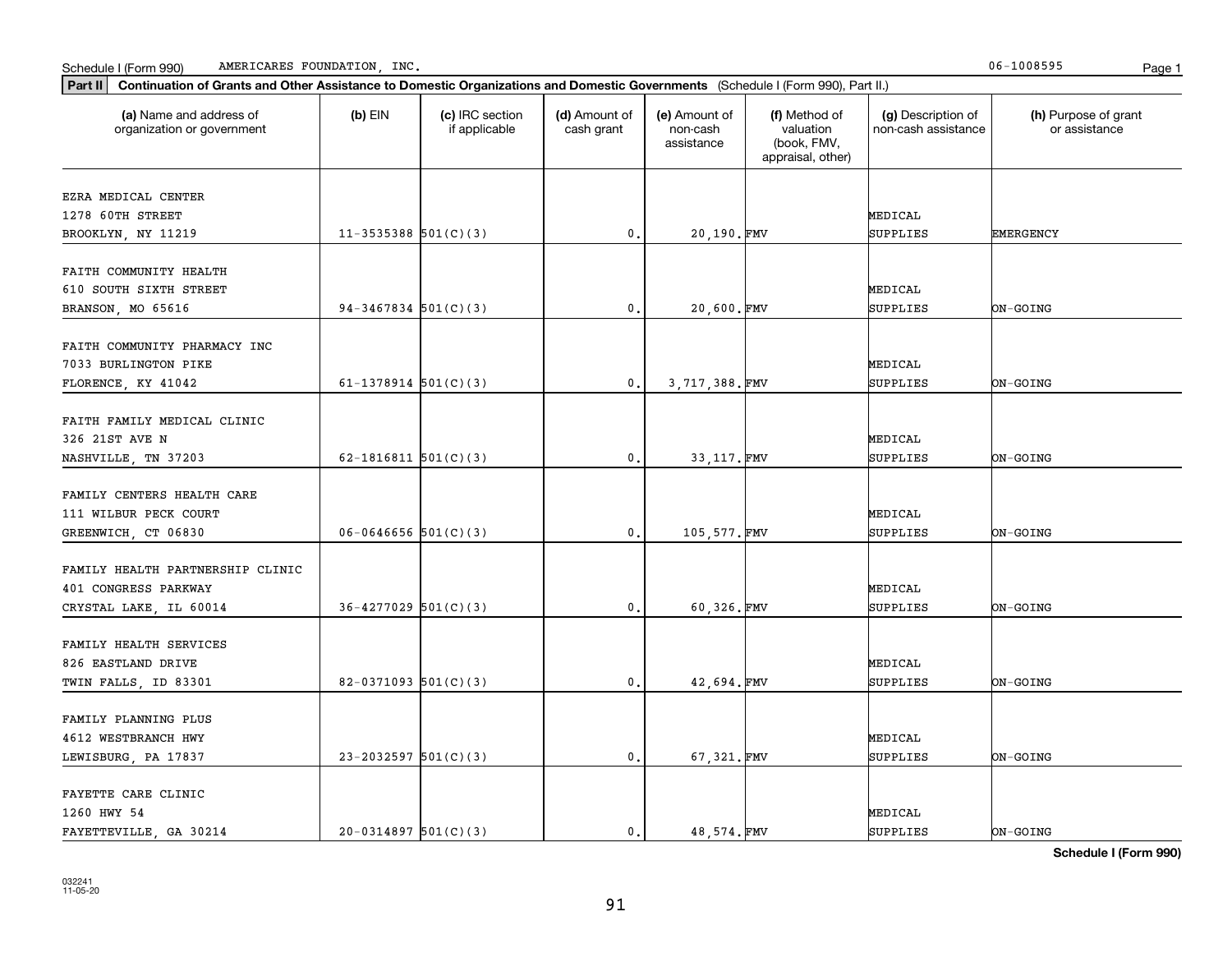| Schedule I (Form 990) |  | FOUNDATION<br>AMERICARES | INC. |  | Page |  |
|-----------------------|--|--------------------------|------|--|------|--|
|-----------------------|--|--------------------------|------|--|------|--|

| Part II   Continuation of Grants and Other Assistance to Domestic Organizations and Domestic Governments (Schedule I (Form 990), Part II.) |                          |                                  |                             |                                         |                                                                |                                           |                                       |
|--------------------------------------------------------------------------------------------------------------------------------------------|--------------------------|----------------------------------|-----------------------------|-----------------------------------------|----------------------------------------------------------------|-------------------------------------------|---------------------------------------|
| (a) Name and address of<br>organization or government                                                                                      | $(b)$ EIN                | (c) IRC section<br>if applicable | (d) Amount of<br>cash grant | (e) Amount of<br>non-cash<br>assistance | (f) Method of<br>valuation<br>(book, FMV,<br>appraisal, other) | (g) Description of<br>non-cash assistance | (h) Purpose of grant<br>or assistance |
| EZRA MEDICAL CENTER                                                                                                                        |                          |                                  |                             |                                         |                                                                |                                           |                                       |
| 1278 60TH STREET                                                                                                                           |                          |                                  |                             |                                         |                                                                | MEDICAL                                   |                                       |
| BROOKLYN, NY 11219                                                                                                                         | $11-3535388$ $501(C)(3)$ |                                  | $\mathbf{0}$ .              | 20,190.FMV                              |                                                                | SUPPLIES                                  | <b>EMERGENCY</b>                      |
|                                                                                                                                            |                          |                                  |                             |                                         |                                                                |                                           |                                       |
| FAITH COMMUNITY HEALTH                                                                                                                     |                          |                                  |                             |                                         |                                                                |                                           |                                       |
| 610 SOUTH SIXTH STREET                                                                                                                     |                          |                                  |                             |                                         |                                                                | MEDICAL                                   |                                       |
| BRANSON, MO 65616                                                                                                                          | $94-3467834$ 501(C)(3)   |                                  | 0.                          | 20,600.FMV                              |                                                                | SUPPLIES                                  | <b>DN-GOING</b>                       |
| FAITH COMMUNITY PHARMACY INC                                                                                                               |                          |                                  |                             |                                         |                                                                |                                           |                                       |
| 7033 BURLINGTON PIKE                                                                                                                       |                          |                                  |                             |                                         |                                                                | MEDICAL                                   |                                       |
| FLORENCE, KY 41042                                                                                                                         | 61-1378914 $501(C)(3)$   |                                  | 0.                          | 3,717,388.FMV                           |                                                                | SUPPLIES                                  | <b>DN-GOING</b>                       |
|                                                                                                                                            |                          |                                  |                             |                                         |                                                                |                                           |                                       |
| FAITH FAMILY MEDICAL CLINIC                                                                                                                |                          |                                  |                             |                                         |                                                                |                                           |                                       |
| 326 21ST AVE N                                                                                                                             |                          |                                  | 0.                          | 33, 117. FMV                            |                                                                | MEDICAL<br>SUPPLIES                       | <b>DN-GOING</b>                       |
| NASHVILLE, TN 37203                                                                                                                        | 62-1816811 $501(C)(3)$   |                                  |                             |                                         |                                                                |                                           |                                       |
| FAMILY CENTERS HEALTH CARE                                                                                                                 |                          |                                  |                             |                                         |                                                                |                                           |                                       |
| 111 WILBUR PECK COURT                                                                                                                      |                          |                                  |                             |                                         |                                                                | MEDICAL                                   |                                       |
| GREENWICH, CT 06830                                                                                                                        | $06 - 0646656$ 501(C)(3) |                                  | 0.                          | 105,577.FMV                             |                                                                | SUPPLIES                                  | <b>DN-GOING</b>                       |
|                                                                                                                                            |                          |                                  |                             |                                         |                                                                |                                           |                                       |
| FAMILY HEALTH PARTNERSHIP CLINIC                                                                                                           |                          |                                  |                             |                                         |                                                                | MEDICAL                                   |                                       |
| 401 CONGRESS PARKWAY                                                                                                                       | $36 - 4277029$ 501(C)(3) |                                  | 0.                          | 60,326.FMV                              |                                                                | SUPPLIES                                  | <b>DN-GOING</b>                       |
| CRYSTAL LAKE, IL 60014                                                                                                                     |                          |                                  |                             |                                         |                                                                |                                           |                                       |
| FAMILY HEALTH SERVICES                                                                                                                     |                          |                                  |                             |                                         |                                                                |                                           |                                       |
| 826 EASTLAND DRIVE                                                                                                                         |                          |                                  |                             |                                         |                                                                | MEDICAL                                   |                                       |
| TWIN FALLS, ID 83301                                                                                                                       | 82-0371093 $501(C)(3)$   |                                  | $\mathsf{0}\,$ .            | 42,694.FMV                              |                                                                | SUPPLIES                                  | <b>DN-GOING</b>                       |
|                                                                                                                                            |                          |                                  |                             |                                         |                                                                |                                           |                                       |
| FAMILY PLANNING PLUS                                                                                                                       |                          |                                  |                             |                                         |                                                                |                                           |                                       |
| 4612 WESTBRANCH HWY                                                                                                                        |                          |                                  |                             |                                         |                                                                | MEDICAL                                   |                                       |
| LEWISBURG, PA 17837                                                                                                                        | $23 - 2032597$ 501(C)(3) |                                  | $\mathfrak o$ .             | 67,321.FMV                              |                                                                | SUPPLIES                                  | <b>DN-GOING</b>                       |
| FAYETTE CARE CLINIC                                                                                                                        |                          |                                  |                             |                                         |                                                                |                                           |                                       |
| 1260 HWY 54                                                                                                                                |                          |                                  |                             |                                         |                                                                | MEDICAL                                   |                                       |
| FAYETTEVILLE, GA 30214                                                                                                                     | $20-0314897$ 501(C)(3)   |                                  | 0.                          | 48.574.FMV                              |                                                                | <b>SUPPLIES</b>                           | <b>DN-GOING</b>                       |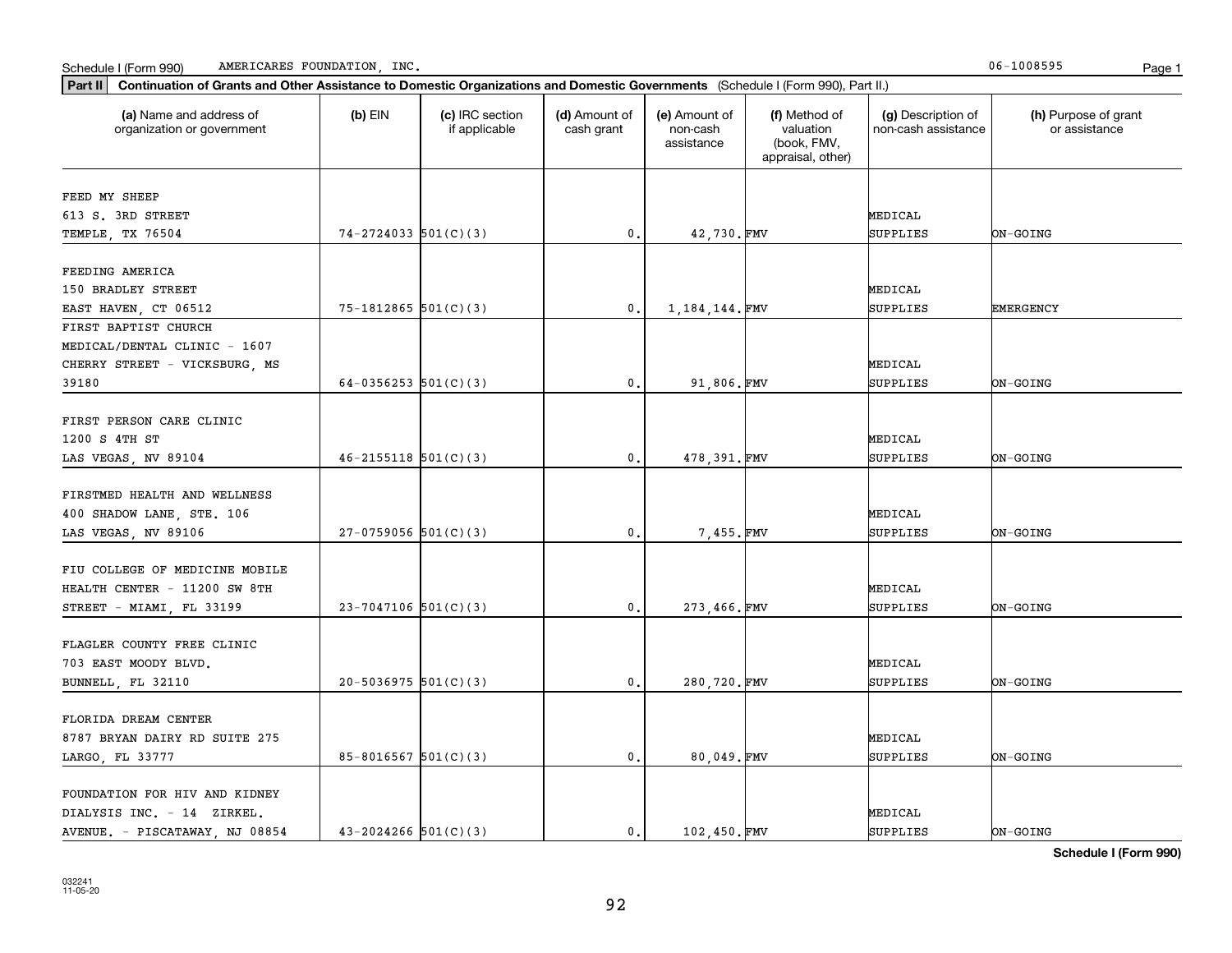| Continuation of Grants and Other Assistance to Domestic Organizations and Domestic Governments (Schedule I (Form 990), Part II.)<br>Part II |                            |                                  |                             |                                         |                                                                |                                           |                                       |
|---------------------------------------------------------------------------------------------------------------------------------------------|----------------------------|----------------------------------|-----------------------------|-----------------------------------------|----------------------------------------------------------------|-------------------------------------------|---------------------------------------|
| (a) Name and address of<br>organization or government                                                                                       | $(b)$ EIN                  | (c) IRC section<br>if applicable | (d) Amount of<br>cash grant | (e) Amount of<br>non-cash<br>assistance | (f) Method of<br>valuation<br>(book, FMV,<br>appraisal, other) | (g) Description of<br>non-cash assistance | (h) Purpose of grant<br>or assistance |
|                                                                                                                                             |                            |                                  |                             |                                         |                                                                |                                           |                                       |
| FEED MY SHEEP                                                                                                                               |                            |                                  |                             |                                         |                                                                | MEDICAL                                   |                                       |
| 613 S. 3RD STREET<br>TEMPLE, TX 76504                                                                                                       | $74 - 2724033$ 501(C)(3)   |                                  | $\mathsf{0}$ .              | 42,730.FMV                              |                                                                | SUPPLIES                                  | <b>DN-GOING</b>                       |
|                                                                                                                                             |                            |                                  |                             |                                         |                                                                |                                           |                                       |
| FEEDING AMERICA                                                                                                                             |                            |                                  |                             |                                         |                                                                |                                           |                                       |
| 150 BRADLEY STREET                                                                                                                          |                            |                                  |                             |                                         |                                                                | MEDICAL                                   |                                       |
| EAST HAVEN, CT 06512                                                                                                                        | $75 - 1812865$ 501(C)(3)   |                                  | $\mathbf{0}$ .              | 1,184,144.FMV                           |                                                                | SUPPLIES                                  | <b>EMERGENCY</b>                      |
| FIRST BAPTIST CHURCH                                                                                                                        |                            |                                  |                             |                                         |                                                                |                                           |                                       |
| MEDICAL/DENTAL CLINIC - 1607                                                                                                                |                            |                                  |                             |                                         |                                                                |                                           |                                       |
| CHERRY STREET - VICKSBURG, MS                                                                                                               |                            |                                  |                             |                                         |                                                                | MEDICAL                                   |                                       |
| 39180                                                                                                                                       | 64-0356253 $501(C)(3)$     |                                  | $\mathbf{0}$ .              | 91,806.FMV                              |                                                                | SUPPLIES                                  | <b>DN-GOING</b>                       |
|                                                                                                                                             |                            |                                  |                             |                                         |                                                                |                                           |                                       |
| FIRST PERSON CARE CLINIC                                                                                                                    |                            |                                  |                             |                                         |                                                                |                                           |                                       |
| 1200 S 4TH ST                                                                                                                               |                            |                                  |                             |                                         |                                                                | MEDICAL                                   |                                       |
| LAS VEGAS, NV 89104                                                                                                                         | $46 - 2155118$ $501(C)(3)$ |                                  | $\mathbf{0}$ .              | 478, 391. FMV                           |                                                                | <b>SUPPLIES</b>                           | <b>DN-GOING</b>                       |
|                                                                                                                                             |                            |                                  |                             |                                         |                                                                |                                           |                                       |
| FIRSTMED HEALTH AND WELLNESS                                                                                                                |                            |                                  |                             |                                         |                                                                |                                           |                                       |
| 400 SHADOW LANE, STE. 106                                                                                                                   |                            |                                  |                             |                                         |                                                                | MEDICAL                                   |                                       |
| LAS VEGAS, NV 89106                                                                                                                         | $27-0759056$ 501(C)(3)     |                                  | $\mathbf{0}$ .              | 7,455.FMV                               |                                                                | <b>SUPPLIES</b>                           | <b>DN-GOING</b>                       |
|                                                                                                                                             |                            |                                  |                             |                                         |                                                                |                                           |                                       |
| FIU COLLEGE OF MEDICINE MOBILE                                                                                                              |                            |                                  |                             |                                         |                                                                |                                           |                                       |
| HEALTH CENTER - 11200 SW 8TH                                                                                                                |                            |                                  |                             |                                         |                                                                | MEDICAL                                   |                                       |
| STREET - MIAMI, FL 33199                                                                                                                    | $23-7047106$ 501(C)(3)     |                                  | $\mathbf{0}$ .              | 273,466.FMV                             |                                                                | SUPPLIES                                  | <b>DN-GOING</b>                       |
| FLAGLER COUNTY FREE CLINIC                                                                                                                  |                            |                                  |                             |                                         |                                                                |                                           |                                       |
| 703 EAST MOODY BLVD.                                                                                                                        |                            |                                  |                             |                                         |                                                                | MEDICAL                                   |                                       |
| BUNNELL, FL 32110                                                                                                                           | $20-5036975$ 501(C)(3)     |                                  | $\mathbf{0}$ .              | 280,720.FMV                             |                                                                | SUPPLIES                                  | <b>DN-GOING</b>                       |
|                                                                                                                                             |                            |                                  |                             |                                         |                                                                |                                           |                                       |
| FLORIDA DREAM CENTER                                                                                                                        |                            |                                  |                             |                                         |                                                                |                                           |                                       |
| 8787 BRYAN DAIRY RD SUITE 275                                                                                                               |                            |                                  |                             |                                         |                                                                | MEDICAL                                   |                                       |
| LARGO, FL 33777                                                                                                                             | $85 - 8016567$ 501(C)(3)   |                                  | $\mathbf{0}$ .              | 80,049.FMV                              |                                                                | <b>SUPPLIES</b>                           | <b>DN-GOING</b>                       |
|                                                                                                                                             |                            |                                  |                             |                                         |                                                                |                                           |                                       |
| FOUNDATION FOR HIV AND KIDNEY                                                                                                               |                            |                                  |                             |                                         |                                                                |                                           |                                       |
| DIALYSIS INC. - 14 ZIRKEL.                                                                                                                  |                            |                                  |                             |                                         |                                                                | MEDICAL                                   |                                       |
| AVENUE. - PISCATAWAY, NJ 08854                                                                                                              | $43 - 2024266$ 501(C)(3)   |                                  | $\mathsf{0}$ .              | 102,450.FMV                             |                                                                | <b>SUPPLIES</b>                           | <b>DN-GOING</b>                       |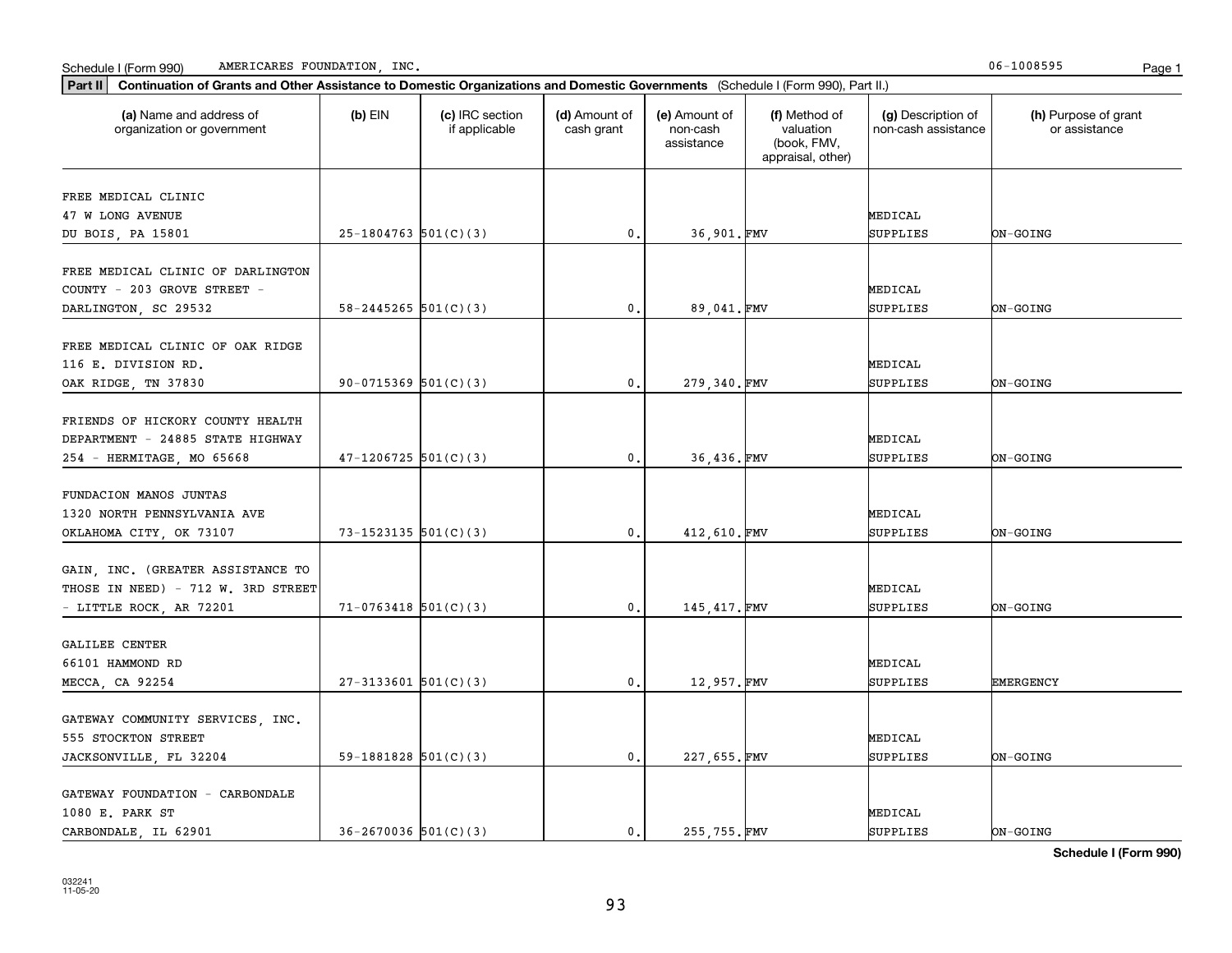| (a) Name and address of<br>organization or government | $(b)$ EIN                  | (c) IRC section<br>if applicable | (d) Amount of<br>cash grant | (e) Amount of<br>non-cash<br>assistance | (f) Method of<br>valuation<br>(book, FMV,<br>appraisal, other) | (g) Description of<br>non-cash assistance | (h) Purpose of grant<br>or assistance |
|-------------------------------------------------------|----------------------------|----------------------------------|-----------------------------|-----------------------------------------|----------------------------------------------------------------|-------------------------------------------|---------------------------------------|
| FREE MEDICAL CLINIC                                   |                            |                                  |                             |                                         |                                                                |                                           |                                       |
| 47 W LONG AVENUE                                      |                            |                                  |                             |                                         |                                                                | MEDICAL                                   |                                       |
| DU BOIS, PA 15801                                     | $25-1804763$ 501(C)(3)     |                                  | 0.                          | 36,901.FMV                              |                                                                | SUPPLIES                                  | <b>DN-GOING</b>                       |
|                                                       |                            |                                  |                             |                                         |                                                                |                                           |                                       |
| FREE MEDICAL CLINIC OF DARLINGTON                     |                            |                                  |                             |                                         |                                                                |                                           |                                       |
| COUNTY - 203 GROVE STREET -                           |                            |                                  |                             |                                         |                                                                | MEDICAL                                   |                                       |
| DARLINGTON, SC 29532                                  | $58 - 2445265$ $501(C)(3)$ |                                  | 0.                          | 89,041.FMV                              |                                                                | SUPPLIES                                  | <b>DN-GOING</b>                       |
|                                                       |                            |                                  |                             |                                         |                                                                |                                           |                                       |
| FREE MEDICAL CLINIC OF OAK RIDGE                      |                            |                                  |                             |                                         |                                                                |                                           |                                       |
| 116 E. DIVISION RD.                                   |                            |                                  |                             |                                         |                                                                | MEDICAL                                   |                                       |
| OAK RIDGE, TN 37830                                   | $90-0715369$ $501(C)(3)$   |                                  | 0.                          | 279,340.FMV                             |                                                                | SUPPLIES                                  | <b>DN-GOING</b>                       |
| FRIENDS OF HICKORY COUNTY HEALTH                      |                            |                                  |                             |                                         |                                                                |                                           |                                       |
| DEPARTMENT - 24885 STATE HIGHWAY                      |                            |                                  |                             |                                         |                                                                | MEDICAL                                   |                                       |
|                                                       | $47-1206725$ 501(C)(3)     |                                  | 0.                          | 36,436.FMV                              |                                                                | SUPPLIES                                  | <b>DN-GOING</b>                       |
| 254 - HERMITAGE, MO 65668                             |                            |                                  |                             |                                         |                                                                |                                           |                                       |
| FUNDACION MANOS JUNTAS                                |                            |                                  |                             |                                         |                                                                |                                           |                                       |
| 1320 NORTH PENNSYLVANIA AVE                           |                            |                                  |                             |                                         |                                                                | MEDICAL                                   |                                       |
| OKLAHOMA CITY, OK 73107                               | $73 - 1523135$ $501(C)(3)$ |                                  | 0.                          | 412,610.FMV                             |                                                                | SUPPLIES                                  | <b>DN-GOING</b>                       |
|                                                       |                            |                                  |                             |                                         |                                                                |                                           |                                       |
| GAIN, INC. (GREATER ASSISTANCE TO                     |                            |                                  |                             |                                         |                                                                |                                           |                                       |
| THOSE IN NEED) - 712 W. 3RD STREET                    |                            |                                  |                             |                                         |                                                                | MEDICAL                                   |                                       |
| - LITTLE ROCK, AR 72201                               | $71-0763418$ 501(C)(3)     |                                  | 0.                          | 145, 417. FMV                           |                                                                | SUPPLIES                                  | <b>DN-GOING</b>                       |
|                                                       |                            |                                  |                             |                                         |                                                                |                                           |                                       |
| GALILEE CENTER                                        |                            |                                  |                             |                                         |                                                                |                                           |                                       |
| 66101 HAMMOND RD                                      |                            |                                  |                             |                                         |                                                                | MEDICAL                                   |                                       |
| MECCA, CA 92254                                       | $27-3133601$ 501(C)(3)     |                                  | 0.                          | 12,957.FMV                              |                                                                | SUPPLIES                                  | <b>EMERGENCY</b>                      |
|                                                       |                            |                                  |                             |                                         |                                                                |                                           |                                       |
| GATEWAY COMMUNITY SERVICES, INC.                      |                            |                                  |                             |                                         |                                                                |                                           |                                       |
| 555 STOCKTON STREET                                   |                            |                                  |                             |                                         |                                                                | MEDICAL                                   |                                       |
| JACKSONVILLE, FL 32204                                | 59-1881828 $501(C)(3)$     |                                  | 0.                          | 227,655.FMV                             |                                                                | SUPPLIES                                  | <b>DN-GOING</b>                       |
| GATEWAY FOUNDATION - CARBONDALE                       |                            |                                  |                             |                                         |                                                                |                                           |                                       |
| 1080 E. PARK ST                                       |                            |                                  |                             |                                         |                                                                | MEDICAL                                   |                                       |
| CARBONDALE, IL 62901                                  | $36 - 2670036$ 501(C)(3)   |                                  | 0.                          | 255, 755, FMV                           |                                                                | <b>SUPPLIES</b>                           | <b>DN-GOING</b>                       |
|                                                       |                            |                                  |                             |                                         |                                                                |                                           |                                       |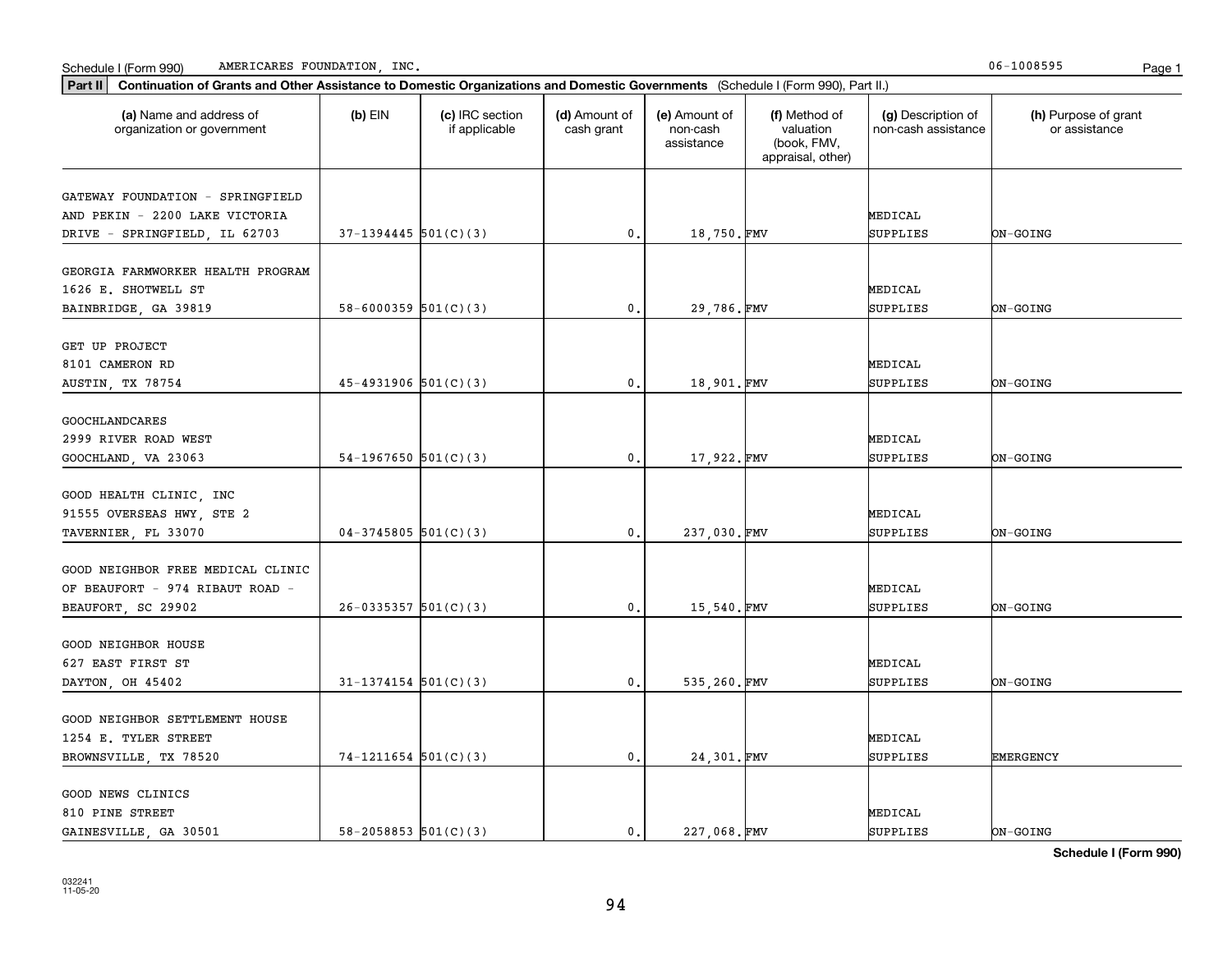| Part II   Continuation of Grants and Other Assistance to Domestic Organizations and Domestic Governments (Schedule I (Form 990), Part II.) |                            |                                  |                             |                                         |                                                                |                                           |                                       |
|--------------------------------------------------------------------------------------------------------------------------------------------|----------------------------|----------------------------------|-----------------------------|-----------------------------------------|----------------------------------------------------------------|-------------------------------------------|---------------------------------------|
| (a) Name and address of<br>organization or government                                                                                      | $(b)$ EIN                  | (c) IRC section<br>if applicable | (d) Amount of<br>cash grant | (e) Amount of<br>non-cash<br>assistance | (f) Method of<br>valuation<br>(book, FMV,<br>appraisal, other) | (g) Description of<br>non-cash assistance | (h) Purpose of grant<br>or assistance |
| GATEWAY FOUNDATION - SPRINGFIELD                                                                                                           |                            |                                  |                             |                                         |                                                                |                                           |                                       |
| AND PEKIN - 2200 LAKE VICTORIA                                                                                                             |                            |                                  |                             |                                         |                                                                | MEDICAL                                   |                                       |
| DRIVE - SPRINGFIELD, IL 62703                                                                                                              | $37-1394445$ 501(C)(3)     |                                  | $\mathfrak o$ .             | 18,750.FMV                              |                                                                | SUPPLIES                                  | <b>DN-GOING</b>                       |
|                                                                                                                                            |                            |                                  |                             |                                         |                                                                |                                           |                                       |
| GEORGIA FARMWORKER HEALTH PROGRAM<br>1626 E. SHOTWELL ST                                                                                   |                            |                                  |                             |                                         |                                                                | MEDICAL                                   |                                       |
| BAINBRIDGE, GA 39819                                                                                                                       | 58-6000359 $501(C)(3)$     |                                  | $\mathbf{0}$ .              | 29,786.FMV                              |                                                                | SUPPLIES                                  | <b>DN-GOING</b>                       |
|                                                                                                                                            |                            |                                  |                             |                                         |                                                                |                                           |                                       |
| GET UP PROJECT                                                                                                                             |                            |                                  |                             |                                         |                                                                |                                           |                                       |
| 8101 CAMERON RD                                                                                                                            |                            |                                  |                             |                                         |                                                                | MEDICAL                                   |                                       |
| AUSTIN, TX 78754                                                                                                                           | $45 - 4931906$ 501(C)(3)   |                                  | $\mathbf{0}$ .              | 18,901.FMV                              |                                                                | SUPPLIES                                  | <b>ON-GOING</b>                       |
|                                                                                                                                            |                            |                                  |                             |                                         |                                                                |                                           |                                       |
| GOOCHLANDCARES                                                                                                                             |                            |                                  |                             |                                         |                                                                |                                           |                                       |
| 2999 RIVER ROAD WEST                                                                                                                       |                            |                                  |                             |                                         |                                                                | MEDICAL                                   |                                       |
| GOOCHLAND, VA 23063                                                                                                                        | 54-1967650 $501(C)(3)$     |                                  | 0.                          | 17,922.FMV                              |                                                                | SUPPLIES                                  | <b>DN-GOING</b>                       |
| GOOD HEALTH CLINIC, INC                                                                                                                    |                            |                                  |                             |                                         |                                                                |                                           |                                       |
| 91555 OVERSEAS HWY, STE 2                                                                                                                  |                            |                                  |                             |                                         |                                                                | MEDICAL                                   |                                       |
| TAVERNIER, FL 33070                                                                                                                        | $04 - 3745805$ 501(C)(3)   |                                  | $\mathbf{0}$ .              | 237,030.FMV                             |                                                                | SUPPLIES                                  | <b>DN-GOING</b>                       |
|                                                                                                                                            |                            |                                  |                             |                                         |                                                                |                                           |                                       |
| GOOD NEIGHBOR FREE MEDICAL CLINIC                                                                                                          |                            |                                  |                             |                                         |                                                                |                                           |                                       |
| OF BEAUFORT - 974 RIBAUT ROAD -                                                                                                            |                            |                                  |                             |                                         |                                                                | MEDICAL                                   |                                       |
| BEAUFORT, SC 29902                                                                                                                         | $26-0335357$ $501(C)(3)$   |                                  | $\mathbf{0}$ .              | 15,540.FMV                              |                                                                | SUPPLIES                                  | <b>DN-GOING</b>                       |
| <b>GOOD NEIGHBOR HOUSE</b>                                                                                                                 |                            |                                  |                             |                                         |                                                                |                                           |                                       |
| 627 EAST FIRST ST                                                                                                                          |                            |                                  |                             |                                         |                                                                | MEDICAL                                   |                                       |
| DAYTON, OH 45402                                                                                                                           | $31-1374154$ $501(C)(3)$   |                                  | $\mathbf{0}$ .              | 535,260.FMV                             |                                                                | SUPPLIES                                  | <b>DN-GOING</b>                       |
|                                                                                                                                            |                            |                                  |                             |                                         |                                                                |                                           |                                       |
| GOOD NEIGHBOR SETTLEMENT HOUSE                                                                                                             |                            |                                  |                             |                                         |                                                                |                                           |                                       |
| 1254 E. TYLER STREET                                                                                                                       |                            |                                  |                             |                                         |                                                                | MEDICAL                                   |                                       |
| BROWNSVILLE, TX 78520                                                                                                                      | $74-1211654$ 501(C)(3)     |                                  | $\mathbf{0}$ .              | 24,301.FMV                              |                                                                | SUPPLIES                                  | <b>EMERGENCY</b>                      |
|                                                                                                                                            |                            |                                  |                             |                                         |                                                                |                                           |                                       |
| GOOD NEWS CLINICS                                                                                                                          |                            |                                  |                             |                                         |                                                                |                                           |                                       |
| 810 PINE STREET                                                                                                                            |                            |                                  |                             |                                         |                                                                | MEDICAL                                   |                                       |
| GAINESVILLE, GA 30501                                                                                                                      | $58 - 2058853$ $501(C)(3)$ |                                  | 0.                          | 227,068.FMV                             |                                                                | SUPPLIES                                  | <b>DN-GOING</b>                       |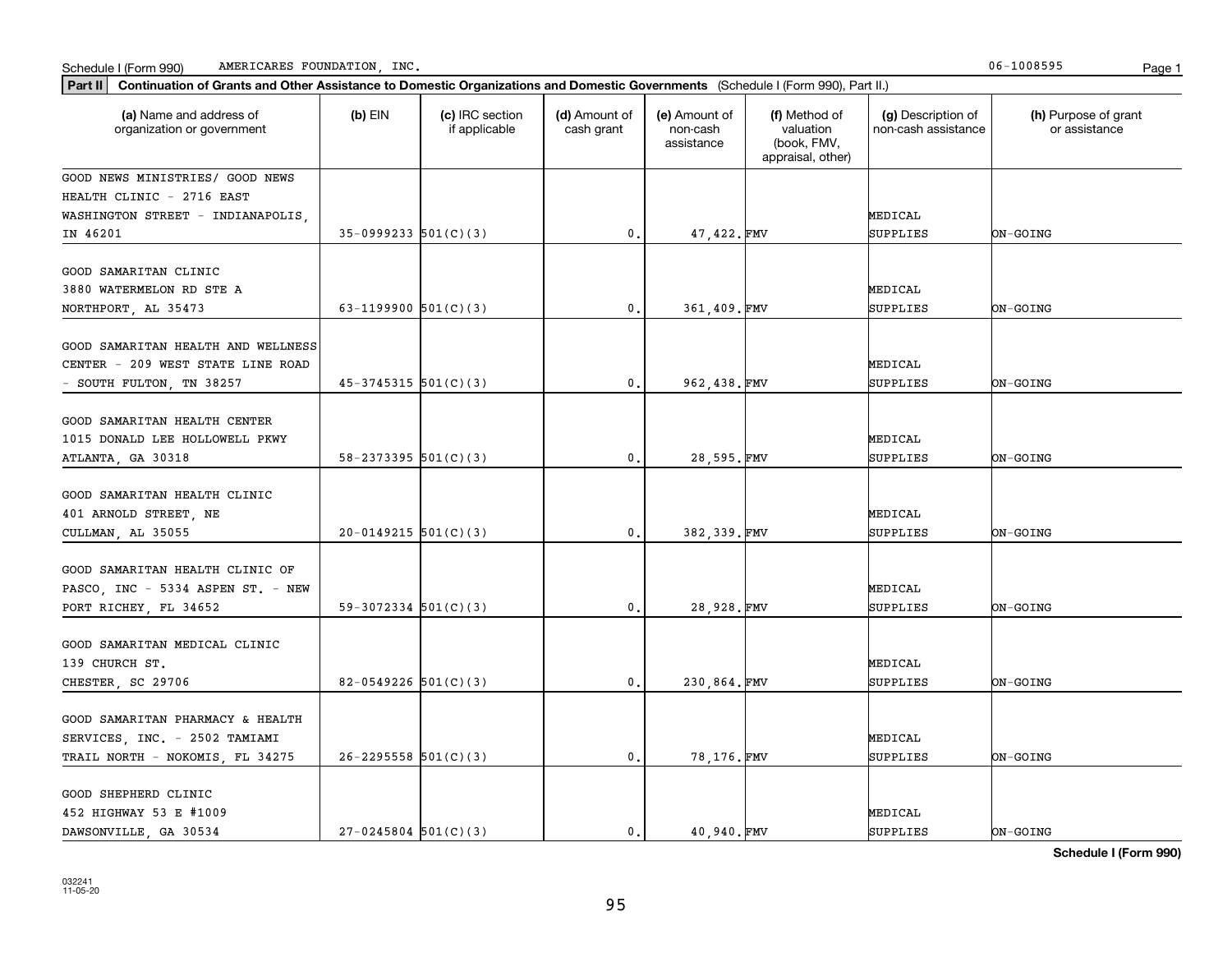Schedule I (Form 990) Page 1 AMERICARES FOUNDATION, INC. 06-1008595

| Part II   Continuation of Grants and Other Assistance to Domestic Organizations and Domestic Governments (Schedule I (Form 990), Part II.) |                          |                                  |                             |                                         |                                                                |                                           |                                       |
|--------------------------------------------------------------------------------------------------------------------------------------------|--------------------------|----------------------------------|-----------------------------|-----------------------------------------|----------------------------------------------------------------|-------------------------------------------|---------------------------------------|
| (a) Name and address of<br>organization or government                                                                                      | $(b)$ EIN                | (c) IRC section<br>if applicable | (d) Amount of<br>cash grant | (e) Amount of<br>non-cash<br>assistance | (f) Method of<br>valuation<br>(book, FMV,<br>appraisal, other) | (g) Description of<br>non-cash assistance | (h) Purpose of grant<br>or assistance |
| GOOD NEWS MINISTRIES/ GOOD NEWS                                                                                                            |                          |                                  |                             |                                         |                                                                |                                           |                                       |
| HEALTH CLINIC - 2716 EAST                                                                                                                  |                          |                                  |                             |                                         |                                                                |                                           |                                       |
| WASHINGTON STREET - INDIANAPOLIS,                                                                                                          |                          |                                  |                             |                                         |                                                                | MEDICAL                                   |                                       |
| IN 46201                                                                                                                                   | $35-0999233$ $501(C)(3)$ |                                  | 0.                          | 47,422. FMV                             |                                                                | SUPPLIES                                  | <b>DN-GOING</b>                       |
| GOOD SAMARITAN CLINIC                                                                                                                      |                          |                                  |                             |                                         |                                                                |                                           |                                       |
| 3880 WATERMELON RD STE A                                                                                                                   |                          |                                  |                             |                                         |                                                                | MEDICAL                                   |                                       |
| NORTHPORT, AL 35473                                                                                                                        | 63-1199900 $501(C)(3)$   |                                  | 0.                          | 361,409.FMV                             |                                                                | SUPPLIES                                  | <b>DN-GOING</b>                       |
|                                                                                                                                            |                          |                                  |                             |                                         |                                                                |                                           |                                       |
| GOOD SAMARITAN HEALTH AND WELLNESS                                                                                                         |                          |                                  |                             |                                         |                                                                |                                           |                                       |
| CENTER - 209 WEST STATE LINE ROAD                                                                                                          |                          |                                  |                             |                                         |                                                                | MEDICAL                                   |                                       |
| - SOUTH FULTON, TN 38257                                                                                                                   | $45-3745315$ 501(C)(3)   |                                  | 0.                          | 962,438.FMV                             |                                                                | SUPPLIES                                  | <b>DN-GOING</b>                       |
|                                                                                                                                            |                          |                                  |                             |                                         |                                                                |                                           |                                       |
| GOOD SAMARITAN HEALTH CENTER                                                                                                               |                          |                                  |                             |                                         |                                                                |                                           |                                       |
| 1015 DONALD LEE HOLLOWELL PKWY                                                                                                             |                          |                                  |                             |                                         |                                                                | MEDICAL                                   |                                       |
| ATLANTA, GA 30318                                                                                                                          | 58-2373395 $501(C)(3)$   |                                  | 0.                          | 28,595.FMV                              |                                                                | SUPPLIES                                  | <b>DN-GOING</b>                       |
| GOOD SAMARITAN HEALTH CLINIC                                                                                                               |                          |                                  |                             |                                         |                                                                |                                           |                                       |
| 401 ARNOLD STREET, NE                                                                                                                      |                          |                                  |                             |                                         |                                                                | MEDICAL                                   |                                       |
| CULLMAN, AL 35055                                                                                                                          | $20-0149215$ 501(C)(3)   |                                  | 0.                          | 382, 339. FMV                           |                                                                | SUPPLIES                                  | <b>DN-GOING</b>                       |
|                                                                                                                                            |                          |                                  |                             |                                         |                                                                |                                           |                                       |
| GOOD SAMARITAN HEALTH CLINIC OF                                                                                                            |                          |                                  |                             |                                         |                                                                |                                           |                                       |
| PASCO, INC - 5334 ASPEN ST. - NEW                                                                                                          |                          |                                  |                             |                                         |                                                                | MEDICAL                                   |                                       |
| PORT RICHEY, FL 34652                                                                                                                      | $59-3072334$ $501(C)(3)$ |                                  | 0.                          | 28,928.FMV                              |                                                                | SUPPLIES                                  | <b>DN-GOING</b>                       |
|                                                                                                                                            |                          |                                  |                             |                                         |                                                                |                                           |                                       |
| GOOD SAMARITAN MEDICAL CLINIC                                                                                                              |                          |                                  |                             |                                         |                                                                |                                           |                                       |
| 139 CHURCH ST.                                                                                                                             |                          |                                  |                             |                                         |                                                                | MEDICAL                                   |                                       |
| CHESTER, SC 29706                                                                                                                          | 82-0549226 $501(C)(3)$   |                                  | $\mathsf{0}\,$ .            | 230,864.FMV                             |                                                                | SUPPLIES                                  | <b>DN-GOING</b>                       |
| GOOD SAMARITAN PHARMACY & HEALTH                                                                                                           |                          |                                  |                             |                                         |                                                                |                                           |                                       |
| SERVICES, INC. - 2502 TAMIAMI                                                                                                              |                          |                                  |                             |                                         |                                                                | MEDICAL                                   |                                       |
| TRAIL NORTH - NOKOMIS, FL 34275                                                                                                            | $26 - 2295558$ 501(C)(3) |                                  | $\mathsf{0}\,$ .            | 78,176.FMV                              |                                                                | SUPPLIES                                  | <b>DN-GOING</b>                       |
|                                                                                                                                            |                          |                                  |                             |                                         |                                                                |                                           |                                       |
| GOOD SHEPHERD CLINIC                                                                                                                       |                          |                                  |                             |                                         |                                                                |                                           |                                       |
| 452 HIGHWAY 53 E #1009                                                                                                                     |                          |                                  |                             |                                         |                                                                | MEDICAL                                   |                                       |
| DAWSONVILLE, GA 30534                                                                                                                      | $27-0245804$ 501(C)(3)   |                                  | 0.                          | 40.940.FMV                              |                                                                | <b>SUPPLIES</b>                           | <b>DN-GOING</b>                       |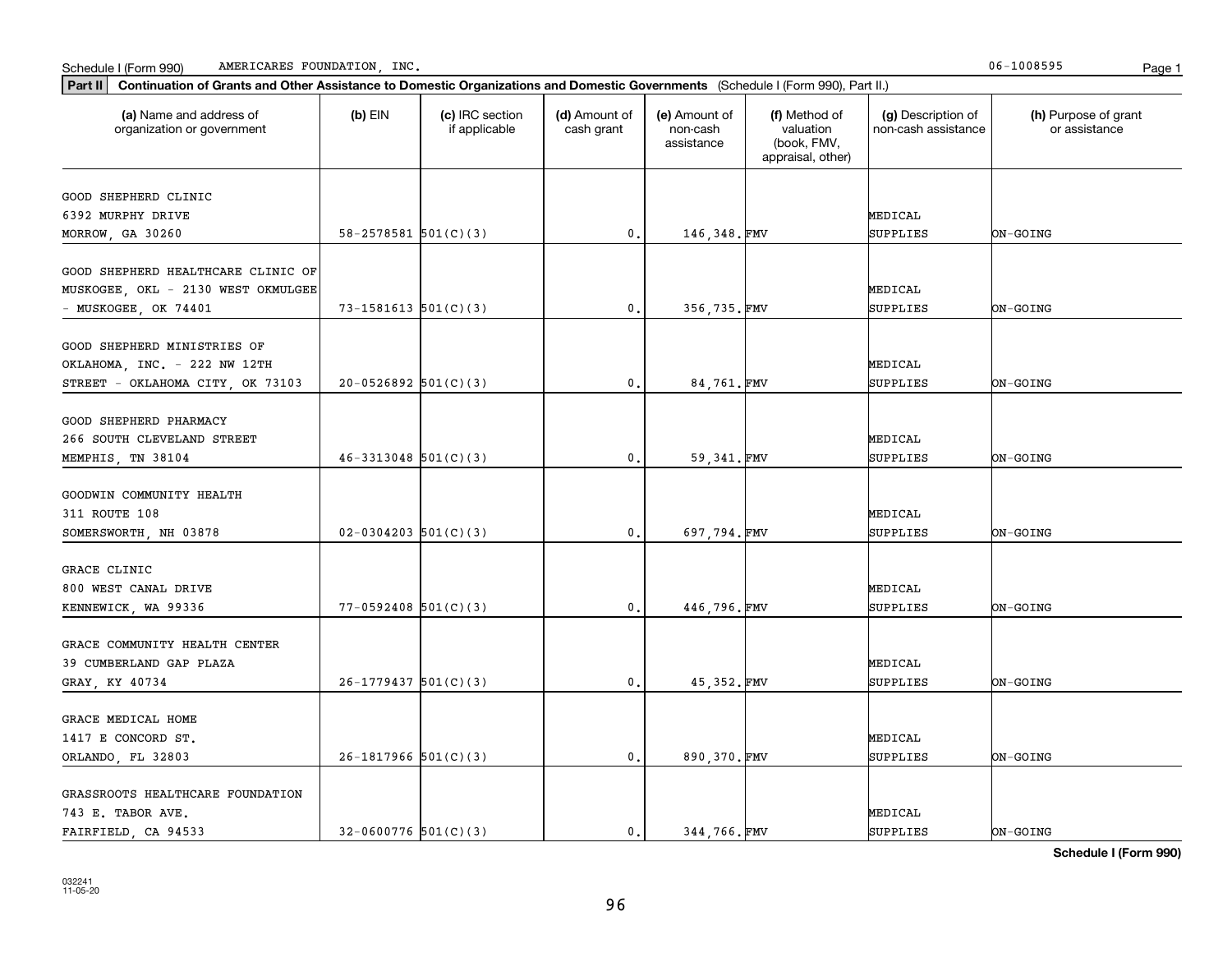| $ $ Part II<br>Continuation of Grants and Other Assistance to Domestic Organizations and Domestic Governments (Schedule I (Form 990), Part II.) |                            |                                  |                             |                                         |                                                                |                                           |                                       |
|-------------------------------------------------------------------------------------------------------------------------------------------------|----------------------------|----------------------------------|-----------------------------|-----------------------------------------|----------------------------------------------------------------|-------------------------------------------|---------------------------------------|
| (a) Name and address of<br>organization or government                                                                                           | $(b)$ EIN                  | (c) IRC section<br>if applicable | (d) Amount of<br>cash grant | (e) Amount of<br>non-cash<br>assistance | (f) Method of<br>valuation<br>(book, FMV,<br>appraisal, other) | (g) Description of<br>non-cash assistance | (h) Purpose of grant<br>or assistance |
| GOOD SHEPHERD CLINIC                                                                                                                            |                            |                                  |                             |                                         |                                                                |                                           |                                       |
| 6392 MURPHY DRIVE                                                                                                                               |                            |                                  |                             |                                         |                                                                | MEDICAL                                   |                                       |
| MORROW, GA 30260                                                                                                                                | $58 - 2578581$ $501(C)(3)$ |                                  | 0.                          | 146,348.FMV                             |                                                                | SUPPLIES                                  | <b>DN-GOING</b>                       |
|                                                                                                                                                 |                            |                                  |                             |                                         |                                                                |                                           |                                       |
| GOOD SHEPHERD HEALTHCARE CLINIC OF                                                                                                              |                            |                                  |                             |                                         |                                                                |                                           |                                       |
| MUSKOGEE, OKL - 2130 WEST OKMULGEE                                                                                                              |                            |                                  |                             |                                         |                                                                | MEDICAL                                   |                                       |
| - MUSKOGEE, OK 74401                                                                                                                            | $73 - 1581613$ $501(C)(3)$ |                                  | $\mathbf{0}$ .              | 356,735.FMV                             |                                                                | SUPPLIES                                  | <b>DN-GOING</b>                       |
|                                                                                                                                                 |                            |                                  |                             |                                         |                                                                |                                           |                                       |
| GOOD SHEPHERD MINISTRIES OF                                                                                                                     |                            |                                  |                             |                                         |                                                                |                                           |                                       |
| OKLAHOMA, INC. - 222 NW 12TH                                                                                                                    |                            |                                  |                             |                                         |                                                                | MEDICAL                                   |                                       |
| STREET - OKLAHOMA CITY, OK 73103                                                                                                                | $20-0526892$ 501(C)(3)     |                                  | 0.                          | 84,761.FMV                              |                                                                | SUPPLIES                                  | <b>DN-GOING</b>                       |
| GOOD SHEPHERD PHARMACY                                                                                                                          |                            |                                  |                             |                                         |                                                                |                                           |                                       |
| 266 SOUTH CLEVELAND STREET                                                                                                                      |                            |                                  |                             |                                         |                                                                | MEDICAL                                   |                                       |
| MEMPHIS, TN 38104                                                                                                                               | $46 - 3313048$ 501(C)(3)   |                                  | 0.                          | 59,341.FMV                              |                                                                | SUPPLIES                                  | <b>DN-GOING</b>                       |
|                                                                                                                                                 |                            |                                  |                             |                                         |                                                                |                                           |                                       |
| GOODWIN COMMUNITY HEALTH                                                                                                                        |                            |                                  |                             |                                         |                                                                |                                           |                                       |
| 311 ROUTE 108                                                                                                                                   |                            |                                  |                             |                                         |                                                                | MEDICAL                                   |                                       |
| SOMERSWORTH, NH 03878                                                                                                                           | $02 - 0304203$ 501(C)(3)   |                                  | $\mathsf{0}\,$ .            | 697,794.FMV                             |                                                                | SUPPLIES                                  | <b>DN-GOING</b>                       |
|                                                                                                                                                 |                            |                                  |                             |                                         |                                                                |                                           |                                       |
| GRACE CLINIC                                                                                                                                    |                            |                                  |                             |                                         |                                                                |                                           |                                       |
| 800 WEST CANAL DRIVE                                                                                                                            |                            |                                  |                             |                                         |                                                                | MEDICAL                                   |                                       |
| KENNEWICK, WA 99336                                                                                                                             | $77 - 0592408$ 501(C)(3)   |                                  | 0.                          | 446,796.FMV                             |                                                                | SUPPLIES                                  | <b>DN-GOING</b>                       |
|                                                                                                                                                 |                            |                                  |                             |                                         |                                                                |                                           |                                       |
| GRACE COMMUNITY HEALTH CENTER                                                                                                                   |                            |                                  |                             |                                         |                                                                |                                           |                                       |
| 39 CUMBERLAND GAP PLAZA                                                                                                                         |                            |                                  |                             |                                         |                                                                | MEDICAL                                   |                                       |
| GRAY, KY 40734                                                                                                                                  | $26-1779437$ 501(C)(3)     |                                  | 0.                          | 45,352.FMV                              |                                                                | SUPPLIES                                  | <b>DN-GOING</b>                       |
| GRACE MEDICAL HOME                                                                                                                              |                            |                                  |                             |                                         |                                                                |                                           |                                       |
| 1417 E CONCORD ST.                                                                                                                              |                            |                                  |                             |                                         |                                                                | MEDICAL                                   |                                       |
| ORLANDO, FL 32803                                                                                                                               | $26-1817966$ 501(C)(3)     |                                  | $\mathbf{0}$ .              | 890, 370. FMV                           |                                                                | SUPPLIES                                  | <b>DN-GOING</b>                       |
|                                                                                                                                                 |                            |                                  |                             |                                         |                                                                |                                           |                                       |
| GRASSROOTS HEALTHCARE FOUNDATION                                                                                                                |                            |                                  |                             |                                         |                                                                |                                           |                                       |
| 743 E. TABOR AVE.                                                                                                                               |                            |                                  |                             |                                         |                                                                | MEDICAL                                   |                                       |
| FAIRFIELD, CA 94533                                                                                                                             | $32-0600776$ 501(C)(3)     |                                  | $\mathbf{0}$ .              | 344.766.FMV                             |                                                                | SUPPLIES                                  | <b>DN-GOING</b>                       |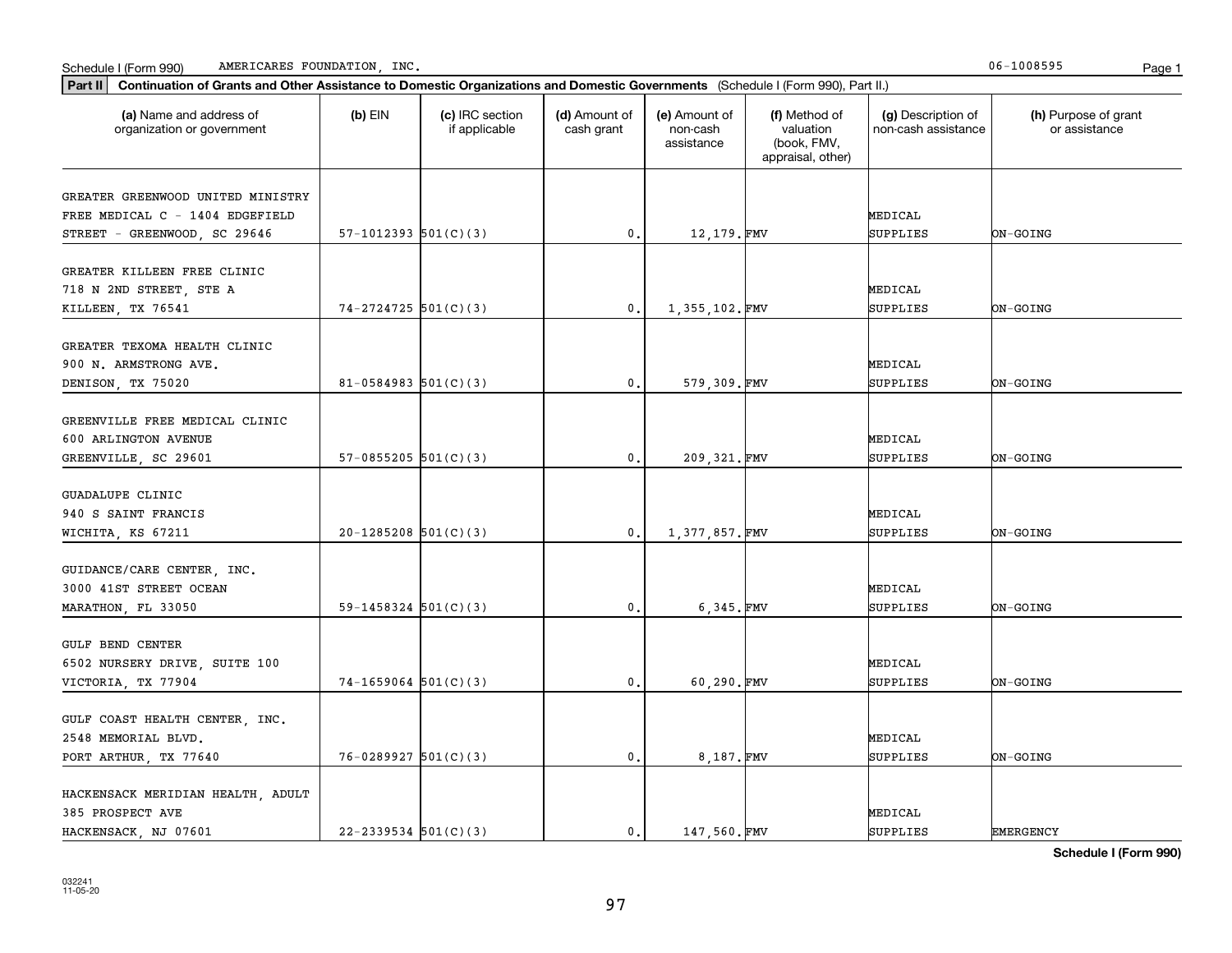| AMERICARES FOUNDATION, INC.<br>Schedule I (Form 990)                                                                                        |                            |                                  |                             |                                         |                                                                |                                           | $06 - 1008595$<br>Page 1              |
|---------------------------------------------------------------------------------------------------------------------------------------------|----------------------------|----------------------------------|-----------------------------|-----------------------------------------|----------------------------------------------------------------|-------------------------------------------|---------------------------------------|
| Part II<br>Continuation of Grants and Other Assistance to Domestic Organizations and Domestic Governments (Schedule I (Form 990), Part II.) |                            |                                  |                             |                                         |                                                                |                                           |                                       |
| (a) Name and address of<br>organization or government                                                                                       | $(b)$ EIN                  | (c) IRC section<br>if applicable | (d) Amount of<br>cash grant | (e) Amount of<br>non-cash<br>assistance | (f) Method of<br>valuation<br>(book, FMV,<br>appraisal, other) | (g) Description of<br>non-cash assistance | (h) Purpose of grant<br>or assistance |
| GREATER GREENWOOD UNITED MINISTRY<br>FREE MEDICAL C - 1404 EDGEFIELD<br>STREET - GREENWOOD, SC 29646                                        | $57-1012393$ $501(C)(3)$   |                                  | $\mathbf{0}$ .              | 12,179.FMV                              |                                                                | MEDICAL<br>SUPPLIES                       | <b>ON-GOING</b>                       |
| GREATER KILLEEN FREE CLINIC<br>718 N 2ND STREET, STE A<br>KILLEEN, TX 76541                                                                 | $74 - 2724725$ 501(C)(3)   |                                  | 0.                          | 1,355,102.FMV                           |                                                                | MEDICAL<br>SUPPLIES                       | <b>DN-GOING</b>                       |
| GREATER TEXOMA HEALTH CLINIC<br>900 N. ARMSTRONG AVE.<br>DENISON, TX 75020                                                                  | $81 - 0584983$ $501(C)(3)$ |                                  | 0.                          | 579,309.FMV                             |                                                                | MEDICAL<br>SUPPLIES                       | <b>DN-GOING</b>                       |
| GREENVILLE FREE MEDICAL CLINIC<br>600 ARLINGTON AVENUE<br>GREENVILLE, SC 29601                                                              | $57-0855205$ 501(C)(3)     |                                  | 0.                          | 209, 321. FMV                           |                                                                | MEDICAL<br>SUPPLIES                       | <b>DN-GOING</b>                       |
| GUADALUPE CLINIC<br>940 S SAINT FRANCIS<br>WICHITA, KS 67211                                                                                | $20-1285208$ $501(C)(3)$   |                                  | $\mathbf{0}$ .              | 1,377,857.FMV                           |                                                                | MEDICAL<br><b>SUPPLIES</b>                | <b>DN-GOING</b>                       |
| GUIDANCE/CARE CENTER, INC.<br>3000 41ST STREET OCEAN<br>MARATHON, FL 33050                                                                  | $59-1458324$ $501(C)(3)$   |                                  | 0.                          | 6,345.FMV                               |                                                                | MEDICAL<br>SUPPLIES                       | <b>DN-GOING</b>                       |
| <b>GULF BEND CENTER</b><br>6502 NURSERY DRIVE, SUITE 100<br>VICTORIA, TX 77904                                                              | $74-1659064$ 501(C)(3)     |                                  | 0.                          | 60.290.FMV                              |                                                                | MEDICAL<br>SUPPLIES                       | <b>DN-GOING</b>                       |
| GULF COAST HEALTH CENTER, INC.<br>2548 MEMORIAL BLVD.<br>PORT ARTHUR, TX 77640                                                              | $76 - 0289927$ 501(C)(3)   |                                  | 0.                          | 8,187.FMV                               |                                                                | MEDICAL<br>SUPPLIES                       | <b>DN-GOING</b>                       |
| HACKENSACK MERIDIAN HEALTH, ADULT<br>385 PROSPECT AVE<br>HACKENSACK, NJ 07601                                                               | $22 - 2339534$ 501(C)(3)   |                                  | 0.                          | 147.560.FMV                             |                                                                | MEDICAL<br>SUPPLIES                       | <b>EMERGENCY</b>                      |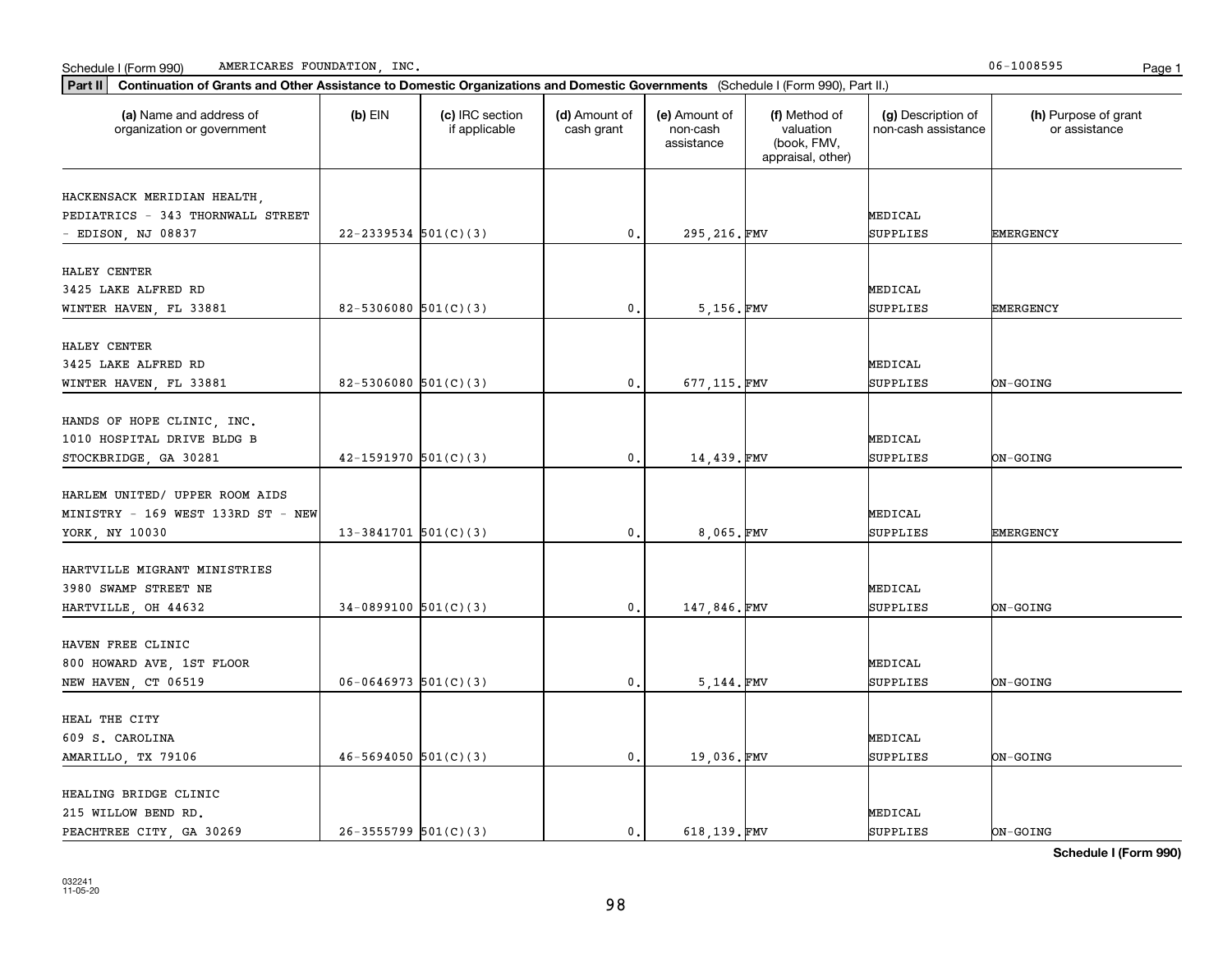HEALING BRIDGE CLINIC

| WINTER HAVEN, FL 33881             | $82 - 5306080$ $501(C)(3)$ | 0.             | 677, 115. FMV | SUPPLIES        | <b>DN-GOING</b>  |
|------------------------------------|----------------------------|----------------|---------------|-----------------|------------------|
| HANDS OF HOPE CLINIC, INC.         |                            |                |               |                 |                  |
| 1010 HOSPITAL DRIVE BLDG B         |                            |                |               | MEDICAL         |                  |
| STOCKBRIDGE, GA 30281              | $42 - 1591970$ 501(C)(3)   | 0.             | 14,439.FMV    | SUPPLIES        | <b>DN-GOING</b>  |
| HARLEM UNITED/ UPPER ROOM AIDS     |                            |                |               |                 |                  |
| MINISTRY - 169 WEST 133RD ST - NEW |                            |                |               | MEDICAL         |                  |
| YORK, NY 10030                     | $13-3841701$ 501(C)(3)     | 0.             | 8,065.FMV     | SUPPLIES        | <b>EMERGENCY</b> |
| HARTVILLE MIGRANT MINISTRIES       |                            |                |               |                 |                  |
| 3980 SWAMP STREET NE               |                            |                |               | MEDICAL         |                  |
| HARTVILLE, OH 44632                | $34-0899100$ 501(C)(3)     | $\mathbf{0}$ . | 147,846.FMV   | SUPPLIES        | <b>DN-GOING</b>  |
| HAVEN FREE CLINIC                  |                            |                |               |                 |                  |
| 800 HOWARD AVE, 1ST FLOOR          |                            |                |               | MEDICAL         |                  |
| NEW HAVEN, CT 06519                | $06 - 0646973$ 501(C)(3)   | 0.             | 5.144.FMV     | <b>SUPPLIES</b> | <b>DN-GOING</b>  |
| HEAL THE CITY                      |                            |                |               |                 |                  |
| 609 S. CAROLINA                    |                            |                |               | MEDICAL         |                  |
| AMARILLO, TX 79106                 | $46 - 5694050$ 501(C)(3)   | 0.             | 19,036.FMV    | SUPPLIES        | <b>DN-GOING</b>  |

## Schedule I (Form 990) Page 1 AMERICARES FOUNDATION, INC. 06-1008595

organization or government

HACKENSACK MERIDIAN HEALTH,

HALEY CENTER

HALEY CENTER

**Part II Continuation of Grants and Other Assistance to Domestic Organizations and Domestic Governments**  (Schedule I (Form 990), Part II.)

if applicable

PEDIATRICS - 343 THORNWALL STREET NATURE AND MEDICAL MEDICAL MEDICAL MEDICAL MEDICAL

3425 LAKE ALFRED RD MEDICAL

3425 LAKE ALFRED RD MEDICAL

215 WILLOW BEND RD. NEDICAL RESOLUTION AND RESOLUTION OF RESOLUTION OF RESOLUTION AND MEDICAL RESOLUTION OF RESOLUTION OF RESOLUTION OF RESOLUTION OF RESOLUTION OF RESOLUTION OF RESOLUTION OF RESOLUTION OF RESOLUTION OF RE

PEACHTREE CITY, GA 30269 26-3555799 501(C)(3) (3) 0. 618,139. FMV SUPPLIES ON-GOING

 $(b)$  EIN  $(c)$  IRC section

**(a) (b) (c) (d) (e) (f) (g) (h)** Name and address of

- EDISON, NJ 08837 22-2339534 501(C)(3) 0. 295,216. FMV SUPPLIES EMERGENCY

WINTER HAVEN, FL 33881 82-5306080 501(C)(3) 0. 5.156. FMV SUPPLIES EMERGENCY

(d) Amount of cash grant

(e) Amount of non-cashassistance

(f) Method of valuation (book, FMV, appraisal, other)

(g) Description of non-cash assistance

(h) Purpose of grant or assistance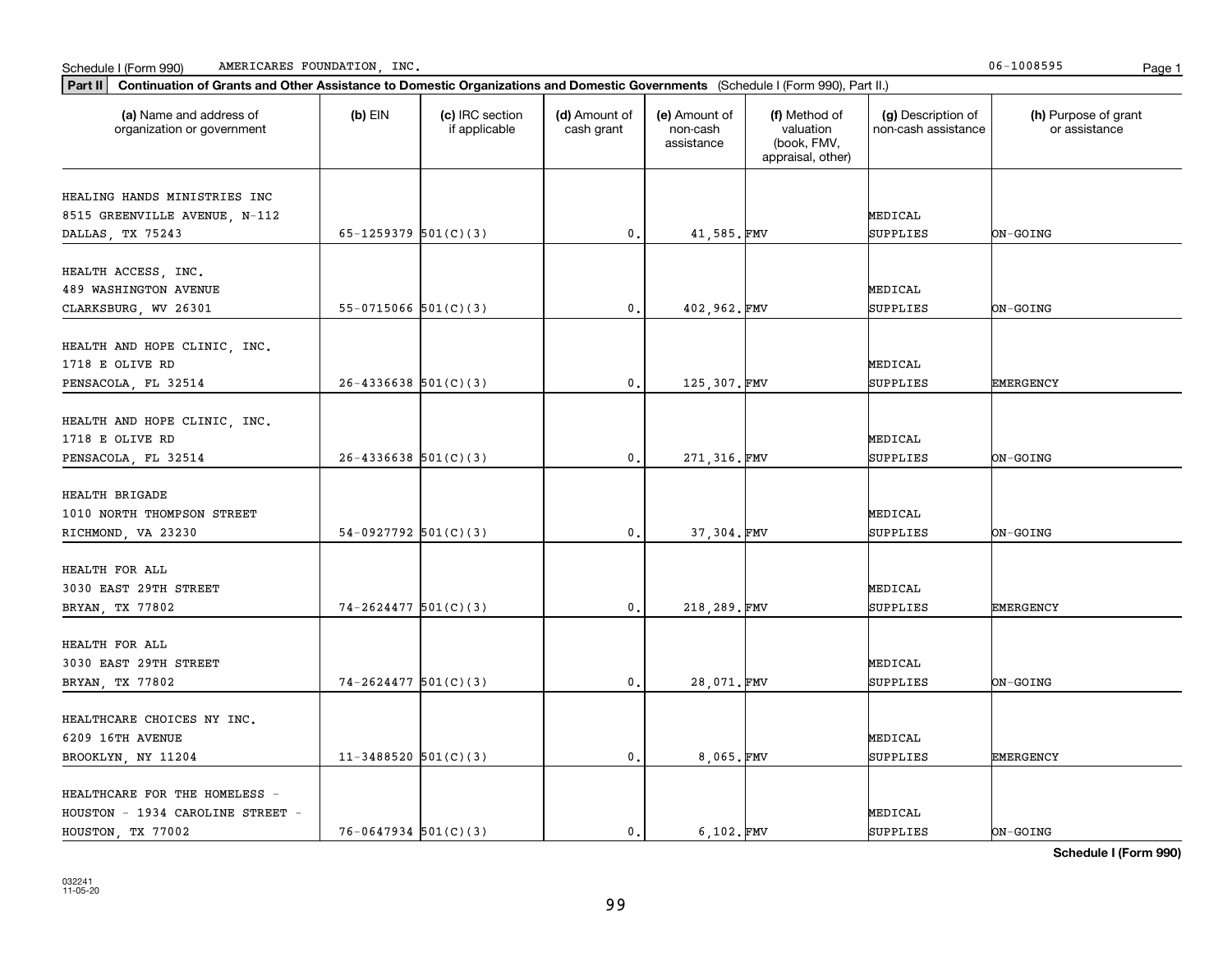| Continuation of Grants and Other Assistance to Domestic Organizations and Domestic Governments (Schedule I (Form 990), Part II.)<br>Part II |                          |                                  |                             |                                         |                                                                |                                           |                                       |
|---------------------------------------------------------------------------------------------------------------------------------------------|--------------------------|----------------------------------|-----------------------------|-----------------------------------------|----------------------------------------------------------------|-------------------------------------------|---------------------------------------|
| (a) Name and address of<br>organization or government                                                                                       | $(b)$ EIN                | (c) IRC section<br>if applicable | (d) Amount of<br>cash grant | (e) Amount of<br>non-cash<br>assistance | (f) Method of<br>valuation<br>(book, FMV,<br>appraisal, other) | (g) Description of<br>non-cash assistance | (h) Purpose of grant<br>or assistance |
| HEALING HANDS MINISTRIES INC                                                                                                                |                          |                                  |                             |                                         |                                                                |                                           |                                       |
| 8515 GREENVILLE AVENUE, N-112                                                                                                               |                          |                                  |                             |                                         |                                                                | MEDICAL                                   |                                       |
| DALLAS, TX 75243                                                                                                                            | 65-1259379 $501(C)(3)$   |                                  | 0.                          | 41,585.FMV                              |                                                                | SUPPLIES                                  | <b>ON-GOING</b>                       |
| HEALTH ACCESS, INC.                                                                                                                         |                          |                                  |                             |                                         |                                                                |                                           |                                       |
| 489 WASHINGTON AVENUE                                                                                                                       |                          |                                  |                             |                                         |                                                                | MEDICAL                                   |                                       |
| CLARKSBURG, WV 26301                                                                                                                        | $55-0715066$ $501(C)(3)$ |                                  | 0.                          | 402,962.FMV                             |                                                                | SUPPLIES                                  | <b>DN-GOING</b>                       |
| HEALTH AND HOPE CLINIC, INC.                                                                                                                |                          |                                  |                             |                                         |                                                                |                                           |                                       |
| 1718 E OLIVE RD                                                                                                                             |                          |                                  |                             |                                         |                                                                | MEDICAL                                   |                                       |
| PENSACOLA, FL 32514                                                                                                                         | $26 - 4336638$ 501(C)(3) |                                  | 0.                          | 125,307.FMV                             |                                                                | SUPPLIES                                  | <b>EMERGENCY</b>                      |
|                                                                                                                                             |                          |                                  |                             |                                         |                                                                |                                           |                                       |
| HEALTH AND HOPE CLINIC, INC.                                                                                                                |                          |                                  |                             |                                         |                                                                |                                           |                                       |
| 1718 E OLIVE RD                                                                                                                             |                          |                                  |                             |                                         |                                                                | MEDICAL                                   |                                       |
| PENSACOLA, FL 32514                                                                                                                         | $26 - 4336638$ 501(C)(3) |                                  | 0.                          | 271, 316. FMV                           |                                                                | SUPPLIES                                  | <b>ON-GOING</b>                       |
| HEALTH BRIGADE                                                                                                                              |                          |                                  |                             |                                         |                                                                |                                           |                                       |
| 1010 NORTH THOMPSON STREET                                                                                                                  |                          |                                  |                             |                                         |                                                                | MEDICAL                                   |                                       |
| RICHMOND, VA 23230                                                                                                                          | 54-0927792 $501(C)(3)$   |                                  | 0.                          | 37,304. FMV                             |                                                                | SUPPLIES                                  | <b>DN-GOING</b>                       |
|                                                                                                                                             |                          |                                  |                             |                                         |                                                                |                                           |                                       |
| HEALTH FOR ALL<br>3030 EAST 29TH STREET                                                                                                     |                          |                                  |                             |                                         |                                                                | MEDICAL                                   |                                       |
| BRYAN, TX 77802                                                                                                                             | $74 - 2624477$ 501(C)(3) |                                  | 0.                          | 218,289.FMV                             |                                                                | SUPPLIES                                  | <b>EMERGENCY</b>                      |
|                                                                                                                                             |                          |                                  |                             |                                         |                                                                |                                           |                                       |
| HEALTH FOR ALL                                                                                                                              |                          |                                  |                             |                                         |                                                                |                                           |                                       |
| 3030 EAST 29TH STREET                                                                                                                       |                          |                                  |                             |                                         |                                                                | MEDICAL                                   |                                       |
| BRYAN, TX 77802                                                                                                                             | $74 - 2624477$ 501(C)(3) |                                  | 0.                          | 28,071.FMV                              |                                                                | SUPPLIES                                  | <b>ON-GOING</b>                       |
| HEALTHCARE CHOICES NY INC.                                                                                                                  |                          |                                  |                             |                                         |                                                                |                                           |                                       |
| 6209 16TH AVENUE                                                                                                                            |                          |                                  |                             |                                         |                                                                | MEDICAL                                   |                                       |
| BROOKLYN, NY 11204                                                                                                                          | $11-3488520$ 501(C)(3)   |                                  | 0.                          | 8,065.FMV                               |                                                                | SUPPLIES                                  | <b>EMERGENCY</b>                      |
|                                                                                                                                             |                          |                                  |                             |                                         |                                                                |                                           |                                       |
| HEALTHCARE FOR THE HOMELESS -                                                                                                               |                          |                                  |                             |                                         |                                                                |                                           |                                       |
| HOUSTON - 1934 CAROLINE STREET -                                                                                                            |                          |                                  |                             |                                         |                                                                | MEDICAL                                   |                                       |
| HOUSTON, TX 77002                                                                                                                           | $76 - 0647934$ 501(C)(3) |                                  | 0.                          | 6.102.FMV                               |                                                                | SUPPLIES                                  | <b>DN-GOING</b>                       |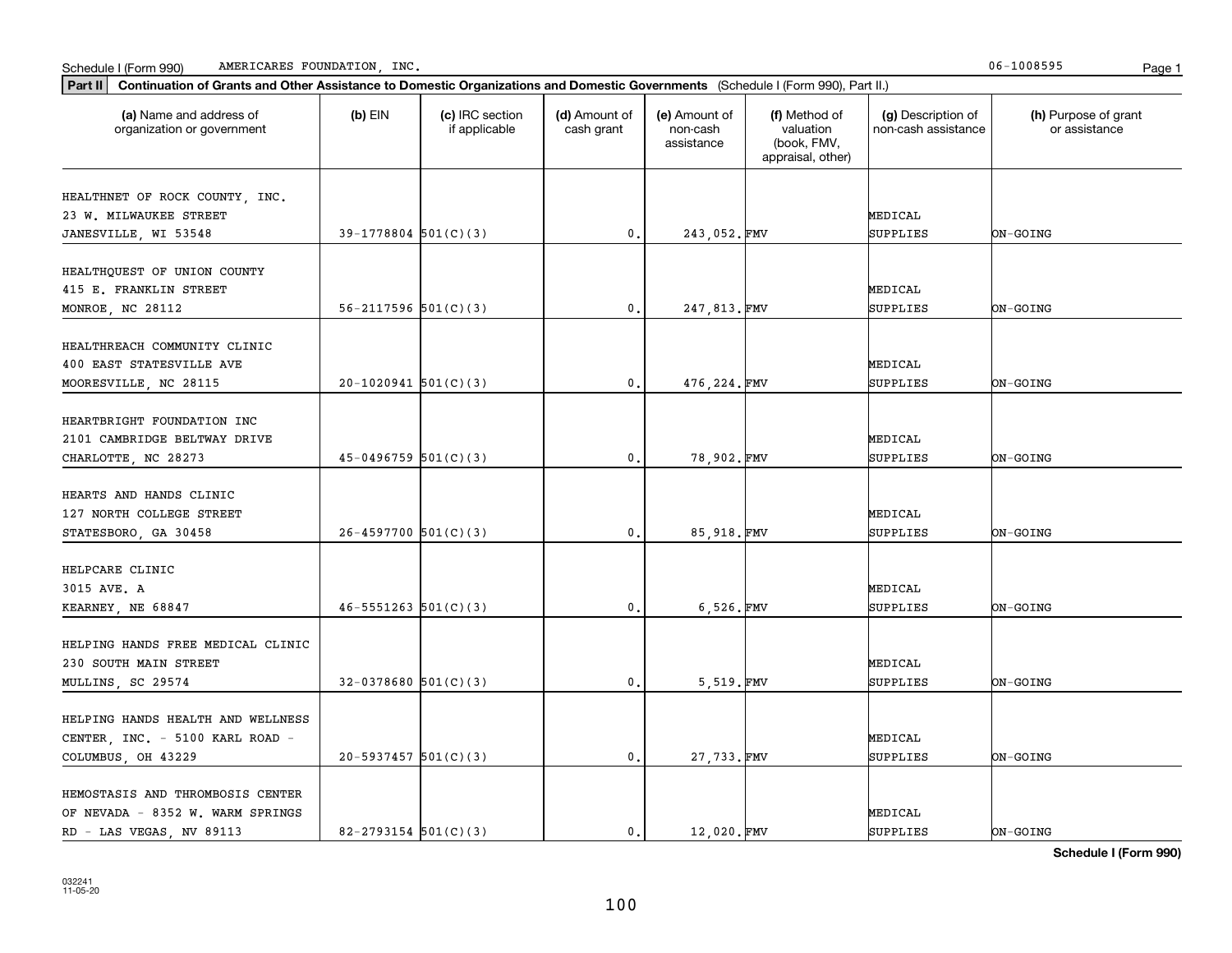| (a) Name and address of<br>organization or government | $(b)$ EIN                  | (c) IRC section<br>if applicable | (d) Amount of<br>cash grant | (e) Amount of<br>non-cash<br>assistance | (f) Method of<br>valuation<br>(book, FMV,<br>appraisal, other) | (g) Description of<br>non-cash assistance | (h) Purpose of grant<br>or assistance |
|-------------------------------------------------------|----------------------------|----------------------------------|-----------------------------|-----------------------------------------|----------------------------------------------------------------|-------------------------------------------|---------------------------------------|
| HEALTHNET OF ROCK COUNTY, INC.                        |                            |                                  |                             |                                         |                                                                |                                           |                                       |
| 23 W. MILWAUKEE STREET                                |                            |                                  |                             |                                         |                                                                | MEDICAL                                   |                                       |
| JANESVILLE, WI 53548                                  | $39-1778804$ 501(C)(3)     |                                  | $\mathsf{0}\,$ .            | 243,052.FMV                             |                                                                | SUPPLIES                                  | <b>DN-GOING</b>                       |
|                                                       |                            |                                  |                             |                                         |                                                                |                                           |                                       |
| HEALTHQUEST OF UNION COUNTY                           |                            |                                  |                             |                                         |                                                                | MEDICAL                                   |                                       |
| 415 E. FRANKLIN STREET                                | $56 - 2117596$ $501(C)(3)$ |                                  | 0.                          |                                         |                                                                | SUPPLIES                                  | <b>DN-GOING</b>                       |
| MONROE, NC 28112                                      |                            |                                  |                             | 247,813.FMV                             |                                                                |                                           |                                       |
| HEALTHREACH COMMUNITY CLINIC                          |                            |                                  |                             |                                         |                                                                |                                           |                                       |
| 400 EAST STATESVILLE AVE                              |                            |                                  |                             |                                         |                                                                | MEDICAL                                   |                                       |
| MOORESVILLE, NC 28115                                 | $20-1020941$ 501(C)(3)     |                                  | 0.                          | 476, 224. FMV                           |                                                                | SUPPLIES                                  | <b>DN-GOING</b>                       |
| HEARTBRIGHT FOUNDATION INC                            |                            |                                  |                             |                                         |                                                                |                                           |                                       |
| 2101 CAMBRIDGE BELTWAY DRIVE                          |                            |                                  |                             |                                         |                                                                | MEDICAL                                   |                                       |
| CHARLOTTE, NC 28273                                   | $45-0496759$ 501(C)(3)     |                                  | 0.                          | 78,902.FMV                              |                                                                | SUPPLIES                                  | <b>DN-GOING</b>                       |
|                                                       |                            |                                  |                             |                                         |                                                                |                                           |                                       |
| HEARTS AND HANDS CLINIC                               |                            |                                  |                             |                                         |                                                                |                                           |                                       |
| 127 NORTH COLLEGE STREET                              |                            |                                  |                             |                                         |                                                                | MEDICAL                                   |                                       |
| STATESBORO, GA 30458                                  | $26 - 4597700$ 501(C)(3)   |                                  | 0.                          | 85,918.FMV                              |                                                                | SUPPLIES                                  | <b>DN-GOING</b>                       |
|                                                       |                            |                                  |                             |                                         |                                                                |                                           |                                       |
| HELPCARE CLINIC                                       |                            |                                  |                             |                                         |                                                                |                                           |                                       |
| 3015 AVE. A                                           | $46 - 5551263$ $501(C)(3)$ |                                  | 0.                          | 6,526.FMV                               |                                                                | MEDICAL<br>SUPPLIES                       | <b>DN-GOING</b>                       |
| KEARNEY, NE 68847                                     |                            |                                  |                             |                                         |                                                                |                                           |                                       |
| HELPING HANDS FREE MEDICAL CLINIC                     |                            |                                  |                             |                                         |                                                                |                                           |                                       |
| 230 SOUTH MAIN STREET                                 |                            |                                  |                             |                                         |                                                                | MEDICAL                                   |                                       |
| MULLINS, SC 29574                                     | $32-0378680$ 501(C)(3)     |                                  | $\mathsf{0}\,$ .            | 5,519.FMV                               |                                                                | SUPPLIES                                  | <b>DN-GOING</b>                       |
|                                                       |                            |                                  |                             |                                         |                                                                |                                           |                                       |
| HELPING HANDS HEALTH AND WELLNESS                     |                            |                                  |                             |                                         |                                                                |                                           |                                       |
| CENTER, INC. - 5100 KARL ROAD -                       |                            |                                  |                             |                                         |                                                                | MEDICAL                                   |                                       |
| COLUMBUS, OH 43229                                    | $20-5937457$ 501(C)(3)     |                                  | 0.                          | 27,733. FMV                             |                                                                | SUPPLIES                                  | <b>DN-GOING</b>                       |
| HEMOSTASIS AND THROMBOSIS CENTER                      |                            |                                  |                             |                                         |                                                                |                                           |                                       |
| OF NEVADA - 8352 W. WARM SPRINGS                      |                            |                                  |                             |                                         |                                                                | MEDICAL                                   |                                       |
| RD - LAS VEGAS, NV 89113                              | $82 - 2793154$ $501(C)(3)$ |                                  | 0.                          | 12,020.FMV                              |                                                                | <b>SUPPLIES</b>                           | <b>DN-GOING</b>                       |
|                                                       |                            |                                  |                             |                                         |                                                                |                                           |                                       |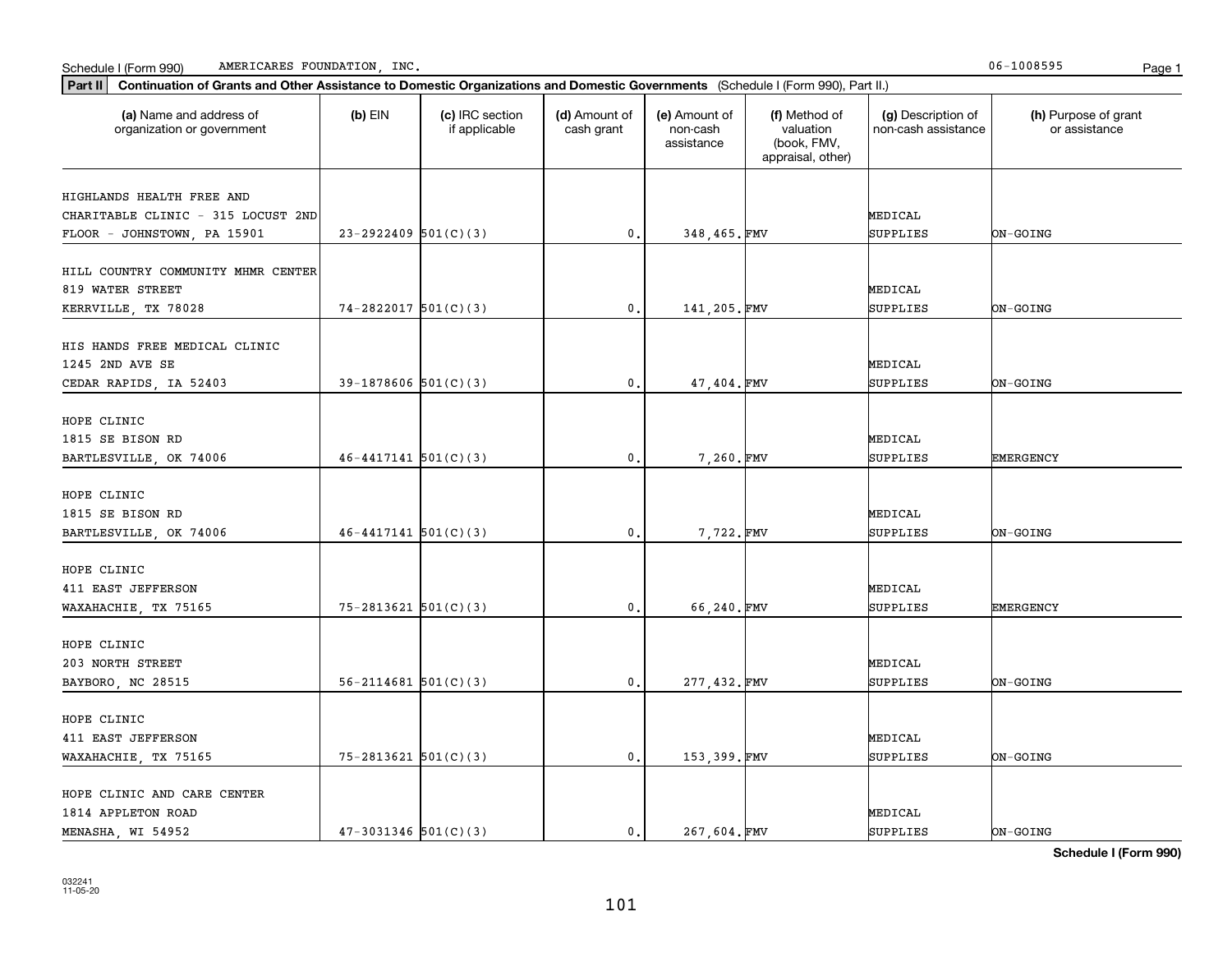| Continuation of Grants and Other Assistance to Domestic Organizations and Domestic Governments (Schedule I (Form 990), Part II.)<br>$ $ Part II |                            |                                  |                             |                                         |                                                                |                                           |                                       |
|-------------------------------------------------------------------------------------------------------------------------------------------------|----------------------------|----------------------------------|-----------------------------|-----------------------------------------|----------------------------------------------------------------|-------------------------------------------|---------------------------------------|
| (a) Name and address of<br>organization or government                                                                                           | (b) EIN                    | (c) IRC section<br>if applicable | (d) Amount of<br>cash grant | (e) Amount of<br>non-cash<br>assistance | (f) Method of<br>valuation<br>(book, FMV,<br>appraisal, other) | (g) Description of<br>non-cash assistance | (h) Purpose of grant<br>or assistance |
| HIGHLANDS HEALTH FREE AND<br>CHARITABLE CLINIC - 315 LOCUST 2ND<br>FLOOR - JOHNSTOWN, PA 15901                                                  | $23 - 2922409$ 501(C)(3)   |                                  | $\mathbf{0}$ .              | 348,465. FMV                            |                                                                | MEDICAL<br><b>SUPPLIES</b>                | <b>DN-GOING</b>                       |
| HILL COUNTRY COMMUNITY MHMR CENTER<br>819 WATER STREET<br>KERRVILLE, TX 78028                                                                   | $74 - 2822017$ 501(C)(3)   |                                  | $\mathbf{0}$ .              | 141,205.FMV                             |                                                                | MEDICAL<br>SUPPLIES                       | <b>DN-GOING</b>                       |
| HIS HANDS FREE MEDICAL CLINIC<br>1245 2ND AVE SE<br>CEDAR RAPIDS, IA 52403                                                                      | $39-1878606$ $501(C)(3)$   |                                  | $\mathfrak{o}$ .            | 47,404.FMV                              |                                                                | MEDICAL<br>SUPPLIES                       | <b>DN-GOING</b>                       |
| HOPE CLINIC<br>1815 SE BISON RD<br>BARTLESVILLE, OK 74006                                                                                       | $46 - 4417141$ $501(C)(3)$ |                                  | $\mathbf{0}$ .              | 7,260.FMV                               |                                                                | MEDICAL<br><b>SUPPLIES</b>                | <b>EMERGENCY</b>                      |
| HOPE CLINIC<br>1815 SE BISON RD<br>BARTLESVILLE, OK 74006                                                                                       | $46 - 4417141$ $501(C)(3)$ |                                  | $\mathbf{0}$ .              | 7,722. FMV                              |                                                                | MEDICAL<br>SUPPLIES                       | <b>DN-GOING</b>                       |
| HOPE CLINIC<br>411 EAST JEFFERSON<br>WAXAHACHIE, TX 75165                                                                                       | $75 - 2813621$ $501(C)(3)$ |                                  | $\mathfrak{o}$ .            | 66,240.FMV                              |                                                                | MEDICAL<br>SUPPLIES                       | <b>EMERGENCY</b>                      |
| HOPE CLINIC<br>203 NORTH STREET<br>BAYBORO, NC 28515                                                                                            | $56 - 2114681$ $501(C)(3)$ |                                  | 0.                          | 277,432.FMV                             |                                                                | MEDICAL<br>SUPPLIES                       | <b>DN-GOING</b>                       |
| HOPE CLINIC<br>411 EAST JEFFERSON<br>WAXAHACHIE, TX 75165                                                                                       | $75 - 2813621$ $501(C)(3)$ |                                  | $\mathsf{0}$ .              | 153,399.FMV                             |                                                                | MEDICAL<br>SUPPLIES                       | <b>DN-GOING</b>                       |
| HOPE CLINIC AND CARE CENTER<br>1814 APPLETON ROAD<br>MENASHA, WI 54952                                                                          | $47-3031346$ 501(C)(3)     |                                  | $\mathbf{0}$ .              | 267.604.FMV                             |                                                                | MEDICAL<br><b>SUPPLIES</b>                | <b>DN-GOING</b>                       |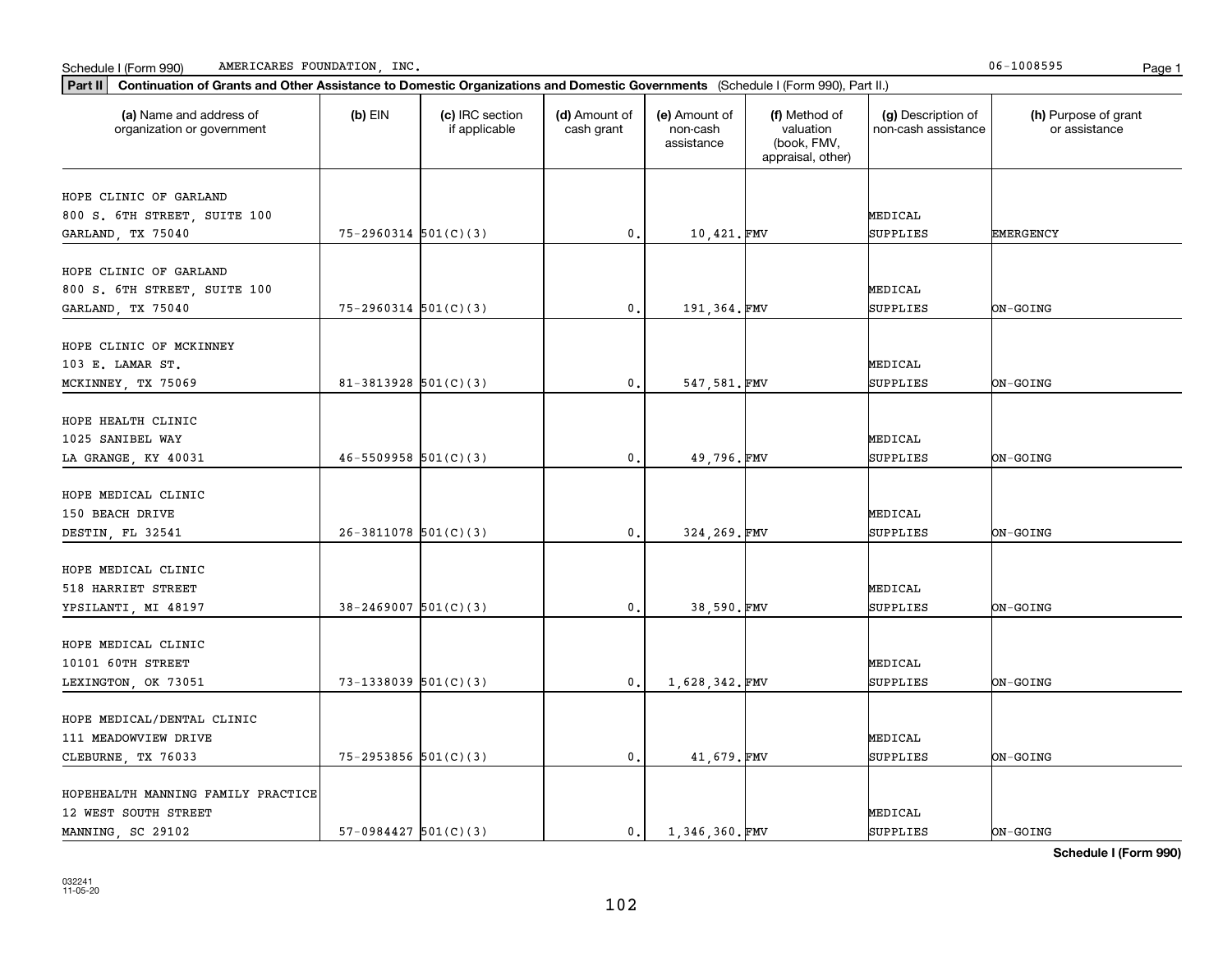| Continuation of Grants and Other Assistance to Domestic Organizations and Domestic Governments (Schedule I (Form 990), Part II.)<br>Part II |                            |                                  |                             |                                         |                                                                |                                           |                                       |
|---------------------------------------------------------------------------------------------------------------------------------------------|----------------------------|----------------------------------|-----------------------------|-----------------------------------------|----------------------------------------------------------------|-------------------------------------------|---------------------------------------|
| (a) Name and address of<br>organization or government                                                                                       | $(b)$ EIN                  | (c) IRC section<br>if applicable | (d) Amount of<br>cash grant | (e) Amount of<br>non-cash<br>assistance | (f) Method of<br>valuation<br>(book, FMV,<br>appraisal, other) | (g) Description of<br>non-cash assistance | (h) Purpose of grant<br>or assistance |
| HOPE CLINIC OF GARLAND                                                                                                                      |                            |                                  |                             |                                         |                                                                |                                           |                                       |
| 800 S. 6TH STREET, SUITE 100                                                                                                                |                            |                                  |                             |                                         |                                                                | MEDICAL                                   |                                       |
| GARLAND, TX 75040                                                                                                                           | $75 - 2960314$ $501(C)(3)$ |                                  | 0.                          | 10,421.FMV                              |                                                                | SUPPLIES                                  | <b>EMERGENCY</b>                      |
| HOPE CLINIC OF GARLAND                                                                                                                      |                            |                                  |                             |                                         |                                                                |                                           |                                       |
| 800 S. 6TH STREET, SUITE 100                                                                                                                |                            |                                  |                             |                                         |                                                                | MEDICAL                                   |                                       |
| GARLAND, TX 75040                                                                                                                           | $75-2960314$ $501(C)(3)$   |                                  | 0.                          | 191,364.FMV                             |                                                                | SUPPLIES                                  | <b>DN-GOING</b>                       |
| HOPE CLINIC OF MCKINNEY                                                                                                                     |                            |                                  |                             |                                         |                                                                |                                           |                                       |
| 103 E. LAMAR ST.                                                                                                                            |                            |                                  |                             |                                         |                                                                | MEDICAL                                   |                                       |
| MCKINNEY, TX 75069                                                                                                                          | $81-3813928$ 501(C)(3)     |                                  | 0.                          | 547,581.FMV                             |                                                                | SUPPLIES                                  | <b>DN-GOING</b>                       |
|                                                                                                                                             |                            |                                  |                             |                                         |                                                                |                                           |                                       |
| HOPE HEALTH CLINIC                                                                                                                          |                            |                                  |                             |                                         |                                                                |                                           |                                       |
| 1025 SANIBEL WAY                                                                                                                            |                            |                                  |                             |                                         |                                                                | MEDICAL                                   |                                       |
| LA GRANGE, KY 40031                                                                                                                         | $46 - 5509958$ 501(C)(3)   |                                  | 0.                          | 49,796.FMV                              |                                                                | SUPPLIES                                  | <b>DN-GOING</b>                       |
| HOPE MEDICAL CLINIC                                                                                                                         |                            |                                  |                             |                                         |                                                                |                                           |                                       |
| 150 BEACH DRIVE                                                                                                                             |                            |                                  |                             |                                         |                                                                | MEDICAL                                   |                                       |
| DESTIN, FL 32541                                                                                                                            | $26-3811078$ 501(C)(3)     |                                  | 0.                          | 324, 269. FMV                           |                                                                | SUPPLIES                                  | <b>DN-GOING</b>                       |
| HOPE MEDICAL CLINIC                                                                                                                         |                            |                                  |                             |                                         |                                                                |                                           |                                       |
| 518 HARRIET STREET                                                                                                                          |                            |                                  |                             |                                         |                                                                | MEDICAL                                   |                                       |
| YPSILANTI, MI 48197                                                                                                                         | $38 - 2469007$ 501(C)(3)   |                                  | 0.                          | 38,590.FMV                              |                                                                | SUPPLIES                                  | <b>DN-GOING</b>                       |
|                                                                                                                                             |                            |                                  |                             |                                         |                                                                |                                           |                                       |
| HOPE MEDICAL CLINIC                                                                                                                         |                            |                                  |                             |                                         |                                                                |                                           |                                       |
| 10101 60TH STREET                                                                                                                           |                            |                                  |                             |                                         |                                                                | MEDICAL                                   |                                       |
| LEXINGTON, OK 73051                                                                                                                         | $73-1338039$ $501(C)(3)$   |                                  | 0.                          | 1,628,342.FMV                           |                                                                | <b>SUPPLIES</b>                           | <b>DN-GOING</b>                       |
| HOPE MEDICAL/DENTAL CLINIC                                                                                                                  |                            |                                  |                             |                                         |                                                                |                                           |                                       |
| 111 MEADOWVIEW DRIVE                                                                                                                        |                            |                                  |                             |                                         |                                                                | MEDICAL                                   |                                       |
| CLEBURNE, TX 76033                                                                                                                          | $75 - 2953856$ $501(C)(3)$ |                                  | 0.                          | 41,679.FMV                              |                                                                | SUPPLIES                                  | <b>DN-GOING</b>                       |
| HOPEHEALTH MANNING FAMILY PRACTICE                                                                                                          |                            |                                  |                             |                                         |                                                                |                                           |                                       |
| 12 WEST SOUTH STREET                                                                                                                        |                            |                                  |                             |                                         |                                                                | MEDICAL                                   |                                       |
| MANNING, SC 29102                                                                                                                           | $57-0984427$ $501(C)(3)$   |                                  | 0.1                         | 1,346,360.FMV                           |                                                                | <b>SUPPLIES</b>                           | <b>DN-GOING</b>                       |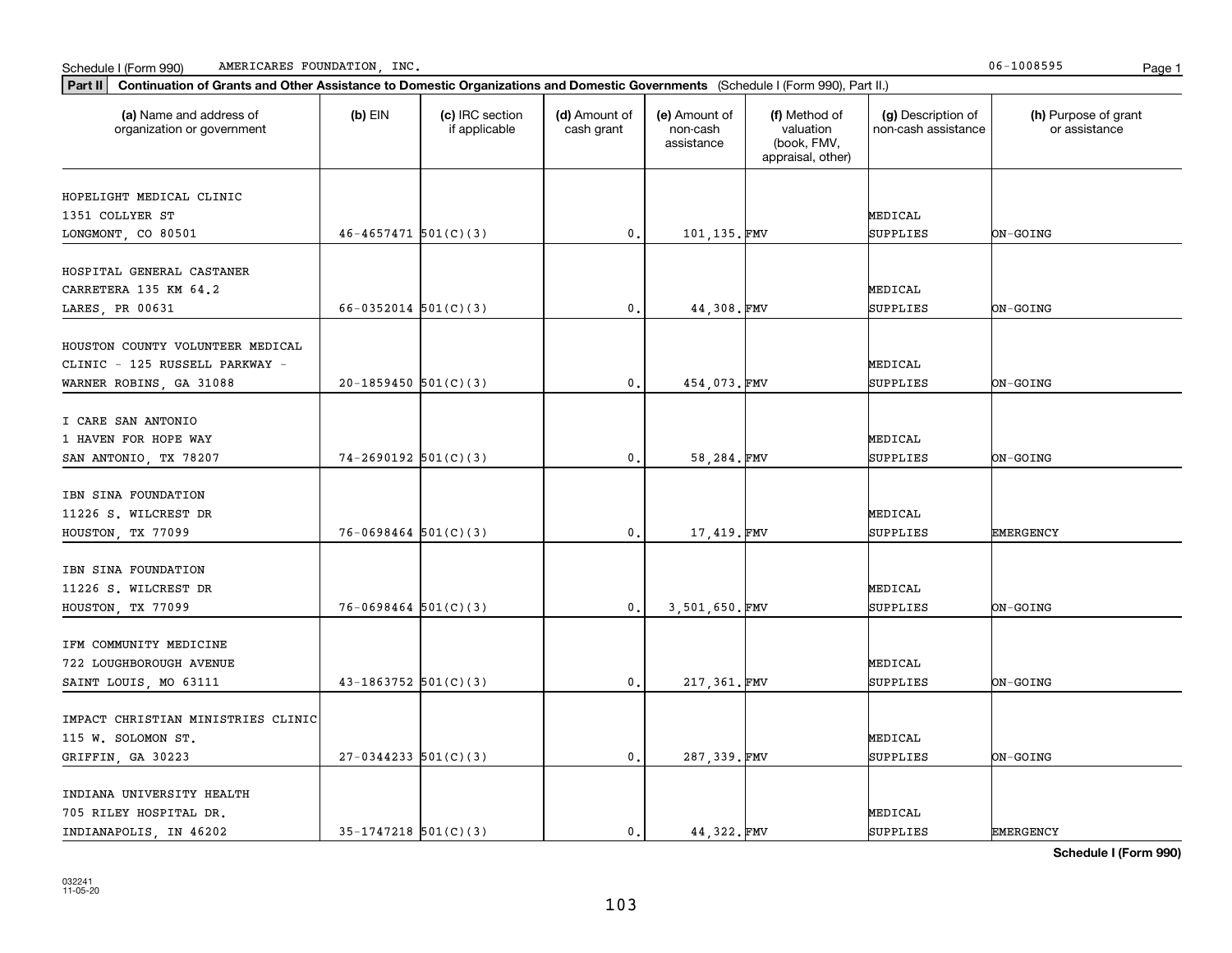| (a) Name and address of<br>organization or government | $(b)$ EIN                  | (c) IRC section<br>if applicable | (d) Amount of<br>cash grant | (e) Amount of<br>non-cash<br>assistance | (f) Method of<br>valuation<br>(book, FMV,<br>appraisal, other) | (g) Description of<br>non-cash assistance | (h) Purpose of grant<br>or assistance |
|-------------------------------------------------------|----------------------------|----------------------------------|-----------------------------|-----------------------------------------|----------------------------------------------------------------|-------------------------------------------|---------------------------------------|
| HOPELIGHT MEDICAL CLINIC                              |                            |                                  |                             |                                         |                                                                |                                           |                                       |
| 1351 COLLYER ST                                       |                            |                                  |                             |                                         |                                                                | MEDICAL                                   |                                       |
| LONGMONT, CO 80501                                    | $46 - 4657471$ $501(C)(3)$ |                                  | $\mathbf{0}$ .              | 101,135.FMV                             |                                                                | SUPPLIES                                  | <b>DN-GOING</b>                       |
| HOSPITAL GENERAL CASTANER                             |                            |                                  |                             |                                         |                                                                |                                           |                                       |
| CARRETERA 135 KM 64.2                                 |                            |                                  |                             |                                         |                                                                | MEDICAL                                   |                                       |
|                                                       | 66-0352014 $501(C)(3)$     |                                  | $\mathbf{0}$ .              | 44,308.FMV                              |                                                                | SUPPLIES                                  | <b>DN-GOING</b>                       |
| LARES, PR 00631                                       |                            |                                  |                             |                                         |                                                                |                                           |                                       |
| HOUSTON COUNTY VOLUNTEER MEDICAL                      |                            |                                  |                             |                                         |                                                                |                                           |                                       |
| CLINIC - 125 RUSSELL PARKWAY -                        |                            |                                  |                             |                                         |                                                                | MEDICAL                                   |                                       |
| WARNER ROBINS, GA 31088                               | $20-1859450$ 501(C)(3)     |                                  | 0.                          | 454,073. FMV                            |                                                                | SUPPLIES                                  | <b>ON-GOING</b>                       |
|                                                       |                            |                                  |                             |                                         |                                                                |                                           |                                       |
| I CARE SAN ANTONIO                                    |                            |                                  |                             |                                         |                                                                |                                           |                                       |
| 1 HAVEN FOR HOPE WAY                                  |                            |                                  |                             |                                         |                                                                | MEDICAL                                   |                                       |
| SAN ANTONIO, TX 78207                                 | $74 - 2690192$ 501(C)(3)   |                                  | $\mathbf{0}$                | 58,284.FMV                              |                                                                | SUPPLIES                                  | <b>DN-GOING</b>                       |
|                                                       |                            |                                  |                             |                                         |                                                                |                                           |                                       |
| IBN SINA FOUNDATION                                   |                            |                                  |                             |                                         |                                                                |                                           |                                       |
| 11226 S. WILCREST DR                                  |                            |                                  |                             |                                         |                                                                | MEDICAL                                   |                                       |
| HOUSTON, TX 77099                                     | $76 - 0698464$ $501(C)(3)$ |                                  | $\mathbf{0}$ .              | 17,419.FMV                              |                                                                | SUPPLIES                                  | EMERGENCY                             |
| IBN SINA FOUNDATION                                   |                            |                                  |                             |                                         |                                                                |                                           |                                       |
| 11226 S. WILCREST DR                                  |                            |                                  |                             |                                         |                                                                | MEDICAL                                   |                                       |
| HOUSTON, TX 77099                                     | $76 - 0698464$ $501(C)(3)$ |                                  | $\mathbf{0}$ .              | 3,501,650.FMV                           |                                                                | SUPPLIES                                  | <b>DN-GOING</b>                       |
|                                                       |                            |                                  |                             |                                         |                                                                |                                           |                                       |
| IFM COMMUNITY MEDICINE                                |                            |                                  |                             |                                         |                                                                |                                           |                                       |
| 722 LOUGHBOROUGH AVENUE                               |                            |                                  |                             |                                         |                                                                | MEDICAL                                   |                                       |
| SAINT LOUIS, MO 63111                                 | $43 - 1863752$ $501(C)(3)$ |                                  | 0.                          | 217,361.FMV                             |                                                                | SUPPLIES                                  | <b>DN-GOING</b>                       |
|                                                       |                            |                                  |                             |                                         |                                                                |                                           |                                       |
| IMPACT CHRISTIAN MINISTRIES CLINIC                    |                            |                                  |                             |                                         |                                                                |                                           |                                       |
| 115 W. SOLOMON ST.                                    |                            |                                  |                             |                                         |                                                                | MEDICAL                                   |                                       |
| GRIFFIN, GA 30223                                     | $27-0344233$ $501(C)(3)$   |                                  | 0.                          | 287, 339. FMV                           |                                                                | SUPPLIES                                  | <b>DN-GOING</b>                       |
| INDIANA UNIVERSITY HEALTH                             |                            |                                  |                             |                                         |                                                                |                                           |                                       |
| 705 RILEY HOSPITAL DR.                                |                            |                                  |                             |                                         |                                                                | MEDICAL                                   |                                       |
| INDIANAPOLIS, IN 46202                                | $35-1747218$ $501(C)(3)$   |                                  | 0.                          | 44.322. FMV                             |                                                                | SUPPLIES                                  | <b>EMERGENCY</b>                      |
|                                                       |                            |                                  |                             |                                         |                                                                |                                           |                                       |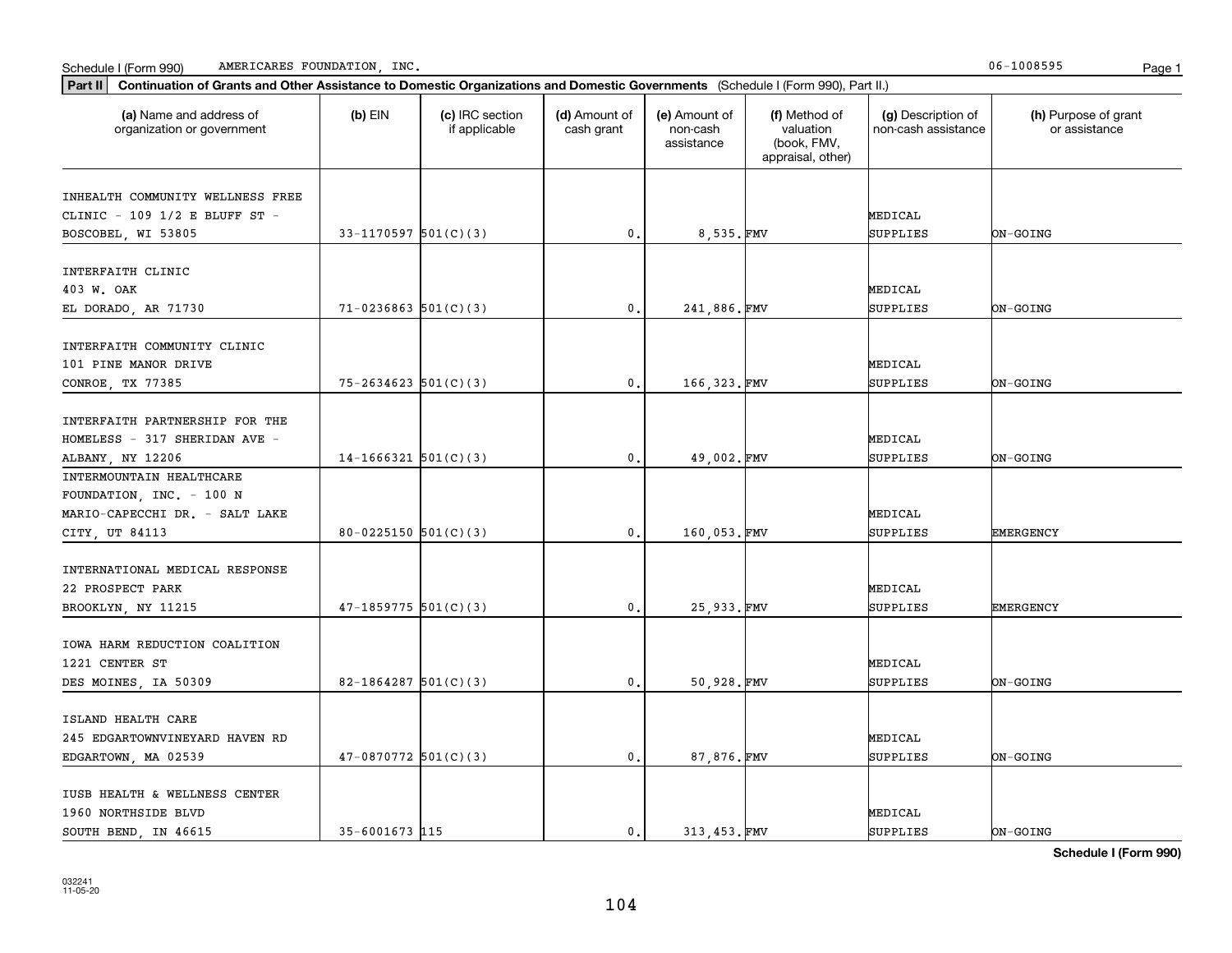Schedule I (Form 990) Page 1 AMERICARES FOUNDATION, INC. 06-1008595

**Part II Continuation of Grants and Other Assistance to Domestic Organizations and Domestic Governments**  (Schedule I (Form 990), Part II.)

**Schedule I (Form 990)**

| (a) Name and address of<br>organization or government | $(b)$ EIN                  | (c) IRC section<br>if applicable | (d) Amount of<br>cash grant | (e) Amount of<br>non-cash<br>assistance | (f) Method of<br>valuation<br>(book, FMV,<br>appraisal, other) | (g) Description of<br>non-cash assistance | (h) Purpose of grant<br>or assistance |
|-------------------------------------------------------|----------------------------|----------------------------------|-----------------------------|-----------------------------------------|----------------------------------------------------------------|-------------------------------------------|---------------------------------------|
| INHEALTH COMMUNITY WELLNESS FREE                      |                            |                                  |                             |                                         |                                                                |                                           |                                       |
| CLINIC - 109 1/2 E BLUFF ST -                         |                            |                                  |                             |                                         |                                                                | MEDICAL                                   |                                       |
| BOSCOBEL, WI 53805                                    | $33 - 1170597$ 501(C)(3)   |                                  | $\mathbf{0}$ .              | 8,535.FMV                               |                                                                | SUPPLIES                                  | <b>DN-GOING</b>                       |
|                                                       |                            |                                  |                             |                                         |                                                                |                                           |                                       |
| INTERFAITH CLINIC                                     |                            |                                  |                             |                                         |                                                                |                                           |                                       |
| 403 W. OAK                                            |                            |                                  |                             |                                         |                                                                | MEDICAL                                   |                                       |
| EL DORADO, AR 71730                                   | $71-0236863$ 501(C)(3)     |                                  | 0.                          | 241,886.FMV                             |                                                                | SUPPLIES                                  | <b>DN-GOING</b>                       |
| INTERFAITH COMMUNITY CLINIC                           |                            |                                  |                             |                                         |                                                                |                                           |                                       |
| 101 PINE MANOR DRIVE                                  |                            |                                  |                             |                                         |                                                                | MEDICAL                                   |                                       |
| CONROE, TX 77385                                      | $75 - 2634623$ $501(C)(3)$ |                                  | 0.                          | 166,323.FMV                             |                                                                | SUPPLIES                                  | <b>DN-GOING</b>                       |
|                                                       |                            |                                  |                             |                                         |                                                                |                                           |                                       |
| INTERFAITH PARTNERSHIP FOR THE                        |                            |                                  |                             |                                         |                                                                |                                           |                                       |
| HOMELESS - 317 SHERIDAN AVE -                         |                            |                                  |                             |                                         |                                                                | MEDICAL                                   |                                       |
| ALBANY, NY 12206                                      | $14-1666321$ 501(C)(3)     |                                  | $\mathbf{0}$ .              | 49,002.FMV                              |                                                                | SUPPLIES                                  | <b>ON-GOING</b>                       |
| INTERMOUNTAIN HEALTHCARE                              |                            |                                  |                             |                                         |                                                                |                                           |                                       |
| FOUNDATION, INC. - 100 N                              |                            |                                  |                             |                                         |                                                                |                                           |                                       |
| MARIO-CAPECCHI DR. - SALT LAKE                        |                            |                                  |                             |                                         |                                                                | MEDICAL                                   |                                       |
| CITY, UT 84113                                        | 80-0225150 $501(C)(3)$     |                                  | 0.                          | 160,053.FMV                             |                                                                | SUPPLIES                                  | <b>EMERGENCY</b>                      |
| INTERNATIONAL MEDICAL RESPONSE                        |                            |                                  |                             |                                         |                                                                |                                           |                                       |
| 22 PROSPECT PARK                                      |                            |                                  |                             |                                         |                                                                | MEDICAL                                   |                                       |
| BROOKLYN, NY 11215                                    | $47-1859775$ 501(C)(3)     |                                  | 0.                          | 25,933.FMV                              |                                                                | SUPPLIES                                  | <b>EMERGENCY</b>                      |
|                                                       |                            |                                  |                             |                                         |                                                                |                                           |                                       |
| IOWA HARM REDUCTION COALITION                         |                            |                                  |                             |                                         |                                                                |                                           |                                       |
| 1221 CENTER ST                                        |                            |                                  |                             |                                         |                                                                | MEDICAL                                   |                                       |
| DES MOINES, IA 50309                                  | 82-1864287 $501(C)(3)$     |                                  | 0.                          | 50,928.FMV                              |                                                                | SUPPLIES                                  | <b>DN-GOING</b>                       |
|                                                       |                            |                                  |                             |                                         |                                                                |                                           |                                       |
| ISLAND HEALTH CARE                                    |                            |                                  |                             |                                         |                                                                |                                           |                                       |
| 245 EDGARTOWNVINEYARD HAVEN RD                        |                            |                                  |                             |                                         |                                                                | MEDICAL                                   |                                       |
| EDGARTOWN, MA 02539                                   | $47-0870772$ 501(C)(3)     |                                  | $\mathbf{0}$ .              | 87,876.FMV                              |                                                                | SUPPLIES                                  | <b>DN-GOING</b>                       |
| IUSB HEALTH & WELLNESS CENTER                         |                            |                                  |                             |                                         |                                                                |                                           |                                       |
| 1960 NORTHSIDE BLVD                                   |                            |                                  |                             |                                         |                                                                | MEDICAL                                   |                                       |
| SOUTH BEND, IN 46615                                  | 35-6001673 115             |                                  | 0.                          | 313,453. FMV                            |                                                                | <b>SUPPLIES</b>                           | <b>DN-GOING</b>                       |

104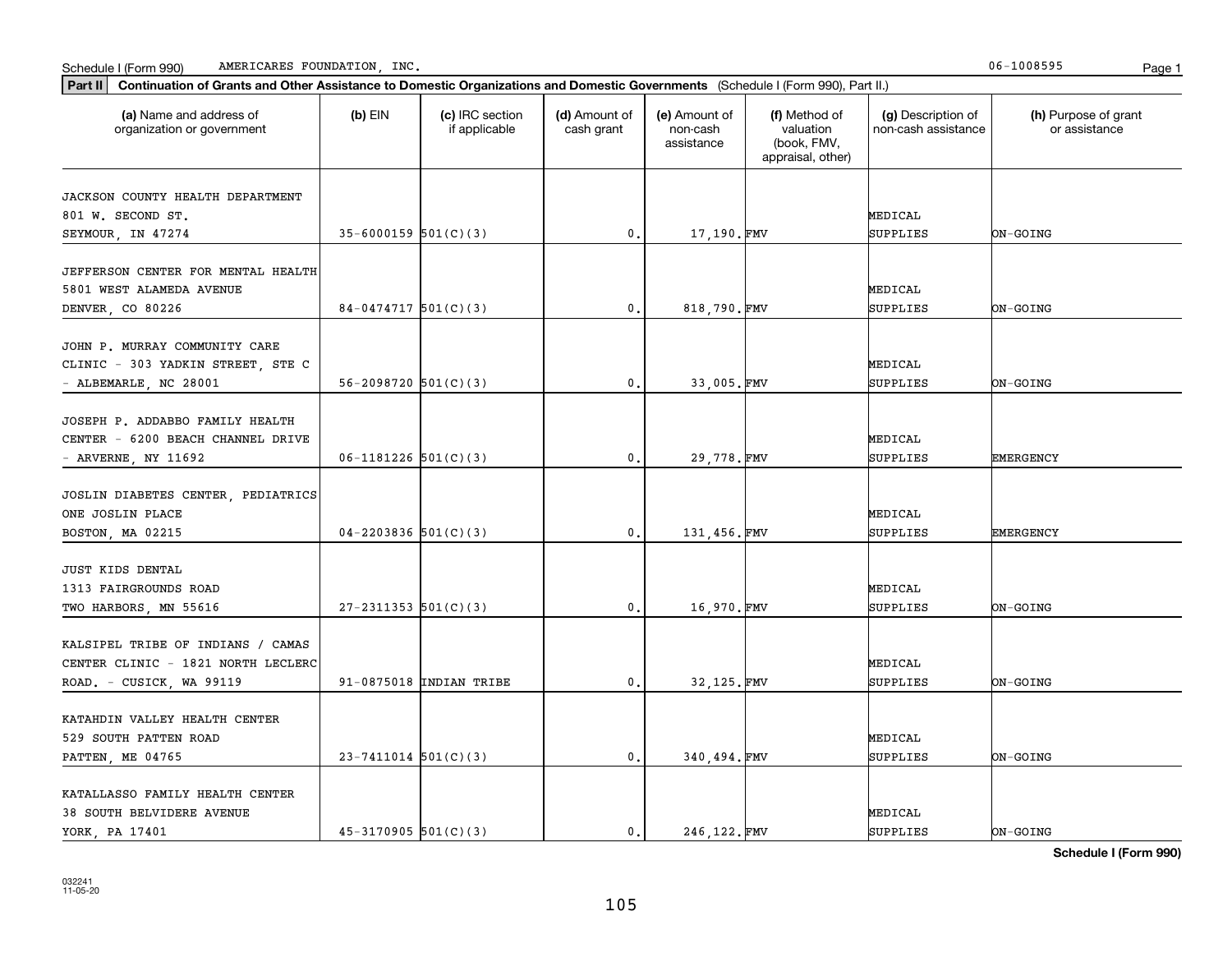| Part II   Continuation of Grants and Other Assistance to Domestic Organizations and Domestic Governments (Schedule I (Form 990), Part II.) |                            |                                  |                             |                                         |                                                                |                                           |                                       |
|--------------------------------------------------------------------------------------------------------------------------------------------|----------------------------|----------------------------------|-----------------------------|-----------------------------------------|----------------------------------------------------------------|-------------------------------------------|---------------------------------------|
| (a) Name and address of<br>organization or government                                                                                      | $(b)$ EIN                  | (c) IRC section<br>if applicable | (d) Amount of<br>cash grant | (e) Amount of<br>non-cash<br>assistance | (f) Method of<br>valuation<br>(book, FMV,<br>appraisal, other) | (g) Description of<br>non-cash assistance | (h) Purpose of grant<br>or assistance |
|                                                                                                                                            |                            |                                  |                             |                                         |                                                                |                                           |                                       |
| JACKSON COUNTY HEALTH DEPARTMENT<br>801 W. SECOND ST.                                                                                      |                            |                                  |                             |                                         |                                                                | MEDICAL                                   |                                       |
| SEYMOUR, IN 47274                                                                                                                          | $35 - 6000159$ 501(C)(3)   |                                  | 0.                          | 17,190.FMV                              |                                                                | SUPPLIES                                  | <b>DN-GOING</b>                       |
|                                                                                                                                            |                            |                                  |                             |                                         |                                                                |                                           |                                       |
| JEFFERSON CENTER FOR MENTAL HEALTH                                                                                                         |                            |                                  |                             |                                         |                                                                |                                           |                                       |
| 5801 WEST ALAMEDA AVENUE                                                                                                                   |                            |                                  |                             |                                         |                                                                | MEDICAL                                   |                                       |
| DENVER, CO 80226                                                                                                                           | $84-0474717$ 501(C)(3)     |                                  | $\mathbf{0}$ .              | 818,790.FMV                             |                                                                | SUPPLIES                                  | <b>DN-GOING</b>                       |
|                                                                                                                                            |                            |                                  |                             |                                         |                                                                |                                           |                                       |
| JOHN P. MURRAY COMMUNITY CARE                                                                                                              |                            |                                  |                             |                                         |                                                                |                                           |                                       |
| CLINIC - 303 YADKIN STREET, STE C                                                                                                          |                            |                                  |                             |                                         |                                                                | MEDICAL                                   |                                       |
| - ALBEMARLE, NC 28001                                                                                                                      | $56 - 2098720$ 501(C)(3)   |                                  | 0.                          | 33,005.FMV                              |                                                                | SUPPLIES                                  | <b>DN-GOING</b>                       |
|                                                                                                                                            |                            |                                  |                             |                                         |                                                                |                                           |                                       |
| JOSEPH P. ADDABBO FAMILY HEALTH                                                                                                            |                            |                                  |                             |                                         |                                                                |                                           |                                       |
| CENTER - 6200 BEACH CHANNEL DRIVE                                                                                                          |                            |                                  |                             |                                         |                                                                | MEDICAL                                   |                                       |
| - ARVERNE, NY 11692                                                                                                                        | $06-1181226$ 501(C)(3)     |                                  | $\mathbf{0}$ .              | 29,778.FMV                              |                                                                | SUPPLIES                                  | <b>EMERGENCY</b>                      |
| JOSLIN DIABETES CENTER, PEDIATRICS                                                                                                         |                            |                                  |                             |                                         |                                                                |                                           |                                       |
| ONE JOSLIN PLACE                                                                                                                           |                            |                                  |                             |                                         |                                                                | MEDICAL                                   |                                       |
| BOSTON, MA 02215                                                                                                                           | $04 - 2203836$ 501(C)(3)   |                                  | $\mathbf{0}$ .              | 131,456.FMV                             |                                                                | SUPPLIES                                  | <b>EMERGENCY</b>                      |
|                                                                                                                                            |                            |                                  |                             |                                         |                                                                |                                           |                                       |
| <b>JUST KIDS DENTAL</b>                                                                                                                    |                            |                                  |                             |                                         |                                                                |                                           |                                       |
| 1313 FAIRGROUNDS ROAD                                                                                                                      |                            |                                  |                             |                                         |                                                                | MEDICAL                                   |                                       |
| TWO HARBORS, MN 55616                                                                                                                      | $27 - 2311353$ $501(C)(3)$ |                                  | $\mathbf{0}$ .              | 16,970.FMV                              |                                                                | SUPPLIES                                  | <b>DN-GOING</b>                       |
|                                                                                                                                            |                            |                                  |                             |                                         |                                                                |                                           |                                       |
| KALSIPEL TRIBE OF INDIANS / CAMAS                                                                                                          |                            |                                  |                             |                                         |                                                                |                                           |                                       |
| CENTER CLINIC - 1821 NORTH LECLERC                                                                                                         |                            |                                  |                             |                                         |                                                                | MEDICAL                                   |                                       |
| ROAD. - CUSICK, WA 99119                                                                                                                   |                            | 91-0875018 INDIAN TRIBE          | $\mathbf{0}$ .              | 32,125.FMV                              |                                                                | SUPPLIES                                  | <b>DN-GOING</b>                       |
|                                                                                                                                            |                            |                                  |                             |                                         |                                                                |                                           |                                       |
| KATAHDIN VALLEY HEALTH CENTER                                                                                                              |                            |                                  |                             |                                         |                                                                |                                           |                                       |
| 529 SOUTH PATTEN ROAD                                                                                                                      |                            |                                  |                             |                                         |                                                                | MEDICAL                                   |                                       |
| PATTEN, ME 04765                                                                                                                           | $23 - 7411014$ 501(C)(3)   |                                  | $\mathbf{0}$ .              | 340,494.FMV                             |                                                                | SUPPLIES                                  | <b>DN-GOING</b>                       |
|                                                                                                                                            |                            |                                  |                             |                                         |                                                                |                                           |                                       |
| KATALLASSO FAMILY HEALTH CENTER                                                                                                            |                            |                                  |                             |                                         |                                                                |                                           |                                       |
| 38 SOUTH BELVIDERE AVENUE                                                                                                                  |                            |                                  |                             |                                         |                                                                | MEDICAL                                   |                                       |
| YORK, PA 17401                                                                                                                             | $45-3170905$ 501(C)(3)     |                                  | $\mathbf{0}$ .              | 246.122. FMV                            |                                                                | SUPPLIES                                  | <b>DN-GOING</b>                       |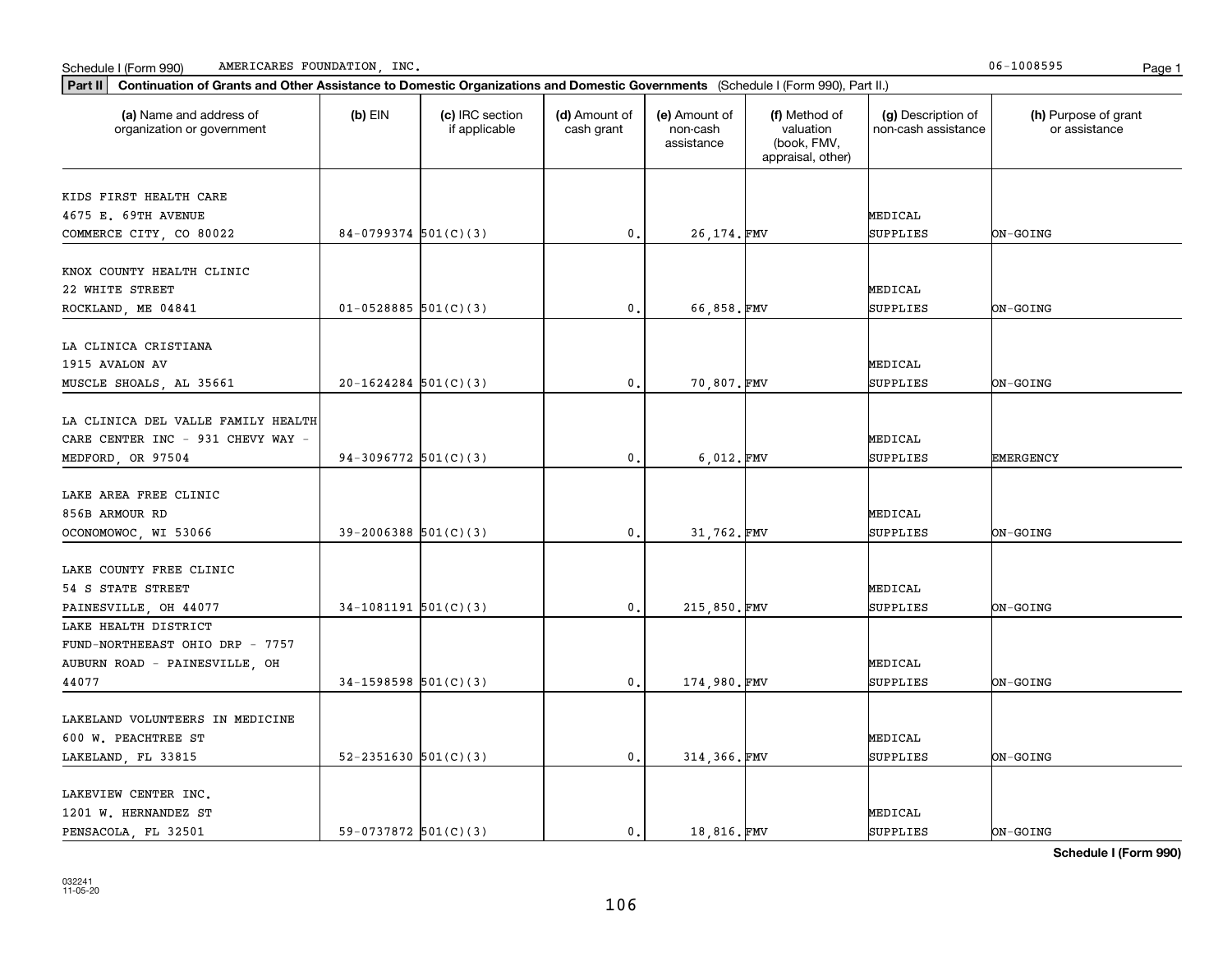| (a) Name and address of<br>organization or government | $(b)$ EIN                  | (c) IRC section<br>if applicable | (d) Amount of<br>cash grant | (e) Amount of<br>non-cash<br>assistance | (f) Method of<br>valuation<br>(book, FMV,<br>appraisal, other) | (g) Description of<br>non-cash assistance | (h) Purpose of grant<br>or assistance |
|-------------------------------------------------------|----------------------------|----------------------------------|-----------------------------|-----------------------------------------|----------------------------------------------------------------|-------------------------------------------|---------------------------------------|
| KIDS FIRST HEALTH CARE                                |                            |                                  |                             |                                         |                                                                |                                           |                                       |
| 4675 E. 69TH AVENUE                                   |                            |                                  |                             |                                         |                                                                | MEDICAL                                   |                                       |
| COMMERCE CITY, CO 80022                               | $84-0799374$ 501(C)(3)     |                                  | $\mathbf{0}$ .              | 26,174.FMV                              |                                                                | SUPPLIES                                  | <b>DN-GOING</b>                       |
|                                                       |                            |                                  |                             |                                         |                                                                |                                           |                                       |
| KNOX COUNTY HEALTH CLINIC                             |                            |                                  |                             |                                         |                                                                |                                           |                                       |
| 22 WHITE STREET                                       |                            |                                  |                             |                                         |                                                                | MEDICAL                                   |                                       |
| ROCKLAND, ME 04841                                    | $01 - 0528885$ 501(C)(3)   |                                  | $\mathbf{0}$ .              | 66,858.FMV                              |                                                                | SUPPLIES                                  | <b>DN-GOING</b>                       |
|                                                       |                            |                                  |                             |                                         |                                                                |                                           |                                       |
| LA CLINICA CRISTIANA                                  |                            |                                  |                             |                                         |                                                                |                                           |                                       |
| 1915 AVALON AV                                        |                            |                                  |                             |                                         |                                                                | MEDICAL                                   |                                       |
| MUSCLE SHOALS, AL 35661                               | $20-1624284$ 501(C)(3)     |                                  | 0.                          | 70,807.FMV                              |                                                                | SUPPLIES                                  | <b>ON-GOING</b>                       |
|                                                       |                            |                                  |                             |                                         |                                                                |                                           |                                       |
| LA CLINICA DEL VALLE FAMILY HEALTH                    |                            |                                  |                             |                                         |                                                                |                                           |                                       |
| CARE CENTER INC - 931 CHEVY WAY -                     |                            |                                  |                             |                                         |                                                                | MEDICAL                                   |                                       |
| MEDFORD, OR 97504                                     | 94-3096772 $501(C)(3)$     |                                  | $\mathbf 0$ .               | 6,012.FMV                               |                                                                | SUPPLIES                                  | EMERGENCY                             |
|                                                       |                            |                                  |                             |                                         |                                                                |                                           |                                       |
| LAKE AREA FREE CLINIC                                 |                            |                                  |                             |                                         |                                                                |                                           |                                       |
| 856B ARMOUR RD                                        |                            |                                  |                             |                                         |                                                                | MEDICAL                                   |                                       |
| OCONOMOWOC, WI 53066                                  | $39 - 2006388$ $501(C)(3)$ |                                  | 0.                          | 31,762.FMV                              |                                                                | SUPPLIES                                  | <b>DN-GOING</b>                       |
|                                                       |                            |                                  |                             |                                         |                                                                |                                           |                                       |
| LAKE COUNTY FREE CLINIC                               |                            |                                  |                             |                                         |                                                                |                                           |                                       |
| 54 S STATE STREET                                     |                            |                                  |                             |                                         |                                                                | MEDICAL                                   |                                       |
| PAINESVILLE, OH 44077                                 | $34-1081191$ $501(C)(3)$   |                                  | 0.                          | 215,850.FMV                             |                                                                | SUPPLIES                                  | <b>DN-GOING</b>                       |
| LAKE HEALTH DISTRICT                                  |                            |                                  |                             |                                         |                                                                |                                           |                                       |
| FUND-NORTHEEAST OHIO DRP - 7757                       |                            |                                  |                             |                                         |                                                                |                                           |                                       |
| AUBURN ROAD - PAINESVILLE, OH                         |                            |                                  |                             |                                         |                                                                | MEDICAL                                   |                                       |
| 44077                                                 | $34-1598598$ $501(C)(3)$   |                                  | $\mathbf{0}$ .              | 174,980.FMV                             |                                                                | SUPPLIES                                  | <b>DN-GOING</b>                       |
|                                                       |                            |                                  |                             |                                         |                                                                |                                           |                                       |
| LAKELAND VOLUNTEERS IN MEDICINE                       |                            |                                  |                             |                                         |                                                                |                                           |                                       |
| 600 W. PEACHTREE ST                                   |                            |                                  |                             |                                         |                                                                | MEDICAL                                   |                                       |
| LAKELAND, FL 33815                                    | 52-2351630 $501(C)(3)$     |                                  | 0.                          | 314,366.FMV                             |                                                                | SUPPLIES                                  | <b>DN-GOING</b>                       |
| LAKEVIEW CENTER INC.                                  |                            |                                  |                             |                                         |                                                                |                                           |                                       |
| 1201 W. HERNANDEZ ST                                  |                            |                                  |                             |                                         |                                                                | MEDICAL                                   |                                       |
| PENSACOLA, FL 32501                                   | 59-0737872 $501(C)(3)$     |                                  | 0.                          | 18,816.FMV                              |                                                                | <b>SUPPLIES</b>                           | <b>DN-GOING</b>                       |
|                                                       |                            |                                  |                             |                                         |                                                                |                                           |                                       |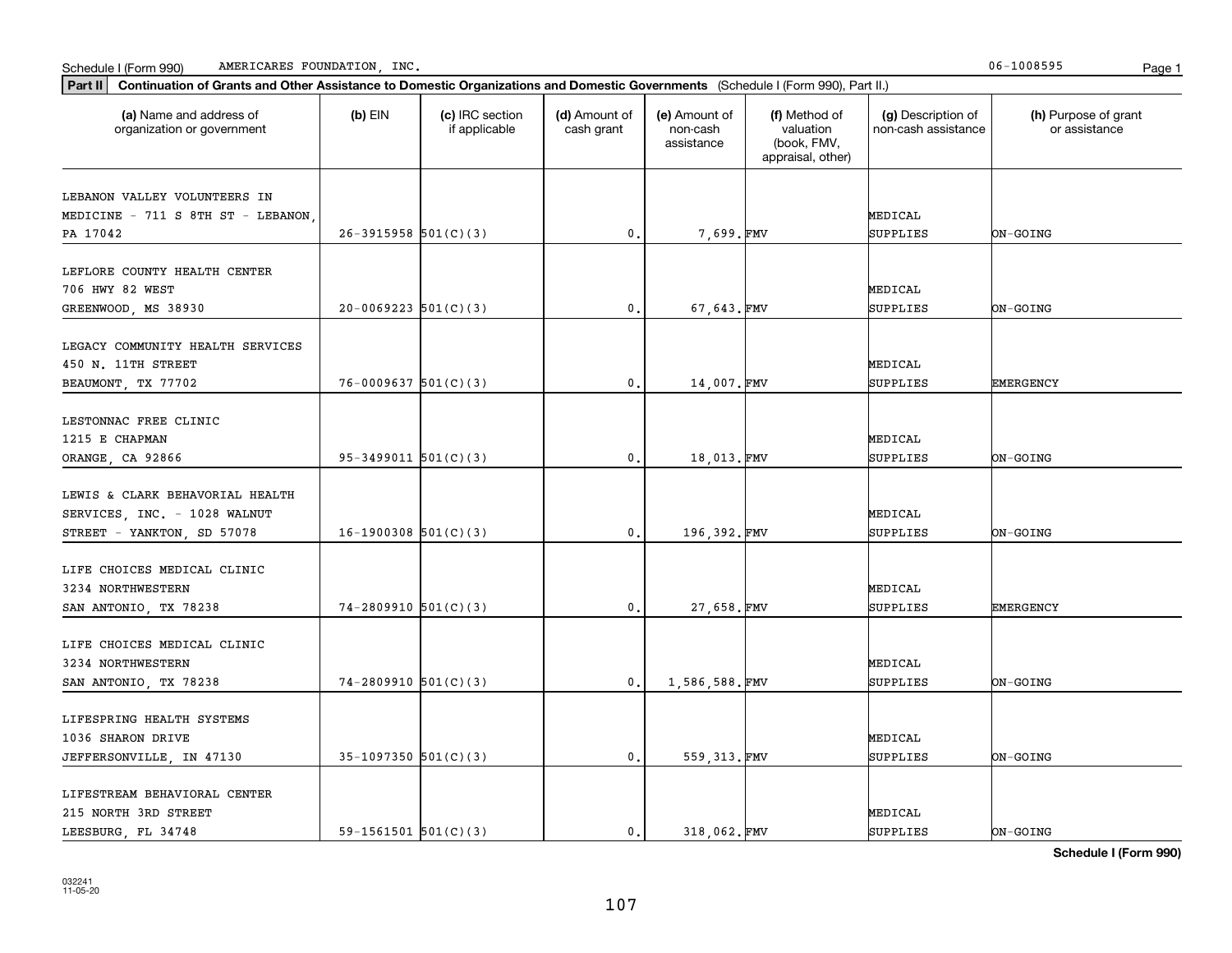| (a) Name and address of<br>organization or government | $(b)$ EIN                | (c) IRC section<br>if applicable | (d) Amount of<br>cash grant | (e) Amount of<br>non-cash | (f) Method of<br>valuation       | (g) Description of<br>non-cash assistance | (h) Purpose of grant<br>or assistance |
|-------------------------------------------------------|--------------------------|----------------------------------|-----------------------------|---------------------------|----------------------------------|-------------------------------------------|---------------------------------------|
|                                                       |                          |                                  |                             | assistance                | (book, FMV,<br>appraisal, other) |                                           |                                       |
| LEBANON VALLEY VOLUNTEERS IN                          |                          |                                  |                             |                           |                                  |                                           |                                       |
| MEDICINE - 711 S 8TH ST - LEBANON                     |                          |                                  |                             |                           |                                  | MEDICAL                                   |                                       |
| PA 17042                                              | $26-3915958$ $501(C)(3)$ |                                  | 0.                          | 7,699.FMV                 |                                  | SUPPLIES                                  | <b>DN-GOING</b>                       |
| LEFLORE COUNTY HEALTH CENTER                          |                          |                                  |                             |                           |                                  |                                           |                                       |
| 706 HWY 82 WEST                                       |                          |                                  |                             |                           |                                  | MEDICAL                                   |                                       |
| GREENWOOD, MS 38930                                   | $20-0069223$ 501(C)(3)   |                                  | $\mathbf{0}$ .              | 67,643.FMV                |                                  | SUPPLIES                                  | <b>DN-GOING</b>                       |
| LEGACY COMMUNITY HEALTH SERVICES                      |                          |                                  |                             |                           |                                  |                                           |                                       |
| 450 N. 11TH STREET                                    |                          |                                  |                             |                           |                                  | MEDICAL                                   |                                       |
| BEAUMONT, TX 77702                                    | $76 - 0009637$ 501(C)(3) |                                  | $\mathfrak o$ .             | 14,007. FMV               |                                  | SUPPLIES                                  | <b>EMERGENCY</b>                      |
| LESTONNAC FREE CLINIC                                 |                          |                                  |                             |                           |                                  |                                           |                                       |
| 1215 E CHAPMAN                                        |                          |                                  |                             |                           |                                  | MEDICAL                                   |                                       |
| ORANGE, CA 92866                                      | $95-3499011$ $501(C)(3)$ |                                  | $\mathbf{0}$ .              | 18,013.FMV                |                                  | SUPPLIES                                  | <b>DN-GOING</b>                       |
|                                                       |                          |                                  |                             |                           |                                  |                                           |                                       |
| LEWIS & CLARK BEHAVORIAL HEALTH                       |                          |                                  |                             |                           |                                  |                                           |                                       |
| SERVICES, INC. - 1028 WALNUT                          |                          |                                  |                             |                           |                                  | MEDICAL                                   |                                       |
| STREET - YANKTON, SD 57078                            | $16-1900308$ $501(C)(3)$ |                                  | $\mathbf{0}$ .              | 196,392.FMV               |                                  | SUPPLIES                                  | <b>DN-GOING</b>                       |
| LIFE CHOICES MEDICAL CLINIC                           |                          |                                  |                             |                           |                                  |                                           |                                       |
| 3234 NORTHWESTERN                                     |                          |                                  |                             |                           |                                  | MEDICAL                                   |                                       |
| SAN ANTONIO, TX 78238                                 | $74-2809910$ 501(C)(3)   |                                  | $\mathbf{0}$ .              | 27,658.FMV                |                                  | SUPPLIES                                  | <b>EMERGENCY</b>                      |
| LIFE CHOICES MEDICAL CLINIC                           |                          |                                  |                             |                           |                                  |                                           |                                       |
| 3234 NORTHWESTERN                                     |                          |                                  |                             |                           |                                  | MEDICAL                                   |                                       |
| SAN ANTONIO, TX 78238                                 | $74-2809910$ 501(C)(3)   |                                  | 0.                          | 1,586,588.FMV             |                                  | SUPPLIES                                  | <b>DN-GOING</b>                       |
|                                                       |                          |                                  |                             |                           |                                  |                                           |                                       |
| LIFESPRING HEALTH SYSTEMS                             |                          |                                  |                             |                           |                                  |                                           |                                       |
| 1036 SHARON DRIVE                                     |                          |                                  |                             |                           |                                  | MEDICAL                                   |                                       |
| JEFFERSONVILLE, IN 47130                              | $35-1097350$ $501(C)(3)$ |                                  | 0.                          | 559, 313. FMV             |                                  | SUPPLIES                                  | <b>DN-GOING</b>                       |
| LIFESTREAM BEHAVIORAL CENTER                          |                          |                                  |                             |                           |                                  |                                           |                                       |
| 215 NORTH 3RD STREET                                  |                          |                                  |                             |                           |                                  | MEDICAL                                   |                                       |
| LEESBURG, FL 34748                                    | 59-1561501 $501(C)(3)$   |                                  | $\mathbf{0}$ .              | 318,062.FMV               |                                  | <b>SUPPLIES</b>                           | <b>DN-GOING</b>                       |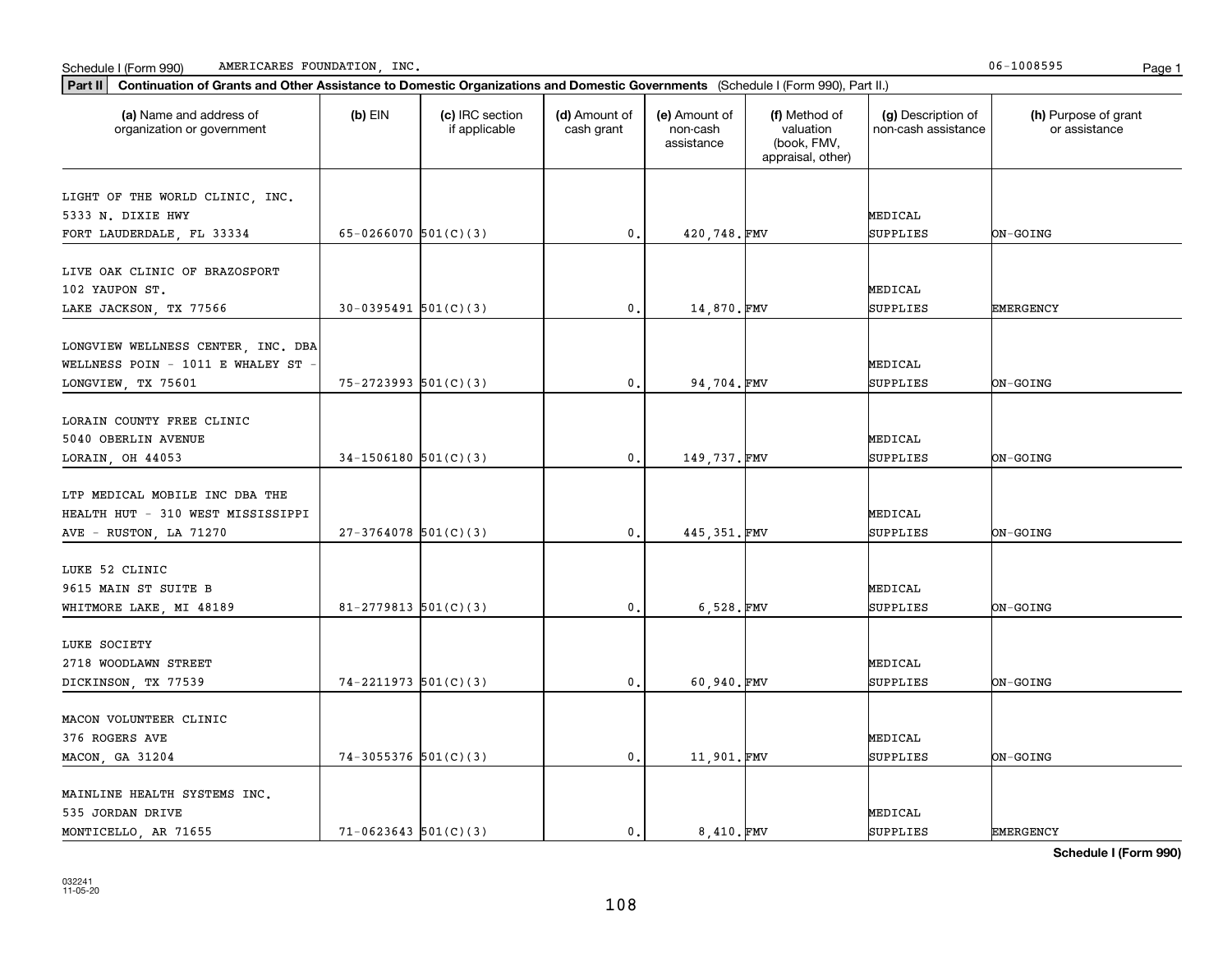| Part II                                                             | Continuation of Grants and Other Assistance to Domestic Organizations and Domestic Governments (Schedule I (Form 990), Part II.) |                                  |                             |                                         |                                                                |                                           |                                       |  |  |  |
|---------------------------------------------------------------------|----------------------------------------------------------------------------------------------------------------------------------|----------------------------------|-----------------------------|-----------------------------------------|----------------------------------------------------------------|-------------------------------------------|---------------------------------------|--|--|--|
| (a) Name and address of<br>organization or government               | $(b)$ EIN                                                                                                                        | (c) IRC section<br>if applicable | (d) Amount of<br>cash grant | (e) Amount of<br>non-cash<br>assistance | (f) Method of<br>valuation<br>(book, FMV,<br>appraisal, other) | (g) Description of<br>non-cash assistance | (h) Purpose of grant<br>or assistance |  |  |  |
|                                                                     |                                                                                                                                  |                                  |                             |                                         |                                                                |                                           |                                       |  |  |  |
| LIGHT OF THE WORLD CLINIC, INC.<br>5333 N. DIXIE HWY                |                                                                                                                                  |                                  |                             |                                         |                                                                | MEDICAL                                   |                                       |  |  |  |
| FORT LAUDERDALE, FL 33334                                           | 65-0266070 $501(C)(3)$                                                                                                           |                                  | $\mathbf{0}$ .              | 420,748.FMV                             |                                                                | SUPPLIES                                  | <b>DN-GOING</b>                       |  |  |  |
|                                                                     |                                                                                                                                  |                                  |                             |                                         |                                                                |                                           |                                       |  |  |  |
| LIVE OAK CLINIC OF BRAZOSPORT                                       |                                                                                                                                  |                                  |                             |                                         |                                                                |                                           |                                       |  |  |  |
| 102 YAUPON ST.                                                      | $30-0395491$ $501(C)(3)$                                                                                                         |                                  | $\mathsf{0}\,$ .            | 14,870.FMV                              |                                                                | MEDICAL<br>SUPPLIES                       | EMERGENCY                             |  |  |  |
| LAKE JACKSON, TX 77566                                              |                                                                                                                                  |                                  |                             |                                         |                                                                |                                           |                                       |  |  |  |
| LONGVIEW WELLNESS CENTER, INC. DBA                                  |                                                                                                                                  |                                  |                             |                                         |                                                                |                                           |                                       |  |  |  |
| WELLNESS POIN - 1011 E WHALEY ST                                    |                                                                                                                                  |                                  |                             |                                         |                                                                | MEDICAL                                   |                                       |  |  |  |
| LONGVIEW, TX 75601                                                  | 75-2723993 501(C)(3)                                                                                                             |                                  | 0.                          | 94,704.FMV                              |                                                                | SUPPLIES                                  | <b>ON-GOING</b>                       |  |  |  |
|                                                                     |                                                                                                                                  |                                  |                             |                                         |                                                                |                                           |                                       |  |  |  |
| LORAIN COUNTY FREE CLINIC                                           |                                                                                                                                  |                                  |                             |                                         |                                                                |                                           |                                       |  |  |  |
| 5040 OBERLIN AVENUE                                                 |                                                                                                                                  |                                  |                             |                                         |                                                                | MEDICAL                                   |                                       |  |  |  |
| LORAIN, OH 44053                                                    | $34-1506180$ 501(C)(3)                                                                                                           |                                  | $\mathbf{0}$ .              | 149,737. FMV                            |                                                                | SUPPLIES                                  | <b>DN-GOING</b>                       |  |  |  |
|                                                                     |                                                                                                                                  |                                  |                             |                                         |                                                                |                                           |                                       |  |  |  |
| LTP MEDICAL MOBILE INC DBA THE<br>HEALTH HUT - 310 WEST MISSISSIPPI |                                                                                                                                  |                                  |                             |                                         |                                                                | MEDICAL                                   |                                       |  |  |  |
| AVE - RUSTON, LA 71270                                              | $27-3764078$ 501(C)(3)                                                                                                           |                                  | $\mathfrak o$ .             | 445, 351. FMV                           |                                                                | SUPPLIES                                  | <b>DN-GOING</b>                       |  |  |  |
|                                                                     |                                                                                                                                  |                                  |                             |                                         |                                                                |                                           |                                       |  |  |  |
| LUKE 52 CLINIC                                                      |                                                                                                                                  |                                  |                             |                                         |                                                                |                                           |                                       |  |  |  |
| 9615 MAIN ST SUITE B                                                |                                                                                                                                  |                                  |                             |                                         |                                                                | MEDICAL                                   |                                       |  |  |  |
| WHITMORE LAKE, MI 48189                                             | 81-2779813 $501(C)(3)$                                                                                                           |                                  | 0.                          | 6,528.FMV                               |                                                                | SUPPLIES                                  | <b>DN-GOING</b>                       |  |  |  |
|                                                                     |                                                                                                                                  |                                  |                             |                                         |                                                                |                                           |                                       |  |  |  |
| LUKE SOCIETY                                                        |                                                                                                                                  |                                  |                             |                                         |                                                                |                                           |                                       |  |  |  |
| 2718 WOODLAWN STREET                                                |                                                                                                                                  |                                  |                             |                                         |                                                                | MEDICAL                                   |                                       |  |  |  |
| DICKINSON, TX 77539                                                 | $74 - 2211973$ 501(C)(3)                                                                                                         |                                  | $\mathbf{0}$ .              | 60,940.FMV                              |                                                                | SUPPLIES                                  | <b>DN-GOING</b>                       |  |  |  |
| MACON VOLUNTEER CLINIC                                              |                                                                                                                                  |                                  |                             |                                         |                                                                |                                           |                                       |  |  |  |
| 376 ROGERS AVE                                                      |                                                                                                                                  |                                  |                             |                                         |                                                                | MEDICAL                                   |                                       |  |  |  |
| MACON, GA 31204                                                     | $74-3055376$ 501(C)(3)                                                                                                           |                                  | $\mathbf 0$ .               | 11,901.FMV                              |                                                                | SUPPLIES                                  | <b>DN-GOING</b>                       |  |  |  |
|                                                                     |                                                                                                                                  |                                  |                             |                                         |                                                                |                                           |                                       |  |  |  |
| MAINLINE HEALTH SYSTEMS INC.                                        |                                                                                                                                  |                                  |                             |                                         |                                                                |                                           |                                       |  |  |  |
| 535 JORDAN DRIVE                                                    |                                                                                                                                  |                                  |                             |                                         |                                                                | MEDICAL                                   |                                       |  |  |  |
| MONTICELLO, AR 71655                                                | $71-0623643$ 501(C)(3)                                                                                                           |                                  | $\mathbf{0}$ .              | 8.410.FMV                               |                                                                | <b>SUPPLIES</b>                           | <b>EMERGENCY</b>                      |  |  |  |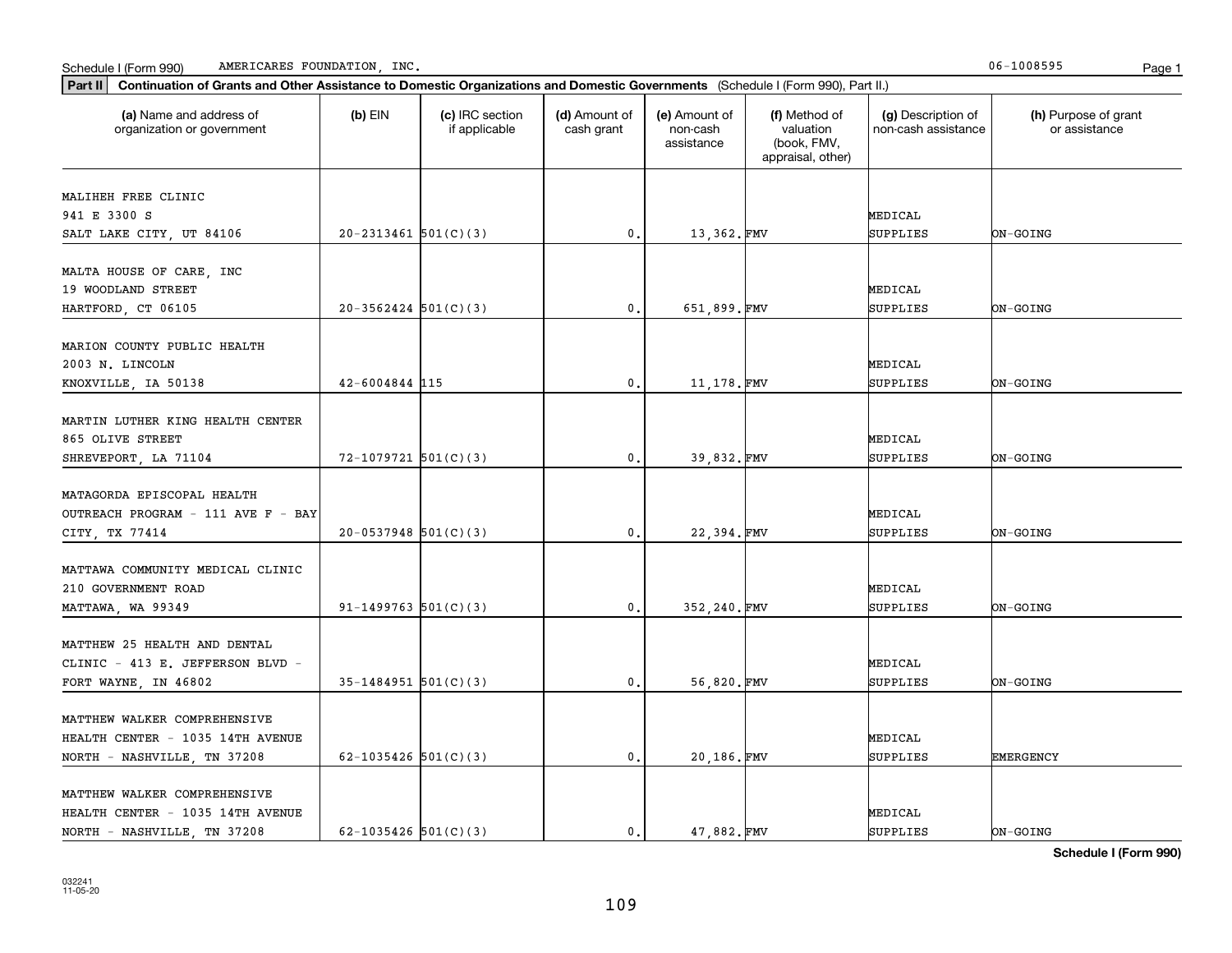| (h) Purpose of grant<br>or assistance |
|---------------------------------------|
|                                       |
|                                       |
|                                       |
|                                       |
|                                       |
|                                       |
|                                       |
|                                       |
|                                       |
|                                       |
|                                       |
|                                       |
|                                       |
|                                       |
|                                       |
|                                       |
|                                       |
|                                       |
|                                       |
|                                       |
|                                       |
|                                       |
|                                       |
|                                       |
|                                       |
|                                       |
|                                       |
|                                       |
|                                       |
|                                       |
|                                       |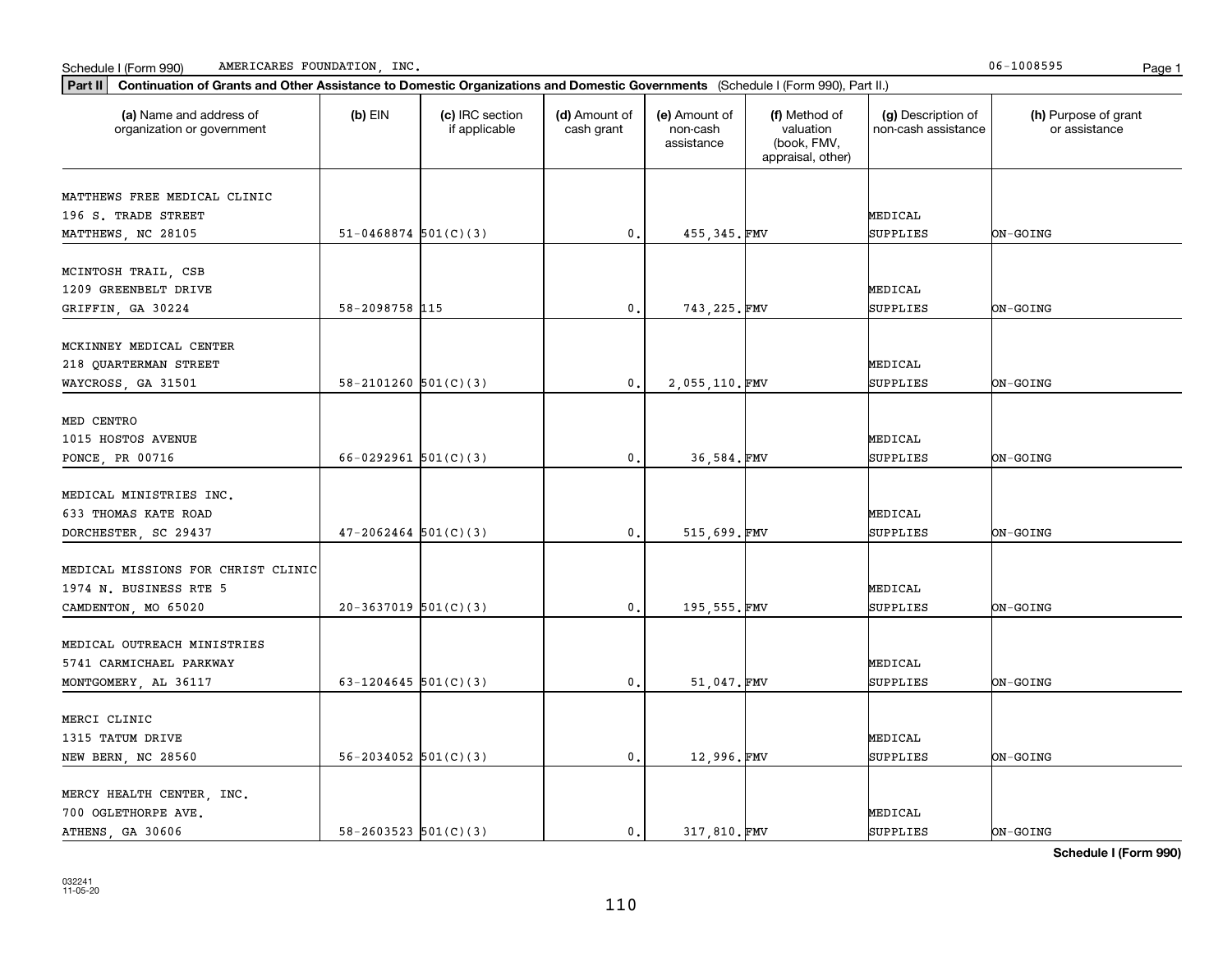| (a) Name and address of<br>organization or government | $(b)$ EIN                  | (c) IRC section<br>if applicable | (d) Amount of<br>cash grant | (e) Amount of<br>non-cash<br>assistance | (f) Method of<br>valuation<br>(book, FMV,<br>appraisal, other) | (g) Description of<br>non-cash assistance | (h) Purpose of grant<br>or assistance |
|-------------------------------------------------------|----------------------------|----------------------------------|-----------------------------|-----------------------------------------|----------------------------------------------------------------|-------------------------------------------|---------------------------------------|
|                                                       |                            |                                  |                             |                                         |                                                                |                                           |                                       |
| MATTHEWS FREE MEDICAL CLINIC                          |                            |                                  |                             |                                         |                                                                |                                           |                                       |
| 196 S. TRADE STREET                                   |                            |                                  |                             |                                         |                                                                | MEDICAL                                   |                                       |
| MATTHEWS, NC 28105                                    | $51-0468874$ 501(C)(3)     |                                  | $\mathsf{0}\,$ .            | 455, 345. FMV                           |                                                                | SUPPLIES                                  | <b>DN-GOING</b>                       |
| MCINTOSH TRAIL, CSB                                   |                            |                                  |                             |                                         |                                                                |                                           |                                       |
| 1209 GREENBELT DRIVE                                  |                            |                                  |                             |                                         |                                                                | MEDICAL                                   |                                       |
|                                                       | 58-2098758 115             |                                  | $\mathbf{0}$ .              | 743, 225. FMV                           |                                                                | SUPPLIES                                  | <b>DN-GOING</b>                       |
| GRIFFIN, GA 30224                                     |                            |                                  |                             |                                         |                                                                |                                           |                                       |
| MCKINNEY MEDICAL CENTER                               |                            |                                  |                             |                                         |                                                                |                                           |                                       |
| 218 QUARTERMAN STREET                                 |                            |                                  |                             |                                         |                                                                | MEDICAL                                   |                                       |
| WAYCROSS, GA 31501                                    | $58-2101260$ $501(C)(3)$   |                                  | 0.                          | 2,055,110.FMV                           |                                                                | SUPPLIES                                  | <b>ON-GOING</b>                       |
|                                                       |                            |                                  |                             |                                         |                                                                |                                           |                                       |
| MED CENTRO                                            |                            |                                  |                             |                                         |                                                                |                                           |                                       |
| 1015 HOSTOS AVENUE                                    |                            |                                  |                             |                                         |                                                                | MEDICAL                                   |                                       |
| PONCE, PR 00716                                       | $66 - 0292961$ $501(C)(3)$ |                                  | $\mathbf 0$ .               | 36,584.FMV                              |                                                                | SUPPLIES                                  | <b>DN-GOING</b>                       |
|                                                       |                            |                                  |                             |                                         |                                                                |                                           |                                       |
| MEDICAL MINISTRIES INC.                               |                            |                                  |                             |                                         |                                                                |                                           |                                       |
| 633 THOMAS KATE ROAD                                  |                            |                                  |                             |                                         |                                                                | MEDICAL                                   |                                       |
| DORCHESTER, SC 29437                                  | $47 - 2062464$ 501(C)(3)   |                                  | $\mathbf{0}$ .              | 515,699.FMV                             |                                                                | SUPPLIES                                  | <b>DN-GOING</b>                       |
|                                                       |                            |                                  |                             |                                         |                                                                |                                           |                                       |
| MEDICAL MISSIONS FOR CHRIST CLINIC                    |                            |                                  |                             |                                         |                                                                |                                           |                                       |
| 1974 N. BUSINESS RTE 5                                |                            |                                  |                             |                                         |                                                                | MEDICAL                                   |                                       |
| CAMDENTON, MO 65020                                   | $20-3637019$ 501(C)(3)     |                                  | 0.                          | 195,555.FMV                             |                                                                | SUPPLIES                                  | <b>DN-GOING</b>                       |
|                                                       |                            |                                  |                             |                                         |                                                                |                                           |                                       |
| MEDICAL OUTREACH MINISTRIES                           |                            |                                  |                             |                                         |                                                                |                                           |                                       |
| 5741 CARMICHAEL PARKWAY                               |                            |                                  |                             |                                         |                                                                | MEDICAL                                   |                                       |
| MONTGOMERY, AL 36117                                  | 63-1204645 $501(C)(3)$     |                                  | $\mathbf{0}$ .              | 51,047.FMV                              |                                                                | SUPPLIES                                  | <b>DN-GOING</b>                       |
| MERCI CLINIC                                          |                            |                                  |                             |                                         |                                                                |                                           |                                       |
| 1315 TATUM DRIVE                                      |                            |                                  |                             |                                         |                                                                | MEDICAL                                   |                                       |
|                                                       | $56 - 2034052$ $501(C)(3)$ |                                  | $\mathbf{0}$ .              | 12,996.FMV                              |                                                                | SUPPLIES                                  | <b>DN-GOING</b>                       |
| NEW BERN, NC 28560                                    |                            |                                  |                             |                                         |                                                                |                                           |                                       |
| MERCY HEALTH CENTER, INC.                             |                            |                                  |                             |                                         |                                                                |                                           |                                       |
| 700 OGLETHORPE AVE.                                   |                            |                                  |                             |                                         |                                                                | MEDICAL                                   |                                       |
| ATHENS, GA 30606                                      | $58 - 2603523$ $501(C)(3)$ |                                  | 0.                          | 317,810.FMV                             |                                                                | <b>SUPPLIES</b>                           | <b>DN-GOING</b>                       |
|                                                       |                            |                                  |                             |                                         |                                                                |                                           |                                       |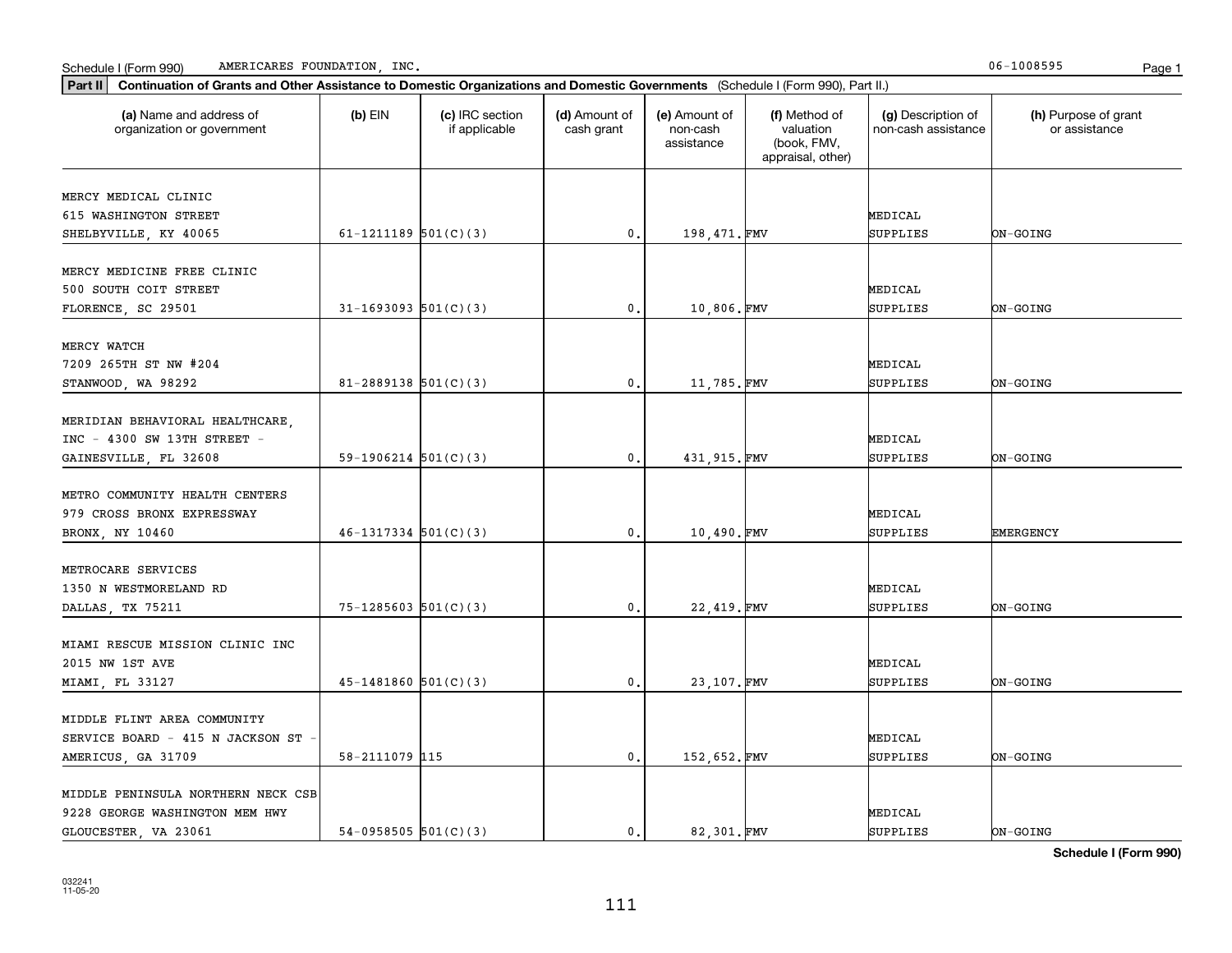| AMERICARES FOUNDATION, INC.<br>Schedule I (Form 990)                                                                                        |                            |                                  |                             |                                         |                                                                |                                           | 06-1008595<br>Page 1                  |
|---------------------------------------------------------------------------------------------------------------------------------------------|----------------------------|----------------------------------|-----------------------------|-----------------------------------------|----------------------------------------------------------------|-------------------------------------------|---------------------------------------|
| Part II<br>Continuation of Grants and Other Assistance to Domestic Organizations and Domestic Governments (Schedule I (Form 990), Part II.) |                            |                                  |                             |                                         |                                                                |                                           |                                       |
| (a) Name and address of<br>organization or government                                                                                       | $(b)$ EIN                  | (c) IRC section<br>if applicable | (d) Amount of<br>cash grant | (e) Amount of<br>non-cash<br>assistance | (f) Method of<br>valuation<br>(book, FMV,<br>appraisal, other) | (g) Description of<br>non-cash assistance | (h) Purpose of grant<br>or assistance |
| MERCY MEDICAL CLINIC<br>615 WASHINGTON STREET<br>SHELBYVILLE, KY 40065                                                                      | 61-1211189 $ 501(C)(3) $   |                                  | $\mathbf{0}$ .              | 198,471.FMV                             |                                                                | MEDICAL<br>SUPPLIES                       | <b>ON-GOING</b>                       |
| MERCY MEDICINE FREE CLINIC<br>500 SOUTH COIT STREET<br>FLORENCE, SC 29501                                                                   | $31-1693093$ $501(C)(3)$   |                                  | 0.                          | 10,806.FMV                              |                                                                | MEDICAL<br>SUPPLIES                       | <b>DN-GOING</b>                       |
| MERCY WATCH<br>7209 265TH ST NW #204<br>STANWOOD, WA 98292                                                                                  | 81-2889138 $501(C)(3)$     |                                  | $\mathfrak{o}$ .            | 11,785.FMV                              |                                                                | MEDICAL<br>SUPPLIES                       | <b>DN-GOING</b>                       |
| MERIDIAN BEHAVIORAL HEALTHCARE,<br>INC - 4300 SW 13TH STREET -<br>GAINESVILLE, FL 32608                                                     | 59-1906214 $501(C)(3)$     |                                  | $\mathbf{0}$ .              | 431,915.FMV                             |                                                                | MEDICAL<br>SUPPLIES                       | <b>DN-GOING</b>                       |
| METRO COMMUNITY HEALTH CENTERS<br>979 CROSS BRONX EXPRESSWAY<br>BRONX, NY 10460                                                             | $46 - 1317334$ $501(C)(3)$ |                                  | $\mathbf{0}$ .              | 10,490.FMV                              |                                                                | MEDICAL<br><b>SUPPLIES</b>                | <b>EMERGENCY</b>                      |
| METROCARE SERVICES<br>1350 N WESTMORELAND RD<br>DALLAS, TX 75211                                                                            | $75 - 1285603$ $501(C)(3)$ |                                  | $^{\rm 0}$ .                | 22,419.FMV                              |                                                                | MEDICAL<br>SUPPLIES                       | <b>DN-GOING</b>                       |
| MIAMI RESCUE MISSION CLINIC INC<br>2015 NW 1ST AVE<br>MIAMI, FL 33127                                                                       | $45 - 1481860$ 501(C)(3)   |                                  | 0.                          | 23.107. FMV                             |                                                                | MEDICAL<br>SUPPLIES                       | <b>DN-GOING</b>                       |
| MIDDLE FLINT AREA COMMUNITY<br>SERVICE BOARD - 415 N JACKSON ST -<br>AMERICUS, GA 31709                                                     | 58-2111079 115             |                                  | $\mathbf{0}$ .              | 152,652.FMV                             |                                                                | MEDICAL<br>SUPPLIES                       | <b>DN-GOING</b>                       |
| MIDDLE PENINSULA NORTHERN NECK CSB<br>9228 GEORGE WASHINGTON MEM HWY<br>GLOUCESTER, VA 23061                                                | 54-0958505 $501(C)(3)$     |                                  | $\mathbf{0}$ .              | 82.301. FMV                             |                                                                | MEDICAL<br>SUPPLIES                       | <b>DN-GOING</b>                       |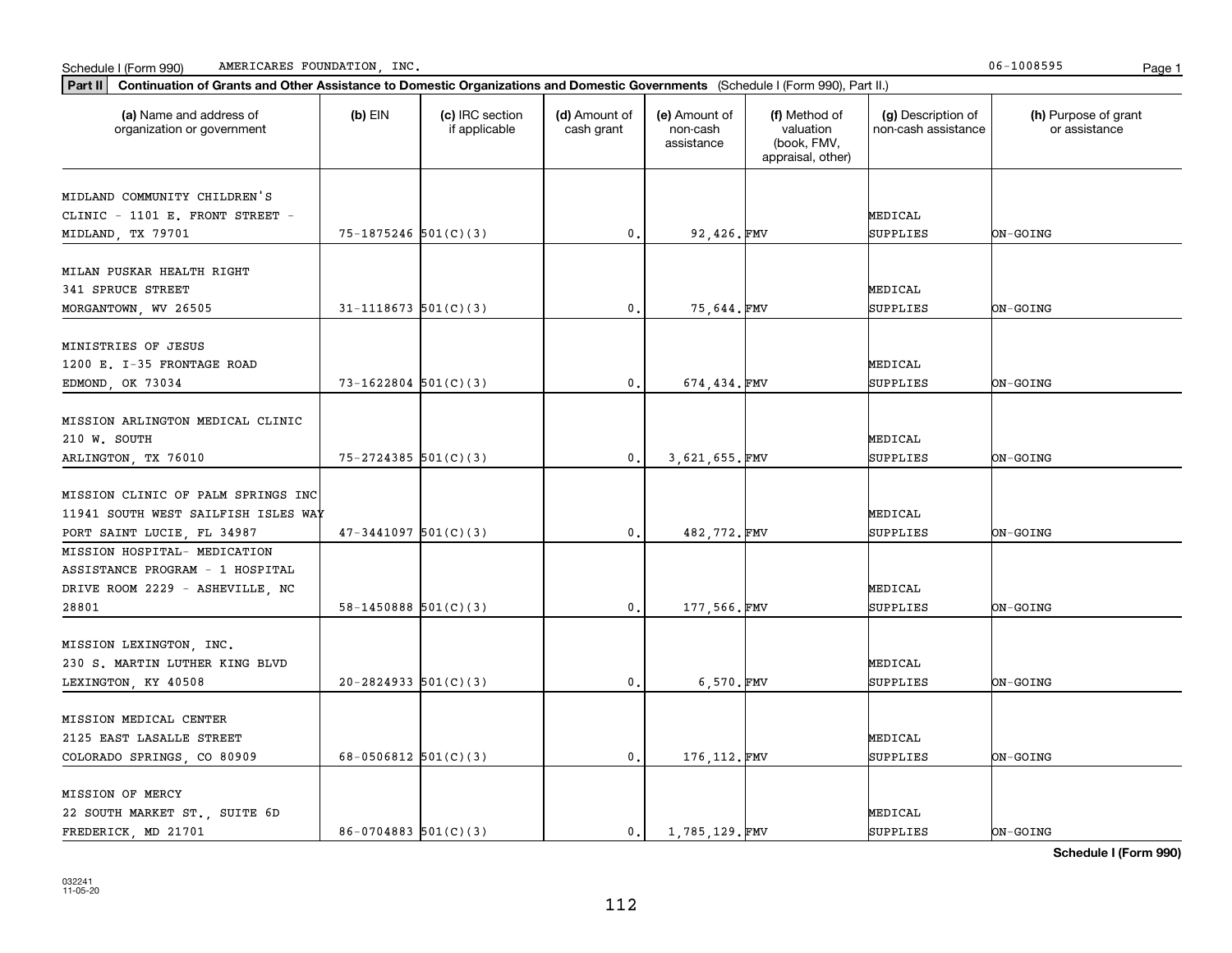| (a) Name and address of<br>organization or government | $(b)$ EIN                | (c) IRC section<br>if applicable | (d) Amount of<br>cash grant | (e) Amount of<br>non-cash<br>assistance | (f) Method of<br>valuation<br>(book, FMV,<br>appraisal, other) | (g) Description of<br>non-cash assistance | (h) Purpose of grant<br>or assistance |
|-------------------------------------------------------|--------------------------|----------------------------------|-----------------------------|-----------------------------------------|----------------------------------------------------------------|-------------------------------------------|---------------------------------------|
| MIDLAND COMMUNITY CHILDREN'S                          |                          |                                  |                             |                                         |                                                                |                                           |                                       |
| CLINIC - 1101 E. FRONT STREET -                       |                          |                                  |                             |                                         |                                                                | MEDICAL                                   |                                       |
| MIDLAND, TX 79701                                     | $75 - 1875246$ 501(C)(3) |                                  | 0.                          | 92,426.FMV                              |                                                                | SUPPLIES                                  | <b>DN-GOING</b>                       |
|                                                       |                          |                                  |                             |                                         |                                                                |                                           |                                       |
| MILAN PUSKAR HEALTH RIGHT                             |                          |                                  |                             |                                         |                                                                |                                           |                                       |
| 341 SPRUCE STREET                                     |                          |                                  |                             |                                         |                                                                | MEDICAL                                   |                                       |
| MORGANTOWN, WV 26505                                  | $31 - 1118673$ 501(C)(3) |                                  | 0.                          | 75,644.FMV                              |                                                                | SUPPLIES                                  | <b>DN-GOING</b>                       |
|                                                       |                          |                                  |                             |                                         |                                                                |                                           |                                       |
| MINISTRIES OF JESUS                                   |                          |                                  |                             |                                         |                                                                |                                           |                                       |
| 1200 E. I-35 FRONTAGE ROAD                            |                          |                                  |                             |                                         |                                                                | MEDICAL                                   |                                       |
| EDMOND, OK 73034                                      | $73 - 1622804$ 501(C)(3) |                                  | 0.                          | 674,434.FMV                             |                                                                | SUPPLIES                                  | <b>DN-GOING</b>                       |
| MISSION ARLINGTON MEDICAL CLINIC                      |                          |                                  |                             |                                         |                                                                |                                           |                                       |
| 210 W. SOUTH                                          |                          |                                  |                             |                                         |                                                                | MEDICAL                                   |                                       |
| ARLINGTON, TX 76010                                   | $75 - 2724385$ 501(C)(3) |                                  | 0.                          | 3,621,655.FMV                           |                                                                | SUPPLIES                                  | <b>DN-GOING</b>                       |
|                                                       |                          |                                  |                             |                                         |                                                                |                                           |                                       |
| MISSION CLINIC OF PALM SPRINGS INC                    |                          |                                  |                             |                                         |                                                                |                                           |                                       |
| 11941 SOUTH WEST SAILFISH ISLES WAY                   |                          |                                  |                             |                                         |                                                                | MEDICAL                                   |                                       |
| PORT SAINT LUCIE, FL 34987                            | $47 - 3441097$ 501(C)(3) |                                  | 0.                          | 482,772. FMV                            |                                                                | SUPPLIES                                  | <b>DN-GOING</b>                       |
| MISSION HOSPITAL- MEDICATION                          |                          |                                  |                             |                                         |                                                                |                                           |                                       |
| ASSISTANCE PROGRAM - 1 HOSPITAL                       |                          |                                  |                             |                                         |                                                                |                                           |                                       |
| DRIVE ROOM 2229 - ASHEVILLE, NC                       |                          |                                  |                             |                                         |                                                                | MEDICAL                                   |                                       |
| 28801                                                 | 58-1450888 $501(C)(3)$   |                                  | 0.                          | 177,566.FMV                             |                                                                | SUPPLIES                                  | <b>DN-GOING</b>                       |
|                                                       |                          |                                  |                             |                                         |                                                                |                                           |                                       |
| MISSION LEXINGTON, INC.                               |                          |                                  |                             |                                         |                                                                |                                           |                                       |
| 230 S. MARTIN LUTHER KING BLVD                        |                          |                                  |                             |                                         |                                                                | MEDICAL                                   |                                       |
| LEXINGTON, KY 40508                                   | $20-2824933$ $501(C)(3)$ |                                  | 0.                          | 6,570.FMV                               |                                                                | SUPPLIES                                  | <b>DN-GOING</b>                       |
|                                                       |                          |                                  |                             |                                         |                                                                |                                           |                                       |
| MISSION MEDICAL CENTER                                |                          |                                  |                             |                                         |                                                                |                                           |                                       |
| 2125 EAST LASALLE STREET                              |                          |                                  |                             |                                         |                                                                | MEDICAL                                   |                                       |
| COLORADO SPRINGS, CO 80909                            | $68-0506812$ 501(C)(3)   |                                  | 0.                          | 176, 112. FMV                           |                                                                | SUPPLIES                                  | <b>DN-GOING</b>                       |
|                                                       |                          |                                  |                             |                                         |                                                                |                                           |                                       |
| MISSION OF MERCY                                      |                          |                                  |                             |                                         |                                                                |                                           |                                       |
| 22 SOUTH MARKET ST., SUITE 6D                         |                          |                                  |                             |                                         |                                                                | MEDICAL                                   |                                       |
| FREDERICK, MD 21701                                   | $86-0704883$ 501(C)(3)   |                                  | 0.1                         | 1,785,129.FMV                           |                                                                | <b>SUPPLIES</b>                           | <b>DN-GOING</b>                       |

032241 11-05-20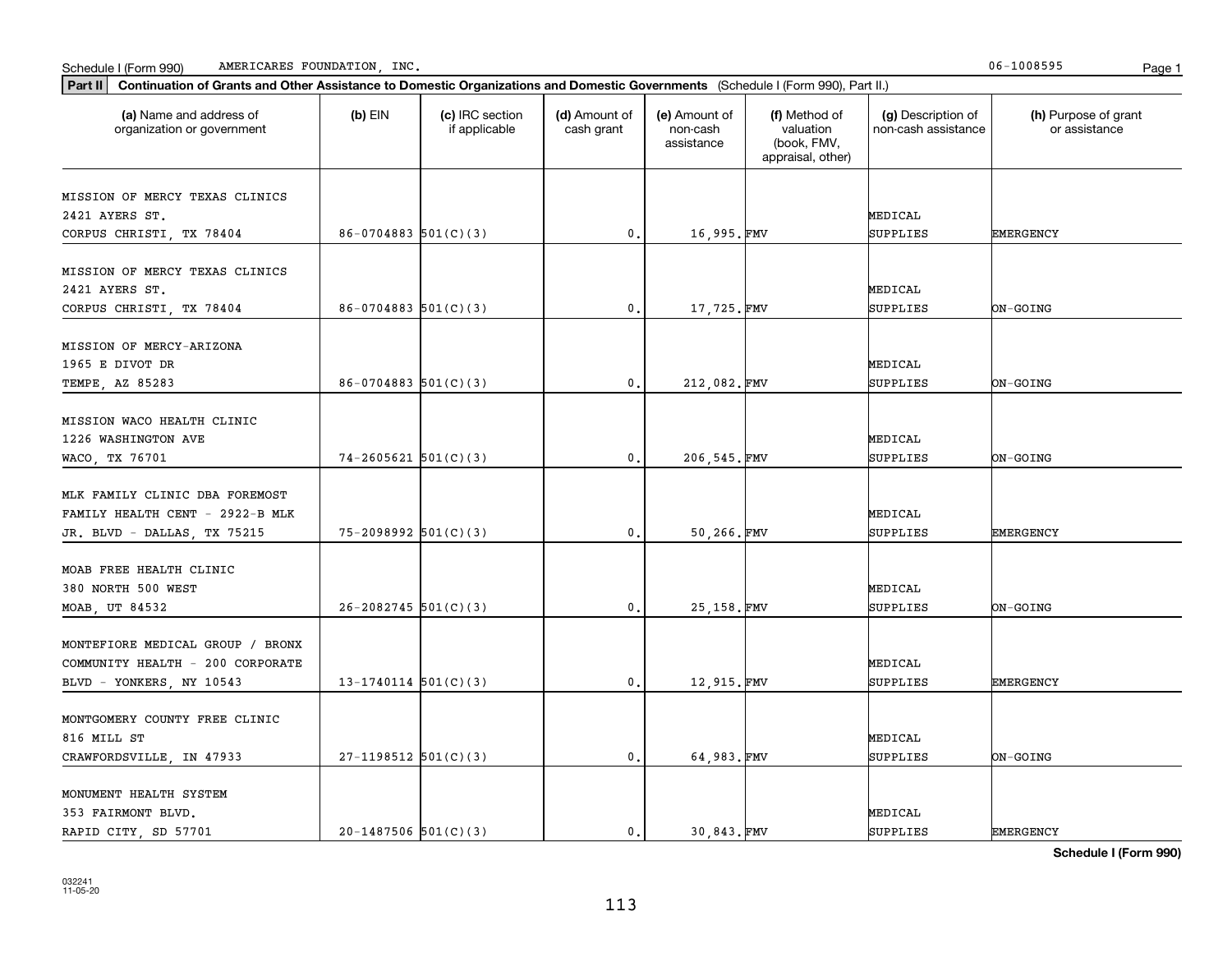| Schedule I (Form 990) |  | FOUNDATION<br>AMERICARES | INC. |  | Page |  |
|-----------------------|--|--------------------------|------|--|------|--|
|-----------------------|--|--------------------------|------|--|------|--|

| (a) Name and address of<br>organization or government | $(b)$ EIN                | (c) IRC section<br>if applicable | (d) Amount of<br>cash grant | (e) Amount of<br>non-cash<br>assistance | (f) Method of<br>valuation<br>(book, FMV,<br>appraisal, other) | (g) Description of<br>non-cash assistance | (h) Purpose of grant<br>or assistance |
|-------------------------------------------------------|--------------------------|----------------------------------|-----------------------------|-----------------------------------------|----------------------------------------------------------------|-------------------------------------------|---------------------------------------|
| MISSION OF MERCY TEXAS CLINICS                        |                          |                                  |                             |                                         |                                                                |                                           |                                       |
| 2421 AYERS ST.                                        |                          |                                  |                             |                                         |                                                                | MEDICAL                                   |                                       |
| CORPUS CHRISTI, TX 78404                              | $86-0704883$ 501(C)(3)   |                                  | 0.                          | 16,995.FMV                              |                                                                | <b>SUPPLIES</b>                           | <b>EMERGENCY</b>                      |
|                                                       |                          |                                  |                             |                                         |                                                                |                                           |                                       |
| MISSION OF MERCY TEXAS CLINICS                        |                          |                                  |                             |                                         |                                                                |                                           |                                       |
| 2421 AYERS ST.                                        |                          |                                  |                             |                                         |                                                                | MEDICAL                                   |                                       |
| CORPUS CHRISTI, TX 78404                              | $86-0704883$ 501(C)(3)   |                                  | 0.                          | 17,725.FMV                              |                                                                | SUPPLIES                                  | <b>DN-GOING</b>                       |
| MISSION OF MERCY-ARIZONA                              |                          |                                  |                             |                                         |                                                                |                                           |                                       |
| 1965 E DIVOT DR                                       |                          |                                  |                             |                                         |                                                                | MEDICAL                                   |                                       |
| TEMPE, AZ 85283                                       | $86-0704883$ 501(C)(3)   |                                  | 0.                          | 212,082.FMV                             |                                                                | SUPPLIES                                  | <b>DN-GOING</b>                       |
|                                                       |                          |                                  |                             |                                         |                                                                |                                           |                                       |
| MISSION WACO HEALTH CLINIC                            |                          |                                  |                             |                                         |                                                                |                                           |                                       |
| 1226 WASHINGTON AVE                                   |                          |                                  |                             |                                         |                                                                | MEDICAL                                   |                                       |
| WACO, TX 76701                                        | $74-2605621$ 501(C)(3)   |                                  | $\mathbf{0}$ .              | 206,545.FMV                             |                                                                | SUPPLIES                                  | <b>DN-GOING</b>                       |
|                                                       |                          |                                  |                             |                                         |                                                                |                                           |                                       |
| MLK FAMILY CLINIC DBA FOREMOST                        |                          |                                  |                             |                                         |                                                                |                                           |                                       |
| FAMILY HEALTH CENT - 2922-B MLK                       |                          |                                  |                             |                                         |                                                                | MEDICAL                                   |                                       |
| JR. BLVD - DALLAS, TX 75215                           | $75 - 2098992$ 501(C)(3) |                                  | 0.                          | 50,266.FMV                              |                                                                | SUPPLIES                                  | <b>EMERGENCY</b>                      |
| MOAB FREE HEALTH CLINIC                               |                          |                                  |                             |                                         |                                                                |                                           |                                       |
| 380 NORTH 500 WEST                                    |                          |                                  |                             |                                         |                                                                | MEDICAL                                   |                                       |
| MOAB, UT 84532                                        | $26 - 2082745$ 501(C)(3) |                                  | $\mathbf{0}$ .              | 25,158.FMV                              |                                                                | SUPPLIES                                  | <b>DN-GOING</b>                       |
|                                                       |                          |                                  |                             |                                         |                                                                |                                           |                                       |
| MONTEFIORE MEDICAL GROUP / BRONX                      |                          |                                  |                             |                                         |                                                                |                                           |                                       |
| COMMUNITY HEALTH - 200 CORPORATE                      |                          |                                  |                             |                                         |                                                                | MEDICAL                                   |                                       |
| BLVD - YONKERS, NY 10543                              | $13-1740114$ 501(C)(3)   |                                  | 0.                          | 12,915.FMV                              |                                                                | SUPPLIES                                  | <b>EMERGENCY</b>                      |
|                                                       |                          |                                  |                             |                                         |                                                                |                                           |                                       |
| MONTGOMERY COUNTY FREE CLINIC                         |                          |                                  |                             |                                         |                                                                |                                           |                                       |
| 816 MILL ST                                           |                          |                                  |                             |                                         |                                                                | MEDICAL                                   |                                       |
| CRAWFORDSVILLE, IN 47933                              | $27-1198512$ 501(C)(3)   |                                  | $\mathbf{0}$ .              | 64,983.FMV                              |                                                                | SUPPLIES                                  | <b>DN-GOING</b>                       |
| MONUMENT HEALTH SYSTEM                                |                          |                                  |                             |                                         |                                                                |                                           |                                       |
| 353 FAIRMONT BLVD.                                    |                          |                                  |                             |                                         |                                                                | MEDICAL                                   |                                       |
| RAPID CITY, SD 57701                                  | $20-1487506$ 501(C)(3)   |                                  | $\mathbf{0}$ .              | 30.843.FMV                              |                                                                | <b>SUPPLIES</b>                           | <b>EMERGENCY</b>                      |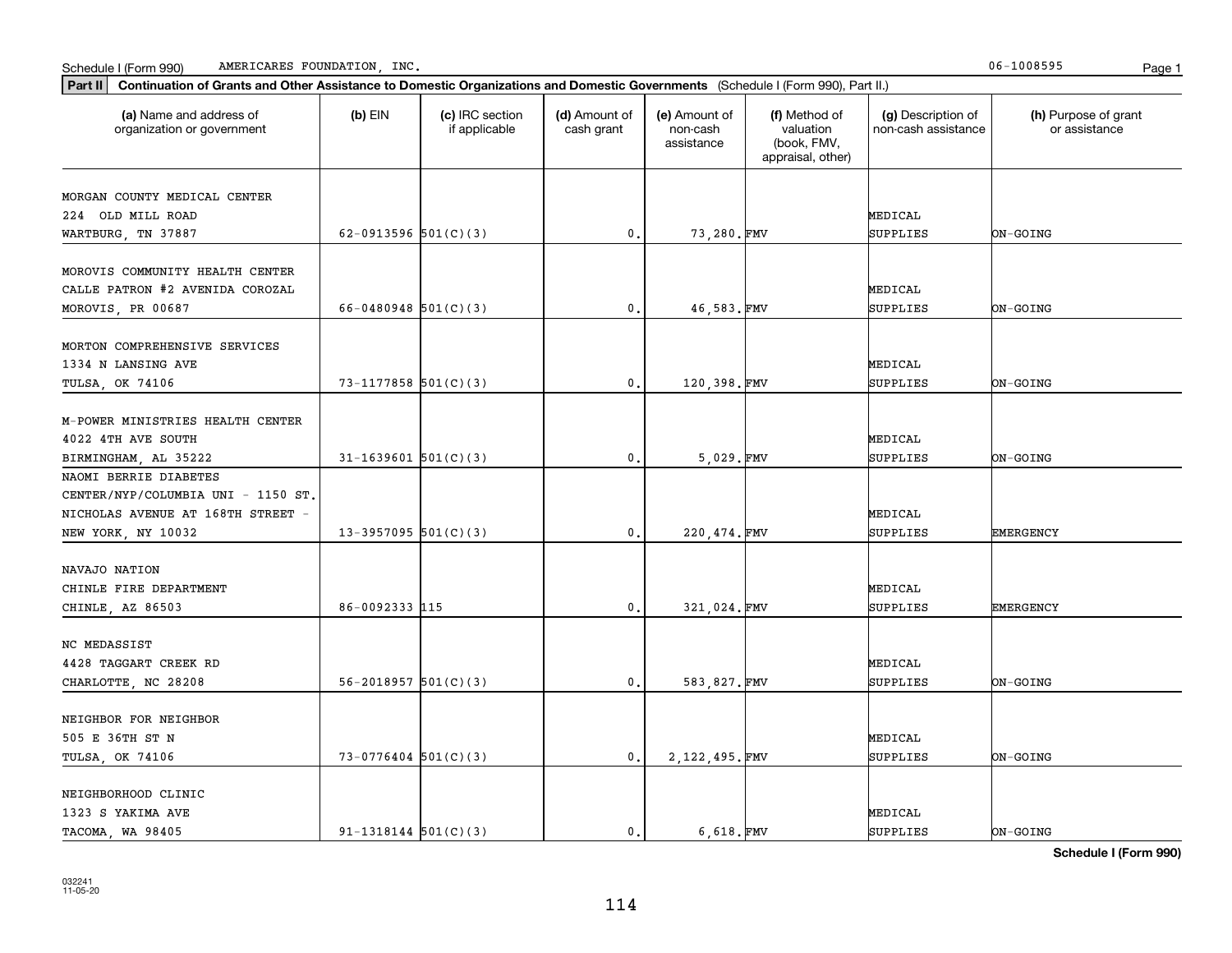| (a) Name and address of<br>organization or government | $(b)$ EIN                  | (c) IRC section<br>if applicable | (d) Amount of<br>cash grant | (e) Amount of<br>non-cash<br>assistance | (f) Method of<br>valuation<br>(book, FMV,<br>appraisal, other) | (g) Description of<br>non-cash assistance | (h) Purpose of grant<br>or assistance |
|-------------------------------------------------------|----------------------------|----------------------------------|-----------------------------|-----------------------------------------|----------------------------------------------------------------|-------------------------------------------|---------------------------------------|
| MORGAN COUNTY MEDICAL CENTER                          |                            |                                  |                             |                                         |                                                                |                                           |                                       |
| 224 OLD MILL ROAD                                     |                            |                                  |                             |                                         |                                                                | MEDICAL                                   |                                       |
| WARTBURG, TN 37887                                    | 62-0913596 $501(C)(3)$     |                                  | $\mathbf{0}$ .              | 73,280.FMV                              |                                                                | SUPPLIES                                  | <b>DN-GOING</b>                       |
|                                                       |                            |                                  |                             |                                         |                                                                |                                           |                                       |
| MOROVIS COMMUNITY HEALTH CENTER                       |                            |                                  |                             |                                         |                                                                |                                           |                                       |
| CALLE PATRON #2 AVENIDA COROZAL                       |                            |                                  |                             |                                         |                                                                | MEDICAL                                   |                                       |
| MOROVIS, PR 00687                                     | $66 - 0480948$ 501(C)(3)   |                                  | $\mathbf{0}$ .              | 46,583.FMV                              |                                                                | SUPPLIES                                  | <b>DN-GOING</b>                       |
|                                                       |                            |                                  |                             |                                         |                                                                |                                           |                                       |
| MORTON COMPREHENSIVE SERVICES                         |                            |                                  |                             |                                         |                                                                |                                           |                                       |
| 1334 N LANSING AVE                                    |                            |                                  |                             |                                         |                                                                | MEDICAL                                   |                                       |
| <b>TULSA, OK 74106</b>                                | $73 - 1177858$ 501(C)(3)   |                                  | 0.                          | 120,398.FMV                             |                                                                | SUPPLIES                                  | <b>ON-GOING</b>                       |
|                                                       |                            |                                  |                             |                                         |                                                                |                                           |                                       |
| M-POWER MINISTRIES HEALTH CENTER                      |                            |                                  |                             |                                         |                                                                |                                           |                                       |
| 4022 4TH AVE SOUTH                                    |                            |                                  |                             |                                         |                                                                | MEDICAL                                   |                                       |
| BIRMINGHAM, AL 35222                                  | $31-1639601$ 501(C)(3)     |                                  | $\mathbf 0$ .               | 5,029.FMV                               |                                                                | SUPPLIES                                  | <b>DN-GOING</b>                       |
| NAOMI BERRIE DIABETES                                 |                            |                                  |                             |                                         |                                                                |                                           |                                       |
| CENTER/NYP/COLUMBIA UNI - 1150 ST.                    |                            |                                  |                             |                                         |                                                                |                                           |                                       |
| NICHOLAS AVENUE AT 168TH STREET                       |                            |                                  |                             |                                         |                                                                | MEDICAL                                   |                                       |
| NEW YORK, NY 10032                                    | $13-3957095$ 501(C)(3)     |                                  | $\mathbf{0}$ .              | 220, 474. FMV                           |                                                                | SUPPLIES                                  | <b>EMERGENCY</b>                      |
| NAVAJO NATION                                         |                            |                                  |                             |                                         |                                                                |                                           |                                       |
| CHINLE FIRE DEPARTMENT                                |                            |                                  |                             |                                         |                                                                | MEDICAL                                   |                                       |
|                                                       | 86-0092333 115             |                                  | 0.                          | 321,024.FMV                             |                                                                | SUPPLIES                                  | <b>EMERGENCY</b>                      |
| CHINLE, AZ 86503                                      |                            |                                  |                             |                                         |                                                                |                                           |                                       |
| NC MEDASSIST                                          |                            |                                  |                             |                                         |                                                                |                                           |                                       |
| 4428 TAGGART CREEK RD                                 |                            |                                  |                             |                                         |                                                                | MEDICAL                                   |                                       |
| CHARLOTTE, NC 28208                                   | $56 - 2018957$ $501(C)(3)$ |                                  | $\mathbf{0}$ .              | 583,827.FMV                             |                                                                | SUPPLIES                                  | <b>DN-GOING</b>                       |
|                                                       |                            |                                  |                             |                                         |                                                                |                                           |                                       |
| NEIGHBOR FOR NEIGHBOR                                 |                            |                                  |                             |                                         |                                                                |                                           |                                       |
| 505 E 36TH ST N                                       |                            |                                  |                             |                                         |                                                                | MEDICAL                                   |                                       |
| <b>TULSA, OK 74106</b>                                | $73-0776404$ 501(C)(3)     |                                  | $\mathbf{0}$ .              | 2,122,495.FMV                           |                                                                | SUPPLIES                                  | <b>DN-GOING</b>                       |
|                                                       |                            |                                  |                             |                                         |                                                                |                                           |                                       |
| NEIGHBORHOOD CLINIC                                   |                            |                                  |                             |                                         |                                                                |                                           |                                       |
| 1323 S YAKIMA AVE                                     |                            |                                  |                             |                                         |                                                                | MEDICAL                                   |                                       |
| TACOMA, WA 98405                                      | $91-1318144$ $501(C)(3)$   |                                  | $\mathbf{0}$ .              | 6.618.FMV                               |                                                                | <b>SUPPLIES</b>                           | <b>DN-GOING</b>                       |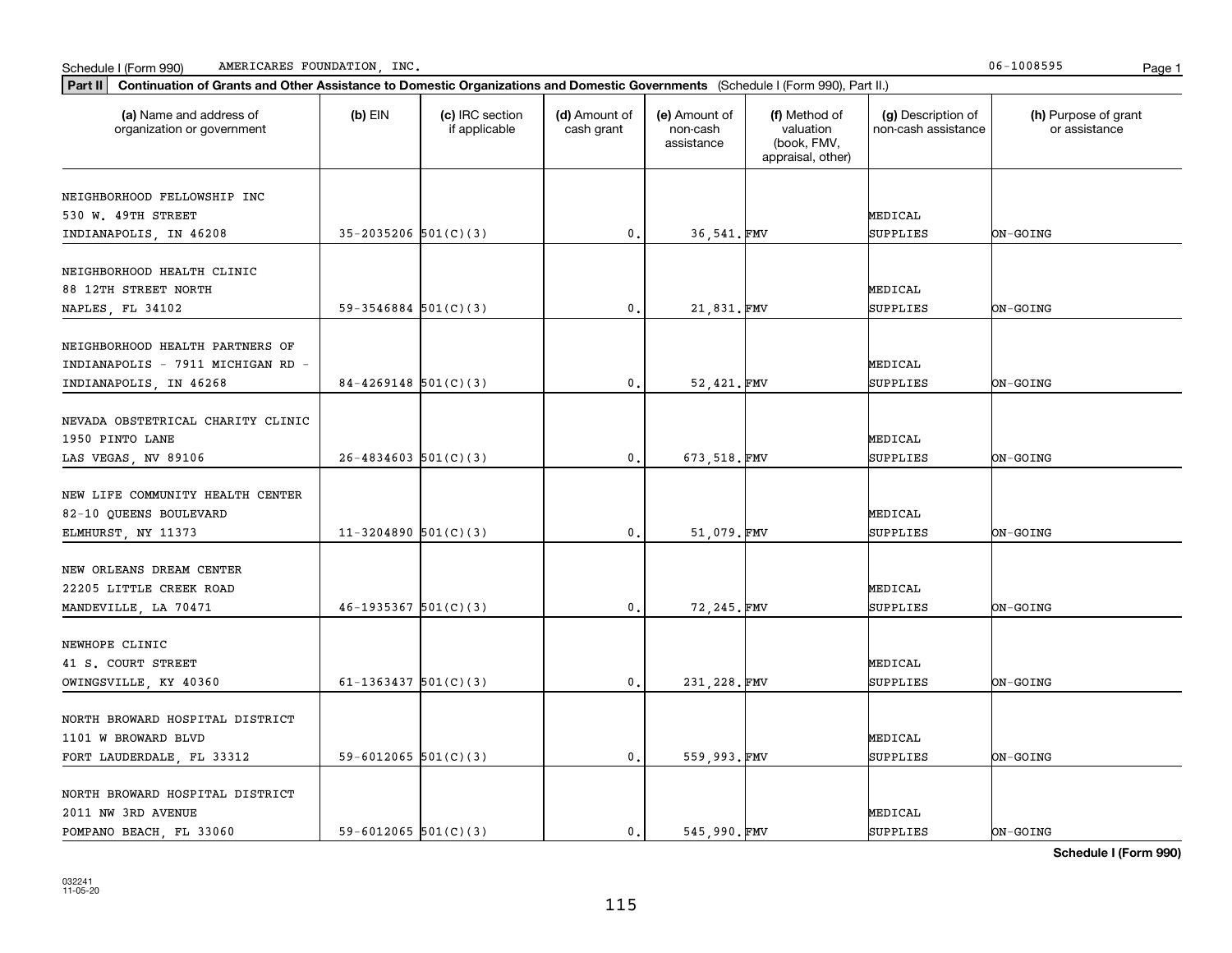| Schedule I (Form 990) |  | FOUNDATION<br>AMERICARES | INC. |  | Page |  |
|-----------------------|--|--------------------------|------|--|------|--|
|-----------------------|--|--------------------------|------|--|------|--|

| (a) Name and address of<br>organization or government | $(b)$ EIN                  | (c) IRC section<br>if applicable | (d) Amount of<br>cash grant | (e) Amount of<br>non-cash<br>assistance | (f) Method of<br>valuation<br>(book, FMV,<br>appraisal, other) | (g) Description of<br>non-cash assistance | (h) Purpose of grant<br>or assistance |
|-------------------------------------------------------|----------------------------|----------------------------------|-----------------------------|-----------------------------------------|----------------------------------------------------------------|-------------------------------------------|---------------------------------------|
| NEIGHBORHOOD FELLOWSHIP INC                           |                            |                                  |                             |                                         |                                                                |                                           |                                       |
| 530 W. 49TH STREET                                    |                            |                                  |                             |                                         |                                                                | MEDICAL                                   |                                       |
| INDIANAPOLIS, IN 46208                                | $35 - 2035206$ $501(C)(3)$ |                                  | 0.                          | 36,541.FMV                              |                                                                | <b>SUPPLIES</b>                           | <b>DN-GOING</b>                       |
|                                                       |                            |                                  |                             |                                         |                                                                |                                           |                                       |
| NEIGHBORHOOD HEALTH CLINIC                            |                            |                                  |                             |                                         |                                                                |                                           |                                       |
| 88 12TH STREET NORTH                                  |                            |                                  |                             |                                         |                                                                | MEDICAL                                   |                                       |
| NAPLES, FL 34102                                      | $59 - 3546884$ $501(C)(3)$ |                                  | 0.                          | 21,831.FMV                              |                                                                | SUPPLIES                                  | <b>DN-GOING</b>                       |
| NEIGHBORHOOD HEALTH PARTNERS OF                       |                            |                                  |                             |                                         |                                                                |                                           |                                       |
| INDIANAPOLIS - 7911 MICHIGAN RD -                     |                            |                                  |                             |                                         |                                                                | MEDICAL                                   |                                       |
| INDIANAPOLIS, IN 46268                                | $84 - 4269148$ 501(C)(3)   |                                  | 0.                          | 52,421.FMV                              |                                                                | SUPPLIES                                  | <b>DN-GOING</b>                       |
|                                                       |                            |                                  |                             |                                         |                                                                |                                           |                                       |
| NEVADA OBSTETRICAL CHARITY CLINIC                     |                            |                                  |                             |                                         |                                                                |                                           |                                       |
| 1950 PINTO LANE                                       |                            |                                  |                             |                                         |                                                                | MEDICAL                                   |                                       |
| LAS VEGAS, NV 89106                                   | $26 - 4834603$ 501(C)(3)   |                                  | $\mathbf{0}$ .              | 673,518.FMV                             |                                                                | SUPPLIES                                  | <b>DN-GOING</b>                       |
| NEW LIFE COMMUNITY HEALTH CENTER                      |                            |                                  |                             |                                         |                                                                |                                           |                                       |
| 82-10 QUEENS BOULEVARD                                |                            |                                  |                             |                                         |                                                                | MEDICAL                                   |                                       |
| ELMHURST, NY 11373                                    | $11-3204890$ 501(C)(3)     |                                  | 0.                          | 51,079.FMV                              |                                                                | SUPPLIES                                  | <b>DN-GOING</b>                       |
|                                                       |                            |                                  |                             |                                         |                                                                |                                           |                                       |
| NEW ORLEANS DREAM CENTER                              |                            |                                  |                             |                                         |                                                                |                                           |                                       |
| 22205 LITTLE CREEK ROAD                               |                            |                                  |                             |                                         |                                                                | MEDICAL                                   |                                       |
| MANDEVILLE, LA 70471                                  | $46 - 1935367$ 501(C)(3)   |                                  | $\mathbf{0}$ .              | 72,245.FMV                              |                                                                | SUPPLIES                                  | <b>DN-GOING</b>                       |
|                                                       |                            |                                  |                             |                                         |                                                                |                                           |                                       |
| NEWHOPE CLINIC                                        |                            |                                  |                             |                                         |                                                                |                                           |                                       |
| 41 S. COURT STREET                                    |                            |                                  |                             |                                         |                                                                | MEDICAL                                   |                                       |
| OWINGSVILLE, KY 40360                                 | 61-1363437 $501(C)(3)$     |                                  | 0.                          | 231, 228. FMV                           |                                                                | SUPPLIES                                  | <b>DN-GOING</b>                       |
| NORTH BROWARD HOSPITAL DISTRICT                       |                            |                                  |                             |                                         |                                                                |                                           |                                       |
| 1101 W BROWARD BLVD                                   |                            |                                  |                             |                                         |                                                                | MEDICAL                                   |                                       |
| FORT LAUDERDALE, FL 33312                             | 59-6012065 $501(C)(3)$     |                                  | $\mathbf{0}$ .              | 559,993.FMV                             |                                                                | SUPPLIES                                  | <b>DN-GOING</b>                       |
|                                                       |                            |                                  |                             |                                         |                                                                |                                           |                                       |
| NORTH BROWARD HOSPITAL DISTRICT                       |                            |                                  |                             |                                         |                                                                |                                           |                                       |
| 2011 NW 3RD AVENUE                                    |                            |                                  |                             |                                         |                                                                | MEDICAL                                   |                                       |
| POMPANO BEACH, FL 33060                               | 59-6012065 $501(C)(3)$     |                                  | $\mathbf{0}$ .              | 545,990.FMV                             |                                                                | <b>SUPPLIES</b>                           | <b>DN-GOING</b>                       |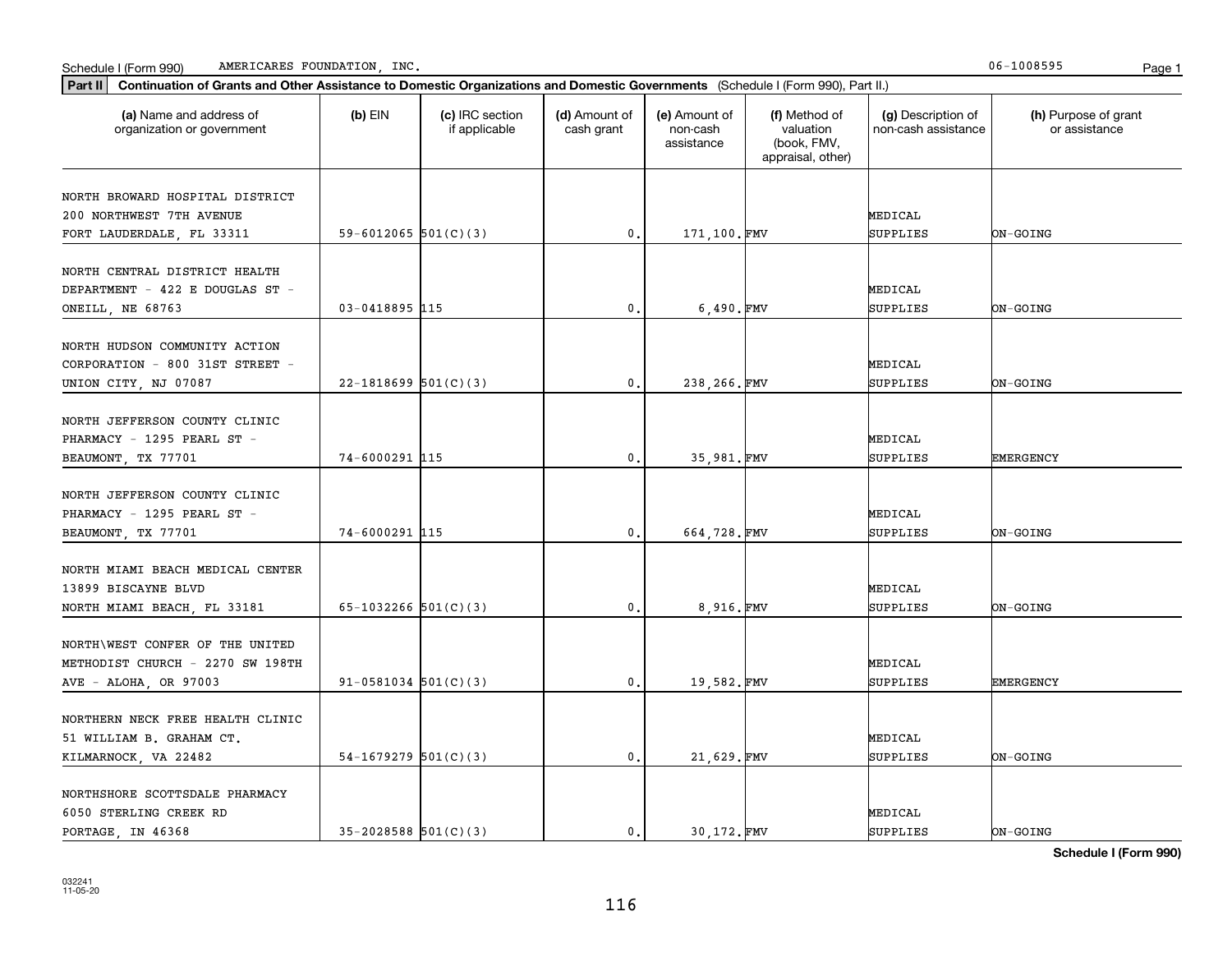| (a) Name and address of<br>organization or government            | $(b)$ EIN                  | (c) IRC section<br>if applicable | (d) Amount of<br>cash grant | (e) Amount of<br>non-cash<br>assistance | (f) Method of<br>valuation<br>(book, FMV,<br>appraisal, other) | (g) Description of<br>non-cash assistance | (h) Purpose of grant<br>or assistance |
|------------------------------------------------------------------|----------------------------|----------------------------------|-----------------------------|-----------------------------------------|----------------------------------------------------------------|-------------------------------------------|---------------------------------------|
| NORTH BROWARD HOSPITAL DISTRICT                                  |                            |                                  |                             |                                         |                                                                |                                           |                                       |
| 200 NORTHWEST 7TH AVENUE                                         |                            |                                  |                             |                                         |                                                                | MEDICAL                                   |                                       |
| FORT LAUDERDALE, FL 33311                                        | 59-6012065 $501(C)(3)$     |                                  | $\mathbf{0}$ .              | 171,100.FMV                             |                                                                | SUPPLIES                                  | <b>DN-GOING</b>                       |
| NORTH CENTRAL DISTRICT HEALTH                                    |                            |                                  |                             |                                         |                                                                |                                           |                                       |
| DEPARTMENT - 422 E DOUGLAS ST -                                  |                            |                                  |                             |                                         |                                                                | MEDICAL                                   |                                       |
| ONEILL, NE 68763                                                 | 03-0418895 115             |                                  | 0.                          | 6,490.FMV                               |                                                                | SUPPLIES                                  | <b>DN-GOING</b>                       |
|                                                                  |                            |                                  |                             |                                         |                                                                |                                           |                                       |
| NORTH HUDSON COMMUNITY ACTION<br>CORPORATION - 800 31ST STREET - |                            |                                  |                             |                                         |                                                                | MEDICAL                                   |                                       |
| UNION CITY, NJ 07087                                             | $22 - 1818699$ 501(C)(3)   |                                  | 0.                          | 238,266.FMV                             |                                                                | SUPPLIES                                  | <b>DN-GOING</b>                       |
|                                                                  |                            |                                  |                             |                                         |                                                                |                                           |                                       |
| NORTH JEFFERSON COUNTY CLINIC                                    |                            |                                  |                             |                                         |                                                                |                                           |                                       |
| PHARMACY - 1295 PEARL ST -                                       |                            |                                  |                             |                                         |                                                                | MEDICAL                                   |                                       |
| BEAUMONT, TX 77701                                               | 74-6000291 115             |                                  | 0.                          | 35,981.FMV                              |                                                                | SUPPLIES                                  | <b>EMERGENCY</b>                      |
|                                                                  |                            |                                  |                             |                                         |                                                                |                                           |                                       |
| NORTH JEFFERSON COUNTY CLINIC                                    |                            |                                  |                             |                                         |                                                                |                                           |                                       |
| PHARMACY - 1295 PEARL ST -                                       |                            |                                  |                             |                                         |                                                                | MEDICAL                                   |                                       |
| BEAUMONT, TX 77701                                               | 74-6000291 115             |                                  | 0.                          | 664,728.FMV                             |                                                                | SUPPLIES                                  | <b>DN-GOING</b>                       |
| NORTH MIAMI BEACH MEDICAL CENTER                                 |                            |                                  |                             |                                         |                                                                |                                           |                                       |
| 13899 BISCAYNE BLVD                                              |                            |                                  |                             |                                         |                                                                | MEDICAL                                   |                                       |
| NORTH MIAMI BEACH, FL 33181                                      | 65-1032266 $501(C)(3)$     |                                  | 0.                          | 8,916.FMV                               |                                                                | SUPPLIES                                  | <b>DN-GOING</b>                       |
|                                                                  |                            |                                  |                             |                                         |                                                                |                                           |                                       |
| NORTH\WEST CONFER OF THE UNITED                                  |                            |                                  |                             |                                         |                                                                |                                           |                                       |
| METHODIST CHURCH - 2270 SW 198TH                                 |                            |                                  |                             |                                         |                                                                | MEDICAL                                   |                                       |
| AVE - ALOHA, OR 97003                                            | $91 - 0581034$ 501(C)(3)   |                                  | $\mathsf{0}\,$ .            | 19,582.FMV                              |                                                                | SUPPLIES                                  | <b>EMERGENCY</b>                      |
|                                                                  |                            |                                  |                             |                                         |                                                                |                                           |                                       |
| NORTHERN NECK FREE HEALTH CLINIC                                 |                            |                                  |                             |                                         |                                                                |                                           |                                       |
| 51 WILLIAM B. GRAHAM CT.                                         |                            |                                  |                             |                                         |                                                                | MEDICAL                                   |                                       |
| KILMARNOCK, VA 22482                                             | $54-1679279$ $501(C)(3)$   |                                  | 0.                          | 21,629.FMV                              |                                                                | SUPPLIES                                  | <b>DN-GOING</b>                       |
| NORTHSHORE SCOTTSDALE PHARMACY                                   |                            |                                  |                             |                                         |                                                                |                                           |                                       |
| 6050 STERLING CREEK RD                                           |                            |                                  |                             |                                         |                                                                | MEDICAL                                   |                                       |
| PORTAGE IN 46368                                                 | $35 - 2028588$ $501(C)(3)$ |                                  | 0.                          | 30.172. FMV                             |                                                                | <b>SUPPLIES</b>                           | <b>DN-GOING</b>                       |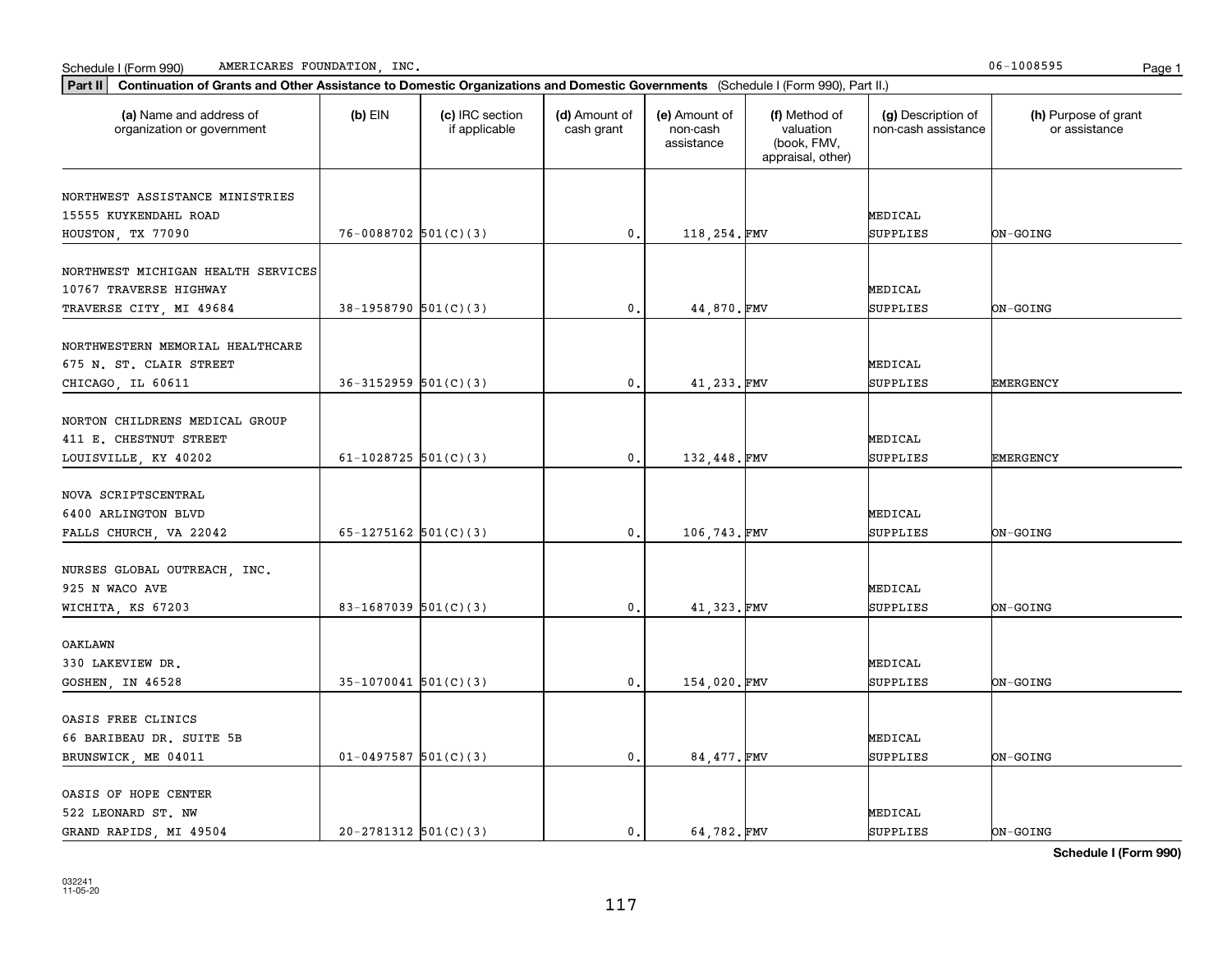| (a) Name and address of<br>organization or government | $(b)$ EIN                | (c) IRC section<br>if applicable | (d) Amount of<br>cash grant | (e) Amount of<br>non-cash<br>assistance | (f) Method of<br>valuation<br>(book, FMV,<br>appraisal, other) | (g) Description of<br>non-cash assistance | (h) Purpose of grant<br>or assistance |
|-------------------------------------------------------|--------------------------|----------------------------------|-----------------------------|-----------------------------------------|----------------------------------------------------------------|-------------------------------------------|---------------------------------------|
| NORTHWEST ASSISTANCE MINISTRIES                       |                          |                                  |                             |                                         |                                                                |                                           |                                       |
| 15555 KUYKENDAHL ROAD                                 |                          |                                  |                             |                                         |                                                                | MEDICAL                                   |                                       |
| HOUSTON, TX 77090                                     | $76 - 0088702$ 501(C)(3) |                                  | 0.                          | 118,254.FMV                             |                                                                | SUPPLIES                                  | <b>DN-GOING</b>                       |
|                                                       |                          |                                  |                             |                                         |                                                                |                                           |                                       |
| NORTHWEST MICHIGAN HEALTH SERVICES                    |                          |                                  |                             |                                         |                                                                |                                           |                                       |
| 10767 TRAVERSE HIGHWAY                                |                          |                                  |                             |                                         |                                                                | MEDICAL                                   |                                       |
| TRAVERSE CITY, MI 49684                               | $38-1958790$ 501(C)(3)   |                                  | 0.                          | 44,870.FMV                              |                                                                | SUPPLIES                                  | <b>DN-GOING</b>                       |
| NORTHWESTERN MEMORIAL HEALTHCARE                      |                          |                                  |                             |                                         |                                                                |                                           |                                       |
| 675 N. ST. CLAIR STREET                               |                          |                                  |                             |                                         |                                                                | MEDICAL                                   |                                       |
| CHICAGO, IL 60611                                     | $36-3152959$ $501(C)(3)$ |                                  | $\mathbf{0}$ .              | 41,233.FMV                              |                                                                | SUPPLIES                                  | <b>EMERGENCY</b>                      |
|                                                       |                          |                                  |                             |                                         |                                                                |                                           |                                       |
| NORTON CHILDRENS MEDICAL GROUP                        |                          |                                  |                             |                                         |                                                                |                                           |                                       |
| 411 E. CHESTNUT STREET                                |                          |                                  |                             |                                         |                                                                | MEDICAL                                   |                                       |
| LOUISVILLE, KY 40202                                  | 61-1028725 $501(C)(3)$   |                                  | $\mathbf{0}$ .              | 132,448.FMV                             |                                                                | SUPPLIES                                  | <b>EMERGENCY</b>                      |
|                                                       |                          |                                  |                             |                                         |                                                                |                                           |                                       |
| NOVA SCRIPTSCENTRAL                                   |                          |                                  |                             |                                         |                                                                |                                           |                                       |
| 6400 ARLINGTON BLVD                                   |                          |                                  |                             |                                         |                                                                | MEDICAL                                   |                                       |
| FALLS CHURCH, VA 22042                                | 65-1275162 $501(C)(3)$   |                                  | 0.                          | 106,743.FMV                             |                                                                | SUPPLIES                                  | <b>DN-GOING</b>                       |
| NURSES GLOBAL OUTREACH, INC.                          |                          |                                  |                             |                                         |                                                                |                                           |                                       |
| 925 N WACO AVE                                        |                          |                                  |                             |                                         |                                                                | MEDICAL                                   |                                       |
| WICHITA, KS 67203                                     | 83-1687039 $501(C)(3)$   |                                  | 0.                          | 41,323. FMV                             |                                                                | SUPPLIES                                  | <b>DN-GOING</b>                       |
|                                                       |                          |                                  |                             |                                         |                                                                |                                           |                                       |
| OAKLAWN                                               |                          |                                  |                             |                                         |                                                                |                                           |                                       |
| 330 LAKEVIEW DR.                                      |                          |                                  |                             |                                         |                                                                | MEDICAL                                   |                                       |
| GOSHEN, IN 46528                                      | $35-1070041$ 501(C)(3)   |                                  | 0.                          | 154,020.FMV                             |                                                                | SUPPLIES                                  | <b>DN-GOING</b>                       |
| OASIS FREE CLINICS                                    |                          |                                  |                             |                                         |                                                                |                                           |                                       |
| 66 BARIBEAU DR. SUITE 5B                              |                          |                                  |                             |                                         |                                                                | MEDICAL                                   |                                       |
| BRUNSWICK, ME 04011                                   | $01-0497587$ 501(C)(3)   |                                  | $\mathbf{0}$ .              | 84, 477. FMV                            |                                                                | SUPPLIES                                  | <b>DN-GOING</b>                       |
|                                                       |                          |                                  |                             |                                         |                                                                |                                           |                                       |
| OASIS OF HOPE CENTER                                  |                          |                                  |                             |                                         |                                                                |                                           |                                       |
| 522 LEONARD ST. NW                                    |                          |                                  |                             |                                         |                                                                | MEDICAL                                   |                                       |
| GRAND RAPIDS, MI 49504                                | $20-2781312$ 501(C)(3)   |                                  | 0.                          | 64.782.FMV                              |                                                                | SUPPLIES                                  | <b>DN-GOING</b>                       |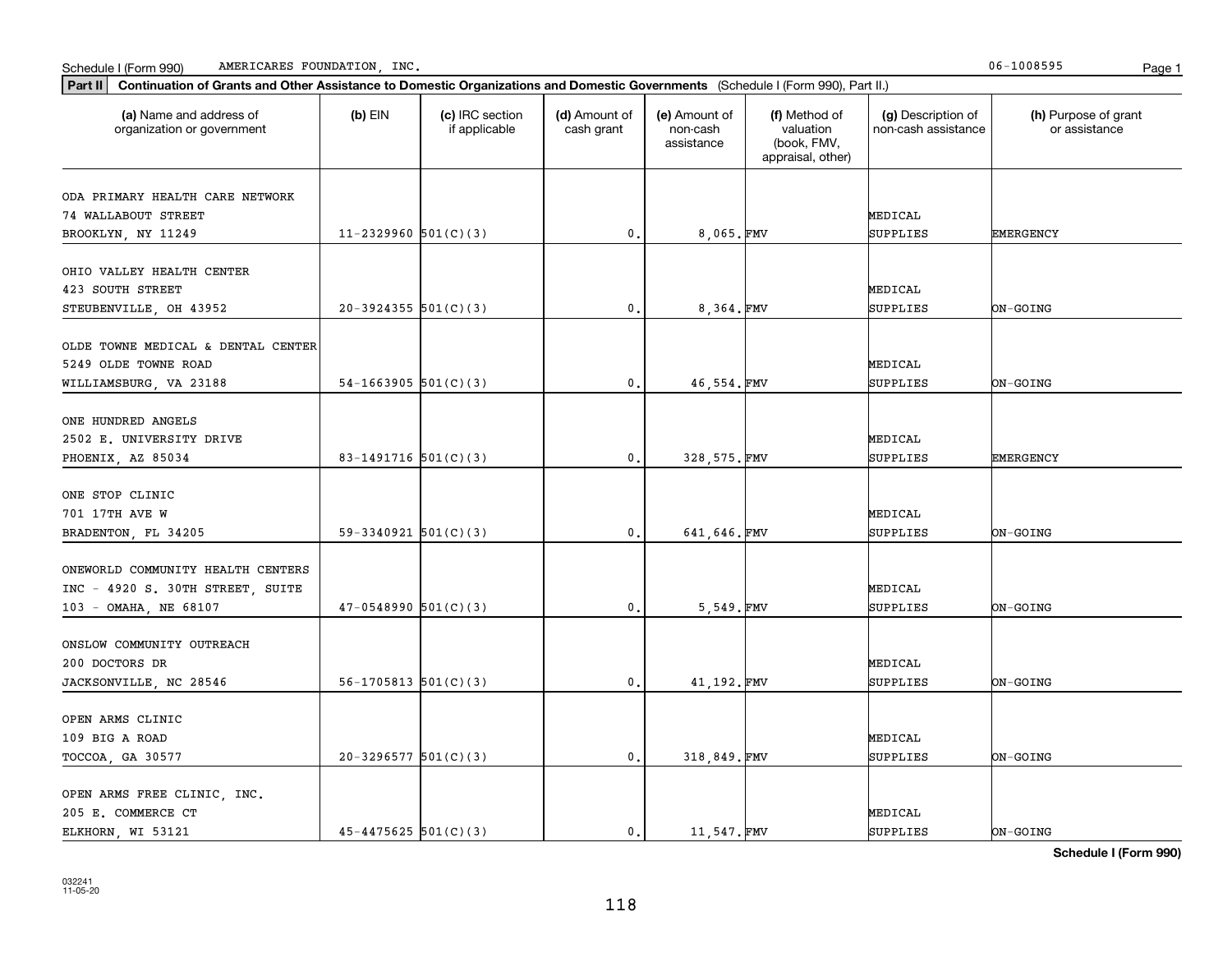| (a) Name and address of<br>organization or government | $(b)$ EIN                | (c) IRC section<br>if applicable | (d) Amount of<br>cash grant | (e) Amount of<br>non-cash<br>assistance | (f) Method of<br>valuation<br>(book, FMV,<br>appraisal, other) | (g) Description of<br>non-cash assistance | (h) Purpose of grant<br>or assistance |
|-------------------------------------------------------|--------------------------|----------------------------------|-----------------------------|-----------------------------------------|----------------------------------------------------------------|-------------------------------------------|---------------------------------------|
| ODA PRIMARY HEALTH CARE NETWORK                       |                          |                                  |                             |                                         |                                                                |                                           |                                       |
| 74 WALLABOUT STREET                                   |                          |                                  |                             |                                         |                                                                | MEDICAL                                   |                                       |
| BROOKLYN, NY 11249                                    | $11 - 2329960$ 501(C)(3) |                                  | 0.                          | 8,065.FMV                               |                                                                | <b>SUPPLIES</b>                           | <b>EMERGENCY</b>                      |
|                                                       |                          |                                  |                             |                                         |                                                                |                                           |                                       |
| OHIO VALLEY HEALTH CENTER<br>423 SOUTH STREET         |                          |                                  |                             |                                         |                                                                | MEDICAL                                   |                                       |
| STEUBENVILLE, OH 43952                                | $20-3924355$ 501(C)(3)   |                                  | $\mathbf{0}$ .              | 8,364.FMV                               |                                                                | SUPPLIES                                  | <b>DN-GOING</b>                       |
|                                                       |                          |                                  |                             |                                         |                                                                |                                           |                                       |
| OLDE TOWNE MEDICAL & DENTAL CENTER                    |                          |                                  |                             |                                         |                                                                |                                           |                                       |
| 5249 OLDE TOWNE ROAD                                  |                          |                                  |                             |                                         |                                                                | MEDICAL                                   |                                       |
| WILLIAMSBURG, VA 23188                                | 54-1663905 $501(C)(3)$   |                                  | $\mathbf{0}$ .              | 46,554.FMV                              |                                                                | <b>SUPPLIES</b>                           | <b>DN-GOING</b>                       |
|                                                       |                          |                                  |                             |                                         |                                                                |                                           |                                       |
| ONE HUNDRED ANGELS                                    |                          |                                  |                             |                                         |                                                                |                                           |                                       |
| 2502 E. UNIVERSITY DRIVE                              |                          |                                  |                             |                                         |                                                                | MEDICAL                                   |                                       |
| PHOENIX, AZ 85034                                     | 83-1491716 $501(C)(3)$   |                                  | 0.                          | 328, 575. FMV                           |                                                                | SUPPLIES                                  | <b>EMERGENCY</b>                      |
|                                                       |                          |                                  |                             |                                         |                                                                |                                           |                                       |
| ONE STOP CLINIC                                       |                          |                                  |                             |                                         |                                                                |                                           |                                       |
| 701 17TH AVE W                                        |                          |                                  |                             |                                         |                                                                | MEDICAL                                   |                                       |
| BRADENTON, FL 34205                                   | $59-3340921$ $501(C)(3)$ |                                  | $\mathbf{0}$ .              | 641,646.FMV                             |                                                                | <b>SUPPLIES</b>                           | <b>DN-GOING</b>                       |
|                                                       |                          |                                  |                             |                                         |                                                                |                                           |                                       |
| ONEWORLD COMMUNITY HEALTH CENTERS                     |                          |                                  |                             |                                         |                                                                |                                           |                                       |
| INC - 4920 S. 30TH STREET, SUITE                      |                          |                                  |                             |                                         |                                                                | MEDICAL                                   |                                       |
| 103 - OMAHA, NE 68107                                 | $47-0548990$ 501(C)(3)   |                                  | $\mathbf{0}$ .              | 5.549.FMV                               |                                                                | <b>SUPPLIES</b>                           | <b>DN-GOING</b>                       |
| ONSLOW COMMUNITY OUTREACH                             |                          |                                  |                             |                                         |                                                                |                                           |                                       |
| 200 DOCTORS DR                                        |                          |                                  |                             |                                         |                                                                | MEDICAL                                   |                                       |
| JACKSONVILLE, NC 28546                                | $56-1705813$ $501(C)(3)$ |                                  | $\mathbf{0}$ .              | 41,192.FMV                              |                                                                | SUPPLIES                                  | <b>DN-GOING</b>                       |
|                                                       |                          |                                  |                             |                                         |                                                                |                                           |                                       |
| OPEN ARMS CLINIC                                      |                          |                                  |                             |                                         |                                                                |                                           |                                       |
| 109 BIG A ROAD                                        |                          |                                  |                             |                                         |                                                                | MEDICAL                                   |                                       |
| TOCCOA, GA 30577                                      | $20-3296577$ $501(C)(3)$ |                                  | $\mathbf{0}$ .              | 318,849.FMV                             |                                                                | <b>SUPPLIES</b>                           | <b>DN-GOING</b>                       |
|                                                       |                          |                                  |                             |                                         |                                                                |                                           |                                       |
| OPEN ARMS FREE CLINIC, INC.                           |                          |                                  |                             |                                         |                                                                |                                           |                                       |
| 205 E. COMMERCE CT                                    |                          |                                  |                             |                                         |                                                                | MEDICAL                                   |                                       |
| ELKHORN, WI 53121                                     | $45 - 4475625$ 501(C)(3) |                                  | 0.                          | 11,547. FMV                             |                                                                | <b>SUPPLIES</b>                           | <b>DN-GOING</b>                       |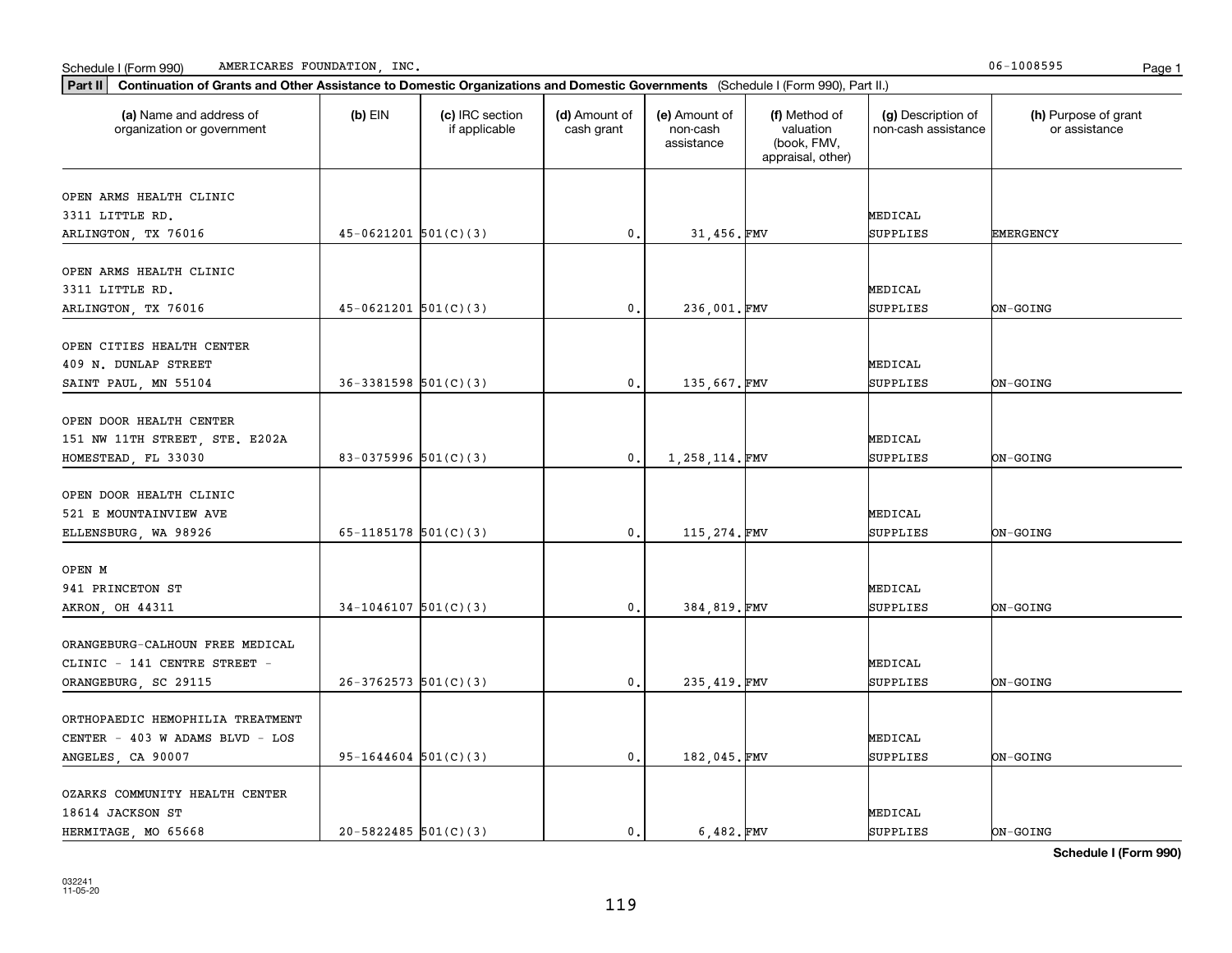| Part II   Continuation of Grants and Other Assistance to Domestic Organizations and Domestic Governments (Schedule I (Form 990), Part II.) |                          |                                  |                             |                                         |                                                                |                                           |                                       |
|--------------------------------------------------------------------------------------------------------------------------------------------|--------------------------|----------------------------------|-----------------------------|-----------------------------------------|----------------------------------------------------------------|-------------------------------------------|---------------------------------------|
| (a) Name and address of<br>organization or government                                                                                      | (b) EIN                  | (c) IRC section<br>if applicable | (d) Amount of<br>cash grant | (e) Amount of<br>non-cash<br>assistance | (f) Method of<br>valuation<br>(book, FMV,<br>appraisal, other) | (g) Description of<br>non-cash assistance | (h) Purpose of grant<br>or assistance |
| OPEN ARMS HEALTH CLINIC                                                                                                                    |                          |                                  |                             |                                         |                                                                |                                           |                                       |
| 3311 LITTLE RD.                                                                                                                            |                          |                                  |                             |                                         |                                                                | MEDICAL                                   |                                       |
| ARLINGTON, TX 76016                                                                                                                        | $45-0621201$ $501(C)(3)$ |                                  | $\mathbf{0}$ .              | 31,456.FMV                              |                                                                | SUPPLIES                                  | <b>EMERGENCY</b>                      |
|                                                                                                                                            |                          |                                  |                             |                                         |                                                                |                                           |                                       |
| OPEN ARMS HEALTH CLINIC                                                                                                                    |                          |                                  |                             |                                         |                                                                |                                           |                                       |
| 3311 LITTLE RD.                                                                                                                            |                          |                                  |                             |                                         |                                                                | MEDICAL                                   |                                       |
| ARLINGTON, TX 76016                                                                                                                        | $45-0621201$ $501(C)(3)$ |                                  | $\mathbf{0}$ .              | 236,001.FMV                             |                                                                | SUPPLIES                                  | <b>DN-GOING</b>                       |
| OPEN CITIES HEALTH CENTER                                                                                                                  |                          |                                  |                             |                                         |                                                                |                                           |                                       |
| 409 N. DUNLAP STREET                                                                                                                       |                          |                                  |                             |                                         |                                                                | MEDICAL                                   |                                       |
| SAINT PAUL, MN 55104                                                                                                                       | $36-3381598$ $501(C)(3)$ |                                  | $\mathbf{0}$ .              | 135,667.FMV                             |                                                                | SUPPLIES                                  | <b>DN-GOING</b>                       |
|                                                                                                                                            |                          |                                  |                             |                                         |                                                                |                                           |                                       |
| OPEN DOOR HEALTH CENTER                                                                                                                    |                          |                                  |                             |                                         |                                                                |                                           |                                       |
| 151 NW 11TH STREET, STE. E202A                                                                                                             |                          |                                  |                             |                                         |                                                                | MEDICAL                                   |                                       |
| HOMESTEAD, FL 33030                                                                                                                        | 83-0375996 $501(C)(3)$   |                                  | 0.                          | 1,258,114.FMV                           |                                                                | SUPPLIES                                  | <b>DN-GOING</b>                       |
| OPEN DOOR HEALTH CLINIC                                                                                                                    |                          |                                  |                             |                                         |                                                                |                                           |                                       |
| 521 E MOUNTAINVIEW AVE                                                                                                                     |                          |                                  |                             |                                         |                                                                | MEDICAL                                   |                                       |
|                                                                                                                                            | 65-1185178 $501(C)(3)$   |                                  | 0.                          | 115, 274. FMV                           |                                                                | SUPPLIES                                  | <b>DN-GOING</b>                       |
| ELLENSBURG, WA 98926                                                                                                                       |                          |                                  |                             |                                         |                                                                |                                           |                                       |
| OPEN M                                                                                                                                     |                          |                                  |                             |                                         |                                                                |                                           |                                       |
| 941 PRINCETON ST                                                                                                                           |                          |                                  |                             |                                         |                                                                | MEDICAL                                   |                                       |
| AKRON, OH 44311                                                                                                                            | $34-1046107$ 501(C)(3)   |                                  | 0.                          | 384,819.FMV                             |                                                                | SUPPLIES                                  | <b>DN-GOING</b>                       |
|                                                                                                                                            |                          |                                  |                             |                                         |                                                                |                                           |                                       |
| ORANGEBURG-CALHOUN FREE MEDICAL                                                                                                            |                          |                                  |                             |                                         |                                                                |                                           |                                       |
| CLINIC - 141 CENTRE STREET -                                                                                                               |                          |                                  |                             |                                         |                                                                | MEDICAL                                   |                                       |
| ORANGEBURG, SC 29115                                                                                                                       | $26-3762573$ 501(C)(3)   |                                  | 0.                          | 235, 419. FMV                           |                                                                | SUPPLIES                                  | <b>DN-GOING</b>                       |
| ORTHOPAEDIC HEMOPHILIA TREATMENT                                                                                                           |                          |                                  |                             |                                         |                                                                |                                           |                                       |
| CENTER - 403 W ADAMS BLVD - LOS                                                                                                            |                          |                                  |                             |                                         |                                                                | MEDICAL                                   |                                       |
| ANGELES, CA 90007                                                                                                                          | $95 - 1644604$ 501(C)(3) |                                  | 0.                          | 182,045.FMV                             |                                                                | SUPPLIES                                  | <b>DN-GOING</b>                       |
|                                                                                                                                            |                          |                                  |                             |                                         |                                                                |                                           |                                       |
| OZARKS COMMUNITY HEALTH CENTER                                                                                                             |                          |                                  |                             |                                         |                                                                |                                           |                                       |
| 18614 JACKSON ST                                                                                                                           |                          |                                  |                             |                                         |                                                                | MEDICAL                                   |                                       |
| HERMITAGE, MO 65668                                                                                                                        | $20 - 5822485$ 501(C)(3) |                                  | $\mathbf{0}$ .              | 6,482. FMV                              |                                                                | SUPPLIES                                  | <b>pN-GOING</b>                       |

032241 11-05-20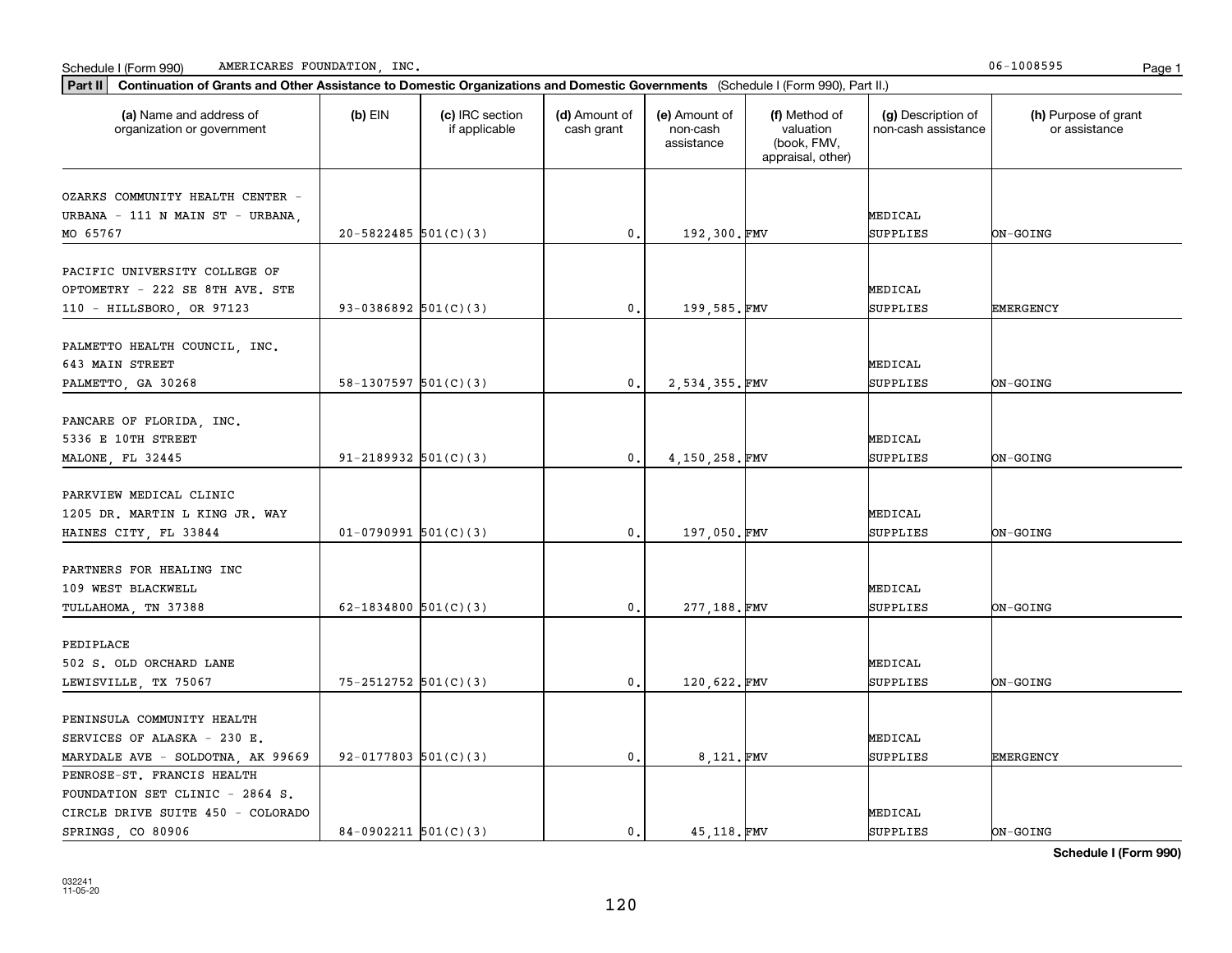| (a) Name and address of<br>organization or government                | $(b)$ EIN                  | (c) IRC section<br>if applicable | (d) Amount of<br>cash grant | (e) Amount of<br>non-cash<br>assistance | (f) Method of<br>valuation<br>(book, FMV, | (g) Description of<br>non-cash assistance | (h) Purpose of grant<br>or assistance |
|----------------------------------------------------------------------|----------------------------|----------------------------------|-----------------------------|-----------------------------------------|-------------------------------------------|-------------------------------------------|---------------------------------------|
|                                                                      |                            |                                  |                             |                                         | appraisal, other)                         |                                           |                                       |
|                                                                      |                            |                                  |                             |                                         |                                           |                                           |                                       |
| OZARKS COMMUNITY HEALTH CENTER -<br>URBANA - 111 N MAIN ST - URBANA, |                            |                                  |                             |                                         |                                           | MEDICAL                                   |                                       |
| MO 65767                                                             | $20 - 5822485$ 501(C)(3)   |                                  | $\mathbf{0}$ .              | 192,300.FMV                             |                                           | SUPPLIES                                  | <b>bN-GOING</b>                       |
|                                                                      |                            |                                  |                             |                                         |                                           |                                           |                                       |
| PACIFIC UNIVERSITY COLLEGE OF                                        |                            |                                  |                             |                                         |                                           |                                           |                                       |
| OPTOMETRY - 222 SE 8TH AVE. STE                                      |                            |                                  |                             |                                         |                                           | MEDICAL                                   |                                       |
| 110 - HILLSBORO, OR 97123                                            | 93-0386892 $501(C)(3)$     |                                  | $\mathbf{0}$ .              | 199.585.FMV                             |                                           | SUPPLIES                                  | <b>EMERGENCY</b>                      |
|                                                                      |                            |                                  |                             |                                         |                                           |                                           |                                       |
| PALMETTO HEALTH COUNCIL, INC.                                        |                            |                                  |                             |                                         |                                           |                                           |                                       |
| 643 MAIN STREET                                                      |                            |                                  |                             |                                         |                                           | MEDICAL                                   |                                       |
| PALMETTO, GA 30268                                                   | 58-1307597 $501(C)(3)$     |                                  | $\mathbf{0}$ .              | 2,534,355.FMV                           |                                           | SUPPLIES                                  | <b>DN-GOING</b>                       |
|                                                                      |                            |                                  |                             |                                         |                                           |                                           |                                       |
| PANCARE OF FLORIDA, INC.                                             |                            |                                  |                             |                                         |                                           |                                           |                                       |
| 5336 E 10TH STREET                                                   |                            |                                  |                             |                                         |                                           | MEDICAL                                   |                                       |
| MALONE, FL 32445                                                     | $91 - 2189932$ $501(C)(3)$ |                                  | $^{\circ}$ .                | 4,150,258.FMV                           |                                           | SUPPLIES                                  | <b>DN-GOING</b>                       |
|                                                                      |                            |                                  |                             |                                         |                                           |                                           |                                       |
| PARKVIEW MEDICAL CLINIC                                              |                            |                                  |                             |                                         |                                           |                                           |                                       |
| 1205 DR. MARTIN L KING JR. WAY                                       |                            |                                  |                             |                                         |                                           | MEDICAL                                   |                                       |
| HAINES CITY, FL 33844                                                | $01-0790991$ 501(C)(3)     |                                  | $\mathbf{0}$ .              | 197,050.FMV                             |                                           | SUPPLIES                                  | <b>DN-GOING</b>                       |
| PARTNERS FOR HEALING INC                                             |                            |                                  |                             |                                         |                                           |                                           |                                       |
| 109 WEST BLACKWELL                                                   |                            |                                  |                             |                                         |                                           | MEDICAL                                   |                                       |
| TULLAHOMA, TN 37388                                                  | 62-1834800 $501(C)(3)$     |                                  | 0.                          | 277,188.FMV                             |                                           | SUPPLIES                                  | <b>DN-GOING</b>                       |
|                                                                      |                            |                                  |                             |                                         |                                           |                                           |                                       |
| PEDIPLACE                                                            |                            |                                  |                             |                                         |                                           |                                           |                                       |
| 502 S. OLD ORCHARD LANE                                              |                            |                                  |                             |                                         |                                           | MEDICAL                                   |                                       |
| LEWISVILLE, TX 75067                                                 | 75-2512752 501(C)(3)       |                                  | $\mathbf{0}$ .              | 120,622.FMV                             |                                           | SUPPLIES                                  | <b>DN-GOING</b>                       |
|                                                                      |                            |                                  |                             |                                         |                                           |                                           |                                       |
| PENINSULA COMMUNITY HEALTH                                           |                            |                                  |                             |                                         |                                           |                                           |                                       |
| SERVICES OF ALASKA - 230 E.                                          |                            |                                  |                             |                                         |                                           | MEDICAL                                   |                                       |
| MARYDALE AVE - SOLDOTNA, AK 99669                                    | $92 - 0177803$ 501(C)(3)   |                                  | 0.                          | 8,121.FMV                               |                                           | SUPPLIES                                  | <b>EMERGENCY</b>                      |
| PENROSE-ST. FRANCIS HEALTH                                           |                            |                                  |                             |                                         |                                           |                                           |                                       |
| FOUNDATION SET CLINIC - 2864 S.                                      |                            |                                  |                             |                                         |                                           |                                           |                                       |
| CIRCLE DRIVE SUITE 450 - COLORADO                                    |                            |                                  |                             |                                         |                                           | MEDICAL                                   |                                       |
| SPRINGS, CO 80906                                                    | $84-0902211$ 501(C)(3)     |                                  | $\mathbf{0}$ .              | 45,118.FMV                              |                                           | SUPPLIES                                  | <b>DN-GOING</b>                       |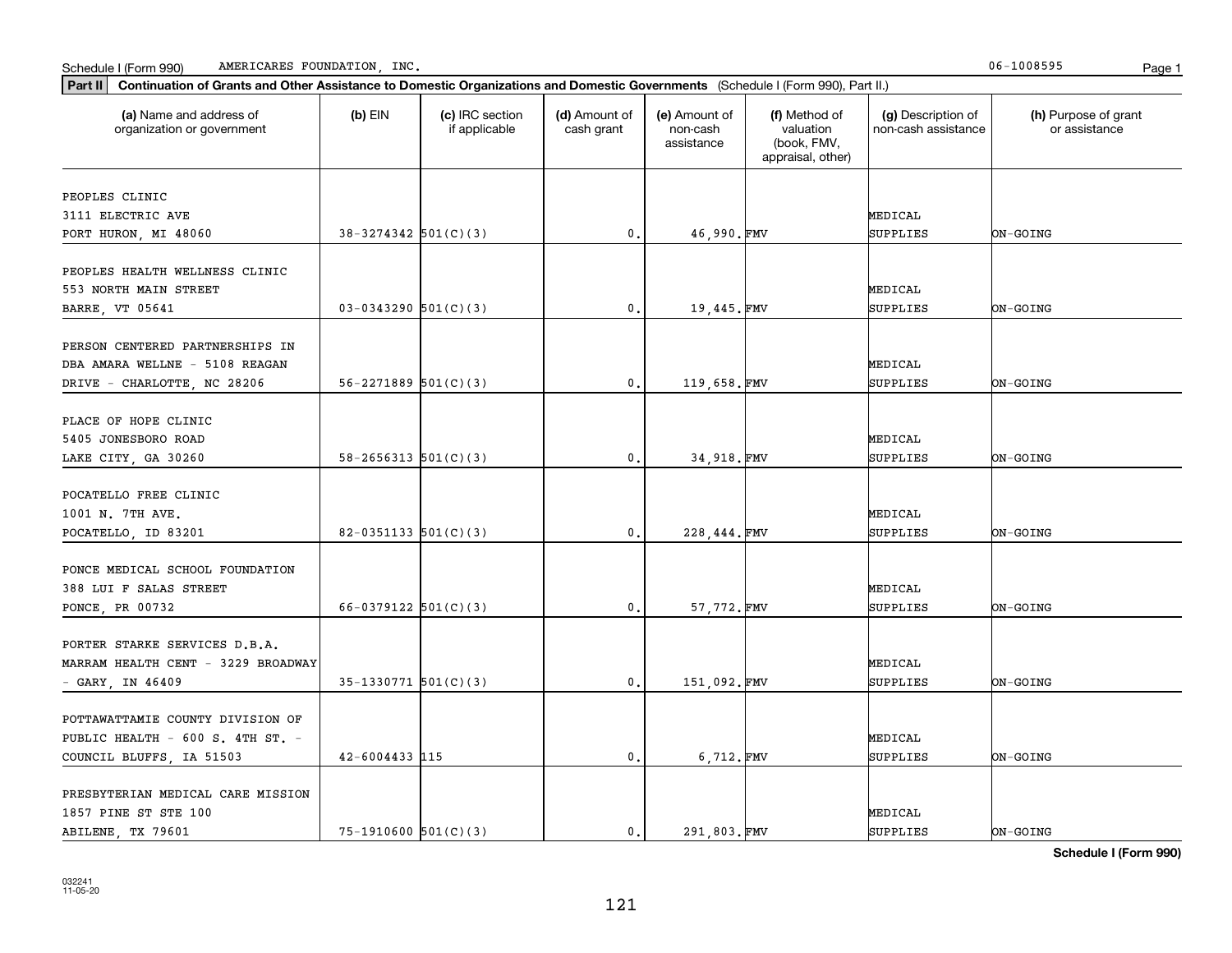| Schedule I (Form 990) |  | FOUNDATION<br>AMERICARES | INC. |  | Page |  |
|-----------------------|--|--------------------------|------|--|------|--|
|-----------------------|--|--------------------------|------|--|------|--|

| (a) Name and address of<br>organization or government | $(b)$ EIN                  | (c) IRC section<br>if applicable | (d) Amount of<br>cash grant | (e) Amount of<br>non-cash<br>assistance | (f) Method of<br>valuation<br>(book, FMV,<br>appraisal, other) | (g) Description of<br>non-cash assistance | (h) Purpose of grant<br>or assistance |
|-------------------------------------------------------|----------------------------|----------------------------------|-----------------------------|-----------------------------------------|----------------------------------------------------------------|-------------------------------------------|---------------------------------------|
|                                                       |                            |                                  |                             |                                         |                                                                |                                           |                                       |
| PEOPLES CLINIC<br>3111 ELECTRIC AVE                   |                            |                                  |                             |                                         |                                                                | MEDICAL                                   |                                       |
| PORT HURON, MI 48060                                  | $38-3274342$ 501(C)(3)     |                                  | $\mathbf{0}$ .              | 46,990.FMV                              |                                                                | SUPPLIES                                  | <b>DN-GOING</b>                       |
|                                                       |                            |                                  |                             |                                         |                                                                |                                           |                                       |
| PEOPLES HEALTH WELLNESS CLINIC                        |                            |                                  |                             |                                         |                                                                |                                           |                                       |
| 553 NORTH MAIN STREET                                 |                            |                                  |                             |                                         |                                                                | MEDICAL                                   |                                       |
| <b>BARRE, VT 05641</b>                                | $03-0343290$ 501(C)(3)     |                                  | $\mathbf{0}$ .              | 19,445.FMV                              |                                                                | SUPPLIES                                  | <b>DN-GOING</b>                       |
|                                                       |                            |                                  |                             |                                         |                                                                |                                           |                                       |
| PERSON CENTERED PARTNERSHIPS IN                       |                            |                                  |                             |                                         |                                                                |                                           |                                       |
| DBA AMARA WELLNE - 5108 REAGAN                        |                            |                                  |                             |                                         |                                                                | MEDICAL                                   |                                       |
| DRIVE - CHARLOTTE, NC 28206                           | $56 - 2271889$ $501(C)(3)$ |                                  | $\mathfrak o$ .             | 119,658.FMV                             |                                                                | SUPPLIES                                  | <b>DN-GOING</b>                       |
|                                                       |                            |                                  |                             |                                         |                                                                |                                           |                                       |
| PLACE OF HOPE CLINIC                                  |                            |                                  |                             |                                         |                                                                |                                           |                                       |
| 5405 JONESBORO ROAD                                   |                            |                                  |                             |                                         |                                                                | MEDICAL                                   |                                       |
| LAKE CITY, GA 30260                                   | $58 - 2656313$ $501(C)(3)$ |                                  | 0.                          | 34,918.FMV                              |                                                                | SUPPLIES                                  | <b>DN-GOING</b>                       |
|                                                       |                            |                                  |                             |                                         |                                                                |                                           |                                       |
| POCATELLO FREE CLINIC                                 |                            |                                  |                             |                                         |                                                                |                                           |                                       |
| 1001 N. 7TH AVE.                                      |                            |                                  |                             |                                         |                                                                | MEDICAL                                   |                                       |
| POCATELLO, ID 83201                                   | 82-0351133 $501(C)(3)$     |                                  | 0.                          | 228, 444. FMV                           |                                                                | SUPPLIES                                  | <b>DN-GOING</b>                       |
|                                                       |                            |                                  |                             |                                         |                                                                |                                           |                                       |
| PONCE MEDICAL SCHOOL FOUNDATION                       |                            |                                  |                             |                                         |                                                                |                                           |                                       |
| 388 LUI F SALAS STREET                                |                            |                                  |                             |                                         |                                                                | MEDICAL                                   |                                       |
| PONCE, PR 00732                                       | 66-0379122 $501(C)(3)$     |                                  | $\mathbf{0}$ .              | 57,772.FMV                              |                                                                | SUPPLIES                                  | <b>DN-GOING</b>                       |
|                                                       |                            |                                  |                             |                                         |                                                                |                                           |                                       |
| PORTER STARKE SERVICES D.B.A.                         |                            |                                  |                             |                                         |                                                                |                                           |                                       |
| MARRAM HEALTH CENT - 3229 BROADWAY                    |                            |                                  |                             |                                         |                                                                | MEDICAL                                   |                                       |
| - GARY, IN 46409                                      | $35-1330771$ 501(C)(3)     |                                  | 0.                          | 151,092.FMV                             |                                                                | SUPPLIES                                  | <b>DN-GOING</b>                       |
|                                                       |                            |                                  |                             |                                         |                                                                |                                           |                                       |
| POTTAWATTAMIE COUNTY DIVISION OF                      |                            |                                  |                             |                                         |                                                                |                                           |                                       |
| PUBLIC HEALTH - 600 S. 4TH ST. -                      |                            |                                  |                             |                                         |                                                                | MEDICAL                                   |                                       |
| COUNCIL BLUFFS, IA 51503                              | $42 - 6004433$ 115         |                                  | $\mathfrak o$ .             | 6,712.FMV                               |                                                                | SUPPLIES                                  | <b>DN-GOING</b>                       |
|                                                       |                            |                                  |                             |                                         |                                                                |                                           |                                       |
| PRESBYTERIAN MEDICAL CARE MISSION                     |                            |                                  |                             |                                         |                                                                |                                           |                                       |
| 1857 PINE ST STE 100                                  |                            |                                  |                             |                                         |                                                                | MEDICAL                                   |                                       |
| ABILENE, TX 79601                                     | $75-1910600$ 501(C)(3)     |                                  | $\mathbf{0}$ .              | 291,803.FMV                             |                                                                | <b>SUPPLIES</b>                           | <b>DN-GOING</b>                       |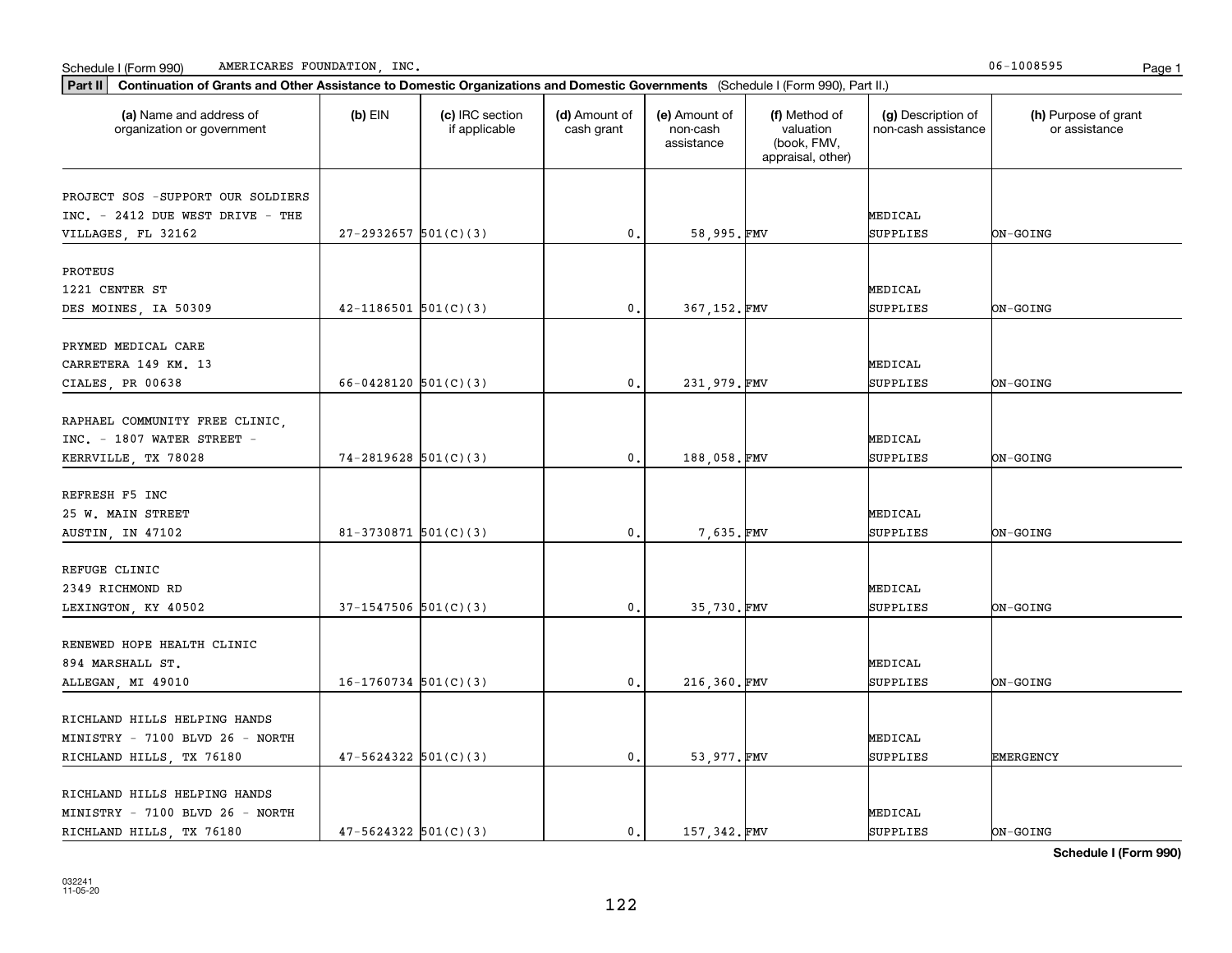| Continuation of Grants and Other Assistance to Domestic Organizations and Domestic Governments (Schedule I (Form 990), Part II.)<br>Part II |                            |                                  |                             |                                         |                                                                |                                           |                                       |
|---------------------------------------------------------------------------------------------------------------------------------------------|----------------------------|----------------------------------|-----------------------------|-----------------------------------------|----------------------------------------------------------------|-------------------------------------------|---------------------------------------|
| (a) Name and address of<br>organization or government                                                                                       | $(b)$ EIN                  | (c) IRC section<br>if applicable | (d) Amount of<br>cash grant | (e) Amount of<br>non-cash<br>assistance | (f) Method of<br>valuation<br>(book, FMV,<br>appraisal, other) | (g) Description of<br>non-cash assistance | (h) Purpose of grant<br>or assistance |
|                                                                                                                                             |                            |                                  |                             |                                         |                                                                |                                           |                                       |
| PROJECT SOS - SUPPORT OUR SOLDIERS<br>$INC. - 2412$ DUE WEST DRIVE - THE                                                                    |                            |                                  |                             |                                         |                                                                | MEDICAL                                   |                                       |
| VILLAGES, FL 32162                                                                                                                          | $27 - 2932657$ 501(C)(3)   |                                  | $\mathbf{0}$ .              | 58,995.FMV                              |                                                                | SUPPLIES                                  | <b>DN-GOING</b>                       |
|                                                                                                                                             |                            |                                  |                             |                                         |                                                                |                                           |                                       |
| PROTEUS                                                                                                                                     |                            |                                  |                             |                                         |                                                                |                                           |                                       |
| 1221 CENTER ST                                                                                                                              |                            |                                  |                             |                                         |                                                                | MEDICAL                                   |                                       |
| DES MOINES, IA 50309                                                                                                                        | $42 - 1186501$ 501(C)(3)   |                                  | $\mathbf{0}$ .              | 367,152.FMV                             |                                                                | SUPPLIES                                  | <b>DN-GOING</b>                       |
|                                                                                                                                             |                            |                                  |                             |                                         |                                                                |                                           |                                       |
| PRYMED MEDICAL CARE                                                                                                                         |                            |                                  |                             |                                         |                                                                |                                           |                                       |
| CARRETERA 149 KM. 13                                                                                                                        |                            |                                  |                             |                                         |                                                                | MEDICAL                                   |                                       |
| CIALES, PR 00638                                                                                                                            | 66-0428120 $501(C)(3)$     |                                  | $\mathfrak{o}$ .            | 231,979.FMV                             |                                                                | SUPPLIES                                  | <b>DN-GOING</b>                       |
| RAPHAEL COMMUNITY FREE CLINIC,                                                                                                              |                            |                                  |                             |                                         |                                                                |                                           |                                       |
| INC. - 1807 WATER STREET -                                                                                                                  |                            |                                  |                             |                                         |                                                                | MEDICAL                                   |                                       |
| KERRVILLE, TX 78028                                                                                                                         | $74 - 2819628$ 501(C)(3)   |                                  | $\mathbf{0}$ .              | 188,058.FMV                             |                                                                | <b>SUPPLIES</b>                           | <b>DN-GOING</b>                       |
|                                                                                                                                             |                            |                                  |                             |                                         |                                                                |                                           |                                       |
| REFRESH F5 INC                                                                                                                              |                            |                                  |                             |                                         |                                                                |                                           |                                       |
| 25 W. MAIN STREET                                                                                                                           |                            |                                  |                             |                                         |                                                                | MEDICAL                                   |                                       |
| AUSTIN, IN 47102                                                                                                                            | $81-3730871$ 501(C)(3)     |                                  | $\mathbf{0}$ .              | 7,635.FMV                               |                                                                | <b>SUPPLIES</b>                           | <b>DN-GOING</b>                       |
|                                                                                                                                             |                            |                                  |                             |                                         |                                                                |                                           |                                       |
| REFUGE CLINIC                                                                                                                               |                            |                                  |                             |                                         |                                                                |                                           |                                       |
| 2349 RICHMOND RD                                                                                                                            |                            |                                  |                             |                                         |                                                                | MEDICAL                                   |                                       |
| LEXINGTON, KY 40502                                                                                                                         | $37-1547506$ 501(C)(3)     |                                  | $\mathbf{0}$ .              | 35,730.FMV                              |                                                                | SUPPLIES                                  | <b>DN-GOING</b>                       |
| RENEWED HOPE HEALTH CLINIC                                                                                                                  |                            |                                  |                             |                                         |                                                                |                                           |                                       |
| 894 MARSHALL ST.                                                                                                                            |                            |                                  |                             |                                         |                                                                | MEDICAL                                   |                                       |
| ALLEGAN, MI 49010                                                                                                                           | $16-1760734$ 501(C)(3)     |                                  | $\mathbf{0}$ .              | 216,360.FMV                             |                                                                | SUPPLIES                                  | <b>DN-GOING</b>                       |
|                                                                                                                                             |                            |                                  |                             |                                         |                                                                |                                           |                                       |
| RICHLAND HILLS HELPING HANDS                                                                                                                |                            |                                  |                             |                                         |                                                                |                                           |                                       |
| MINISTRY - 7100 BLVD 26 - NORTH                                                                                                             |                            |                                  |                             |                                         |                                                                | MEDICAL                                   |                                       |
| RICHLAND HILLS, TX 76180                                                                                                                    | $47 - 5624322$ $501(C)(3)$ |                                  | $\mathbf{0}$ .              | 53,977. FMV                             |                                                                | SUPPLIES                                  | <b>EMERGENCY</b>                      |
|                                                                                                                                             |                            |                                  |                             |                                         |                                                                |                                           |                                       |
| RICHLAND HILLS HELPING HANDS                                                                                                                |                            |                                  |                             |                                         |                                                                |                                           |                                       |
| MINISTRY - 7100 BLVD 26 - NORTH                                                                                                             |                            |                                  |                             |                                         |                                                                | MEDICAL                                   |                                       |
| RICHLAND HILLS, TX 76180                                                                                                                    | $47 - 5624322$ 501(C)(3)   |                                  | $\mathbf{0}$ .              | 157,342.FMV                             |                                                                | <b>SUPPLIES</b>                           | <b>DN-GOING</b>                       |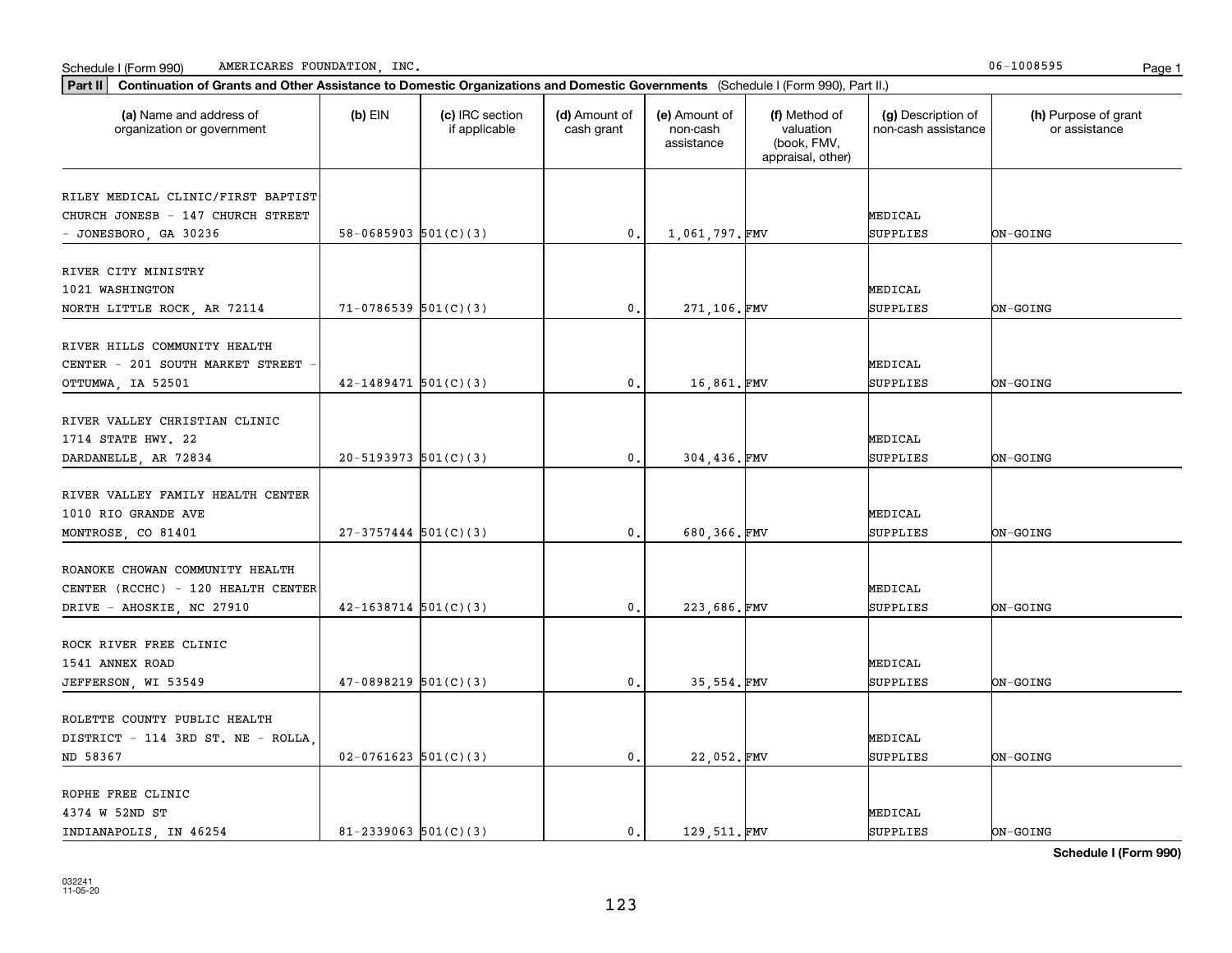| (a) Name and address of<br>organization or government | $(b)$ EIN                | (c) IRC section<br>if applicable | (d) Amount of<br>cash grant | (e) Amount of<br>non-cash<br>assistance | (f) Method of<br>valuation<br>(book, FMV,<br>appraisal, other) | (g) Description of<br>non-cash assistance | (h) Purpose of grant<br>or assistance |
|-------------------------------------------------------|--------------------------|----------------------------------|-----------------------------|-----------------------------------------|----------------------------------------------------------------|-------------------------------------------|---------------------------------------|
| RILEY MEDICAL CLINIC/FIRST BAPTIST                    |                          |                                  |                             |                                         |                                                                |                                           |                                       |
| CHURCH JONESB - 147 CHURCH STREET                     |                          |                                  |                             |                                         |                                                                | MEDICAL                                   |                                       |
| - JONESBORO, GA 30236                                 | 58-0685903 $501(C)(3)$   |                                  | $\mathbf{0}$ .              | 1,061,797.FMV                           |                                                                | SUPPLIES                                  | <b>DN-GOING</b>                       |
|                                                       |                          |                                  |                             |                                         |                                                                |                                           |                                       |
| RIVER CITY MINISTRY                                   |                          |                                  |                             |                                         |                                                                |                                           |                                       |
| 1021 WASHINGTON                                       |                          |                                  |                             |                                         |                                                                | MEDICAL                                   |                                       |
| NORTH LITTLE ROCK, AR 72114                           | $71-0786539$ $501(C)(3)$ |                                  | 0.                          | 271,106.FMV                             |                                                                | SUPPLIES                                  | <b>DN-GOING</b>                       |
| RIVER HILLS COMMUNITY HEALTH                          |                          |                                  |                             |                                         |                                                                |                                           |                                       |
| CENTER - 201 SOUTH MARKET STREET                      |                          |                                  |                             |                                         |                                                                | MEDICAL                                   |                                       |
| OTTUMWA, IA 52501                                     | $42 - 1489471$ 501(C)(3) |                                  | 0.                          | 16,861.FMV                              |                                                                | SUPPLIES                                  | <b>DN-GOING</b>                       |
|                                                       |                          |                                  |                             |                                         |                                                                |                                           |                                       |
| RIVER VALLEY CHRISTIAN CLINIC                         |                          |                                  |                             |                                         |                                                                |                                           |                                       |
| 1714 STATE HWY. 22                                    |                          |                                  |                             |                                         |                                                                | MEDICAL                                   |                                       |
| DARDANELLE, AR 72834                                  | $20-5193973$ $501(C)(3)$ |                                  | 0.                          | 304,436.FMV                             |                                                                | SUPPLIES                                  | <b>DN-GOING</b>                       |
| RIVER VALLEY FAMILY HEALTH CENTER                     |                          |                                  |                             |                                         |                                                                |                                           |                                       |
| 1010 RIO GRANDE AVE                                   |                          |                                  |                             |                                         |                                                                | MEDICAL                                   |                                       |
|                                                       | $27-3757444$ 501(C)(3)   |                                  | $\mathsf{0}\,$ .            | 680,366.FMV                             |                                                                | SUPPLIES                                  | <b>DN-GOING</b>                       |
| MONTROSE, CO 81401                                    |                          |                                  |                             |                                         |                                                                |                                           |                                       |
| ROANOKE CHOWAN COMMUNITY HEALTH                       |                          |                                  |                             |                                         |                                                                |                                           |                                       |
| CENTER (RCCHC) - 120 HEALTH CENTER                    |                          |                                  |                             |                                         |                                                                | MEDICAL                                   |                                       |
| DRIVE - AHOSKIE, NC 27910                             | $42 - 1638714$ 501(C)(3) |                                  | $\mathsf{0}\,$ .            | 223,686.FMV                             |                                                                | SUPPLIES                                  | <b>DN-GOING</b>                       |
|                                                       |                          |                                  |                             |                                         |                                                                |                                           |                                       |
| ROCK RIVER FREE CLINIC                                |                          |                                  |                             |                                         |                                                                |                                           |                                       |
| 1541 ANNEX ROAD                                       |                          |                                  |                             |                                         |                                                                | MEDICAL                                   |                                       |
| JEFFERSON, WI 53549                                   | $47-0898219$ 501(C)(3)   |                                  | 0.                          | 35,554.FMV                              |                                                                | <b>SUPPLIES</b>                           | <b>DN-GOING</b>                       |
| ROLETTE COUNTY PUBLIC HEALTH                          |                          |                                  |                             |                                         |                                                                |                                           |                                       |
| DISTRICT - 114 3RD ST. NE - ROLLA,                    |                          |                                  |                             |                                         |                                                                | MEDICAL                                   |                                       |
| ND 58367                                              | $02-0761623$ 501(C)(3)   |                                  | 0.                          | 22,052.FMV                              |                                                                | SUPPLIES                                  | <b>DN-GOING</b>                       |
|                                                       |                          |                                  |                             |                                         |                                                                |                                           |                                       |
| ROPHE FREE CLINIC                                     |                          |                                  |                             |                                         |                                                                |                                           |                                       |
| 4374 W 52ND ST                                        |                          |                                  |                             |                                         |                                                                | MEDICAL                                   |                                       |
| INDIANAPOLIS, IN 46254                                | 81-2339063 $501(C)(3)$   |                                  | $\mathbf{0}$ .              | 129.511.FMV                             |                                                                | <b>SUPPLIES</b>                           | <b>DN-GOING</b>                       |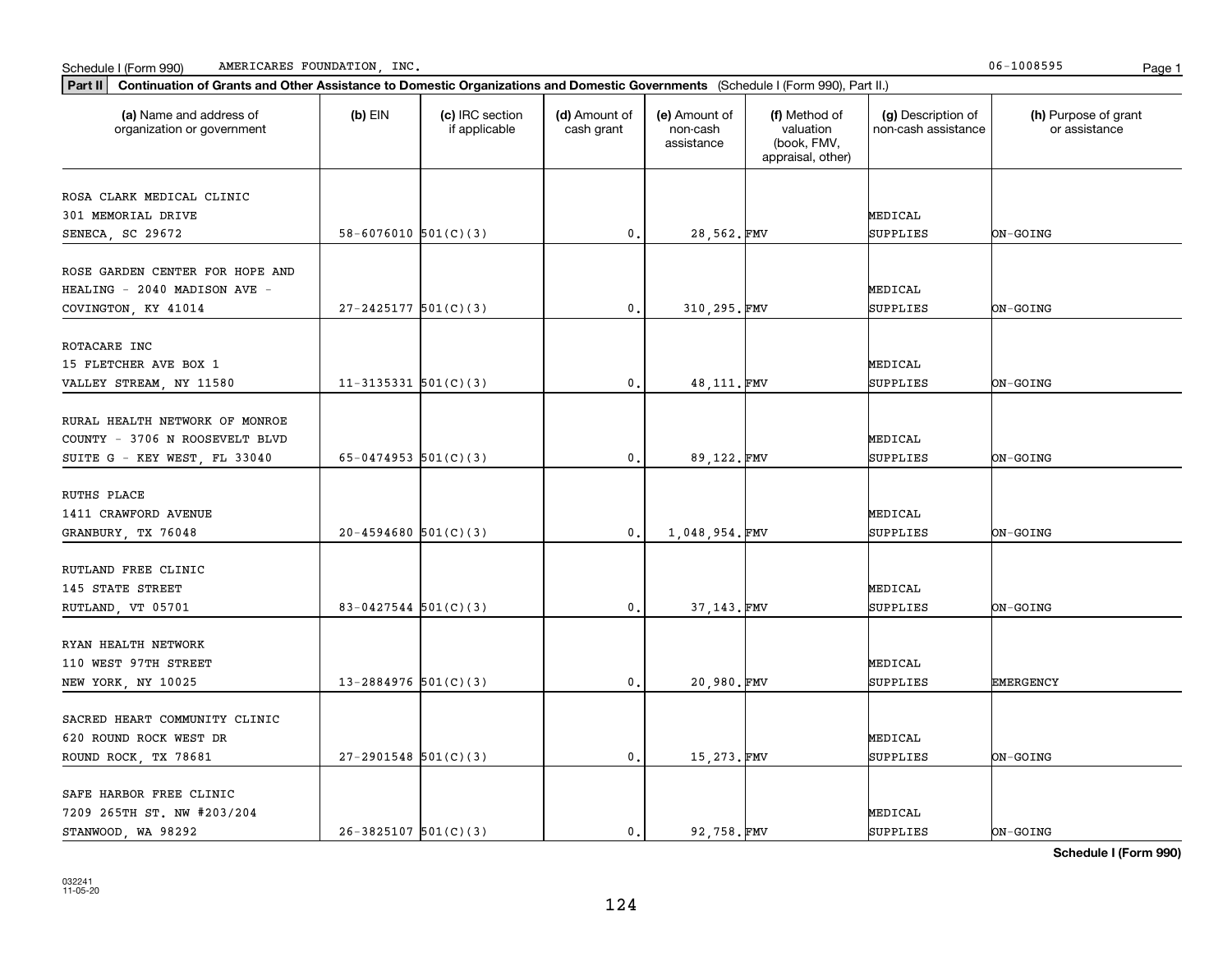| Continuation of Grants and Other Assistance to Domestic Organizations and Domestic Governments (Schedule I (Form 990), Part II.)<br>Part II |                            |                                  |                             |                                         |                                                                |                                           |                                       |
|---------------------------------------------------------------------------------------------------------------------------------------------|----------------------------|----------------------------------|-----------------------------|-----------------------------------------|----------------------------------------------------------------|-------------------------------------------|---------------------------------------|
| (a) Name and address of<br>organization or government                                                                                       | $(b)$ EIN                  | (c) IRC section<br>if applicable | (d) Amount of<br>cash grant | (e) Amount of<br>non-cash<br>assistance | (f) Method of<br>valuation<br>(book, FMV,<br>appraisal, other) | (g) Description of<br>non-cash assistance | (h) Purpose of grant<br>or assistance |
|                                                                                                                                             |                            |                                  |                             |                                         |                                                                |                                           |                                       |
| ROSA CLARK MEDICAL CLINIC                                                                                                                   |                            |                                  |                             |                                         |                                                                |                                           |                                       |
| 301 MEMORIAL DRIVE                                                                                                                          |                            |                                  |                             | 28,562.FMV                              |                                                                | MEDICAL<br>SUPPLIES                       | <b>DN-GOING</b>                       |
| SENECA, SC 29672                                                                                                                            | 58-6076010 $501(C)(3)$     |                                  | 0.                          |                                         |                                                                |                                           |                                       |
| ROSE GARDEN CENTER FOR HOPE AND                                                                                                             |                            |                                  |                             |                                         |                                                                |                                           |                                       |
| HEALING - 2040 MADISON AVE -                                                                                                                |                            |                                  |                             |                                         |                                                                | MEDICAL                                   |                                       |
| COVINGTON, KY 41014                                                                                                                         | $27 - 2425177$ 501(C)(3)   |                                  | $\mathbf{0}$ .              | 310,295.FMV                             |                                                                | SUPPLIES                                  | <b>DN-GOING</b>                       |
|                                                                                                                                             |                            |                                  |                             |                                         |                                                                |                                           |                                       |
| ROTACARE INC                                                                                                                                |                            |                                  |                             |                                         |                                                                |                                           |                                       |
| 15 FLETCHER AVE BOX 1                                                                                                                       |                            |                                  |                             |                                         |                                                                | MEDICAL                                   |                                       |
| VALLEY STREAM, NY 11580                                                                                                                     | $11-3135331$ $501(C)(3)$   |                                  | $\mathbf{0}$                | 48, 111. FMV                            |                                                                | SUPPLIES                                  | <b>DN-GOING</b>                       |
|                                                                                                                                             |                            |                                  |                             |                                         |                                                                |                                           |                                       |
| RURAL HEALTH NETWORK OF MONROE                                                                                                              |                            |                                  |                             |                                         |                                                                |                                           |                                       |
| COUNTY - 3706 N ROOSEVELT BLVD                                                                                                              |                            |                                  |                             |                                         |                                                                | MEDICAL                                   |                                       |
| SUITE G - KEY WEST, FL 33040                                                                                                                | 65-0474953 $501(C)(3)$     |                                  | 0.                          | 89,122. FMV                             |                                                                | SUPPLIES                                  | <b>DN-GOING</b>                       |
|                                                                                                                                             |                            |                                  |                             |                                         |                                                                |                                           |                                       |
| RUTHS PLACE                                                                                                                                 |                            |                                  |                             |                                         |                                                                |                                           |                                       |
| 1411 CRAWFORD AVENUE                                                                                                                        |                            |                                  |                             |                                         |                                                                | MEDICAL                                   |                                       |
| GRANBURY, TX 76048                                                                                                                          | $20 - 4594680$ 501(C)(3)   |                                  | 0.                          | 1,048,954.FMV                           |                                                                | SUPPLIES                                  | <b>DN-GOING</b>                       |
|                                                                                                                                             |                            |                                  |                             |                                         |                                                                |                                           |                                       |
| RUTLAND FREE CLINIC                                                                                                                         |                            |                                  |                             |                                         |                                                                |                                           |                                       |
| 145 STATE STREET                                                                                                                            |                            |                                  |                             |                                         |                                                                | MEDICAL                                   |                                       |
| RUTLAND, VT 05701                                                                                                                           | $83 - 0427544$ 501(C)(3)   |                                  | $\mathbf{0}$                | 37, 143. FMV                            |                                                                | SUPPLIES                                  | <b>DN-GOING</b>                       |
|                                                                                                                                             |                            |                                  |                             |                                         |                                                                |                                           |                                       |
| RYAN HEALTH NETWORK                                                                                                                         |                            |                                  |                             |                                         |                                                                |                                           |                                       |
| 110 WEST 97TH STREET                                                                                                                        |                            |                                  |                             |                                         |                                                                | MEDICAL                                   |                                       |
| NEW YORK, NY 10025                                                                                                                          | $13 - 2884976$ $501(C)(3)$ |                                  | 0.                          | 20,980.FMV                              |                                                                | SUPPLIES                                  | <b>EMERGENCY</b>                      |
|                                                                                                                                             |                            |                                  |                             |                                         |                                                                |                                           |                                       |
| SACRED HEART COMMUNITY CLINIC                                                                                                               |                            |                                  |                             |                                         |                                                                |                                           |                                       |
| 620 ROUND ROCK WEST DR                                                                                                                      |                            |                                  |                             |                                         |                                                                | MEDICAL                                   |                                       |
| ROUND ROCK, TX 78681                                                                                                                        | $27-2901548$ 501(C)(3)     |                                  | $\mathbf{0}$ .              | 15,273. FMV                             |                                                                | SUPPLIES                                  | <b>ON-GOING</b>                       |
|                                                                                                                                             |                            |                                  |                             |                                         |                                                                |                                           |                                       |
| SAFE HARBOR FREE CLINIC<br>7209 265TH ST. NW #203/204                                                                                       |                            |                                  |                             |                                         |                                                                | MEDICAL                                   |                                       |
| STANWOOD, WA 98292                                                                                                                          | $26-3825107$ 501(C)(3)     |                                  | $\mathbf{0}$ .              | 92.758.FMV                              |                                                                | <b>SUPPLIES</b>                           | <b>DN-GOING</b>                       |
|                                                                                                                                             |                            |                                  |                             |                                         |                                                                |                                           |                                       |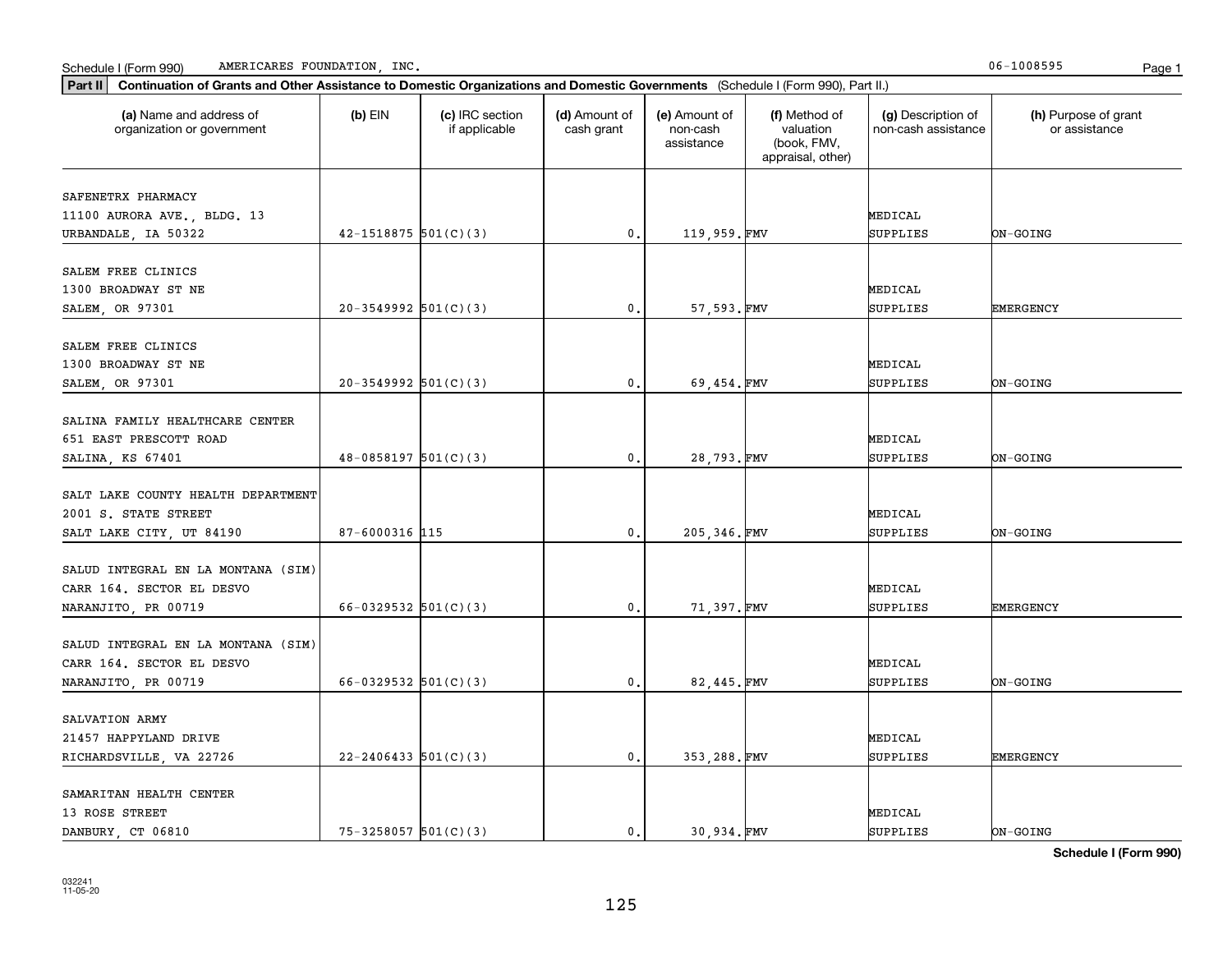| (a) Name and address of<br>organization or government | $(b)$ EIN                  | (c) IRC section<br>if applicable | (d) Amount of<br>cash grant | (e) Amount of<br>non-cash<br>assistance | (f) Method of<br>valuation<br>(book, FMV,<br>appraisal, other) | (g) Description of<br>non-cash assistance | (h) Purpose of grant<br>or assistance |
|-------------------------------------------------------|----------------------------|----------------------------------|-----------------------------|-----------------------------------------|----------------------------------------------------------------|-------------------------------------------|---------------------------------------|
| SAFENETRX PHARMACY                                    |                            |                                  |                             |                                         |                                                                |                                           |                                       |
| 11100 AURORA AVE., BLDG. 13                           |                            |                                  |                             |                                         |                                                                | MEDICAL                                   |                                       |
| URBANDALE, IA 50322                                   | $42 - 1518875$ 501(C)(3)   |                                  | $\mathbf{0}$ .              | 119,959.FMV                             |                                                                | SUPPLIES                                  | <b>DN-GOING</b>                       |
| SALEM FREE CLINICS                                    |                            |                                  |                             |                                         |                                                                |                                           |                                       |
| 1300 BROADWAY ST NE                                   |                            |                                  |                             |                                         |                                                                | MEDICAL                                   |                                       |
| SALEM, OR 97301                                       | $20-3549992$ 501(C)(3)     |                                  | $\mathbf{0}$ .              | 57,593.FMV                              |                                                                | SUPPLIES                                  | <b>EMERGENCY</b>                      |
|                                                       |                            |                                  |                             |                                         |                                                                |                                           |                                       |
| SALEM FREE CLINICS                                    |                            |                                  |                             |                                         |                                                                |                                           |                                       |
| 1300 BROADWAY ST NE                                   |                            |                                  |                             |                                         |                                                                | MEDICAL                                   |                                       |
| SALEM, OR 97301                                       | $20-3549992$ 501(C)(3)     |                                  | 0.                          | 69,454.FMV                              |                                                                | SUPPLIES                                  | <b>DN-GOING</b>                       |
|                                                       |                            |                                  |                             |                                         |                                                                |                                           |                                       |
| SALINA FAMILY HEALTHCARE CENTER                       |                            |                                  |                             |                                         |                                                                |                                           |                                       |
| 651 EAST PRESCOTT ROAD                                |                            |                                  |                             |                                         |                                                                | MEDICAL                                   |                                       |
| SALINA, KS 67401                                      | $48-0858197$ $501(C)(3)$   |                                  | 0.                          | 28,793.FMV                              |                                                                | SUPPLIES                                  | <b>DN-GOING</b>                       |
|                                                       |                            |                                  |                             |                                         |                                                                |                                           |                                       |
| SALT LAKE COUNTY HEALTH DEPARTMENT                    |                            |                                  |                             |                                         |                                                                |                                           |                                       |
| 2001 S. STATE STREET                                  |                            |                                  |                             |                                         |                                                                | MEDICAL                                   |                                       |
| SALT LAKE CITY, UT 84190                              | 87-6000316 115             |                                  | $\mathbf{0}$ .              | 205,346.FMV                             |                                                                | SUPPLIES                                  | <b>DN-GOING</b>                       |
| SALUD INTEGRAL EN LA MONTANA (SIM)                    |                            |                                  |                             |                                         |                                                                |                                           |                                       |
| CARR 164. SECTOR EL DESVO                             |                            |                                  |                             |                                         |                                                                | MEDICAL                                   |                                       |
| NARANJITO, PR 00719                                   | 66-0329532 $501(C)(3)$     |                                  | $\mathbf{0}$ .              | 71,397.FMV                              |                                                                | SUPPLIES                                  | <b>EMERGENCY</b>                      |
|                                                       |                            |                                  |                             |                                         |                                                                |                                           |                                       |
| SALUD INTEGRAL EN LA MONTANA (SIM)                    |                            |                                  |                             |                                         |                                                                |                                           |                                       |
| CARR 164. SECTOR EL DESVO                             |                            |                                  |                             |                                         |                                                                | MEDICAL                                   |                                       |
| NARANJITO, PR 00719                                   | 66-0329532 $501(C)(3)$     |                                  | $\mathbf{0}$ .              | 82,445.FMV                              |                                                                | SUPPLIES                                  | <b>DN-GOING</b>                       |
|                                                       |                            |                                  |                             |                                         |                                                                |                                           |                                       |
| SALVATION ARMY                                        |                            |                                  |                             |                                         |                                                                |                                           |                                       |
| 21457 HAPPYLAND DRIVE                                 |                            |                                  |                             |                                         |                                                                | MEDICAL                                   |                                       |
| RICHARDSVILLE, VA 22726                               | $22-2406433$ $501(C)(3)$   |                                  | $\mathbf{0}$ .              | 353,288.FMV                             |                                                                | SUPPLIES                                  | <b>EMERGENCY</b>                      |
|                                                       |                            |                                  |                             |                                         |                                                                |                                           |                                       |
| SAMARITAN HEALTH CENTER                               |                            |                                  |                             |                                         |                                                                |                                           |                                       |
| 13 ROSE STREET                                        |                            |                                  |                             |                                         |                                                                | MEDICAL                                   |                                       |
| DANBURY, CT 06810                                     | $75 - 3258057$ $501(C)(3)$ |                                  | 0.                          | 30,934.FMV                              |                                                                | SUPPLIES                                  | <b>DN-GOING</b>                       |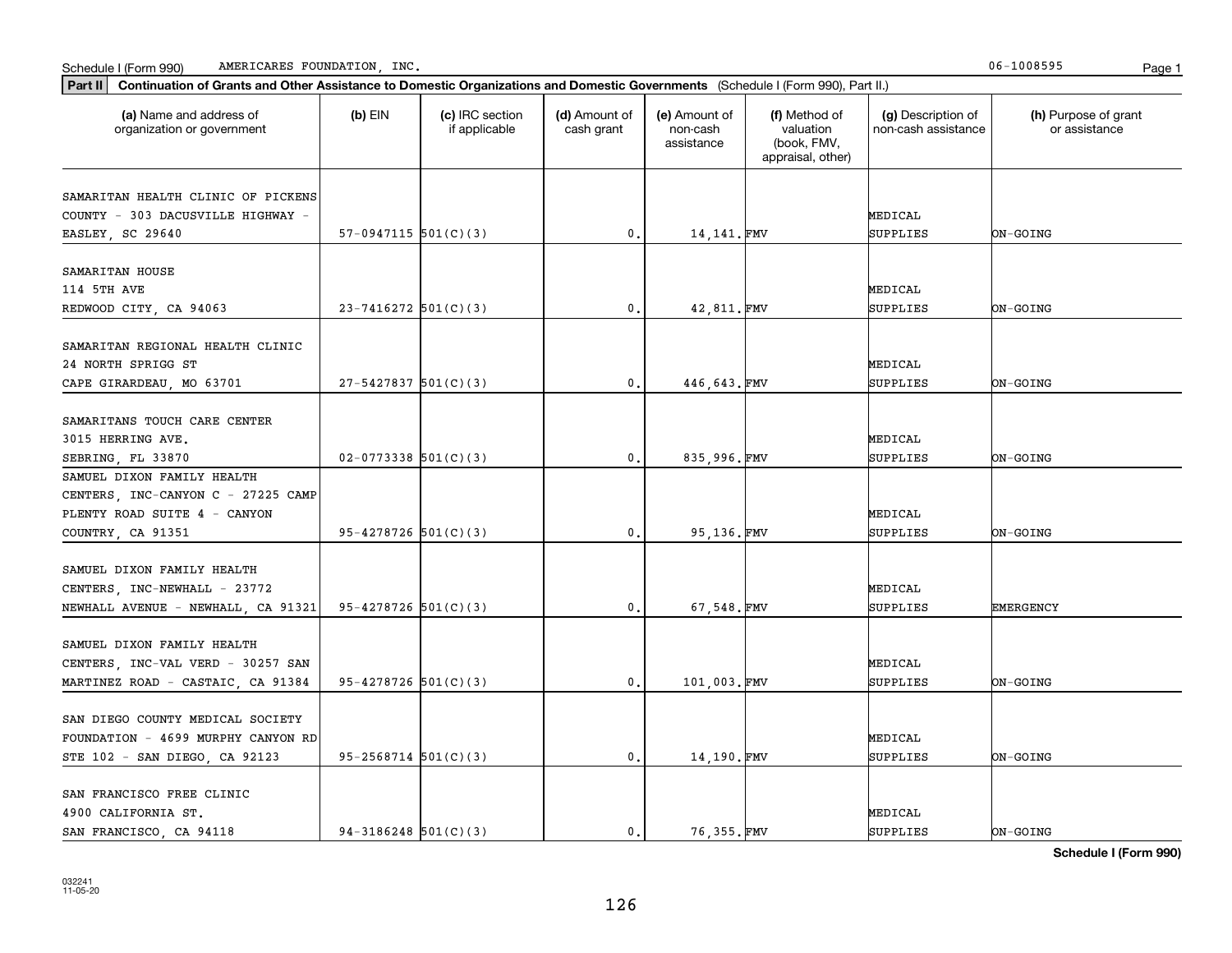| Part II   Continuation of Grants and Other Assistance to Domestic Organizations and Domestic Governments (Schedule I (Form 990), Part II.) |                            |                                  |                             |                                         |                                                                |                                           |                                       |
|--------------------------------------------------------------------------------------------------------------------------------------------|----------------------------|----------------------------------|-----------------------------|-----------------------------------------|----------------------------------------------------------------|-------------------------------------------|---------------------------------------|
| (a) Name and address of<br>organization or government                                                                                      | $(b)$ EIN                  | (c) IRC section<br>if applicable | (d) Amount of<br>cash grant | (e) Amount of<br>non-cash<br>assistance | (f) Method of<br>valuation<br>(book, FMV,<br>appraisal, other) | (g) Description of<br>non-cash assistance | (h) Purpose of grant<br>or assistance |
| SAMARITAN HEALTH CLINIC OF PICKENS                                                                                                         |                            |                                  |                             |                                         |                                                                |                                           |                                       |
| COUNTY - 303 DACUSVILLE HIGHWAY -                                                                                                          |                            |                                  |                             |                                         |                                                                | MEDICAL                                   |                                       |
| EASLEY, SC 29640                                                                                                                           | $57-0947115$ $501(C)(3)$   |                                  | $\mathbf{0}$ .              | 14,141.FMV                              |                                                                | SUPPLIES                                  | <b>DN-GOING</b>                       |
|                                                                                                                                            |                            |                                  |                             |                                         |                                                                |                                           |                                       |
| SAMARITAN HOUSE                                                                                                                            |                            |                                  |                             |                                         |                                                                |                                           |                                       |
| 114 5TH AVE                                                                                                                                |                            |                                  |                             |                                         |                                                                | MEDICAL                                   |                                       |
| REDWOOD CITY, CA 94063                                                                                                                     | $23 - 7416272$ 501(C)(3)   |                                  | $\mathbf{0}$ .              | 42,811.FMV                              |                                                                | SUPPLIES                                  | <b>DN-GOING</b>                       |
|                                                                                                                                            |                            |                                  |                             |                                         |                                                                |                                           |                                       |
| SAMARITAN REGIONAL HEALTH CLINIC                                                                                                           |                            |                                  |                             |                                         |                                                                |                                           |                                       |
| 24 NORTH SPRIGG ST                                                                                                                         |                            |                                  |                             |                                         |                                                                | MEDICAL                                   |                                       |
| CAPE GIRARDEAU, MO 63701                                                                                                                   | $27 - 5427837$ 501(C)(3)   |                                  | 0.                          | 446, 643. FMV                           |                                                                | SUPPLIES                                  | <b>ON-GOING</b>                       |
|                                                                                                                                            |                            |                                  |                             |                                         |                                                                |                                           |                                       |
| SAMARITANS TOUCH CARE CENTER                                                                                                               |                            |                                  |                             |                                         |                                                                |                                           |                                       |
| 3015 HERRING AVE.                                                                                                                          |                            |                                  |                             |                                         |                                                                | MEDICAL                                   |                                       |
| SEBRING, FL 33870                                                                                                                          | $02-0773338$ 501(C)(3)     |                                  | $\mathbf 0$ .               | 835,996.FMV                             |                                                                | SUPPLIES                                  | <b>DN-GOING</b>                       |
| SAMUEL DIXON FAMILY HEALTH                                                                                                                 |                            |                                  |                             |                                         |                                                                |                                           |                                       |
| CENTERS, INC-CANYON C - 27225 CAMP                                                                                                         |                            |                                  |                             |                                         |                                                                |                                           |                                       |
| PLENTY ROAD SUITE 4 - CANYON                                                                                                               |                            |                                  |                             |                                         |                                                                | MEDICAL                                   |                                       |
| COUNTRY, CA 91351                                                                                                                          | $95 - 4278726$ 501(C)(3)   |                                  | 0.                          | 95,136.FMV                              |                                                                | SUPPLIES                                  | <b>DN-GOING</b>                       |
|                                                                                                                                            |                            |                                  |                             |                                         |                                                                |                                           |                                       |
| SAMUEL DIXON FAMILY HEALTH                                                                                                                 |                            |                                  |                             |                                         |                                                                |                                           |                                       |
| CENTERS, INC-NEWHALL - 23772                                                                                                               |                            |                                  |                             |                                         |                                                                | MEDICAL                                   |                                       |
| NEWHALL AVENUE - NEWHALL, CA 91321                                                                                                         | 95-4278726 $501(C)(3)$     |                                  | 0.                          | 67.548.FMV                              |                                                                | SUPPLIES                                  | EMERGENCY                             |
|                                                                                                                                            |                            |                                  |                             |                                         |                                                                |                                           |                                       |
| SAMUEL DIXON FAMILY HEALTH                                                                                                                 |                            |                                  |                             |                                         |                                                                |                                           |                                       |
| CENTERS, INC-VAL VERD - 30257 SAN                                                                                                          |                            |                                  |                             |                                         |                                                                | MEDICAL                                   |                                       |
| MARTINEZ ROAD - CASTAIC, CA 91384                                                                                                          | $95 - 4278726$ 501(C)(3)   |                                  | $\mathbf{0}$ .              | 101,003.FMV                             |                                                                | SUPPLIES                                  | <b>DN-GOING</b>                       |
|                                                                                                                                            |                            |                                  |                             |                                         |                                                                |                                           |                                       |
| SAN DIEGO COUNTY MEDICAL SOCIETY                                                                                                           |                            |                                  |                             |                                         |                                                                |                                           |                                       |
| FOUNDATION - 4699 MURPHY CANYON RD                                                                                                         |                            |                                  |                             |                                         |                                                                | MEDICAL                                   |                                       |
| STE 102 - SAN DIEGO, CA 92123                                                                                                              | $95 - 2568714$ $501(C)(3)$ |                                  | $\mathbf{0}$ .              | 14,190.FMV                              |                                                                | SUPPLIES                                  | <b>DN-GOING</b>                       |
|                                                                                                                                            |                            |                                  |                             |                                         |                                                                |                                           |                                       |
| SAN FRANCISCO FREE CLINIC                                                                                                                  |                            |                                  |                             |                                         |                                                                |                                           |                                       |
| 4900 CALIFORNIA ST.                                                                                                                        |                            |                                  |                             |                                         |                                                                | MEDICAL                                   |                                       |
| SAN FRANCISCO, CA 94118                                                                                                                    | $94-3186248$ $501(C)(3)$   |                                  | 0.                          | 76,355.FMV                              |                                                                | SUPPLIES                                  | <b>DN-GOING</b>                       |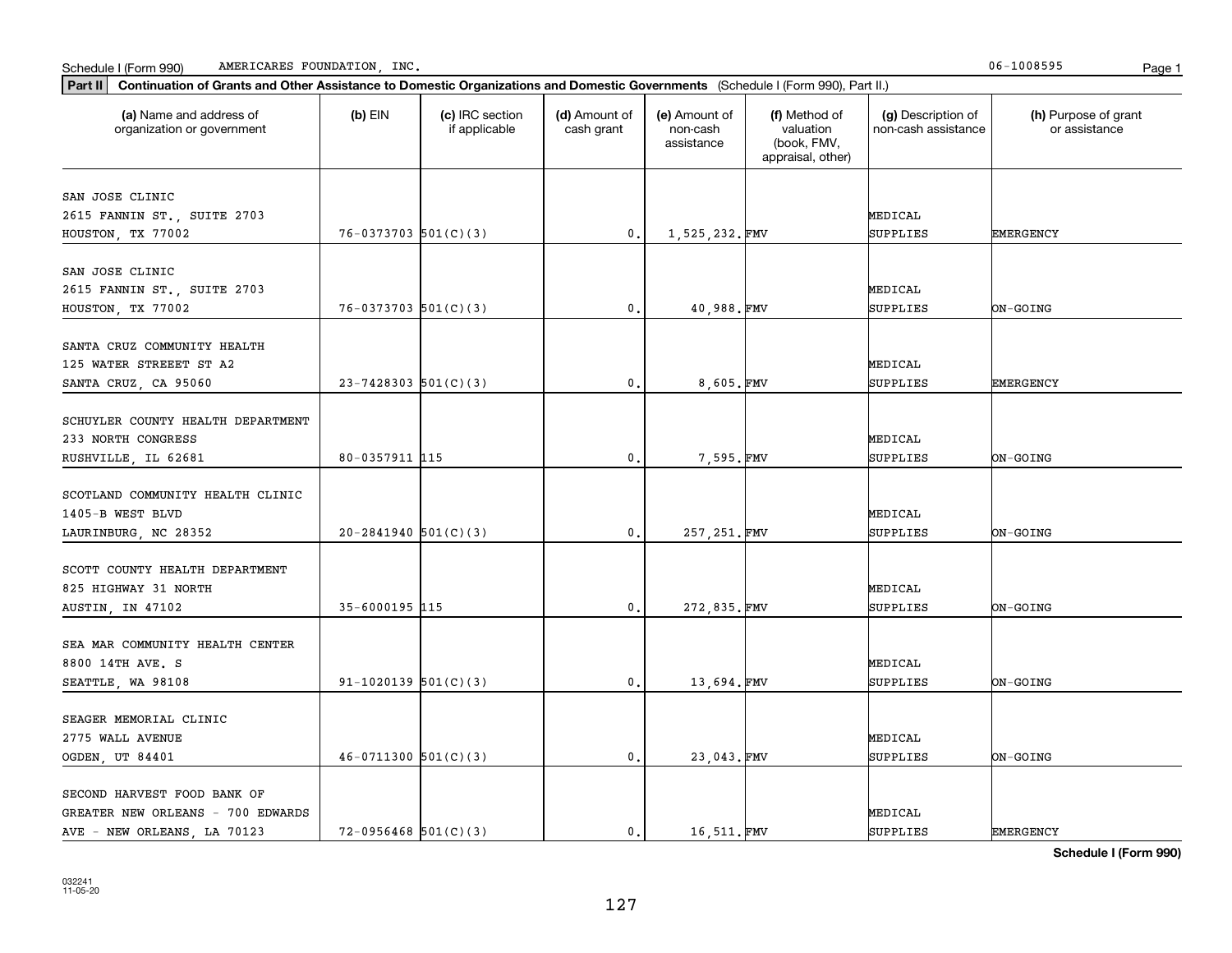| SAN JOSE CLINIC                   |                          |                |               |                 |                  |  |
|-----------------------------------|--------------------------|----------------|---------------|-----------------|------------------|--|
| 2615 FANNIN ST., SUITE 2703       |                          |                |               | MEDICAL         |                  |  |
| HOUSTON, TX 77002                 | $76-0373703$ 501(C)(3)   | 0.             | 1,525,232.FMV | SUPPLIES        | <b>EMERGENCY</b> |  |
|                                   |                          |                |               |                 |                  |  |
| SAN JOSE CLINIC                   |                          |                |               |                 |                  |  |
| 2615 FANNIN ST., SUITE 2703       |                          |                |               | MEDICAL         |                  |  |
| HOUSTON, TX 77002                 | $76 - 0373703$ 501(C)(3) | 0.             | 40,988.FMV    | SUPPLIES        | <b>DN-GOING</b>  |  |
| SANTA CRUZ COMMUNITY HEALTH       |                          |                |               |                 |                  |  |
| 125 WATER STREEET ST A2           |                          |                |               | MEDICAL         |                  |  |
|                                   | $23 - 7428303$ 501(C)(3) | 0.             | 8,605.FMV     | SUPPLIES        | <b>EMERGENCY</b> |  |
| SANTA CRUZ, CA 95060              |                          |                |               |                 |                  |  |
| SCHUYLER COUNTY HEALTH DEPARTMENT |                          |                |               |                 |                  |  |
| 233 NORTH CONGRESS                |                          |                |               | MEDICAL         |                  |  |
| RUSHVILLE, IL 62681               | 80-0357911 115           | $\mathbf{0}$ . | 7,595.FMV     | SUPPLIES        | <b>DN-GOING</b>  |  |
|                                   |                          |                |               |                 |                  |  |
| SCOTLAND COMMUNITY HEALTH CLINIC  |                          |                |               |                 |                  |  |
| 1405-B WEST BLVD                  |                          |                |               | MEDICAL         |                  |  |
| LAURINBURG, NC 28352              | $20-2841940$ 501(C)(3)   | 0.             | 257, 251. FMV | SUPPLIES        | <b>DN-GOING</b>  |  |
|                                   |                          |                |               |                 |                  |  |
| SCOTT COUNTY HEALTH DEPARTMENT    |                          |                |               |                 |                  |  |
| 825 HIGHWAY 31 NORTH              |                          |                |               | MEDICAL         |                  |  |
| AUSTIN, IN 47102                  | 35-6000195 115           | 0.             | 272,835.FMV   | <b>SUPPLIES</b> | <b>DN-GOING</b>  |  |
| SEA MAR COMMUNITY HEALTH CENTER   |                          |                |               |                 |                  |  |
| 8800 14TH AVE. S                  |                          |                |               | MEDICAL         |                  |  |
| SEATTLE, WA 98108                 | $91-1020139$ 501(C)(3)   | 0.             | 13,694.FMV    | <b>SUPPLIES</b> | <b>DN-GOING</b>  |  |
|                                   |                          |                |               |                 |                  |  |
| SEAGER MEMORIAL CLINIC            |                          |                |               |                 |                  |  |
| 2775 WALL AVENUE                  |                          |                |               | MEDICAL         |                  |  |
| OGDEN, UT 84401                   | $46-0711300$ 501(C)(3)   | 0.             | 23,043.FMV    | <b>SUPPLIES</b> | ON-GOING         |  |
|                                   |                          |                |               |                 |                  |  |
| SECOND HARVEST FOOD BANK OF       |                          |                |               |                 |                  |  |

**Part II Continuation of Grants and Other Assistance to Domestic Organizations and Domestic Governments**  (Schedule I (Form 990), Part II.)

if applicable

GREATER NEW ORLEANS - 700 EDWARDS MEDICAL

AVE - NEW ORLEANS, LA 70123 | 72-0956468 501(C)(3) | 0. 16,511. FMV SUPPLIES EMERGENCY

 $(b)$  EIN  $(c)$  IRC section

**(a) (b) (c) (d) (e) (f) (g) (h)** Name and address of

(d) Amount of cash grant

(e) Amount of non-cashassistance

(f) Method of valuation (book, FMV, appraisal, other)

(g) Description of non-cash assistance

Schedule I (Form 990) Page 1 AMERICARES FOUNDATION, INC. 06-1008595

organization or government

(h) Purpose of grant or assistance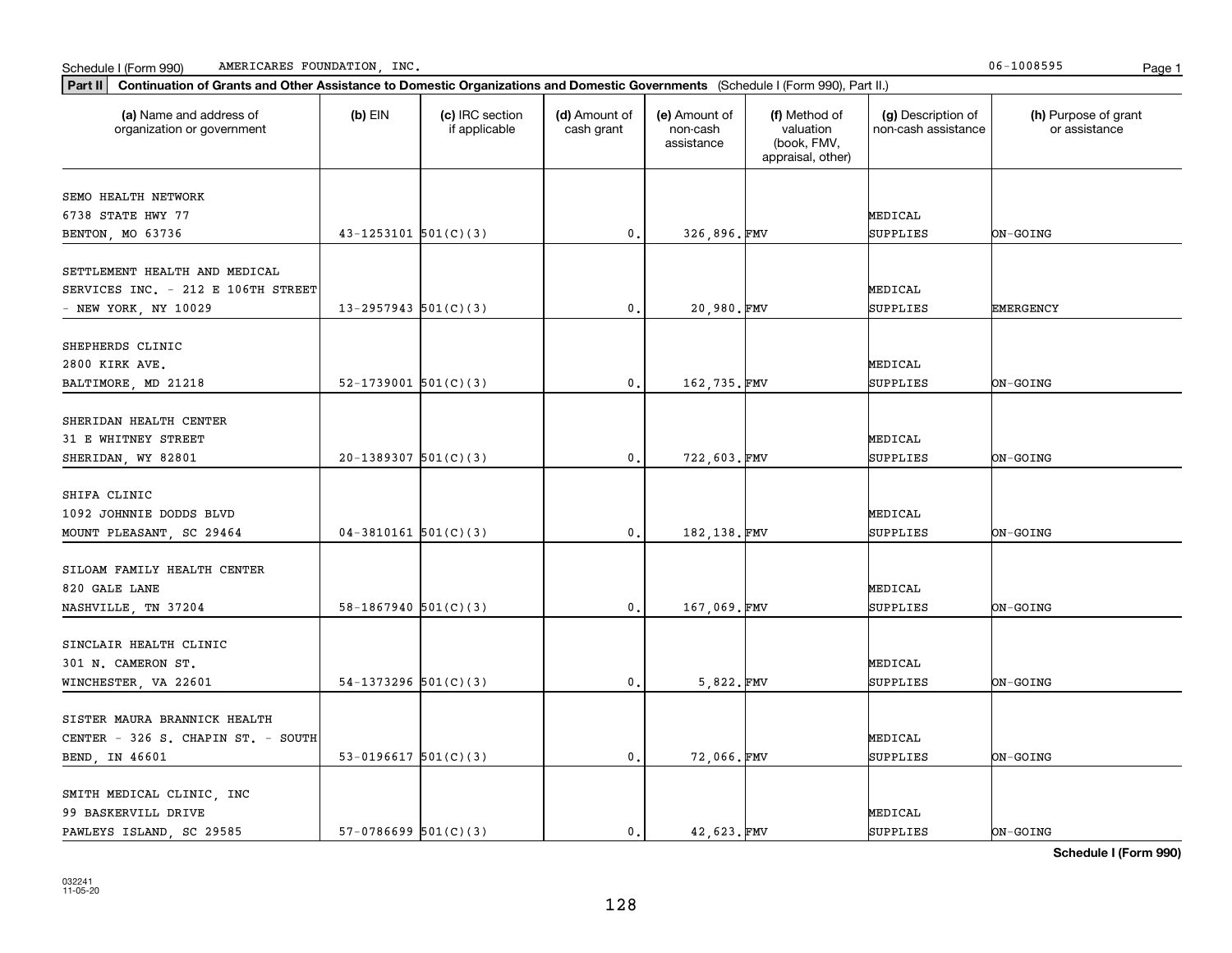| Schedule I (Form 990) |  | FOUNDATION<br>AMERICARES | INC. |  | Page |  |
|-----------------------|--|--------------------------|------|--|------|--|
|-----------------------|--|--------------------------|------|--|------|--|

| Continuation of Grants and Other Assistance to Domestic Organizations and Domestic Governments (Schedule I (Form 990), Part II.)<br>Part II |                            |                                  |                             |                                         |                                                                |                                           |                                       |  |  |
|---------------------------------------------------------------------------------------------------------------------------------------------|----------------------------|----------------------------------|-----------------------------|-----------------------------------------|----------------------------------------------------------------|-------------------------------------------|---------------------------------------|--|--|
| (a) Name and address of<br>organization or government                                                                                       | $(b)$ EIN                  | (c) IRC section<br>if applicable | (d) Amount of<br>cash grant | (e) Amount of<br>non-cash<br>assistance | (f) Method of<br>valuation<br>(book, FMV,<br>appraisal, other) | (g) Description of<br>non-cash assistance | (h) Purpose of grant<br>or assistance |  |  |
|                                                                                                                                             |                            |                                  |                             |                                         |                                                                |                                           |                                       |  |  |
| SEMO HEALTH NETWORK<br>6738 STATE HWY 77                                                                                                    |                            |                                  |                             |                                         |                                                                | MEDICAL                                   |                                       |  |  |
| BENTON, MO 63736                                                                                                                            | $43 - 1253101$ $501(C)(3)$ |                                  | $\mathfrak o$ .             | 326,896.FMV                             |                                                                | SUPPLIES                                  | <b>DN-GOING</b>                       |  |  |
|                                                                                                                                             |                            |                                  |                             |                                         |                                                                |                                           |                                       |  |  |
| SETTLEMENT HEALTH AND MEDICAL                                                                                                               |                            |                                  |                             |                                         |                                                                |                                           |                                       |  |  |
| SERVICES INC. - 212 E 106TH STREET                                                                                                          |                            |                                  |                             |                                         |                                                                | MEDICAL                                   |                                       |  |  |
| - NEW YORK, NY 10029                                                                                                                        | $13-2957943$ 501(C)(3)     |                                  | $\mathfrak o$ .             | 20,980.FMV                              |                                                                | SUPPLIES                                  | <b>EMERGENCY</b>                      |  |  |
|                                                                                                                                             |                            |                                  |                             |                                         |                                                                |                                           |                                       |  |  |
| SHEPHERDS CLINIC                                                                                                                            |                            |                                  |                             |                                         |                                                                |                                           |                                       |  |  |
| 2800 KIRK AVE.                                                                                                                              |                            |                                  |                             |                                         |                                                                | MEDICAL                                   |                                       |  |  |
| BALTIMORE, MD 21218                                                                                                                         | 52-1739001 $501(C)(3)$     |                                  | 0.                          | 162,735.FMV                             |                                                                | SUPPLIES                                  | <b>DN-GOING</b>                       |  |  |
| SHERIDAN HEALTH CENTER                                                                                                                      |                            |                                  |                             |                                         |                                                                |                                           |                                       |  |  |
| 31 E WHITNEY STREET                                                                                                                         |                            |                                  |                             |                                         |                                                                | MEDICAL                                   |                                       |  |  |
| SHERIDAN, WY 82801                                                                                                                          | $20-1389307$ 501(C)(3)     |                                  | $\mathbf{0}$ .              | 722,603.FMV                             |                                                                | SUPPLIES                                  | <b>DN-GOING</b>                       |  |  |
|                                                                                                                                             |                            |                                  |                             |                                         |                                                                |                                           |                                       |  |  |
| SHIFA CLINIC                                                                                                                                |                            |                                  |                             |                                         |                                                                |                                           |                                       |  |  |
| 1092 JOHNNIE DODDS BLVD                                                                                                                     |                            |                                  |                             |                                         |                                                                | MEDICAL                                   |                                       |  |  |
| MOUNT PLEASANT, SC 29464                                                                                                                    | $04-3810161$ 501(C)(3)     |                                  | $\mathfrak o$ .             | 182,138.FMV                             |                                                                | SUPPLIES                                  | <b>DN-GOING</b>                       |  |  |
|                                                                                                                                             |                            |                                  |                             |                                         |                                                                |                                           |                                       |  |  |
| SILOAM FAMILY HEALTH CENTER                                                                                                                 |                            |                                  |                             |                                         |                                                                |                                           |                                       |  |  |
| 820 GALE LANE                                                                                                                               |                            |                                  |                             |                                         |                                                                | MEDICAL                                   |                                       |  |  |
| NASHVILLE, TN 37204                                                                                                                         | 58-1867940 $501(C)(3)$     |                                  | $\mathbf{0}$ .              | 167,069.FMV                             |                                                                | SUPPLIES                                  | <b>DN-GOING</b>                       |  |  |
| SINCLAIR HEALTH CLINIC                                                                                                                      |                            |                                  |                             |                                         |                                                                |                                           |                                       |  |  |
| 301 N. CAMERON ST.                                                                                                                          |                            |                                  |                             |                                         |                                                                | MEDICAL                                   |                                       |  |  |
| WINCHESTER, VA 22601                                                                                                                        | 54-1373296 $501(C)(3)$     |                                  | $\mathbf{0}$ .              | 5.822.FMV                               |                                                                | SUPPLIES                                  | <b>DN-GOING</b>                       |  |  |
|                                                                                                                                             |                            |                                  |                             |                                         |                                                                |                                           |                                       |  |  |
| SISTER MAURA BRANNICK HEALTH                                                                                                                |                            |                                  |                             |                                         |                                                                |                                           |                                       |  |  |
| CENTER - 326 S. CHAPIN ST. - SOUTH                                                                                                          |                            |                                  |                             |                                         |                                                                | MEDICAL                                   |                                       |  |  |
| BEND, IN 46601                                                                                                                              | 53-0196617 $501(C)(3)$     |                                  | $\mathbf{0}$ .              | 72,066.FMV                              |                                                                | SUPPLIES                                  | <b>ON-GOING</b>                       |  |  |
|                                                                                                                                             |                            |                                  |                             |                                         |                                                                |                                           |                                       |  |  |
| SMITH MEDICAL CLINIC, INC                                                                                                                   |                            |                                  |                             |                                         |                                                                |                                           |                                       |  |  |
| 99 BASKERVILL DRIVE                                                                                                                         |                            |                                  |                             |                                         |                                                                | MEDICAL                                   |                                       |  |  |
| PAWLEYS ISLAND, SC 29585                                                                                                                    | $57-0786699$ $501(C)(3)$   |                                  | 0.                          | 42.623. FMV                             |                                                                | SUPPLIES                                  | <b>DN-GOING</b>                       |  |  |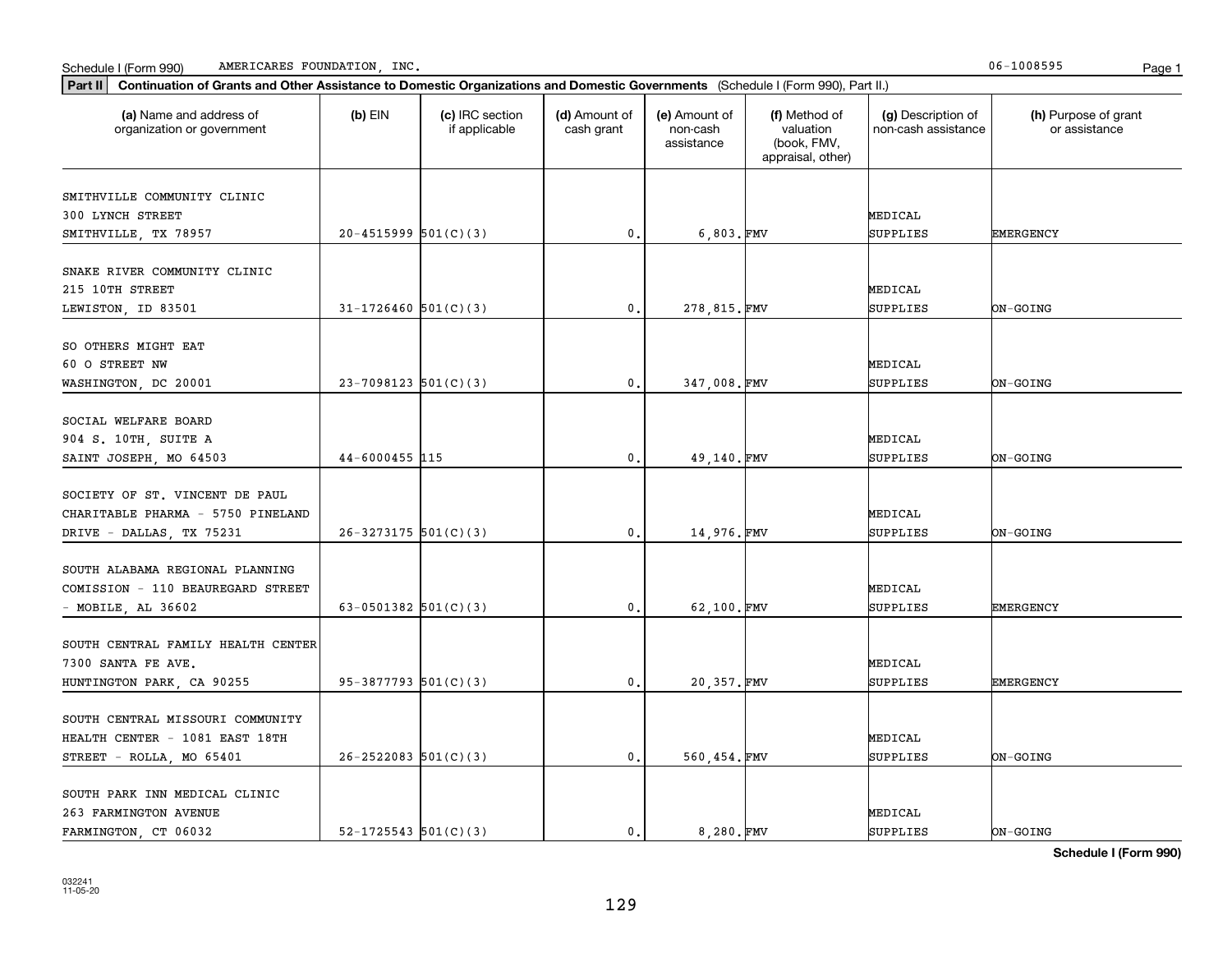| AMERICARES FOUNDATION, INC.<br>Schedule I (Form 990)                                                                                        |                            |                                  |                             |                                         |                                                                |                                           | $06 - 1008595$                        | Page 1 |
|---------------------------------------------------------------------------------------------------------------------------------------------|----------------------------|----------------------------------|-----------------------------|-----------------------------------------|----------------------------------------------------------------|-------------------------------------------|---------------------------------------|--------|
| Part II<br>Continuation of Grants and Other Assistance to Domestic Organizations and Domestic Governments (Schedule I (Form 990), Part II.) |                            |                                  |                             |                                         |                                                                |                                           |                                       |        |
| (a) Name and address of<br>organization or government                                                                                       | $(b)$ EIN                  | (c) IRC section<br>if applicable | (d) Amount of<br>cash grant | (e) Amount of<br>non-cash<br>assistance | (f) Method of<br>valuation<br>(book, FMV,<br>appraisal, other) | (g) Description of<br>non-cash assistance | (h) Purpose of grant<br>or assistance |        |
| SMITHVILLE COMMUNITY CLINIC<br>300 LYNCH STREET<br>SMITHVILLE, TX 78957                                                                     | $20 - 4515999$ 501(C)(3)   |                                  | 0.                          | 6,803.FMV                               |                                                                | MEDICAL<br>SUPPLIES                       | <b>EMERGENCY</b>                      |        |
| SNAKE RIVER COMMUNITY CLINIC<br>215 10TH STREET<br>LEWISTON, ID 83501                                                                       | $31-1726460$ 501(C)(3)     |                                  | 0.                          | 278,815.FMV                             |                                                                | MEDICAL<br>SUPPLIES                       | <b>DN-GOING</b>                       |        |
| SO OTHERS MIGHT EAT<br>60 O STREET NW<br>WASHINGTON, DC 20001                                                                               | $23-7098123$ 501(C)(3)     |                                  | 0.                          | 347,008.FMV                             |                                                                | MEDICAL<br>SUPPLIES                       | <b>DN-GOING</b>                       |        |
| SOCIAL WELFARE BOARD<br>904 S. 10TH, SUITE A<br>SAINT JOSEPH, MO 64503                                                                      | 44-6000455 115             |                                  | 0.                          | 49,140.FMV                              |                                                                | MEDICAL<br>SUPPLIES                       | <b>DN-GOING</b>                       |        |
| SOCIETY OF ST. VINCENT DE PAUL<br>CHARITABLE PHARMA - 5750 PINELAND<br>DRIVE - DALLAS, TX 75231                                             | $26-3273175$ $501(C)(3)$   |                                  | 0.                          | 14,976.FMV                              |                                                                | MEDICAL<br>SUPPLIES                       | <b>DN-GOING</b>                       |        |
| SOUTH ALABAMA REGIONAL PLANNING<br>COMISSION - 110 BEAUREGARD STREET<br>$-$ MOBILE, AL 36602                                                | 63-0501382 $501(C)(3)$     |                                  | 0.                          | 62,100.FMV                              |                                                                | MEDICAL<br>SUPPLIES                       | <b>EMERGENCY</b>                      |        |
| SOUTH CENTRAL FAMILY HEALTH CENTER<br>7300 SANTA FE AVE.<br>HUNTINGTON PARK, CA 90255                                                       | $95-3877793$ $501(C)(3)$   |                                  | 0.                          | 20.357.FMV                              |                                                                | MEDICAL<br>SUPPLIES                       | <b>EMERGENCY</b>                      |        |
| SOUTH CENTRAL MISSOURI COMMUNITY<br>HEALTH CENTER - 1081 EAST 18TH<br>STREET - ROLLA, MO 65401                                              | $26 - 2522083$ 501(C)(3)   |                                  | 0.                          | 560,454.FMV                             |                                                                | MEDICAL<br>SUPPLIES                       | <b>DN-GOING</b>                       |        |
| SOUTH PARK INN MEDICAL CLINIC<br>263 FARMINGTON AVENUE<br>FARMINGTON, CT 06032                                                              | $52 - 1725543$ $501(C)(3)$ |                                  | $\mathbf{0}$ .              | 8.280.FMV                               |                                                                | MEDICAL<br><b>SUPPLIES</b>                | <b>DN-GOING</b>                       |        |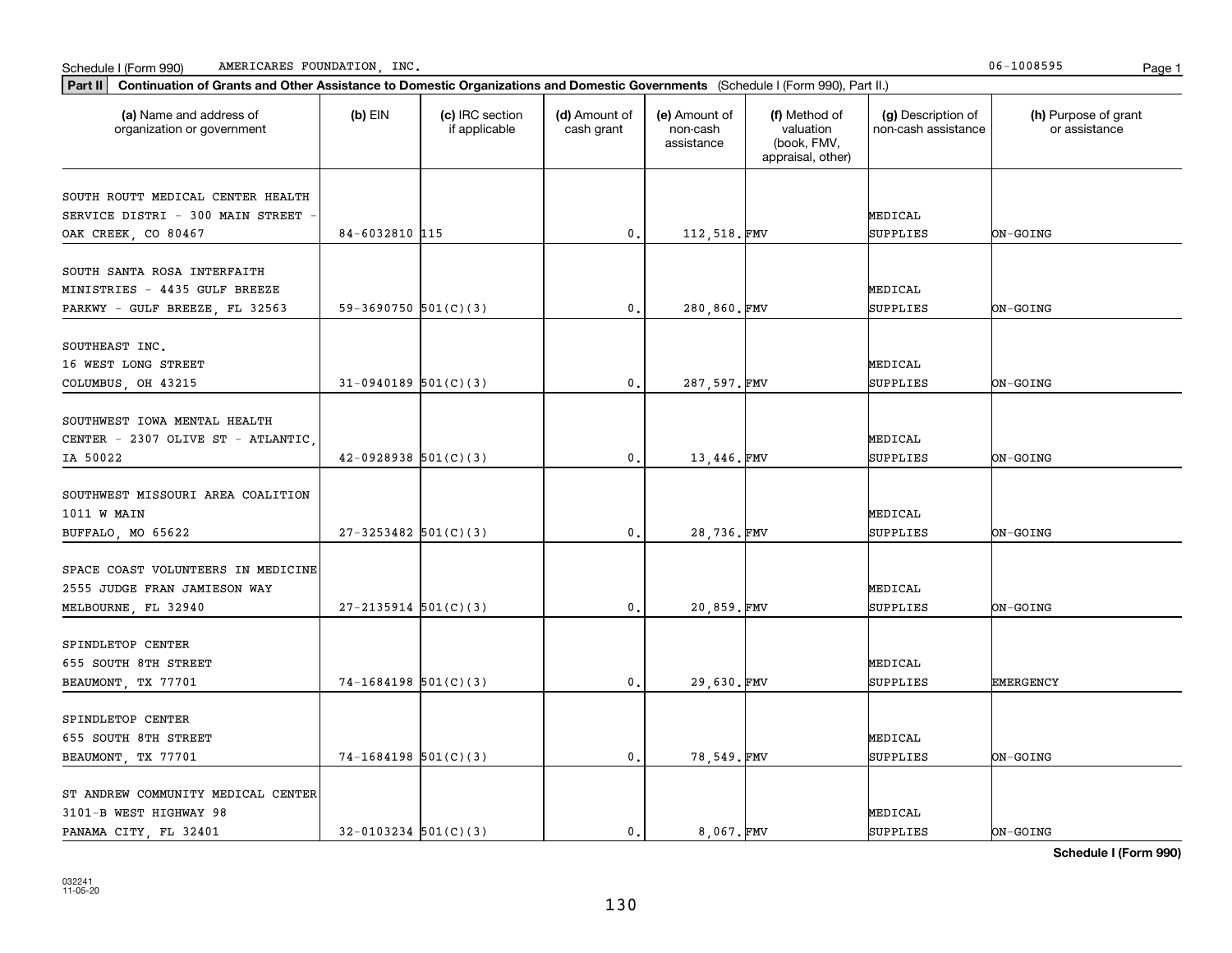| Part II   Continuation of Grants and Other Assistance to Domestic Organizations and Domestic Governments (Schedule I (Form 990), Part II.) |                          |                                  |                             |                                         |                                                                |                                           |                                       |
|--------------------------------------------------------------------------------------------------------------------------------------------|--------------------------|----------------------------------|-----------------------------|-----------------------------------------|----------------------------------------------------------------|-------------------------------------------|---------------------------------------|
| (a) Name and address of<br>organization or government                                                                                      | $(b)$ EIN                | (c) IRC section<br>if applicable | (d) Amount of<br>cash grant | (e) Amount of<br>non-cash<br>assistance | (f) Method of<br>valuation<br>(book, FMV,<br>appraisal, other) | (g) Description of<br>non-cash assistance | (h) Purpose of grant<br>or assistance |
|                                                                                                                                            |                          |                                  |                             |                                         |                                                                |                                           |                                       |
| SOUTH ROUTT MEDICAL CENTER HEALTH<br>SERVICE DISTRI - 300 MAIN STREET                                                                      |                          |                                  |                             |                                         |                                                                | MEDICAL                                   |                                       |
| OAK CREEK, CO 80467                                                                                                                        | 84-6032810 115           |                                  | 0.                          | 112,518.FMV                             |                                                                | SUPPLIES                                  | <b>DN-GOING</b>                       |
|                                                                                                                                            |                          |                                  |                             |                                         |                                                                |                                           |                                       |
| SOUTH SANTA ROSA INTERFAITH                                                                                                                |                          |                                  |                             |                                         |                                                                |                                           |                                       |
| MINISTRIES - 4435 GULF BREEZE                                                                                                              |                          |                                  |                             |                                         |                                                                | MEDICAL                                   |                                       |
| PARKWY - GULF BREEZE, FL 32563                                                                                                             | 59-3690750 $501(C)(3)$   |                                  | $\mathbf{0}$ .              | 280,860.FMV                             |                                                                | SUPPLIES                                  | <b>DN-GOING</b>                       |
|                                                                                                                                            |                          |                                  |                             |                                         |                                                                |                                           |                                       |
| SOUTHEAST INC.                                                                                                                             |                          |                                  |                             |                                         |                                                                |                                           |                                       |
| 16 WEST LONG STREET                                                                                                                        |                          |                                  |                             |                                         |                                                                | MEDICAL                                   |                                       |
| COLUMBUS, OH 43215                                                                                                                         | $31-0940189$ 501(C)(3)   |                                  | $\mathfrak o$ .             | 287,597.FMV                             |                                                                | SUPPLIES                                  | <b>DN-GOING</b>                       |
|                                                                                                                                            |                          |                                  |                             |                                         |                                                                |                                           |                                       |
| SOUTHWEST IOWA MENTAL HEALTH                                                                                                               |                          |                                  |                             |                                         |                                                                |                                           |                                       |
| CENTER - 2307 OLIVE ST - ATLANTIC                                                                                                          |                          |                                  |                             |                                         |                                                                | MEDICAL                                   |                                       |
| IA 50022                                                                                                                                   | $42-0928938$ 501(C)(3)   |                                  | 0.                          | 13,446.FMV                              |                                                                | SUPPLIES                                  | <b>DN-GOING</b>                       |
| SOUTHWEST MISSOURI AREA COALITION                                                                                                          |                          |                                  |                             |                                         |                                                                |                                           |                                       |
| 1011 W MAIN                                                                                                                                |                          |                                  |                             |                                         |                                                                | MEDICAL                                   |                                       |
| BUFFALO, MO 65622                                                                                                                          | $27 - 3253482$ 501(C)(3) |                                  | $\mathbf{0}$ .              | 28,736.FMV                              |                                                                | SUPPLIES                                  | <b>DN-GOING</b>                       |
|                                                                                                                                            |                          |                                  |                             |                                         |                                                                |                                           |                                       |
| SPACE COAST VOLUNTEERS IN MEDICINE                                                                                                         |                          |                                  |                             |                                         |                                                                |                                           |                                       |
| 2555 JUDGE FRAN JAMIESON WAY                                                                                                               |                          |                                  |                             |                                         |                                                                | MEDICAL                                   |                                       |
| MELBOURNE, FL 32940                                                                                                                        | $27 - 2135914$ 501(C)(3) |                                  | $\mathbf{0}$ .              | 20,859.FMV                              |                                                                | SUPPLIES                                  | <b>DN-GOING</b>                       |
|                                                                                                                                            |                          |                                  |                             |                                         |                                                                |                                           |                                       |
| SPINDLETOP CENTER                                                                                                                          |                          |                                  |                             |                                         |                                                                |                                           |                                       |
| 655 SOUTH 8TH STREET                                                                                                                       |                          |                                  |                             |                                         |                                                                | MEDICAL                                   |                                       |
| BEAUMONT, TX 77701                                                                                                                         | $74-1684198$ 501(C)(3)   |                                  | $\mathfrak o$ .             | 29,630.FMV                              |                                                                | SUPPLIES                                  | EMERGENCY                             |
|                                                                                                                                            |                          |                                  |                             |                                         |                                                                |                                           |                                       |
| SPINDLETOP CENTER                                                                                                                          |                          |                                  |                             |                                         |                                                                |                                           |                                       |
| 655 SOUTH 8TH STREET                                                                                                                       |                          |                                  |                             |                                         |                                                                | MEDICAL                                   |                                       |
| BEAUMONT, TX 77701                                                                                                                         | $74-1684198$ 501(C)(3)   |                                  | $\mathfrak o$ .             | 78,549.FMV                              |                                                                | SUPPLIES                                  | <b>DN-GOING</b>                       |
|                                                                                                                                            |                          |                                  |                             |                                         |                                                                |                                           |                                       |
| ST ANDREW COMMUNITY MEDICAL CENTER                                                                                                         |                          |                                  |                             |                                         |                                                                |                                           |                                       |
| 3101-B WEST HIGHWAY 98                                                                                                                     |                          |                                  |                             | 8,067.FMV                               |                                                                | MEDICAL                                   |                                       |
| PANAMA CITY, FL 32401                                                                                                                      | $32-0103234$ 501(C)(3)   |                                  | $\mathbf{0}$ .              |                                         |                                                                | <b>SUPPLIES</b>                           | <b>DN-GOING</b>                       |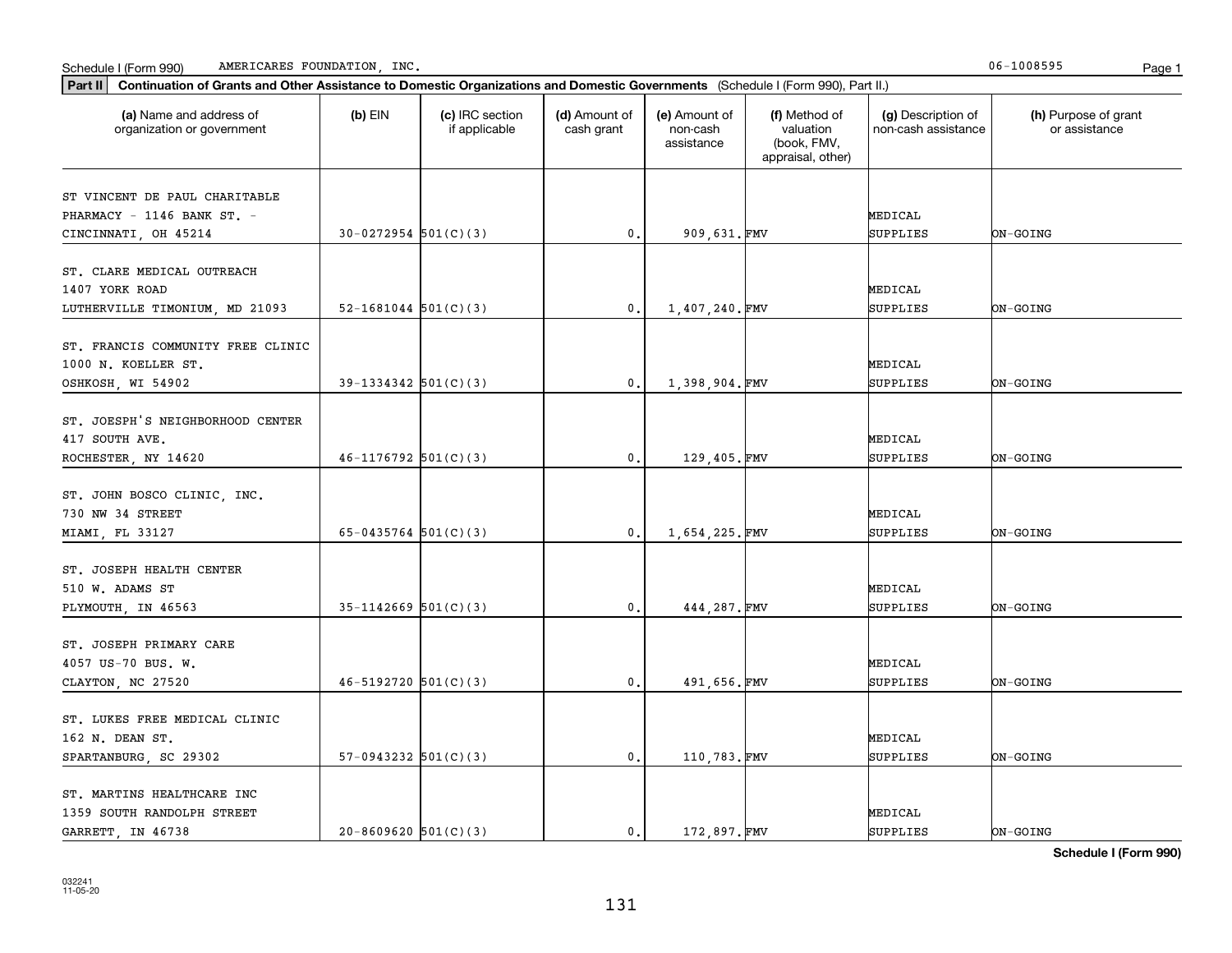| Continuation of Grants and Other Assistance to Domestic Organizations and Domestic Governments (Schedule I (Form 990), Part II.)<br>Part II |                            |                                  |                             |                                         |                                                                |                                           |                                       |
|---------------------------------------------------------------------------------------------------------------------------------------------|----------------------------|----------------------------------|-----------------------------|-----------------------------------------|----------------------------------------------------------------|-------------------------------------------|---------------------------------------|
| (a) Name and address of<br>organization or government                                                                                       | (b) EIN                    | (c) IRC section<br>if applicable | (d) Amount of<br>cash grant | (e) Amount of<br>non-cash<br>assistance | (f) Method of<br>valuation<br>(book, FMV,<br>appraisal, other) | (g) Description of<br>non-cash assistance | (h) Purpose of grant<br>or assistance |
| ST VINCENT DE PAUL CHARITABLE<br>PHARMACY - 1146 BANK ST. -<br>CINCINNATI, OH 45214                                                         | $30-0272954$ $501(C)(3)$   |                                  | 0.                          | 909,631.FMV                             |                                                                | MEDICAL<br>SUPPLIES                       | <b>DN-GOING</b>                       |
| ST. CLARE MEDICAL OUTREACH<br>1407 YORK ROAD<br>LUTHERVILLE TIMONIUM, MD 21093                                                              | $52 - 1681044$ $501(C)(3)$ |                                  | 0.                          | 1,407,240.FMV                           |                                                                | MEDICAL<br>SUPPLIES                       | <b>ON-GOING</b>                       |
| ST. FRANCIS COMMUNITY FREE CLINIC<br>1000 N. KOELLER ST.<br>OSHKOSH, WI 54902                                                               | 39-1334342 $501(C)(3)$     |                                  | 0.                          | 1,398,904.FMV                           |                                                                | MEDICAL<br>SUPPLIES                       | <b>DN-GOING</b>                       |
| ST. JOESPH'S NEIGHBORHOOD CENTER<br>417 SOUTH AVE.<br>ROCHESTER, NY 14620                                                                   | $46-1176792$ 501(C)(3)     |                                  | 0.                          | 129,405.FMV                             |                                                                | MEDICAL<br>SUPPLIES                       | <b>ON-GOING</b>                       |
| ST. JOHN BOSCO CLINIC, INC.<br>730 NW 34 STREET<br>MIAMI, FL 33127                                                                          | $65 - 0435764$ 501(C)(3)   |                                  | 0.                          | 1,654,225.FMV                           |                                                                | MEDICAL<br>SUPPLIES                       | <b>ON-GOING</b>                       |
| ST. JOSEPH HEALTH CENTER<br>510 W. ADAMS ST<br>PLYMOUTH, IN 46563                                                                           | $35-1142669$ $501(C)(3)$   |                                  | 0.                          | 444, 287. FMV                           |                                                                | MEDICAL<br>SUPPLIES                       | <b>DN-GOING</b>                       |
| ST. JOSEPH PRIMARY CARE<br>4057 US-70 BUS. W.<br>CLAYTON, NC 27520                                                                          | $46 - 5192720$ $501(C)(3)$ |                                  | 0.                          | 491,656.FMV                             |                                                                | MEDICAL<br>SUPPLIES                       | <b>ON-GOING</b>                       |
| ST. LUKES FREE MEDICAL CLINIC<br>162 N. DEAN ST.<br>SPARTANBURG, SC 29302                                                                   | $57-0943232$ $501(C)(3)$   |                                  | 0.                          | 110,783.FMV                             |                                                                | MEDICAL<br>SUPPLIES                       | <b>ON-GOING</b>                       |
| ST. MARTINS HEALTHCARE INC<br>1359 SOUTH RANDOLPH STREET<br>GARRETT, IN 46738                                                               | $20 - 8609620$ 501(C)(3)   |                                  | 0.                          | 172,897.FMV                             |                                                                | MEDICAL<br><b>SUPPLIES</b>                | <b>DN-GOING</b>                       |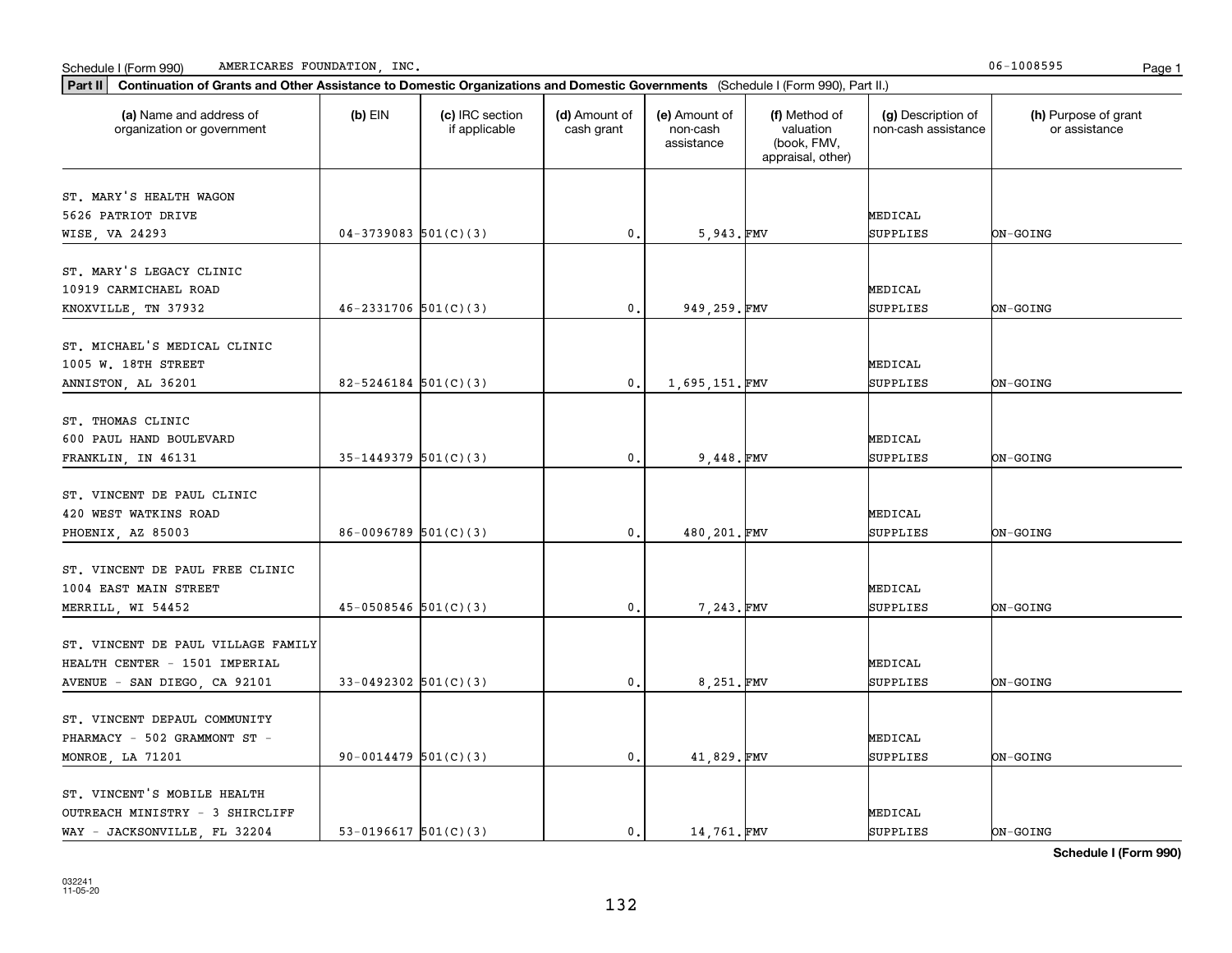| (a) Name and address of<br>organization or government | $(b)$ EIN                | (c) IRC section<br>if applicable | (d) Amount of<br>cash grant | (e) Amount of<br>non-cash<br>assistance | (f) Method of<br>valuation<br>(book, FMV,<br>appraisal, other) | (g) Description of<br>non-cash assistance | (h) Purpose of grant<br>or assistance |
|-------------------------------------------------------|--------------------------|----------------------------------|-----------------------------|-----------------------------------------|----------------------------------------------------------------|-------------------------------------------|---------------------------------------|
| ST. MARY'S HEALTH WAGON                               |                          |                                  |                             |                                         |                                                                |                                           |                                       |
| 5626 PATRIOT DRIVE                                    |                          |                                  |                             |                                         |                                                                | MEDICAL                                   |                                       |
| WISE, VA 24293                                        | $04-3739083$ 501(C)(3)   |                                  | $\mathsf{0}\,$ .            | 5,943.FMV                               |                                                                | SUPPLIES                                  | <b>DN-GOING</b>                       |
|                                                       |                          |                                  |                             |                                         |                                                                |                                           |                                       |
| ST. MARY'S LEGACY CLINIC<br>10919 CARMICHAEL ROAD     |                          |                                  |                             |                                         |                                                                | MEDICAL                                   |                                       |
|                                                       | $46 - 2331706$ 501(C)(3) |                                  | 0.                          | 949, 259. FMV                           |                                                                | SUPPLIES                                  | <b>DN-GOING</b>                       |
| KNOXVILLE, TN 37932                                   |                          |                                  |                             |                                         |                                                                |                                           |                                       |
| ST. MICHAEL'S MEDICAL CLINIC                          |                          |                                  |                             |                                         |                                                                |                                           |                                       |
| 1005 W. 18TH STREET                                   |                          |                                  |                             |                                         |                                                                | MEDICAL                                   |                                       |
| ANNISTON, AL 36201                                    | $82 - 5246184$ 501(C)(3) |                                  | 0.                          | 1,695,151.FMV                           |                                                                | SUPPLIES                                  | <b>DN-GOING</b>                       |
|                                                       |                          |                                  |                             |                                         |                                                                |                                           |                                       |
| ST. THOMAS CLINIC                                     |                          |                                  |                             |                                         |                                                                |                                           |                                       |
| 600 PAUL HAND BOULEVARD                               | $35-1449379$ 501(C)(3)   |                                  | 0.                          | 9,448.FMV                               |                                                                | MEDICAL<br>SUPPLIES                       | <b>DN-GOING</b>                       |
| FRANKLIN, IN 46131                                    |                          |                                  |                             |                                         |                                                                |                                           |                                       |
| ST. VINCENT DE PAUL CLINIC                            |                          |                                  |                             |                                         |                                                                |                                           |                                       |
| 420 WEST WATKINS ROAD                                 |                          |                                  |                             |                                         |                                                                | MEDICAL                                   |                                       |
| PHOENIX, AZ 85003                                     | $86-0096789$ 501(C)(3)   |                                  | 0.                          | 480,201.FMV                             |                                                                | SUPPLIES                                  | <b>DN-GOING</b>                       |
|                                                       |                          |                                  |                             |                                         |                                                                |                                           |                                       |
| ST. VINCENT DE PAUL FREE CLINIC                       |                          |                                  |                             |                                         |                                                                |                                           |                                       |
| 1004 EAST MAIN STREET                                 |                          |                                  |                             |                                         |                                                                | MEDICAL                                   |                                       |
| MERRILL, WI 54452                                     | $45 - 0508546$ 501(C)(3) |                                  | $\mathbf{0}$ .              | 7,243.FMV                               |                                                                | SUPPLIES                                  | <b>DN-GOING</b>                       |
| ST. VINCENT DE PAUL VILLAGE FAMILY                    |                          |                                  |                             |                                         |                                                                |                                           |                                       |
| HEALTH CENTER - 1501 IMPERIAL                         |                          |                                  |                             |                                         |                                                                | MEDICAL                                   |                                       |
| AVENUE - SAN DIEGO, CA 92101                          | $33-0492302$ 501(C)(3)   |                                  | 0.                          | 8,251.FMV                               |                                                                | SUPPLIES                                  | <b>DN-GOING</b>                       |
|                                                       |                          |                                  |                             |                                         |                                                                |                                           |                                       |
| ST. VINCENT DEPAUL COMMUNITY                          |                          |                                  |                             |                                         |                                                                |                                           |                                       |
| PHARMACY - 502 GRAMMONT ST -                          |                          |                                  |                             |                                         |                                                                | MEDICAL                                   |                                       |
| MONROE, LA 71201                                      | $90-0014479$ $501(C)(3)$ |                                  | 0.                          | 41,829.FMV                              |                                                                | SUPPLIES                                  | <b>DN-GOING</b>                       |
|                                                       |                          |                                  |                             |                                         |                                                                |                                           |                                       |
| ST. VINCENT'S MOBILE HEALTH                           |                          |                                  |                             |                                         |                                                                |                                           |                                       |
| OUTREACH MINISTRY - 3 SHIRCLIFF                       |                          |                                  |                             |                                         |                                                                | MEDICAL                                   |                                       |
| WAY - JACKSONVILLE, FL 32204                          | 53-0196617 $501(C)(3)$   |                                  | 0.                          | 14.761.FMV                              |                                                                | SUPPLIES                                  | <b>DN-GOING</b>                       |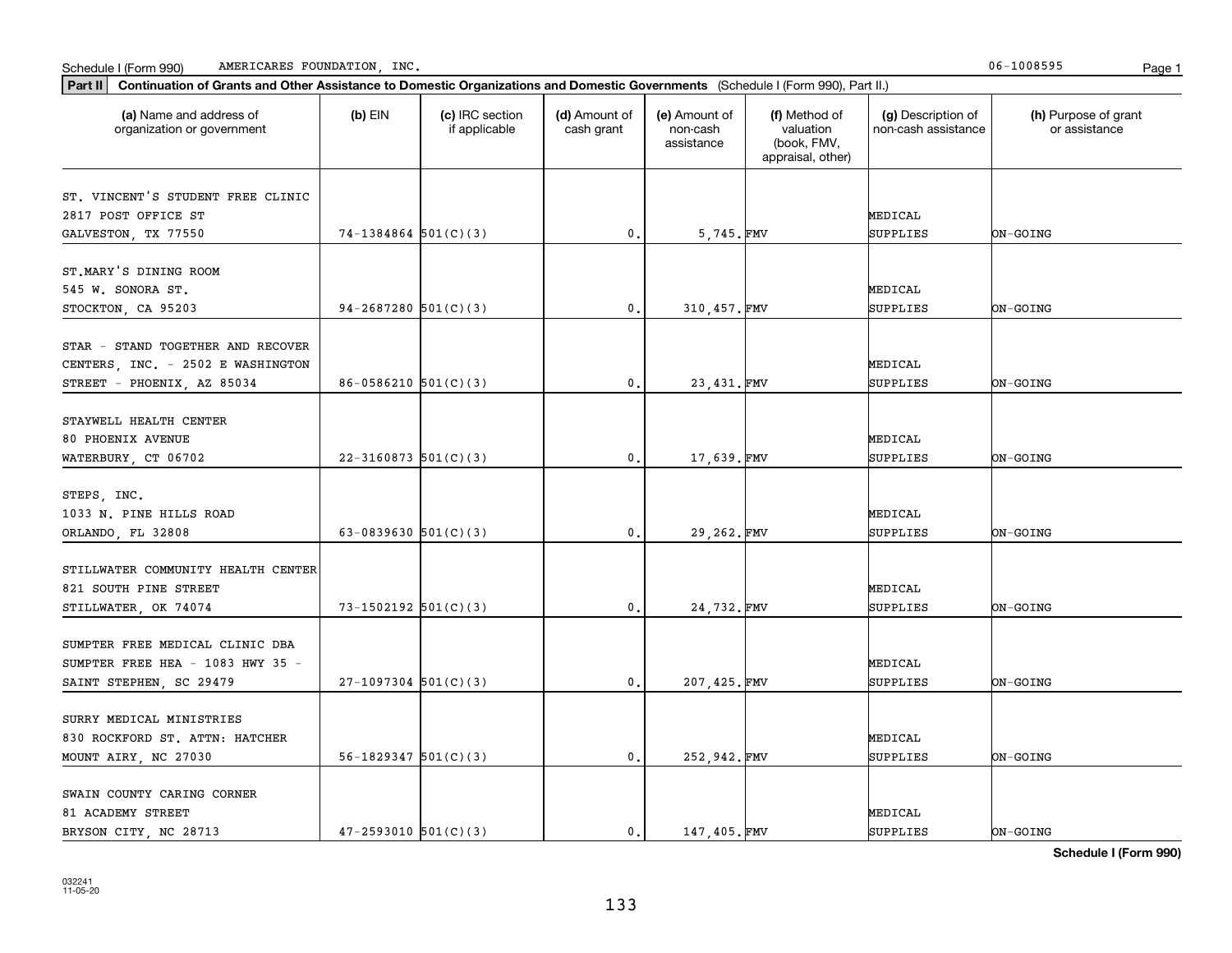| Part II                                                                                              | Continuation of Grants and Other Assistance to Domestic Organizations and Domestic Governments (Schedule I (Form 990), Part II.) |                                  |                             |                                         |                                                                |                                           |                                       |  |  |  |
|------------------------------------------------------------------------------------------------------|----------------------------------------------------------------------------------------------------------------------------------|----------------------------------|-----------------------------|-----------------------------------------|----------------------------------------------------------------|-------------------------------------------|---------------------------------------|--|--|--|
| (a) Name and address of<br>organization or government                                                | (b) EIN                                                                                                                          | (c) IRC section<br>if applicable | (d) Amount of<br>cash grant | (e) Amount of<br>non-cash<br>assistance | (f) Method of<br>valuation<br>(book, FMV,<br>appraisal, other) | (g) Description of<br>non-cash assistance | (h) Purpose of grant<br>or assistance |  |  |  |
| ST. VINCENT'S STUDENT FREE CLINIC<br>2817 POST OFFICE ST<br>GALVESTON, TX 77550                      | $74-1384864$ 501(C)(3)                                                                                                           |                                  | 0.                          | 5,745.FMV                               |                                                                | MEDICAL<br>SUPPLIES                       | <b>DN-GOING</b>                       |  |  |  |
| ST. MARY'S DINING ROOM<br>545 W. SONORA ST.<br>STOCKTON, CA 95203                                    | $94-2687280$ 501(C)(3)                                                                                                           |                                  | $\mathbf 0$ .               | 310,457. FMV                            |                                                                | MEDICAL<br>SUPPLIES                       | <b>DN-GOING</b>                       |  |  |  |
| STAR - STAND TOGETHER AND RECOVER<br>CENTERS, INC. - 2502 E WASHINGTON<br>STREET - PHOENIX, AZ 85034 | $86-0586210$ 501(C)(3)                                                                                                           |                                  | $\mathbf{0}$                | 23,431. FMV                             |                                                                | MEDICAL<br>SUPPLIES                       | <b>DN-GOING</b>                       |  |  |  |
| STAYWELL HEALTH CENTER<br>80 PHOENIX AVENUE<br>WATERBURY, CT 06702                                   | $22 - 3160873$ 501(C)(3)                                                                                                         |                                  | 0.                          | 17,639.FMV                              |                                                                | MEDICAL<br>SUPPLIES                       | <b>DN-GOING</b>                       |  |  |  |
| STEPS, INC.<br>1033 N. PINE HILLS ROAD<br>ORLANDO, FL 32808                                          | 63-0839630 $501(C)(3)$                                                                                                           |                                  | $\mathbf{0}$ .              | 29,262.FMV                              |                                                                | MEDICAL<br>SUPPLIES                       | <b>DN-GOING</b>                       |  |  |  |
| STILLWATER COMMUNITY HEALTH CENTER<br>821 SOUTH PINE STREET<br>STILLWATER, OK 74074                  | $73-1502192$ $501(C)(3)$                                                                                                         |                                  | $\mathbf{0}$                | 24,732. FMV                             |                                                                | MEDICAL<br>SUPPLIES                       | <b>DN-GOING</b>                       |  |  |  |
| SUMPTER FREE MEDICAL CLINIC DBA<br>SUMPTER FREE HEA - 1083 HWY 35 -<br>SAINT STEPHEN, SC 29479       | $27-1097304$ 501(C)(3)                                                                                                           |                                  | 0.                          | 207,425.FMV                             |                                                                | MEDICAL<br>SUPPLIES                       | <b>DN-GOING</b>                       |  |  |  |
| SURRY MEDICAL MINISTRIES<br>830 ROCKFORD ST. ATTN: HATCHER<br>MOUNT AIRY, NC 27030                   | $56 - 1829347$ $501(C)(3)$                                                                                                       |                                  | $\mathbf{0}$ .              | 252,942.FMV                             |                                                                | MEDICAL<br>SUPPLIES                       | <b>DN-GOING</b>                       |  |  |  |
| SWAIN COUNTY CARING CORNER<br>81 ACADEMY STREET<br>BRYSON CITY, NC 28713                             | $47 - 2593010$ 501(C)(3)                                                                                                         |                                  | 0.                          | 147.405.FMV                             |                                                                | MEDICAL<br>SUPPLIES                       | <b>DN-GOING</b>                       |  |  |  |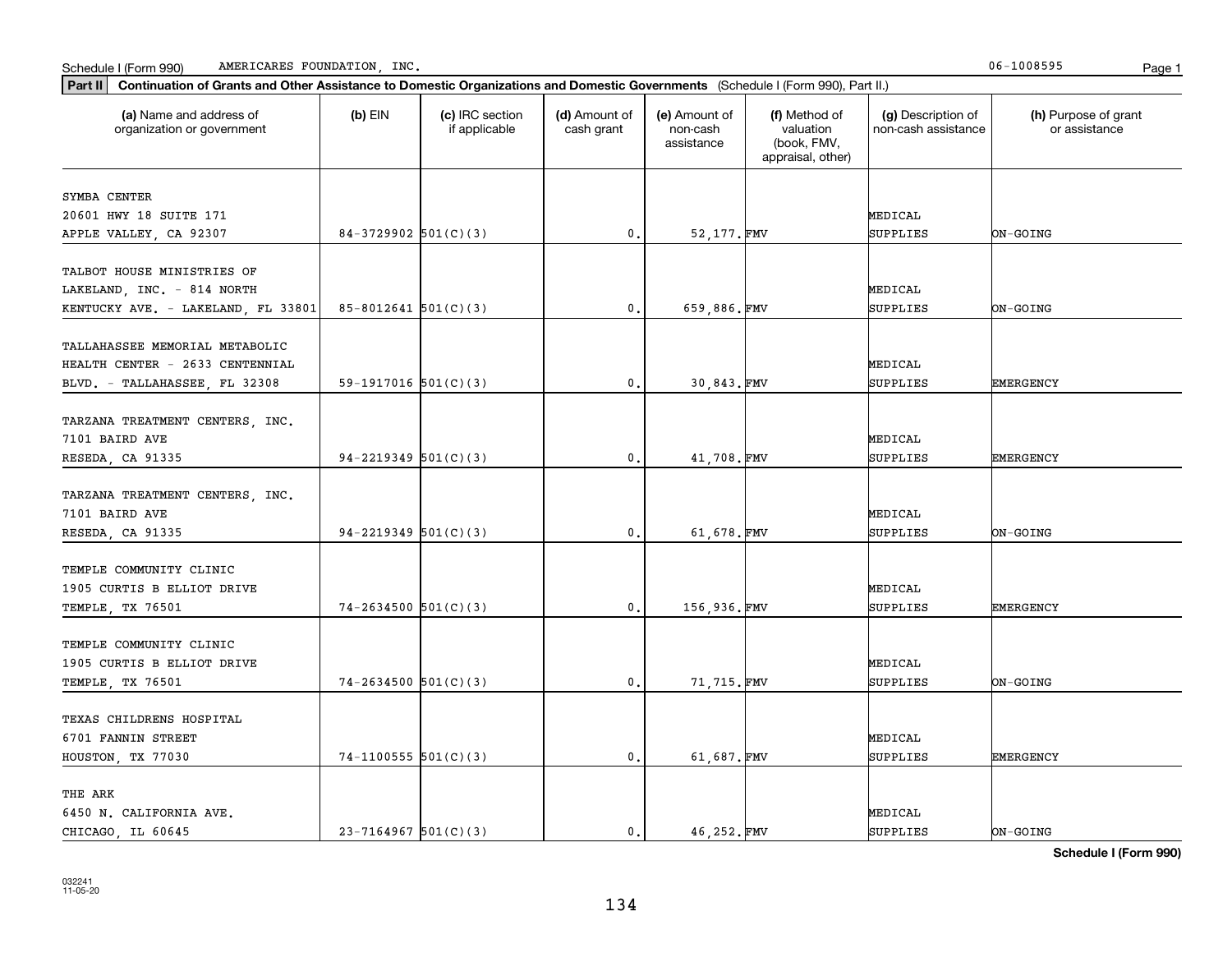Schedule I (Form 990) Page 1 AMERICARES FOUNDATION, INC. 06-1008595

| Part II   Continuation of Grants and Other Assistance to Domestic Organizations and Domestic Governments (Schedule I (Form 990), Part II.) |                            |                                  |                             |                                         |                                                                |                                           |                                       |
|--------------------------------------------------------------------------------------------------------------------------------------------|----------------------------|----------------------------------|-----------------------------|-----------------------------------------|----------------------------------------------------------------|-------------------------------------------|---------------------------------------|
| (a) Name and address of<br>organization or government                                                                                      | $(b)$ EIN                  | (c) IRC section<br>if applicable | (d) Amount of<br>cash grant | (e) Amount of<br>non-cash<br>assistance | (f) Method of<br>valuation<br>(book, FMV,<br>appraisal, other) | (g) Description of<br>non-cash assistance | (h) Purpose of grant<br>or assistance |
| SYMBA CENTER                                                                                                                               |                            |                                  |                             |                                         |                                                                |                                           |                                       |
| 20601 HWY 18 SUITE 171                                                                                                                     |                            |                                  |                             |                                         |                                                                | MEDICAL                                   |                                       |
| APPLE VALLEY, CA 92307                                                                                                                     | 84-3729902 $501(C)(3)$     |                                  | $\mathbf{0}$ .              | 52,177.FMV                              |                                                                | SUPPLIES                                  | <b>DN-GOING</b>                       |
|                                                                                                                                            |                            |                                  |                             |                                         |                                                                |                                           |                                       |
| TALBOT HOUSE MINISTRIES OF                                                                                                                 |                            |                                  |                             |                                         |                                                                |                                           |                                       |
| LAKELAND, INC. - 814 NORTH                                                                                                                 |                            |                                  |                             |                                         |                                                                | MEDICAL                                   |                                       |
| KENTUCKY AVE. - LAKELAND, FL 33801                                                                                                         | $85 - 8012641$ $501(C)(3)$ |                                  | $\mathbf{0}$ .              | 659,886.FMV                             |                                                                | SUPPLIES                                  | <b>DN-GOING</b>                       |
| TALLAHASSEE MEMORIAL METABOLIC                                                                                                             |                            |                                  |                             |                                         |                                                                |                                           |                                       |
| HEALTH CENTER - 2633 CENTENNIAL                                                                                                            |                            |                                  |                             |                                         |                                                                | MEDICAL                                   |                                       |
| BLVD. - TALLAHASSEE, FL 32308                                                                                                              | 59-1917016 $501(C)(3)$     |                                  | $\mathbf{0}$ .              | 30,843.FMV                              |                                                                | SUPPLIES                                  | <b>EMERGENCY</b>                      |
|                                                                                                                                            |                            |                                  |                             |                                         |                                                                |                                           |                                       |
| TARZANA TREATMENT CENTERS, INC.                                                                                                            |                            |                                  |                             |                                         |                                                                |                                           |                                       |
| 7101 BAIRD AVE                                                                                                                             |                            |                                  |                             |                                         |                                                                | MEDICAL                                   |                                       |
| RESEDA, CA 91335                                                                                                                           | $94-2219349$ 501(C)(3)     |                                  | $^{\circ}$ .                | 41,708.FMV                              |                                                                | SUPPLIES                                  | <b>EMERGENCY</b>                      |
| TARZANA TREATMENT CENTERS, INC.                                                                                                            |                            |                                  |                             |                                         |                                                                |                                           |                                       |
| 7101 BAIRD AVE                                                                                                                             |                            |                                  |                             |                                         |                                                                | MEDICAL                                   |                                       |
| RESEDA, CA 91335                                                                                                                           | $94 - 2219349$ 501(C)(3)   |                                  | 0.                          | 61,678.FMV                              |                                                                | SUPPLIES                                  | <b>DN-GOING</b>                       |
|                                                                                                                                            |                            |                                  |                             |                                         |                                                                |                                           |                                       |
| TEMPLE COMMUNITY CLINIC                                                                                                                    |                            |                                  |                             |                                         |                                                                |                                           |                                       |
| 1905 CURTIS B ELLIOT DRIVE                                                                                                                 |                            |                                  |                             |                                         |                                                                | MEDICAL                                   |                                       |
| TEMPLE, TX 76501                                                                                                                           | $74 - 2634500$ 501(C)(3)   |                                  | $\mathfrak{o}$ .            | 156,936.FMV                             |                                                                | SUPPLIES                                  | <b>EMERGENCY</b>                      |
| TEMPLE COMMUNITY CLINIC                                                                                                                    |                            |                                  |                             |                                         |                                                                |                                           |                                       |
| 1905 CURTIS B ELLIOT DRIVE                                                                                                                 |                            |                                  |                             |                                         |                                                                | MEDICAL                                   |                                       |
| TEMPLE, TX 76501                                                                                                                           | $74 - 2634500$ 501(C)(3)   |                                  | $\mathbf{0}$ .              | 71,715.FMV                              |                                                                | SUPPLIES                                  | <b>DN-GOING</b>                       |
|                                                                                                                                            |                            |                                  |                             |                                         |                                                                |                                           |                                       |
| TEXAS CHILDRENS HOSPITAL                                                                                                                   |                            |                                  |                             |                                         |                                                                |                                           |                                       |
| 6701 FANNIN STREET                                                                                                                         |                            |                                  |                             |                                         |                                                                | MEDICAL                                   |                                       |
| HOUSTON, TX 77030                                                                                                                          | $74-1100555$ 501(C)(3)     |                                  | $\mathbf{0}$ .              | 61,687.FMV                              |                                                                | SUPPLIES                                  | <b>EMERGENCY</b>                      |
| THE ARK                                                                                                                                    |                            |                                  |                             |                                         |                                                                |                                           |                                       |
| 6450 N. CALIFORNIA AVE.                                                                                                                    |                            |                                  |                             |                                         |                                                                | MEDICAL                                   |                                       |
|                                                                                                                                            |                            |                                  |                             |                                         |                                                                |                                           |                                       |
| CHICAGO, IL 60645                                                                                                                          | $23 - 7164967$ 501(C)(3)   |                                  | 0.                          | 46.252.FMV                              |                                                                | SUPPLIES                                  | <b>DN-GOING</b>                       |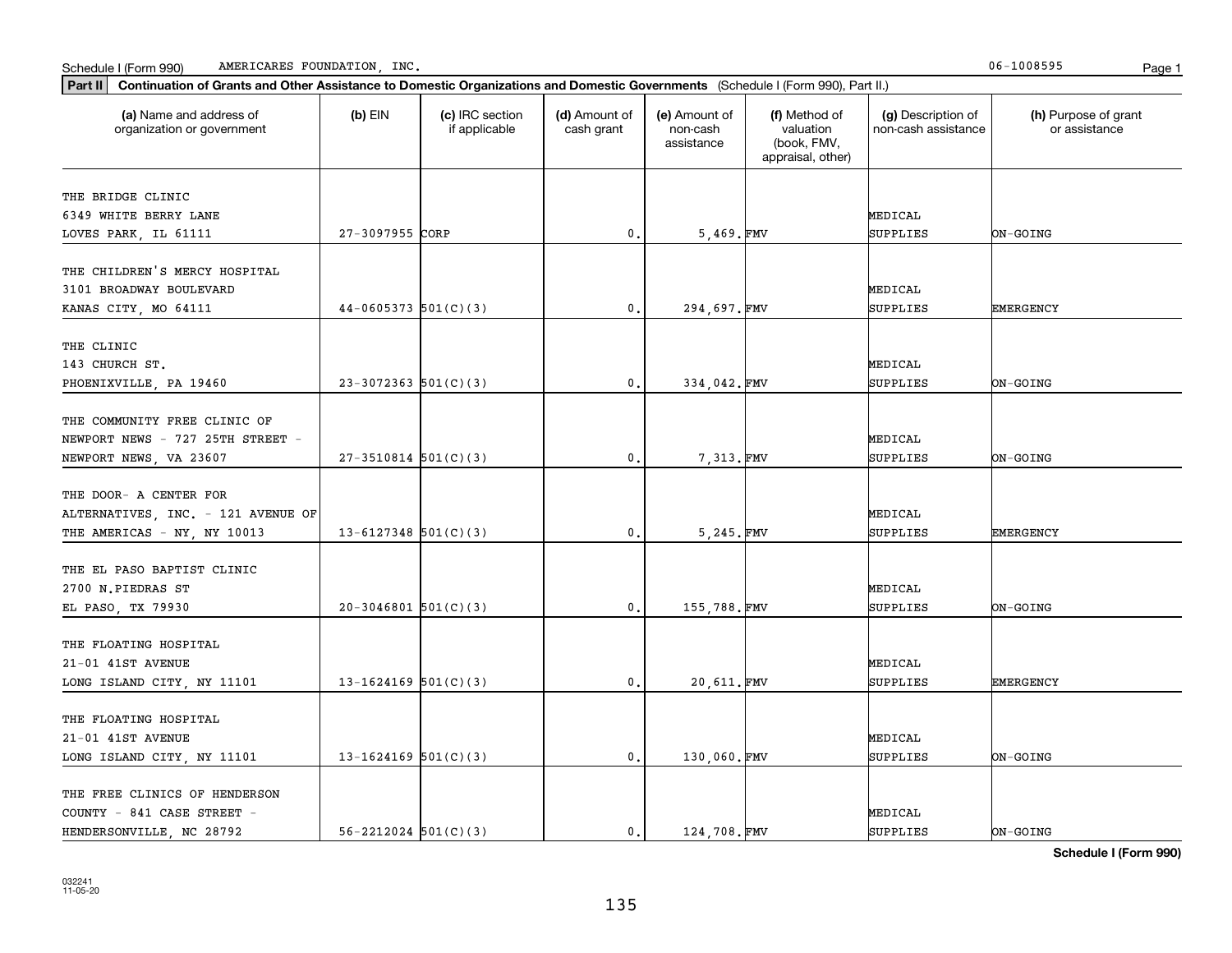| (a) Name and address of<br>organization or government | $(b)$ EIN                  | (c) IRC section<br>if applicable | (d) Amount of<br>cash grant | (e) Amount of<br>non-cash<br>assistance | (f) Method of<br>valuation<br>(book, FMV, | (g) Description of<br>non-cash assistance | (h) Purpose of grant<br>or assistance |
|-------------------------------------------------------|----------------------------|----------------------------------|-----------------------------|-----------------------------------------|-------------------------------------------|-------------------------------------------|---------------------------------------|
|                                                       |                            |                                  |                             |                                         | appraisal, other)                         |                                           |                                       |
| THE BRIDGE CLINIC                                     |                            |                                  |                             |                                         |                                           |                                           |                                       |
| 6349 WHITE BERRY LANE                                 |                            |                                  |                             |                                         |                                           | MEDICAL                                   |                                       |
| LOVES PARK, IL 61111                                  | 27-3097955 CORP            |                                  | 0.                          | 5,469.FMV                               |                                           | SUPPLIES                                  | <b>DN-GOING</b>                       |
|                                                       |                            |                                  |                             |                                         |                                           |                                           |                                       |
| THE CHILDREN'S MERCY HOSPITAL                         |                            |                                  |                             |                                         |                                           |                                           |                                       |
| 3101 BROADWAY BOULEVARD                               |                            |                                  |                             |                                         |                                           | MEDICAL                                   |                                       |
| KANAS CITY, MO 64111                                  | $44-0605373$ 501(C)(3)     |                                  | 0.                          | 294,697.FMV                             |                                           | SUPPLIES                                  | <b>EMERGENCY</b>                      |
| THE CLINIC                                            |                            |                                  |                             |                                         |                                           |                                           |                                       |
| 143 CHURCH ST.                                        |                            |                                  |                             |                                         |                                           | MEDICAL                                   |                                       |
| PHOENIXVILLE, PA 19460                                | $23-3072363$ 501(C)(3)     |                                  | 0.                          | 334,042.FMV                             |                                           | SUPPLIES                                  | <b>DN-GOING</b>                       |
|                                                       |                            |                                  |                             |                                         |                                           |                                           |                                       |
| THE COMMUNITY FREE CLINIC OF                          |                            |                                  |                             |                                         |                                           |                                           |                                       |
| NEWPORT NEWS - 727 25TH STREET -                      |                            |                                  |                             |                                         |                                           | MEDICAL                                   |                                       |
| NEWPORT NEWS, VA 23607                                | $27-3510814$ 501(C)(3)     |                                  | 0.                          | 7,313. FMV                              |                                           | SUPPLIES                                  | <b>DN-GOING</b>                       |
| THE DOOR- A CENTER FOR                                |                            |                                  |                             |                                         |                                           |                                           |                                       |
| ALTERNATIVES, INC. - 121 AVENUE OF                    |                            |                                  |                             |                                         |                                           | MEDICAL                                   |                                       |
| THE AMERICAS - NY, NY 10013                           | $13 - 6127348$ 501(C)(3)   |                                  | $\mathbf{0}$ .              | 5,245.FMV                               |                                           | SUPPLIES                                  | <b>EMERGENCY</b>                      |
| THE EL PASO BAPTIST CLINIC                            |                            |                                  |                             |                                         |                                           |                                           |                                       |
|                                                       |                            |                                  |                             |                                         |                                           |                                           |                                       |
| 2700 N.PIEDRAS ST                                     |                            |                                  | $\mathbf{0}$ .              |                                         |                                           | MEDICAL<br>SUPPLIES                       | <b>DN-GOING</b>                       |
| EL PASO, TX 79930                                     | $20-3046801$ 501(C)(3)     |                                  |                             | 155,788.FMV                             |                                           |                                           |                                       |
| THE FLOATING HOSPITAL                                 |                            |                                  |                             |                                         |                                           |                                           |                                       |
| 21-01 41ST AVENUE                                     |                            |                                  |                             |                                         |                                           | MEDICAL                                   |                                       |
| LONG ISLAND CITY, NY 11101                            | 13-1624169 $501(C)(3)$     |                                  | 0.                          | 20,611.FMV                              |                                           | SUPPLIES                                  | <b>EMERGENCY</b>                      |
| THE FLOATING HOSPITAL                                 |                            |                                  |                             |                                         |                                           |                                           |                                       |
| 21-01 41ST AVENUE                                     |                            |                                  |                             |                                         |                                           | MEDICAL                                   |                                       |
|                                                       | $13 - 1624169$ 501(C)(3)   |                                  | $\mathbf{0}$ .              | 130,060.FMV                             |                                           | SUPPLIES                                  | <b>DN-GOING</b>                       |
| LONG ISLAND CITY, NY 11101                            |                            |                                  |                             |                                         |                                           |                                           |                                       |
| THE FREE CLINICS OF HENDERSON                         |                            |                                  |                             |                                         |                                           |                                           |                                       |
| COUNTY - 841 CASE STREET -                            |                            |                                  |                             |                                         |                                           | MEDICAL                                   |                                       |
| HENDERSONVILLE, NC 28792                              | $56 - 2212024$ $501(C)(3)$ |                                  | $\mathbf{0}$ .              | 124.708.FMV                             |                                           | <b>SUPPLIES</b>                           | <b>DN-GOING</b>                       |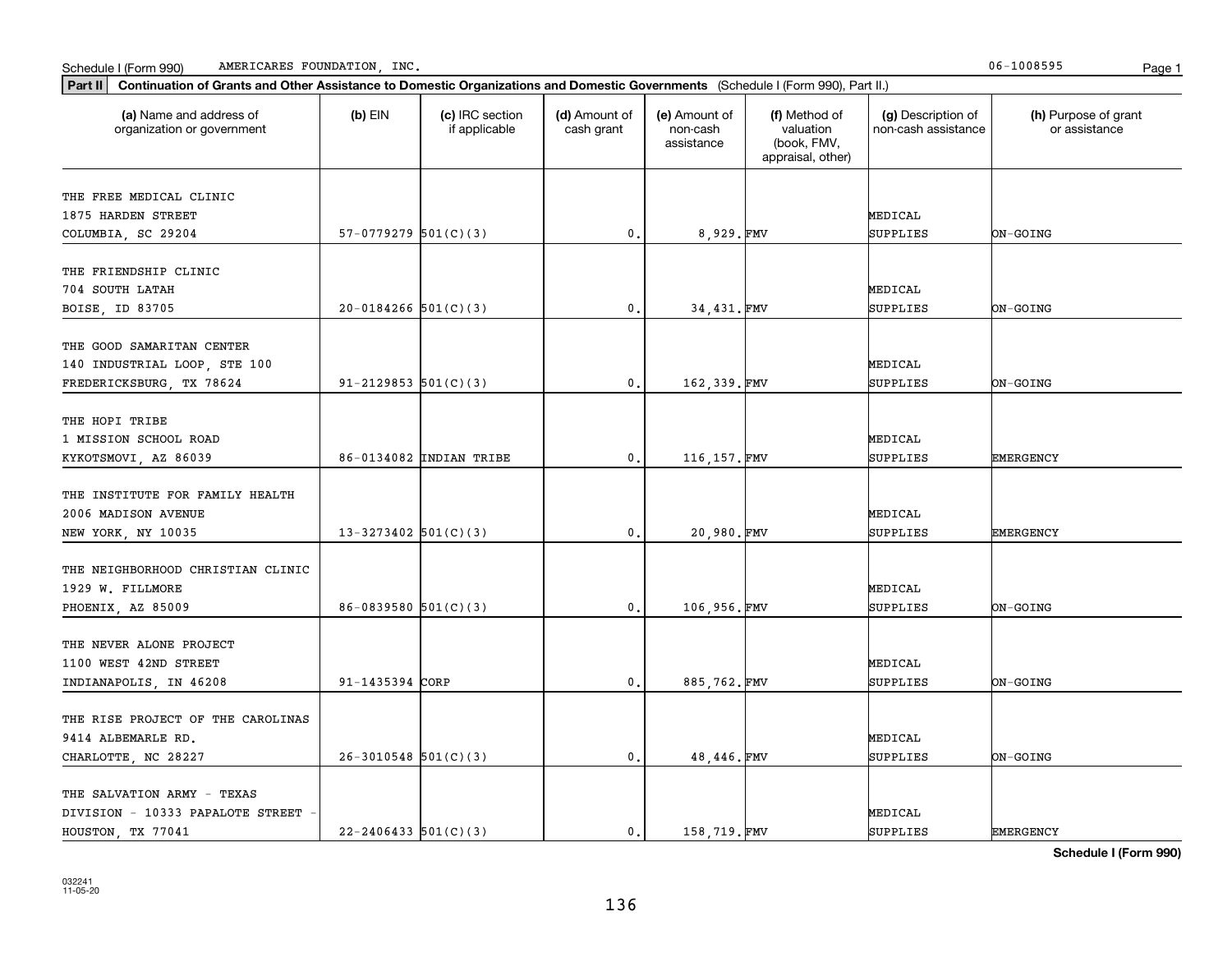| (a) Name and address of<br>organization or government | $(b)$ EIN                  | (c) IRC section<br>if applicable | (d) Amount of<br>cash grant | (e) Amount of<br>non-cash<br>assistance | (f) Method of<br>valuation<br>(book, FMV,<br>appraisal, other) | (g) Description of<br>non-cash assistance | (h) Purpose of grant<br>or assistance |
|-------------------------------------------------------|----------------------------|----------------------------------|-----------------------------|-----------------------------------------|----------------------------------------------------------------|-------------------------------------------|---------------------------------------|
| THE FREE MEDICAL CLINIC                               |                            |                                  |                             |                                         |                                                                |                                           |                                       |
| 1875 HARDEN STREET                                    |                            |                                  |                             |                                         |                                                                | MEDICAL                                   |                                       |
| COLUMBIA, SC 29204                                    | $57-0779279$ $501(C)(3)$   |                                  | $\mathbf{0}$ .              | 8,929. FMV                              |                                                                | SUPPLIES                                  | <b>DN-GOING</b>                       |
|                                                       |                            |                                  |                             |                                         |                                                                |                                           |                                       |
| THE FRIENDSHIP CLINIC                                 |                            |                                  |                             |                                         |                                                                |                                           |                                       |
| 704 SOUTH LATAH                                       |                            |                                  |                             |                                         |                                                                | MEDICAL                                   |                                       |
| BOISE, ID 83705                                       | $20-0184266$ 501(C)(3)     |                                  | 0.                          | 34,431. FMV                             |                                                                | SUPPLIES                                  | <b>DN-GOING</b>                       |
|                                                       |                            |                                  |                             |                                         |                                                                |                                           |                                       |
| THE GOOD SAMARITAN CENTER                             |                            |                                  |                             |                                         |                                                                |                                           |                                       |
| 140 INDUSTRIAL LOOP, STE 100                          |                            |                                  |                             |                                         |                                                                | MEDICAL                                   |                                       |
| FREDERICKSBURG, TX 78624                              | $91 - 2129853$ $501(C)(3)$ |                                  | 0.                          | 162,339.FMV                             |                                                                | SUPPLIES                                  | <b>ON-GOING</b>                       |
| THE HOPI TRIBE                                        |                            |                                  |                             |                                         |                                                                |                                           |                                       |
| 1 MISSION SCHOOL ROAD                                 |                            |                                  |                             |                                         |                                                                | MEDICAL                                   |                                       |
| KYKOTSMOVI, AZ 86039                                  |                            | 86-0134082 INDIAN TRIBE          | $\mathbf 0$ .               | 116, 157. FMV                           |                                                                | SUPPLIES                                  | <b>EMERGENCY</b>                      |
|                                                       |                            |                                  |                             |                                         |                                                                |                                           |                                       |
| THE INSTITUTE FOR FAMILY HEALTH                       |                            |                                  |                             |                                         |                                                                |                                           |                                       |
| 2006 MADISON AVENUE                                   |                            |                                  |                             |                                         |                                                                | MEDICAL                                   |                                       |
| NEW YORK, NY 10035                                    | $13 - 3273402$ 501(C)(3)   |                                  | $\mathbf{0}$ .              | 20,980.FMV                              |                                                                | SUPPLIES                                  | EMERGENCY                             |
|                                                       |                            |                                  |                             |                                         |                                                                |                                           |                                       |
| THE NEIGHBORHOOD CHRISTIAN CLINIC                     |                            |                                  |                             |                                         |                                                                |                                           |                                       |
| 1929 W. FILLMORE                                      |                            |                                  |                             |                                         |                                                                | MEDICAL                                   |                                       |
| PHOENIX, AZ 85009                                     | $86-0839580$ 501(C)(3)     |                                  | 0.                          | 106,956.FMV                             |                                                                | SUPPLIES                                  | <b>DN-GOING</b>                       |
|                                                       |                            |                                  |                             |                                         |                                                                |                                           |                                       |
| THE NEVER ALONE PROJECT                               |                            |                                  |                             |                                         |                                                                |                                           |                                       |
| 1100 WEST 42ND STREET                                 | 91-1435394 CORP            |                                  | $\mathbf{0}$ .              |                                         |                                                                | MEDICAL<br>SUPPLIES                       | <b>DN-GOING</b>                       |
| INDIANAPOLIS, IN 46208                                |                            |                                  |                             | 885,762.FMV                             |                                                                |                                           |                                       |
| THE RISE PROJECT OF THE CAROLINAS                     |                            |                                  |                             |                                         |                                                                |                                           |                                       |
| 9414 ALBEMARLE RD.                                    |                            |                                  |                             |                                         |                                                                | MEDICAL                                   |                                       |
| CHARLOTTE, NC 28227                                   | $26-3010548$ 501(C)(3)     |                                  | $\mathbf{0}$ .              | 48,446.FMV                              |                                                                | SUPPLIES                                  | <b>DN-GOING</b>                       |
|                                                       |                            |                                  |                             |                                         |                                                                |                                           |                                       |
| THE SALVATION ARMY - TEXAS                            |                            |                                  |                             |                                         |                                                                |                                           |                                       |
| DIVISION - 10333 PAPALOTE STREET                      |                            |                                  |                             |                                         |                                                                | MEDICAL                                   |                                       |
| HOUSTON, TX 77041                                     | $22 - 2406433$ 501(C)(3)   |                                  | 0.                          | 158,719.FMV                             |                                                                | SUPPLIES                                  | <b>EMERGENCY</b>                      |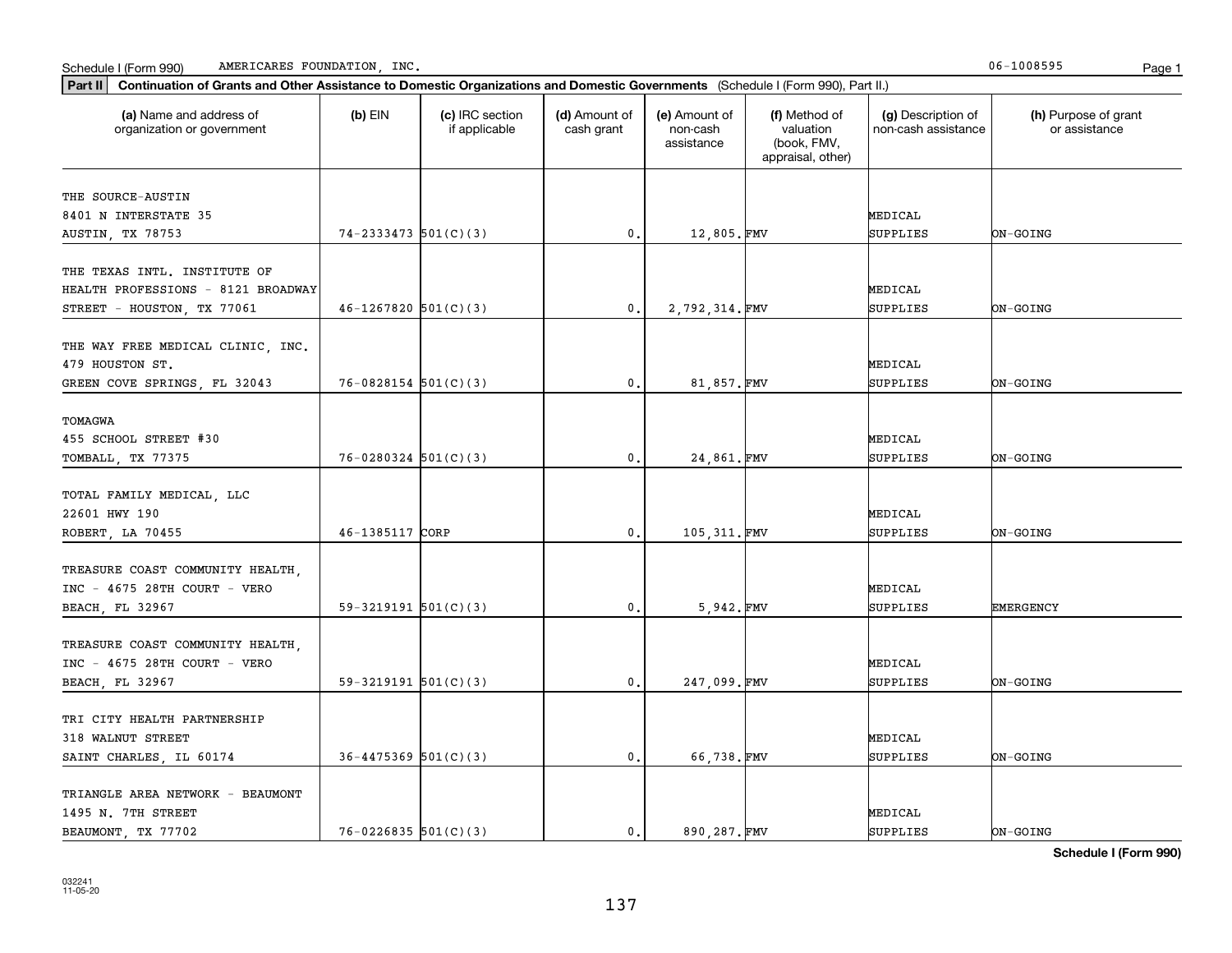| AMERICARES FOUNDATION, INC.<br>Schedule I (Form 990)                                                                                        |                            |                                  |                             |                                         |                                                                |                                           | 06-1008595<br>Page 1                  |
|---------------------------------------------------------------------------------------------------------------------------------------------|----------------------------|----------------------------------|-----------------------------|-----------------------------------------|----------------------------------------------------------------|-------------------------------------------|---------------------------------------|
| Part II<br>Continuation of Grants and Other Assistance to Domestic Organizations and Domestic Governments (Schedule I (Form 990), Part II.) |                            |                                  |                             |                                         |                                                                |                                           |                                       |
| (a) Name and address of<br>organization or government                                                                                       | $(b)$ EIN                  | (c) IRC section<br>if applicable | (d) Amount of<br>cash grant | (e) Amount of<br>non-cash<br>assistance | (f) Method of<br>valuation<br>(book, FMV,<br>appraisal, other) | (g) Description of<br>non-cash assistance | (h) Purpose of grant<br>or assistance |
| THE SOURCE-AUSTIN<br>8401 N INTERSTATE 35<br>AUSTIN, TX 78753                                                                               | $74 - 2333473$ $501(C)(3)$ |                                  | $\mathsf{0}\,$ .            | 12,805.FMV                              |                                                                | MEDICAL<br>SUPPLIES                       | <b>DN-GOING</b>                       |
| THE TEXAS INTL. INSTITUTE OF<br>HEALTH PROFESSIONS - 8121 BROADWAY<br>STREET - HOUSTON, TX 77061                                            | $46 - 1267820$ 501(C)(3)   |                                  | 0.                          | 2,792,314.FMV                           |                                                                | MEDICAL<br>SUPPLIES                       | <b>DN-GOING</b>                       |
| THE WAY FREE MEDICAL CLINIC, INC.<br>479 HOUSTON ST.<br>GREEN COVE SPRINGS, FL 32043                                                        | $76-0828154$ $501(C)(3)$   |                                  | 0.                          | 81,857.FMV                              |                                                                | MEDICAL<br>SUPPLIES                       | <b>DN-GOING</b>                       |
| TOMAGWA<br>455 SCHOOL STREET #30<br>TOMBALL, TX 77375                                                                                       | $76 - 0280324$ 501(C)(3)   |                                  | 0.                          | 24,861.FMV                              |                                                                | MEDICAL<br>SUPPLIES                       | <b>DN-GOING</b>                       |
| TOTAL FAMILY MEDICAL, LLC<br>22601 HWY 190<br>ROBERT, LA 70455                                                                              | 46-1385117 CORP            |                                  | 0.                          | 105, 311. FMV                           |                                                                | MEDICAL<br>SUPPLIES                       | <b>DN-GOING</b>                       |
| TREASURE COAST COMMUNITY HEALTH,<br>$INC - 4675 28TH COURT - VERO$<br>BEACH, FL 32967                                                       | $59-3219191$ $501(C)(3)$   |                                  | 0.                          | 5,942.FMV                               |                                                                | MEDICAL<br>SUPPLIES                       | <b>EMERGENCY</b>                      |
| TREASURE COAST COMMUNITY HEALTH,<br>$INC - 4675 28TH COURT - VERO$<br>BEACH, FL 32967                                                       | $59-3219191$ $501(C)(3)$   |                                  | 0.                          | 247.099.FMV                             |                                                                | MEDICAL<br>SUPPLIES                       | <b>DN-GOING</b>                       |
| TRI CITY HEALTH PARTNERSHIP<br>318 WALNUT STREET<br>SAINT CHARLES, IL 60174                                                                 | $36 - 4475369$ $501(C)(3)$ |                                  | $\mathbf{0}$ .              | 66,738.FMV                              |                                                                | MEDICAL<br>SUPPLIES                       | <b>DN-GOING</b>                       |
| TRIANGLE AREA NETWORK - BEAUMONT<br>1495 N. 7TH STREET<br>BEAUMONT, TX 77702                                                                | $76 - 0226835$ 501(C)(3)   |                                  | 0.                          | 890,287.FMV                             |                                                                | MEDICAL<br><b>SUPPLIES</b>                | <b>DN-GOING</b>                       |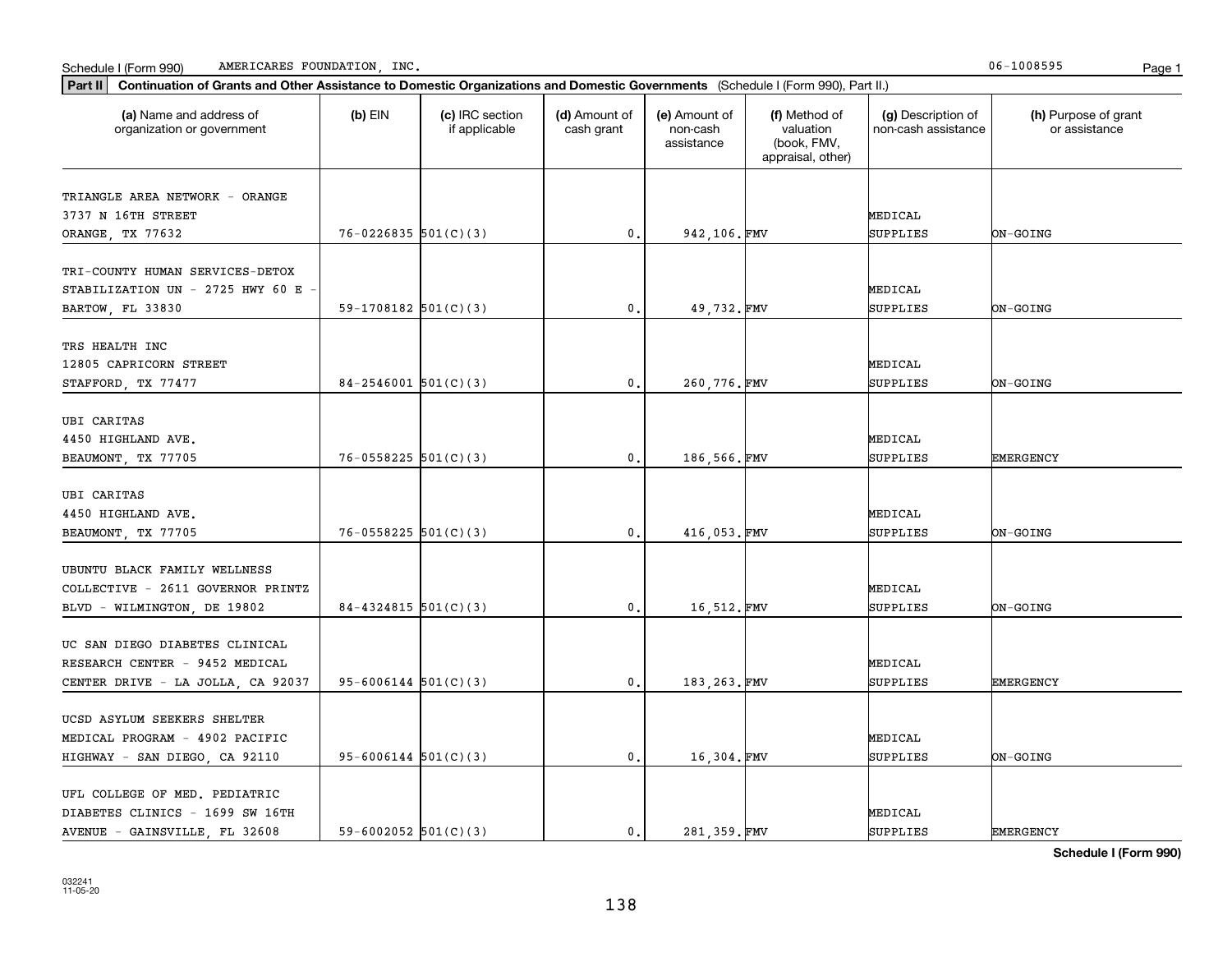| (a) Name and address of           | $(b)$ EIN                  | (c) IRC section | (d) Amount of  | (e) Amount of          | (f) Method of                                 | (g) Description of  | (h) Purpose of grant |
|-----------------------------------|----------------------------|-----------------|----------------|------------------------|-----------------------------------------------|---------------------|----------------------|
| organization or government        |                            | if applicable   | cash grant     | non-cash<br>assistance | valuation<br>(book, FMV,<br>appraisal, other) | non-cash assistance | or assistance        |
| TRIANGLE AREA NETWORK - ORANGE    |                            |                 |                |                        |                                               |                     |                      |
| 3737 N 16TH STREET                |                            |                 |                |                        |                                               | MEDICAL             |                      |
| ORANGE, TX 77632                  | $76 - 0226835$ 501(C)(3)   |                 | $\mathbf{0}$ . | 942,106.FMV            |                                               | <b>SUPPLIES</b>     | DN-GOING             |
|                                   |                            |                 |                |                        |                                               |                     |                      |
| TRI-COUNTY HUMAN SERVICES-DETOX   |                            |                 |                |                        |                                               |                     |                      |
| STABILIZATION UN - 2725 HWY 60 E  |                            |                 |                |                        |                                               | MEDICAL             |                      |
| BARTOW, FL 33830                  | 59-1708182 $501(C)(3)$     |                 | 0.             | 49,732. FMV            |                                               | SUPPLIES            | <b>DN-GOING</b>      |
| TRS HEALTH INC                    |                            |                 |                |                        |                                               |                     |                      |
| 12805 CAPRICORN STREET            |                            |                 |                |                        |                                               | MEDICAL             |                      |
| STAFFORD, TX 77477                | $84 - 2546001$ 501(C)(3)   |                 | $\mathbf{0}$ . | 260,776.FMV            |                                               | SUPPLIES            | <b>DN-GOING</b>      |
|                                   |                            |                 |                |                        |                                               |                     |                      |
| <b>UBI CARITAS</b>                |                            |                 |                |                        |                                               |                     |                      |
| 4450 HIGHLAND AVE.                |                            |                 |                |                        |                                               | MEDICAL             |                      |
| BEAUMONT, TX 77705                | $76 - 0558225$ 501(C)(3)   |                 | 0.             | 186,566.FMV            |                                               | SUPPLIES            | <b>EMERGENCY</b>     |
| UBI CARITAS                       |                            |                 |                |                        |                                               |                     |                      |
| 4450 HIGHLAND AVE.                |                            |                 |                |                        |                                               | MEDICAL             |                      |
| BEAUMONT, TX 77705                | $76 - 0558225$ 501(C)(3)   |                 | $\mathbf{0}$ . | 416,053.FMV            |                                               | SUPPLIES            | <b>DN-GOING</b>      |
|                                   |                            |                 |                |                        |                                               |                     |                      |
| UBUNTU BLACK FAMILY WELLNESS      |                            |                 |                |                        |                                               | MEDICAL             |                      |
| COLLECTIVE - 2611 GOVERNOR PRINTZ | $84 - 4324815$ 501(C)(3)   |                 | 0.             | 16,512.FMV             |                                               | SUPPLIES            | <b>DN-GOING</b>      |
| BLVD - WILMINGTON, DE 19802       |                            |                 |                |                        |                                               |                     |                      |
| UC SAN DIEGO DIABETES CLINICAL    |                            |                 |                |                        |                                               |                     |                      |
| RESEARCH CENTER - 9452 MEDICAL    |                            |                 |                |                        |                                               | MEDICAL             |                      |
| CENTER DRIVE - LA JOLLA, CA 92037 | $95 - 6006144$ $501(C)(3)$ |                 | 0.             | 183, 263. FMV          |                                               | <b>SUPPLIES</b>     | <b>EMERGENCY</b>     |
|                                   |                            |                 |                |                        |                                               |                     |                      |
| UCSD ASYLUM SEEKERS SHELTER       |                            |                 |                |                        |                                               |                     |                      |
| MEDICAL PROGRAM - 4902 PACIFIC    | $95 - 6006144$ $501(C)(3)$ |                 | 0.             |                        |                                               | MEDICAL<br>SUPPLIES | <b>DN-GOING</b>      |
| HIGHWAY - SAN DIEGO, CA 92110     |                            |                 |                | 16,304.FMV             |                                               |                     |                      |
| UFL COLLEGE OF MED. PEDIATRIC     |                            |                 |                |                        |                                               |                     |                      |
| DIABETES CLINICS - 1699 SW 16TH   |                            |                 |                |                        |                                               | MEDICAL             |                      |
| AVENUE - GAINSVILLE, FL 32608     | 59-6002052 $501(C)(3)$     |                 | $\mathbf{0}$ . | 281 359. FMV           |                                               | <b>SUPPLIES</b>     | <b>EMERGENCY</b>     |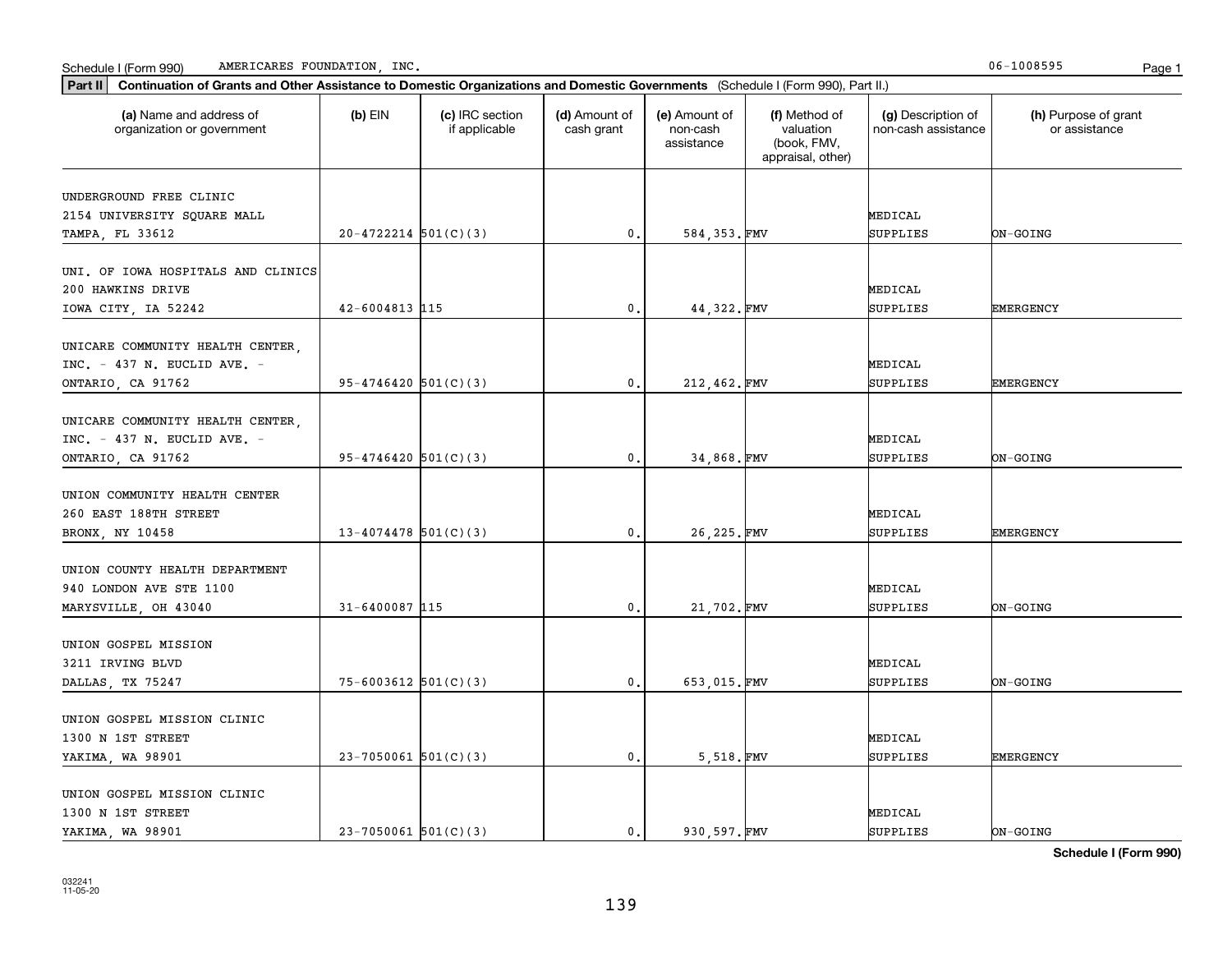| AMERICARES FOUNDATION, INC.<br>Schedule I (Form 990)                                                                                        |                            |                                  |                             |                                         |                                                                |                                           | $06 - 1008595$<br>Page 1              |
|---------------------------------------------------------------------------------------------------------------------------------------------|----------------------------|----------------------------------|-----------------------------|-----------------------------------------|----------------------------------------------------------------|-------------------------------------------|---------------------------------------|
| Part II<br>Continuation of Grants and Other Assistance to Domestic Organizations and Domestic Governments (Schedule I (Form 990), Part II.) |                            |                                  |                             |                                         |                                                                |                                           |                                       |
| (a) Name and address of<br>organization or government                                                                                       | $(b)$ EIN                  | (c) IRC section<br>if applicable | (d) Amount of<br>cash grant | (e) Amount of<br>non-cash<br>assistance | (f) Method of<br>valuation<br>(book, FMV,<br>appraisal, other) | (g) Description of<br>non-cash assistance | (h) Purpose of grant<br>or assistance |
| UNDERGROUND FREE CLINIC<br>2154 UNIVERSITY SQUARE MALL<br>TAMPA, FL 33612                                                                   | $20 - 4722214$ 501(C)(3)   |                                  | $\mathbf{0}$ .              | 584, 353. FMV                           |                                                                | MEDICAL<br>SUPPLIES                       | <b>ON-GOING</b>                       |
| UNI. OF IOWA HOSPITALS AND CLINICS<br>200 HAWKINS DRIVE<br>IOWA CITY, IA 52242                                                              | 42-6004813 115             |                                  | 0.                          | 44,322. FMV                             |                                                                | MEDICAL<br>SUPPLIES                       | <b>EMERGENCY</b>                      |
| UNICARE COMMUNITY HEALTH CENTER,<br>INC. $-437$ N. EUCLID AVE. $-$<br>ONTARIO, CA 91762                                                     | $95 - 4746420$ 501(C)(3)   |                                  | $\mathfrak{o}$ .            | 212,462.FMV                             |                                                                | MEDICAL<br>SUPPLIES                       | <b>EMERGENCY</b>                      |
| UNICARE COMMUNITY HEALTH CENTER,<br>INC. $-437$ N. EUCLID AVE. $-$<br>ONTARIO, CA 91762                                                     | $95 - 4746420$ 501(C)(3)   |                                  | $\mathbf{0}$ .              | 34,868.FMV                              |                                                                | MEDICAL<br>SUPPLIES                       | <b>DN-GOING</b>                       |
| UNION COMMUNITY HEALTH CENTER<br>260 EAST 188TH STREET<br>BRONX, NY 10458                                                                   | $13 - 4074478$ 501(C)(3)   |                                  | $\mathbf{0}$ .              | 26, 225. FMV                            |                                                                | MEDICAL<br><b>SUPPLIES</b>                | <b>EMERGENCY</b>                      |
| UNION COUNTY HEALTH DEPARTMENT<br>940 LONDON AVE STE 1100<br>MARYSVILLE, OH 43040                                                           | $31 - 6400087$ 115         |                                  | $^{\rm 0}$ .                | 21,702.FMV                              |                                                                | MEDICAL<br>SUPPLIES                       | <b>DN-GOING</b>                       |
| UNION GOSPEL MISSION<br>3211 IRVING BLVD<br>DALLAS, TX 75247                                                                                | $75 - 6003612$ $501(C)(3)$ |                                  | 0.                          | 653.015.FMV                             |                                                                | MEDICAL<br>SUPPLIES                       | <b>DN-GOING</b>                       |
| UNION GOSPEL MISSION CLINIC<br>1300 N 1ST STREET<br>YAKIMA, WA 98901                                                                        | $23-7050061$ $501(C)(3)$   |                                  | $\mathbf{0}$ .              | 5,518.FMV                               |                                                                | MEDICAL<br>SUPPLIES                       | <b>EMERGENCY</b>                      |
| UNION GOSPEL MISSION CLINIC<br>1300 N 1ST STREET<br>YAKIMA, WA 98901                                                                        | $23 - 7050061$ 501(C)(3)   |                                  | $\mathbf{0}$ .              | 930.597.FMV                             |                                                                | MEDICAL<br>SUPPLIES                       | <b>DN-GOING</b>                       |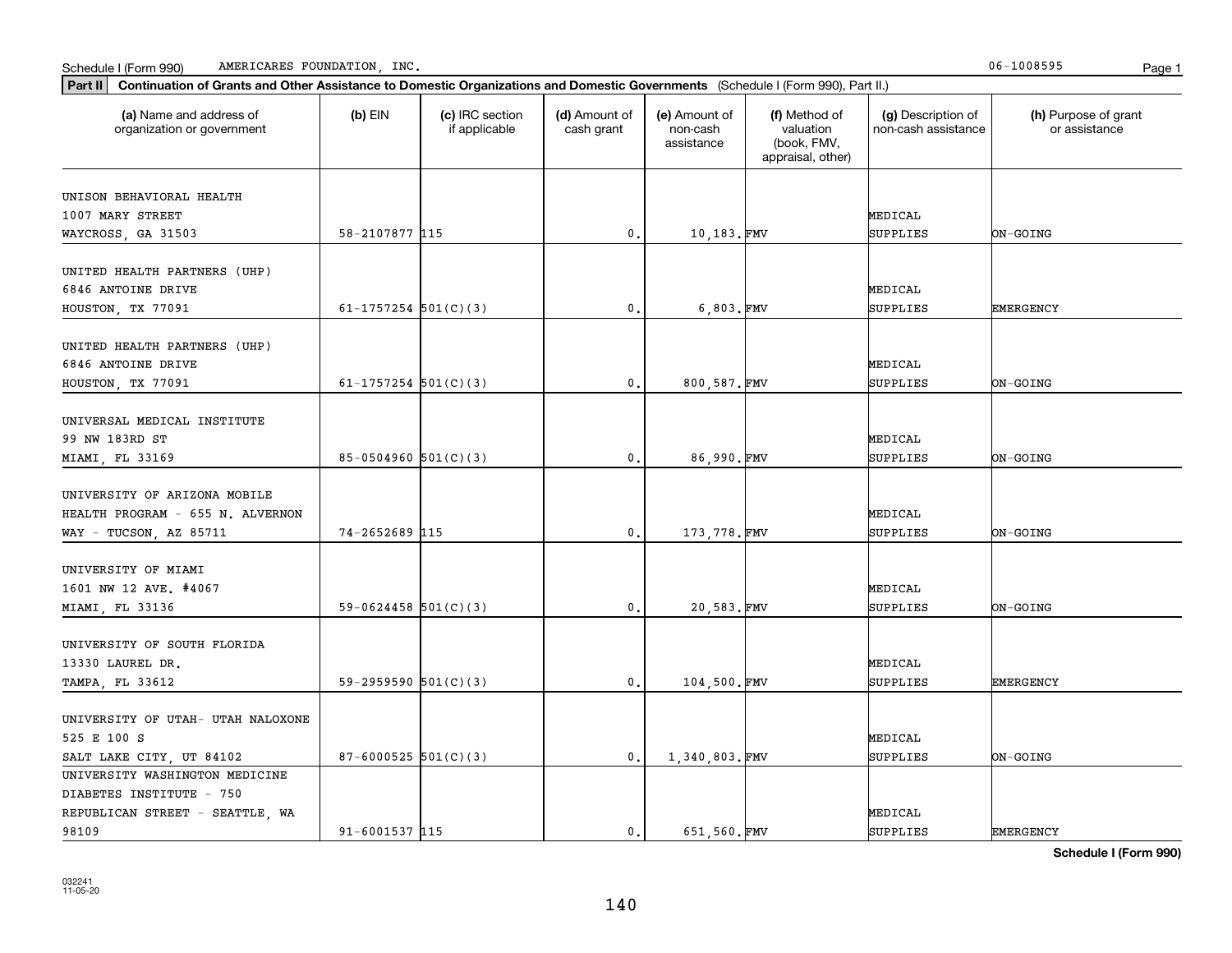| Part II   Continuation of Grants and Other Assistance to Domestic Organizations and Domestic Governments (Schedule I (Form 990), Part II.) |                          |                                  |                             |                                         |                                                                |                                           |                                       |
|--------------------------------------------------------------------------------------------------------------------------------------------|--------------------------|----------------------------------|-----------------------------|-----------------------------------------|----------------------------------------------------------------|-------------------------------------------|---------------------------------------|
| (a) Name and address of<br>organization or government                                                                                      | $(b)$ EIN                | (c) IRC section<br>if applicable | (d) Amount of<br>cash grant | (e) Amount of<br>non-cash<br>assistance | (f) Method of<br>valuation<br>(book, FMV,<br>appraisal, other) | (g) Description of<br>non-cash assistance | (h) Purpose of grant<br>or assistance |
|                                                                                                                                            |                          |                                  |                             |                                         |                                                                |                                           |                                       |
| UNISON BEHAVIORAL HEALTH<br>1007 MARY STREET                                                                                               |                          |                                  |                             |                                         |                                                                | MEDICAL                                   |                                       |
| WAYCROSS, GA 31503                                                                                                                         | 58-2107877 115           |                                  | $\mathbf{0}$ .              | 10,183.FMV                              |                                                                | SUPPLIES                                  | <b>DN-GOING</b>                       |
|                                                                                                                                            |                          |                                  |                             |                                         |                                                                |                                           |                                       |
| UNITED HEALTH PARTNERS (UHP)                                                                                                               |                          |                                  |                             |                                         |                                                                |                                           |                                       |
| 6846 ANTOINE DRIVE                                                                                                                         |                          |                                  |                             |                                         |                                                                | MEDICAL                                   |                                       |
| HOUSTON, TX 77091                                                                                                                          | 61-1757254 $501(C)(3)$   |                                  | 0.                          | 6,803.FMV                               |                                                                | SUPPLIES                                  | <b>EMERGENCY</b>                      |
|                                                                                                                                            |                          |                                  |                             |                                         |                                                                |                                           |                                       |
| UNITED HEALTH PARTNERS (UHP)                                                                                                               |                          |                                  |                             |                                         |                                                                |                                           |                                       |
| 6846 ANTOINE DRIVE                                                                                                                         |                          |                                  |                             |                                         |                                                                | MEDICAL                                   |                                       |
| HOUSTON, TX 77091                                                                                                                          | 61-1757254 $501(C)(3)$   |                                  | $\mathbf{0}$ .              | 800,587.FMV                             |                                                                | SUPPLIES                                  | <b>DN-GOING</b>                       |
|                                                                                                                                            |                          |                                  |                             |                                         |                                                                |                                           |                                       |
| UNIVERSAL MEDICAL INSTITUTE                                                                                                                |                          |                                  |                             |                                         |                                                                |                                           |                                       |
| 99 NW 183RD ST                                                                                                                             |                          |                                  |                             |                                         |                                                                | MEDICAL                                   |                                       |
| MIAMI, FL 33169                                                                                                                            | 85-0504960 $501(C)(3)$   |                                  | 0.                          | 86,990.FMV                              |                                                                | SUPPLIES                                  | <b>DN-GOING</b>                       |
|                                                                                                                                            |                          |                                  |                             |                                         |                                                                |                                           |                                       |
| UNIVERSITY OF ARIZONA MOBILE                                                                                                               |                          |                                  |                             |                                         |                                                                |                                           |                                       |
| HEALTH PROGRAM - 655 N. ALVERNON                                                                                                           |                          |                                  |                             |                                         |                                                                | MEDICAL                                   |                                       |
| WAY - TUCSON, AZ 85711                                                                                                                     | 74-2652689 115           |                                  | 0.                          | 173,778.FMV                             |                                                                | SUPPLIES                                  | <b>DN-GOING</b>                       |
|                                                                                                                                            |                          |                                  |                             |                                         |                                                                |                                           |                                       |
| UNIVERSITY OF MIAMI                                                                                                                        |                          |                                  |                             |                                         |                                                                |                                           |                                       |
| 1601 NW 12 AVE. #4067                                                                                                                      |                          |                                  |                             |                                         |                                                                | MEDICAL                                   |                                       |
| MIAMI, FL 33136                                                                                                                            | 59-0624458 $501(C)(3)$   |                                  | 0.                          | 20,583.FMV                              |                                                                | SUPPLIES                                  | <b>DN-GOING</b>                       |
|                                                                                                                                            |                          |                                  |                             |                                         |                                                                |                                           |                                       |
| UNIVERSITY OF SOUTH FLORIDA                                                                                                                |                          |                                  |                             |                                         |                                                                |                                           |                                       |
| 13330 LAUREL DR.                                                                                                                           |                          |                                  |                             |                                         |                                                                | MEDICAL                                   |                                       |
| TAMPA, FL 33612                                                                                                                            | 59-2959590 $501(C)(3)$   |                                  | 0.                          | 104,500.FMV                             |                                                                | SUPPLIES                                  | <b>EMERGENCY</b>                      |
|                                                                                                                                            |                          |                                  |                             |                                         |                                                                |                                           |                                       |
| UNIVERSITY OF UTAH- UTAH NALOXONE                                                                                                          |                          |                                  |                             |                                         |                                                                |                                           |                                       |
| 525 E 100 S                                                                                                                                |                          |                                  |                             |                                         |                                                                | MEDICAL                                   |                                       |
| SALT LAKE CITY, UT 84102                                                                                                                   | $87 - 6000525$ 501(C)(3) |                                  | 0.                          | 1,340,803.FMV                           |                                                                | SUPPLIES                                  | <b>DN-GOING</b>                       |
| UNIVERSITY WASHINGTON MEDICINE                                                                                                             |                          |                                  |                             |                                         |                                                                |                                           |                                       |
| DIABETES INSTITUTE - 750                                                                                                                   |                          |                                  |                             |                                         |                                                                |                                           |                                       |
| REPUBLICAN STREET - SEATTLE, WA                                                                                                            |                          |                                  |                             |                                         |                                                                | MEDICAL                                   |                                       |
| 98109                                                                                                                                      | 91-6001537 115           |                                  | 0.                          | 651,560.FMV                             |                                                                | SUPPLIES                                  | <b>EMERGENCY</b>                      |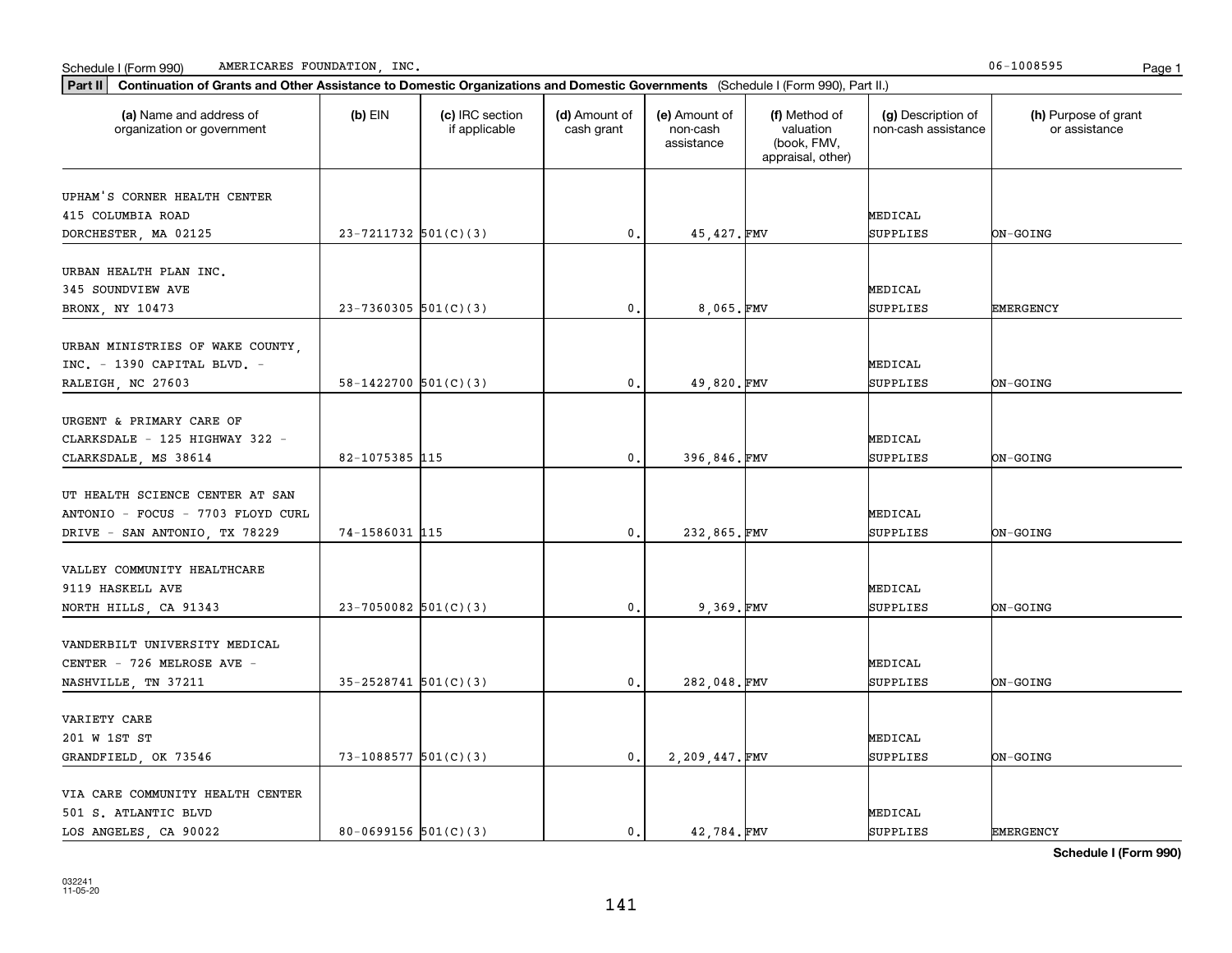| Part II<br>Continuation of Grants and Other Assistance to Domestic Organizations and Domestic Governments (Schedule I (Form 990), Part II.) |                            |                                  |                             |                                         |                                                                |                                           |                                       |
|---------------------------------------------------------------------------------------------------------------------------------------------|----------------------------|----------------------------------|-----------------------------|-----------------------------------------|----------------------------------------------------------------|-------------------------------------------|---------------------------------------|
| (a) Name and address of<br>organization or government                                                                                       | (b) EIN                    | (c) IRC section<br>if applicable | (d) Amount of<br>cash grant | (e) Amount of<br>non-cash<br>assistance | (f) Method of<br>valuation<br>(book, FMV,<br>appraisal, other) | (g) Description of<br>non-cash assistance | (h) Purpose of grant<br>or assistance |
| UPHAM'S CORNER HEALTH CENTER<br>415 COLUMBIA ROAD<br>DORCHESTER, MA 02125                                                                   | $23 - 7211732$ 501(C)(3)   |                                  | $\mathbf{0}$ .              | 45,427. FMV                             |                                                                | MEDICAL<br><b>SUPPLIES</b>                | <b>DN-GOING</b>                       |
| URBAN HEALTH PLAN INC.<br>345 SOUNDVIEW AVE<br>BRONX, NY 10473                                                                              | $23-7360305$ 501(C)(3)     |                                  | $\mathbf{0}$ .              | 8,065.FMV                               |                                                                | MEDICAL<br>SUPPLIES                       | <b>EMERGENCY</b>                      |
| URBAN MINISTRIES OF WAKE COUNTY,<br>INC. - 1390 CAPITAL BLVD. -<br>RALEIGH, NC 27603                                                        | 58-1422700 $501(C)(3)$     |                                  | $\mathfrak{o}$ .            | 49,820.FMV                              |                                                                | MEDICAL<br>SUPPLIES                       | <b>DN-GOING</b>                       |
| URGENT & PRIMARY CARE OF<br>CLARKSDALE - 125 HIGHWAY 322 -<br>CLARKSDALE, MS 38614                                                          | 82-1075385 115             |                                  | $\mathbf{0}$ .              | 396,846.FMV                             |                                                                | MEDICAL<br><b>SUPPLIES</b>                | <b>DN-GOING</b>                       |
| UT HEALTH SCIENCE CENTER AT SAN<br>ANTONIO - FOCUS - 7703 FLOYD CURL<br>DRIVE - SAN ANTONIO, TX 78229                                       | 74-1586031 115             |                                  | $\mathbf{0}$ .              | 232,865.FMV                             |                                                                | MEDICAL<br>SUPPLIES                       | <b>DN-GOING</b>                       |
| VALLEY COMMUNITY HEALTHCARE<br>9119 HASKELL AVE<br>NORTH HILLS, CA 91343                                                                    | $23 - 7050082$ 501(C)(3)   |                                  | $\mathfrak{o}$ .            | 9.369.FMV                               |                                                                | MEDICAL<br>SUPPLIES                       | <b>DN-GOING</b>                       |
| VANDERBILT UNIVERSITY MEDICAL<br>CENTER - 726 MELROSE AVE -<br>NASHVILLE, TN 37211                                                          | $35 - 2528741$ $501(C)(3)$ |                                  | $\mathbf{0}$ .              | 282,048.FMV                             |                                                                | MEDICAL<br><b>SUPPLIES</b>                | <b>DN-GOING</b>                       |
| VARIETY CARE<br>201 W 1ST ST<br>GRANDFIELD, OK 73546                                                                                        | 73-1088577 $501(C)(3)$     |                                  | $\mathbf{0}$ .              | 2,209,447. FMV                          |                                                                | MEDICAL<br>SUPPLIES                       | <b>DN-GOING</b>                       |
| VIA CARE COMMUNITY HEALTH CENTER<br>501 S. ATLANTIC BLVD<br>LOS ANGELES, CA 90022                                                           | 80-0699156 $501(C)(3)$     |                                  | $\mathbf{0}$ .              | 42.784.FMV                              |                                                                | MEDICAL<br><b>SUPPLIES</b>                | <b>EMERGENCY</b>                      |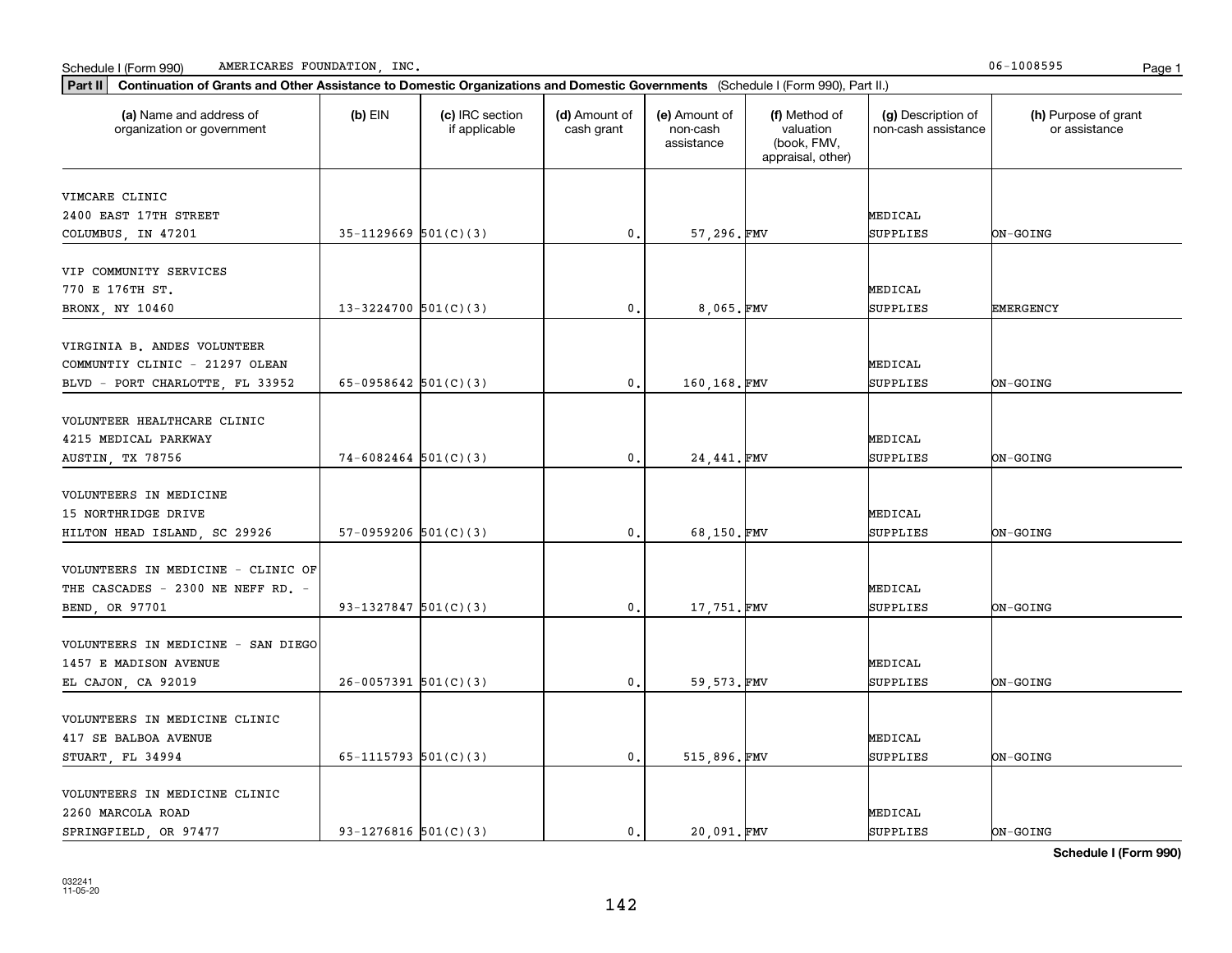| (a) Name and address of<br>organization or government | $(b)$ EIN                  | (c) IRC section<br>if applicable | (d) Amount of<br>cash grant | (e) Amount of<br>non-cash<br>assistance | (f) Method of<br>valuation<br>(book, FMV,<br>appraisal, other) | (g) Description of<br>non-cash assistance | (h) Purpose of grant<br>or assistance |
|-------------------------------------------------------|----------------------------|----------------------------------|-----------------------------|-----------------------------------------|----------------------------------------------------------------|-------------------------------------------|---------------------------------------|
| VIMCARE CLINIC                                        |                            |                                  |                             |                                         |                                                                |                                           |                                       |
| 2400 EAST 17TH STREET                                 |                            |                                  |                             |                                         |                                                                | MEDICAL                                   |                                       |
| COLUMBUS, IN 47201                                    | $35-1129669$ $501(C)(3)$   |                                  | 0.                          | 57,296.FMV                              |                                                                | SUPPLIES                                  | <b>DN-GOING</b>                       |
|                                                       |                            |                                  |                             |                                         |                                                                |                                           |                                       |
| VIP COMMUNITY SERVICES                                |                            |                                  |                             |                                         |                                                                |                                           |                                       |
| 770 E 176TH ST.                                       |                            |                                  |                             |                                         |                                                                | MEDICAL                                   |                                       |
| BRONX, NY 10460                                       | $13 - 3224700$ $501(C)(3)$ |                                  | 0.                          | 8.065.FMV                               |                                                                | SUPPLIES                                  | <b>EMERGENCY</b>                      |
| VIRGINIA B. ANDES VOLUNTEER                           |                            |                                  |                             |                                         |                                                                |                                           |                                       |
| COMMUNTIY CLINIC - 21297 OLEAN                        |                            |                                  |                             |                                         |                                                                | MEDICAL                                   |                                       |
| BLVD - PORT CHARLOTTE, FL 33952                       | 65-0958642 $501(C)(3)$     |                                  | $\mathbf{0}$ .              | 160,168.FMV                             |                                                                | SUPPLIES                                  | <b>DN-GOING</b>                       |
|                                                       |                            |                                  |                             |                                         |                                                                |                                           |                                       |
| VOLUNTEER HEALTHCARE CLINIC                           |                            |                                  |                             |                                         |                                                                |                                           |                                       |
| 4215 MEDICAL PARKWAY                                  |                            |                                  |                             |                                         |                                                                | MEDICAL                                   |                                       |
| AUSTIN, TX 78756                                      | $74-6082464$ 501(C)(3)     |                                  | $\mathbf{0}$ .              | 24,441.FMV                              |                                                                | SUPPLIES                                  | <b>DN-GOING</b>                       |
| VOLUNTEERS IN MEDICINE                                |                            |                                  |                             |                                         |                                                                |                                           |                                       |
| 15 NORTHRIDGE DRIVE                                   |                            |                                  |                             |                                         |                                                                | MEDICAL                                   |                                       |
| HILTON HEAD ISLAND, SC 29926                          | $57-0959206$ $501(C)(3)$   |                                  | 0.                          | 68,150.FMV                              |                                                                | SUPPLIES                                  | <b>DN-GOING</b>                       |
|                                                       |                            |                                  |                             |                                         |                                                                |                                           |                                       |
| VOLUNTEERS IN MEDICINE - CLINIC OF                    |                            |                                  |                             |                                         |                                                                |                                           |                                       |
| THE CASCADES - 2300 NE NEFF RD. -                     |                            |                                  |                             |                                         |                                                                | MEDICAL                                   |                                       |
| BEND, OR 97701                                        | 93-1327847 $501(C)(3)$     |                                  | 0.                          | 17,751.FMV                              |                                                                | SUPPLIES                                  | <b>DN-GOING</b>                       |
|                                                       |                            |                                  |                             |                                         |                                                                |                                           |                                       |
| VOLUNTEERS IN MEDICINE - SAN DIEGO                    |                            |                                  |                             |                                         |                                                                |                                           |                                       |
| 1457 E MADISON AVENUE                                 |                            |                                  |                             |                                         |                                                                | MEDICAL                                   |                                       |
| EL CAJON, CA 92019                                    | $26-0057391$ 501(C)(3)     |                                  | $\mathbf{0}$ .              | 59.573.FMV                              |                                                                | SUPPLIES                                  | <b>DN-GOING</b>                       |
| VOLUNTEERS IN MEDICINE CLINIC                         |                            |                                  |                             |                                         |                                                                |                                           |                                       |
| 417 SE BALBOA AVENUE                                  |                            |                                  |                             |                                         |                                                                | MEDICAL                                   |                                       |
| STUART, FL 34994                                      | 65-1115793 $501(C)(3)$     |                                  | $\mathbf{0}$ .              | 515,896.FMV                             |                                                                | SUPPLIES                                  | <b>DN-GOING</b>                       |
|                                                       |                            |                                  |                             |                                         |                                                                |                                           |                                       |
| VOLUNTEERS IN MEDICINE CLINIC                         |                            |                                  |                             |                                         |                                                                |                                           |                                       |
| 2260 MARCOLA ROAD                                     |                            |                                  |                             |                                         |                                                                | MEDICAL                                   |                                       |
| SPRINGFIELD, OR 97477                                 | 93-1276816 $501(C)(3)$     |                                  | $\mathbf{0}$ .              | 20.091.FMV                              |                                                                | SUPPLIES                                  | <b>DN-GOING</b>                       |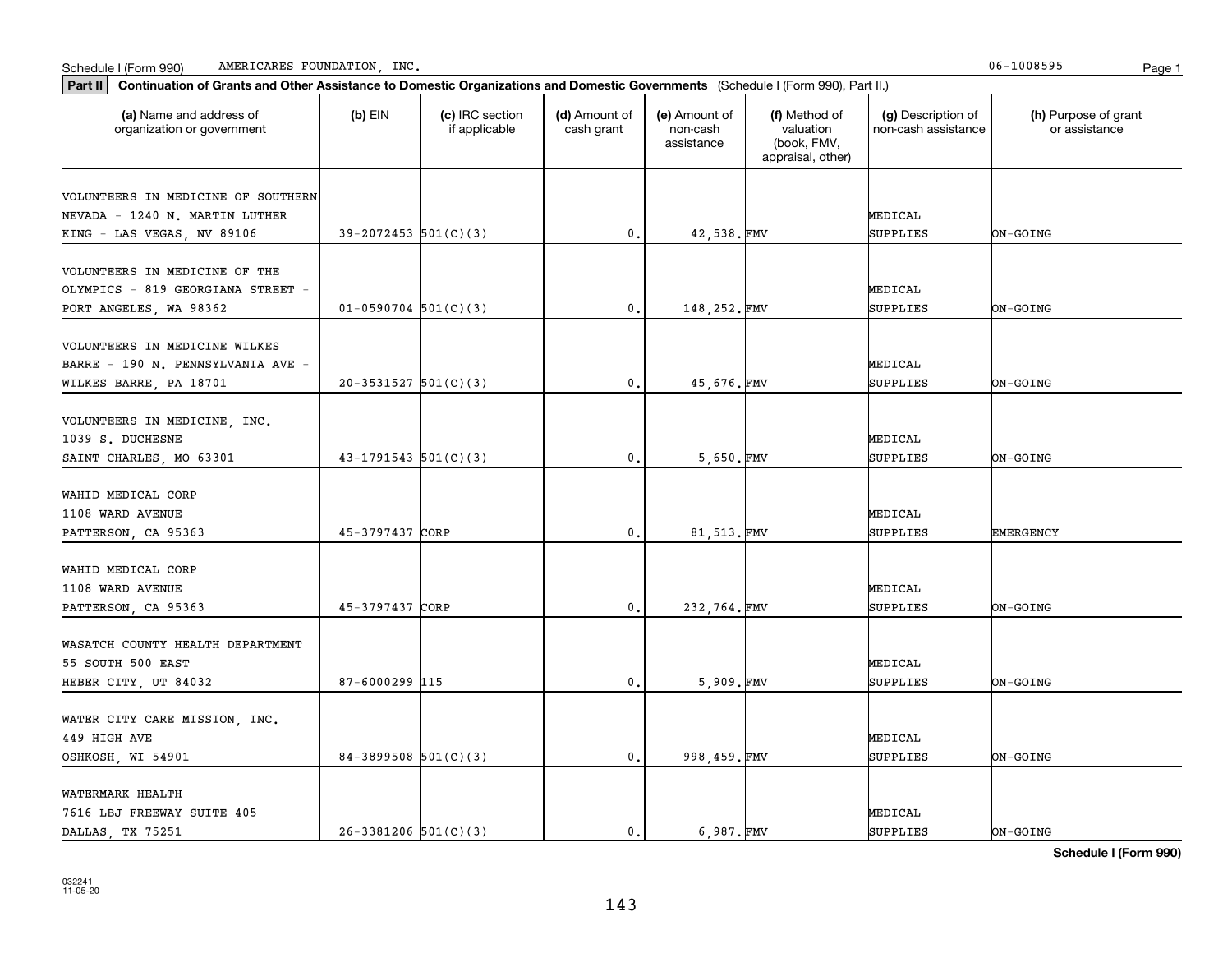| Continuation of Grants and Other Assistance to Domestic Organizations and Domestic Governments (Schedule I (Form 990), Part II.)<br>Part II |                            |                                  |                             |                                         |                                                                |                                           |                                       |
|---------------------------------------------------------------------------------------------------------------------------------------------|----------------------------|----------------------------------|-----------------------------|-----------------------------------------|----------------------------------------------------------------|-------------------------------------------|---------------------------------------|
| (a) Name and address of<br>organization or government                                                                                       | $(b)$ EIN                  | (c) IRC section<br>if applicable | (d) Amount of<br>cash grant | (e) Amount of<br>non-cash<br>assistance | (f) Method of<br>valuation<br>(book, FMV,<br>appraisal, other) | (g) Description of<br>non-cash assistance | (h) Purpose of grant<br>or assistance |
|                                                                                                                                             |                            |                                  |                             |                                         |                                                                |                                           |                                       |
| VOLUNTEERS IN MEDICINE OF SOUTHERN<br>NEVADA - 1240 N. MARTIN LUTHER                                                                        |                            |                                  |                             |                                         |                                                                | MEDICAL                                   |                                       |
| KING - LAS VEGAS, NV 89106                                                                                                                  | $39 - 2072453$ $501(C)(3)$ |                                  | 0.                          | 42,538.FMV                              |                                                                | SUPPLIES                                  | <b>DN-GOING</b>                       |
|                                                                                                                                             |                            |                                  |                             |                                         |                                                                |                                           |                                       |
| VOLUNTEERS IN MEDICINE OF THE                                                                                                               |                            |                                  |                             |                                         |                                                                |                                           |                                       |
| OLYMPICS - 819 GEORGIANA STREET -                                                                                                           |                            |                                  |                             |                                         |                                                                | MEDICAL                                   |                                       |
| PORT ANGELES, WA 98362                                                                                                                      | $01-0590704$ 501(C)(3)     |                                  | 0.                          | 148, 252. FMV                           |                                                                | SUPPLIES                                  | <b>DN-GOING</b>                       |
|                                                                                                                                             |                            |                                  |                             |                                         |                                                                |                                           |                                       |
| VOLUNTEERS IN MEDICINE WILKES<br>BARRE - 190 N. PENNSYLVANIA AVE -                                                                          |                            |                                  |                             |                                         |                                                                | MEDICAL                                   |                                       |
| WILKES BARRE, PA 18701                                                                                                                      | $20-3531527$ $501(C)(3)$   |                                  | 0.                          | 45,676.FMV                              |                                                                | SUPPLIES                                  | <b>DN-GOING</b>                       |
|                                                                                                                                             |                            |                                  |                             |                                         |                                                                |                                           |                                       |
| VOLUNTEERS IN MEDICINE, INC.                                                                                                                |                            |                                  |                             |                                         |                                                                |                                           |                                       |
| 1039 S. DUCHESNE                                                                                                                            |                            |                                  |                             |                                         |                                                                | MEDICAL                                   |                                       |
| SAINT CHARLES, MO 63301                                                                                                                     | $43-1791543$ 501(C)(3)     |                                  | 0.                          | 5,650.FMV                               |                                                                | SUPPLIES                                  | <b>DN-GOING</b>                       |
|                                                                                                                                             |                            |                                  |                             |                                         |                                                                |                                           |                                       |
| WAHID MEDICAL CORP                                                                                                                          |                            |                                  |                             |                                         |                                                                |                                           |                                       |
| 1108 WARD AVENUE<br>PATTERSON, CA 95363                                                                                                     | 45-3797437 CORP            |                                  | 0.                          | 81,513.FMV                              |                                                                | MEDICAL<br>SUPPLIES                       | <b>EMERGENCY</b>                      |
|                                                                                                                                             |                            |                                  |                             |                                         |                                                                |                                           |                                       |
| WAHID MEDICAL CORP                                                                                                                          |                            |                                  |                             |                                         |                                                                |                                           |                                       |
| 1108 WARD AVENUE                                                                                                                            |                            |                                  |                             |                                         |                                                                | MEDICAL                                   |                                       |
| PATTERSON, CA 95363                                                                                                                         | 45-3797437 CORP            |                                  | 0.                          | 232,764.FMV                             |                                                                | SUPPLIES                                  | <b>DN-GOING</b>                       |
|                                                                                                                                             |                            |                                  |                             |                                         |                                                                |                                           |                                       |
| WASATCH COUNTY HEALTH DEPARTMENT                                                                                                            |                            |                                  |                             |                                         |                                                                |                                           |                                       |
| 55 SOUTH 500 EAST                                                                                                                           |                            |                                  |                             |                                         |                                                                | MEDICAL                                   |                                       |
| HEBER CITY, UT 84032                                                                                                                        | 87-6000299 115             |                                  | 0.                          | 5,909.FMV                               |                                                                | SUPPLIES                                  | <b>DN-GOING</b>                       |
| WATER CITY CARE MISSION, INC.                                                                                                               |                            |                                  |                             |                                         |                                                                |                                           |                                       |
| 449 HIGH AVE                                                                                                                                |                            |                                  |                             |                                         |                                                                | MEDICAL                                   |                                       |
| OSHKOSH, WI 54901                                                                                                                           | $84-3899508$ 501(C)(3)     |                                  | 0.                          | 998, 459. FMV                           |                                                                | SUPPLIES                                  | <b>DN-GOING</b>                       |
|                                                                                                                                             |                            |                                  |                             |                                         |                                                                |                                           |                                       |
| WATERMARK HEALTH                                                                                                                            |                            |                                  |                             |                                         |                                                                |                                           |                                       |
| 7616 LBJ FREEWAY SUITE 405                                                                                                                  |                            |                                  |                             |                                         |                                                                | MEDICAL                                   |                                       |
| DALLAS, TX 75251                                                                                                                            | $26-3381206$ 501(C)(3)     |                                  | 0.                          | 6.987.FMV                               |                                                                | SUPPLIES                                  | <b>DN-GOING</b>                       |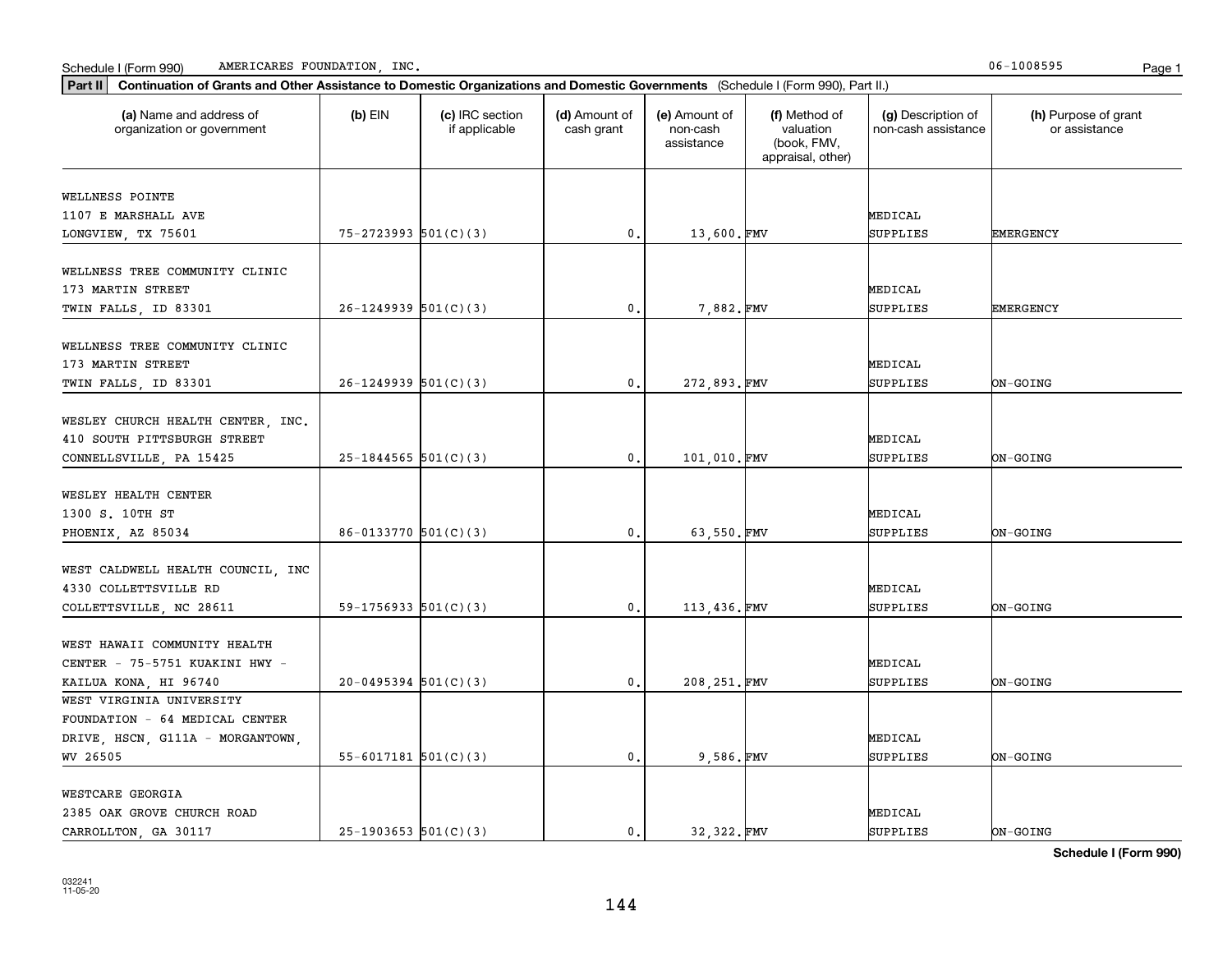| (a) Name and address of<br>organization or government | $(b)$ EIN                  | (c) IRC section<br>if applicable | (d) Amount of<br>cash grant | (e) Amount of<br>non-cash<br>assistance | (f) Method of<br>valuation<br>(book, FMV,<br>appraisal, other) | (g) Description of<br>non-cash assistance | (h) Purpose of grant<br>or assistance |
|-------------------------------------------------------|----------------------------|----------------------------------|-----------------------------|-----------------------------------------|----------------------------------------------------------------|-------------------------------------------|---------------------------------------|
| WELLNESS POINTE                                       |                            |                                  |                             |                                         |                                                                |                                           |                                       |
| 1107 E MARSHALL AVE                                   |                            |                                  |                             |                                         |                                                                | MEDICAL                                   |                                       |
| LONGVIEW, TX 75601                                    | $75 - 2723993$ $501(C)(3)$ |                                  | 0.                          | 13,600.FMV                              |                                                                | <b>SUPPLIES</b>                           | <b>EMERGENCY</b>                      |
|                                                       |                            |                                  |                             |                                         |                                                                |                                           |                                       |
| WELLNESS TREE COMMUNITY CLINIC                        |                            |                                  |                             |                                         |                                                                |                                           |                                       |
| 173 MARTIN STREET                                     |                            |                                  |                             |                                         |                                                                | MEDICAL                                   |                                       |
| TWIN FALLS, ID 83301                                  | $26-1249939$ 501(C)(3)     |                                  | 0.                          | 7.882.FMV                               |                                                                | SUPPLIES                                  | <b>EMERGENCY</b>                      |
|                                                       |                            |                                  |                             |                                         |                                                                |                                           |                                       |
| WELLNESS TREE COMMUNITY CLINIC                        |                            |                                  |                             |                                         |                                                                |                                           |                                       |
| 173 MARTIN STREET                                     |                            |                                  |                             |                                         |                                                                | MEDICAL                                   |                                       |
| TWIN FALLS, ID 83301                                  | $26-1249939$ 501(C)(3)     |                                  | 0.                          | 272,893.FMV                             |                                                                | SUPPLIES                                  | <b>DN-GOING</b>                       |
|                                                       |                            |                                  |                             |                                         |                                                                |                                           |                                       |
| WESLEY CHURCH HEALTH CENTER, INC.                     |                            |                                  |                             |                                         |                                                                |                                           |                                       |
| 410 SOUTH PITTSBURGH STREET                           |                            |                                  |                             |                                         |                                                                | MEDICAL                                   |                                       |
| CONNELLSVILLE, PA 15425                               | $25 - 1844565$ 501(C)(3)   |                                  | $\mathbf{0}$ .              | 101,010.FMV                             |                                                                | SUPPLIES                                  | <b>DN-GOING</b>                       |
| WESLEY HEALTH CENTER                                  |                            |                                  |                             |                                         |                                                                |                                           |                                       |
| 1300 S. 10TH ST                                       |                            |                                  |                             |                                         |                                                                | MEDICAL                                   |                                       |
| PHOENIX, AZ 85034                                     | $86 - 0133770$ 501(C)(3)   |                                  | 0.                          | 63,550.FMV                              |                                                                | SUPPLIES                                  | bn-going                              |
|                                                       |                            |                                  |                             |                                         |                                                                |                                           |                                       |
| WEST CALDWELL HEALTH COUNCIL, INC                     |                            |                                  |                             |                                         |                                                                |                                           |                                       |
| 4330 COLLETTSVILLE RD                                 |                            |                                  |                             |                                         |                                                                | MEDICAL                                   |                                       |
| COLLETTSVILLE, NC 28611                               | $59-1756933$ $501(C)(3)$   |                                  | $\mathbf{0}$ .              | 113,436.FMV                             |                                                                | SUPPLIES                                  | <b>DN-GOING</b>                       |
|                                                       |                            |                                  |                             |                                         |                                                                |                                           |                                       |
| WEST HAWAII COMMUNITY HEALTH                          |                            |                                  |                             |                                         |                                                                |                                           |                                       |
| CENTER - 75-5751 KUAKINI HWY -                        |                            |                                  |                             |                                         |                                                                | MEDICAL                                   |                                       |
| KAILUA KONA, HI 96740                                 | $20-0495394$ 501(C)(3)     |                                  | 0.                          | 208, 251. FMV                           |                                                                | SUPPLIES                                  | <b>DN-GOING</b>                       |
| WEST VIRGINIA UNIVERSITY                              |                            |                                  |                             |                                         |                                                                |                                           |                                       |
| FOUNDATION - 64 MEDICAL CENTER                        |                            |                                  |                             |                                         |                                                                |                                           |                                       |
| DRIVE, HSCN, G111A - MORGANTOWN,                      |                            |                                  |                             |                                         |                                                                | MEDICAL                                   |                                       |
| WV 26505                                              | $55 - 6017181$ $501(C)(3)$ |                                  | $\mathbf{0}$ .              | 9,586.FMV                               |                                                                | SUPPLIES                                  | <b>DN-GOING</b>                       |
|                                                       |                            |                                  |                             |                                         |                                                                |                                           |                                       |
| WESTCARE GEORGIA                                      |                            |                                  |                             |                                         |                                                                |                                           |                                       |
| 2385 OAK GROVE CHURCH ROAD                            |                            |                                  |                             |                                         |                                                                | MEDICAL                                   |                                       |
| CARROLLTON, GA 30117                                  | $25-1903653$ $501(C)(3)$   |                                  | $\mathbf{0}$ .              | 32.322. FMV                             |                                                                | <b>SUPPLIES</b>                           | <b>DN-GOING</b>                       |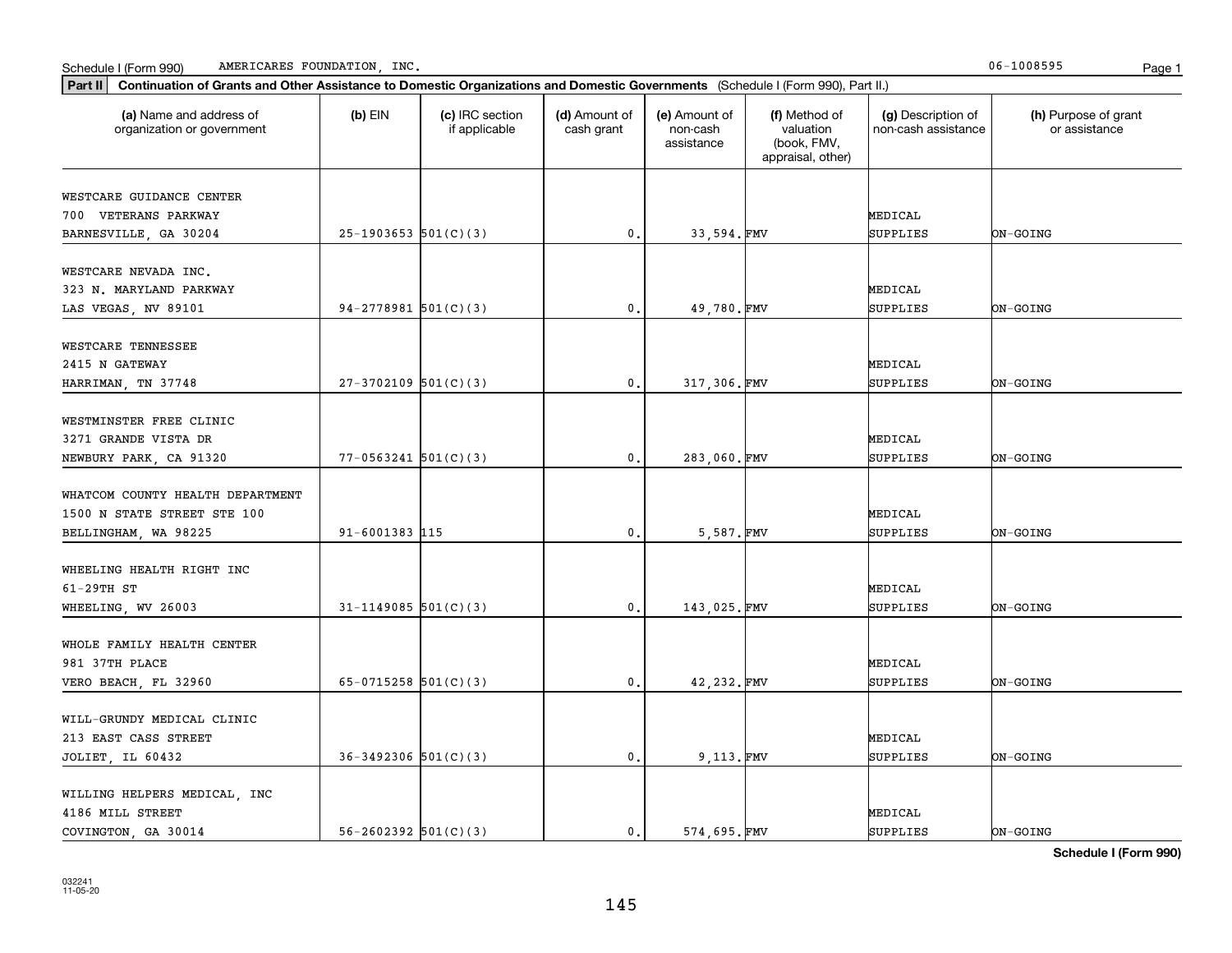| Continuation of Grants and Other Assistance to Domestic Organizations and Domestic Governments (Schedule I (Form 990), Part II.)<br>Part II |                            |                                  |                             |                                         |                                                                |                                           |                                       |
|---------------------------------------------------------------------------------------------------------------------------------------------|----------------------------|----------------------------------|-----------------------------|-----------------------------------------|----------------------------------------------------------------|-------------------------------------------|---------------------------------------|
| (a) Name and address of<br>organization or government                                                                                       | $(b)$ EIN                  | (c) IRC section<br>if applicable | (d) Amount of<br>cash grant | (e) Amount of<br>non-cash<br>assistance | (f) Method of<br>valuation<br>(book, FMV,<br>appraisal, other) | (g) Description of<br>non-cash assistance | (h) Purpose of grant<br>or assistance |
| WESTCARE GUIDANCE CENTER                                                                                                                    |                            |                                  |                             |                                         |                                                                |                                           |                                       |
| 700 VETERANS PARKWAY                                                                                                                        |                            |                                  |                             |                                         |                                                                | MEDICAL                                   |                                       |
| BARNESVILLE, GA 30204                                                                                                                       | $25-1903653$ $501(C)(3)$   |                                  | 0.                          | 33,594.FMV                              |                                                                | SUPPLIES                                  | <b>DN-GOING</b>                       |
| WESTCARE NEVADA INC.                                                                                                                        |                            |                                  |                             |                                         |                                                                |                                           |                                       |
| 323 N. MARYLAND PARKWAY                                                                                                                     |                            |                                  |                             |                                         |                                                                | MEDICAL                                   |                                       |
| LAS VEGAS, NV 89101                                                                                                                         | $94-2778981$ 501(C)(3)     |                                  | $\mathsf{0}$ .              | 49,780.FMV                              |                                                                | SUPPLIES                                  | <b>DN-GOING</b>                       |
| WESTCARE TENNESSEE                                                                                                                          |                            |                                  |                             |                                         |                                                                |                                           |                                       |
| 2415 N GATEWAY                                                                                                                              |                            |                                  |                             |                                         |                                                                | MEDICAL                                   |                                       |
| HARRIMAN, TN 37748                                                                                                                          | $27-3702109$ 501(C)(3)     |                                  | $\mathfrak{o}$ .            | 317,306.FMV                             |                                                                | SUPPLIES                                  | <b>DN-GOING</b>                       |
|                                                                                                                                             |                            |                                  |                             |                                         |                                                                |                                           |                                       |
| WESTMINSTER FREE CLINIC                                                                                                                     |                            |                                  |                             |                                         |                                                                |                                           |                                       |
| 3271 GRANDE VISTA DR                                                                                                                        |                            |                                  |                             |                                         |                                                                | MEDICAL                                   |                                       |
| NEWBURY PARK, CA 91320                                                                                                                      | $77 - 0563241$ $501(C)(3)$ |                                  | 0.                          | 283,060.FMV                             |                                                                | SUPPLIES                                  | <b>DN-GOING</b>                       |
| WHATCOM COUNTY HEALTH DEPARTMENT                                                                                                            |                            |                                  |                             |                                         |                                                                |                                           |                                       |
| 1500 N STATE STREET STE 100                                                                                                                 |                            |                                  |                             |                                         |                                                                | MEDICAL                                   |                                       |
| BELLINGHAM, WA 98225                                                                                                                        | 91-6001383 115             |                                  | 0.                          | 5,587.FMV                               |                                                                | SUPPLIES                                  | <b>ON-GOING</b>                       |
|                                                                                                                                             |                            |                                  |                             |                                         |                                                                |                                           |                                       |
| WHEELING HEALTH RIGHT INC                                                                                                                   |                            |                                  |                             |                                         |                                                                |                                           |                                       |
| 61-29TH ST                                                                                                                                  |                            |                                  |                             |                                         |                                                                | MEDICAL                                   |                                       |
| WHEELING, WV 26003                                                                                                                          | $31 - 1149085$ 501(C)(3)   |                                  | $\mathfrak{o}$ .            | 143,025.FMV                             |                                                                | SUPPLIES                                  | <b>DN-GOING</b>                       |
| WHOLE FAMILY HEALTH CENTER                                                                                                                  |                            |                                  |                             |                                         |                                                                |                                           |                                       |
| 981 37TH PLACE                                                                                                                              |                            |                                  |                             |                                         |                                                                | MEDICAL                                   |                                       |
| VERO BEACH, FL 32960                                                                                                                        | $65-0715258$ $501(C)(3)$   |                                  | 0.                          | 42,232. FMV                             |                                                                | SUPPLIES                                  | <b>DN-GOING</b>                       |
|                                                                                                                                             |                            |                                  |                             |                                         |                                                                |                                           |                                       |
| WILL-GRUNDY MEDICAL CLINIC                                                                                                                  |                            |                                  |                             |                                         |                                                                |                                           |                                       |
| 213 EAST CASS STREET                                                                                                                        |                            |                                  |                             |                                         |                                                                | MEDICAL                                   |                                       |
| JOLIET, IL 60432                                                                                                                            | $36-3492306$ 501(C)(3)     |                                  | 0.                          | 9,113.FMV                               |                                                                | SUPPLIES                                  | <b>ON-GOING</b>                       |
|                                                                                                                                             |                            |                                  |                             |                                         |                                                                |                                           |                                       |
| WILLING HELPERS MEDICAL, INC<br>4186 MILL STREET                                                                                            |                            |                                  |                             |                                         |                                                                | MEDICAL                                   |                                       |
| COVINGTON, GA 30014                                                                                                                         | $56 - 2602392$ $501(C)(3)$ |                                  | $\mathbf{0}$ .              | 574,695.FMV                             |                                                                | <b>SUPPLIES</b>                           | <b>DN-GOING</b>                       |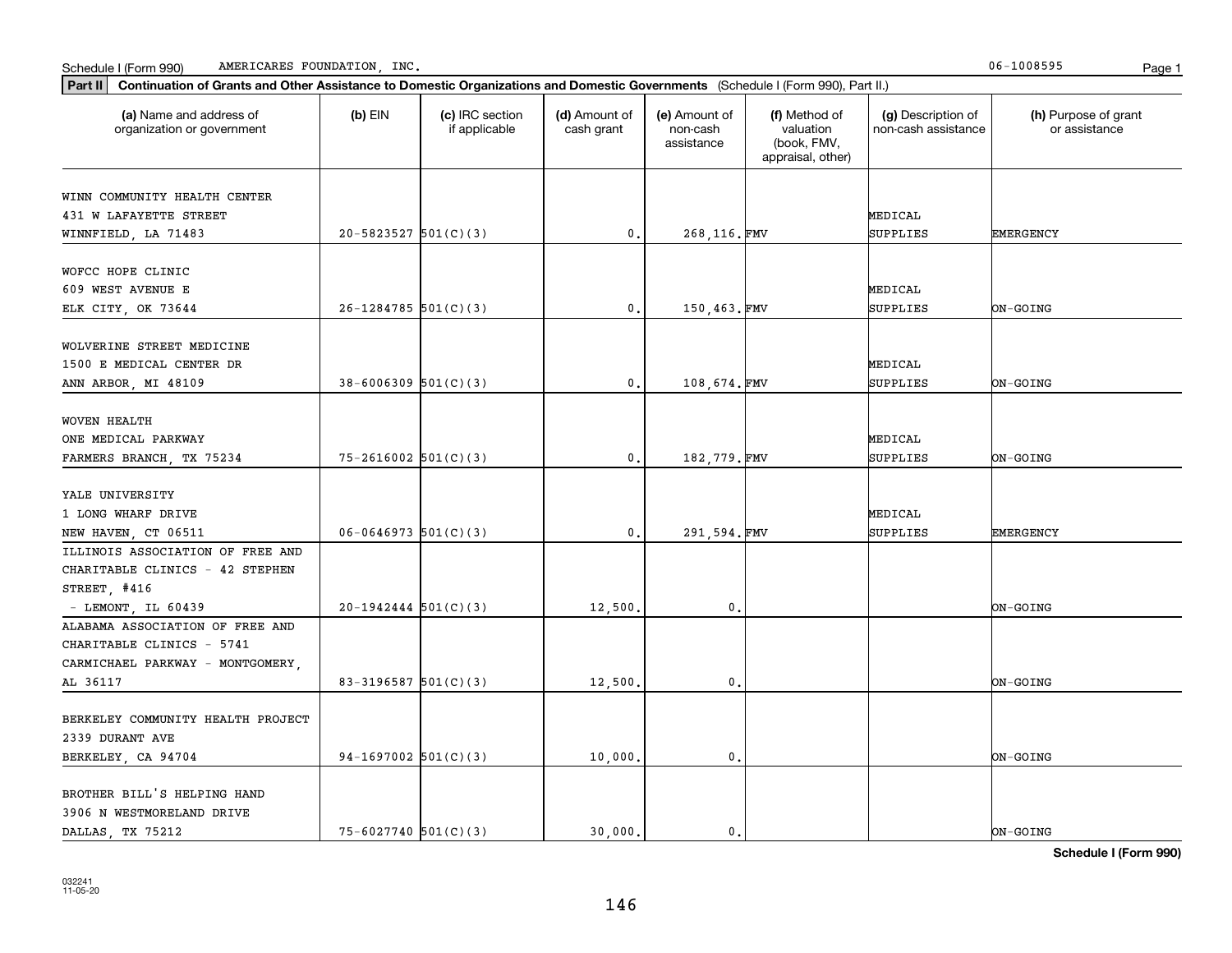| Part II   Continuation of Grants and Other Assistance to Domestic Organizations and Domestic Governments (Schedule I (Form 990), Part II.) |                            |                                  |                             |                                         |                                                                |                                           |                                       |
|--------------------------------------------------------------------------------------------------------------------------------------------|----------------------------|----------------------------------|-----------------------------|-----------------------------------------|----------------------------------------------------------------|-------------------------------------------|---------------------------------------|
| (a) Name and address of<br>organization or government                                                                                      | $(b)$ EIN                  | (c) IRC section<br>if applicable | (d) Amount of<br>cash grant | (e) Amount of<br>non-cash<br>assistance | (f) Method of<br>valuation<br>(book, FMV,<br>appraisal, other) | (g) Description of<br>non-cash assistance | (h) Purpose of grant<br>or assistance |
| WINN COMMUNITY HEALTH CENTER                                                                                                               |                            |                                  |                             |                                         |                                                                |                                           |                                       |
| 431 W LAFAYETTE STREET                                                                                                                     |                            |                                  |                             |                                         |                                                                | MEDICAL                                   |                                       |
| WINNFIELD, LA 71483                                                                                                                        | $20 - 5823527$ 501(C)(3)   |                                  | $\mathbf{0}$ .              | 268,116.FMV                             |                                                                | <b>SUPPLIES</b>                           | <b>EMERGENCY</b>                      |
|                                                                                                                                            |                            |                                  |                             |                                         |                                                                |                                           |                                       |
| WOFCC HOPE CLINIC                                                                                                                          |                            |                                  |                             |                                         |                                                                |                                           |                                       |
| 609 WEST AVENUE E                                                                                                                          |                            |                                  |                             |                                         |                                                                | MEDICAL                                   |                                       |
| ELK CITY, OK 73644                                                                                                                         | $26 - 1284785$ 501(C)(3)   |                                  | $\mathbf{0}$ .              | 150,463.FMV                             |                                                                | SUPPLIES                                  | <b>DN-GOING</b>                       |
|                                                                                                                                            |                            |                                  |                             |                                         |                                                                |                                           |                                       |
| WOLVERINE STREET MEDICINE                                                                                                                  |                            |                                  |                             |                                         |                                                                |                                           |                                       |
| 1500 E MEDICAL CENTER DR                                                                                                                   |                            |                                  |                             |                                         |                                                                | MEDICAL                                   |                                       |
| ANN ARBOR, MI 48109                                                                                                                        | $38 - 6006309$ $501(C)(3)$ |                                  | $\mathbf{0}$ .              | 108,674.FMV                             |                                                                | <b>SUPPLIES</b>                           | <b>DN-GOING</b>                       |
|                                                                                                                                            |                            |                                  |                             |                                         |                                                                |                                           |                                       |
| <b>WOVEN HEALTH</b>                                                                                                                        |                            |                                  |                             |                                         |                                                                |                                           |                                       |
| ONE MEDICAL PARKWAY                                                                                                                        |                            |                                  |                             |                                         |                                                                | MEDICAL                                   |                                       |
| FARMERS BRANCH, TX 75234                                                                                                                   | $75 - 2616002$ 501(C)(3)   |                                  | 0.                          | 182,779.FMV                             |                                                                | SUPPLIES                                  | <b>DN-GOING</b>                       |
|                                                                                                                                            |                            |                                  |                             |                                         |                                                                |                                           |                                       |
| YALE UNIVERSITY                                                                                                                            |                            |                                  |                             |                                         |                                                                |                                           |                                       |
| 1 LONG WHARF DRIVE                                                                                                                         |                            |                                  |                             |                                         |                                                                | MEDICAL                                   |                                       |
| NEW HAVEN, CT 06511                                                                                                                        | $06 - 0646973$ 501(C)(3)   |                                  | $\mathbf{0}$ .              | 291,594.FMV                             |                                                                | <b>SUPPLIES</b>                           | <b>EMERGENCY</b>                      |
| ILLINOIS ASSOCIATION OF FREE AND                                                                                                           |                            |                                  |                             |                                         |                                                                |                                           |                                       |
| CHARITABLE CLINICS - 42 STEPHEN                                                                                                            |                            |                                  |                             |                                         |                                                                |                                           |                                       |
| STREET, #416                                                                                                                               |                            |                                  |                             |                                         |                                                                |                                           |                                       |
| - LEMONT, IL 60439                                                                                                                         | $20-1942444$ 501(C)(3)     |                                  | 12,500.                     | 0.                                      |                                                                |                                           | <b>DN-GOING</b>                       |
| ALABAMA ASSOCIATION OF FREE AND                                                                                                            |                            |                                  |                             |                                         |                                                                |                                           |                                       |
| CHARITABLE CLINICS - 5741                                                                                                                  |                            |                                  |                             |                                         |                                                                |                                           |                                       |
| CARMICHAEL PARKWAY - MONTGOMERY,                                                                                                           |                            |                                  |                             |                                         |                                                                |                                           |                                       |
| AL 36117                                                                                                                                   | $83 - 3196587$ $501(C)(3)$ |                                  | 12,500.                     | 0,                                      |                                                                |                                           | <b>DN-GOING</b>                       |
|                                                                                                                                            |                            |                                  |                             |                                         |                                                                |                                           |                                       |
| BERKELEY COMMUNITY HEALTH PROJECT                                                                                                          |                            |                                  |                             |                                         |                                                                |                                           |                                       |
| 2339 DURANT AVE                                                                                                                            |                            |                                  |                             |                                         |                                                                |                                           |                                       |
| BERKELEY, CA 94704                                                                                                                         | 94-1697002 $501(C)(3)$     |                                  | 10,000.                     | 0,                                      |                                                                |                                           | <b>DN-GOING</b>                       |
| BROTHER BILL'S HELPING HAND                                                                                                                |                            |                                  |                             |                                         |                                                                |                                           |                                       |
|                                                                                                                                            |                            |                                  |                             |                                         |                                                                |                                           |                                       |
| 3906 N WESTMORELAND DRIVE                                                                                                                  |                            |                                  |                             |                                         |                                                                |                                           |                                       |
| DALLAS TX 75212                                                                                                                            | $75 - 6027740$ 501(C)(3)   |                                  | 30,000.                     | 0.                                      |                                                                |                                           | <b>DN-GOING</b>                       |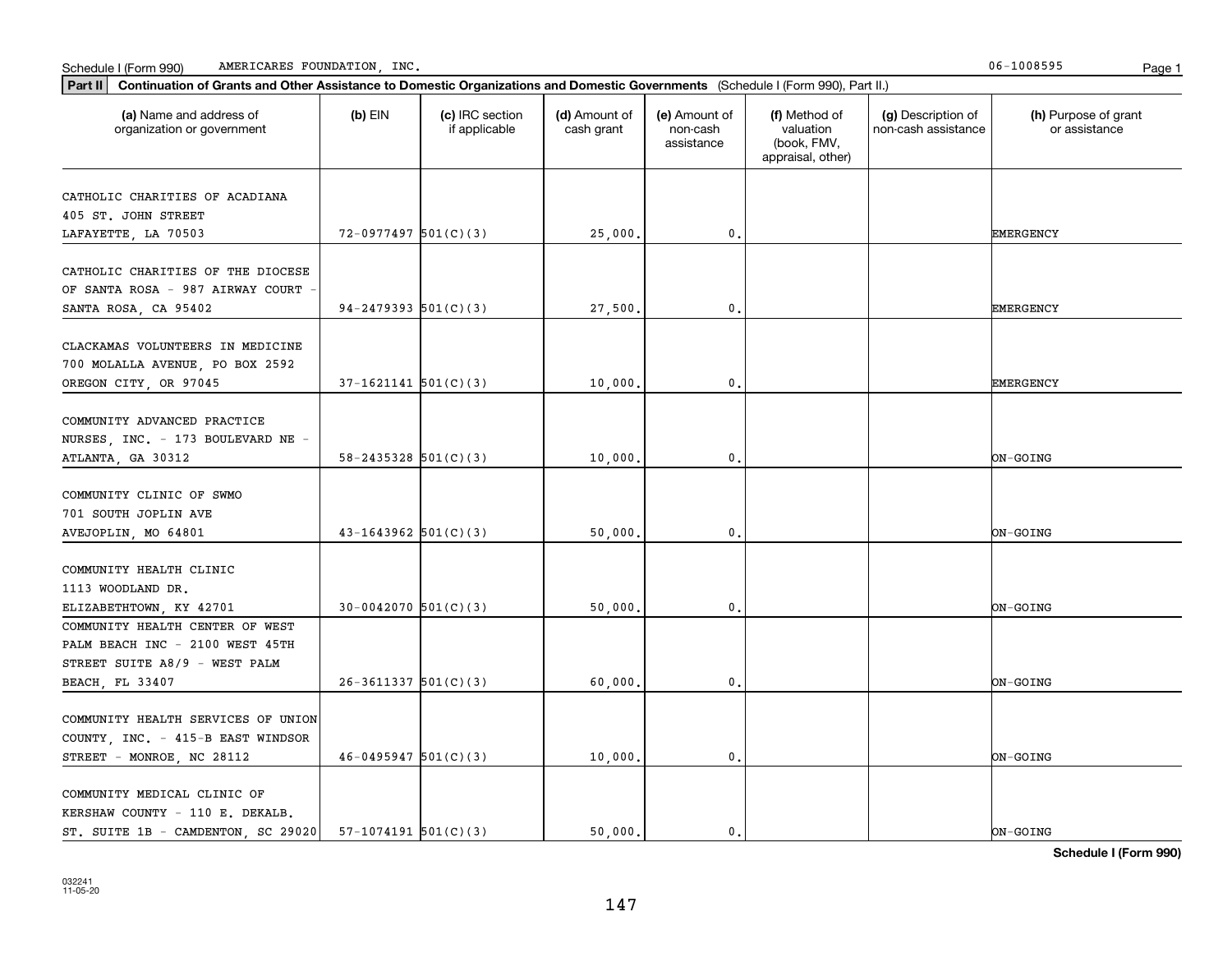| (a) Name and address of<br>organization or government | $(b)$ EIN                  | (c) IRC section<br>if applicable | (d) Amount of<br>cash grant | (e) Amount of<br>non-cash<br>assistance | (f) Method of<br>valuation<br>(book, FMV,<br>appraisal, other) | (g) Description of<br>non-cash assistance | (h) Purpose of grant<br>or assistance |
|-------------------------------------------------------|----------------------------|----------------------------------|-----------------------------|-----------------------------------------|----------------------------------------------------------------|-------------------------------------------|---------------------------------------|
| CATHOLIC CHARITIES OF ACADIANA                        |                            |                                  |                             |                                         |                                                                |                                           |                                       |
| 405 ST. JOHN STREET                                   |                            |                                  |                             |                                         |                                                                |                                           |                                       |
| LAFAYETTE, LA 70503                                   | $72-0977497$ 501(C)(3)     |                                  | 25,000.                     | $\mathbf{0}$ .                          |                                                                |                                           | <b>EMERGENCY</b>                      |
|                                                       |                            |                                  |                             |                                         |                                                                |                                           |                                       |
| CATHOLIC CHARITIES OF THE DIOCESE                     |                            |                                  |                             |                                         |                                                                |                                           |                                       |
| OF SANTA ROSA - 987 AIRWAY COURT                      |                            |                                  |                             |                                         |                                                                |                                           |                                       |
| SANTA ROSA, CA 95402                                  | $94 - 2479393$ $501(C)(3)$ |                                  | 27,500.                     | $\mathbf{0}$                            |                                                                |                                           | <b>EMERGENCY</b>                      |
|                                                       |                            |                                  |                             |                                         |                                                                |                                           |                                       |
| CLACKAMAS VOLUNTEERS IN MEDICINE                      |                            |                                  |                             |                                         |                                                                |                                           |                                       |
| 700 MOLALLA AVENUE, PO BOX 2592                       |                            |                                  |                             |                                         |                                                                |                                           |                                       |
| OREGON CITY, OR 97045                                 | $37-1621141$ $501(C)(3)$   |                                  | 10,000.                     | 0.                                      |                                                                |                                           | <b>EMERGENCY</b>                      |
|                                                       |                            |                                  |                             |                                         |                                                                |                                           |                                       |
| COMMUNITY ADVANCED PRACTICE                           |                            |                                  |                             |                                         |                                                                |                                           |                                       |
| NURSES, INC. - 173 BOULEVARD NE -                     |                            |                                  |                             |                                         |                                                                |                                           |                                       |
| ATLANTA, GA 30312                                     | $58 - 2435328$ $501(C)(3)$ |                                  | 10,000,                     | $\mathbf 0$                             |                                                                |                                           | <b>DN-GOING</b>                       |
| COMMUNITY CLINIC OF SWMO                              |                            |                                  |                             |                                         |                                                                |                                           |                                       |
| 701 SOUTH JOPLIN AVE                                  |                            |                                  |                             |                                         |                                                                |                                           |                                       |
| AVEJOPLIN, MO 64801                                   | $43-1643962$ 501(C)(3)     |                                  | 50,000,                     | 0.                                      |                                                                |                                           | <b>DN-GOING</b>                       |
|                                                       |                            |                                  |                             |                                         |                                                                |                                           |                                       |
| COMMUNITY HEALTH CLINIC                               |                            |                                  |                             |                                         |                                                                |                                           |                                       |
| 1113 WOODLAND DR.                                     |                            |                                  |                             |                                         |                                                                |                                           |                                       |
| ELIZABETHTOWN, KY 42701                               | $30-0042070$ 501(C)(3)     |                                  | 50,000,                     | 0.                                      |                                                                |                                           | <b>DN-GOING</b>                       |
| COMMUNITY HEALTH CENTER OF WEST                       |                            |                                  |                             |                                         |                                                                |                                           |                                       |
| PALM BEACH INC - 2100 WEST 45TH                       |                            |                                  |                             |                                         |                                                                |                                           |                                       |
| STREET SUITE A8/9 - WEST PALM                         |                            |                                  |                             |                                         |                                                                |                                           |                                       |
| BEACH, FL 33407                                       | $26-3611337$ 501(C)(3)     |                                  | 60,000,                     | 0.                                      |                                                                |                                           | <b>DN-GOING</b>                       |
|                                                       |                            |                                  |                             |                                         |                                                                |                                           |                                       |
| COMMUNITY HEALTH SERVICES OF UNION                    |                            |                                  |                             |                                         |                                                                |                                           |                                       |
| COUNTY, INC. - 415-B EAST WINDSOR                     |                            |                                  |                             |                                         |                                                                |                                           |                                       |
| STREET - MONROE, NC 28112                             | $46-0495947$ 501(C)(3)     |                                  | 10,000.                     | 0.                                      |                                                                |                                           | <b>DN-GOING</b>                       |
|                                                       |                            |                                  |                             |                                         |                                                                |                                           |                                       |
| COMMUNITY MEDICAL CLINIC OF                           |                            |                                  |                             |                                         |                                                                |                                           |                                       |
| KERSHAW COUNTY - 110 E. DEKALB.                       |                            |                                  |                             |                                         |                                                                |                                           |                                       |
| ST. SUITE 1B - CAMDENTON, SC 29020                    | $57-1074191$ $501(C)(3)$   |                                  | 50,000.                     | 0.                                      |                                                                |                                           | <b>DN-GOING</b>                       |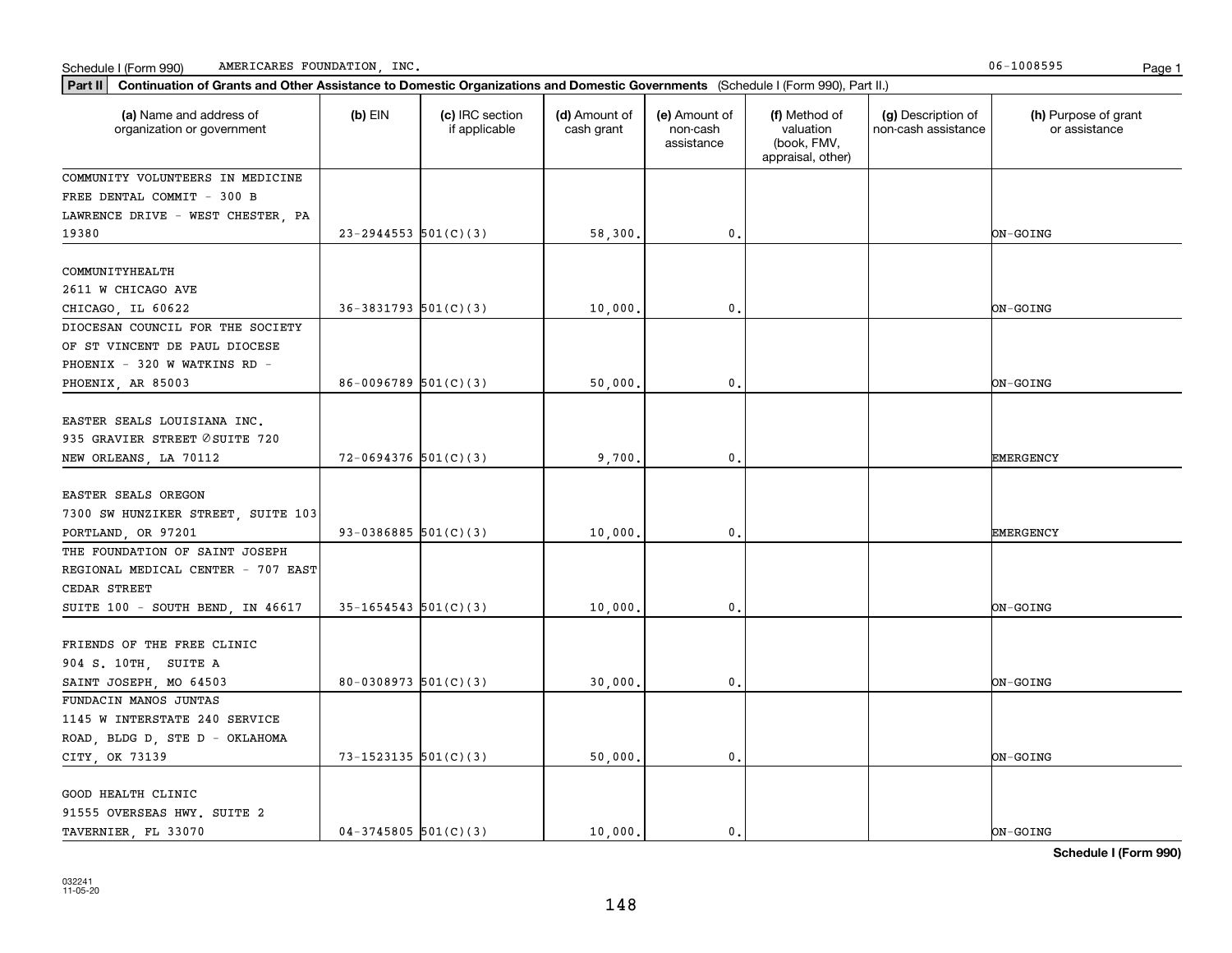$\left| \begin{array}{c} \text{In } \\ \text{In } \\ \text{In } \end{array} \right|$  IRC section Amount of

**Part II Continuation of Grants and Other Assistance to Domestic Organizations and Domestic Governments**  (Schedule I (Form 990), Part II.)

**Schedule I (Form 990)**

| (a) Name and address of<br>organization or government                                | $(b)$ EIN                  | (c) IRC section<br>if applicable | (d) Amount of<br>cash grant | (e) Amount of<br>non-cash<br>assistance | (f) Method of<br>valuation<br>(book, FMV,<br>appraisal, other) | (g) Description of<br>non-cash assistance | (h) Purpose of grant<br>or assistance |
|--------------------------------------------------------------------------------------|----------------------------|----------------------------------|-----------------------------|-----------------------------------------|----------------------------------------------------------------|-------------------------------------------|---------------------------------------|
| COMMUNITY VOLUNTEERS IN MEDICINE                                                     |                            |                                  |                             |                                         |                                                                |                                           |                                       |
| FREE DENTAL COMMIT - 300 B                                                           |                            |                                  |                             |                                         |                                                                |                                           |                                       |
| LAWRENCE DRIVE - WEST CHESTER, PA                                                    |                            |                                  |                             |                                         |                                                                |                                           |                                       |
| 19380                                                                                | 23-2944553 $501(C)(3)$     |                                  | 58,300.                     | 0.                                      |                                                                |                                           | <b>DN-GOING</b>                       |
| COMMUNITYHEALTH                                                                      |                            |                                  |                             |                                         |                                                                |                                           |                                       |
| 2611 W CHICAGO AVE                                                                   |                            |                                  |                             |                                         |                                                                |                                           |                                       |
| CHICAGO, IL 60622                                                                    | $36-3831793$ $501(C)(3)$   |                                  | 10,000                      | 0.                                      |                                                                |                                           | <b>bN-GOING</b>                       |
| DIOCESAN COUNCIL FOR THE SOCIETY                                                     |                            |                                  |                             |                                         |                                                                |                                           |                                       |
| OF ST VINCENT DE PAUL DIOCESE                                                        |                            |                                  |                             |                                         |                                                                |                                           |                                       |
| PHOENIX - 320 W WATKINS RD -                                                         |                            |                                  |                             |                                         |                                                                |                                           |                                       |
| PHOENIX, AR 85003                                                                    | $86-0096789$ 501(C)(3)     |                                  | 50,000                      | 0.                                      |                                                                |                                           | <b>DN-GOING</b>                       |
| EASTER SEALS LOUISIANA INC.<br>935 GRAVIER STREET ØSUITE 720                         |                            |                                  |                             |                                         |                                                                |                                           |                                       |
| NEW ORLEANS, LA 70112                                                                | $72 - 0694376$ 501(C)(3)   |                                  | 9,700.                      | 0.                                      |                                                                |                                           | <b>EMERGENCY</b>                      |
| EASTER SEALS OREGON<br>7300 SW HUNZIKER STREET, SUITE 103                            |                            |                                  |                             |                                         |                                                                |                                           |                                       |
| PORTLAND, OR 97201                                                                   | 93-0386885 $501(C)(3)$     |                                  | 10,000                      | $\mathbf{0}$ .                          |                                                                |                                           | <b>EMERGENCY</b>                      |
| THE FOUNDATION OF SAINT JOSEPH<br>REGIONAL MEDICAL CENTER - 707 EAST<br>CEDAR STREET |                            |                                  |                             |                                         |                                                                |                                           |                                       |
| SUITE 100 - SOUTH BEND, IN 46617                                                     | $35 - 1654543$ $501(C)(3)$ |                                  | 10,000                      | 0.                                      |                                                                |                                           | <b>DN-GOING</b>                       |
| FRIENDS OF THE FREE CLINIC<br>904 S. 10TH, SUITE A<br>SAINT JOSEPH, MO 64503         | $80-0308973$ 501(C)(3)     |                                  | 30,000.                     | 0.                                      |                                                                |                                           | <b>bN-GOING</b>                       |
| FUNDACIN MANOS JUNTAS                                                                |                            |                                  |                             |                                         |                                                                |                                           |                                       |
| 1145 W INTERSTATE 240 SERVICE                                                        |                            |                                  |                             |                                         |                                                                |                                           |                                       |
| ROAD, BLDG D, STE D - OKLAHOMA                                                       |                            |                                  |                             |                                         |                                                                |                                           |                                       |
| CITY, OK 73139                                                                       | 73-1523135 $501(C)(3)$     |                                  | 50,000.                     | 0.                                      |                                                                |                                           | <b>DN-GOING</b>                       |
| GOOD HEALTH CLINIC<br>91555 OVERSEAS HWY. SUITE 2<br>TAVERNIER, FL 33070             | $04-3745805$ 501(C)(3)     |                                  | 10,000.                     | 0.                                      |                                                                |                                           | <b>DN-GOING</b>                       |

148

Schedule I (Form 990) Page 1 AMERICARES FOUNDATION, INC. 06-1008595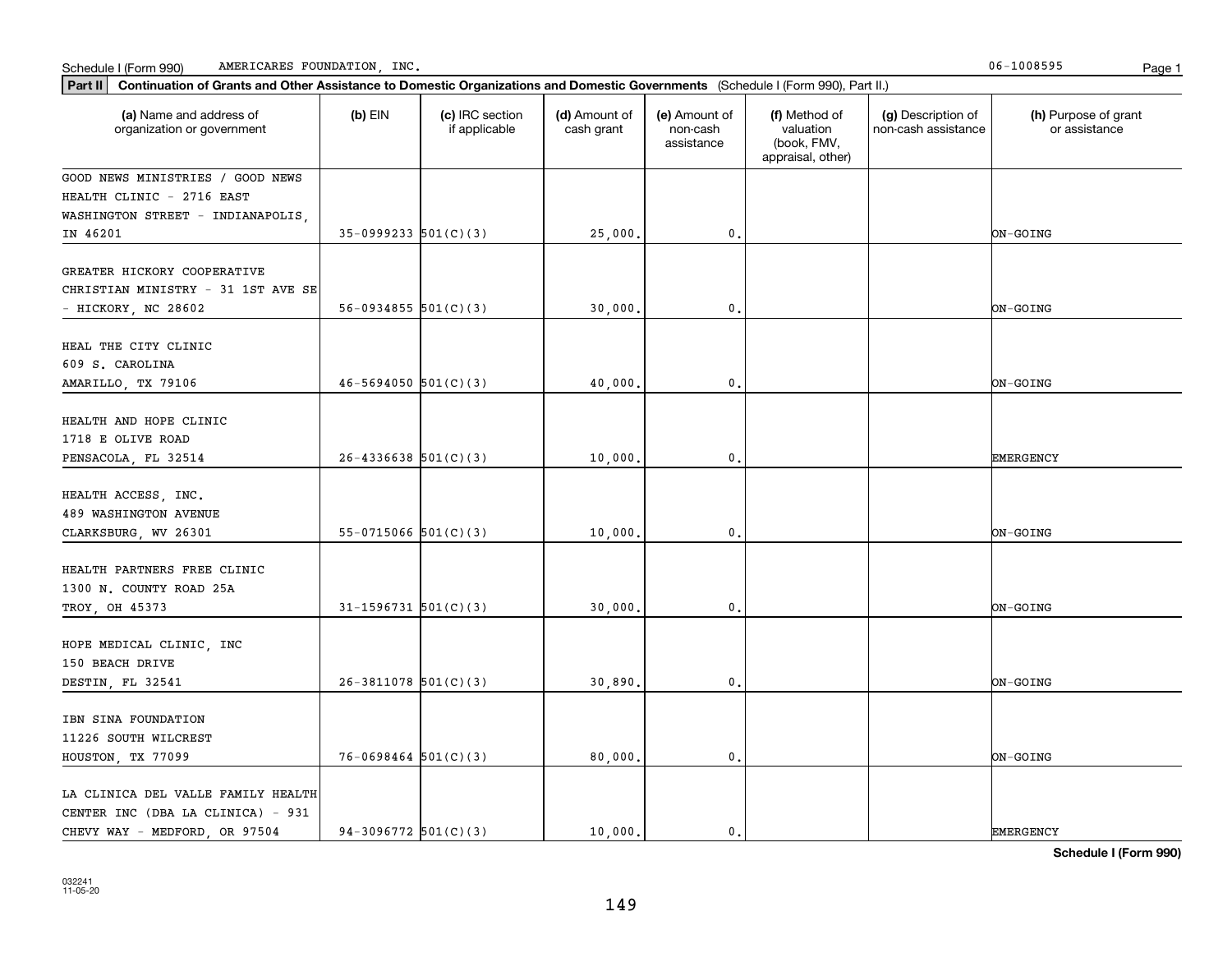| Part II   Continuation of Grants and Other Assistance to Domestic Organizations and Domestic Governments (Schedule I (Form 990), Part II.) |                            |                                  |                             |                                         |                                                                |                                           |                                       |
|--------------------------------------------------------------------------------------------------------------------------------------------|----------------------------|----------------------------------|-----------------------------|-----------------------------------------|----------------------------------------------------------------|-------------------------------------------|---------------------------------------|
| (a) Name and address of<br>organization or government                                                                                      | $(b)$ EIN                  | (c) IRC section<br>if applicable | (d) Amount of<br>cash grant | (e) Amount of<br>non-cash<br>assistance | (f) Method of<br>valuation<br>(book, FMV,<br>appraisal, other) | (g) Description of<br>non-cash assistance | (h) Purpose of grant<br>or assistance |
| GOOD NEWS MINISTRIES / GOOD NEWS                                                                                                           |                            |                                  |                             |                                         |                                                                |                                           |                                       |
| HEALTH CLINIC - 2716 EAST                                                                                                                  |                            |                                  |                             |                                         |                                                                |                                           |                                       |
| WASHINGTON STREET - INDIANAPOLIS,                                                                                                          |                            |                                  |                             |                                         |                                                                |                                           |                                       |
| IN 46201                                                                                                                                   | $35-0999233$ $501(C)(3)$   |                                  | 25,000.                     | $\mathbf{0}$                            |                                                                |                                           | <b>DN-GOING</b>                       |
| GREATER HICKORY COOPERATIVE<br>CHRISTIAN MINISTRY - 31 1ST AVE SE                                                                          |                            |                                  |                             |                                         |                                                                |                                           |                                       |
| - HICKORY, NC 28602                                                                                                                        | $56-0934855$ $501(C)(3)$   |                                  | 30,000,                     | $\mathbf 0$                             |                                                                |                                           | <b>DN-GOING</b>                       |
| HEAL THE CITY CLINIC<br>609 S. CAROLINA                                                                                                    |                            |                                  |                             |                                         |                                                                |                                           |                                       |
| AMARILLO, TX 79106                                                                                                                         | $46 - 5694050$ 501(C)(3)   |                                  | 40,000.                     | 0.                                      |                                                                |                                           | <b>DN-GOING</b>                       |
| HEALTH AND HOPE CLINIC<br>1718 E OLIVE ROAD<br>PENSACOLA, FL 32514                                                                         | $26 - 4336638$ 501(C)(3)   |                                  | 10,000                      | $\mathbf 0$                             |                                                                |                                           | EMERGENCY                             |
|                                                                                                                                            |                            |                                  |                             |                                         |                                                                |                                           |                                       |
| HEALTH ACCESS, INC.<br><b>489 WASHINGTON AVENUE</b>                                                                                        |                            |                                  |                             |                                         |                                                                |                                           |                                       |
| CLARKSBURG, WV 26301                                                                                                                       | $55-0715066$ $501(C)(3)$   |                                  | 10,000.                     | $\mathbf 0$                             |                                                                |                                           | <b>DN-GOING</b>                       |
| HEALTH PARTNERS FREE CLINIC<br>1300 N. COUNTY ROAD 25A                                                                                     |                            |                                  |                             |                                         |                                                                |                                           |                                       |
| TROY, OH 45373                                                                                                                             | $31 - 1596731$ $501(C)(3)$ |                                  | 30,000,                     | 0.                                      |                                                                |                                           | <b>DN-GOING</b>                       |
| HOPE MEDICAL CLINIC, INC<br>150 BEACH DRIVE                                                                                                |                            |                                  |                             |                                         |                                                                |                                           |                                       |
| DESTIN, FL 32541                                                                                                                           | $26-3811078$ 501(C)(3)     |                                  | 30,890.                     | 0.                                      |                                                                |                                           | <b>DN-GOING</b>                       |
| IBN SINA FOUNDATION<br>11226 SOUTH WILCREST                                                                                                |                            |                                  |                             |                                         |                                                                |                                           |                                       |
| HOUSTON, TX 77099                                                                                                                          | $76 - 0698464$ $501(C)(3)$ |                                  | 80,000,                     | $\mathbf 0$                             |                                                                |                                           | <b>DN-GOING</b>                       |
| LA CLINICA DEL VALLE FAMILY HEALTH<br>CENTER INC (DBA LA CLINICA) - 931<br>CHEVY WAY - MEDFORD, OR 97504                                   | 94-3096772 $501(C)(3)$     |                                  | 10,000.                     | 0.                                      |                                                                |                                           | <b>EMERGENCY</b>                      |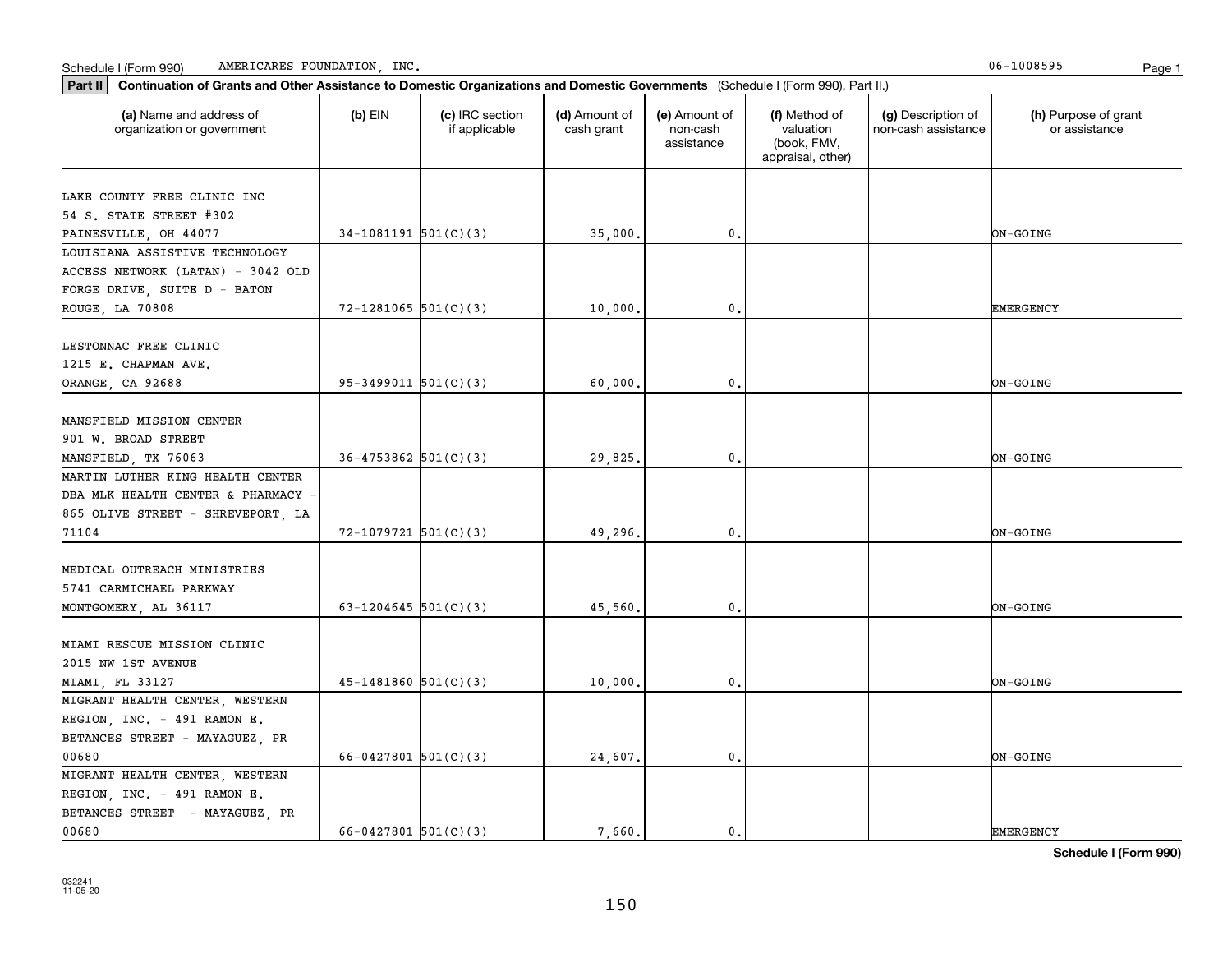|  | 06-1008595 | Page 1 |
|--|------------|--------|
|  |            |        |

| Part II   Continuation of Grants and Other Assistance to Domestic Organizations and Domestic Governments (Schedule I (Form 990), Part II.) |                            |                                  |                             |                                         |                                                                |                                           |                                       |
|--------------------------------------------------------------------------------------------------------------------------------------------|----------------------------|----------------------------------|-----------------------------|-----------------------------------------|----------------------------------------------------------------|-------------------------------------------|---------------------------------------|
| (a) Name and address of<br>organization or government                                                                                      | $(b)$ EIN                  | (c) IRC section<br>if applicable | (d) Amount of<br>cash grant | (e) Amount of<br>non-cash<br>assistance | (f) Method of<br>valuation<br>(book, FMV,<br>appraisal, other) | (g) Description of<br>non-cash assistance | (h) Purpose of grant<br>or assistance |
| LAKE COUNTY FREE CLINIC INC                                                                                                                |                            |                                  |                             |                                         |                                                                |                                           |                                       |
| 54 S. STATE STREET #302                                                                                                                    |                            |                                  |                             |                                         |                                                                |                                           |                                       |
| PAINESVILLE, OH 44077                                                                                                                      | $34-1081191$ $501(C)(3)$   |                                  | 35,000.                     | 0.                                      |                                                                |                                           | <b>DN-GOING</b>                       |
| LOUISIANA ASSISTIVE TECHNOLOGY                                                                                                             |                            |                                  |                             |                                         |                                                                |                                           |                                       |
| ACCESS NETWORK (LATAN) - 3042 OLD                                                                                                          |                            |                                  |                             |                                         |                                                                |                                           |                                       |
| FORGE DRIVE, SUITE D - BATON                                                                                                               |                            |                                  |                             |                                         |                                                                |                                           |                                       |
| ROUGE, LA 70808                                                                                                                            | $72 - 1281065$ 501(C)(3)   |                                  | 10,000.                     | 0.                                      |                                                                |                                           | <b>EMERGENCY</b>                      |
|                                                                                                                                            |                            |                                  |                             |                                         |                                                                |                                           |                                       |
| LESTONNAC FREE CLINIC                                                                                                                      |                            |                                  |                             |                                         |                                                                |                                           |                                       |
| 1215 E. CHAPMAN AVE.                                                                                                                       |                            |                                  |                             |                                         |                                                                |                                           |                                       |
| ORANGE, CA 92688                                                                                                                           | $95-3499011$ $501(C)(3)$   |                                  | 60,000.                     | 0.                                      |                                                                |                                           | <b>DN-GOING</b>                       |
|                                                                                                                                            |                            |                                  |                             |                                         |                                                                |                                           |                                       |
| MANSFIELD MISSION CENTER                                                                                                                   |                            |                                  |                             |                                         |                                                                |                                           |                                       |
| 901 W. BROAD STREET                                                                                                                        |                            |                                  |                             |                                         |                                                                |                                           |                                       |
| MANSFIELD, TX 76063                                                                                                                        | $36-4753862$ $501(C)(3)$   |                                  | 29,825.                     | $\mathbf{0}$ .                          |                                                                |                                           | <b>DN-GOING</b>                       |
| MARTIN LUTHER KING HEALTH CENTER                                                                                                           |                            |                                  |                             |                                         |                                                                |                                           |                                       |
| DBA MLK HEALTH CENTER & PHARMACY                                                                                                           |                            |                                  |                             |                                         |                                                                |                                           |                                       |
| 865 OLIVE STREET - SHREVEPORT, LA                                                                                                          |                            |                                  |                             |                                         |                                                                |                                           |                                       |
| 71104                                                                                                                                      | $72-1079721$ 501(C)(3)     |                                  | 49,296.                     | $\mathbf{0}$ .                          |                                                                |                                           | <b>DN-GOING</b>                       |
|                                                                                                                                            |                            |                                  |                             |                                         |                                                                |                                           |                                       |
| MEDICAL OUTREACH MINISTRIES                                                                                                                |                            |                                  |                             |                                         |                                                                |                                           |                                       |
| 5741 CARMICHAEL PARKWAY                                                                                                                    |                            |                                  |                             |                                         |                                                                |                                           |                                       |
| MONTGOMERY, AL 36117                                                                                                                       | 63-1204645 $501(C)(3)$     |                                  | 45,560.                     | $\mathbf{0}$ .                          |                                                                |                                           | <b>DN-GOING</b>                       |
|                                                                                                                                            |                            |                                  |                             |                                         |                                                                |                                           |                                       |
| MIAMI RESCUE MISSION CLINIC                                                                                                                |                            |                                  |                             |                                         |                                                                |                                           |                                       |
| 2015 NW 1ST AVENUE                                                                                                                         |                            |                                  |                             |                                         |                                                                |                                           |                                       |
| MIAMI, FL 33127                                                                                                                            | $45 - 1481860$ $501(C)(3)$ |                                  | 10,000.                     | 0.                                      |                                                                |                                           | <b>DN-GOING</b>                       |
| MIGRANT HEALTH CENTER, WESTERN                                                                                                             |                            |                                  |                             |                                         |                                                                |                                           |                                       |
| REGION, INC. - 491 RAMON E.                                                                                                                |                            |                                  |                             |                                         |                                                                |                                           |                                       |
| BETANCES STREET - MAYAGUEZ, PR                                                                                                             |                            |                                  |                             |                                         |                                                                |                                           |                                       |
| 00680                                                                                                                                      | $66 - 0427801$ 501(C)(3)   |                                  | 24,607.                     | 0.                                      |                                                                |                                           | <b>DN-GOING</b>                       |
| MIGRANT HEALTH CENTER, WESTERN                                                                                                             |                            |                                  |                             |                                         |                                                                |                                           |                                       |
| REGION, INC. - 491 RAMON E.                                                                                                                |                            |                                  |                             |                                         |                                                                |                                           |                                       |
| BETANCES STREET - MAYAGUEZ, PR                                                                                                             |                            |                                  |                             |                                         |                                                                |                                           |                                       |
| 00680                                                                                                                                      | $66 - 0427801$ 501(C)(3)   |                                  | 7.660.                      | $\mathbf{0}$ .                          |                                                                |                                           | <b>EMERGENCY</b>                      |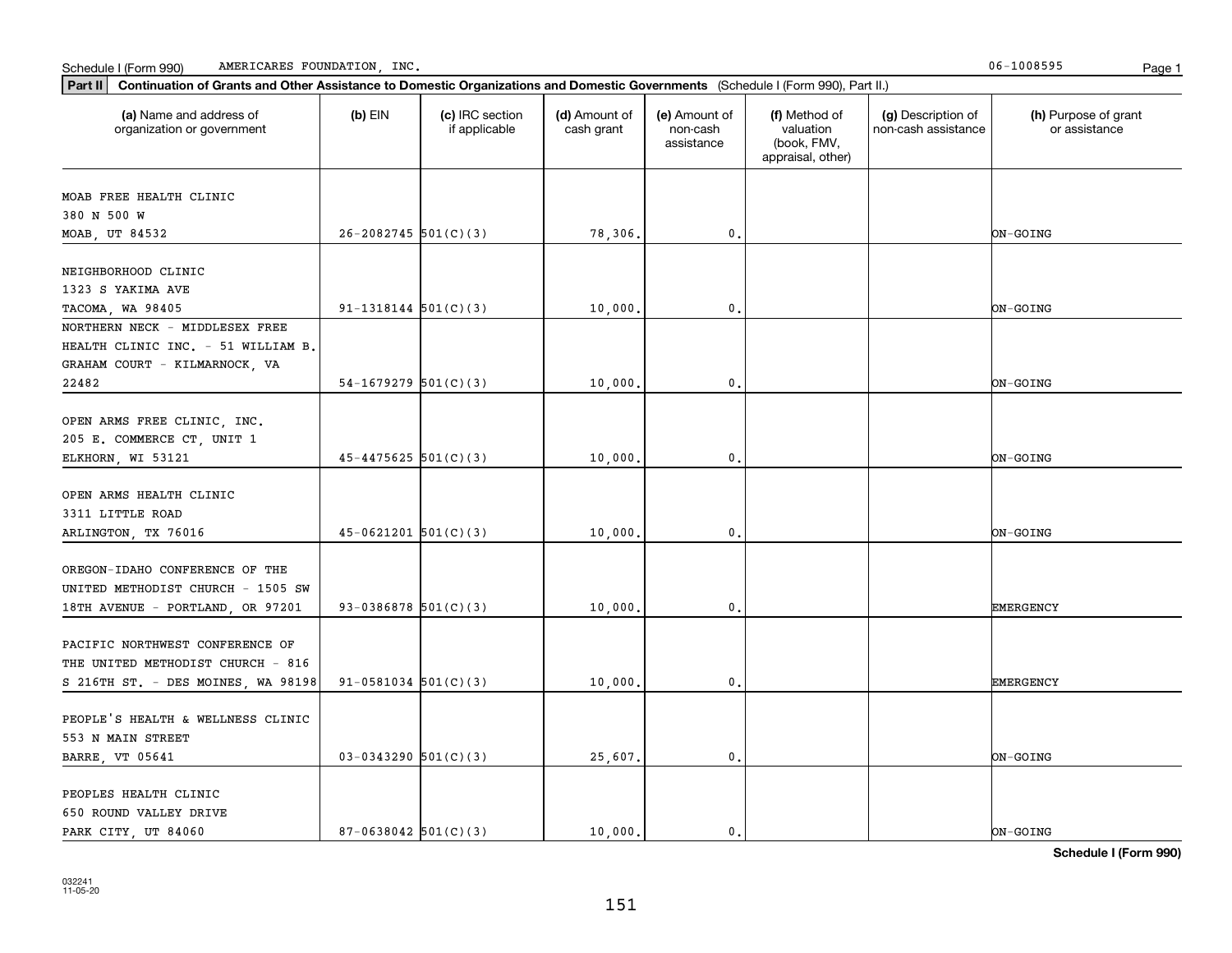| Part II   Continuation of Grants and Other Assistance to Domestic Organizations and Domestic Governments (Schedule I (Form 990), Part II.) |  |  |  |
|--------------------------------------------------------------------------------------------------------------------------------------------|--|--|--|
|                                                                                                                                            |  |  |  |

| (a) Name and address of<br>organization or government                                                      | $(b)$ EIN                | (c) IRC section<br>if applicable | (d) Amount of<br>cash grant | (e) Amount of<br>non-cash<br>assistance | (f) Method of<br>valuation<br>(book, FMV,<br>appraisal, other) | (g) Description of<br>non-cash assistance | (h) Purpose of grant<br>or assistance |
|------------------------------------------------------------------------------------------------------------|--------------------------|----------------------------------|-----------------------------|-----------------------------------------|----------------------------------------------------------------|-------------------------------------------|---------------------------------------|
| MOAB FREE HEALTH CLINIC                                                                                    |                          |                                  |                             |                                         |                                                                |                                           |                                       |
| 380 N 500 W                                                                                                |                          |                                  |                             |                                         |                                                                |                                           |                                       |
| MOAB, UT 84532                                                                                             | $26 - 2082745$ 501(C)(3) |                                  | 78,306.                     | 0.                                      |                                                                |                                           | <b>DN-GOING</b>                       |
| NEIGHBORHOOD CLINIC                                                                                        |                          |                                  |                             |                                         |                                                                |                                           |                                       |
| 1323 S YAKIMA AVE                                                                                          |                          |                                  |                             |                                         |                                                                |                                           |                                       |
| TACOMA, WA 98405                                                                                           | $91-1318144$ $501(C)(3)$ |                                  | 10,000.                     | $^{\rm 0}$ .                            |                                                                |                                           | <b>DN-GOING</b>                       |
| NORTHERN NECK - MIDDLESEX FREE<br>HEALTH CLINIC INC. - 51 WILLIAM B.<br>GRAHAM COURT - KILMARNOCK, VA      |                          |                                  |                             |                                         |                                                                |                                           |                                       |
| 22482                                                                                                      | $54-1679279$ $501(C)(3)$ |                                  | 10,000.                     | 0.                                      |                                                                |                                           | <b>DN-GOING</b>                       |
| OPEN ARMS FREE CLINIC, INC.<br>205 E. COMMERCE CT, UNIT 1<br>ELKHORN, WI 53121                             | $45 - 4475625$ 501(C)(3) |                                  | 10,000.                     | 0.                                      |                                                                |                                           | <b>DN-GOING</b>                       |
| OPEN ARMS HEALTH CLINIC<br>3311 LITTLE ROAD                                                                |                          |                                  |                             |                                         |                                                                |                                           |                                       |
| ARLINGTON, TX 76016                                                                                        | $45-0621201$ $501(C)(3)$ |                                  | 10,000.                     | 0.                                      |                                                                |                                           | <b>DN-GOING</b>                       |
| OREGON-IDAHO CONFERENCE OF THE<br>UNITED METHODIST CHURCH - 1505 SW<br>18TH AVENUE - PORTLAND, OR 97201    | 93-0386878 $501(C)(3)$   |                                  | 10,000,                     | $\mathbf{0}$ .                          |                                                                |                                           | <b>EMERGENCY</b>                      |
| PACIFIC NORTHWEST CONFERENCE OF<br>THE UNITED METHODIST CHURCH - 816<br>S 216TH ST. - DES MOINES, WA 98198 | $91-0581034$ 501(C)(3)   |                                  | 10,000.                     | $\mathbf{0}$ .                          |                                                                |                                           | <b>EMERGENCY</b>                      |
| PEOPLE'S HEALTH & WELLNESS CLINIC<br>553 N MAIN STREET<br><b>BARRE, VT 05641</b>                           | $03-0343290$ 501(C)(3)   |                                  | 25,607.                     | $\mathbf{0}$ .                          |                                                                |                                           | <b>DN-GOING</b>                       |
| PEOPLES HEALTH CLINIC<br>650 ROUND VALLEY DRIVE<br>PARK CITY, UT 84060                                     | $87-0638042$ 501(C)(3)   |                                  | 10,000.                     | $\mathbf{0}$ .                          |                                                                |                                           | <b>DN-GOING</b>                       |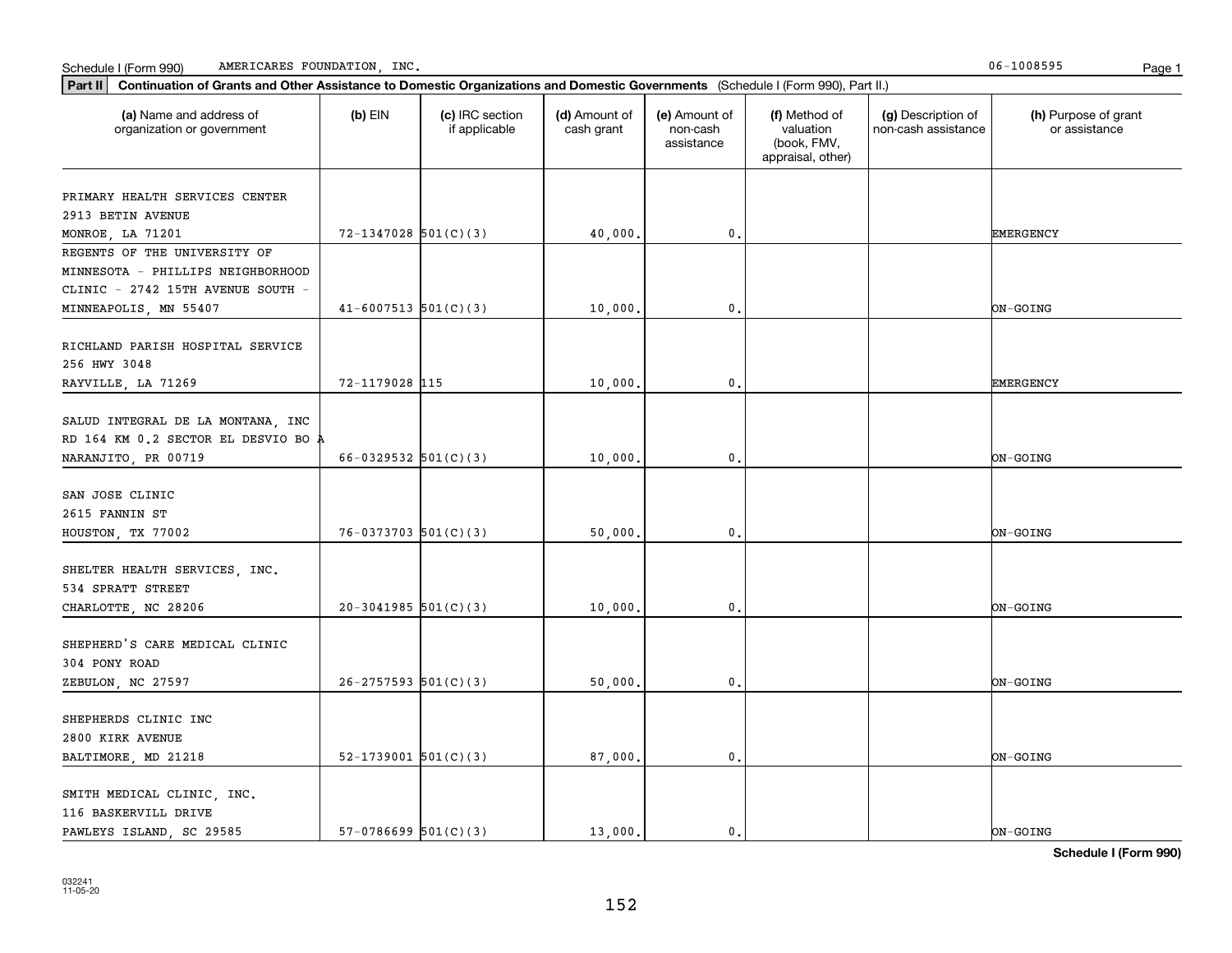| Continuation of Grants and Other Assistance to Domestic Organizations and Domestic Governments (Schedule I (Form 990), Part II.)<br>Part II |                            |                                  |                             |                                         |                                                                |                                           |                                       |
|---------------------------------------------------------------------------------------------------------------------------------------------|----------------------------|----------------------------------|-----------------------------|-----------------------------------------|----------------------------------------------------------------|-------------------------------------------|---------------------------------------|
| (a) Name and address of<br>organization or government                                                                                       | $(b)$ EIN                  | (c) IRC section<br>if applicable | (d) Amount of<br>cash grant | (e) Amount of<br>non-cash<br>assistance | (f) Method of<br>valuation<br>(book, FMV,<br>appraisal, other) | (g) Description of<br>non-cash assistance | (h) Purpose of grant<br>or assistance |
|                                                                                                                                             |                            |                                  |                             |                                         |                                                                |                                           |                                       |
| PRIMARY HEALTH SERVICES CENTER<br>2913 BETIN AVENUE                                                                                         |                            |                                  |                             |                                         |                                                                |                                           |                                       |
| MONROE, LA 71201                                                                                                                            | $72 - 1347028$ 501(C)(3)   |                                  | 40,000.                     | 0.                                      |                                                                |                                           | <b>EMERGENCY</b>                      |
| REGENTS OF THE UNIVERSITY OF                                                                                                                |                            |                                  |                             |                                         |                                                                |                                           |                                       |
| MINNESOTA - PHILLIPS NEIGHBORHOOD                                                                                                           |                            |                                  |                             |                                         |                                                                |                                           |                                       |
| CLINIC - 2742 15TH AVENUE SOUTH -                                                                                                           |                            |                                  |                             |                                         |                                                                |                                           |                                       |
| MINNEAPOLIS, MN 55407                                                                                                                       | $41-6007513$ 501(C)(3)     |                                  | 10,000.                     | $\mathbf{0}$ .                          |                                                                |                                           | <b>DN-GOING</b>                       |
| RICHLAND PARISH HOSPITAL SERVICE                                                                                                            |                            |                                  |                             |                                         |                                                                |                                           |                                       |
| 256 HWY 3048                                                                                                                                |                            |                                  |                             |                                         |                                                                |                                           |                                       |
| RAYVILLE, LA 71269                                                                                                                          | 72-1179028 115             |                                  | 10,000.                     | $\mathbf 0$                             |                                                                |                                           | <b>EMERGENCY</b>                      |
|                                                                                                                                             |                            |                                  |                             |                                         |                                                                |                                           |                                       |
| SALUD INTEGRAL DE LA MONTANA, INC                                                                                                           |                            |                                  |                             |                                         |                                                                |                                           |                                       |
| RD 164 KM 0.2 SECTOR EL DESVIO BO A                                                                                                         |                            |                                  |                             |                                         |                                                                |                                           |                                       |
| NARANJITO, PR 00719                                                                                                                         | $66 - 0329532$ $501(C)(3)$ |                                  | 10,000.                     | 0.                                      |                                                                |                                           | <b>DN-GOING</b>                       |
| SAN JOSE CLINIC                                                                                                                             |                            |                                  |                             |                                         |                                                                |                                           |                                       |
| 2615 FANNIN ST                                                                                                                              |                            |                                  |                             |                                         |                                                                |                                           |                                       |
| HOUSTON, TX 77002                                                                                                                           | $76 - 0373703$ 501(C)(3)   |                                  | 50,000,                     | $\mathbf{0}$ .                          |                                                                |                                           | <b>DN-GOING</b>                       |
|                                                                                                                                             |                            |                                  |                             |                                         |                                                                |                                           |                                       |
| SHELTER HEALTH SERVICES, INC.                                                                                                               |                            |                                  |                             |                                         |                                                                |                                           |                                       |
| 534 SPRATT STREET                                                                                                                           |                            |                                  |                             |                                         |                                                                |                                           |                                       |
| CHARLOTTE, NC 28206                                                                                                                         | $20-3041985$ 501(C)(3)     |                                  | 10,000                      | $\mathbf 0$                             |                                                                |                                           | <b>DN-GOING</b>                       |
|                                                                                                                                             |                            |                                  |                             |                                         |                                                                |                                           |                                       |
| SHEPHERD'S CARE MEDICAL CLINIC                                                                                                              |                            |                                  |                             |                                         |                                                                |                                           |                                       |
| 304 PONY ROAD                                                                                                                               |                            |                                  |                             |                                         |                                                                |                                           |                                       |
| ZEBULON, NC 27597                                                                                                                           | $26 - 2757593$ 501(C)(3)   |                                  | 50,000.                     | 0.                                      |                                                                |                                           | <b>DN-GOING</b>                       |
| SHEPHERDS CLINIC INC                                                                                                                        |                            |                                  |                             |                                         |                                                                |                                           |                                       |
| 2800 KIRK AVENUE                                                                                                                            |                            |                                  |                             |                                         |                                                                |                                           |                                       |
| BALTIMORE, MD 21218                                                                                                                         | $52 - 1739001$ $501(C)(3)$ |                                  | 87,000.                     | $\mathbf{0}$ .                          |                                                                |                                           | <b>DN-GOING</b>                       |
|                                                                                                                                             |                            |                                  |                             |                                         |                                                                |                                           |                                       |
| SMITH MEDICAL CLINIC, INC.                                                                                                                  |                            |                                  |                             |                                         |                                                                |                                           |                                       |
| 116 BASKERVILL DRIVE                                                                                                                        |                            |                                  |                             |                                         |                                                                |                                           |                                       |
| PAWLEYS ISLAND, SC 29585                                                                                                                    | $57-0786699$ $501(C)(3)$   |                                  | 13,000.                     | $\mathbf{0}$                            |                                                                |                                           | <b>DN-GOING</b>                       |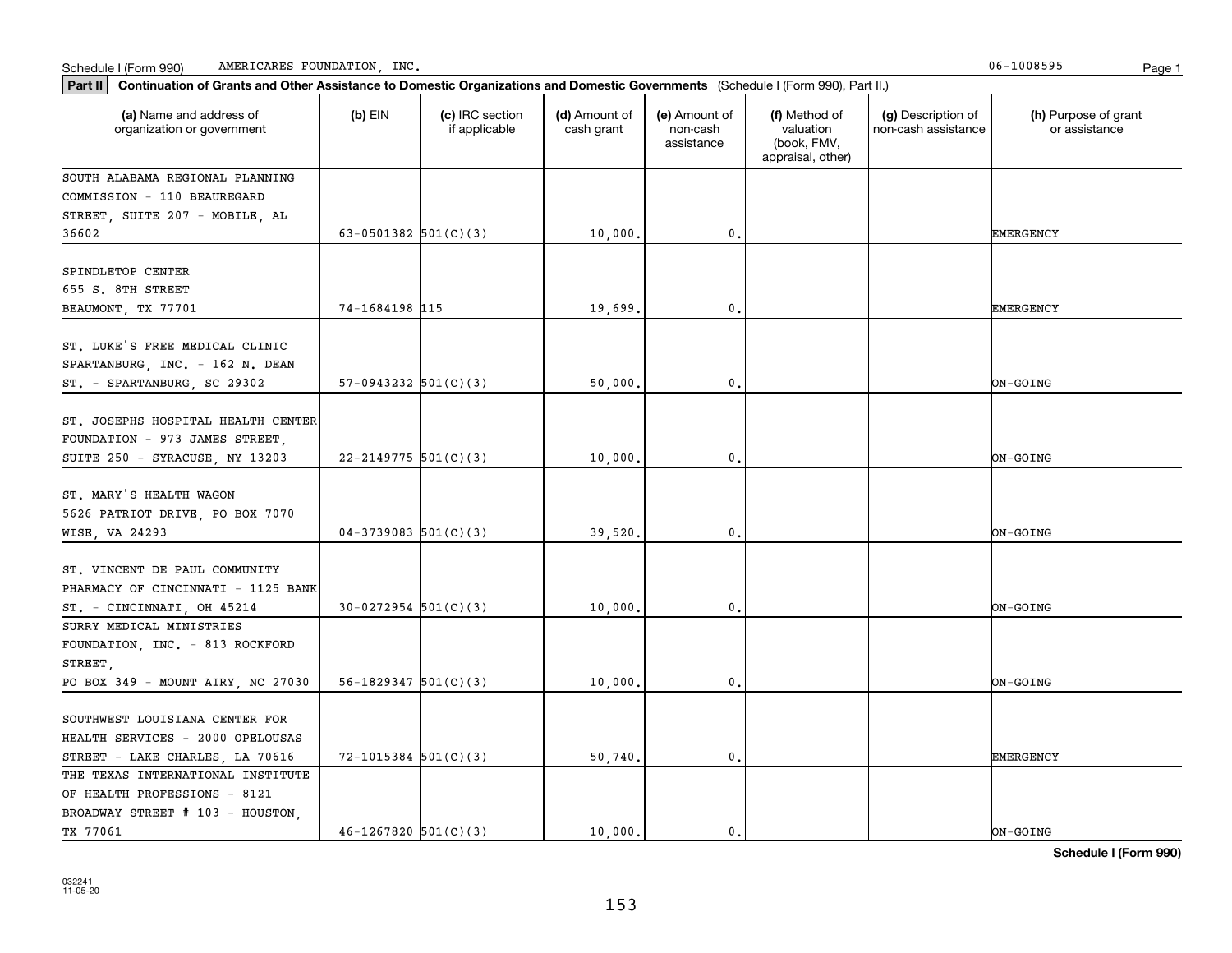| Continuation of Grants and Other Assistance to Domestic Organizations and Domestic Governments (Schedule I (Form 990), Part II.)<br>Part II |                            |                                  |                             |                                         |                                                                |                                           |                                       |  |  |
|---------------------------------------------------------------------------------------------------------------------------------------------|----------------------------|----------------------------------|-----------------------------|-----------------------------------------|----------------------------------------------------------------|-------------------------------------------|---------------------------------------|--|--|
| (a) Name and address of<br>organization or government                                                                                       | $(b)$ EIN                  | (c) IRC section<br>if applicable | (d) Amount of<br>cash grant | (e) Amount of<br>non-cash<br>assistance | (f) Method of<br>valuation<br>(book, FMV,<br>appraisal, other) | (g) Description of<br>non-cash assistance | (h) Purpose of grant<br>or assistance |  |  |
| SOUTH ALABAMA REGIONAL PLANNING                                                                                                             |                            |                                  |                             |                                         |                                                                |                                           |                                       |  |  |
| COMMISSION - 110 BEAUREGARD                                                                                                                 |                            |                                  |                             |                                         |                                                                |                                           |                                       |  |  |
| STREET, SUITE 207 - MOBILE, AL                                                                                                              |                            |                                  |                             |                                         |                                                                |                                           |                                       |  |  |
| 36602                                                                                                                                       | 63-0501382 $501(C)(3)$     |                                  | 10,000,                     | 0.                                      |                                                                |                                           | <b>EMERGENCY</b>                      |  |  |
| SPINDLETOP CENTER<br>655 S. 8TH STREET<br>BEAUMONT, TX 77701                                                                                | 74-1684198 115             |                                  | 19,699.                     | 0.                                      |                                                                |                                           | <b>EMERGENCY</b>                      |  |  |
|                                                                                                                                             |                            |                                  |                             |                                         |                                                                |                                           |                                       |  |  |
| ST. LUKE'S FREE MEDICAL CLINIC<br>SPARTANBURG, INC. - 162 N. DEAN<br>ST. - SPARTANBURG, SC 29302                                            | $57-0943232$ $501(C)(3)$   |                                  | 50,000                      | $\mathbf{0}$                            |                                                                |                                           | <b>DN-GOING</b>                       |  |  |
| ST. JOSEPHS HOSPITAL HEALTH CENTER<br>FOUNDATION - 973 JAMES STREET,<br>SUITE 250 - SYRACUSE, NY 13203                                      | $22 - 2149775$ 501(C)(3)   |                                  | 10,000,                     | 0.                                      |                                                                |                                           | <b>DN-GOING</b>                       |  |  |
| ST. MARY'S HEALTH WAGON<br>5626 PATRIOT DRIVE, PO BOX 7070<br>WISE, VA 24293                                                                | $04-3739083$ 501(C)(3)     |                                  | 39,520.                     | 0.                                      |                                                                |                                           | <b>DN-GOING</b>                       |  |  |
| ST. VINCENT DE PAUL COMMUNITY                                                                                                               |                            |                                  |                             |                                         |                                                                |                                           |                                       |  |  |
| PHARMACY OF CINCINNATI - 1125 BANK                                                                                                          |                            |                                  |                             |                                         |                                                                |                                           |                                       |  |  |
| ST. - CINCINNATI, OH 45214                                                                                                                  | $30-0272954$ 501(C)(3)     |                                  | 10,000                      | 0.                                      |                                                                |                                           | <b>DN-GOING</b>                       |  |  |
| SURRY MEDICAL MINISTRIES<br>FOUNDATION, INC. - 813 ROCKFORD<br>STREET,                                                                      |                            |                                  |                             |                                         |                                                                |                                           |                                       |  |  |
| PO BOX 349 - MOUNT AIRY, NC 27030                                                                                                           | $56 - 1829347$ $501(C)(3)$ |                                  | 10,000.                     | 0.                                      |                                                                |                                           | <b>DN-GOING</b>                       |  |  |
| SOUTHWEST LOUISIANA CENTER FOR<br>HEALTH SERVICES - 2000 OPELOUSAS<br>STREET - LAKE CHARLES, LA 70616                                       | $72 - 1015384$ 501(C)(3)   |                                  | 50,740                      | 0.                                      |                                                                |                                           | <b>EMERGENCY</b>                      |  |  |
| THE TEXAS INTERNATIONAL INSTITUTE<br>OF HEALTH PROFESSIONS - 8121<br>BROADWAY STREET # 103 - HOUSTON.<br>TX 77061                           | $46 - 1267820$ 501(C)(3)   |                                  | 10,000.                     | 0.                                      |                                                                |                                           | <b>DN-GOING</b>                       |  |  |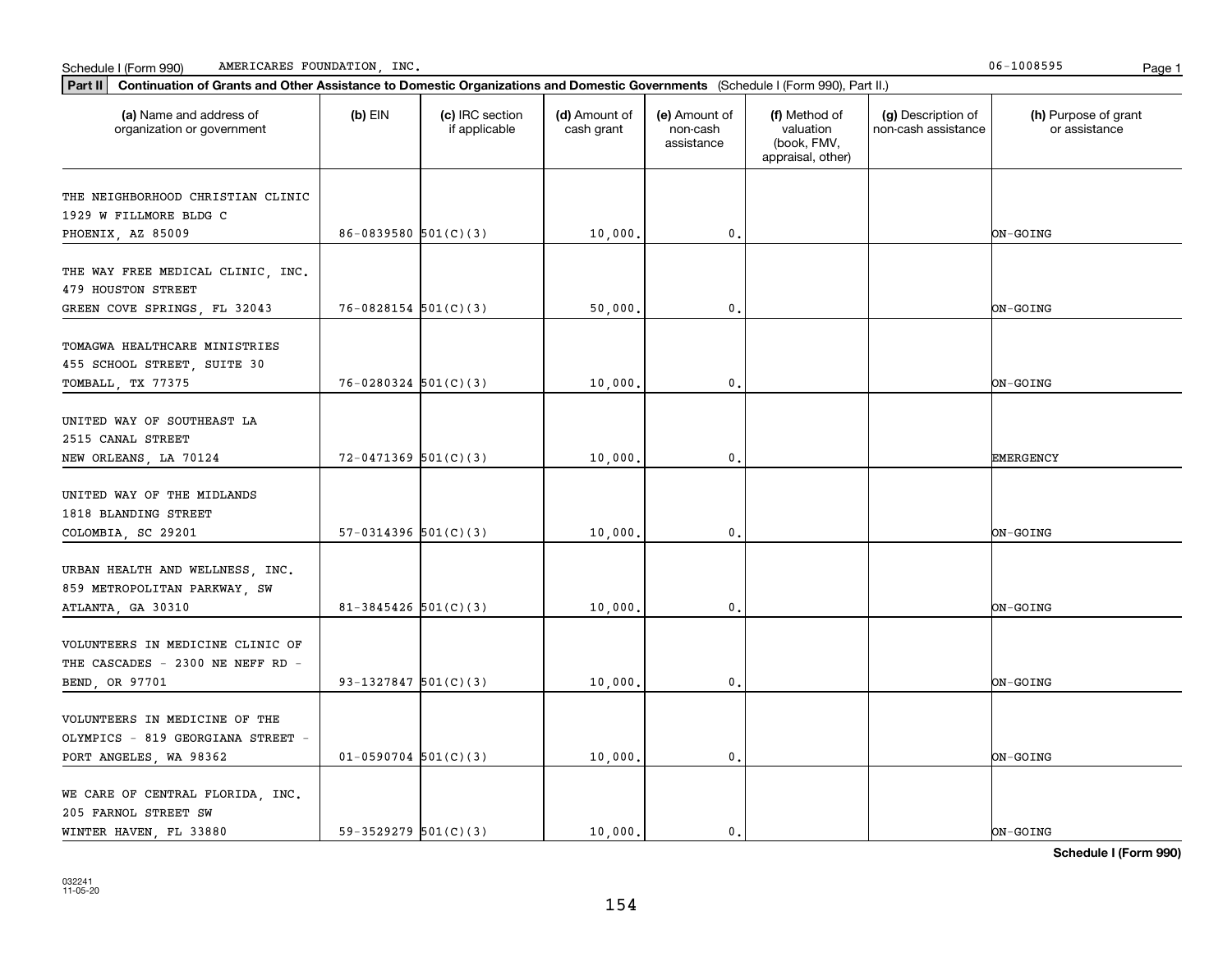| organization or government                                                                   |                          | if applicable | cash grant | non-cash<br>assistance | valuation<br>(book, FMV,<br>appraisal, other) | non-cash assistance | or assistance    |
|----------------------------------------------------------------------------------------------|--------------------------|---------------|------------|------------------------|-----------------------------------------------|---------------------|------------------|
| THE NEIGHBORHOOD CHRISTIAN CLINIC<br>1929 W FILLMORE BLDG C<br>PHOENIX, AZ 85009             | $86-0839580$ 501(C)(3)   |               | 10,000.    | 0.                     |                                               |                     | <b>DN-GOING</b>  |
| THE WAY FREE MEDICAL CLINIC, INC.<br>479 HOUSTON STREET<br>GREEN COVE SPRINGS, FL 32043      | $76 - 0828154$ 501(C)(3) |               | 50,000.    | 0.                     |                                               |                     | <b>DN-GOING</b>  |
| TOMAGWA HEALTHCARE MINISTRIES<br>455 SCHOOL STREET, SUITE 30<br>TOMBALL, TX 77375            | $76 - 0280324$ 501(C)(3) |               | 10,000.    | 0.                     |                                               |                     | <b>DN-GOING</b>  |
| UNITED WAY OF SOUTHEAST LA<br>2515 CANAL STREET<br>NEW ORLEANS, LA 70124                     | $72 - 0471369$ 501(C)(3) |               | 10,000.    | 0.                     |                                               |                     | <b>EMERGENCY</b> |
| UNITED WAY OF THE MIDLANDS<br>1818 BLANDING STREET<br>COLOMBIA, SC 29201                     | $57-0314396$ $501(C)(3)$ |               | 10,000.    | $\mathbf{0}$ .         |                                               |                     | <b>DN-GOING</b>  |
| URBAN HEALTH AND WELLNESS, INC.<br>859 METROPOLITAN PARKWAY, SW<br>ATLANTA, GA 30310         | 81-3845426 $501(C)(3)$   |               | 10,000.    | 0.                     |                                               |                     | <b>DN-GOING</b>  |
| VOLUNTEERS IN MEDICINE CLINIC OF<br>THE CASCADES - 2300 NE NEFF RD -<br>BEND, OR 97701       | 93-1327847 $501(C)(3)$   |               | 10,000.    | 0.                     |                                               |                     | <b>DN-GOING</b>  |
| VOLUNTEERS IN MEDICINE OF THE<br>OLYMPICS - 819 GEORGIANA STREET -<br>PORT ANGELES, WA 98362 | $01-0590704$ 501(C)(3)   |               | 10,000.    | 0.                     |                                               |                     | <b>ON-GOING</b>  |
| WE CARE OF CENTRAL FLORIDA, INC.<br>205 FARNOL STREET SW<br>WINTER HAVEN, FL 33880           | 59-3529279 501(C)(3)     |               | 10,000.    | 0.                     |                                               |                     | <b>DN-GOING</b>  |

**Part II Continuation of Grants and Other Assistance to Domestic Organizations and Domestic Governments**  (Schedule I (Form 990), Part II.)

 $(b)$  EIN  $\qquad$   $(c)$  IRC section

**(a) (b) (c) (d) (e) (f) (g) (h)** Name and address of

(d) Amount of

(e) Amount of

(f) Method of

(g) Description of

**Schedule I (Form 990)**

Purpose of grant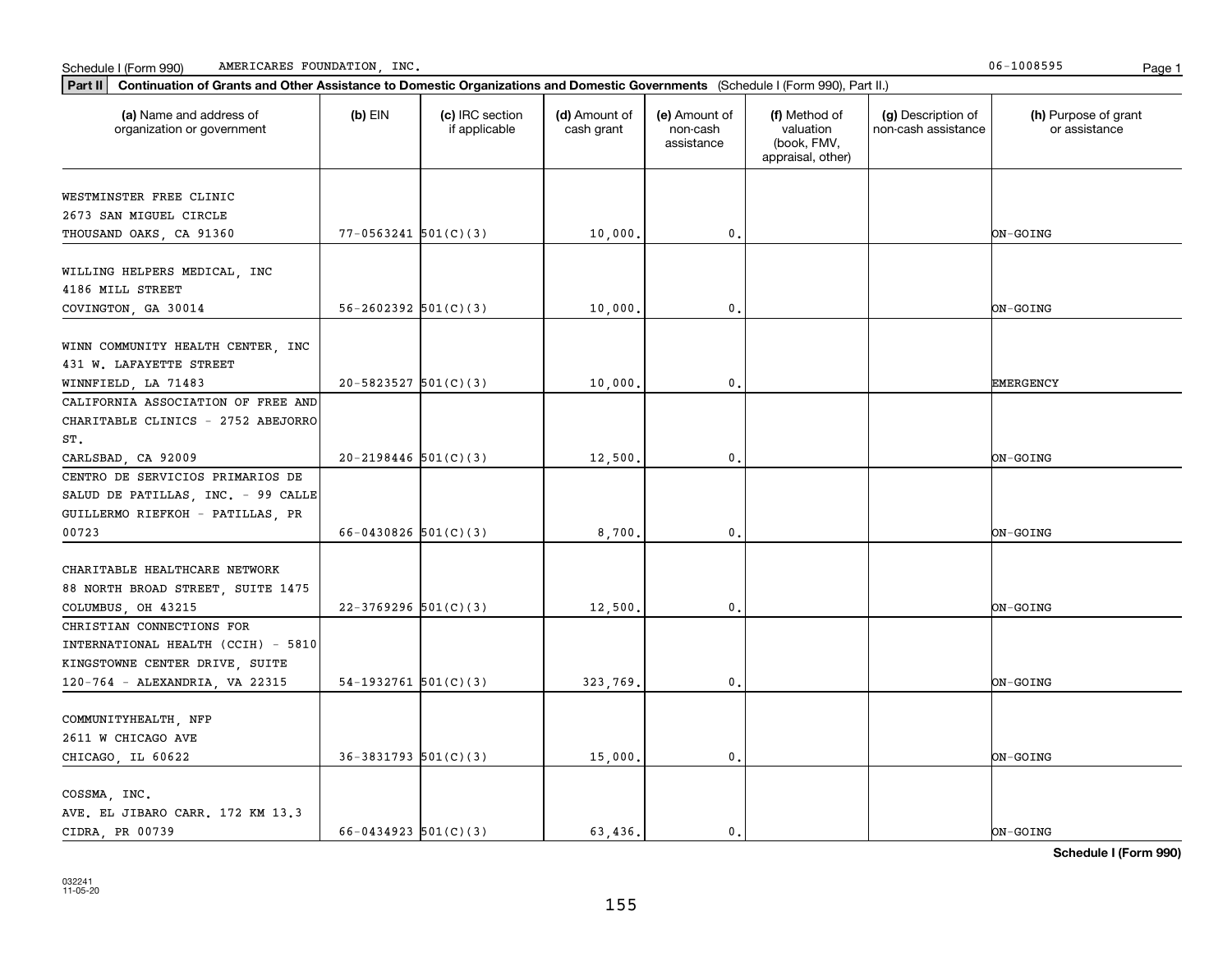| (a) Name and address of<br>organization or government | $(b)$ EIN                  | (c) IRC section<br>if applicable | (d) Amount of<br>cash grant | (e) Amount of<br>non-cash<br>assistance | (f) Method of<br>valuation<br>(book, FMV,<br>appraisal, other) | (g) Description of<br>non-cash assistance | (h) Purpose of grant<br>or assistance |
|-------------------------------------------------------|----------------------------|----------------------------------|-----------------------------|-----------------------------------------|----------------------------------------------------------------|-------------------------------------------|---------------------------------------|
| WESTMINSTER FREE CLINIC                               |                            |                                  |                             |                                         |                                                                |                                           |                                       |
| 2673 SAN MIGUEL CIRCLE                                |                            |                                  |                             |                                         |                                                                |                                           |                                       |
| THOUSAND OAKS, CA 91360                               | $77 - 0563241$ $501(C)(3)$ |                                  | 10,000.                     | 0.                                      |                                                                |                                           | <b>DN-GOING</b>                       |
|                                                       |                            |                                  |                             |                                         |                                                                |                                           |                                       |
| WILLING HELPERS MEDICAL, INC                          |                            |                                  |                             |                                         |                                                                |                                           |                                       |
| 4186 MILL STREET                                      |                            |                                  |                             |                                         |                                                                |                                           |                                       |
| COVINGTON, GA 30014                                   | $56 - 2602392$ $501(C)(3)$ |                                  | 10,000.                     | 0.                                      |                                                                |                                           | <b>DN-GOING</b>                       |
| WINN COMMUNITY HEALTH CENTER, INC                     |                            |                                  |                             |                                         |                                                                |                                           |                                       |
| 431 W. LAFAYETTE STREET                               |                            |                                  |                             |                                         |                                                                |                                           |                                       |
| WINNFIELD, LA 71483                                   | $20 - 5823527$ 501(C)(3)   |                                  | 10,000.                     | 0.                                      |                                                                |                                           | <b>EMERGENCY</b>                      |
| CALIFORNIA ASSOCIATION OF FREE AND                    |                            |                                  |                             |                                         |                                                                |                                           |                                       |
| CHARITABLE CLINICS - 2752 ABEJORRO                    |                            |                                  |                             |                                         |                                                                |                                           |                                       |
| ST.                                                   |                            |                                  |                             |                                         |                                                                |                                           |                                       |
| CARLSBAD, CA 92009                                    | $20-2198446$ 501(C)(3)     |                                  | 12,500.                     | 0,                                      |                                                                |                                           | <b>DN-GOING</b>                       |
| CENTRO DE SERVICIOS PRIMARIOS DE                      |                            |                                  |                             |                                         |                                                                |                                           |                                       |
| SALUD DE PATILLAS, INC. - 99 CALLE                    |                            |                                  |                             |                                         |                                                                |                                           |                                       |
| GUILLERMO RIEFKOH - PATILLAS, PR                      |                            |                                  |                             |                                         |                                                                |                                           |                                       |
| 00723                                                 | 66-0430826 $501(C)(3)$     |                                  | 8,700.                      | 0.                                      |                                                                |                                           | <b>DN-GOING</b>                       |
|                                                       |                            |                                  |                             |                                         |                                                                |                                           |                                       |
| CHARITABLE HEALTHCARE NETWORK                         |                            |                                  |                             |                                         |                                                                |                                           |                                       |
| 88 NORTH BROAD STREET, SUITE 1475                     |                            |                                  |                             |                                         |                                                                |                                           |                                       |
| COLUMBUS, OH 43215                                    | $22 - 3769296$ 501(C)(3)   |                                  | 12,500.                     | 0.                                      |                                                                |                                           | <b>DN-GOING</b>                       |
| CHRISTIAN CONNECTIONS FOR                             |                            |                                  |                             |                                         |                                                                |                                           |                                       |
| INTERNATIONAL HEALTH (CCIH) - 5810                    |                            |                                  |                             |                                         |                                                                |                                           |                                       |
| KINGSTOWNE CENTER DRIVE, SUITE                        |                            |                                  |                             |                                         |                                                                |                                           |                                       |
| 120-764 - ALEXANDRIA, VA 22315                        | 54-1932761 $501(C)(3)$     |                                  | 323,769.                    | 0.                                      |                                                                |                                           | <b>DN-GOING</b>                       |
| COMMUNITYHEALTH, NFP                                  |                            |                                  |                             |                                         |                                                                |                                           |                                       |
| 2611 W CHICAGO AVE                                    |                            |                                  |                             |                                         |                                                                |                                           |                                       |
| CHICAGO, IL 60622                                     | $36-3831793$ $501(C)(3)$   |                                  | 15,000.                     | 0.                                      |                                                                |                                           | <b>DN-GOING</b>                       |
|                                                       |                            |                                  |                             |                                         |                                                                |                                           |                                       |
| COSSMA, INC.                                          |                            |                                  |                             |                                         |                                                                |                                           |                                       |
| AVE. EL JIBARO CARR. 172 KM 13.3                      |                            |                                  |                             |                                         |                                                                |                                           |                                       |
| CIDRA, PR 00739                                       | $66 - 0434923$ $501(C)(3)$ |                                  | 63.436.                     | 0.                                      |                                                                |                                           | <b>DN-GOING</b>                       |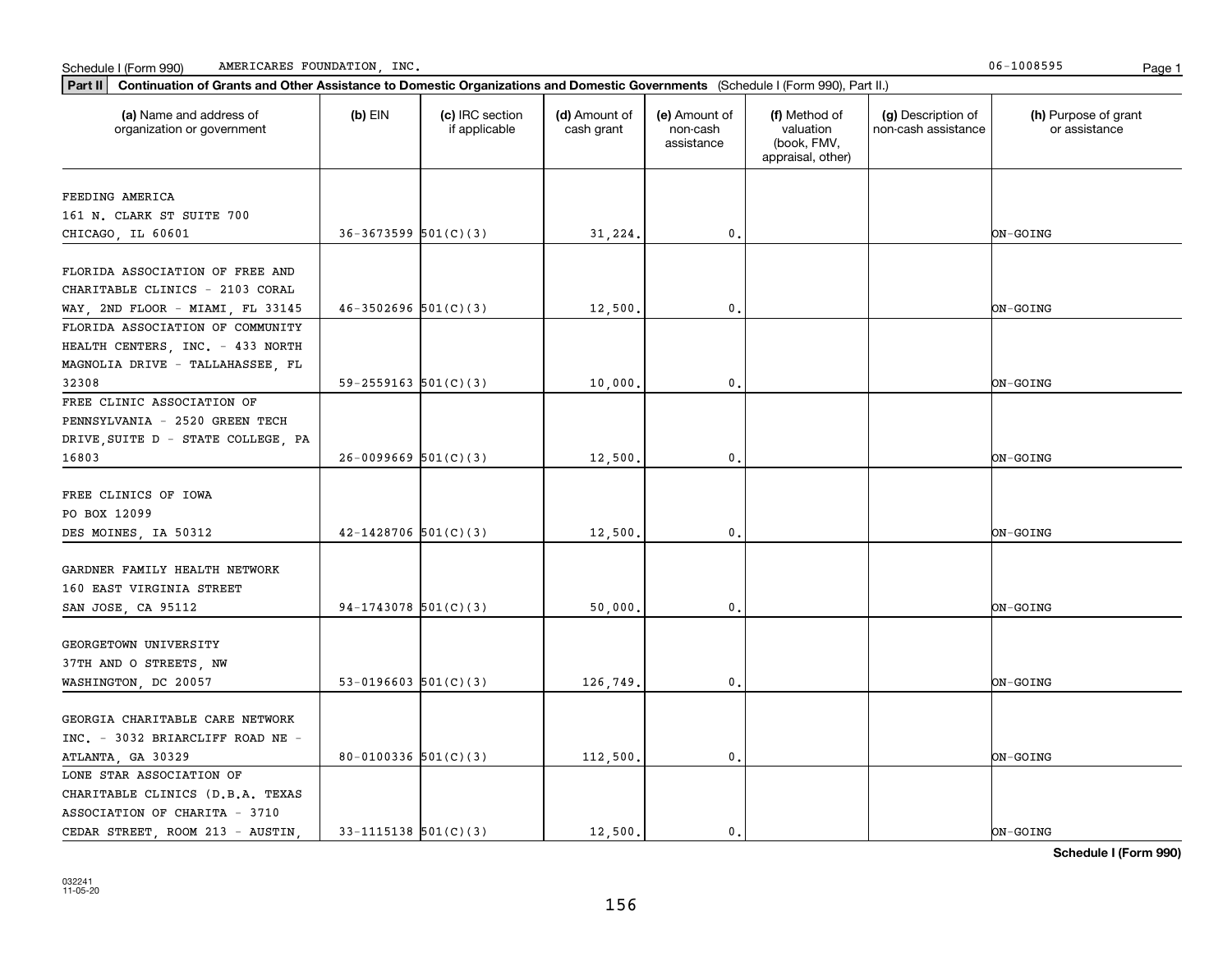LONE STAR ASSOCIATION OF

CHARITABLE CLINICS (D.B.A. TEXAS ASSOCIATION OF CHARITA - 3710

| WAY, 2ND FLOOR - MIAMI, FL 33145  | $46 - 3502696$ $501(C)(3)$ | 12,500.  | $\mathbf{0}$ . | <b>DN-GOING</b> |
|-----------------------------------|----------------------------|----------|----------------|-----------------|
| FLORIDA ASSOCIATION OF COMMUNITY  |                            |          |                |                 |
| HEALTH CENTERS, INC. - 433 NORTH  |                            |          |                |                 |
| MAGNOLIA DRIVE - TALLAHASSEE, FL  |                            |          |                |                 |
| 32308                             | $59 - 2559163$ $501(C)(3)$ | 10,000.  | 0.             | ON-GOING        |
| FREE CLINIC ASSOCIATION OF        |                            |          |                |                 |
| PENNSYLVANIA - 2520 GREEN TECH    |                            |          |                |                 |
| DRIVE SUITE D - STATE COLLEGE, PA |                            |          |                |                 |
| 16803                             | $26-0099669$ $501(C)(3)$   | 12,500.  | 0.             | <b>DN-GOING</b> |
| FREE CLINICS OF IOWA              |                            |          |                |                 |
| PO BOX 12099                      |                            |          |                |                 |
| DES MOINES, IA 50312              | $42 - 1428706$ 501(C)(3)   | 12,500.  | $\mathbf{0}$ . | <b>DN-GOING</b> |
| GARDNER FAMILY HEALTH NETWORK     |                            |          |                |                 |
| 160 EAST VIRGINIA STREET          |                            |          |                |                 |
| SAN JOSE, CA 95112                | $94-1743078$ 501(C)(3)     | 50,000.  | 0.             | <b>DN-GOING</b> |
| GEORGETOWN UNIVERSITY             |                            |          |                |                 |
| 37TH AND O STREETS, NW            |                            |          |                |                 |
| WASHINGTON, DC 20057              | 53-0196603 $501(C)(3)$     | 126,749. | $\mathbf{0}$ . | <b>DN-GOING</b> |
| GEORGIA CHARITABLE CARE NETWORK   |                            |          |                |                 |
|                                   |                            |          |                |                 |
| INC. - 3032 BRIARCLIFF ROAD NE -  |                            |          |                |                 |
| ATLANTA, GA 30329                 | $80 - 0100336$ 501(C)(3)   | 112,500. | 0.             | <b>DN-GOING</b> |

**Part II Continuation of Grants and Other Assistance to Domestic Organizations and Domestic Governments**  (Schedule I (Form 990), Part II.)

if applicable

 $(b)$  EIN  $(c)$  IRC section

**(a) (b) (c) (d) (e) (f) (g) (h)** Name and address of

CHICAGO, IL 60601 36-3673599 501(C)(3) 31,224. 0. 0. ON-GOING

(d) Amount of cash grant

(e) Amount of non-cashassistance

(f) Method of valuation (book, FMV, appraisal, other)

(g) Description of non-cash assistance

#### Schedule I (Form 990) Page 1 AMERICARES FOUNDATION, INC. 06-1008595

organization or government

FEEDING AMERICA

161 N. CLARK ST SUITE 700

FLORIDA ASSOCIATION OF FREE AND CHARITABLE CLINICS - 2103 CORAL

(h) Purpose of grant or assistance

**Schedule I (Form 990)**

CEDAR STREET, ROOM 213 - AUSTIN, 33-1115138 501(C)(3) (12,500. 0. 0. ON CHAR STREET, ROOM 213 - AUSTING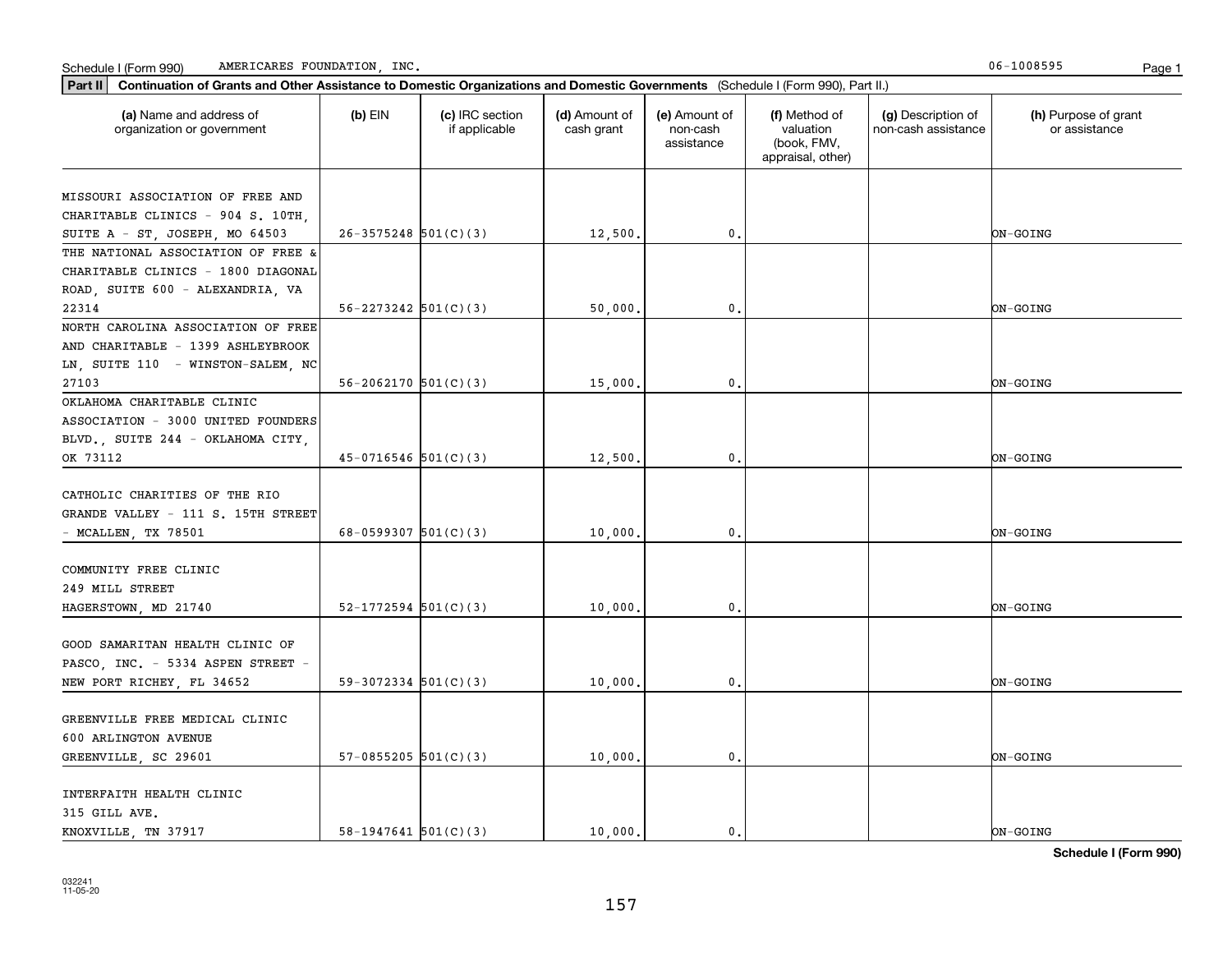#### Schedule I (Form 990) Page 1 AMERICARES FOUNDATION, INC. 06-1008595

| Part II   Continuation of Grants and Other Assistance to Domestic Organizations and Domestic Governments (Schedule I (Form 990), Part II.) |                            |                                  |                             |                                         |                                                                |                                           |                                       |
|--------------------------------------------------------------------------------------------------------------------------------------------|----------------------------|----------------------------------|-----------------------------|-----------------------------------------|----------------------------------------------------------------|-------------------------------------------|---------------------------------------|
| (a) Name and address of<br>organization or government                                                                                      | $(b)$ EIN                  | (c) IRC section<br>if applicable | (d) Amount of<br>cash grant | (e) Amount of<br>non-cash<br>assistance | (f) Method of<br>valuation<br>(book, FMV,<br>appraisal, other) | (g) Description of<br>non-cash assistance | (h) Purpose of grant<br>or assistance |
| MISSOURI ASSOCIATION OF FREE AND                                                                                                           |                            |                                  |                             |                                         |                                                                |                                           |                                       |
| CHARITABLE CLINICS - 904 S. 10TH.                                                                                                          |                            |                                  |                             |                                         |                                                                |                                           |                                       |
| SUITE A - ST, JOSEPH, MO 64503                                                                                                             | $26-3575248$ 501(C)(3)     |                                  | 12,500.                     | 0.                                      |                                                                |                                           | <b>DN-GOING</b>                       |
| THE NATIONAL ASSOCIATION OF FREE &                                                                                                         |                            |                                  |                             |                                         |                                                                |                                           |                                       |
| CHARITABLE CLINICS - 1800 DIAGONAL                                                                                                         |                            |                                  |                             |                                         |                                                                |                                           |                                       |
| ROAD, SUITE 600 - ALEXANDRIA, VA                                                                                                           |                            |                                  |                             |                                         |                                                                |                                           |                                       |
| 22314                                                                                                                                      | $56 - 2273242$ $501(C)(3)$ |                                  | 50,000                      | 0.                                      |                                                                |                                           | <b>DN-GOING</b>                       |
| NORTH CAROLINA ASSOCIATION OF FREE                                                                                                         |                            |                                  |                             |                                         |                                                                |                                           |                                       |
| AND CHARITABLE - 1399 ASHLEYBROOK                                                                                                          |                            |                                  |                             |                                         |                                                                |                                           |                                       |
| LN, SUITE 110 - WINSTON-SALEM, NC                                                                                                          |                            |                                  |                             |                                         |                                                                |                                           |                                       |
| 27103                                                                                                                                      | $56 - 2062170$ $501(C)(3)$ |                                  | 15,000                      | 0.                                      |                                                                |                                           | <b>DN-GOING</b>                       |
| OKLAHOMA CHARITABLE CLINIC                                                                                                                 |                            |                                  |                             |                                         |                                                                |                                           |                                       |
| ASSOCIATION - 3000 UNITED FOUNDERS                                                                                                         |                            |                                  |                             |                                         |                                                                |                                           |                                       |
| BLVD., SUITE 244 - OKLAHOMA CITY,                                                                                                          |                            |                                  |                             |                                         |                                                                |                                           |                                       |
| OK 73112                                                                                                                                   | $45-0716546$ 501(C)(3)     |                                  | 12,500                      | 0.                                      |                                                                |                                           | <b>DN-GOING</b>                       |
|                                                                                                                                            |                            |                                  |                             |                                         |                                                                |                                           |                                       |
| CATHOLIC CHARITIES OF THE RIO                                                                                                              |                            |                                  |                             |                                         |                                                                |                                           |                                       |
| GRANDE VALLEY - 111 S. 15TH STREET                                                                                                         |                            |                                  |                             |                                         |                                                                |                                           |                                       |
| $-$ MCALLEN, TX 78501                                                                                                                      | 68-0599307 $501(C)(3)$     |                                  | 10,000.                     | 0.                                      |                                                                |                                           | <b>DN-GOING</b>                       |
|                                                                                                                                            |                            |                                  |                             |                                         |                                                                |                                           |                                       |
| COMMUNITY FREE CLINIC                                                                                                                      |                            |                                  |                             |                                         |                                                                |                                           |                                       |
| 249 MILL STREET                                                                                                                            |                            |                                  |                             |                                         |                                                                |                                           |                                       |
| HAGERSTOWN, MD 21740                                                                                                                       | $52-1772594$ $501(C)(3)$   |                                  | 10,000                      | 0.                                      |                                                                |                                           | <b>DN-GOING</b>                       |
|                                                                                                                                            |                            |                                  |                             |                                         |                                                                |                                           |                                       |
| GOOD SAMARITAN HEALTH CLINIC OF                                                                                                            |                            |                                  |                             |                                         |                                                                |                                           |                                       |
| PASCO, INC. - 5334 ASPEN STREET -                                                                                                          |                            |                                  |                             |                                         |                                                                |                                           |                                       |
| NEW PORT RICHEY, FL 34652                                                                                                                  | $59-3072334$ $501(C)(3)$   |                                  | 10,000                      | 0.                                      |                                                                |                                           | <b>DN-GOING</b>                       |
|                                                                                                                                            |                            |                                  |                             |                                         |                                                                |                                           |                                       |
| GREENVILLE FREE MEDICAL CLINIC                                                                                                             |                            |                                  |                             |                                         |                                                                |                                           |                                       |
| 600 ARLINGTON AVENUE                                                                                                                       |                            |                                  |                             |                                         |                                                                |                                           |                                       |
| GREENVILLE, SC 29601                                                                                                                       | $57-0855205$ 501(C)(3)     |                                  | 10,000.                     | 0.                                      |                                                                |                                           | DN-GOING                              |
|                                                                                                                                            |                            |                                  |                             |                                         |                                                                |                                           |                                       |
| INTERFAITH HEALTH CLINIC                                                                                                                   |                            |                                  |                             |                                         |                                                                |                                           |                                       |
| 315 GILL AVE.                                                                                                                              |                            |                                  |                             |                                         |                                                                |                                           |                                       |
| KNOXVILLE, TN 37917                                                                                                                        | $58-1947641$ $501(C)(3)$   |                                  | 10,000.                     | $\mathbf{0}$ .                          |                                                                |                                           | <b>DN-GOING</b>                       |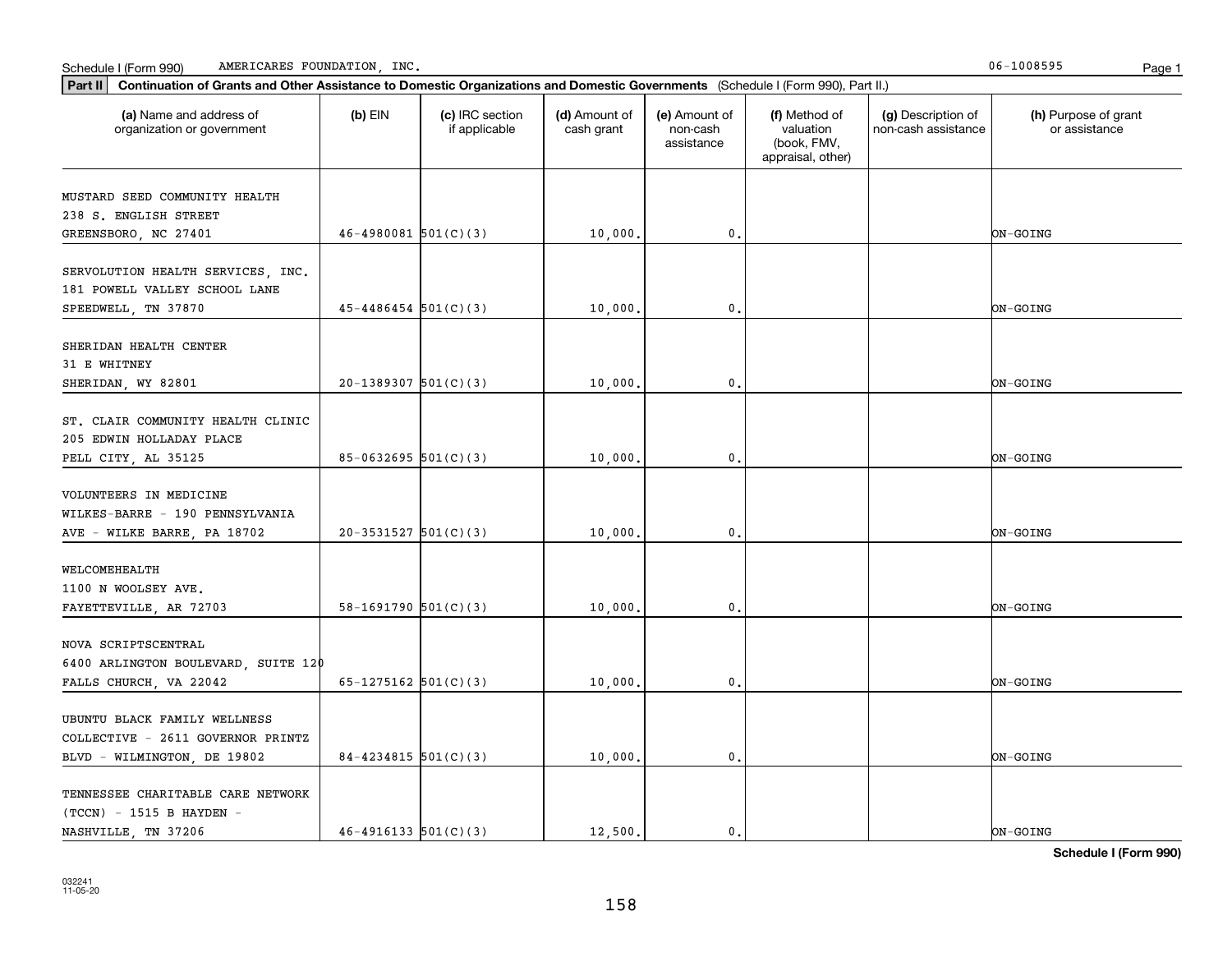| AMERICARES FOUNDATION, INC.<br>Schedule I (Form 990)                                                                                        |                            |                                  |                             |                                         |                                                                |                                           | $06 - 1008595$                        | Page 1 |
|---------------------------------------------------------------------------------------------------------------------------------------------|----------------------------|----------------------------------|-----------------------------|-----------------------------------------|----------------------------------------------------------------|-------------------------------------------|---------------------------------------|--------|
| Continuation of Grants and Other Assistance to Domestic Organizations and Domestic Governments (Schedule I (Form 990), Part II.)<br>Part II |                            |                                  |                             |                                         |                                                                |                                           |                                       |        |
| (a) Name and address of<br>organization or government                                                                                       | $(b)$ EIN                  | (c) IRC section<br>if applicable | (d) Amount of<br>cash grant | (e) Amount of<br>non-cash<br>assistance | (f) Method of<br>valuation<br>(book, FMV,<br>appraisal, other) | (g) Description of<br>non-cash assistance | (h) Purpose of grant<br>or assistance |        |
| MUSTARD SEED COMMUNITY HEALTH<br>238 S. ENGLISH STREET<br>GREENSBORO, NC 27401                                                              | $46 - 4980081$ 501(C)(3)   |                                  | 10,000.                     | 0.                                      |                                                                |                                           | <b>bN-GOING</b>                       |        |
| SERVOLUTION HEALTH SERVICES, INC.<br>181 POWELL VALLEY SCHOOL LANE<br>SPEEDWELL, TN 37870                                                   | $45 - 4486454$ 501(C)(3)   |                                  | 10,000.                     | $\mathbf{0}$                            |                                                                |                                           | <b>DN-GOING</b>                       |        |
| SHERIDAN HEALTH CENTER<br>31 E WHITNEY<br>SHERIDAN, WY 82801                                                                                | $20-1389307$ 501(C)(3)     |                                  | 10,000                      | 0.                                      |                                                                |                                           | <b>DN-GOING</b>                       |        |
| ST. CLAIR COMMUNITY HEALTH CLINIC<br>205 EDWIN HOLLADAY PLACE<br>PELL CITY, AL 35125                                                        | $85-0632695$ 501(C)(3)     |                                  | 10,000                      | $\mathbf{0}$                            |                                                                |                                           | <b>DN-GOING</b>                       |        |
| VOLUNTEERS IN MEDICINE<br>WILKES-BARRE - 190 PENNSYLVANIA<br>AVE - WILKE BARRE, PA 18702                                                    | $20-3531527$ $501(C)(3)$   |                                  | 10,000.                     | 0.                                      |                                                                |                                           | <b>DN-GOING</b>                       |        |
| WELCOMEHEALTH<br>1100 N WOOLSEY AVE.<br>FAYETTEVILLE, AR 72703                                                                              | $58-1691790$ $501(C)(3)$   |                                  | 10,000                      | 0.                                      |                                                                |                                           | <b>DN-GOING</b>                       |        |
| NOVA SCRIPTSCENTRAL<br>6400 ARLINGTON BOULEVARD, SUITE 120<br>FALLS CHURCH, VA 22042                                                        | 65-1275162 $501(C)(3)$     |                                  | 10,000                      | 0.                                      |                                                                |                                           | <b>DN-GOING</b>                       |        |
| UBUNTU BLACK FAMILY WELLNESS<br>COLLECTIVE - 2611 GOVERNOR PRINTZ<br>BLVD - WILMINGTON, DE 19802                                            | $84 - 4234815$ 501(C)(3)   |                                  | 10,000.                     | $\mathbf 0$ .                           |                                                                |                                           | <b>DN-GOING</b>                       |        |
| TENNESSEE CHARITABLE CARE NETWORK<br>$(TCCN)$ - 1515 B HAYDEN -<br>NASHVILLE, TN 37206                                                      | $46 - 4916133$ $501(C)(3)$ |                                  | 12,500.                     | $\mathbf{0}$                            |                                                                |                                           | <b>DN-GOING</b>                       |        |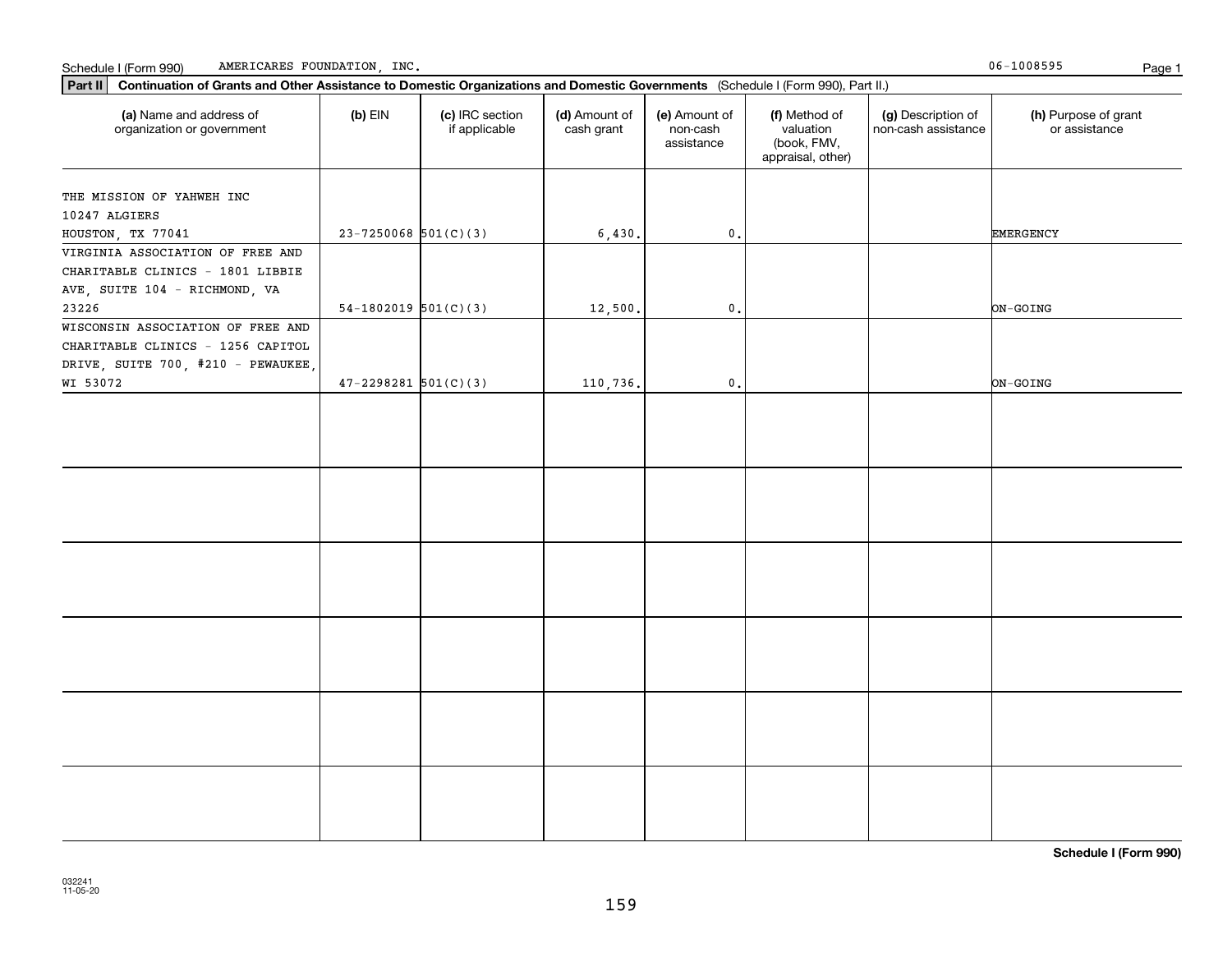| Schedule I (Form 990) |  | FOUNDATION<br>AMERICARES | INC. |  | Page |  |
|-----------------------|--|--------------------------|------|--|------|--|
|-----------------------|--|--------------------------|------|--|------|--|

| Continuation of Grants and Other Assistance to Domestic Organizations and Domestic Governments (Schedule I (Form 990), Part II.)<br>Part II |                          |                                  |                             |                                         |                                                                |                                           |                                       |  |
|---------------------------------------------------------------------------------------------------------------------------------------------|--------------------------|----------------------------------|-----------------------------|-----------------------------------------|----------------------------------------------------------------|-------------------------------------------|---------------------------------------|--|
| (a) Name and address of<br>organization or government                                                                                       | $(b)$ EIN                | (c) IRC section<br>if applicable | (d) Amount of<br>cash grant | (e) Amount of<br>non-cash<br>assistance | (f) Method of<br>valuation<br>(book, FMV,<br>appraisal, other) | (g) Description of<br>non-cash assistance | (h) Purpose of grant<br>or assistance |  |
|                                                                                                                                             |                          |                                  |                             |                                         |                                                                |                                           |                                       |  |
| THE MISSION OF YAHWEH INC                                                                                                                   |                          |                                  |                             |                                         |                                                                |                                           |                                       |  |
| 10247 ALGIERS                                                                                                                               |                          |                                  |                             |                                         |                                                                |                                           |                                       |  |
| HOUSTON, TX 77041                                                                                                                           | $23 - 7250068$ 501(C)(3) |                                  | 6,430.                      | $\mathbf 0$ .                           |                                                                |                                           | <b>EMERGENCY</b>                      |  |
| VIRGINIA ASSOCIATION OF FREE AND                                                                                                            |                          |                                  |                             |                                         |                                                                |                                           |                                       |  |
| CHARITABLE CLINICS - 1801 LIBBIE                                                                                                            |                          |                                  |                             |                                         |                                                                |                                           |                                       |  |
| AVE, SUITE 104 - RICHMOND, VA                                                                                                               |                          |                                  |                             |                                         |                                                                |                                           |                                       |  |
| 23226                                                                                                                                       | $54-1802019$ $501(C)(3)$ |                                  | 12,500.                     | 0.                                      |                                                                |                                           | ON-GOING                              |  |
| WISCONSIN ASSOCIATION OF FREE AND                                                                                                           |                          |                                  |                             |                                         |                                                                |                                           |                                       |  |
| CHARITABLE CLINICS - 1256 CAPITOL                                                                                                           |                          |                                  |                             |                                         |                                                                |                                           |                                       |  |
| DRIVE, SUITE 700, #210 - PEWAUKEE,                                                                                                          |                          |                                  |                             |                                         |                                                                |                                           |                                       |  |
| WI 53072                                                                                                                                    | $47 - 2298281$ 501(C)(3) |                                  | 110,736.                    | 0.                                      |                                                                |                                           | <b>DN-GOING</b>                       |  |
|                                                                                                                                             |                          |                                  |                             |                                         |                                                                |                                           |                                       |  |
|                                                                                                                                             |                          |                                  |                             |                                         |                                                                |                                           |                                       |  |
|                                                                                                                                             |                          |                                  |                             |                                         |                                                                |                                           |                                       |  |
|                                                                                                                                             |                          |                                  |                             |                                         |                                                                |                                           |                                       |  |
|                                                                                                                                             |                          |                                  |                             |                                         |                                                                |                                           |                                       |  |
|                                                                                                                                             |                          |                                  |                             |                                         |                                                                |                                           |                                       |  |
|                                                                                                                                             |                          |                                  |                             |                                         |                                                                |                                           |                                       |  |
|                                                                                                                                             |                          |                                  |                             |                                         |                                                                |                                           |                                       |  |
|                                                                                                                                             |                          |                                  |                             |                                         |                                                                |                                           |                                       |  |
|                                                                                                                                             |                          |                                  |                             |                                         |                                                                |                                           |                                       |  |
|                                                                                                                                             |                          |                                  |                             |                                         |                                                                |                                           |                                       |  |
|                                                                                                                                             |                          |                                  |                             |                                         |                                                                |                                           |                                       |  |
|                                                                                                                                             |                          |                                  |                             |                                         |                                                                |                                           |                                       |  |
|                                                                                                                                             |                          |                                  |                             |                                         |                                                                |                                           |                                       |  |
|                                                                                                                                             |                          |                                  |                             |                                         |                                                                |                                           |                                       |  |
|                                                                                                                                             |                          |                                  |                             |                                         |                                                                |                                           |                                       |  |
|                                                                                                                                             |                          |                                  |                             |                                         |                                                                |                                           |                                       |  |
|                                                                                                                                             |                          |                                  |                             |                                         |                                                                |                                           |                                       |  |
|                                                                                                                                             |                          |                                  |                             |                                         |                                                                |                                           |                                       |  |
|                                                                                                                                             |                          |                                  |                             |                                         |                                                                |                                           |                                       |  |
|                                                                                                                                             |                          |                                  |                             |                                         |                                                                |                                           |                                       |  |
|                                                                                                                                             |                          |                                  |                             |                                         |                                                                |                                           |                                       |  |
|                                                                                                                                             |                          |                                  |                             |                                         |                                                                |                                           |                                       |  |
|                                                                                                                                             |                          |                                  |                             |                                         |                                                                |                                           |                                       |  |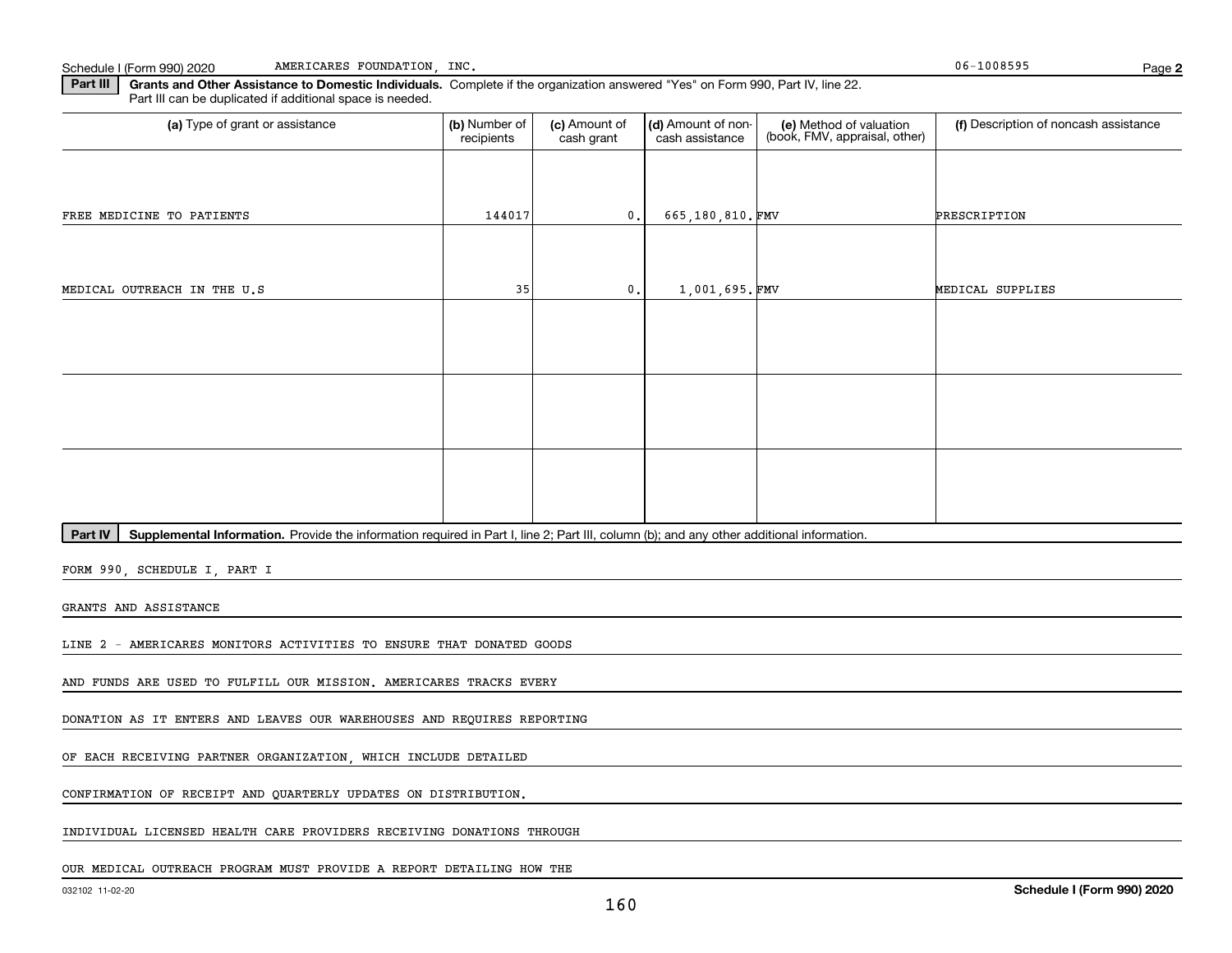Schedule I (Form 990) 2020 Page AMERICARES FOUNDATION, INC. 06-1008595

**2**

**Part III | Grants and Other Assistance to Domestic Individuals. Complete if the organization answered "Yes" on Form 990, Part IV, line 22.** Part III can be duplicated if additional space is needed.

| (a) Type of grant or assistance                                                                                                                      | (b) Number of<br>recipients | (c) Amount of<br>cash grant | (d) Amount of non-<br>cash assistance | (e) Method of valuation<br>(book, FMV, appraisal, other) | (f) Description of noncash assistance |
|------------------------------------------------------------------------------------------------------------------------------------------------------|-----------------------------|-----------------------------|---------------------------------------|----------------------------------------------------------|---------------------------------------|
|                                                                                                                                                      |                             |                             |                                       |                                                          |                                       |
| FREE MEDICINE TO PATIENTS                                                                                                                            | 144017                      | 0.                          | 665,180,810.FMV                       |                                                          | PRESCRIPTION                          |
|                                                                                                                                                      |                             |                             |                                       |                                                          |                                       |
| MEDICAL OUTREACH IN THE U.S                                                                                                                          | 35                          | 0.                          | 1,001,695.FMV                         |                                                          | MEDICAL SUPPLIES                      |
|                                                                                                                                                      |                             |                             |                                       |                                                          |                                       |
|                                                                                                                                                      |                             |                             |                                       |                                                          |                                       |
|                                                                                                                                                      |                             |                             |                                       |                                                          |                                       |
|                                                                                                                                                      |                             |                             |                                       |                                                          |                                       |
|                                                                                                                                                      |                             |                             |                                       |                                                          |                                       |
|                                                                                                                                                      |                             |                             |                                       |                                                          |                                       |
| Part IV<br>Supplemental Information. Provide the information required in Part I, line 2; Part III, column (b); and any other additional information. |                             |                             |                                       |                                                          |                                       |
| FORM 990, SCHEDULE I, PART I                                                                                                                         |                             |                             |                                       |                                                          |                                       |
| GRANTS AND ASSISTANCE                                                                                                                                |                             |                             |                                       |                                                          |                                       |

LINE 2 - AMERICARES MONITORS ACTIVITIES TO ENSURE THAT DONATED GOODS

AND FUNDS ARE USED TO FULFILL OUR MISSION. AMERICARES TRACKS EVERY

DONATION AS IT ENTERS AND LEAVES OUR WAREHOUSES AND REQUIRES REPORTING

OF EACH RECEIVING PARTNER ORGANIZATION, WHICH INCLUDE DETAILED

CONFIRMATION OF RECEIPT AND QUARTERLY UPDATES ON DISTRIBUTION.

INDIVIDUAL LICENSED HEALTH CARE PROVIDERS RECEIVING DONATIONS THROUGH

OUR MEDICAL OUTREACH PROGRAM MUST PROVIDE A REPORT DETAILING HOW THE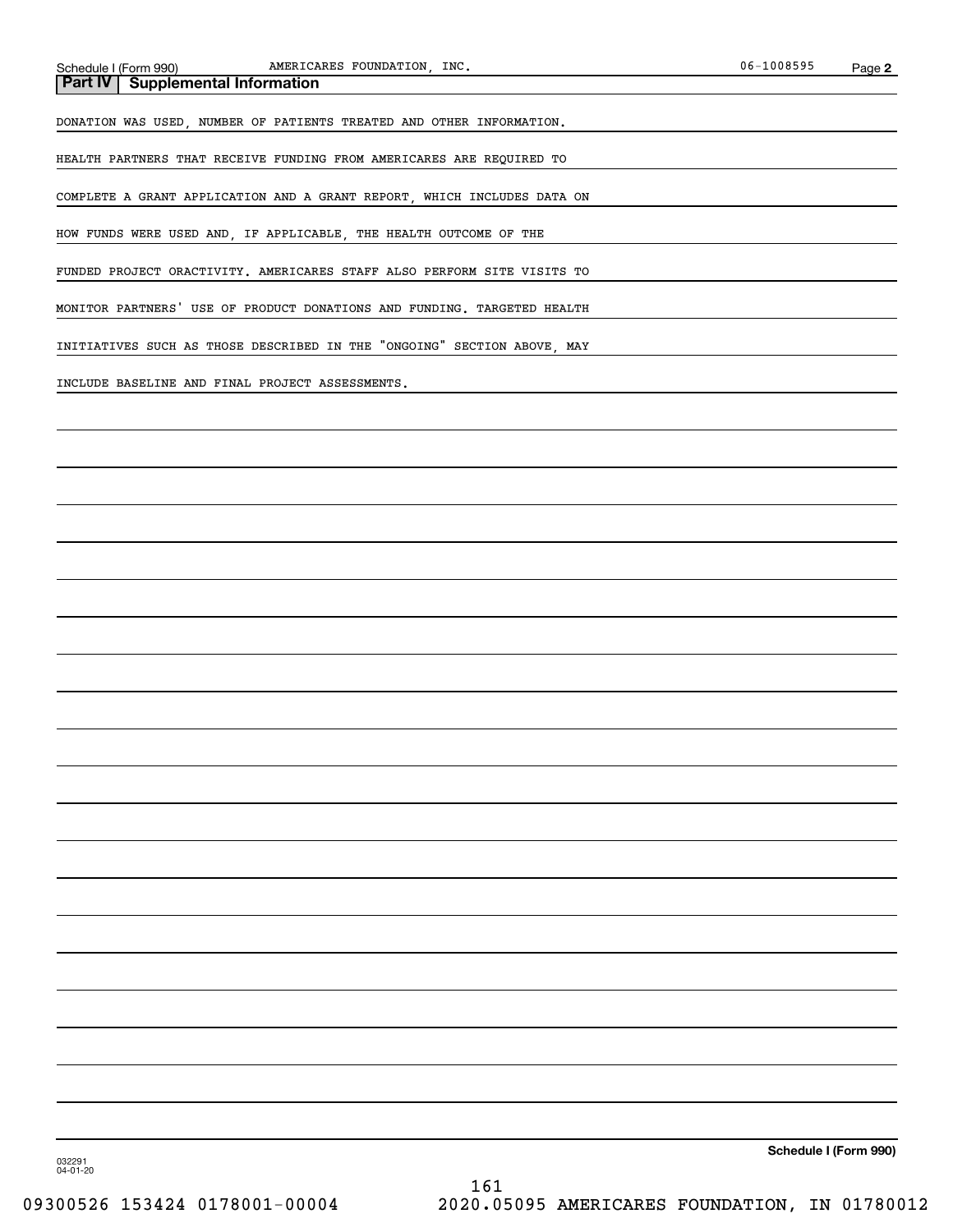**Part IV Supplemental Information**

DONATION WAS USED, NUMBER OF PATIENTS TREATED AND OTHER INFORMATION.

HEALTH PARTNERS THAT RECEIVE FUNDING FROM AMERICARES ARE REQUIRED TO

COMPLETE A GRANT APPLICATION AND A GRANT REPORT, WHICH INCLUDES DATA ON

HOW FUNDS WERE USED AND, IF APPLICABLE, THE HEALTH OUTCOME OF THE

FUNDED PROJECT ORACTIVITY. AMERICARES STAFF ALSO PERFORM SITE VISITS TO

MONITOR PARTNERS' USE OF PRODUCT DONATIONS AND FUNDING. TARGETED HEALTH

INITIATIVES SUCH AS THOSE DESCRIBED IN THE "ONGOING" SECTION ABOVE, MAY

INCLUDE BASELINE AND FINAL PROJECT ASSESSMENTS.

**Schedule I (Form 990)**

032291 04-01-20

161 09300526 153424 0178001-00004 2020.05095 AMERICARES FOUNDATION, IN 01780012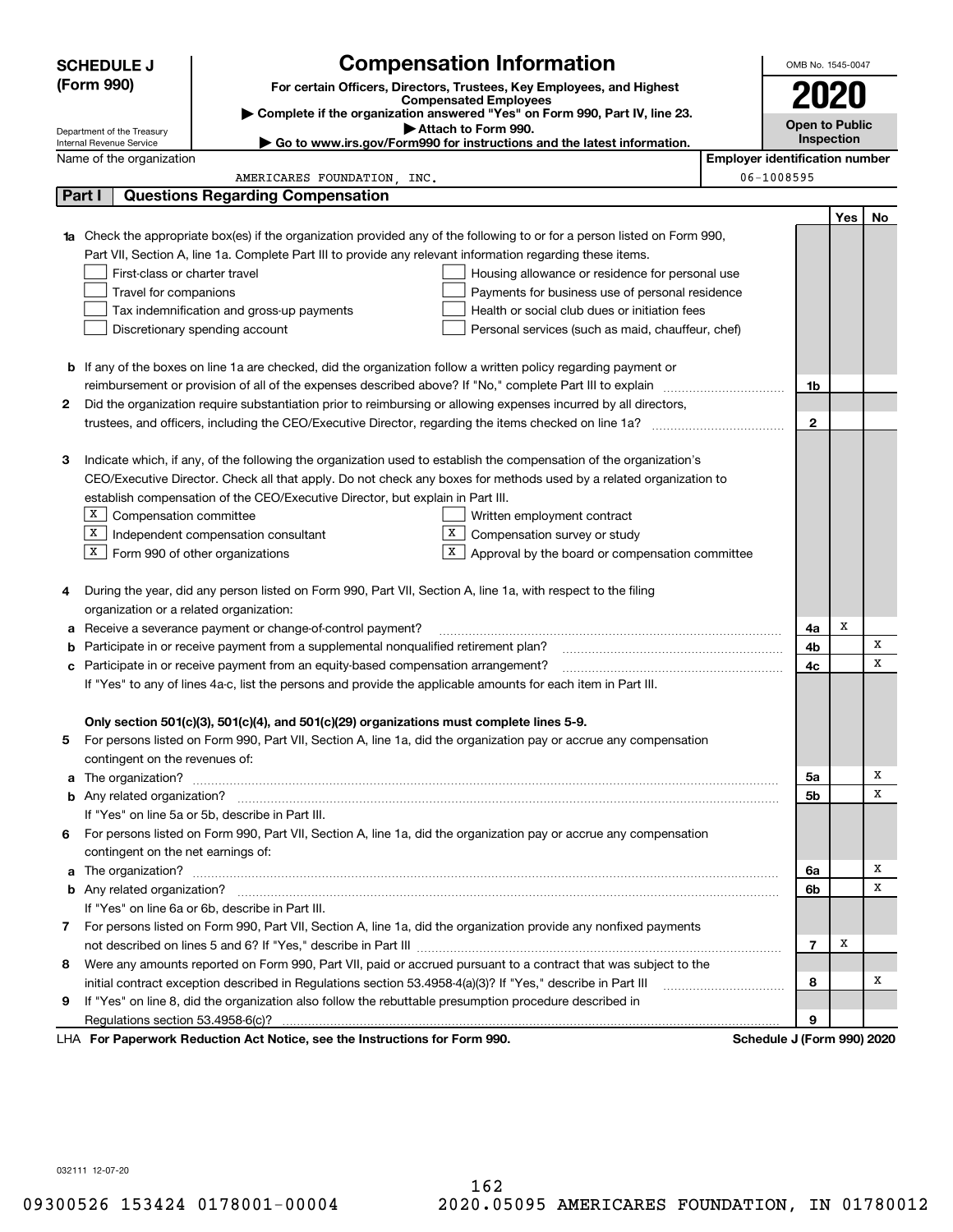|        | <b>SCHEDULE J</b>                                                                           | <b>Compensation Information</b>                                                                                                               |                                       | OMB No. 1545-0047          |     |    |  |
|--------|---------------------------------------------------------------------------------------------|-----------------------------------------------------------------------------------------------------------------------------------------------|---------------------------------------|----------------------------|-----|----|--|
|        | (Form 990)                                                                                  | For certain Officers, Directors, Trustees, Key Employees, and Highest                                                                         |                                       |                            |     |    |  |
|        |                                                                                             | <b>Compensated Employees</b><br>Complete if the organization answered "Yes" on Form 990, Part IV, line 23.                                    |                                       | 2020                       |     |    |  |
|        | Department of the Treasury                                                                  | Attach to Form 990.                                                                                                                           |                                       | <b>Open to Public</b>      |     |    |  |
|        | Internal Revenue Service                                                                    | Go to www.irs.gov/Form990 for instructions and the latest information.                                                                        |                                       | Inspection                 |     |    |  |
|        | Name of the organization                                                                    |                                                                                                                                               | <b>Employer identification number</b> |                            |     |    |  |
|        |                                                                                             | AMERICARES FOUNDATION, INC.                                                                                                                   |                                       | 06-1008595                 |     |    |  |
| Part I |                                                                                             | <b>Questions Regarding Compensation</b>                                                                                                       |                                       |                            |     |    |  |
|        |                                                                                             |                                                                                                                                               |                                       |                            | Yes | No |  |
| 1a     |                                                                                             | Check the appropriate box(es) if the organization provided any of the following to or for a person listed on Form 990,                        |                                       |                            |     |    |  |
|        |                                                                                             | Part VII, Section A, line 1a. Complete Part III to provide any relevant information regarding these items.                                    |                                       |                            |     |    |  |
|        | First-class or charter travel                                                               | Housing allowance or residence for personal use                                                                                               |                                       |                            |     |    |  |
|        | Travel for companions                                                                       | Payments for business use of personal residence<br>Tax indemnification and gross-up payments<br>Health or social club dues or initiation fees |                                       |                            |     |    |  |
|        |                                                                                             | Discretionary spending account<br>Personal services (such as maid, chauffeur, chef)                                                           |                                       |                            |     |    |  |
|        |                                                                                             |                                                                                                                                               |                                       |                            |     |    |  |
|        |                                                                                             | <b>b</b> If any of the boxes on line 1a are checked, did the organization follow a written policy regarding payment or                        |                                       |                            |     |    |  |
|        |                                                                                             |                                                                                                                                               |                                       | 1b                         |     |    |  |
| 2      |                                                                                             | Did the organization require substantiation prior to reimbursing or allowing expenses incurred by all directors,                              |                                       |                            |     |    |  |
|        |                                                                                             |                                                                                                                                               |                                       | $\mathbf{2}$               |     |    |  |
|        |                                                                                             |                                                                                                                                               |                                       |                            |     |    |  |
| З      |                                                                                             | Indicate which, if any, of the following the organization used to establish the compensation of the organization's                            |                                       |                            |     |    |  |
|        |                                                                                             | CEO/Executive Director. Check all that apply. Do not check any boxes for methods used by a related organization to                            |                                       |                            |     |    |  |
|        |                                                                                             | establish compensation of the CEO/Executive Director, but explain in Part III.                                                                |                                       |                            |     |    |  |
|        | X  <br>Compensation committee                                                               | Written employment contract                                                                                                                   |                                       |                            |     |    |  |
|        | x<br>X  <br>Independent compensation consultant<br>Compensation survey or study             |                                                                                                                                               |                                       |                            |     |    |  |
|        | $X$ Form 990 of other organizations<br>X<br>Approval by the board or compensation committee |                                                                                                                                               |                                       |                            |     |    |  |
|        |                                                                                             |                                                                                                                                               |                                       |                            |     |    |  |
| 4      |                                                                                             | During the year, did any person listed on Form 990, Part VII, Section A, line 1a, with respect to the filing                                  |                                       |                            |     |    |  |
|        | organization or a related organization:                                                     |                                                                                                                                               |                                       |                            |     |    |  |
| а      |                                                                                             | Receive a severance payment or change-of-control payment?                                                                                     |                                       | 4a                         | х   |    |  |
| b      |                                                                                             | Participate in or receive payment from a supplemental nonqualified retirement plan?                                                           |                                       | 4b                         |     | x  |  |
| c      |                                                                                             | Participate in or receive payment from an equity-based compensation arrangement?                                                              |                                       | 4c                         |     | X  |  |
|        |                                                                                             | If "Yes" to any of lines 4a-c, list the persons and provide the applicable amounts for each item in Part III.                                 |                                       |                            |     |    |  |
|        |                                                                                             |                                                                                                                                               |                                       |                            |     |    |  |
|        |                                                                                             | Only section 501(c)(3), 501(c)(4), and 501(c)(29) organizations must complete lines 5-9.                                                      |                                       |                            |     |    |  |
|        |                                                                                             | For persons listed on Form 990, Part VII, Section A, line 1a, did the organization pay or accrue any compensation                             |                                       |                            |     |    |  |
|        | contingent on the revenues of:                                                              |                                                                                                                                               |                                       |                            |     |    |  |
|        |                                                                                             |                                                                                                                                               |                                       | 5а                         |     | х  |  |
|        | <b>b</b> Any related organization?                                                          |                                                                                                                                               |                                       | 5b                         |     | x  |  |
|        |                                                                                             | If "Yes" on line 5a or 5b, describe in Part III.                                                                                              |                                       |                            |     |    |  |
| 6      |                                                                                             | For persons listed on Form 990, Part VII, Section A, line 1a, did the organization pay or accrue any compensation                             |                                       |                            |     |    |  |
|        | contingent on the net earnings of:                                                          |                                                                                                                                               |                                       | 6a                         |     |    |  |
|        |                                                                                             |                                                                                                                                               |                                       |                            |     | х  |  |
|        | <b>b</b> Any related organization?                                                          |                                                                                                                                               |                                       | 6b                         |     | х  |  |
|        |                                                                                             | If "Yes" on line 6a or 6b, describe in Part III.                                                                                              |                                       |                            |     |    |  |
|        |                                                                                             | 7 For persons listed on Form 990, Part VII, Section A, line 1a, did the organization provide any nonfixed payments                            |                                       |                            |     |    |  |
|        |                                                                                             |                                                                                                                                               |                                       | $\overline{7}$             | х   |    |  |
| 8      |                                                                                             | Were any amounts reported on Form 990, Part VII, paid or accrued pursuant to a contract that was subject to the                               |                                       |                            |     |    |  |
|        |                                                                                             | initial contract exception described in Regulations section 53.4958-4(a)(3)? If "Yes," describe in Part III                                   |                                       | 8                          |     | х  |  |
| 9      |                                                                                             | If "Yes" on line 8, did the organization also follow the rebuttable presumption procedure described in                                        |                                       |                            |     |    |  |
|        |                                                                                             |                                                                                                                                               |                                       | 9                          |     |    |  |
|        |                                                                                             | LHA For Paperwork Reduction Act Notice, see the Instructions for Form 990.                                                                    |                                       | Schedule J (Form 990) 2020 |     |    |  |

032111 12-07-20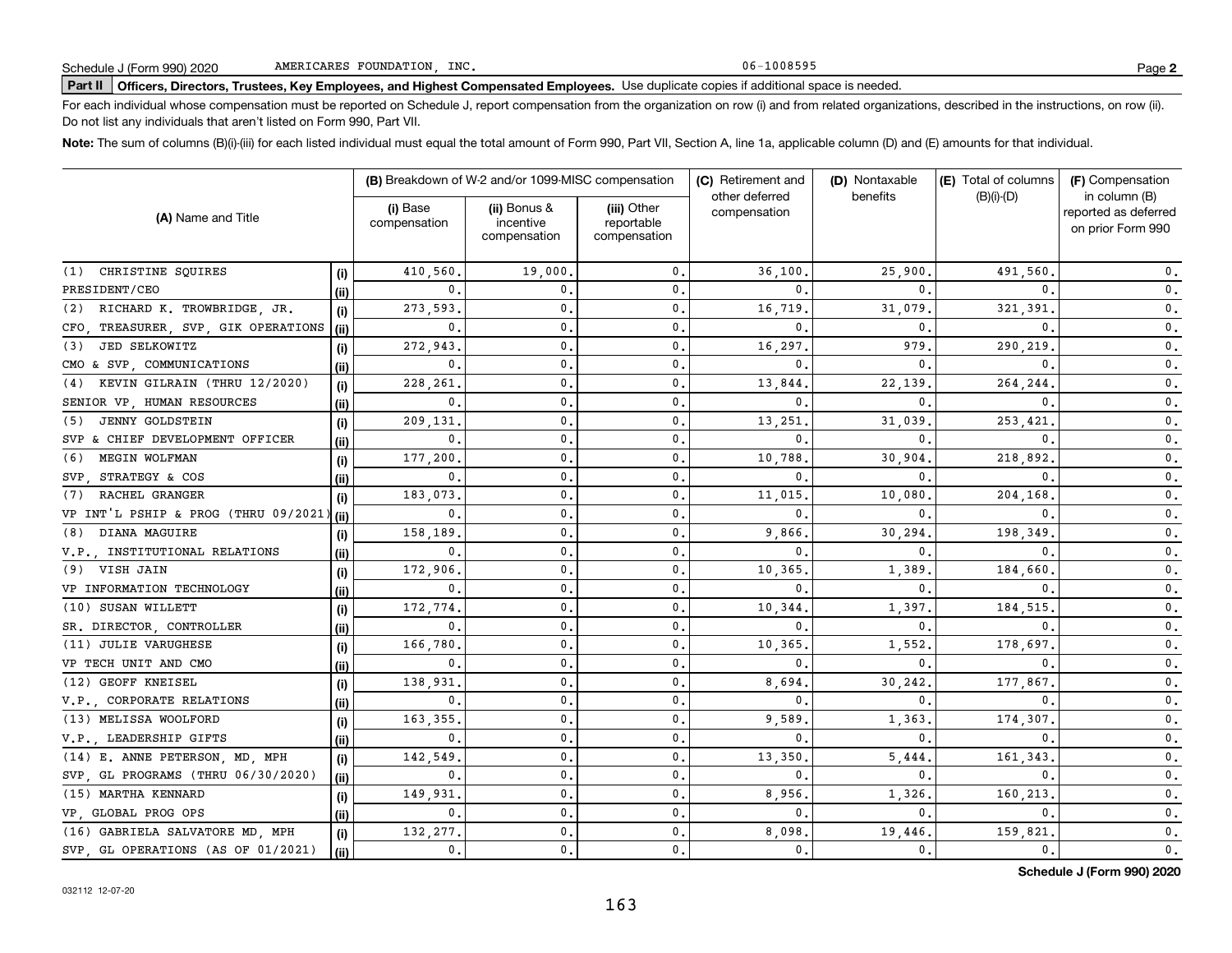06-1008595

# **Part II Officers, Directors, Trustees, Key Employees, and Highest Compensated Employees.**  Schedule J (Form 990) 2020 Page Use duplicate copies if additional space is needed.

For each individual whose compensation must be reported on Schedule J, report compensation from the organization on row (i) and from related organizations, described in the instructions, on row (ii). Do not list any individuals that aren't listed on Form 990, Part VII.

**Note:**  The sum of columns (B)(i)-(iii) for each listed individual must equal the total amount of Form 990, Part VII, Section A, line 1a, applicable column (D) and (E) amounts for that individual.

|                                      |      |                          | (B) Breakdown of W-2 and/or 1099-MISC compensation |                                           | (C) Retirement and<br>other deferred | (D) Nontaxable<br>benefits | (E) Total of columns<br>$(B)(i)-(D)$ | (F) Compensation<br>in column (B)         |  |
|--------------------------------------|------|--------------------------|----------------------------------------------------|-------------------------------------------|--------------------------------------|----------------------------|--------------------------------------|-------------------------------------------|--|
| (A) Name and Title                   |      | (i) Base<br>compensation | (ii) Bonus &<br>incentive<br>compensation          | (iii) Other<br>reportable<br>compensation | compensation                         |                            |                                      | reported as deferred<br>on prior Form 990 |  |
| (1) CHRISTINE SOUIRES                | (i)  | 410,560                  | 19,000.                                            | $\mathbf{0}$ .                            | 36,100                               | 25,900                     | 491,560                              | 0.                                        |  |
| PRESIDENT/CEO                        | (ii) | 0.                       | $\mathbf{0}$ .                                     | 0.                                        | 0                                    | 0                          |                                      | $\mathbf 0$ .                             |  |
| (2) RICHARD K. TROWBRIDGE, JR.       | (i)  | 273,593                  | 0.                                                 | 0.                                        | 16,719                               | 31,079                     | 321,391                              | $\mathbf 0$ .                             |  |
| CFO, TREASURER, SVP, GIK OPERATIONS  | (ii) | 0.                       | $\mathbf{0}$ .                                     | 0.                                        | 0                                    | 0                          | $\mathbf{0}$ .                       | $\mathbf 0$ .                             |  |
| JED SELKOWITZ<br>(3)                 | (i)  | 272,943.                 | $\mathbf{0}$ .                                     | 0.                                        | 16,297                               | 979                        | 290,219                              | $\mathbf 0$ .                             |  |
| CMO & SVP, COMMUNICATIONS            | (ii) | 0.                       | $\mathbf{0}$ .                                     | $\mathbf{0}$ .                            | 0                                    | 0                          | 0                                    | $\mathbf 0$ .                             |  |
| (4) KEVIN GILRAIN (THRU 12/2020)     | (i)  | 228,261                  | 0.                                                 | $\mathfrak o$ .                           | 13,844                               | 22,139                     | 264,244                              | 0.                                        |  |
| SENIOR VP, HUMAN RESOURCES           | (ii) | $\mathbf{0}$ .           | $\mathbf{0}$ .                                     | $\mathbf 0$ .                             | 0                                    | 0                          | 0                                    | $\mathbf{0}$ .                            |  |
| <b>JENNY GOLDSTEIN</b><br>(5)        | (i)  | 209,131                  | $\mathbf{0}$ .                                     | $\mathbf 0$ .                             | 13,251                               | 31,039                     | 253,421                              | 0.                                        |  |
| SVP & CHIEF DEVELOPMENT OFFICER      | (ii) | $\mathbf{0}$             | $\mathbf 0$ .                                      | $\mathbf 0$ .                             | 0                                    | 0                          | <sup>0</sup>                         | 0.                                        |  |
| MEGIN WOLFMAN<br>(6)                 | (i)  | 177,200                  | $\mathbf{0}$ .                                     | $\mathbf 0$ .                             | 10,788                               | 30,904                     | 218,892                              | $\mathbf 0$ .                             |  |
| SVP STRATEGY & COS                   | (ii) | 0.                       | $^{\rm 0}$ .                                       | 0.                                        | 0                                    | 0                          | 0                                    | $0$ .                                     |  |
| (7) RACHEL GRANGER                   | (i)  | 183,073                  | $\mathbf{0}$ .                                     | $\mathbf 0$ .                             | 11,015                               | 10,080                     | 204,168                              | $\mathbf 0$ .                             |  |
| VP INT'L PSHIP & PROG (THRU 09/2021) | (ii) | 0.                       | $\mathbf{0}$                                       | $\mathbf 0$ .                             | 0                                    | 0                          | 0                                    | 0.                                        |  |
| (8) DIANA MAGUIRE                    | (i)  | 158,189.                 | $\mathbf{0}$ .                                     | $\mathbf 0$ .                             | 9,866                                | 30,294                     | 198,349                              | 0.                                        |  |
| V.P., INSTITUTIONAL RELATIONS        | (ii) | $\mathbf 0$ .            | $\mathbf 0$ .                                      | $\mathbf{0}$ .                            | 0                                    | 0                          |                                      | $0$ .                                     |  |
| (9) VISH JAIN                        | (i)  | 172,906                  | $\mathbf{0}$ .                                     | $\mathbf{0}$ .                            | 10,365                               | 1,389                      | 184,660                              | 0.                                        |  |
| VP INFORMATION TECHNOLOGY            | (ii) | $\mathbf 0$ .            | $\mathbf{0}$                                       | $\mathbf{0}$                              | 0                                    | 0                          |                                      | 0.                                        |  |
| (10) SUSAN WILLETT                   | (i)  | 172,774.                 | $\mathbf{0}$                                       | $\mathbf{0}$                              | 10,344                               | 1,397                      | 184,515                              | 0.                                        |  |
| SR. DIRECTOR, CONTROLLER             | (ii) | 0.                       | 0.                                                 | $\mathbf 0$ .                             | 0                                    | 0                          |                                      | $\mathbf{0}$ .                            |  |
| (11) JULIE VARUGHESE                 | (i)  | 166,780                  | $\mathbf{0}$ .                                     | $\mathbf{0}$ .                            | 10,365                               | 1,552                      | 178,697                              | 0.                                        |  |
| VP TECH UNIT AND CMO                 | (ii) | 0.                       | $\mathbf{0}$ .                                     | $\mathbf 0$ .                             | 0                                    | 0                          | 0                                    | $\mathbf 0$ .                             |  |
| (12) GEOFF KNEISEL                   | (i)  | 138,931                  | 0.                                                 | $\mathbf 0$ .                             | 8,694                                | 30,242                     | 177,867                              | $\mathbf 0$ .                             |  |
| V.P., CORPORATE RELATIONS            | (ii) | 0.                       | $\mathbf{0}$ .                                     | $\mathbf{0}$ .                            | 0                                    | $\mathbf{0}$               | 0                                    | $\mathbf 0$ .                             |  |
| (13) MELISSA WOOLFORD                | (i)  | 163,355                  | $\mathbf{0}$ .                                     | $\mathbf 0$ .                             | 9,589                                | 1,363                      | 174,307                              | 0.                                        |  |
| V.P., LEADERSHIP GIFTS               | (ii) | 0.                       | $\mathbf{0}$ .                                     | $\mathbf{0}$ .                            | 0                                    | $\mathbf{0}$ .             | $\mathbf{0}$                         | $\mathbf 0$ .                             |  |
| (14) E. ANNE PETERSON, MD, MPH       | (i)  | 142,549.                 | $\mathbf{0}$ .                                     | $\mathbf 0$ .                             | 13,350                               | 5.444                      | 161,343                              | $\mathbf{0}$ .                            |  |
| SVP, GL PROGRAMS (THRU 06/30/2020)   | (ii) | 0.                       | $\mathbf{0}$ .                                     | $\mathbf{0}$ .                            | 0                                    | $\mathfrak{o}$ .           | 0.                                   | 0.                                        |  |
| (15) MARTHA KENNARD                  | (i)  | 149,931.                 | $\mathbf{0}$ .                                     | $\mathbf{0}$ .                            | 8,956                                | 1,326,                     | 160,213                              | $\mathbf{0}$ .                            |  |
| VP, GLOBAL PROG OPS                  | (i)  | 0.                       | $\mathbf{0}$ .                                     | $\mathbf{0}$ .                            | 0                                    | 0.                         | 0.                                   | 0.                                        |  |
| (16) GABRIELA SALVATORE MD, MPH      | (i)  | 132,277.                 | $\mathbf{0}$ .                                     | $\mathbf{0}$ .                            | 8,098.                               | 19,446                     | 159,821                              | $\mathbf 0$ .                             |  |
| SVP, GL OPERATIONS (AS OF 01/2021)   | (ii) | 0.                       | $\mathbf{0}$ .                                     | $\mathbf{0}$ .                            | 0.                                   | 0.                         | 0.                                   | $\mathbf{0}$ .                            |  |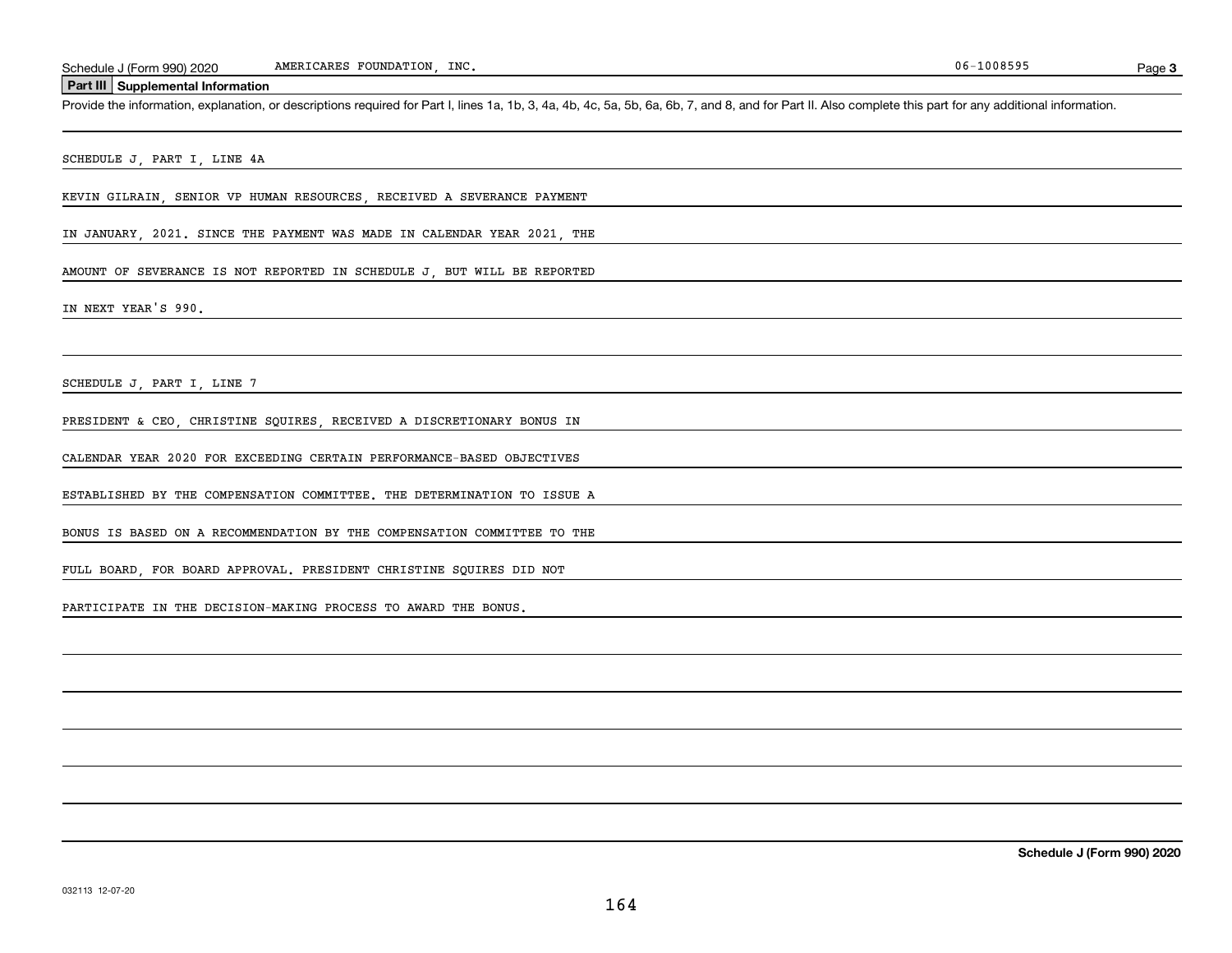#### **Part III Supplemental Information**

Schedule J (Form 990) 2020 MMERICARES FOUNDATION, INC.<br>Part III Supplemental Information<br>Provide the information, explanation, or descriptions required for Part I, lines 1a, 1b, 3, 4a, 4b, 4c, 5a, 5b, 6a, 6b, 7, and 8, and

SCHEDULE J, PART I, LINE 4A

KEVIN GILRAIN, SENIOR VP HUMAN RESOURCES, RECEIVED A SEVERANCE PAYMENT

IN JANUARY, 2021. SINCE THE PAYMENT WAS MADE IN CALENDAR YEAR 2021, THE

#### AMOUNT OF SEVERANCE IS NOT REPORTED IN SCHEDULE J, BUT WILL BE REPORTED

IN NEXT YEAR'S 990.

SCHEDULE J, PART I, LINE 7

PRESIDENT & CEO, CHRISTINE SQUIRES, RECEIVED A DISCRETIONARY BONUS IN

CALENDAR YEAR 2020 FOR EXCEEDING CERTAIN PERFORMANCE-BASED OBJECTIVES

ESTABLISHED BY THE COMPENSATION COMMITTEE. THE DETERMINATION TO ISSUE A

BONUS IS BASED ON A RECOMMENDATION BY THE COMPENSATION COMMITTEE TO THE

FULL BOARD, FOR BOARD APPROVAL. PRESIDENT CHRISTINE SQUIRES DID NOT

PARTICIPATE IN THE DECISION-MAKING PROCESS TO AWARD THE BONUS.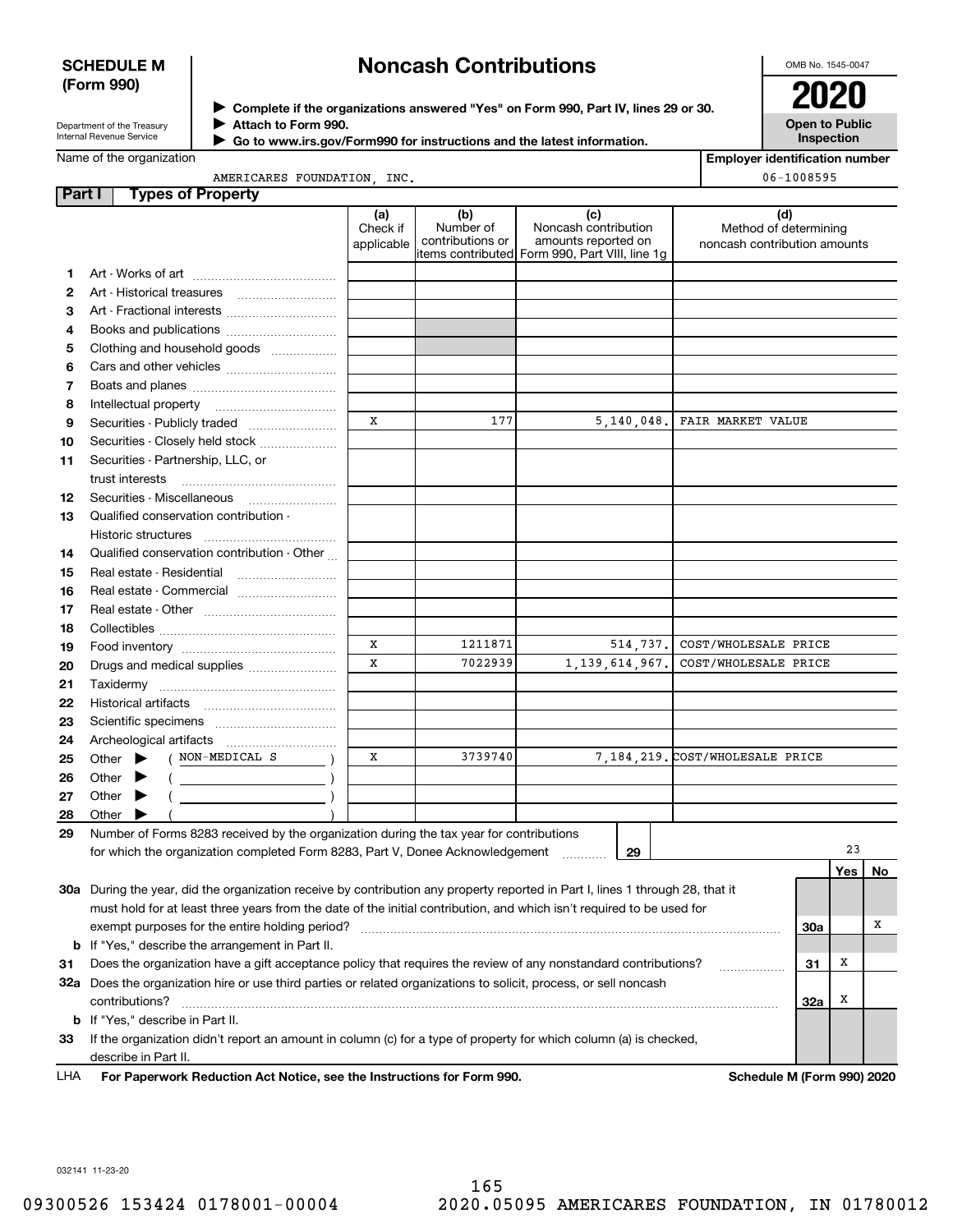### **SCHEDULE M (Form 990)**

# **Noncash Contributions**

OMB No. 1545-0047

| Department of the Treasury |  |
|----------------------------|--|
| Internal Revenue Service   |  |

**Complete if the organizations answered "Yes" on Form 990, Part IV, lines 29 or 30.** <sup>J</sup>**2020 Attach to Form 990.** J

 **Go to www.irs.gov/Form990 for instructions and the latest information.** J

**Open to Public Inspection**

|  | Name of the organization |
|--|--------------------------|

AMERICARES FOUNDATION, INC.

| Employer identification number |  |
|--------------------------------|--|
| 06-1008595                     |  |

| $06 - 100859$ |  |
|---------------|--|

| Part I | <b>Types of Property</b>                                                                                                       |                               |                                      |                                                                                                        |                                                              |          |    |
|--------|--------------------------------------------------------------------------------------------------------------------------------|-------------------------------|--------------------------------------|--------------------------------------------------------------------------------------------------------|--------------------------------------------------------------|----------|----|
|        |                                                                                                                                | (a)<br>Check if<br>applicable | (b)<br>Number of<br>contributions or | (c)<br>Noncash contribution<br>amounts reported on<br> items contributed  Form 990, Part VIII, line 1g | (d)<br>Method of determining<br>noncash contribution amounts |          |    |
| 1      |                                                                                                                                |                               |                                      |                                                                                                        |                                                              |          |    |
| 2      |                                                                                                                                |                               |                                      |                                                                                                        |                                                              |          |    |
| З      | Art - Fractional interests                                                                                                     |                               |                                      |                                                                                                        |                                                              |          |    |
| 4      | Books and publications                                                                                                         |                               |                                      |                                                                                                        |                                                              |          |    |
| 5      | Clothing and household goods                                                                                                   |                               |                                      |                                                                                                        |                                                              |          |    |
| 6      |                                                                                                                                |                               |                                      |                                                                                                        |                                                              |          |    |
| 7      |                                                                                                                                |                               |                                      |                                                                                                        |                                                              |          |    |
| 8      |                                                                                                                                |                               |                                      |                                                                                                        |                                                              |          |    |
| 9      | Securities - Publicly traded                                                                                                   | x                             | 177                                  | 5, 140, 048.                                                                                           | FAIR MARKET VALUE                                            |          |    |
| 10     | Securities - Closely held stock                                                                                                |                               |                                      |                                                                                                        |                                                              |          |    |
| 11     | Securities - Partnership, LLC, or                                                                                              |                               |                                      |                                                                                                        |                                                              |          |    |
|        | trust interests                                                                                                                |                               |                                      |                                                                                                        |                                                              |          |    |
| 12     | Securities - Miscellaneous                                                                                                     |                               |                                      |                                                                                                        |                                                              |          |    |
| 13     | Qualified conservation contribution -                                                                                          |                               |                                      |                                                                                                        |                                                              |          |    |
|        | <b>Historic structures</b>                                                                                                     |                               |                                      |                                                                                                        |                                                              |          |    |
| 14     | Qualified conservation contribution - Other                                                                                    |                               |                                      |                                                                                                        |                                                              |          |    |
| 15     |                                                                                                                                |                               |                                      |                                                                                                        |                                                              |          |    |
| 16     | Real estate - Commercial                                                                                                       |                               |                                      |                                                                                                        |                                                              |          |    |
| 17     |                                                                                                                                |                               |                                      |                                                                                                        |                                                              |          |    |
| 18     |                                                                                                                                |                               |                                      |                                                                                                        |                                                              |          |    |
| 19     |                                                                                                                                | X                             | 1211871                              | 514,737.                                                                                               | COST/WHOLESALE PRICE                                         |          |    |
| 20     | Drugs and medical supplies                                                                                                     | $\mathbf x$                   | 7022939                              | 1, 139, 614, 967.                                                                                      | COST/WHOLESALE PRICE                                         |          |    |
| 21     |                                                                                                                                |                               |                                      |                                                                                                        |                                                              |          |    |
| 22     |                                                                                                                                |                               |                                      |                                                                                                        |                                                              |          |    |
| 23     |                                                                                                                                |                               |                                      |                                                                                                        |                                                              |          |    |
| 24     |                                                                                                                                |                               |                                      |                                                                                                        |                                                              |          |    |
| 25     | ( NON-MEDICAL S<br>Other $\blacktriangleright$                                                                                 | X                             | 3739740                              |                                                                                                        | 7,184,219. COST/WHOLESALE PRICE                              |          |    |
| 26     | Other<br>$\overline{\phantom{a}}$                                                                                              |                               |                                      |                                                                                                        |                                                              |          |    |
| 27     | Other<br><u> 1990 - Johann Harry Barn, mars a</u><br>▸                                                                         |                               |                                      |                                                                                                        |                                                              |          |    |
| 28     | Other<br>▶                                                                                                                     |                               |                                      |                                                                                                        |                                                              |          |    |
| 29     | Number of Forms 8283 received by the organization during the tax year for contributions                                        |                               |                                      |                                                                                                        |                                                              |          |    |
|        | for which the organization completed Form 8283, Part V, Donee Acknowledgement                                                  |                               |                                      | 29                                                                                                     |                                                              | 23       |    |
|        |                                                                                                                                |                               |                                      |                                                                                                        |                                                              | Yes      | No |
|        | 30a During the year, did the organization receive by contribution any property reported in Part I, lines 1 through 28, that it |                               |                                      |                                                                                                        |                                                              |          |    |
|        | must hold for at least three years from the date of the initial contribution, and which isn't required to be used for          |                               |                                      |                                                                                                        |                                                              |          |    |
|        | exempt purposes for the entire holding period?                                                                                 |                               |                                      |                                                                                                        |                                                              | 30a      | х  |
|        | <b>b</b> If "Yes," describe the arrangement in Part II.                                                                        |                               |                                      |                                                                                                        |                                                              |          |    |
| 31     | Does the organization have a gift acceptance policy that requires the review of any nonstandard contributions?                 |                               |                                      |                                                                                                        | .                                                            | Х<br>31  |    |
|        | 32a Does the organization hire or use third parties or related organizations to solicit, process, or sell noncash              |                               |                                      |                                                                                                        |                                                              |          |    |
|        | contributions?                                                                                                                 |                               |                                      |                                                                                                        |                                                              | X<br>32a |    |
|        | <b>b</b> If "Yes," describe in Part II.                                                                                        |                               |                                      |                                                                                                        |                                                              |          |    |
| 33     | If the organization didn't report an amount in column (c) for a type of property for which column (a) is checked,              |                               |                                      |                                                                                                        |                                                              |          |    |
|        | describe in Part II.                                                                                                           |                               |                                      |                                                                                                        |                                                              |          |    |

**For Paperwork Reduction Act Notice, see the Instructions for Form 990. Schedule M (Form 990) 2020** LHA

032141 11-23-20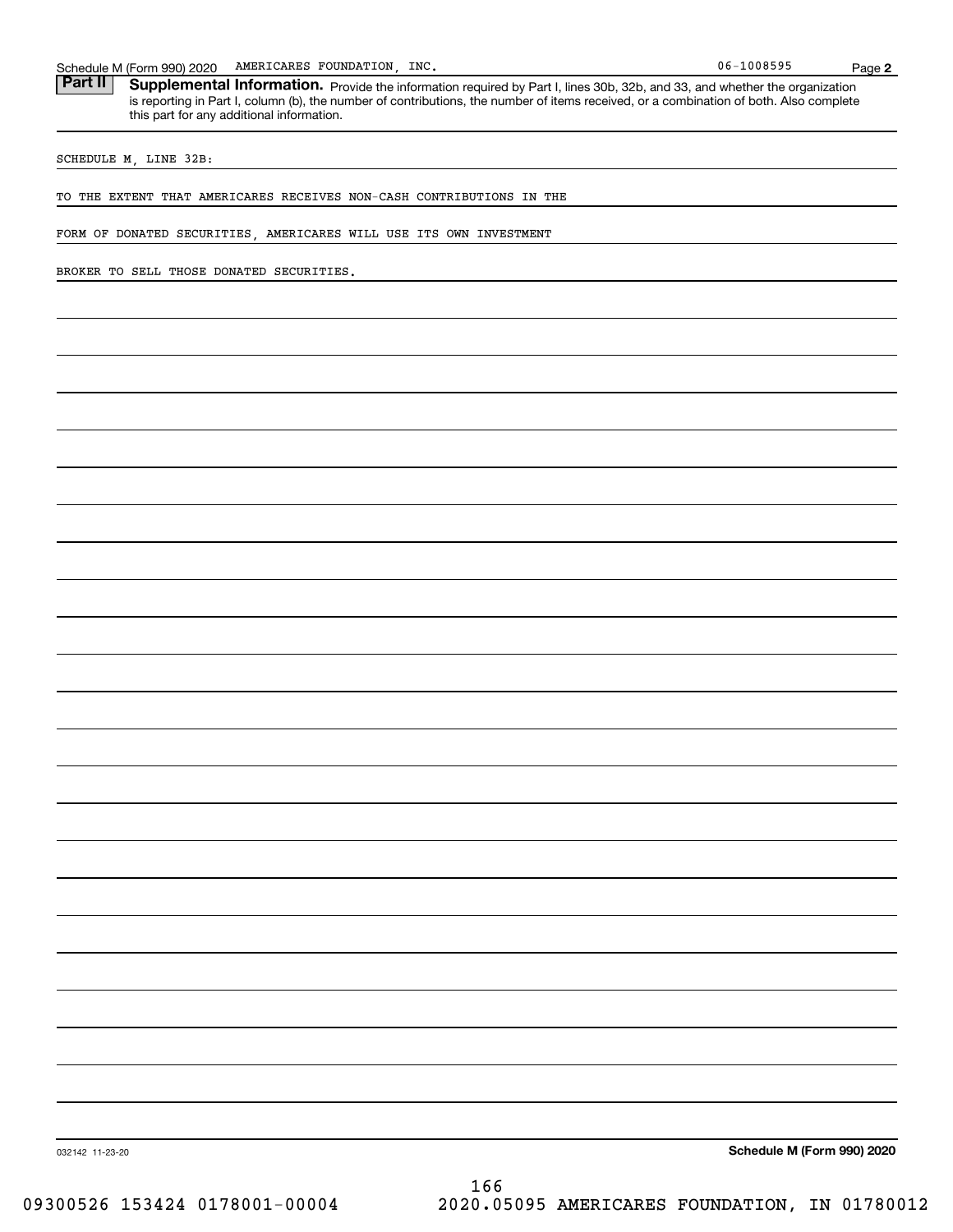Schedule M (Form 990) 2020 AMERICARES FOUNDATION, INC.<br>**Part II** Supplemental Information. Provide the information required by Part I. lines 30b. 32b. and 33. and whether the c Part II | Supplemental Information. Provide the information required by Part I, lines 30b, 32b, and 33, and whether the organization is reporting in Part I, column (b), the number of contributions, the number of items received, or a combination of both. Also complete this part for any additional information.

TO THE EXTENT THAT AMERICARES RECEIVES NON-CASH CONTRIBUTIONS IN THE

FORM OF DONATED SECURITIES, AMERICARES WILL USE ITS OWN INVESTMENT

BROKER TO SELL THOSE DONATED SECURITIES.

**Schedule M (Form 990) 2020**

032142 11-23-20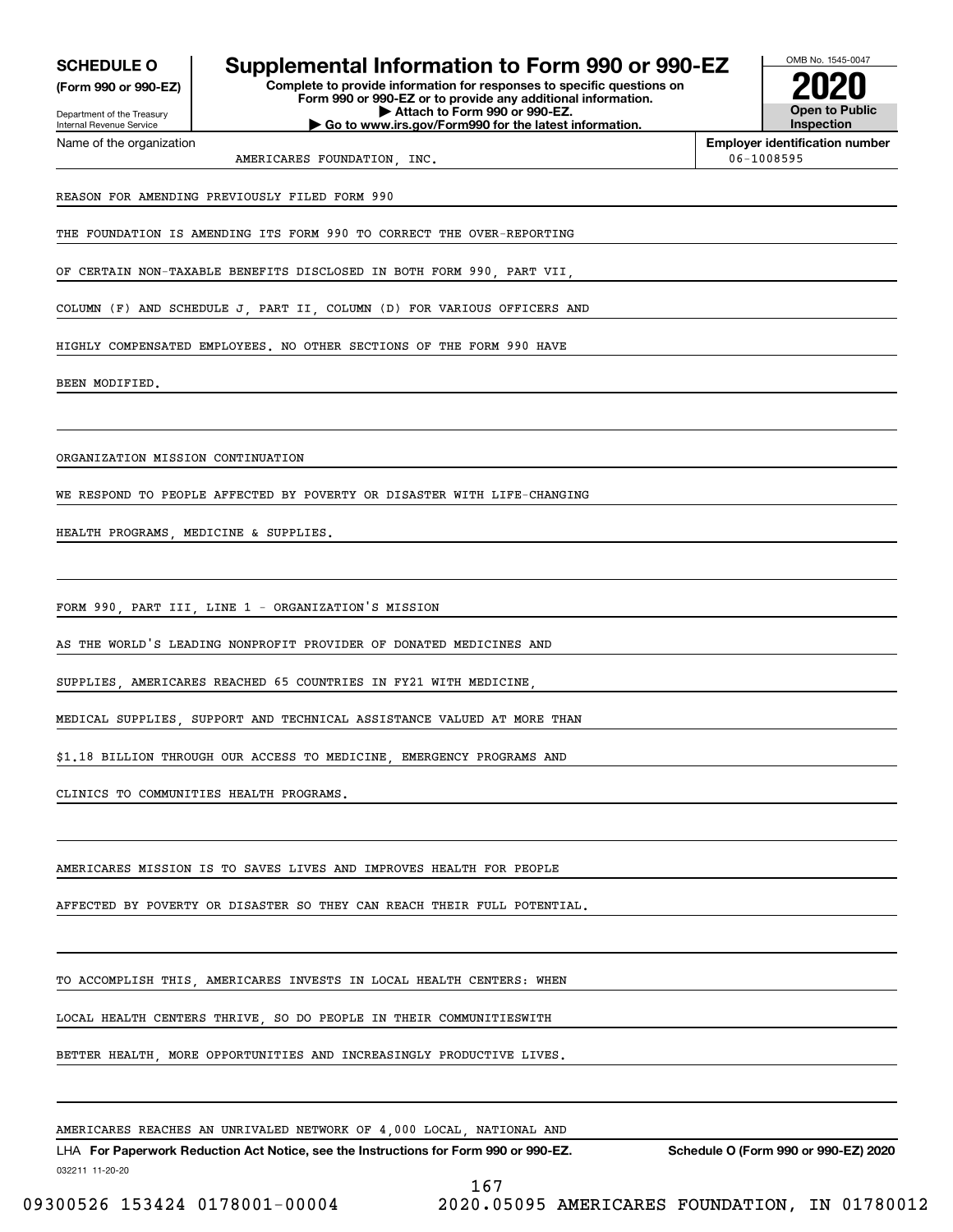**(Form 990 or 990-EZ)**

Department of the Treasury Internal Revenue Service Name of the organization

### **SCHEDULE O Supplemental Information to Form 990 or 990-EZ**

**Complete to provide information for responses to specific questions on Form 990 or 990-EZ or to provide any additional information. | Attach to Form 990 or 990-EZ. | Go to www.irs.gov/Form990 for the latest information.**



**Employer identification number**

AMERICARES FOUNDATION, INC. 06-1008595

REASON FOR AMENDING PREVIOUSLY FILED FORM 990

THE FOUNDATION IS AMENDING ITS FORM 990 TO CORRECT THE OVER-REPORTING

OF CERTAIN NON-TAXABLE BENEFITS DISCLOSED IN BOTH FORM 990, PART VII,

COLUMN (F) AND SCHEDULE J, PART II, COLUMN (D) FOR VARIOUS OFFICERS AND

HIGHLY COMPENSATED EMPLOYEES. NO OTHER SECTIONS OF THE FORM 990 HAVE

BEEN MODIFIED.

ORGANIZATION MISSION CONTINUATION

WE RESPOND TO PEOPLE AFFECTED BY POVERTY OR DISASTER WITH LIFE-CHANGING

HEALTH PROGRAMS, MEDICINE & SUPPLIES.

FORM 990, PART III, LINE 1 - ORGANIZATION'S MISSION

AS THE WORLD'S LEADING NONPROFIT PROVIDER OF DONATED MEDICINES AND

SUPPLIES, AMERICARES REACHED 65 COUNTRIES IN FY21 WITH MEDICINE,

MEDICAL SUPPLIES, SUPPORT AND TECHNICAL ASSISTANCE VALUED AT MORE THAN

\$1.18 BILLION THROUGH OUR ACCESS TO MEDICINE, EMERGENCY PROGRAMS AND

CLINICS TO COMMUNITIES HEALTH PROGRAMS.

#### AMERICARES MISSION IS TO SAVES LIVES AND IMPROVES HEALTH FOR PEOPLE

AFFECTED BY POVERTY OR DISASTER SO THEY CAN REACH THEIR FULL POTENTIAL.

TO ACCOMPLISH THIS, AMERICARES INVESTS IN LOCAL HEALTH CENTERS: WHEN

LOCAL HEALTH CENTERS THRIVE, SO DO PEOPLE IN THEIR COMMUNITIESWITH

BETTER HEALTH, MORE OPPORTUNITIES AND INCREASINGLY PRODUCTIVE LIVES.

AMERICARES REACHES AN UNRIVALED NETWORK OF 4,000 LOCAL, NATIONAL AND

032211 11-20-20 LHA For Paperwork Reduction Act Notice, see the Instructions for Form 990 or 990-EZ. Schedule O (Form 990 or 990-EZ) 2020

167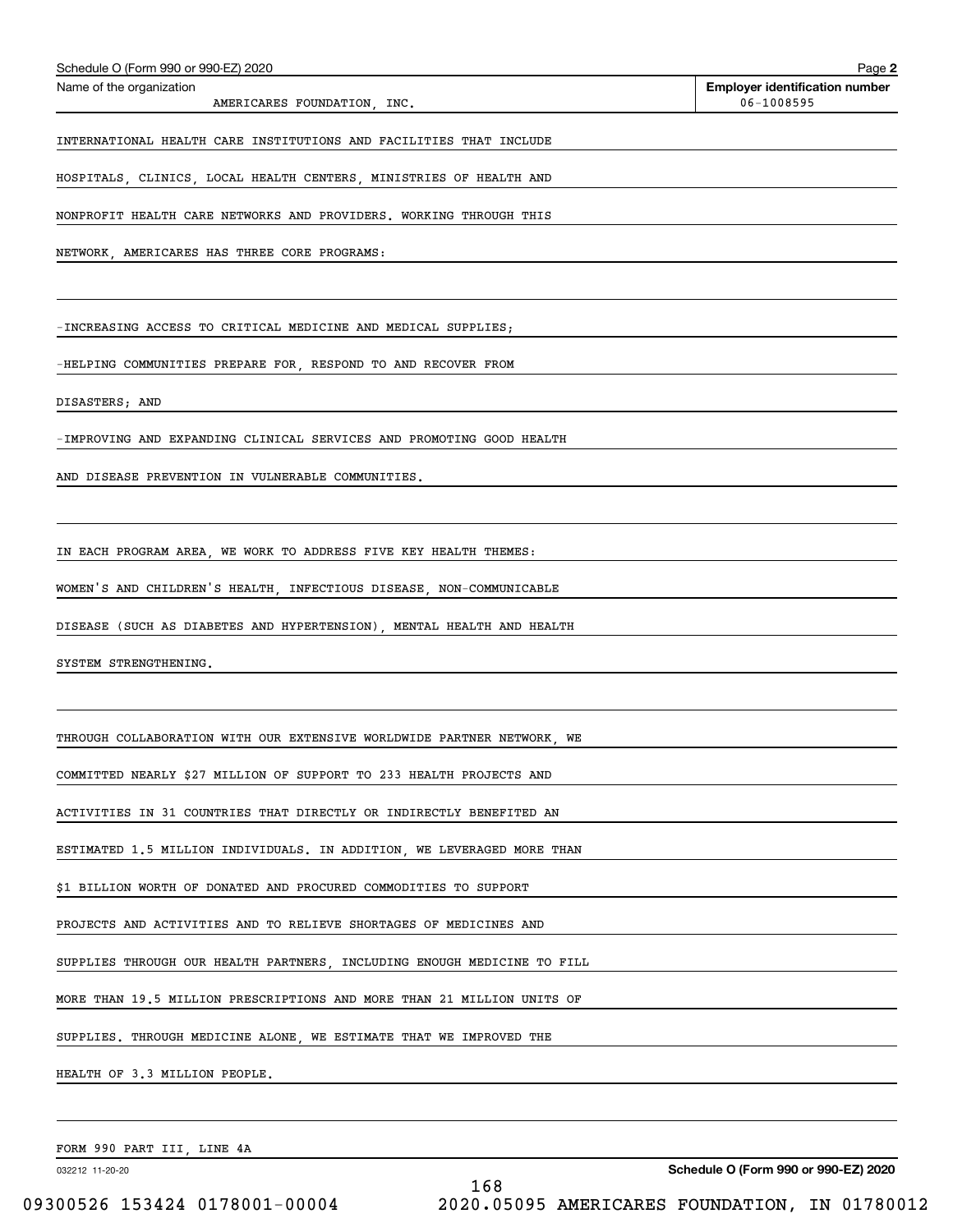| Name of the organization<br>AMERICARES FOUNDATION, INC.                 | <b>Employer identification number</b><br>06-1008595 |
|-------------------------------------------------------------------------|-----------------------------------------------------|
| INTERNATIONAL HEALTH CARE INSTITUTIONS AND FACILITIES THAT INCLUDE      |                                                     |
|                                                                         |                                                     |
| HOSPITALS, CLINICS, LOCAL HEALTH CENTERS, MINISTRIES OF HEALTH AND      |                                                     |
| NONPROFIT HEALTH CARE NETWORKS AND PROVIDERS. WORKING THROUGH THIS      |                                                     |
| NETWORK, AMERICARES HAS THREE CORE PROGRAMS:                            |                                                     |
|                                                                         |                                                     |
| -INCREASING ACCESS TO CRITICAL MEDICINE AND MEDICAL SUPPLIES;           |                                                     |
| -HELPING COMMUNITIES PREPARE FOR, RESPOND TO AND RECOVER FROM           |                                                     |
| DISASTERS; AND                                                          |                                                     |
| -IMPROVING AND EXPANDING CLINICAL SERVICES AND PROMOTING GOOD HEALTH    |                                                     |
|                                                                         |                                                     |
| AND DISEASE PREVENTION IN VULNERABLE COMMUNITIES.                       |                                                     |
|                                                                         |                                                     |
| IN EACH PROGRAM AREA, WE WORK TO ADDRESS FIVE KEY HEALTH THEMES:        |                                                     |
| WOMEN'S AND CHILDREN'S HEALTH, INFECTIOUS DISEASE, NON-COMMUNICABLE     |                                                     |
| DISEASE (SUCH AS DIABETES AND HYPERTENSION), MENTAL HEALTH AND HEALTH   |                                                     |
| SYSTEM STRENGTHENING.                                                   |                                                     |
|                                                                         |                                                     |
| THROUGH COLLABORATION WITH OUR EXTENSIVE WORLDWIDE PARTNER NETWORK, WE  |                                                     |
| COMMITTED NEARLY \$27 MILLION OF SUPPORT TO 233 HEALTH PROJECTS AND     |                                                     |
| ACTIVITIES IN 31 COUNTRIES THAT DIRECTLY OR INDIRECTLY BENEFITED AN     |                                                     |
| ESTIMATED 1.5 MILLION INDIVIDUALS. IN ADDITION, WE LEVERAGED MORE THAN  |                                                     |
|                                                                         |                                                     |
| \$1 BILLION WORTH OF DONATED AND PROCURED COMMODITIES TO SUPPORT        |                                                     |
| PROJECTS AND ACTIVITIES AND TO RELIEVE SHORTAGES OF MEDICINES AND       |                                                     |
| SUPPLIES THROUGH OUR HEALTH PARTNERS, INCLUDING ENOUGH MEDICINE TO FILL |                                                     |
| MORE THAN 19.5 MILLION PRESCRIPTIONS AND MORE THAN 21 MILLION UNITS OF  |                                                     |
| SUPPLIES. THROUGH MEDICINE ALONE, WE ESTIMATE THAT WE IMPROVED THE      |                                                     |
|                                                                         |                                                     |
|                                                                         |                                                     |
| HEALTH OF 3.3 MILLION PEOPLE.                                           |                                                     |
| FORM 990 PART III, LINE 4A                                              |                                                     |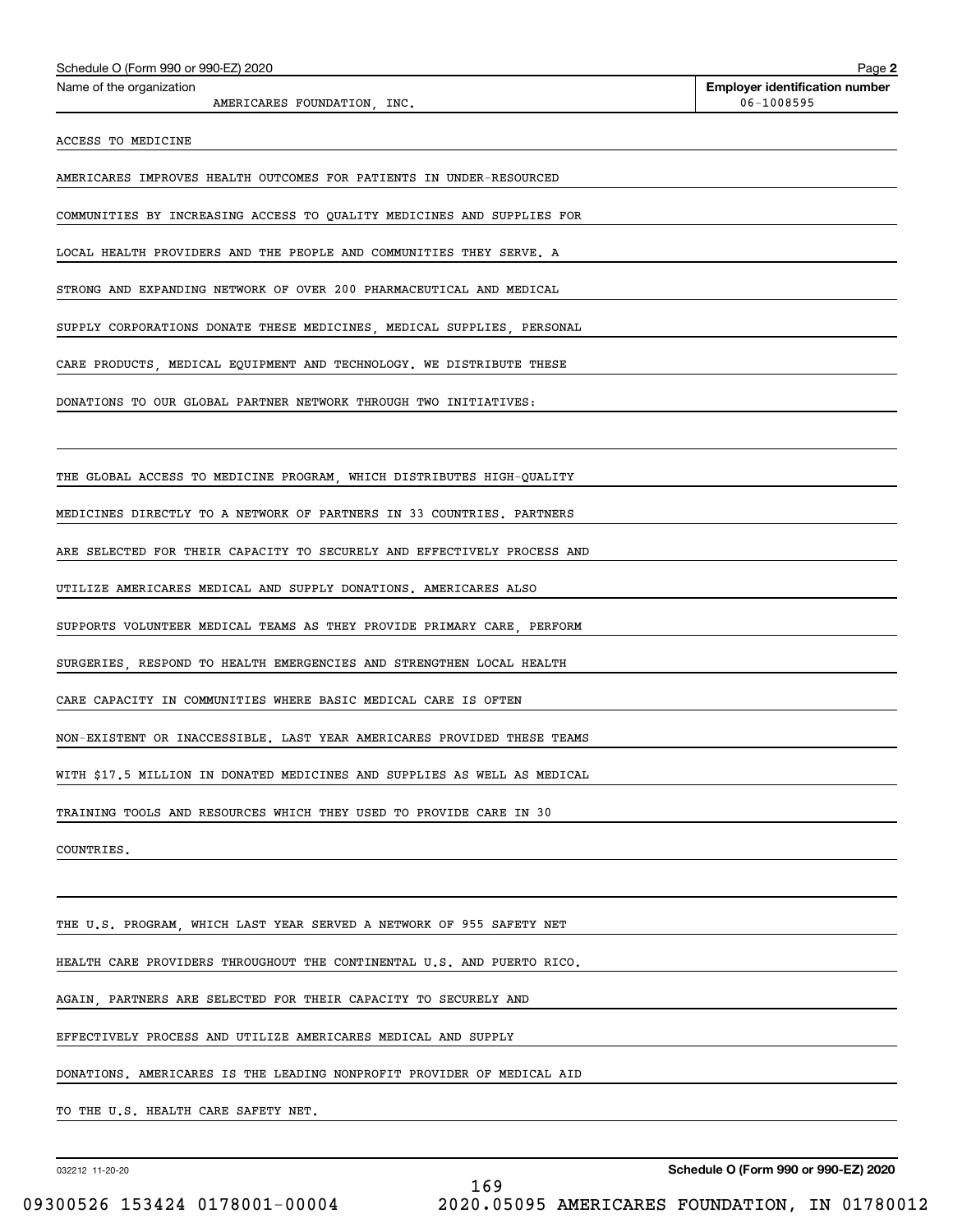| Schedule O (Form 990 or 990-EZ) 2020                                     | Page 2                                              |
|--------------------------------------------------------------------------|-----------------------------------------------------|
| Name of the organization<br>AMERICARES FOUNDATION, INC.                  | <b>Employer identification number</b><br>06-1008595 |
| ACCESS TO MEDICINE                                                       |                                                     |
| AMERICARES IMPROVES HEALTH OUTCOMES FOR PATIENTS IN UNDER-RESOURCED      |                                                     |
| COMMUNITIES BY INCREASING ACCESS TO QUALITY MEDICINES AND SUPPLIES FOR   |                                                     |
| LOCAL HEALTH PROVIDERS AND THE PEOPLE AND COMMUNITIES THEY SERVE. A      |                                                     |
| STRONG AND EXPANDING NETWORK OF OVER 200 PHARMACEUTICAL AND MEDICAL      |                                                     |
| SUPPLY CORPORATIONS DONATE THESE MEDICINES, MEDICAL SUPPLIES, PERSONAL   |                                                     |
| CARE PRODUCTS, MEDICAL EQUIPMENT AND TECHNOLOGY. WE DISTRIBUTE THESE     |                                                     |
| DONATIONS TO OUR GLOBAL PARTNER NETWORK THROUGH TWO INITIATIVES:         |                                                     |
|                                                                          |                                                     |
| THE GLOBAL ACCESS TO MEDICINE PROGRAM, WHICH DISTRIBUTES HIGH-QUALITY    |                                                     |
| MEDICINES DIRECTLY TO A NETWORK OF PARTNERS IN 33 COUNTRIES. PARTNERS    |                                                     |
| ARE SELECTED FOR THEIR CAPACITY TO SECURELY AND EFFECTIVELY PROCESS AND  |                                                     |
| UTILIZE AMERICARES MEDICAL AND SUPPLY DONATIONS. AMERICARES ALSO         |                                                     |
| SUPPORTS VOLUNTEER MEDICAL TEAMS AS THEY PROVIDE PRIMARY CARE, PERFORM   |                                                     |
| SURGERIES, RESPOND TO HEALTH EMERGENCIES AND STRENGTHEN LOCAL HEALTH     |                                                     |
| CARE CAPACITY IN COMMUNITIES WHERE BASIC MEDICAL CARE IS OFTEN           |                                                     |
| NON-EXISTENT OR INACCESSIBLE. LAST YEAR AMERICARES PROVIDED THESE TEAMS  |                                                     |
| WITH \$17.5 MILLION IN DONATED MEDICINES AND SUPPLIES AS WELL AS MEDICAL |                                                     |
| TRAINING TOOLS AND RESOURCES WHICH THEY USED TO PROVIDE CARE IN 30       |                                                     |
| COUNTRIES.                                                               |                                                     |
|                                                                          |                                                     |
| THE U.S. PROGRAM, WHICH LAST YEAR SERVED A NETWORK OF 955 SAFETY NET     |                                                     |
| HEALTH CARE PROVIDERS THROUGHOUT THE CONTINENTAL U.S. AND PUERTO RICO.   |                                                     |
| AGAIN  PARTNERS ARE SELECTED FOR THEIR CAPACITY TO SECURELY AND          |                                                     |
| EFFECTIVELY PROCESS AND UTILIZE AMERICARES MEDICAL AND SUPPLY            |                                                     |
| DONATIONS. AMERICARES IS THE LEADING NONPROFIT PROVIDER OF MEDICAL AID   |                                                     |
| TO THE U.S. HEALTH CARE SAFETY NET.                                      |                                                     |
|                                                                          |                                                     |

032212 11-20-20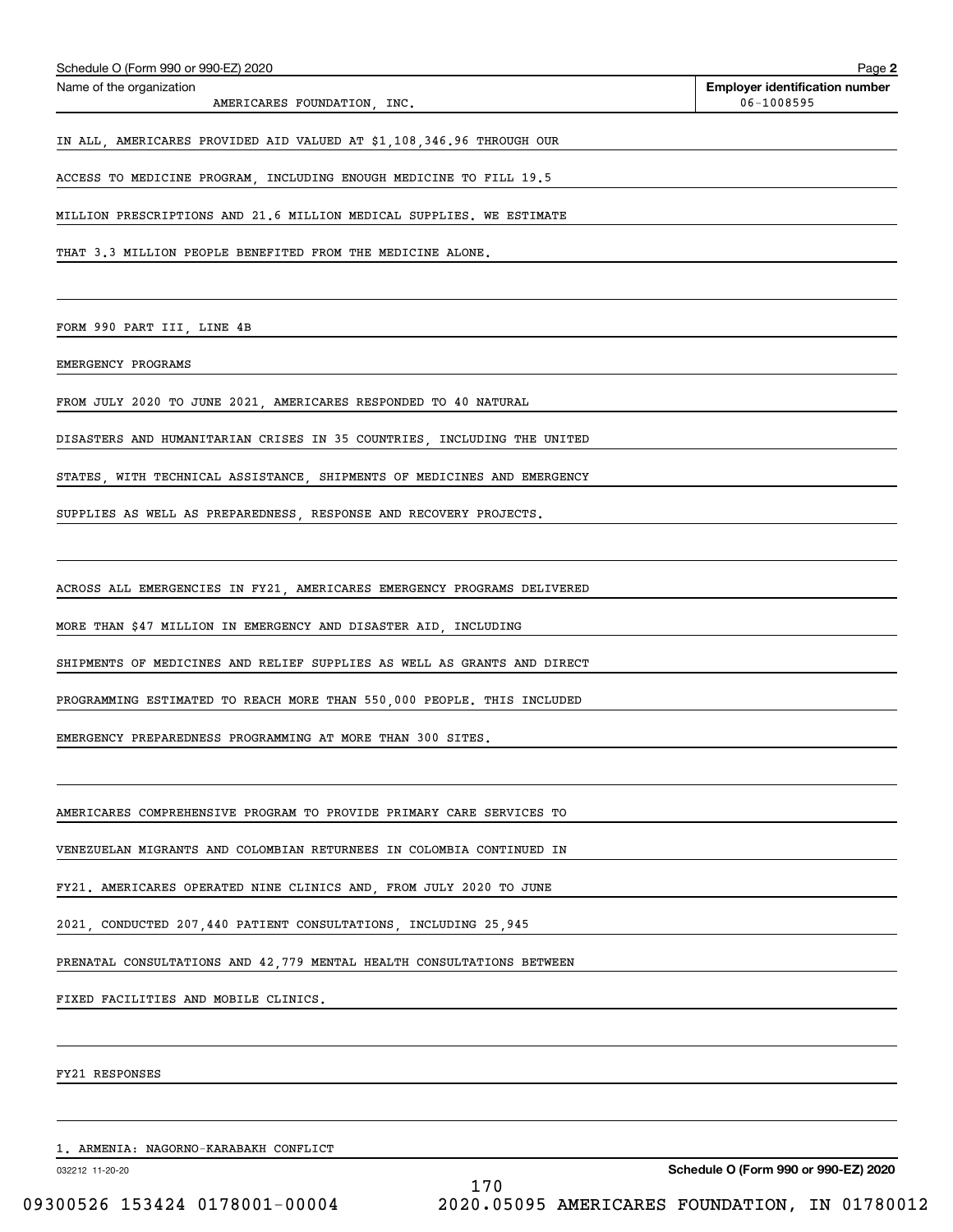| Schedule O (Form 990 or 990-EZ) 2020                                    | Page 2                                              |
|-------------------------------------------------------------------------|-----------------------------------------------------|
| Name of the organization<br>AMERICARES FOUNDATION, INC.                 | <b>Employer identification number</b><br>06-1008595 |
| IN ALL, AMERICARES PROVIDED AID VALUED AT \$1,108,346.96 THROUGH OUR    |                                                     |
| ACCESS TO MEDICINE PROGRAM, INCLUDING ENOUGH MEDICINE TO FILL 19.5      |                                                     |
| MILLION PRESCRIPTIONS AND 21.6 MILLION MEDICAL SUPPLIES. WE ESTIMATE    |                                                     |
| THAT 3.3 MILLION PEOPLE BENEFITED FROM THE MEDICINE ALONE.              |                                                     |
|                                                                         |                                                     |
| FORM 990 PART III, LINE 4B                                              |                                                     |
| EMERGENCY PROGRAMS                                                      |                                                     |
| FROM JULY 2020 TO JUNE 2021, AMERICARES RESPONDED TO 40 NATURAL         |                                                     |
| DISASTERS AND HUMANITARIAN CRISES IN 35 COUNTRIES, INCLUDING THE UNITED |                                                     |
| STATES, WITH TECHNICAL ASSISTANCE, SHIPMENTS OF MEDICINES AND EMERGENCY |                                                     |
| SUPPLIES AS WELL AS PREPAREDNESS, RESPONSE AND RECOVERY PROJECTS.       |                                                     |
|                                                                         |                                                     |
| ACROSS ALL EMERGENCIES IN FY21, AMERICARES EMERGENCY PROGRAMS DELIVERED |                                                     |
| MORE THAN \$47 MILLION IN EMERGENCY AND DISASTER AID, INCLUDING         |                                                     |
| SHIPMENTS OF MEDICINES AND RELIEF SUPPLIES AS WELL AS GRANTS AND DIRECT |                                                     |
| PROGRAMMING ESTIMATED TO REACH MORE THAN 550,000 PEOPLE. THIS INCLUDED  |                                                     |
| EMERGENCY PREPAREDNESS PROGRAMMING AT MORE THAN 300 SITES.              |                                                     |
|                                                                         |                                                     |
| AMERICARES COMPREHENSIVE PROGRAM TO PROVIDE PRIMARY CARE SERVICES TO    |                                                     |
| VENEZUELAN MIGRANTS AND COLOMBIAN RETURNEES IN COLOMBIA CONTINUED IN    |                                                     |
| FY21. AMERICARES OPERATED NINE CLINICS AND, FROM JULY 2020 TO JUNE      |                                                     |
| 2021, CONDUCTED 207,440 PATIENT CONSULTATIONS, INCLUDING 25,945         |                                                     |
| PRENATAL CONSULTATIONS AND 42,779 MENTAL HEALTH CONSULTATIONS BETWEEN   |                                                     |
| FIXED FACILITIES AND MOBILE CLINICS.                                    |                                                     |
|                                                                         |                                                     |
| FY21 RESPONSES                                                          |                                                     |
|                                                                         |                                                     |
| 1. ARMENIA: NAGORNO-KARABAKH CONFLICT                                   |                                                     |
| 032212 11-20-20<br>170                                                  | Schedule O (Form 990 or 990-EZ) 2020                |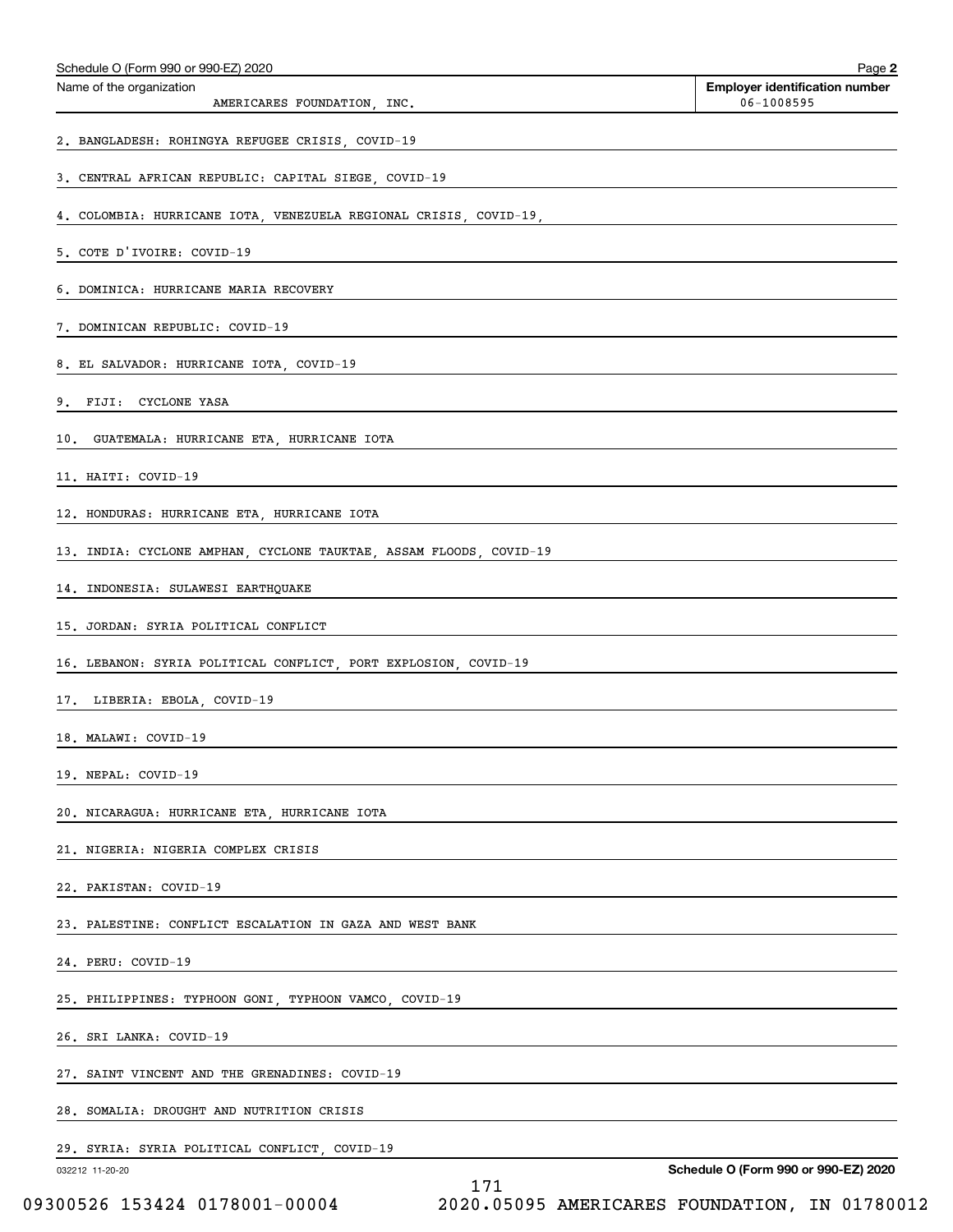| Schedule O (Form 990 or 990-EZ) 2020                               | Page 2                                              |
|--------------------------------------------------------------------|-----------------------------------------------------|
| Name of the organization<br>AMERICARES FOUNDATION, INC.            | <b>Employer identification number</b><br>06-1008595 |
| 2. BANGLADESH: ROHINGYA REFUGEE CRISIS, COVID-19                   |                                                     |
| 3. CENTRAL AFRICAN REPUBLIC: CAPITAL SIEGE, COVID-19               |                                                     |
| 4. COLOMBIA: HURRICANE IOTA, VENEZUELA REGIONAL CRISIS, COVID-19,  |                                                     |
| 5. COTE D'IVOIRE: COVID-19                                         |                                                     |
| 6. DOMINICA: HURRICANE MARIA RECOVERY                              |                                                     |
| 7. DOMINICAN REPUBLIC: COVID-19                                    |                                                     |
| 8. EL SALVADOR: HURRICANE IOTA, COVID-19                           |                                                     |
| 9. FIJI: CYCLONE YASA                                              |                                                     |
| 10. GUATEMALA: HURRICANE ETA, HURRICANE IOTA                       |                                                     |
| 11. HAITI: COVID-19                                                |                                                     |
| 12. HONDURAS: HURRICANE ETA, HURRICANE IOTA                        |                                                     |
| 13. INDIA: CYCLONE AMPHAN, CYCLONE TAUKTAE, ASSAM FLOODS, COVID-19 |                                                     |
| 14. INDONESIA: SULAWESI EARTHQUAKE                                 |                                                     |
| 15. JORDAN: SYRIA POLITICAL CONFLICT                               |                                                     |
| 16. LEBANON: SYRIA POLITICAL CONFLICT, PORT EXPLOSION, COVID-19    |                                                     |
| 17. LIBERIA: EBOLA, COVID-19                                       |                                                     |
| 18. MALAWI: COVID-19                                               |                                                     |
| 19. NEPAL: COVID-19                                                |                                                     |
| 20. NICARAGUA: HURRICANE ETA, HURRICANE IOTA                       |                                                     |
| 21. NIGERIA: NIGERIA COMPLEX CRISIS                                |                                                     |
| 22. PAKISTAN: COVID-19                                             |                                                     |
| 23. PALESTINE: CONFLICT ESCALATION IN GAZA AND WEST BANK           |                                                     |
| 24. PERU: COVID-19                                                 |                                                     |
| 25. PHILIPPINES: TYPHOON GONI, TYPHOON VAMCO, COVID-19             |                                                     |
| 26. SRI LANKA: COVID-19                                            |                                                     |
| 27. SAINT VINCENT AND THE GRENADINES: COVID-19                     |                                                     |
| 28. SOMALIA: DROUGHT AND NUTRITION CRISIS                          |                                                     |
| 29. SYRIA: SYRIA POLITICAL CONFLICT, COVID-19                      |                                                     |
| 032212 11-20-20<br>171                                             | Schedule O (Form 990 or 990-EZ) 2020                |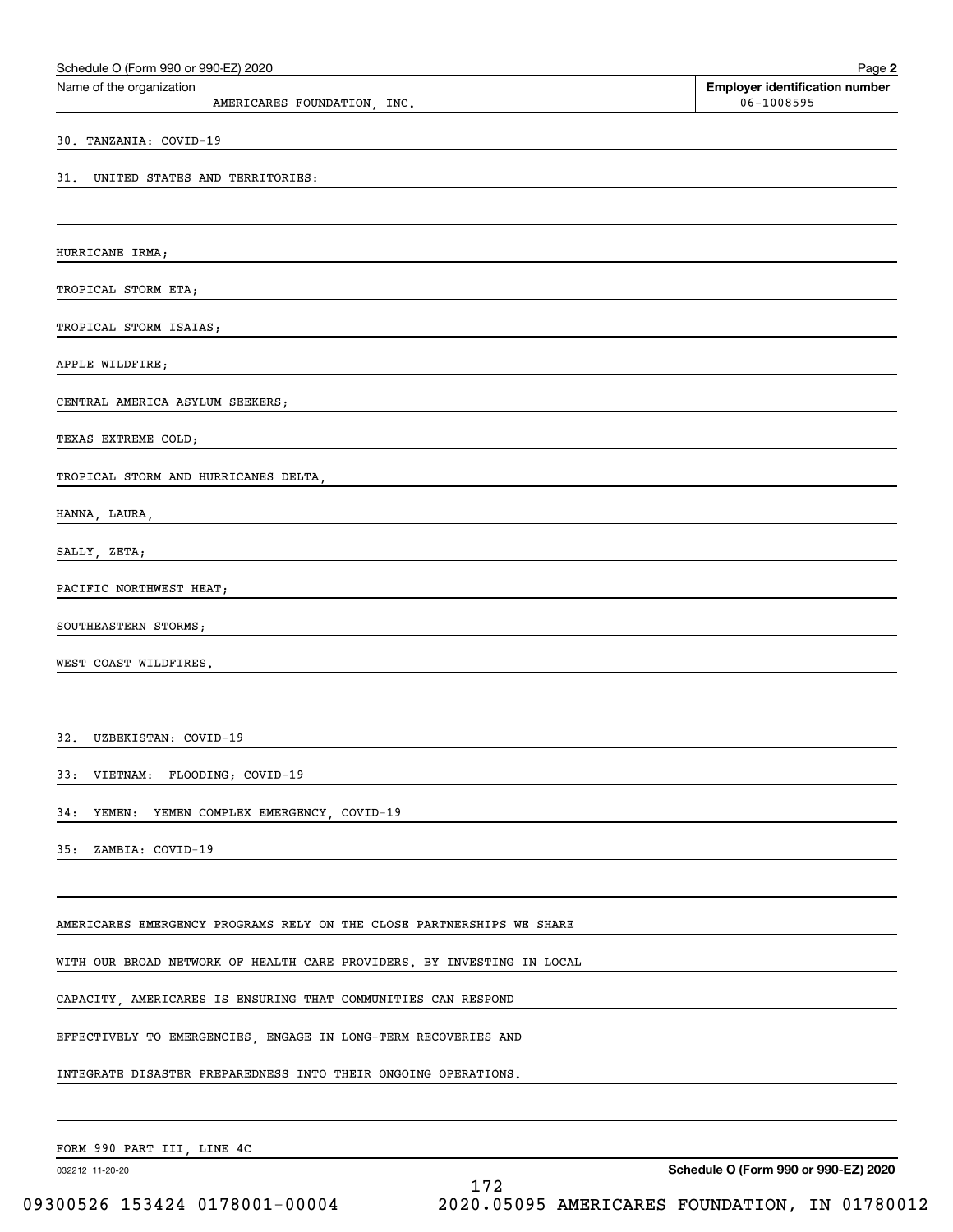| Schedule O (Form 990 or 990-EZ) 2020                                   | Page 2                                              |
|------------------------------------------------------------------------|-----------------------------------------------------|
| Name of the organization<br>AMERICARES FOUNDATION, INC.                | <b>Employer identification number</b><br>06-1008595 |
| 30. TANZANIA: COVID-19                                                 |                                                     |
| 31.<br>UNITED STATES AND TERRITORIES:                                  |                                                     |
| HURRICANE IRMA;                                                        |                                                     |
| TROPICAL STORM ETA;                                                    |                                                     |
| TROPICAL STORM ISAIAS;                                                 |                                                     |
| APPLE WILDFIRE;                                                        |                                                     |
| CENTRAL AMERICA ASYLUM SEEKERS;                                        |                                                     |
| TEXAS EXTREME COLD;                                                    |                                                     |
| TROPICAL STORM AND HURRICANES DELTA,                                   |                                                     |
| $HANNA$ , $LAURA$ , $\qquad \qquad$                                    |                                                     |
| SALLY, ZETA;                                                           |                                                     |
| PACIFIC NORTHWEST HEAT;                                                |                                                     |
| SOUTHEASTERN STORMS;                                                   |                                                     |
| WEST COAST WILDFIRES.                                                  |                                                     |
|                                                                        |                                                     |
| 32. UZBEKISTAN: COVID-19                                               |                                                     |
| 33: VIETNAM: FLOODING; COVID-19                                        |                                                     |
| YEMEN: YEMEN COMPLEX EMERGENCY, COVID-19<br>34:                        |                                                     |
| 35:<br>ZAMBIA: COVID-19                                                |                                                     |
|                                                                        |                                                     |
| AMERICARES EMERGENCY PROGRAMS RELY ON THE CLOSE PARTNERSHIPS WE SHARE  |                                                     |
| WITH OUR BROAD NETWORK OF HEALTH CARE PROVIDERS. BY INVESTING IN LOCAL |                                                     |
| CAPACITY, AMERICARES IS ENSURING THAT COMMUNITIES CAN RESPOND          |                                                     |
| EFFECTIVELY TO EMERGENCIES, ENGAGE IN LONG-TERM RECOVERIES AND         |                                                     |
| INTEGRATE DISASTER PREPAREDNESS INTO THEIR ONGOING OPERATIONS.         |                                                     |
| FORM 990 PART III, LINE 4C                                             |                                                     |
| 032212 11-20-20                                                        | Schedule O (Form 990 or 990-EZ) 2020                |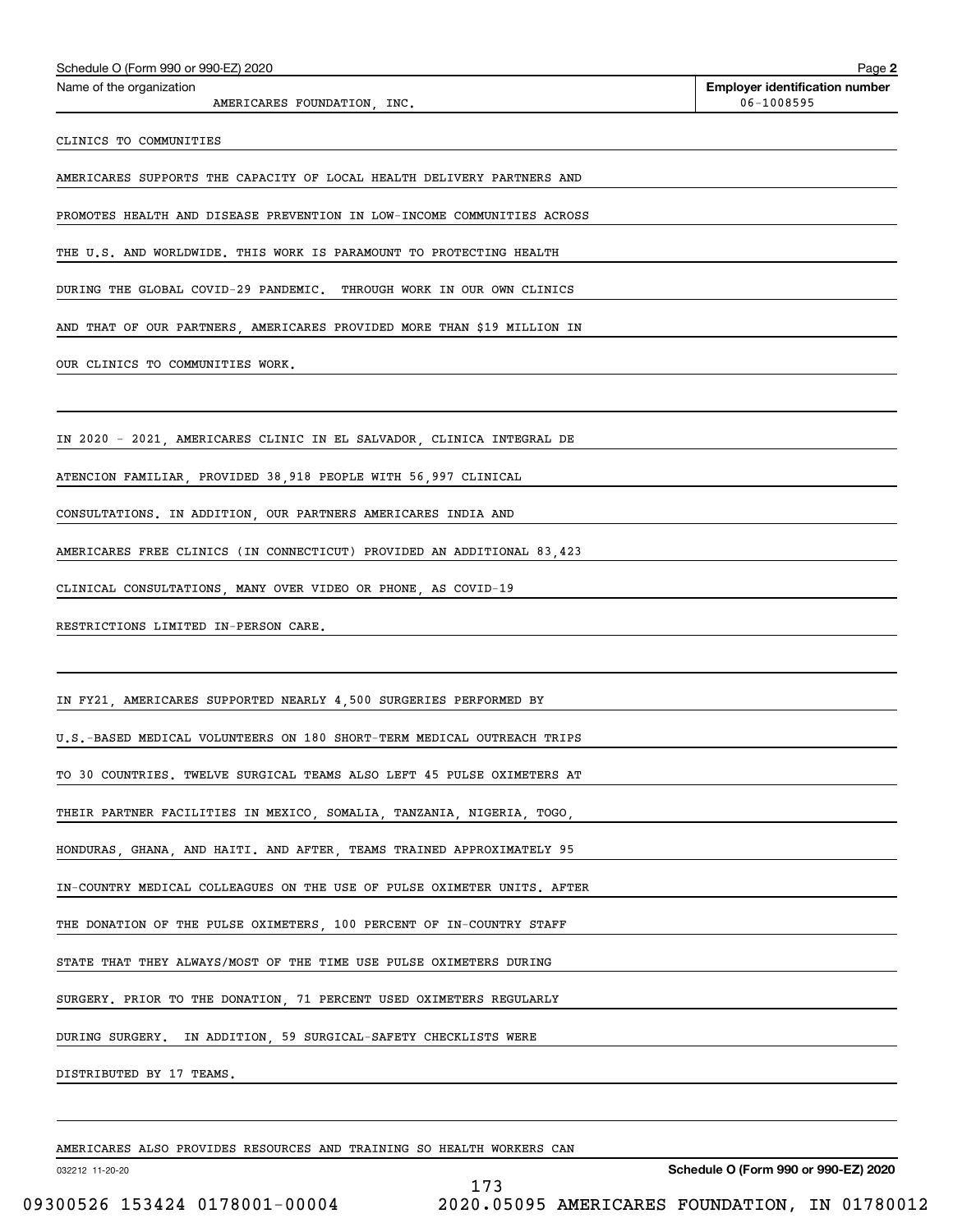| Schedule O (Form 990 or 990-EZ) 2020                                    | Page 2                                              |
|-------------------------------------------------------------------------|-----------------------------------------------------|
| Name of the organization<br>AMERICARES FOUNDATION, INC.                 | <b>Employer identification number</b><br>06-1008595 |
| CLINICS TO COMMUNITIES                                                  |                                                     |
| AMERICARES SUPPORTS THE CAPACITY OF LOCAL HEALTH DELIVERY PARTNERS AND  |                                                     |
| PROMOTES HEALTH AND DISEASE PREVENTION IN LOW-INCOME COMMUNITIES ACROSS |                                                     |
| THE U.S. AND WORLDWIDE. THIS WORK IS PARAMOUNT TO PROTECTING HEALTH     |                                                     |
| DURING THE GLOBAL COVID-29 PANDEMIC. THROUGH WORK IN OUR OWN CLINICS    |                                                     |
| AND THAT OF OUR PARTNERS, AMERICARES PROVIDED MORE THAN \$19 MILLION IN |                                                     |
| OUR CLINICS TO COMMUNITIES WORK.                                        |                                                     |
| IN 2020 - 2021, AMERICARES CLINIC IN EL SALVADOR, CLINICA INTEGRAL DE   |                                                     |
| ATENCION FAMILIAR, PROVIDED 38,918 PEOPLE WITH 56,997 CLINICAL          |                                                     |
| CONSULTATIONS. IN ADDITION, OUR PARTNERS AMERICARES INDIA AND           |                                                     |
| AMERICARES FREE CLINICS (IN CONNECTICUT) PROVIDED AN ADDITIONAL 83,423  |                                                     |
| CLINICAL CONSULTATIONS, MANY OVER VIDEO OR PHONE, AS COVID-19           |                                                     |
| RESTRICTIONS LIMITED IN-PERSON CARE.                                    |                                                     |
|                                                                         |                                                     |
| IN FY21, AMERICARES SUPPORTED NEARLY 4,500 SURGERIES PERFORMED BY       |                                                     |
| U.S.-BASED MEDICAL VOLUNTEERS ON 180 SHORT-TERM MEDICAL OUTREACH TRIPS  |                                                     |
| TO 30 COUNTRIES. TWELVE SURGICAL TEAMS ALSO LEFT 45 PULSE OXIMETERS AT  |                                                     |
| THEIR PARTNER FACILITIES IN MEXICO, SOMALIA, TANZANIA, NIGERIA, TOGO,   |                                                     |
| HONDURAS, GHANA, AND HAITI. AND AFTER, TEAMS TRAINED APPROXIMATELY 95   |                                                     |
| IN-COUNTRY MEDICAL COLLEAGUES ON THE USE OF PULSE OXIMETER UNITS. AFTER |                                                     |
| THE DONATION OF THE PULSE OXIMETERS, 100 PERCENT OF IN-COUNTRY STAFF    |                                                     |
| STATE THAT THEY ALWAYS/MOST OF THE TIME USE PULSE OXIMETERS DURING      |                                                     |
| SURGERY. PRIOR TO THE DONATION, 71 PERCENT USED OXIMETERS REGULARLY     |                                                     |
| DURING SURGERY. IN ADDITION, 59 SURGICAL-SAFETY CHECKLISTS WERE         |                                                     |
| DISTRIBUTED BY 17 TEAMS.                                                |                                                     |
|                                                                         |                                                     |
| AMERICARES ALSO PROVIDES RESOURCES AND TRAINING SO HEALTH WORKERS CAN   |                                                     |

032212 11-20-20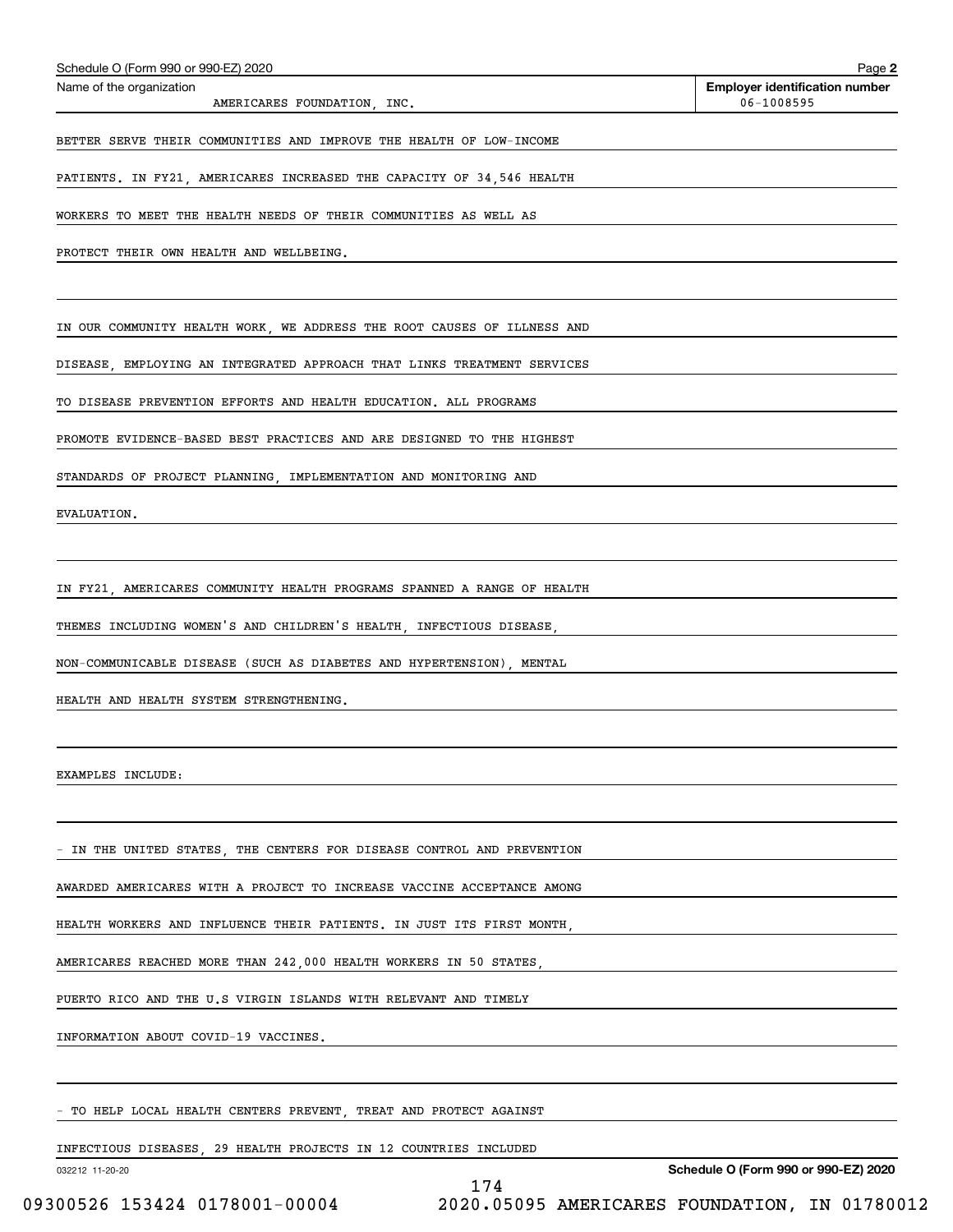| Schedule O (Form 990 or 990-EZ) 2020                                    | Page 2                                                  |
|-------------------------------------------------------------------------|---------------------------------------------------------|
| Name of the organization<br>AMERICARES FOUNDATION, INC.                 | <b>Employer identification number</b><br>$06 - 1008595$ |
| BETTER SERVE THEIR COMMUNITIES AND IMPROVE THE HEALTH OF LOW-INCOME     |                                                         |
| PATIENTS. IN FY21, AMERICARES INCREASED THE CAPACITY OF 34,546 HEALTH   |                                                         |
| WORKERS TO MEET THE HEALTH NEEDS OF THEIR COMMUNITIES AS WELL AS        |                                                         |
| PROTECT THEIR OWN HEALTH AND WELLBEING.                                 |                                                         |
| IN OUR COMMUNITY HEALTH WORK, WE ADDRESS THE ROOT CAUSES OF ILLNESS AND |                                                         |
| DISEASE, EMPLOYING AN INTEGRATED APPROACH THAT LINKS TREATMENT SERVICES |                                                         |
| TO DISEASE PREVENTION EFFORTS AND HEALTH EDUCATION. ALL PROGRAMS        |                                                         |
| PROMOTE EVIDENCE-BASED BEST PRACTICES AND ARE DESIGNED TO THE HIGHEST   |                                                         |
| STANDARDS OF PROJECT PLANNING, IMPLEMENTATION AND MONITORING AND        |                                                         |
| EVALUATION.                                                             |                                                         |
|                                                                         |                                                         |
| IN FY21, AMERICARES COMMUNITY HEALTH PROGRAMS SPANNED A RANGE OF HEALTH |                                                         |
| THEMES INCLUDING WOMEN'S AND CHILDREN'S HEALTH, INFECTIOUS DISEASE,     |                                                         |
| NON-COMMUNICABLE DISEASE (SUCH AS DIABETES AND HYPERTENSION), MENTAL    |                                                         |
| HEALTH AND HEALTH SYSTEM STRENGTHENING.                                 |                                                         |
|                                                                         |                                                         |
| EXAMPLES INCLUDE:                                                       |                                                         |
|                                                                         |                                                         |
| - IN THE UNITED STATES, THE CENTERS FOR DISEASE CONTROL AND PREVENTION  |                                                         |
| AWARDED AMERICARES WITH A PROJECT TO INCREASE VACCINE ACCEPTANCE AMONG  |                                                         |
| HEALTH WORKERS AND INFLUENCE THEIR PATIENTS. IN JUST ITS FIRST MONTH,   |                                                         |
| AMERICARES REACHED MORE THAN 242,000 HEALTH WORKERS IN 50 STATES,       |                                                         |
| PUERTO RICO AND THE U.S VIRGIN ISLANDS WITH RELEVANT AND TIMELY         |                                                         |
| INFORMATION ABOUT COVID-19 VACCINES.                                    |                                                         |
|                                                                         |                                                         |

- TO HELP LOCAL HEALTH CENTERS PREVENT, TREAT AND PROTECT AGAINST

INFECTIOUS DISEASES, 29 HEALTH PROJECTS IN 12 COUNTRIES INCLUDED

032212 11-20-20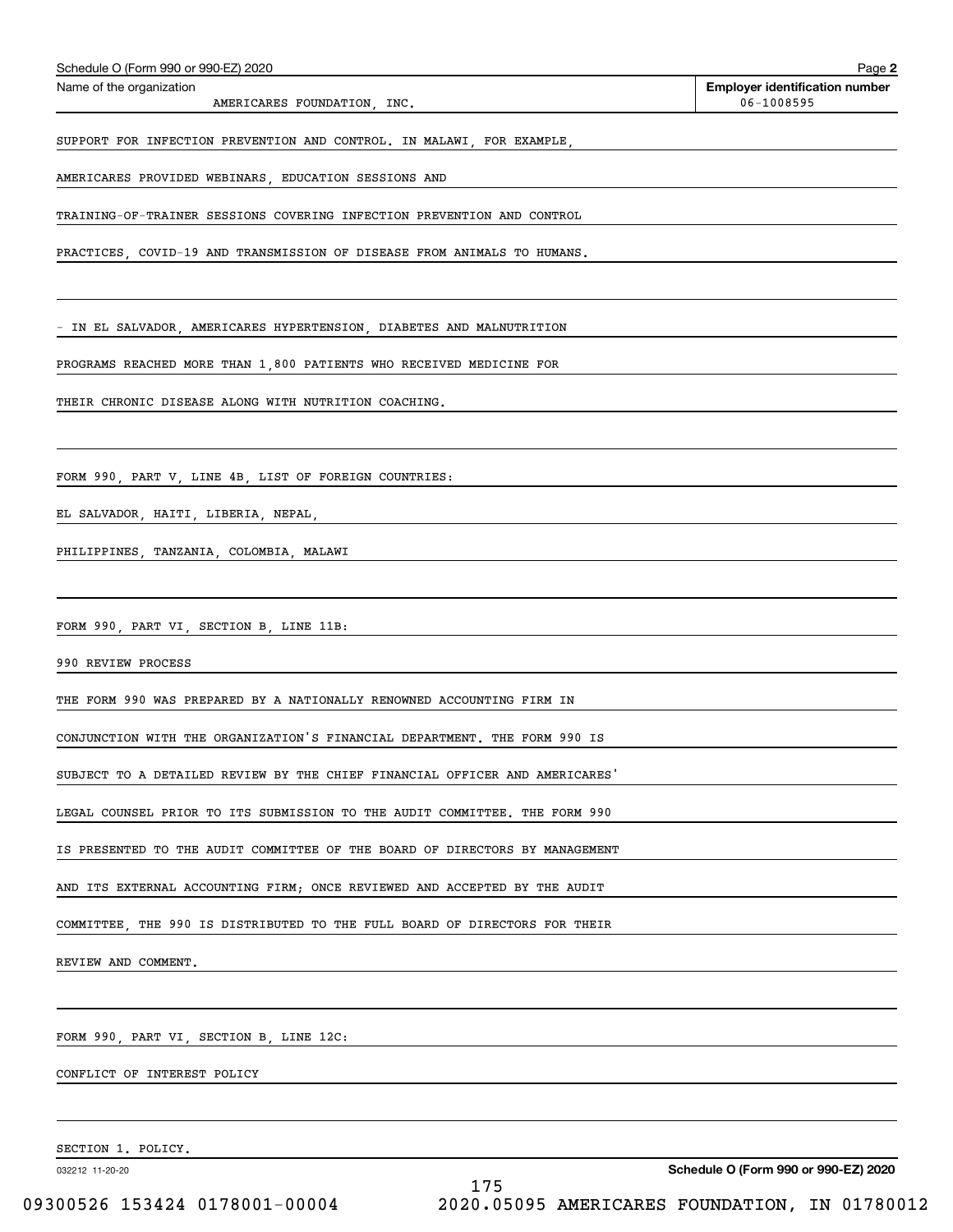AMERICARES FOUNDATION, INC.  $06-1008595$ 

SUPPORT FOR INFECTION PREVENTION AND CONTROL. IN MALAWI, FOR EXAMPLE,

AMERICARES PROVIDED WEBINARS, EDUCATION SESSIONS AND

TRAINING-OF-TRAINER SESSIONS COVERING INFECTION PREVENTION AND CONTROL

PRACTICES, COVID-19 AND TRANSMISSION OF DISEASE FROM ANIMALS TO HUMANS.

IN EL SALVADOR, AMERICARES HYPERTENSION, DIABETES AND MALNUTRITION

PROGRAMS REACHED MORE THAN 1,800 PATIENTS WHO RECEIVED MEDICINE FOR

THEIR CHRONIC DISEASE ALONG WITH NUTRITION COACHING.

FORM 990, PART V, LINE 4B, LIST OF FOREIGN COUNTRIES:

EL SALVADOR, HAITI, LIBERIA, NEPAL,

PHILIPPINES, TANZANIA, COLOMBIA, MALAWI

FORM 990, PART VI, SECTION B, LINE 11B:

990 REVIEW PROCESS

THE FORM 990 WAS PREPARED BY A NATIONALLY RENOWNED ACCOUNTING FIRM IN

CONJUNCTION WITH THE ORGANIZATION'S FINANCIAL DEPARTMENT. THE FORM 990 IS

SUBJECT TO A DETAILED REVIEW BY THE CHIEF FINANCIAL OFFICER AND AMERICARES'

LEGAL COUNSEL PRIOR TO ITS SUBMISSION TO THE AUDIT COMMITTEE. THE FORM 990

IS PRESENTED TO THE AUDIT COMMITTEE OF THE BOARD OF DIRECTORS BY MANAGEMENT

AND ITS EXTERNAL ACCOUNTING FIRM; ONCE REVIEWED AND ACCEPTED BY THE AUDIT

COMMITTEE, THE 990 IS DISTRIBUTED TO THE FULL BOARD OF DIRECTORS FOR THEIR

REVIEW AND COMMENT.

FORM 990, PART VI, SECTION B, LINE 12C:

CONFLICT OF INTEREST POLICY

SECTION 1. POLICY.

032212 11-20-20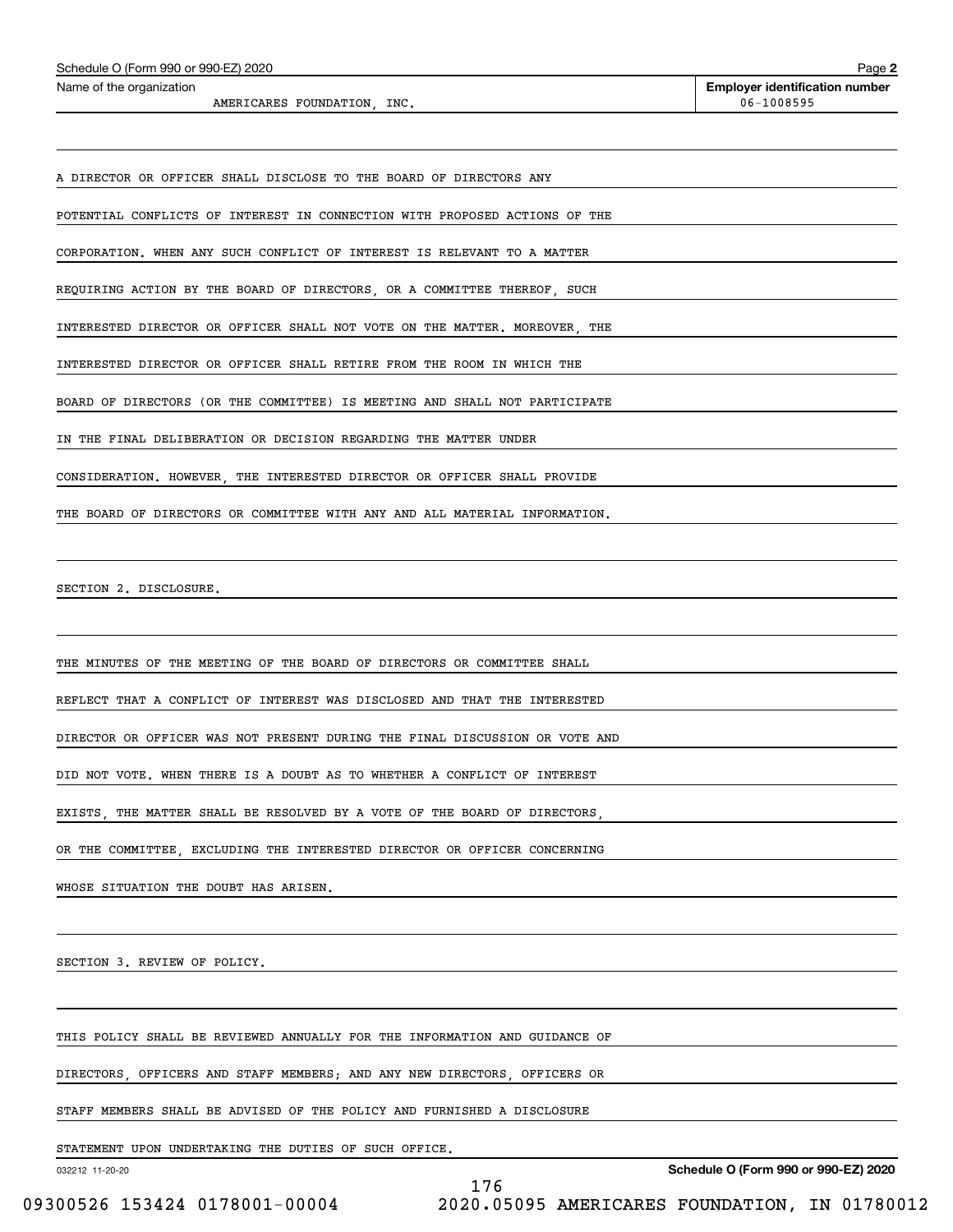| Schedule O (Form 990 or 990-EZ) 2020 | Page                                  |
|--------------------------------------|---------------------------------------|
| Name of the organization             | <b>Emplover identification number</b> |

AMERICARES FOUNDATION, INC.  $06-1008595$ 

A DIRECTOR OR OFFICER SHALL DISCLOSE TO THE BOARD OF DIRECTORS ANY

POTENTIAL CONFLICTS OF INTEREST IN CONNECTION WITH PROPOSED ACTIONS OF THE

CORPORATION. WHEN ANY SUCH CONFLICT OF INTEREST IS RELEVANT TO A MATTER

REQUIRING ACTION BY THE BOARD OF DIRECTORS, OR A COMMITTEE THEREOF, SUCH

INTERESTED DIRECTOR OR OFFICER SHALL NOT VOTE ON THE MATTER. MOREOVER, THE

INTERESTED DIRECTOR OR OFFICER SHALL RETIRE FROM THE ROOM IN WHICH THE

BOARD OF DIRECTORS (OR THE COMMITTEE) IS MEETING AND SHALL NOT PARTICIPATE

IN THE FINAL DELIBERATION OR DECISION REGARDING THE MATTER UNDER

CONSIDERATION. HOWEVER, THE INTERESTED DIRECTOR OR OFFICER SHALL PROVIDE

THE BOARD OF DIRECTORS OR COMMITTEE WITH ANY AND ALL MATERIAL INFORMATION.

SECTION 2. DISCLOSURE.

THE MINUTES OF THE MEETING OF THE BOARD OF DIRECTORS OR COMMITTEE SHALL

REFLECT THAT A CONFLICT OF INTEREST WAS DISCLOSED AND THAT THE INTERESTED

DIRECTOR OR OFFICER WAS NOT PRESENT DURING THE FINAL DISCUSSION OR VOTE AND

DID NOT VOTE. WHEN THERE IS A DOUBT AS TO WHETHER A CONFLICT OF INTEREST

EXISTS, THE MATTER SHALL BE RESOLVED BY A VOTE OF THE BOARD OF DIRECTORS,

OR THE COMMITTEE, EXCLUDING THE INTERESTED DIRECTOR OR OFFICER CONCERNING

WHOSE SITUATION THE DOUBT HAS ARISEN.

SECTION 3. REVIEW OF POLICY.

THIS POLICY SHALL BE REVIEWED ANNUALLY FOR THE INFORMATION AND GUIDANCE OF

DIRECTORS, OFFICERS AND STAFF MEMBERS; AND ANY NEW DIRECTORS, OFFICERS OR

STAFF MEMBERS SHALL BE ADVISED OF THE POLICY AND FURNISHED A DISCLOSURE

STATEMENT UPON UNDERTAKING THE DUTIES OF SUCH OFFICE.

032212 11-20-20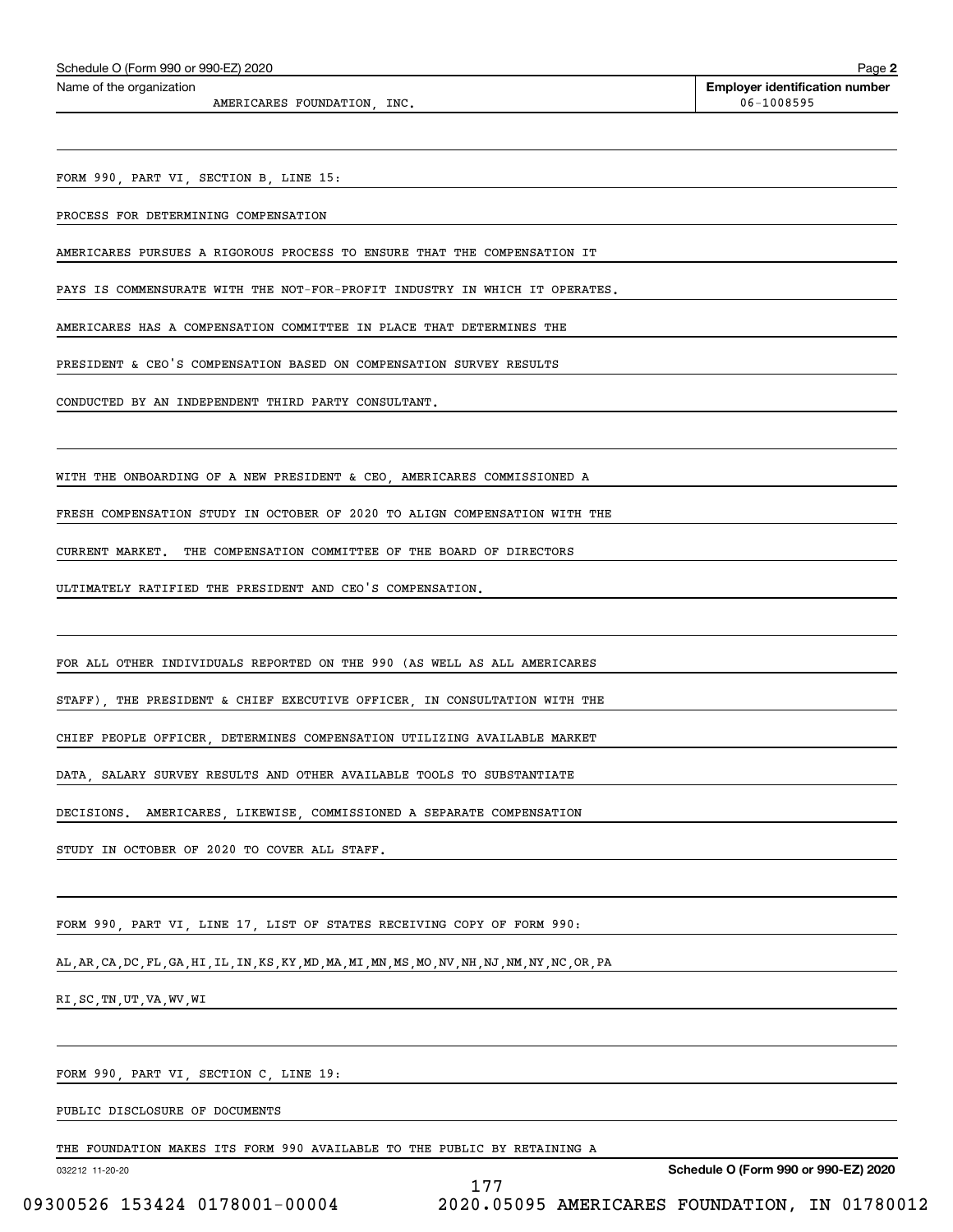AMERICARES FOUNDATION, INC.  $06-1008595$ 

Echedule O (Form 990 or 990-EZ) 2020<br>Name of the organization **number** Name of the organization **number** 

**2**

FORM 990, PART VI, SECTION B, LINE 15:

PROCESS FOR DETERMINING COMPENSATION

AMERICARES PURSUES A RIGOROUS PROCESS TO ENSURE THAT THE COMPENSATION IT

PAYS IS COMMENSURATE WITH THE NOT-FOR-PROFIT INDUSTRY IN WHICH IT OPERATES.

AMERICARES HAS A COMPENSATION COMMITTEE IN PLACE THAT DETERMINES THE

PRESIDENT & CEO'S COMPENSATION BASED ON COMPENSATION SURVEY RESULTS

CONDUCTED BY AN INDEPENDENT THIRD PARTY CONSULTANT.

WITH THE ONBOARDING OF A NEW PRESIDENT & CEO, AMERICARES COMMISSIONED A

FRESH COMPENSATION STUDY IN OCTOBER OF 2020 TO ALIGN COMPENSATION WITH THE

CURRENT MARKET. THE COMPENSATION COMMITTEE OF THE BOARD OF DIRECTORS

ULTIMATELY RATIFIED THE PRESIDENT AND CEO'S COMPENSATION.

FOR ALL OTHER INDIVIDUALS REPORTED ON THE 990 (AS WELL AS ALL AMERICARES

STAFF), THE PRESIDENT & CHIEF EXECUTIVE OFFICER, IN CONSULTATION WITH THE

CHIEF PEOPLE OFFICER, DETERMINES COMPENSATION UTILIZING AVAILABLE MARKET

DATA, SALARY SURVEY RESULTS AND OTHER AVAILABLE TOOLS TO SUBSTANTIATE

DECISIONS. AMERICARES, LIKEWISE, COMMISSIONED A SEPARATE COMPENSATION

STUDY IN OCTOBER OF 2020 TO COVER ALL STAFF.

FORM 990, PART VI, LINE 17, LIST OF STATES RECEIVING COPY OF FORM 990:

AL,AR,CA,DC,FL,GA,HI,IL,IN,KS,KY,MD,MA,MI,MN,MS,MO,NV,NH,NJ,NM,NY,NC,OR,PA

RI,SC,TN,UT,VA,WV,WI

FORM 990, PART VI, SECTION C, LINE 19:

PUBLIC DISCLOSURE OF DOCUMENTS

THE FOUNDATION MAKES ITS FORM 990 AVAILABLE TO THE PUBLIC BY RETAINING A

032212 11-20-20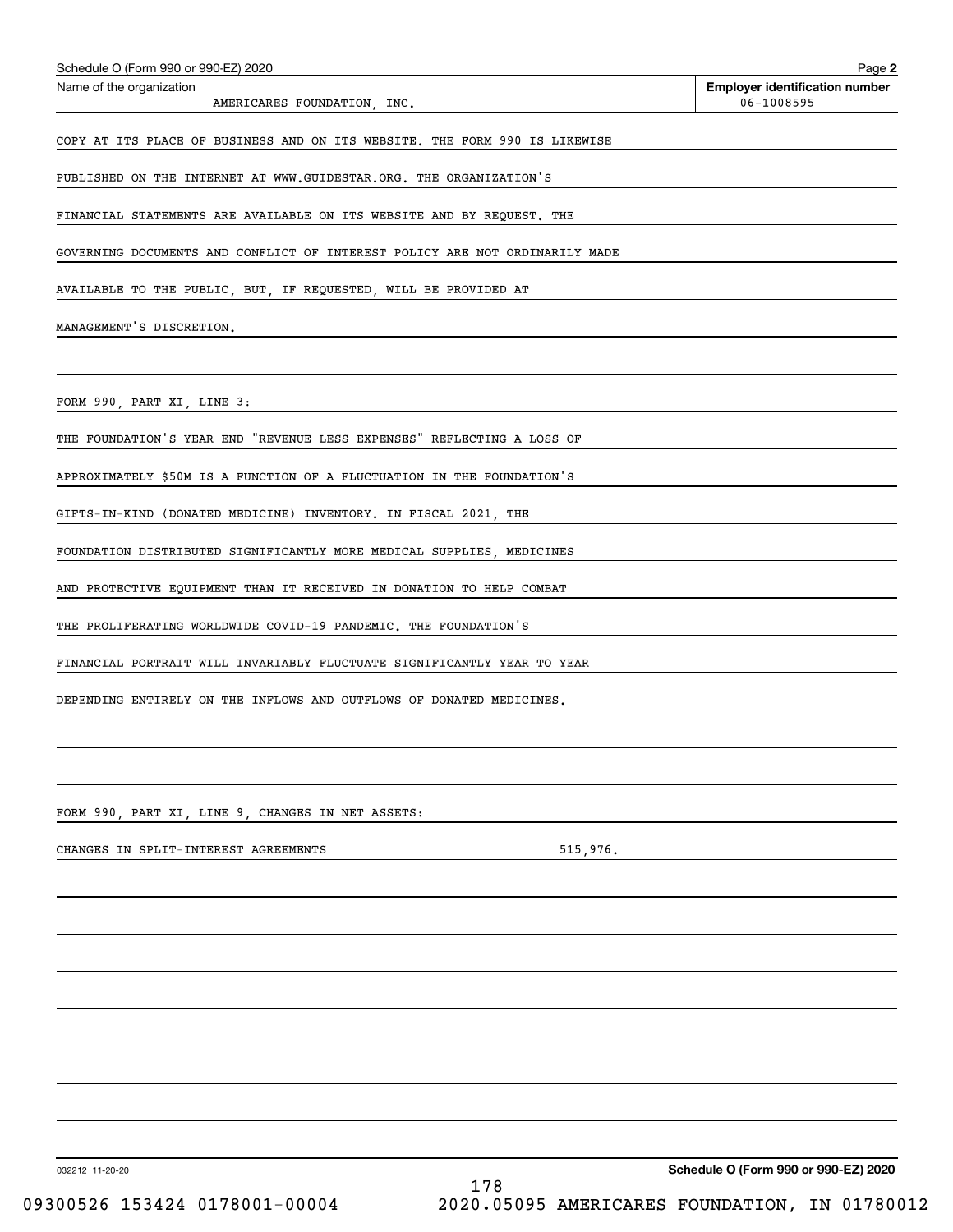| Schedule O (Form 990 or 990-EZ) 2020                                        | Page 2                                              |
|-----------------------------------------------------------------------------|-----------------------------------------------------|
| Name of the organization<br>AMERICARES FOUNDATION, INC.                     | <b>Employer identification number</b><br>06-1008595 |
| COPY AT ITS PLACE OF BUSINESS AND ON ITS WEBSITE. THE FORM 990 IS LIKEWISE  |                                                     |
| PUBLISHED ON THE INTERNET AT WWW.GUIDESTAR.ORG. THE ORGANIZATION'S          |                                                     |
| FINANCIAL STATEMENTS ARE AVAILABLE ON ITS WEBSITE AND BY REQUEST. THE       |                                                     |
| GOVERNING DOCUMENTS AND CONFLICT OF INTEREST POLICY ARE NOT ORDINARILY MADE |                                                     |
| AVAILABLE TO THE PUBLIC, BUT, IF REQUESTED, WILL BE PROVIDED AT             |                                                     |
| MANAGEMENT'S DISCRETION.                                                    |                                                     |
|                                                                             |                                                     |
| FORM 990, PART XI, LINE 3:                                                  |                                                     |
| THE FOUNDATION'S YEAR END "REVENUE LESS EXPENSES" REFLECTING A LOSS OF      |                                                     |
| APPROXIMATELY \$50M IS A FUNCTION OF A FLUCTUATION IN THE FOUNDATION'S      |                                                     |
| GIFTS-IN-KIND (DONATED MEDICINE) INVENTORY. IN FISCAL 2021, THE             |                                                     |
| FOUNDATION DISTRIBUTED SIGNIFICANTLY MORE MEDICAL SUPPLIES, MEDICINES       |                                                     |
| AND PROTECTIVE EQUIPMENT THAN IT RECEIVED IN DONATION TO HELP COMBAT        |                                                     |
| THE PROLIFERATING WORLDWIDE COVID-19 PANDEMIC. THE FOUNDATION'S             |                                                     |
| FINANCIAL PORTRAIT WILL INVARIABLY FLUCTUATE SIGNIFICANTLY YEAR TO YEAR     |                                                     |
| DEPENDING ENTIRELY ON THE INFLOWS AND OUTFLOWS OF DONATED MEDICINES.        |                                                     |
|                                                                             |                                                     |
|                                                                             |                                                     |
| FORM 990, PART XI, LINE 9, CHANGES IN NET ASSETS:                           |                                                     |
| CHANGES IN SPLIT-INTEREST AGREEMENTS<br>515,976.                            |                                                     |
|                                                                             |                                                     |
|                                                                             |                                                     |
|                                                                             |                                                     |
|                                                                             |                                                     |
|                                                                             |                                                     |
|                                                                             |                                                     |
|                                                                             |                                                     |
|                                                                             |                                                     |
| 032212 11-20-20                                                             | Schedule O (Form 990 or 990-EZ) 2020                |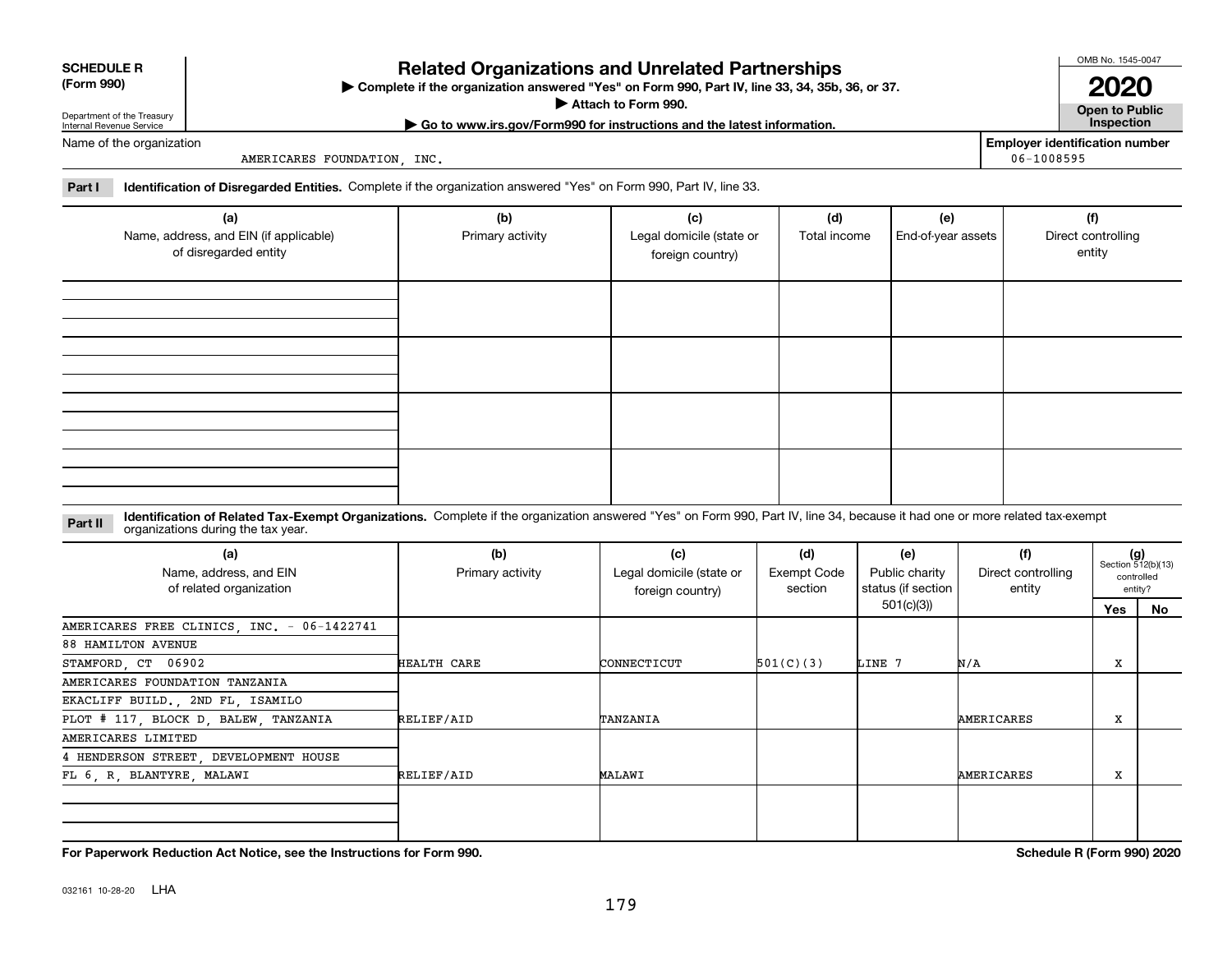| Department of the Treasury |
|----------------------------|
|                            |
| Internal Revenue Service   |
|                            |

## **Related Organizations and Unrelated Partnerships**

**Complete if the organization answered "Yes" on Form 990, Part IV, line 33, 34, 35b, 36, or 37.** |

**Attach to Form 990.**  |

OMB No. 1545-0047 **2020**

**Open to Public**

**| Go to www.irs.gov/Form990 for instructions and the latest information. Inspection**

Name of the organization

**SCHEDULE R (Form 990)**

AMERICARES FOUNDATION, INC.

**Employer identification number** 06-1008595

**Part I Identification of Disregarded Entities.**  Complete if the organization answered "Yes" on Form 990, Part IV, line 33.

| (a)<br>Name, address, and EIN (if applicable)<br>of disregarded entity | (b)<br>Primary activity | (c)<br>Legal domicile (state or<br>foreign country) | (d)<br>Total income | (e)<br>End-of-year assets | (f)<br>Direct controlling<br>entity |
|------------------------------------------------------------------------|-------------------------|-----------------------------------------------------|---------------------|---------------------------|-------------------------------------|
|                                                                        |                         |                                                     |                     |                           |                                     |
|                                                                        |                         |                                                     |                     |                           |                                     |
|                                                                        |                         |                                                     |                     |                           |                                     |
|                                                                        |                         |                                                     |                     |                           |                                     |

**Identification of Related Tax-Exempt Organizations.** Complete if the organization answered "Yes" on Form 990, Part IV, line 34, because it had one or more related tax-exempt **Part II** organizations during the tax year.

| (a)<br>Name, address, and EIN<br>of related organization | (b)<br>Primary activity | (c)<br>Legal domicile (state or<br>foreign country) | (d)<br>Exempt Code<br>section | (e)<br>Public charity<br>status (if section<br>501(c)(3) | (f)<br>Direct controlling<br>entity | $(g)$<br>Section 512(b)(13)<br>controlled<br>entity? |    |
|----------------------------------------------------------|-------------------------|-----------------------------------------------------|-------------------------------|----------------------------------------------------------|-------------------------------------|------------------------------------------------------|----|
|                                                          |                         |                                                     |                               |                                                          |                                     | Yes                                                  | No |
| AMERICARES FREE CLINICS, INC. - 06-1422741               |                         |                                                     |                               |                                                          |                                     |                                                      |    |
| 88 HAMILTON AVENUE                                       |                         |                                                     |                               |                                                          |                                     |                                                      |    |
| STAMFORD, CT 06902                                       | HEALTH CARE             | CONNECTICUT                                         | 501(C)(3)                     | LINE 7                                                   | N/A                                 | x                                                    |    |
| AMERICARES FOUNDATION TANZANIA                           |                         |                                                     |                               |                                                          |                                     |                                                      |    |
| EKACLIFF BUILD., 2ND FL, ISAMILO                         |                         |                                                     |                               |                                                          |                                     |                                                      |    |
| PLOT # 117, BLOCK D, BALEW, TANZANIA                     | RELIEF/AID              | TANZANIA                                            |                               |                                                          | AMERICARES                          | x                                                    |    |
| AMERICARES LIMITED                                       |                         |                                                     |                               |                                                          |                                     |                                                      |    |
| 4 HENDERSON STREET, DEVELOPMENT HOUSE                    |                         |                                                     |                               |                                                          |                                     |                                                      |    |
| FL 6, R, BLANTYRE, MALAWI                                | RELIEF/AID              | MALAWI                                              |                               |                                                          | AMERICARES                          | x                                                    |    |
|                                                          |                         |                                                     |                               |                                                          |                                     |                                                      |    |
|                                                          |                         |                                                     |                               |                                                          |                                     |                                                      |    |

**For Paperwork Reduction Act Notice, see the Instructions for Form 990. Schedule R (Form 990) 2020**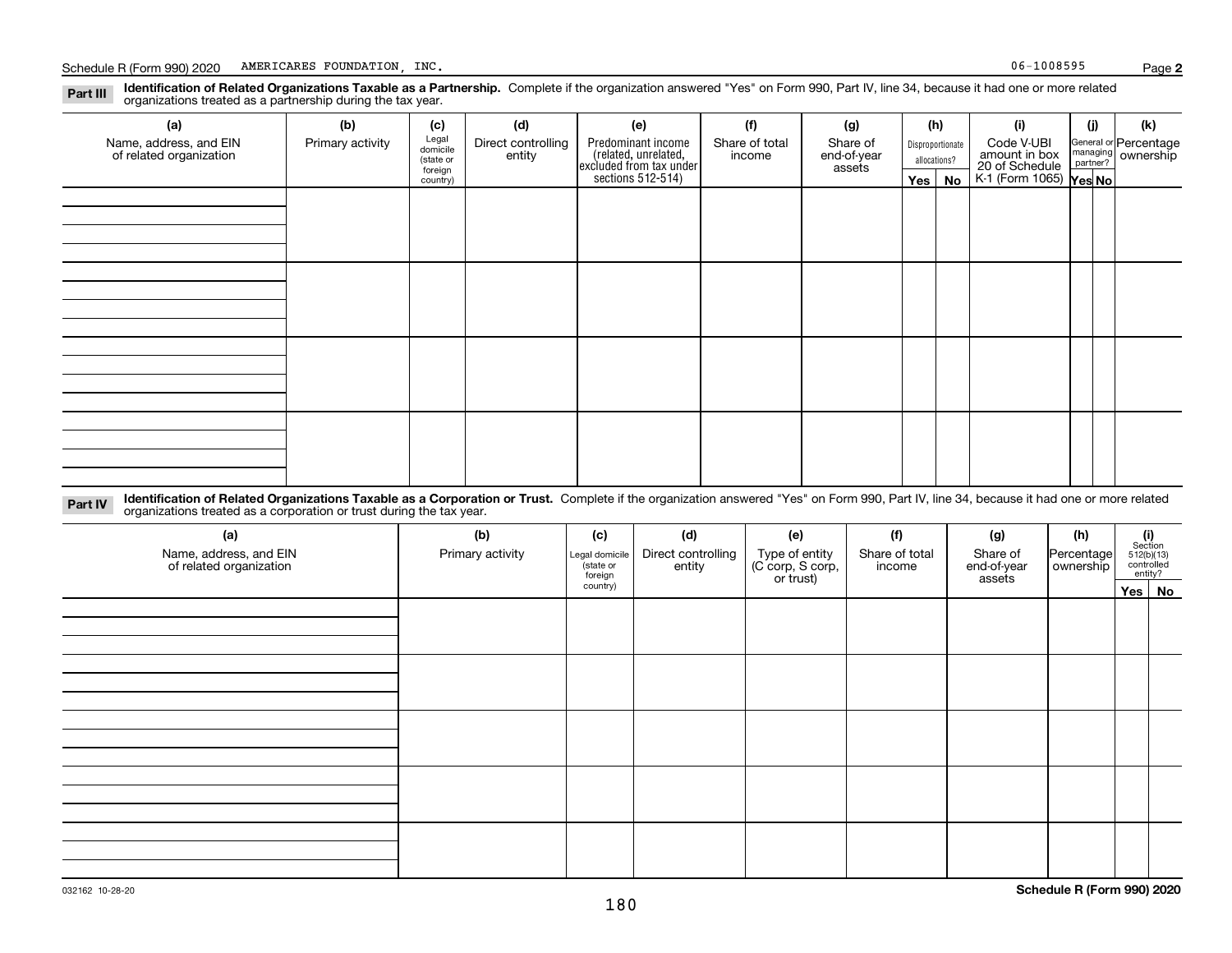**Identification of Related Organizations Taxable as a Partnership.** Complete if the organization answered "Yes" on Form 990, Part IV, line 34, because it had one or more related **Part III** organizations treated as a partnership during the tax year.

| (a)                     | (b)              | (c)                  | (d)                | (e)                                                                                        | (f)            | (g)                               |                                  | (h)      | (i)                                               | (j) | (k)                   |  |
|-------------------------|------------------|----------------------|--------------------|--------------------------------------------------------------------------------------------|----------------|-----------------------------------|----------------------------------|----------|---------------------------------------------------|-----|-----------------------|--|
| Name, address, and EIN  | Primary activity | Legal<br>domicile    | Direct controlling | Predominant income<br>(related, unrelated,<br>excluded from tax under<br>sections 512-514) | Share of total | Share of<br>end-of-year<br>assets | Disproportionate<br>allocations? |          | Code V-UBI<br>amount in box                       |     | General or Percentage |  |
| of related organization |                  | (state or<br>foreign | entity             |                                                                                            | income         |                                   |                                  |          |                                                   |     | managing ownership    |  |
|                         |                  | country)             |                    |                                                                                            |                |                                   |                                  | Yes   No | 20 of Schedule Partner?<br>K-1 (Form 1065) Yes No |     |                       |  |
|                         |                  |                      |                    |                                                                                            |                |                                   |                                  |          |                                                   |     |                       |  |
|                         |                  |                      |                    |                                                                                            |                |                                   |                                  |          |                                                   |     |                       |  |
|                         |                  |                      |                    |                                                                                            |                |                                   |                                  |          |                                                   |     |                       |  |
|                         |                  |                      |                    |                                                                                            |                |                                   |                                  |          |                                                   |     |                       |  |
|                         |                  |                      |                    |                                                                                            |                |                                   |                                  |          |                                                   |     |                       |  |
|                         |                  |                      |                    |                                                                                            |                |                                   |                                  |          |                                                   |     |                       |  |
|                         |                  |                      |                    |                                                                                            |                |                                   |                                  |          |                                                   |     |                       |  |
|                         |                  |                      |                    |                                                                                            |                |                                   |                                  |          |                                                   |     |                       |  |
|                         |                  |                      |                    |                                                                                            |                |                                   |                                  |          |                                                   |     |                       |  |
|                         |                  |                      |                    |                                                                                            |                |                                   |                                  |          |                                                   |     |                       |  |
|                         |                  |                      |                    |                                                                                            |                |                                   |                                  |          |                                                   |     |                       |  |
|                         |                  |                      |                    |                                                                                            |                |                                   |                                  |          |                                                   |     |                       |  |
|                         |                  |                      |                    |                                                                                            |                |                                   |                                  |          |                                                   |     |                       |  |
|                         |                  |                      |                    |                                                                                            |                |                                   |                                  |          |                                                   |     |                       |  |
|                         |                  |                      |                    |                                                                                            |                |                                   |                                  |          |                                                   |     |                       |  |
|                         |                  |                      |                    |                                                                                            |                |                                   |                                  |          |                                                   |     |                       |  |
|                         |                  |                      |                    |                                                                                            |                |                                   |                                  |          |                                                   |     |                       |  |

**Identification of Related Organizations Taxable as a Corporation or Trust.** Complete if the organization answered "Yes" on Form 990, Part IV, line 34, because it had one or more related **Part IV** organizations treated as a corporation or trust during the tax year.

| (a)<br>Name, address, and EIN<br>of related organization | (b)<br>Primary activity | (c)<br>Legal domicile<br>(state or<br>foreign | (d)<br>Direct controlling<br>entity | (e)<br>Type of entity<br>(C corp, S corp,<br>or trust) | (f)<br>Share of total<br>income | (g)<br>Share of<br>end-of-year<br>assets | (h)<br>Percentage<br>ownership | $\begin{array}{c} \textbf{(i)}\\ \text{Section}\\ 512 \text{(b)} \text{(13)}\\ \text{controlled}\\ \text{entity?} \end{array}$ |        |
|----------------------------------------------------------|-------------------------|-----------------------------------------------|-------------------------------------|--------------------------------------------------------|---------------------------------|------------------------------------------|--------------------------------|--------------------------------------------------------------------------------------------------------------------------------|--------|
|                                                          |                         | country)                                      |                                     |                                                        |                                 |                                          |                                |                                                                                                                                | Yes No |
|                                                          |                         |                                               |                                     |                                                        |                                 |                                          |                                |                                                                                                                                |        |
|                                                          |                         |                                               |                                     |                                                        |                                 |                                          |                                |                                                                                                                                |        |
|                                                          |                         |                                               |                                     |                                                        |                                 |                                          |                                |                                                                                                                                |        |
|                                                          |                         |                                               |                                     |                                                        |                                 |                                          |                                |                                                                                                                                |        |
|                                                          |                         |                                               |                                     |                                                        |                                 |                                          |                                |                                                                                                                                |        |
|                                                          |                         |                                               |                                     |                                                        |                                 |                                          |                                |                                                                                                                                |        |
|                                                          |                         |                                               |                                     |                                                        |                                 |                                          |                                |                                                                                                                                |        |
|                                                          |                         |                                               |                                     |                                                        |                                 |                                          |                                |                                                                                                                                |        |
|                                                          |                         |                                               |                                     |                                                        |                                 |                                          |                                |                                                                                                                                |        |
|                                                          |                         |                                               |                                     |                                                        |                                 |                                          |                                |                                                                                                                                |        |
|                                                          |                         |                                               |                                     |                                                        |                                 |                                          |                                |                                                                                                                                |        |
|                                                          |                         |                                               |                                     |                                                        |                                 |                                          |                                |                                                                                                                                |        |
|                                                          |                         |                                               |                                     |                                                        |                                 |                                          |                                |                                                                                                                                |        |
|                                                          |                         |                                               |                                     |                                                        |                                 |                                          |                                |                                                                                                                                |        |
|                                                          |                         |                                               |                                     |                                                        |                                 |                                          |                                |                                                                                                                                |        |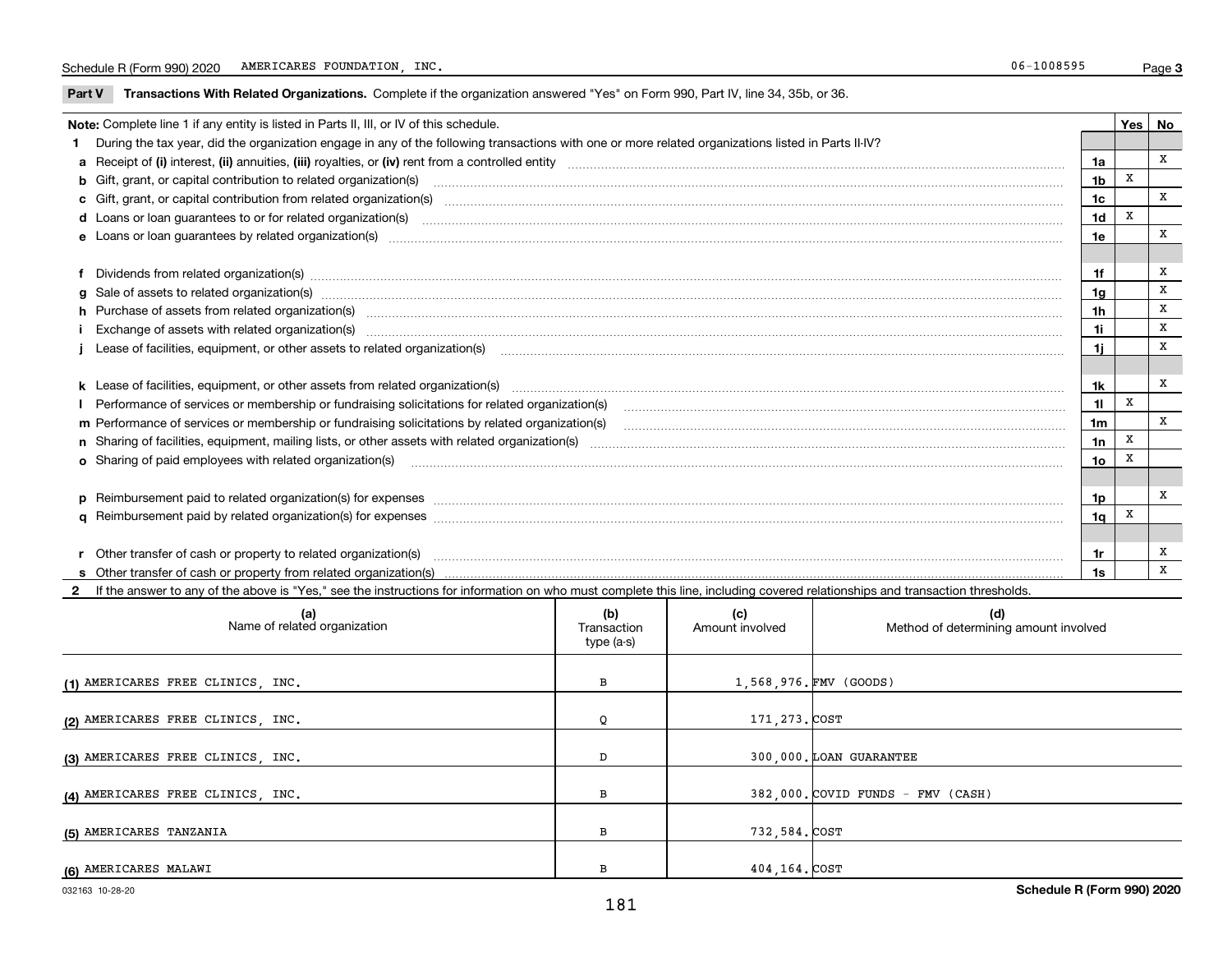**Part V** T**ransactions With Related Organizations.** Complete if the organization answered "Yes" on Form 990, Part IV, line 34, 35b, or 36.

| Note: Complete line 1 if any entity is listed in Parts II, III, or IV of this schedule.               |                                                                                                                                                                                                                                |                |   |   |  |
|-------------------------------------------------------------------------------------------------------|--------------------------------------------------------------------------------------------------------------------------------------------------------------------------------------------------------------------------------|----------------|---|---|--|
|                                                                                                       | 1 During the tax year, did the organization engage in any of the following transactions with one or more related organizations listed in Parts II-IV?                                                                          |                |   |   |  |
|                                                                                                       |                                                                                                                                                                                                                                | 1a             |   | x |  |
|                                                                                                       | <b>b</b> Gift, grant, or capital contribution to related organization(s)                                                                                                                                                       | 1 <sub>b</sub> | X |   |  |
|                                                                                                       | c Gift, grant, or capital contribution from related organization(s)                                                                                                                                                            | 1c             |   | x |  |
|                                                                                                       | <b>d</b> Loans or loan quarantees to or for related organization(s)                                                                                                                                                            | 1 <sub>d</sub> | X |   |  |
|                                                                                                       | e Loans or loan quarantees by related organization(s)                                                                                                                                                                          | 1e             |   | x |  |
|                                                                                                       |                                                                                                                                                                                                                                |                |   |   |  |
|                                                                                                       | f Dividends from related organization(s) material contracts and contracts are contracted as a contract of the contract of the contract of the contract of the contract of the contract of the contract of the contract of the  | 1f             |   | х |  |
|                                                                                                       | g Sale of assets to related organization(s) www.assettion.com/www.assettion.com/www.assettion.com/www.assettion.com/www.assettion.com/www.assettion.com/www.assettion.com/www.assettion.com/www.assettion.com/www.assettion.co | 1g             |   | X |  |
|                                                                                                       | h Purchase of assets from related organization(s) manufactured and content and content and content and content and content and content and content and content and content and content and content and content and content and | 1h             |   | X |  |
|                                                                                                       | Exchange of assets with related organization(s) manufactured content and content of the content of the content of the content of the content of the content of the content of the content of the content of the content of the | 1i             |   | X |  |
|                                                                                                       | Lease of facilities, equipment, or other assets to related organization(s) использованно положенно положенно по                                                                                                                | 1i.            |   | X |  |
|                                                                                                       |                                                                                                                                                                                                                                |                |   |   |  |
|                                                                                                       |                                                                                                                                                                                                                                | 1k             |   | X |  |
|                                                                                                       | Performance of services or membership or fundraising solicitations for related organization(s)                                                                                                                                 | 11             | X |   |  |
| m Performance of services or membership or fundraising solicitations by related organization(s)<br>1m |                                                                                                                                                                                                                                |                |   | X |  |
|                                                                                                       |                                                                                                                                                                                                                                | 1n             | X |   |  |
|                                                                                                       | <b>o</b> Sharing of paid employees with related organization(s)                                                                                                                                                                | 1o             | х |   |  |
|                                                                                                       |                                                                                                                                                                                                                                |                |   |   |  |
|                                                                                                       | p Reimbursement paid to related organization(s) for expenses [111] and the material content of the set of the set of the set of the set of the set of the set of the set of the set of the set of the set of the set of the se | 1p             |   | X |  |
|                                                                                                       |                                                                                                                                                                                                                                | 1q             | X |   |  |
|                                                                                                       |                                                                                                                                                                                                                                |                |   |   |  |
|                                                                                                       | r Other transfer of cash or property to related organization(s)                                                                                                                                                                | 1r             |   | х |  |
|                                                                                                       |                                                                                                                                                                                                                                | 1s             |   | X |  |

**2**If the answer to any of the above is "Yes," see the instructions for information on who must complete this line, including covered relationships and transaction thresholds.

| (a)<br>Name of related organization | (b)<br>Transaction<br>type (a-s) | (c)<br>Amount involved | (d)<br>Method of determining amount involved |
|-------------------------------------|----------------------------------|------------------------|----------------------------------------------|
| (1) AMERICARES FREE CLINICS, INC.   | в                                |                        | 1,568,976. FMV (GOODS)                       |
| (2) AMERICARES FREE CLINICS, INC.   | Q                                | 171, 273. COST         |                                              |
| (3) AMERICARES FREE CLINICS, INC.   | D                                |                        | 300,000. LOAN GUARANTEE                      |
| (4) AMERICARES FREE CLINICS, INC.   | в                                |                        | $382,000$ . COVID FUNDS - FMV (CASH)         |
| (5) AMERICARES TANZANIA             | в                                | 732,584. COST          |                                              |
| (6) AMERICARES MALAWI               | в                                | 404.164.COST           |                                              |

 $\overline{\phantom{a}}$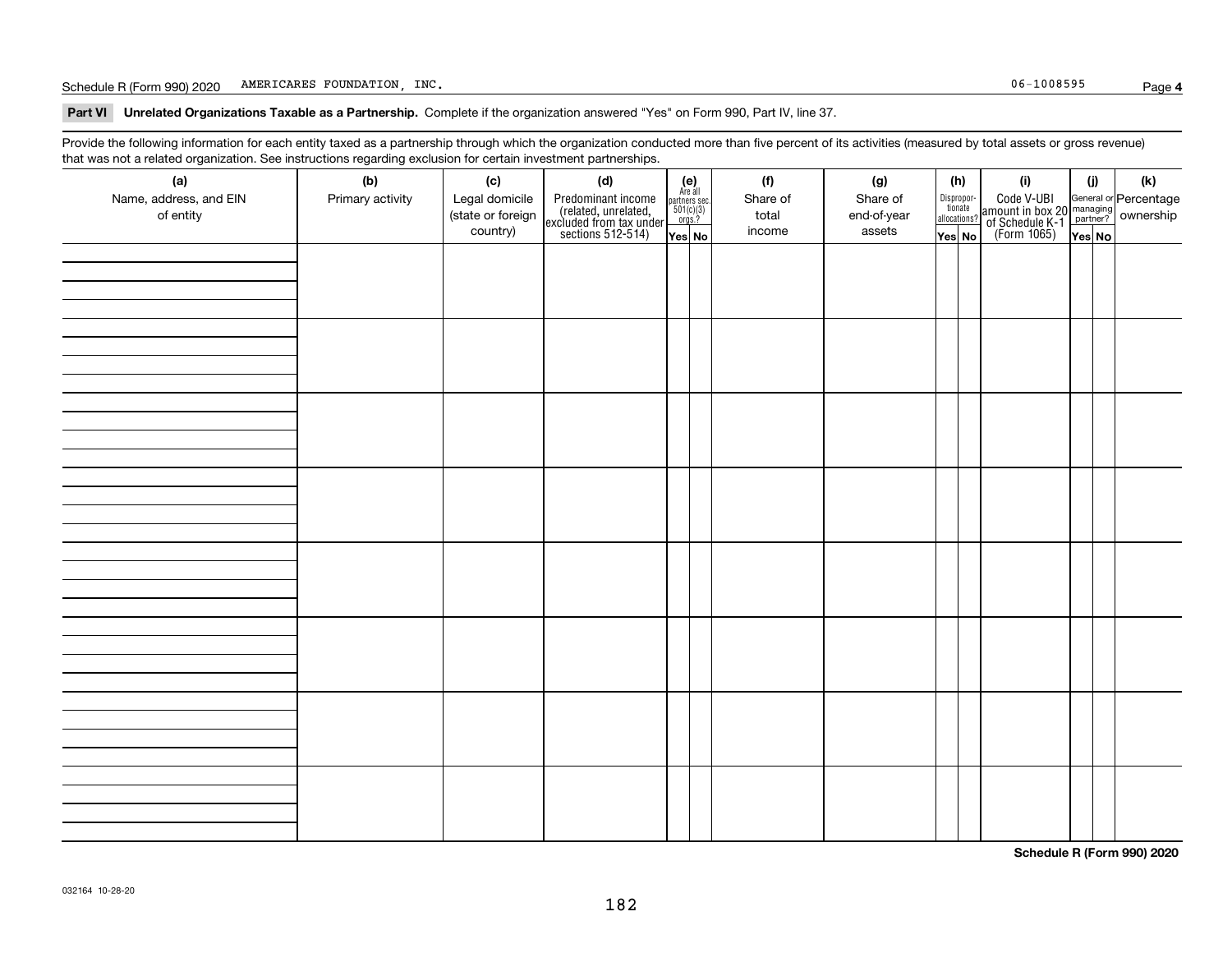Schedule R (Form 990) 2020 Page AMERICARES FOUNDATION, INC. 06-1008595

**Part VI Unrelated Organizations Taxable as a Partnership. Complete if the organization answered "Yes" on Form 990, Part IV, line 37.** 

Provide the following information for each entity taxed as a partnership through which the organization conducted more than five percent of its activities (measured by total assets or gross revenue) that was not a related organization. See instructions regarding exclusion for certain investment partnerships.

| (a)<br>Name, address, and EIN<br>of entity | (b)<br>Primary activity | (c)<br>Legal domicile<br>(state or foreign<br>country) | (d)<br>Predominant income<br>(related, unrelated,<br>excluded from tax under<br>sections 512-514) | $\begin{array}{c} \textbf{(e)}\\ \text{Are all} \\ \text{partners sec.}\\ 501(c)(3)\\ \text{orgs.?} \end{array}$<br>$Yes$ No | (f)<br>Share of<br>total<br>income | (g)<br>Share of<br>end-of-year<br>assets | (h)<br>Dispropor-<br>tionate<br>allocations?<br>Yes No | (i)<br>Code V-UBI<br>amount in box 20 managing<br>of Schedule K-1 partner? ownership<br>(Form 1065)<br>ves No | (i)<br>Yes No | (k) |
|--------------------------------------------|-------------------------|--------------------------------------------------------|---------------------------------------------------------------------------------------------------|------------------------------------------------------------------------------------------------------------------------------|------------------------------------|------------------------------------------|--------------------------------------------------------|---------------------------------------------------------------------------------------------------------------|---------------|-----|
|                                            |                         |                                                        |                                                                                                   |                                                                                                                              |                                    |                                          |                                                        |                                                                                                               |               |     |
|                                            |                         |                                                        |                                                                                                   |                                                                                                                              |                                    |                                          |                                                        |                                                                                                               |               |     |
|                                            |                         |                                                        |                                                                                                   |                                                                                                                              |                                    |                                          |                                                        |                                                                                                               |               |     |
|                                            |                         |                                                        |                                                                                                   |                                                                                                                              |                                    |                                          |                                                        |                                                                                                               |               |     |
|                                            |                         |                                                        |                                                                                                   |                                                                                                                              |                                    |                                          |                                                        |                                                                                                               |               |     |
|                                            |                         |                                                        |                                                                                                   |                                                                                                                              |                                    |                                          |                                                        |                                                                                                               |               |     |
|                                            |                         |                                                        |                                                                                                   |                                                                                                                              |                                    |                                          |                                                        |                                                                                                               |               |     |
|                                            |                         |                                                        |                                                                                                   |                                                                                                                              |                                    |                                          |                                                        |                                                                                                               |               |     |

**Schedule R (Form 990) 2020**